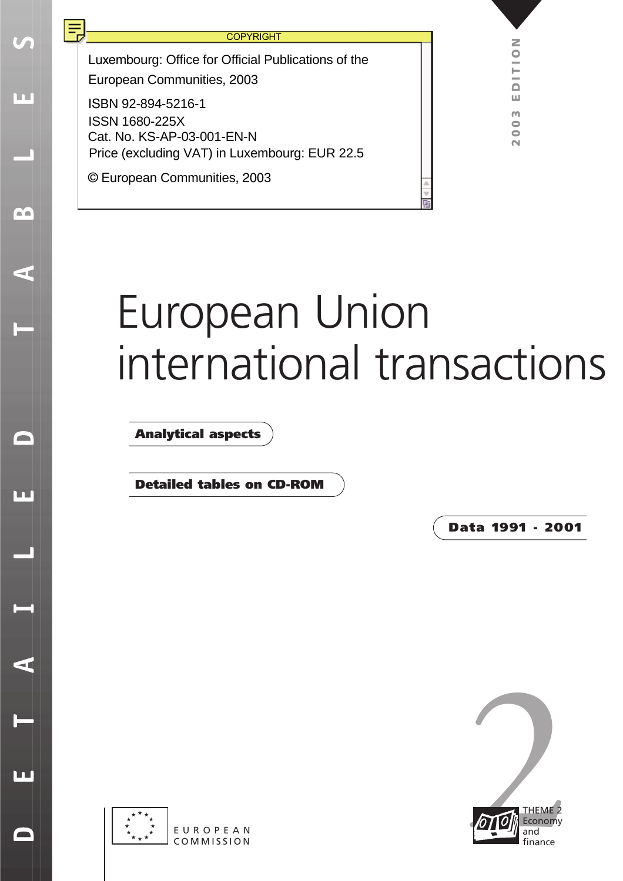Ш

m

 $\leq$ 

 $\blacksquare$ 

ப

 $\blacktriangleleft$ 

 $\overline{\mathbf{L}}$ 

Luxembourg: Office for Official Publications of the European Communities, 2003

ISBN 92-894-5216-1 Cat. No. KS-AP-03-001-EN-N ISSN 1680-225X Price (excluding VAT) in Luxembourg: EUR 22.5

© European Communities, 2003

# European Union [international transactions](#page-3-0)

**Analytical aspects**

**Detailed tables on CD-ROM**

**Data 1991 - 2001**



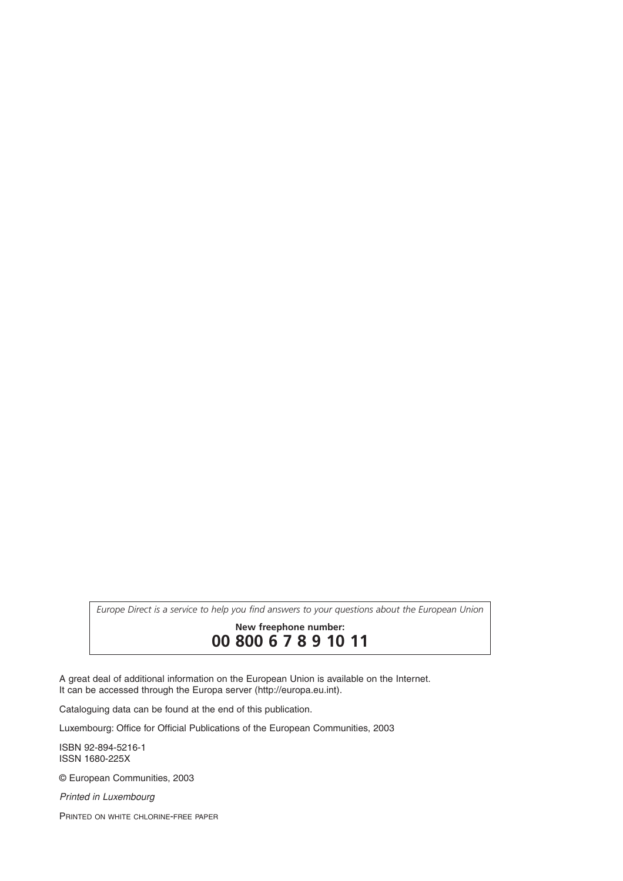*Europe Direct is a service to help you find answers to your questions about the European Union*

**New freephone number:**

**00 800 6 7 8 9 10 11**

A great deal of additional information on the European Union is available on the Internet. It can be accessed through the Europa server (http://europa.eu.int).

Cataloguing data can be found at the end of this publication.

Luxembourg: Office for Official Publications of the European Communities, 2003

ISBN 92-894-5216-1 ISSN 1680-225X

© European Communities, 2003

*Printed in Luxembourg*

PRINTED ON WHITE CHLORINE-FREE PAPER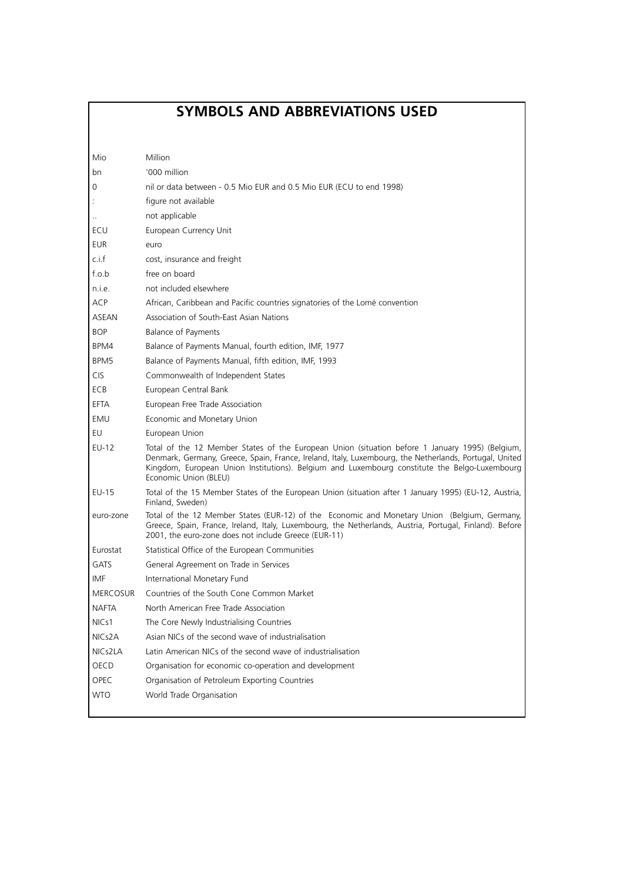## **SYMBOLS AND ABBREVIATIONS USED**

| Mio                 | Million                                                                                                                                                                                                                                                                                                                             |
|---------------------|-------------------------------------------------------------------------------------------------------------------------------------------------------------------------------------------------------------------------------------------------------------------------------------------------------------------------------------|
| bn                  | '000 million                                                                                                                                                                                                                                                                                                                        |
| 0                   | nil or data between - 0.5 Mio EUR and 0.5 Mio EUR (ECU to end 1998)                                                                                                                                                                                                                                                                 |
|                     | figure not available                                                                                                                                                                                                                                                                                                                |
|                     | not applicable                                                                                                                                                                                                                                                                                                                      |
| ECU                 | European Currency Unit                                                                                                                                                                                                                                                                                                              |
| <b>EUR</b>          | euro                                                                                                                                                                                                                                                                                                                                |
| c.i.f               | cost, insurance and freight                                                                                                                                                                                                                                                                                                         |
| f.o.b               | free on board                                                                                                                                                                                                                                                                                                                       |
| n.i.e.              | not included elsewhere                                                                                                                                                                                                                                                                                                              |
| <b>ACP</b>          | African, Caribbean and Pacific countries signatories of the Lomé convention                                                                                                                                                                                                                                                         |
| ASEAN               | Association of South-East Asian Nations                                                                                                                                                                                                                                                                                             |
| <b>BOP</b>          | Balance of Payments                                                                                                                                                                                                                                                                                                                 |
| BPM4                | Balance of Payments Manual, fourth edition, IMF, 1977                                                                                                                                                                                                                                                                               |
| BPM5                | Balance of Payments Manual, fifth edition, IMF, 1993                                                                                                                                                                                                                                                                                |
| <b>CIS</b>          | Commonwealth of Independent States                                                                                                                                                                                                                                                                                                  |
| ECB                 | European Central Bank                                                                                                                                                                                                                                                                                                               |
| EFTA                | European Free Trade Association                                                                                                                                                                                                                                                                                                     |
| EMU                 | Economic and Monetary Union                                                                                                                                                                                                                                                                                                         |
| EU                  | European Union                                                                                                                                                                                                                                                                                                                      |
| EU-12               | Total of the 12 Member States of the European Union (situation before 1 January 1995) (Belgium,<br>Denmark, Germany, Greece, Spain, France, Ireland, Italy, Luxembourg, the Netherlands, Portugal, United<br>Kingdom, European Union Institutions). Belgium and Luxembourg constitute the Belgo-Luxembourg<br>Economic Union (BLEU) |
| <b>EU-15</b>        | Total of the 15 Member States of the European Union (situation after 1 January 1995) (EU-12, Austria,<br>Finland, Sweden)                                                                                                                                                                                                           |
| euro-zone           | Total of the 12 Member States (EUR-12) of the Economic and Monetary Union (Belgium, Germany,<br>Greece, Spain, France, Ireland, Italy, Luxembourg, the Netherlands, Austria, Portugal, Finland). Before<br>2001, the euro-zone does not include Greece (EUR-11)                                                                     |
| Eurostat            | Statistical Office of the European Communities                                                                                                                                                                                                                                                                                      |
| <b>GATS</b>         | General Agreement on Trade in Services                                                                                                                                                                                                                                                                                              |
| IMF                 | International Monetary Fund                                                                                                                                                                                                                                                                                                         |
| <b>MERCOSUR</b>     | Countries of the South Cone Common Market                                                                                                                                                                                                                                                                                           |
| <b>NAFTA</b>        | North American Free Trade Association                                                                                                                                                                                                                                                                                               |
| NIC <sub>51</sub>   | The Core Newly Industrialising Countries                                                                                                                                                                                                                                                                                            |
| NIC <sub>s</sub> 2A | Asian NICs of the second wave of industrialisation                                                                                                                                                                                                                                                                                  |
| NIC <sub>s2LA</sub> | Latin American NICs of the second wave of industrialisation                                                                                                                                                                                                                                                                         |
| OECD                | Organisation for economic co-operation and development                                                                                                                                                                                                                                                                              |
| OPEC                | Organisation of Petroleum Exporting Countries                                                                                                                                                                                                                                                                                       |
| <b>WTO</b>          | World Trade Organisation                                                                                                                                                                                                                                                                                                            |
|                     |                                                                                                                                                                                                                                                                                                                                     |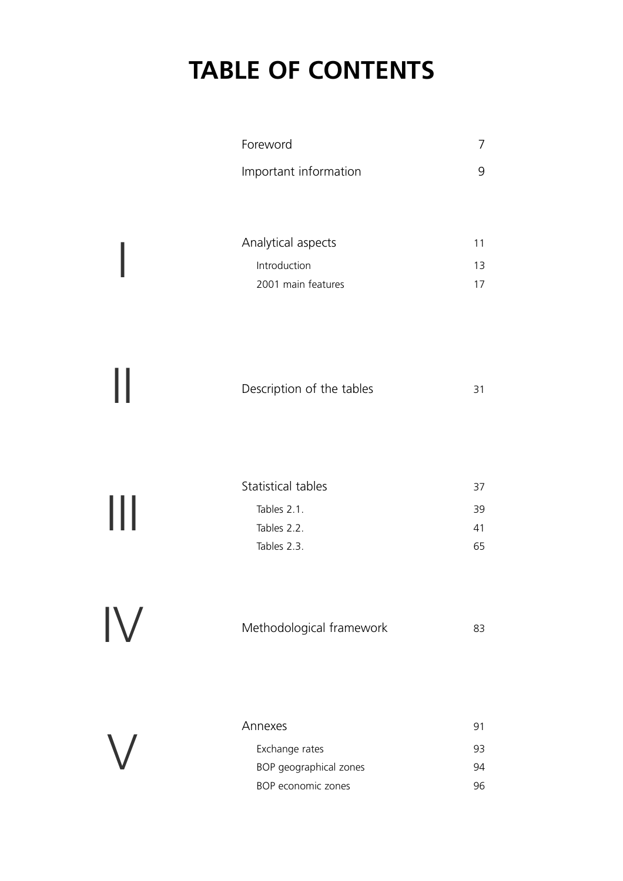## **TABLE OF CONTENTS**

V

<span id="page-3-0"></span>

|            | Foreword                  | 7  |
|------------|---------------------------|----|
|            | Important information     | 9  |
|            |                           |    |
|            | Analytical aspects        | 11 |
|            | Introduction              | 13 |
|            | 2001 main features        | 17 |
|            |                           |    |
|            |                           |    |
|            |                           |    |
|            | Description of the tables | 31 |
|            |                           |    |
|            |                           |    |
|            |                           |    |
|            | Statistical tables        | 37 |
| Ш          | Tables 2.1.               | 39 |
|            | Tables 2.2.               | 41 |
|            | Tables 2.3.               | 65 |
|            |                           |    |
|            |                           |    |
| ${\sf IV}$ | Methodological framework  | 83 |
|            |                           |    |
|            |                           |    |
|            |                           |    |
|            |                           |    |

| Annexes                |    |
|------------------------|----|
| Exchange rates         | 93 |
| BOP geographical zones | 94 |
| BOP economic zones     |    |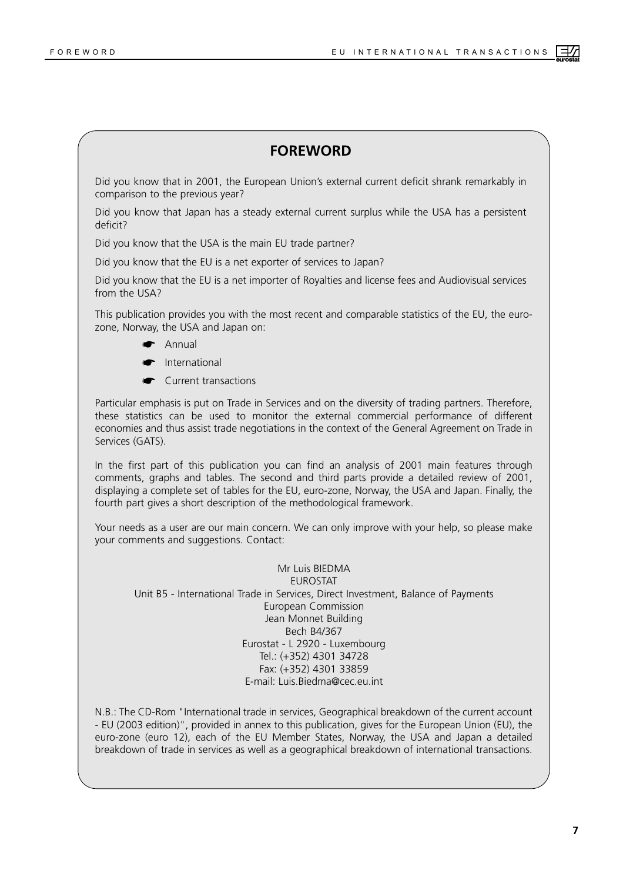#### **FOREWORD**

<span id="page-4-0"></span>Did you know that in 2001, the European Union's external current deficit shrank remarkably in comparison to the previous year?

Did you know that Japan has a steady external current surplus while the USA has a persistent deficit?

Did you know that the USA is the main EU trade partner?

Did you know that the EU is a net exporter of services to Japan?

Did you know that the EU is a net importer of Royalties and license fees and Audiovisual services from the USA?

This publication provides you with the most recent and comparable statistics of the EU, the eurozone, Norway, the USA and Japan on:

- ☛ Annual
- ☛ International
- ☛ Current transactions

Particular emphasis is put on Trade in Services and on the diversity of trading partners. Therefore, these statistics can be used to monitor the external commercial performance of different economies and thus assist trade negotiations in the context of the General Agreement on Trade in Services (GATS).

In the first part of this publication you can find an analysis of 2001 main features through comments, graphs and tables. The second and third parts provide a detailed review of 2001, displaying a complete set of tables for the EU, euro-zone, Norway, the USA and Japan. Finally, the fourth part gives a short description of the methodological framework.

Your needs as a user are our main concern. We can only improve with your help, so please make your comments and suggestions. Contact:

Mr Luis BIEDMA **ELIROSTAT** Unit B5 - International Trade in Services, Direct Investment, Balance of Payments European Commission Jean Monnet Building Bech B4/367 Eurostat - L 2920 - Luxembourg Tel.: (+352) 4301 34728 Fax: (+352) 4301 33859 E-mail: Luis.Biedma@cec.eu.int

N.B.: The CD-Rom "International trade in services, Geographical breakdown of the current account - EU (2003 edition)", provided in annex to this publication, gives for the European Union (EU), the euro-zone (euro 12), each of the EU Member States, Norway, the USA and Japan a detailed breakdown of trade in services as well as a geographical breakdown of international transactions.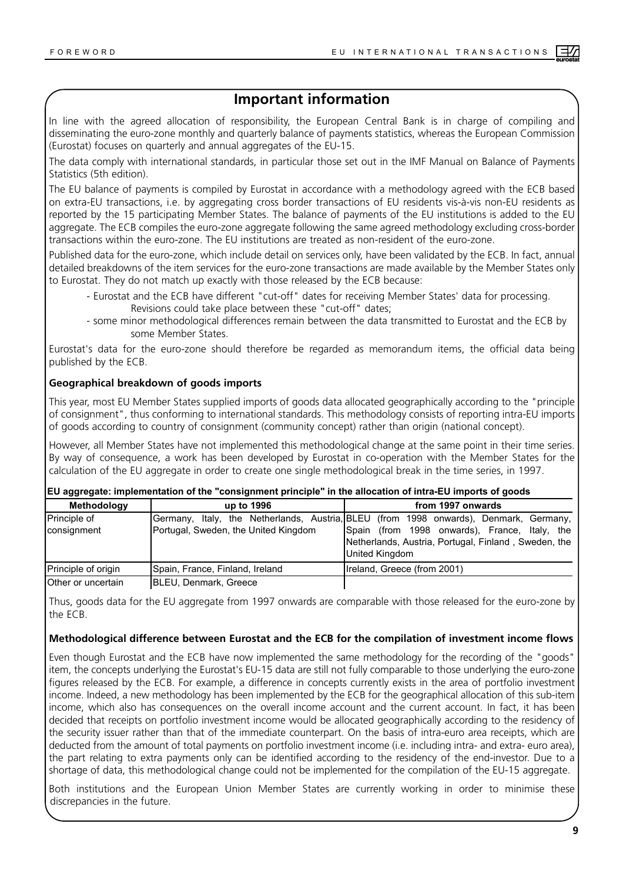## **Important information**

<span id="page-5-0"></span>In line with the agreed allocation of responsibility, the European Central Bank is in charge of compiling and disseminating the euro-zone monthly and quarterly balance of payments statistics, whereas the European Commission (Eurostat) focuses on quarterly and annual aggregates of the EU-15.

The data comply with international standards, in particular those set out in the IMF Manual on Balance of Payments Statistics (5th edition).

The EU balance of payments is compiled by Eurostat in accordance with a methodology agreed with the ECB based on extra-EU transactions, i.e. by aggregating cross border transactions of EU residents vis-à-vis non-EU residents as reported by the 15 participating Member States. The balance of payments of the EU institutions is added to the EU aggregate. The ECB compiles the euro-zone aggregate following the same agreed methodology excluding cross-border transactions within the euro-zone. The EU institutions are treated as non-resident of the euro-zone.

Published data for the euro-zone, which include detail on services only, have been validated by the ECB. In fact, annual detailed breakdowns of the item services for the euro-zone transactions are made available by the Member States only to Eurostat. They do not match up exactly with those released by the ECB because:

- Eurostat and the ECB have different "cut-off" dates for receiving Member States' data for processing. Revisions could take place between these "cut-off" dates;
- some minor methodological differences remain between the data transmitted to Eurostat and the ECB by some Member States.

Eurostat's data for the euro-zone should therefore be regarded as memorandum items, the official data being published by the ECB.

#### **Geographical breakdown of goods imports**

This year, most EU Member States supplied imports of goods data allocated geographically according to the "principle of consignment", thus conforming to international standards. This methodology consists of reporting intra-EU imports of goods according to country of consignment (community concept) rather than origin (national concept).

However, all Member States have not implemented this methodological change at the same point in their time series. By way of consequence, a work has been developed by Eurostat in co-operation with the Member States for the calculation of the EU aggregate in order to create one single methodological break in the time series, in 1997.

|  |  | EU aggregate: implementation of the "consignment principle" in the allocation of intra-EU imports of goods |
|--|--|------------------------------------------------------------------------------------------------------------|
|--|--|------------------------------------------------------------------------------------------------------------|

| Methodology                 | up to 1996                           | from 1997 onwards                                                                                                                                                                                                       |
|-----------------------------|--------------------------------------|-------------------------------------------------------------------------------------------------------------------------------------------------------------------------------------------------------------------------|
| Principle of<br>consignment | Portugal, Sweden, the United Kingdom | Germany, Italy, the Netherlands, Austria, BLEU (from 1998 onwards), Denmark, Germany,<br>Spain (from 1998 onwards), France, Italy, the<br>Netherlands, Austria, Portugal, Finland, Sweden, the<br><b>United Kingdom</b> |
| Principle of origin         | Spain, France, Finland, Ireland      | Ireland, Greece (from 2001)                                                                                                                                                                                             |
| Other or uncertain          | <b>BLEU, Denmark, Greece</b>         |                                                                                                                                                                                                                         |

Thus, goods data for the EU aggregate from 1997 onwards are comparable with those released for the euro-zone by the ECB.

#### **Methodological difference between Eurostat and the ECB for the compilation of investment income flows**

Even though Eurostat and the ECB have now implemented the same methodology for the recording of the "goods" item, the concepts underlying the Eurostat's EU-15 data are still not fully comparable to those underlying the euro-zone figures released by the ECB. For example, a difference in concepts currently exists in the area of portfolio investment income. Indeed, a new methodology has been implemented by the ECB for the geographical allocation of this sub-item income, which also has consequences on the overall income account and the current account. In fact, it has been decided that receipts on portfolio investment income would be allocated geographically according to the residency of the security issuer rather than that of the immediate counterpart. On the basis of intra-euro area receipts, which are deducted from the amount of total payments on portfolio investment income (i.e. including intra- and extra- euro area), the part relating to extra payments only can be identified according to the residency of the end-investor. Due to a shortage of data, this methodological change could not be implemented for the compilation of the EU-15 aggregate.

Both institutions and the European Union Member States are currently working in order to minimise these discrepancies in the future.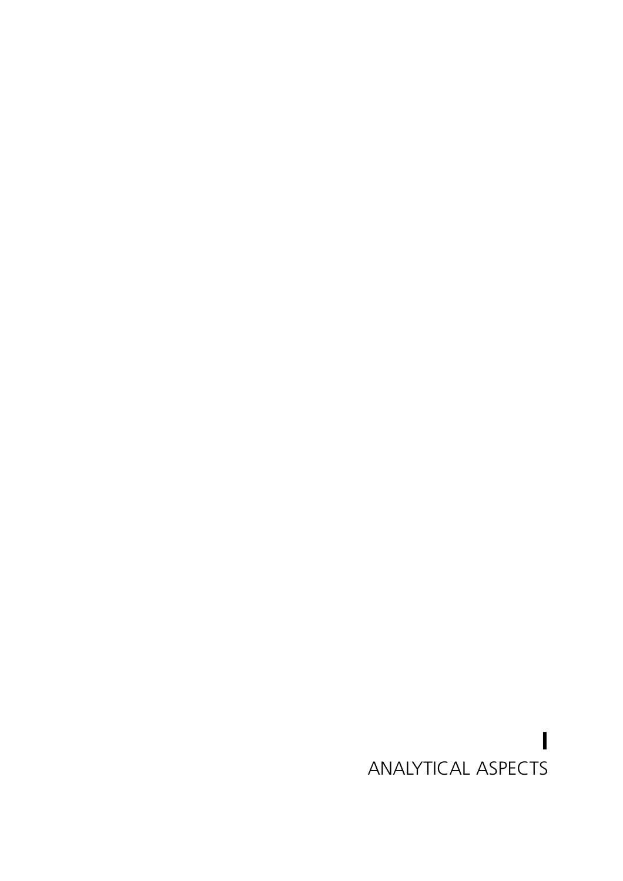## <span id="page-6-0"></span>**I** ANALYTICAL ASPECTS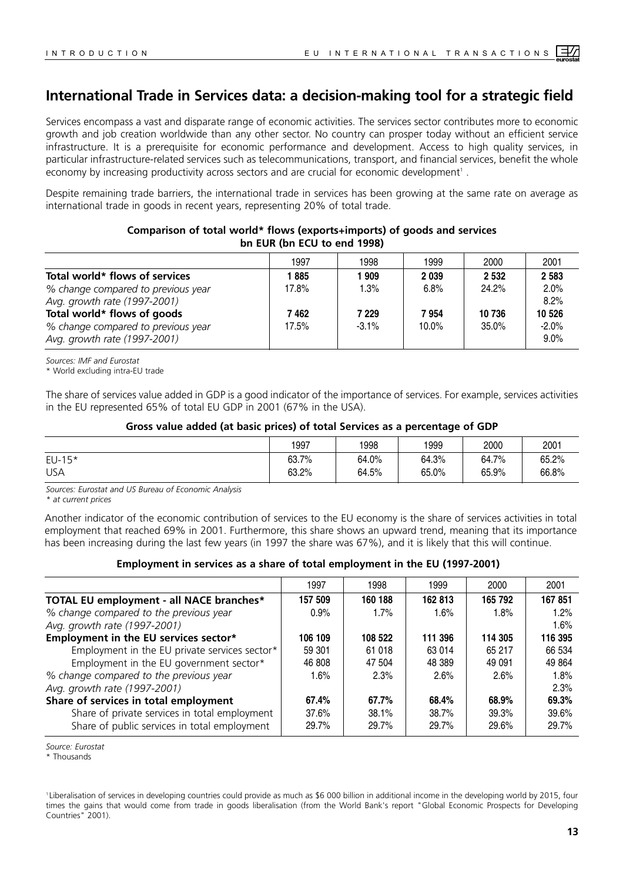## <span id="page-7-0"></span>**International Trade in Services data: a decision-making tool for a strategic field**

Services encompass a vast and disparate range of economic activities. The services sector contributes more to economic growth and job creation worldwide than any other sector. No country can prosper today without an efficient service infrastructure. It is a prerequisite for economic performance and development. Access to high quality services, in particular infrastructure-related services such as telecommunications, transport, and financial services, benefit the whole economy by increasing productivity across sectors and are crucial for economic development<sup>1</sup>.

Despite remaining trade barriers, the international trade in services has been growing at the same rate on average as international trade in goods in recent years, representing 20% of total trade.

| 1997  | 1998     | 1999     | 2000    | 2001               |
|-------|----------|----------|---------|--------------------|
| 885   | 909      | 2039     | 2 5 3 2 | 2 5 8 3            |
| 17.8% | 1.3%     | 6.8%     | 24.2%   | 2.0%               |
|       |          |          |         | 8.2%               |
| 7 462 | 7 229    | 7954     | 10 736  | 10 526             |
| 17.5% | $-3.1\%$ | $10.0\%$ | 35.0%   | $-2.0%$<br>$9.0\%$ |
|       |          |          |         |                    |

#### **Comparison of total world\* flows (exports+imports) of goods and services bn EUR (bn ECU to end 1998)**

*Sources: IMF and Eurostat*

\* World excluding intra-EU trade

The share of services value added in GDP is a good indicator of the importance of services. For example, services activities in the EU represented 65% of total EU GDP in 2001 (67% in the USA).

#### **Gross value added (at basic prices) of total Services as a percentage of GDP**

|            | 1997  | 1998  | 1999  | 2000  | 2001  |
|------------|-------|-------|-------|-------|-------|
| $EU-15*$   | 63.7% | 64.0% | 64.3% | 64.7% | 65.2% |
| <b>USA</b> | 63.2% | 64.5% | 65.0% | 65.9% | 66.8% |

*Sources: Eurostat and US Bureau of Economic Analysis*

*\* at current prices*

Another indicator of the economic contribution of services to the EU economy is the share of services activities in total employment that reached 69% in 2001. Furthermore, this share shows an upward trend, meaning that its importance has been increasing during the last few years (in 1997 the share was 67%), and it is likely that this will continue.

#### **Employment in services as a share of total employment in the EU (1997-2001)**

|                                               | 1997    | 1998     | 1999    | 2000    | 2001    |
|-----------------------------------------------|---------|----------|---------|---------|---------|
| TOTAL EU employment - all NACE branches*      | 157 509 | 160 188  | 162 813 | 165 792 | 167851  |
| % change compared to the previous year        | 0.9%    | 1.7%     | 1.6%    | 1.8%    | 1.2%    |
| Avg. growth rate (1997-2001)                  |         |          |         |         | 1.6%    |
| Employment in the EU services sector*         | 106 109 | 108 522  | 111 396 | 114 305 | 116 395 |
| Employment in the EU private services sector* | 59 301  | 61 018   | 63 014  | 65 217  | 66 534  |
| Employment in the EU government sector*       | 46 808  | 47 504   | 48 389  | 49 091  | 49 8 64 |
| % change compared to the previous year        | 1.6%    | $2.3\%$  | 2.6%    | 2.6%    | 1.8%    |
| Avg. growth rate (1997-2001)                  |         |          |         |         | 2.3%    |
| Share of services in total employment         | 67.4%   | $67.7\%$ | 68.4%   | 68.9%   | 69.3%   |
| Share of private services in total employment | 37.6%   | 38.1%    | 38.7%   | 39.3%   | 39.6%   |
| Share of public services in total employment  | 29.7%   | 29.7%    | 29.7%   | 29.6%   | 29.7%   |

*Source: Eurostat*

\* Thousands

<sup>1</sup> Liberalisation of services in developing countries could provide as much as \$6 000 billion in additional income in the developing world by 2015, four times the gains that would come from trade in goods liberalisation (from the World Bank's report "Global Economic Prospects for Developing Countries" 2001).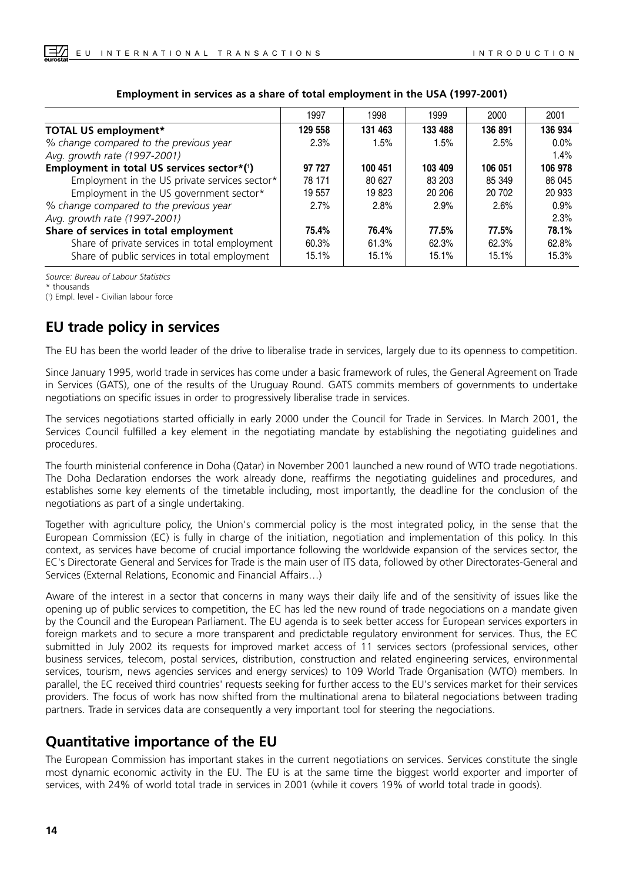|                                               | 1997    | 1998    | 1999    | 2000    | 2001    |
|-----------------------------------------------|---------|---------|---------|---------|---------|
| <b>TOTAL US employment*</b>                   | 129 558 | 131 463 | 133 488 | 136 891 | 136 934 |
| % change compared to the previous year        | 2.3%    | 1.5%    | 1.5%    | 2.5%    | $0.0\%$ |
| Avg. growth rate (1997-2001)                  |         |         |         |         | 1.4%    |
| Employment in total US services sector*(1)    | 97 727  | 100 451 | 103 409 | 106 051 | 106 978 |
| Employment in the US private services sector* | 78 171  | 80 627  | 83 203  | 85 349  | 86 045  |
| Employment in the US government sector*       | 19 557  | 19823   | 20 20 6 | 20 702  | 20 933  |
| % change compared to the previous year        | 2.7%    | 2.8%    | 2.9%    | 2.6%    | 0.9%    |
| Avg. growth rate (1997-2001)                  |         |         |         |         | 2.3%    |
| Share of services in total employment         | 75.4%   | 76.4%   | 77.5%   | 77.5%   | 78.1%   |
| Share of private services in total employment | 60.3%   | 61.3%   | 62.3%   | 62.3%   | 62.8%   |
| Share of public services in total employment  | 15.1%   | 15.1%   | 15.1%   | 15.1%   | 15.3%   |

#### **Employment in services as a share of total employment in the USA (1997-2001)**

*Source: Bureau of Labour Statistics*

\* thousands

( 1 ) Empl. level - Civilian labour force

## **EU trade policy in services**

The EU has been the world leader of the drive to liberalise trade in services, largely due to its openness to competition.

Since January 1995, world trade in services has come under a basic framework of rules, the General Agreement on Trade in Services (GATS), one of the results of the Uruguay Round. GATS commits members of governments to undertake negotiations on specific issues in order to progressively liberalise trade in services.

The services negotiations started officially in early 2000 under the Council for Trade in Services. In March 2001, the Services Council fulfilled a key element in the negotiating mandate by establishing the negotiating guidelines and procedures.

The fourth ministerial conference in Doha (Qatar) in November 2001 launched a new round of WTO trade negotiations. The Doha Declaration endorses the work already done, reaffirms the negotiating guidelines and procedures, and establishes some key elements of the timetable including, most importantly, the deadline for the conclusion of the negotiations as part of a single undertaking.

Together with agriculture policy, the Union's commercial policy is the most integrated policy, in the sense that the European Commission (EC) is fully in charge of the initiation, negotiation and implementation of this policy. In this context, as services have become of crucial importance following the worldwide expansion of the services sector, the EC's Directorate General and Services for Trade is the main user of ITS data, followed by other Directorates-General and Services (External Relations, Economic and Financial Affairs…)

Aware of the interest in a sector that concerns in many ways their daily life and of the sensitivity of issues like the opening up of public services to competition, the EC has led the new round of trade negociations on a mandate given by the Council and the European Parliament. The EU agenda is to seek better access for European services exporters in foreign markets and to secure a more transparent and predictable regulatory environment for services. Thus, the EC submitted in July 2002 its requests for improved market access of 11 services sectors (professional services, other business services, telecom, postal services, distribution, construction and related engineering services, environmental services, tourism, news agencies services and energy services) to 109 World Trade Organisation (WTO) members. In parallel, the EC received third countries' requests seeking for further access to the EU's services market for their services providers. The focus of work has now shifted from the multinational arena to bilateral negociations between trading partners. Trade in services data are consequently a very important tool for steering the negociations.

## **Quantitative importance of the EU**

The European Commission has important stakes in the current negotiations on services. Services constitute the single most dynamic economic activity in the EU. The EU is at the same time the biggest world exporter and importer of services, with 24% of world total trade in services in 2001 (while it covers 19% of world total trade in goods).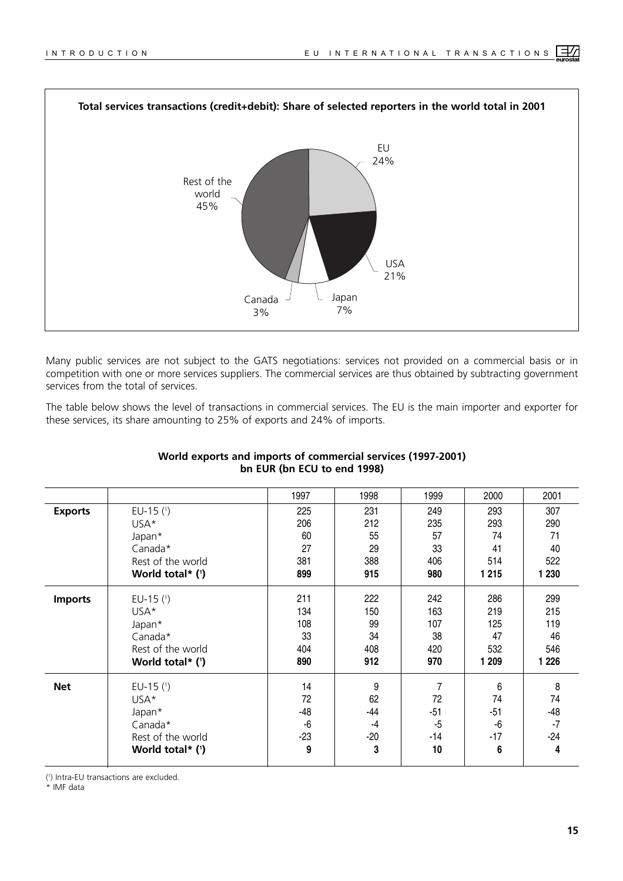

Many public services are not subject to the GATS negotiations: services not provided on a commercial basis or in competition with one or more services suppliers. The commercial services are thus obtained by subtracting government services from the total of services.

The table below shows the level of transactions in commercial services. The EU is the main importer and exporter for these services, its share amounting to 25% of exports and 24% of imports.

|                |                    | 1997  | 1998  | 1999  | 2000    | 2001    |
|----------------|--------------------|-------|-------|-------|---------|---------|
| <b>Exports</b> | EU-15 $(1)$        | 225   | 231   | 249   | 293     | 307     |
|                | USA*               | 206   | 212   | 235   | 293     | 290     |
|                | Japan*             | 60    | 55    | 57    | 74      | 71      |
|                | Canada*            | 27    | 29    | 33    | 41      | 40      |
|                | Rest of the world  | 381   | 388   | 406   | 514     | 522     |
|                | World total* $(1)$ | 899   | 915   | 980   | 1 2 1 5 | 1 2 3 0 |
| <b>Imports</b> | EU-15 $(1)$        | 211   | 222   | 242   | 286     | 299     |
|                | USA*               | 134   | 150   | 163   | 219     | 215     |
|                | Japan*             | 108   | 99    | 107   | 125     | 119     |
|                | Canada*            | 33    | 34    | 38    | 47      | 46      |
|                | Rest of the world  | 404   | 408   | 420   | 532     | 546     |
|                | World total* $(')$ | 890   | 912   | 970   | 1 209   | 1 2 2 6 |
| <b>Net</b>     | EU-15 $(1)$        | 14    | 9     | 7     | 6       | 8       |
|                | USA*               | 72    | 62    | 72    | 74      | 74      |
|                | Japan*             | $-48$ | $-44$ | $-51$ | $-51$   | $-48$   |
|                | Canada*            | -6    | -4    | $-5$  | -6      | $-7$    |
|                | Rest of the world  | $-23$ | $-20$ | $-14$ | $-17$   | $-24$   |
|                | World total* $(')$ | 9     | 3     | 10    | 6       | 4       |
|                |                    |       |       |       |         |         |

#### **World exports and imports of commercial services (1997-2001) bn EUR (bn ECU to end 1998)**

( 1 ) Intra-EU transactions are excluded.

\* IMF data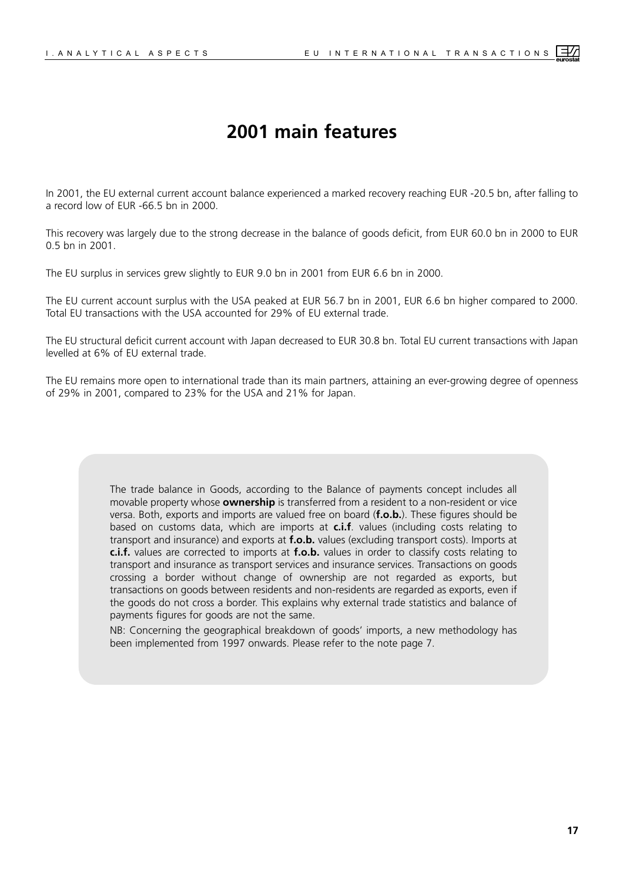## **2001 main features**

<span id="page-10-0"></span>In 2001, the EU external current account balance experienced a marked recovery reaching EUR -20.5 bn, after falling to a record low of EUR -66.5 bn in 2000.

This recovery was largely due to the strong decrease in the balance of goods deficit, from EUR 60.0 bn in 2000 to EUR 0.5 bn in 2001.

The EU surplus in services grew slightly to EUR 9.0 bn in 2001 from EUR 6.6 bn in 2000.

The EU current account surplus with the USA peaked at EUR 56.7 bn in 2001, EUR 6.6 bn higher compared to 2000. Total EU transactions with the USA accounted for 29% of EU external trade.

The EU structural deficit current account with Japan decreased to EUR 30.8 bn. Total EU current transactions with Japan levelled at 6% of EU external trade.

The EU remains more open to international trade than its main partners, attaining an ever-growing degree of openness of 29% in 2001, compared to 23% for the USA and 21% for Japan.

> The trade balance in Goods, according to the Balance of payments concept includes all movable property whose **ownership** is transferred from a resident to a non-resident or vice versa. Both, exports and imports are valued free on board (**f.o.b.**). These figures should be based on customs data, which are imports at **c.i.f**. values (including costs relating to transport and insurance) and exports at **f.o.b.** values (excluding transport costs). Imports at **c.i.f.** values are corrected to imports at **f.o.b.** values in order to classify costs relating to transport and insurance as transport services and insurance services. Transactions on goods crossing a border without change of ownership are not regarded as exports, but transactions on goods between residents and non-residents are regarded as exports, even if the goods do not cross a border. This explains why external trade statistics and balance of payments figures for goods are not the same.

> NB: Concerning the geographical breakdown of goods' imports, a new methodology has been implemented from 1997 onwards. Please refer to the note page 7.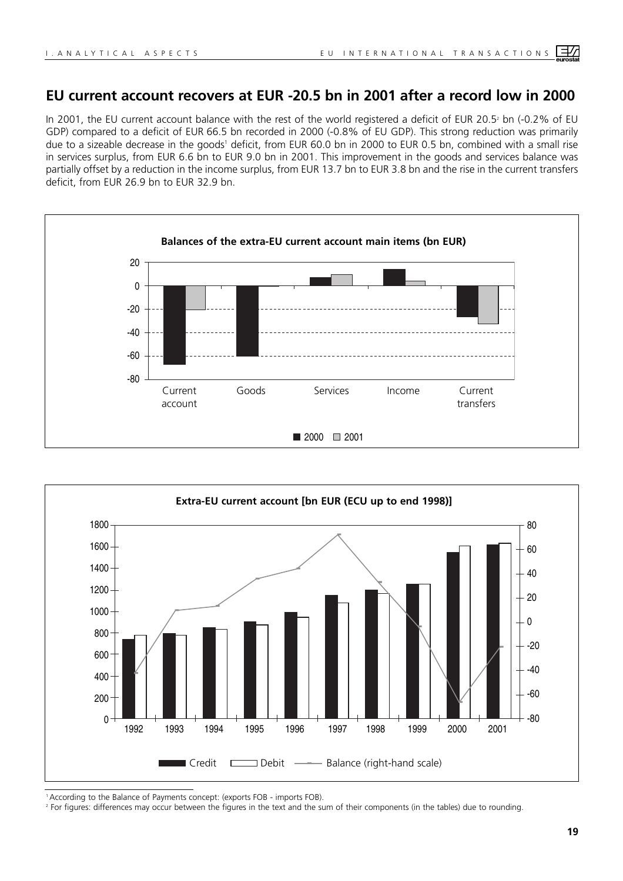## **EU current account recovers at EUR -20.5 bn in 2001 after a record low in 2000**

In 2001, the EU current account balance with the rest of the world registered a deficit of EUR 20.5<sup>2</sup> bn (-0.2% of EU GDP) compared to a deficit of EUR 66.5 bn recorded in 2000 (-0.8% of EU GDP). This strong reduction was primarily due to a sizeable decrease in the goods<sup>1</sup> deficit, from EUR 60.0 bn in 2000 to EUR 0.5 bn, combined with a small rise in services surplus, from EUR 6.6 bn to EUR 9.0 bn in 2001. This improvement in the goods and services balance was partially offset by a reduction in the income surplus, from EUR 13.7 bn to EUR 3.8 bn and the rise in the current transfers deficit, from EUR 26.9 bn to EUR 32.9 bn.





<sup>1</sup> According to the Balance of Payments concept: (exports FOB - imports FOB).

<sup>2</sup> For figures: differences may occur between the figures in the text and the sum of their components (in the tables) due to rounding.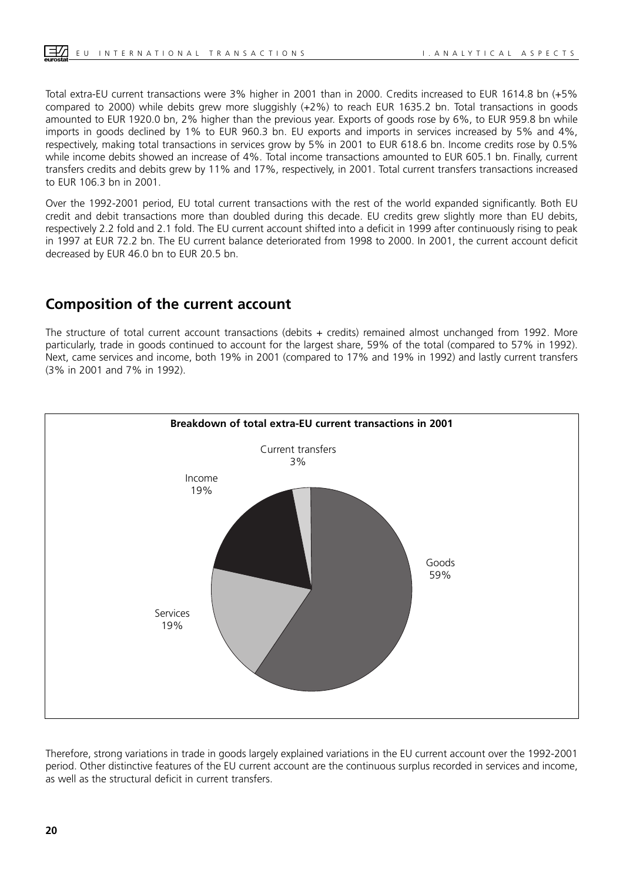Total extra-EU current transactions were 3% higher in 2001 than in 2000. Credits increased to EUR 1614.8 bn (+5% compared to 2000) while debits grew more sluggishly (+2%) to reach EUR 1635.2 bn. Total transactions in goods amounted to EUR 1920.0 bn, 2% higher than the previous year. Exports of goods rose by 6%, to EUR 959.8 bn while imports in goods declined by 1% to EUR 960.3 bn. EU exports and imports in services increased by 5% and 4%, respectively, making total transactions in services grow by 5% in 2001 to EUR 618.6 bn. Income credits rose by 0.5% while income debits showed an increase of 4%. Total income transactions amounted to EUR 605.1 bn. Finally, current transfers credits and debits grew by 11% and 17%, respectively, in 2001. Total current transfers transactions increased to EUR 106.3 bn in 2001.

Over the 1992-2001 period, EU total current transactions with the rest of the world expanded significantly. Both EU credit and debit transactions more than doubled during this decade. EU credits grew slightly more than EU debits, respectively 2.2 fold and 2.1 fold. The EU current account shifted into a deficit in 1999 after continuously rising to peak in 1997 at EUR 72.2 bn. The EU current balance deteriorated from 1998 to 2000. In 2001, the current account deficit decreased by EUR 46.0 bn to EUR 20.5 bn.

## **Composition of the current account**

The structure of total current account transactions (debits + credits) remained almost unchanged from 1992. More particularly, trade in goods continued to account for the largest share, 59% of the total (compared to 57% in 1992). Next, came services and income, both 19% in 2001 (compared to 17% and 19% in 1992) and lastly current transfers (3% in 2001 and 7% in 1992).



Therefore, strong variations in trade in goods largely explained variations in the EU current account over the 1992-2001 period. Other distinctive features of the EU current account are the continuous surplus recorded in services and income, as well as the structural deficit in current transfers.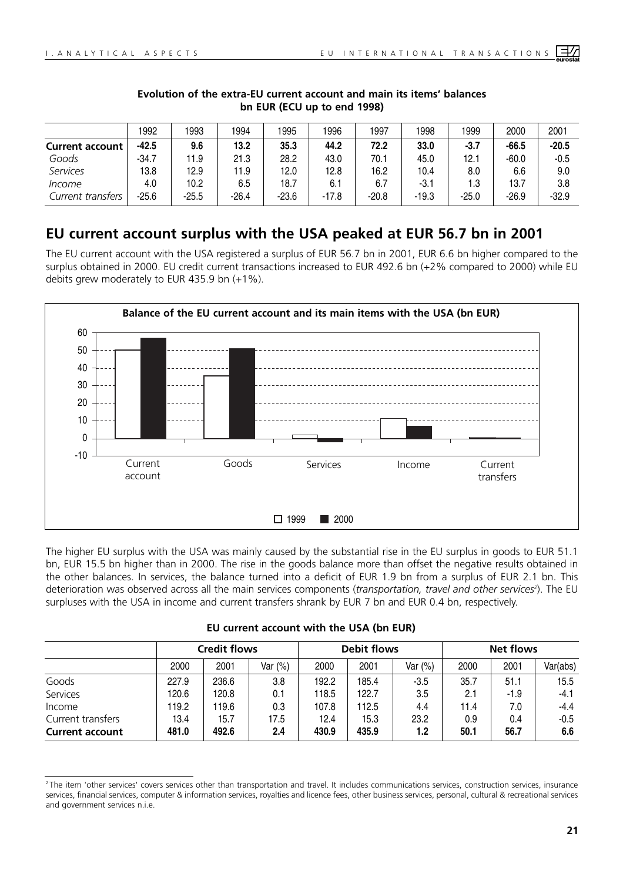|                        | 1992    | 1993    | 1994  | 1995    | 1996    | 1997    | 1998    | 1999    | 2000    | 2001    |
|------------------------|---------|---------|-------|---------|---------|---------|---------|---------|---------|---------|
| <b>Current account</b> | $-42.5$ | 9.6     | 13.2  | 35.3    | 44.2    | 72.2    | 33.0    | $-3.7$  | $-66.5$ | $-20.5$ |
| Goods                  | $-34.7$ | 11.9    | 21.3  | 28.2    | 43.0    | 70.1    | 45.0    | 12.1    | $-60.0$ | $-0.5$  |
| Services               | 13.8    | 12.9    | 11.9  | 12.0    | 12.8    | 16.2    | 10.4    | 8.0     | 6.6     | 9.0     |
| Income                 | 4.0     | 10.2    | 6.5   | 18.7    | 6.1     | 6.7     | -3.1    | 1.3     | 13.7    | 3.8     |
| Current transfers      | -25.6   | $-25.5$ | -26.4 | $-23.6$ | $-17.8$ | $-20.8$ | $-19.3$ | $-25.0$ | $-26.9$ | $-32.9$ |

#### **Evolution of the extra-EU current account and main its items' balances bn EUR (ECU up to end 1998)**

## **EU current account surplus with the USA peaked at EUR 56.7 bn in 2001**

The EU current account with the USA registered a surplus of EUR 56.7 bn in 2001, EUR 6.6 bn higher compared to the surplus obtained in 2000. EU credit current transactions increased to EUR 492.6 bn (+2% compared to 2000) while EU debits grew moderately to EUR 435.9 bn (+1%).



The higher EU surplus with the USA was mainly caused by the substantial rise in the EU surplus in goods to EUR 51.1 bn, EUR 15.5 bn higher than in 2000. The rise in the goods balance more than offset the negative results obtained in the other balances. In services, the balance turned into a deficit of EUR 1.9 bn from a surplus of EUR 2.1 bn. This deterioration was observed across all the main services components (*transportation, travel and other services*<sup>2</sup>). The EU surpluses with the USA in income and current transfers shrank by EUR 7 bn and EUR 0.4 bn, respectively.

|  |  | EU current account with the USA (bn EUR) |  |  |  |  |  |
|--|--|------------------------------------------|--|--|--|--|--|
|--|--|------------------------------------------|--|--|--|--|--|

|                                             |               | <b>Credit flows</b> |             |               | <b>Debit flows</b> |             | <b>Net flows</b> |             |               |  |
|---------------------------------------------|---------------|---------------------|-------------|---------------|--------------------|-------------|------------------|-------------|---------------|--|
|                                             | 2000          | 2001                | Var (%)     | 2000          | 2001               | Var (%)     | 2000             | 2001        | Var(abs)      |  |
| Goods                                       | 227.9         | 236.6               | 3.8         | 192.2         | 185.4              | $-3.5$      | 35.7             | 51.1        | 15.5          |  |
| Services                                    | 120.6         | 120.8               | 0.1         | 118.5         | 122.7              | 3.5         | 2.1              | $-1.9$      | $-4.1$        |  |
| Income                                      | 119.2         | 119.6               | 0.3         | 107.8         | 112.5              | 4.4         | 11.4             | 7.0         | $-4.4$        |  |
| Current transfers<br><b>Current account</b> | 13.4<br>481.0 | 15.7<br>492.6       | 17.5<br>2.4 | 12.4<br>430.9 | 15.3<br>435.9      | 23.2<br>1.2 | 0.9<br>50.1      | 0.4<br>56.7 | $-0.5$<br>6.6 |  |

<sup>&</sup>lt;sup>2</sup> The item 'other services' covers services other than transportation and travel. It includes communications services, construction services, insurance services, financial services, computer & information services, royalties and licence fees, other business services, personal, cultural & recreational services and government services n.i.e.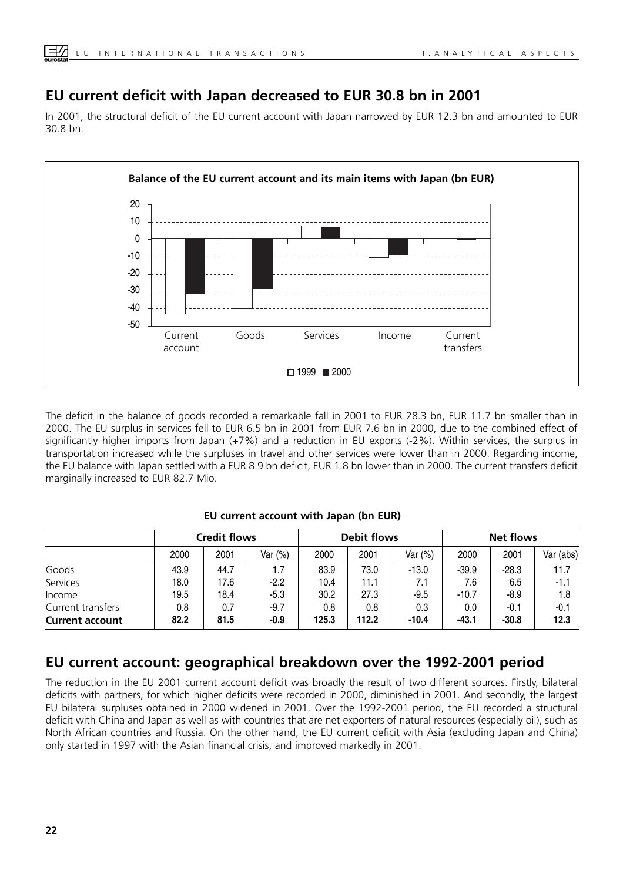## **EU current deficit with Japan decreased to EUR 30.8 bn in 2001**

In 2001, the structural deficit of the EU current account with Japan narrowed by EUR 12.3 bn and amounted to EUR 30.8 bn.



The deficit in the balance of goods recorded a remarkable fall in 2001 to EUR 28.3 bn, EUR 11.7 bn smaller than in 2000. The EU surplus in services fell to EUR 6.5 bn in 2001 from EUR 7.6 bn in 2000, due to the combined effect of significantly higher imports from Japan (+7%) and a reduction in EU exports (-2%). Within services, the surplus in transportation increased while the surpluses in travel and other services were lower than in 2000. Regarding income, the EU balance with Japan settled with a EUR 8.9 bn deficit, EUR 1.8 bn lower than in 2000. The current transfers deficit marginally increased to EUR 82.7 Mio.

|                        |      | <b>Credit flows</b> |         |       | <b>Debit flows</b> |         | Net flows |         |           |  |
|------------------------|------|---------------------|---------|-------|--------------------|---------|-----------|---------|-----------|--|
|                        | 2000 | 2001                | Var (%) | 2000  | 2001               | Var (%) | 2000      | 2001    | Var (abs) |  |
| Goods                  | 43.9 | 44.7                | 1.7     | 83.9  | 73.0               | $-13.0$ | $-39.9$   | $-28.3$ | 11.7      |  |
| Services               | 18.0 | 17.6                | $-2.2$  | 10.4  | 11.1               | 7.1     | 7.6       | 6.5     | $-1.1$    |  |
| Income                 | 19.5 | 18.4                | $-5.3$  | 30.2  | 27.3               | $-9.5$  | $-10.7$   | $-8.9$  | 1.8       |  |
| Current transfers      | 0.8  | 0.7                 | $-9.7$  | 0.8   | 0.8                | 0.3     | 0.0       | $-0.1$  | $-0.1$    |  |
| <b>Current account</b> | 82.2 | 81.5                | -0.9    | 125.3 | 112.2              | $-10.4$ | $-43.1$   | $-30.8$ | 12.3      |  |

#### **EU current account with Japan (bn EUR)**

## **EU current account: geographical breakdown over the 1992-2001 period**

The reduction in the EU 2001 current account deficit was broadly the result of two different sources. Firstly, bilateral deficits with partners, for which higher deficits were recorded in 2000, diminished in 2001. And secondly, the largest EU bilateral surpluses obtained in 2000 widened in 2001. Over the 1992-2001 period, the EU recorded a structural deficit with China and Japan as well as with countries that are net exporters of natural resources (especially oil), such as North African countries and Russia. On the other hand, the EU current deficit with Asia (excluding Japan and China) only started in 1997 with the Asian financial crisis, and improved markedly in 2001.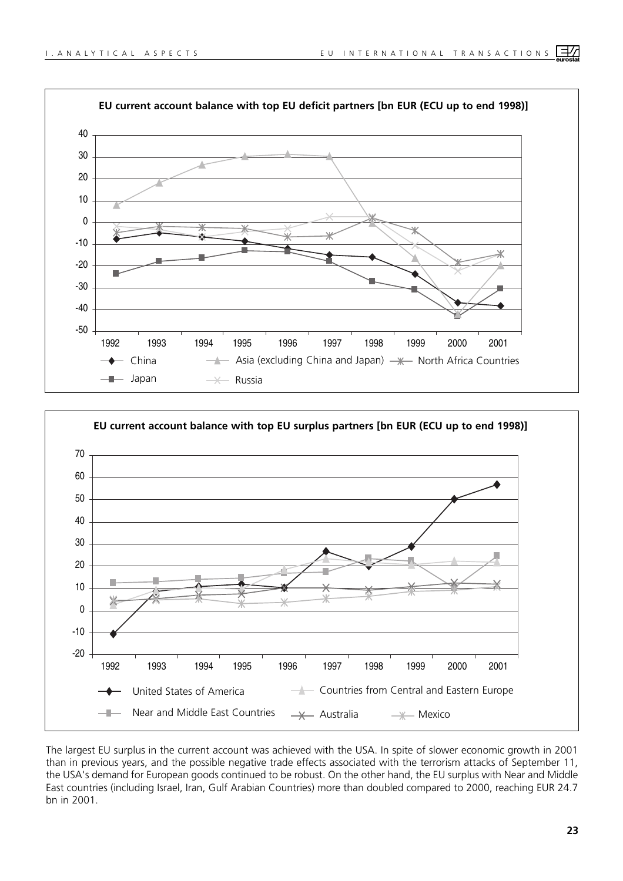



The largest EU surplus in the current account was achieved with the USA. In spite of slower economic growth in 2001 than in previous years, and the possible negative trade effects associated with the terrorism attacks of September 11, the USA's demand for European goods continued to be robust. On the other hand, the EU surplus with Near and Middle East countries (including Israel, Iran, Gulf Arabian Countries) more than doubled compared to 2000, reaching EUR 24.7 bn in 2001.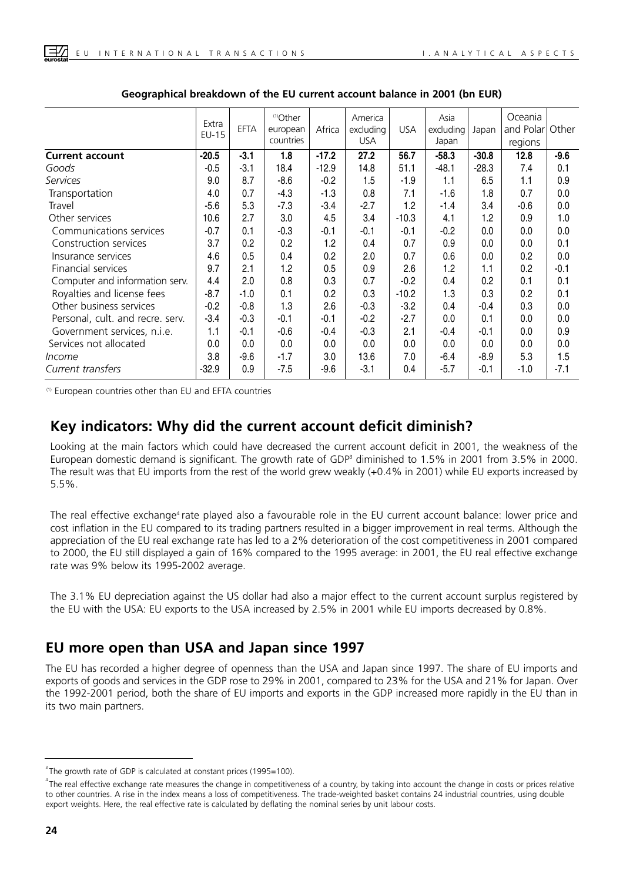|                                  | Extra<br>$EU-15$ | <b>EFTA</b> | <sup>(1)</sup> Other<br>european<br>countries | Africa  | America<br>excluding<br><b>USA</b> | <b>USA</b> | Asia<br>excluding<br>Japan | Japan   | Oceania<br>and Polar<br>regions | Other  |
|----------------------------------|------------------|-------------|-----------------------------------------------|---------|------------------------------------|------------|----------------------------|---------|---------------------------------|--------|
| <b>Current account</b>           | $-20.5$          | $-3.1$      | 1.8                                           | $-17.2$ | 27.2                               | 56.7       | $-58.3$                    | $-30.8$ | 12.8                            | $-9.6$ |
| Goods                            | $-0.5$           | $-3.1$      | 18.4                                          | $-12.9$ | 14.8                               | 51.1       | $-48.1$                    | $-28.3$ | 7.4                             | 0.1    |
| <b>Services</b>                  | 9.0              | 8.7         | $-8.6$                                        | $-0.2$  | 1.5                                | $-1.9$     | 1.1                        | 6.5     | 1.1                             | 0.9    |
| Transportation                   | 4.0              | 0.7         | $-4.3$                                        | $-1.3$  | 0.8                                | 7.1        | $-1.6$                     | 1.8     | 0.7                             | 0.0    |
| Travel                           | $-5.6$           | 5.3         | $-7.3$                                        | $-3.4$  | $-2.7$                             | 1.2        | $-1.4$                     | 3.4     | $-0.6$                          | 0.0    |
| Other services                   | 10.6             | 2.7         | 3.0                                           | 4.5     | 3.4                                | $-10.3$    | 4.1                        | 1.2     | 0.9                             | 1.0    |
| Communications services          | $-0.7$           | 0.1         | $-0.3$                                        | $-0.1$  | $-0.1$                             | $-0.1$     | $-0.2$                     | 0.0     | 0.0                             | 0.0    |
| Construction services            | 3.7              | 0.2         | 0.2                                           | 1.2     | 0.4                                | 0.7        | 0.9                        | 0.0     | 0.0                             | 0.1    |
| Insurance services               | 4.6              | 0.5         | 0.4                                           | 0.2     | 2.0                                | 0.7        | 0.6                        | 0.0     | 0.2                             | 0.0    |
| Financial services               | 9.7              | 2.1         | 1.2                                           | 0.5     | 0.9                                | 2.6        | 1.2                        | 1.1     | 0.2                             | $-0.1$ |
| Computer and information serv.   | 4.4              | 2.0         | 0.8                                           | 0.3     | 0.7                                | $-0.2$     | 0.4                        | 0.2     | 0.1                             | 0.1    |
| Royalties and license fees       | $-8.7$           | $-1.0$      | 0.1                                           | 0.2     | 0.3                                | $-10.2$    | 1.3                        | 0.3     | 0.2                             | 0.1    |
| Other business services          | $-0.2$           | $-0.8$      | 1.3                                           | 2.6     | $-0.3$                             | $-3.2$     | 0.4                        | -0.4    | 0.3                             | 0.0    |
| Personal, cult. and recre. serv. | $-3.4$           | $-0.3$      | $-0.1$                                        | $-0.1$  | $-0.2$                             | $-2.7$     | 0.0                        | 0.1     | 0.0                             | 0.0    |
| Government services, n.i.e.      | 1.1              | $-0.1$      | $-0.6$                                        | $-0.4$  | $-0.3$                             | 2.1        | $-0.4$                     | -0.1    | 0.0                             | 0.9    |
| Services not allocated           | 0.0              | 0.0         | 0.0                                           | 0.0     | 0.0                                | 0.0        | 0.0                        | 0.0     | 0.0                             | 0.0    |
| <i>Income</i>                    | 3.8              | $-9.6$      | $-1.7$                                        | 3.0     | 13.6                               | 7.0        | $-6.4$                     | $-8.9$  | 5.3                             | 1.5    |
| Current transfers                | $-32.9$          | 0.9         | $-7.5$                                        | $-9.6$  | $-3.1$                             | 0.4        | $-5.7$                     | $-0.1$  | -1.0                            | $-7.1$ |

**Geographical breakdown of the EU current account balance in 2001 (bn EUR)**

(1) European countries other than EU and EFTA countries

## **Key indicators: Why did the current account deficit diminish?**

Looking at the main factors which could have decreased the current account deficit in 2001, the weakness of the European domestic demand is significant. The growth rate of GDP<sup>3</sup> diminished to 1.5% in 2001 from 3.5% in 2000. The result was that EU imports from the rest of the world grew weakly (+0.4% in 2001) while EU exports increased by 5.5%.

The real effective exchange<sup>4</sup> rate played also a favourable role in the EU current account balance: lower price and cost inflation in the EU compared to its trading partners resulted in a bigger improvement in real terms. Although the appreciation of the EU real exchange rate has led to a 2% deterioration of the cost competitiveness in 2001 compared to 2000, the EU still displayed a gain of 16% compared to the 1995 average: in 2001, the EU real effective exchange rate was 9% below its 1995-2002 average.

The 3.1% EU depreciation against the US dollar had also a major effect to the current account surplus registered by the EU with the USA: EU exports to the USA increased by 2.5% in 2001 while EU imports decreased by 0.8%.

## **EU more open than USA and Japan since 1997**

The EU has recorded a higher degree of openness than the USA and Japan since 1997. The share of EU imports and exports of goods and services in the GDP rose to 29% in 2001, compared to 23% for the USA and 21% for Japan. Over the 1992-2001 period, both the share of EU imports and exports in the GDP increased more rapidly in the EU than in its two main partners.

 $3$  The growth rate of GDP is calculated at constant prices (1995=100).

<sup>&</sup>lt;sup>4</sup> The real effective exchange rate measures the change in competitiveness of a country, by taking into account the change in costs or prices relative to other countries. A rise in the index means a loss of competitiveness. The trade-weighted basket contains 24 industrial countries, using double export weights. Here, the real effective rate is calculated by deflating the nominal series by unit labour costs.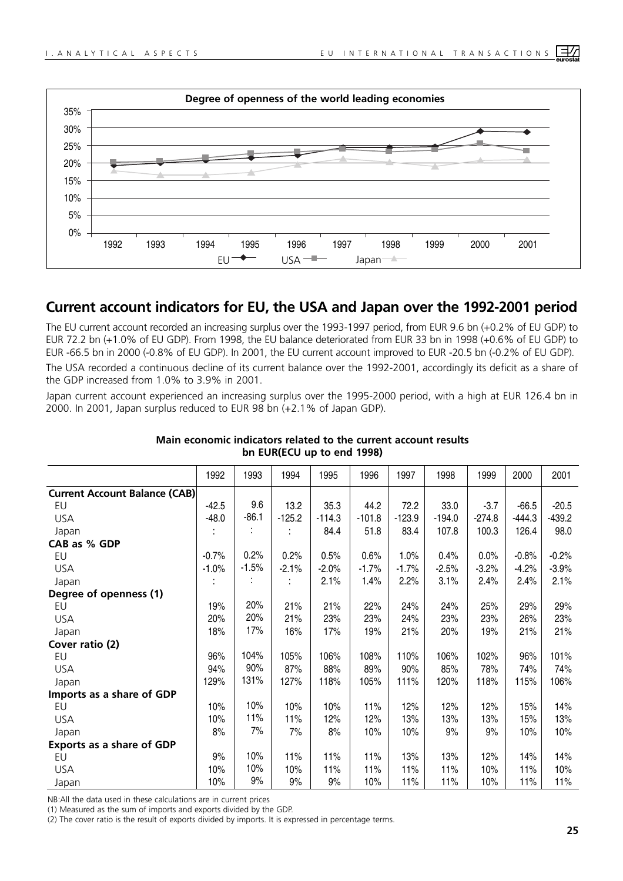

## **Current account indicators for EU, the USA and Japan over the 1992-2001 period**

The EU current account recorded an increasing surplus over the 1993-1997 period, from EUR 9.6 bn (+0.2% of EU GDP) to EUR 72.2 bn (+1.0% of EU GDP). From 1998, the EU balance deteriorated from EUR 33 bn in 1998 (+0.6% of EU GDP) to EUR -66.5 bn in 2000 (-0.8% of EU GDP). In 2001, the EU current account improved to EUR -20.5 bn (-0.2% of EU GDP).

The USA recorded a continuous decline of its current balance over the 1992-2001, accordingly its deficit as a share of the GDP increased from 1.0% to 3.9% in 2001.

Japan current account experienced an increasing surplus over the 1995-2000 period, with a high at EUR 126.4 bn in 2000. In 2001, Japan surplus reduced to EUR 98 bn (+2.1% of Japan GDP).

| 1992<br>1993<br>1994<br>1995<br>1996<br>1997<br>1998<br>1999<br>2001<br>2000<br><b>Current Account Balance (CAB)</b><br>9.6<br>35.3<br>$-42.5$<br>13.2<br>44.2<br>72.2<br>33.0<br>$-3.7$<br>$-66.5$<br>$-20.5$<br>EU<br>$-86.1$<br>$-125.2$<br>$-444.3$<br>$-439.2$<br>$-48.0$<br>$-114.3$<br>$-101.8$<br>$-123.9$<br>$-274.8$<br><b>USA</b><br>$-194.0$<br>126.4<br>98.0<br>84.4<br>51.8<br>83.4<br>107.8<br>100.3<br>Japan<br>CAB as % GDP<br>0.2%<br>0.2%<br>0.5%<br>0.6%<br>1.0%<br>$-0.8%$<br>$-0.2%$<br>$-0.7%$<br>0.4%<br>0.0%<br>EU<br>$-1.5%$<br>$-4.2%$<br><b>USA</b><br>$-1.0%$<br>$-2.1%$<br>$-2.0%$<br>$-1.7%$<br>$-2.5%$<br>$-3.2%$<br>$-3.9%$<br>$-1.7%$<br>2.1%<br>2.2%<br>1.4%<br>3.1%<br>2.4%<br>2.1%<br>2.4%<br>Japan<br>Degree of openness (1)<br>20%<br>21%<br>21%<br>22%<br>24%<br>24%<br>25%<br>29%<br>29%<br>19%<br>EU<br>20%<br><b>USA</b><br>20%<br>21%<br>23%<br>23%<br>23%<br>26%<br>23%<br>24%<br>23%<br>17%<br>18%<br>16%<br>21%<br>20%<br>21%<br>21%<br>17%<br>19%<br>19%<br>Japan<br>Cover ratio (2)<br>104%<br>96%<br>105%<br>106%<br>108%<br>110%<br>106%<br>102%<br>96%<br>101%<br>EU<br>90%<br>87%<br>88%<br>89%<br>90%<br><b>USA</b><br>94%<br>85%<br>74%<br>74%<br>78%<br>131%<br>127%<br>118%<br>111%<br>118%<br>115%<br>129%<br>105%<br>120%<br>106%<br>Japan<br>Imports as a share of GDP<br>10%<br>10%<br>10%<br>10%<br>11%<br>12%<br>12%<br>12%<br>15%<br>14%<br>EU<br>11%<br>11%<br>13%<br>15%<br>13%<br><b>USA</b><br>10%<br>12%<br>12%<br>13%<br>13%<br>7%<br>8%<br>7%<br>8%<br>10%<br>10%<br>9%<br>9%<br>10%<br>10%<br>Japan<br>Exports as a share of GDP<br>10%<br>9%<br>11%<br>11%<br>11%<br>13%<br>12%<br>14%<br>13%<br>14%<br>EU<br>10%<br><b>USA</b><br>10%<br>11%<br>11%<br>11%<br>11%<br>10%<br>11%<br>10%<br>10%<br>9%<br>10%<br>9%<br>11%<br>11%<br>11%<br>11%<br>9%<br>10%<br>10%<br>Japan |  |  |  |  |  |  |
|-----------------------------------------------------------------------------------------------------------------------------------------------------------------------------------------------------------------------------------------------------------------------------------------------------------------------------------------------------------------------------------------------------------------------------------------------------------------------------------------------------------------------------------------------------------------------------------------------------------------------------------------------------------------------------------------------------------------------------------------------------------------------------------------------------------------------------------------------------------------------------------------------------------------------------------------------------------------------------------------------------------------------------------------------------------------------------------------------------------------------------------------------------------------------------------------------------------------------------------------------------------------------------------------------------------------------------------------------------------------------------------------------------------------------------------------------------------------------------------------------------------------------------------------------------------------------------------------------------------------------------------------------------------------------------------------------------------------------------------------------------------------------------------------------------------------------------------------------------|--|--|--|--|--|--|
|                                                                                                                                                                                                                                                                                                                                                                                                                                                                                                                                                                                                                                                                                                                                                                                                                                                                                                                                                                                                                                                                                                                                                                                                                                                                                                                                                                                                                                                                                                                                                                                                                                                                                                                                                                                                                                                     |  |  |  |  |  |  |
|                                                                                                                                                                                                                                                                                                                                                                                                                                                                                                                                                                                                                                                                                                                                                                                                                                                                                                                                                                                                                                                                                                                                                                                                                                                                                                                                                                                                                                                                                                                                                                                                                                                                                                                                                                                                                                                     |  |  |  |  |  |  |
|                                                                                                                                                                                                                                                                                                                                                                                                                                                                                                                                                                                                                                                                                                                                                                                                                                                                                                                                                                                                                                                                                                                                                                                                                                                                                                                                                                                                                                                                                                                                                                                                                                                                                                                                                                                                                                                     |  |  |  |  |  |  |
|                                                                                                                                                                                                                                                                                                                                                                                                                                                                                                                                                                                                                                                                                                                                                                                                                                                                                                                                                                                                                                                                                                                                                                                                                                                                                                                                                                                                                                                                                                                                                                                                                                                                                                                                                                                                                                                     |  |  |  |  |  |  |
|                                                                                                                                                                                                                                                                                                                                                                                                                                                                                                                                                                                                                                                                                                                                                                                                                                                                                                                                                                                                                                                                                                                                                                                                                                                                                                                                                                                                                                                                                                                                                                                                                                                                                                                                                                                                                                                     |  |  |  |  |  |  |
|                                                                                                                                                                                                                                                                                                                                                                                                                                                                                                                                                                                                                                                                                                                                                                                                                                                                                                                                                                                                                                                                                                                                                                                                                                                                                                                                                                                                                                                                                                                                                                                                                                                                                                                                                                                                                                                     |  |  |  |  |  |  |
|                                                                                                                                                                                                                                                                                                                                                                                                                                                                                                                                                                                                                                                                                                                                                                                                                                                                                                                                                                                                                                                                                                                                                                                                                                                                                                                                                                                                                                                                                                                                                                                                                                                                                                                                                                                                                                                     |  |  |  |  |  |  |
|                                                                                                                                                                                                                                                                                                                                                                                                                                                                                                                                                                                                                                                                                                                                                                                                                                                                                                                                                                                                                                                                                                                                                                                                                                                                                                                                                                                                                                                                                                                                                                                                                                                                                                                                                                                                                                                     |  |  |  |  |  |  |
|                                                                                                                                                                                                                                                                                                                                                                                                                                                                                                                                                                                                                                                                                                                                                                                                                                                                                                                                                                                                                                                                                                                                                                                                                                                                                                                                                                                                                                                                                                                                                                                                                                                                                                                                                                                                                                                     |  |  |  |  |  |  |
|                                                                                                                                                                                                                                                                                                                                                                                                                                                                                                                                                                                                                                                                                                                                                                                                                                                                                                                                                                                                                                                                                                                                                                                                                                                                                                                                                                                                                                                                                                                                                                                                                                                                                                                                                                                                                                                     |  |  |  |  |  |  |
|                                                                                                                                                                                                                                                                                                                                                                                                                                                                                                                                                                                                                                                                                                                                                                                                                                                                                                                                                                                                                                                                                                                                                                                                                                                                                                                                                                                                                                                                                                                                                                                                                                                                                                                                                                                                                                                     |  |  |  |  |  |  |
|                                                                                                                                                                                                                                                                                                                                                                                                                                                                                                                                                                                                                                                                                                                                                                                                                                                                                                                                                                                                                                                                                                                                                                                                                                                                                                                                                                                                                                                                                                                                                                                                                                                                                                                                                                                                                                                     |  |  |  |  |  |  |
|                                                                                                                                                                                                                                                                                                                                                                                                                                                                                                                                                                                                                                                                                                                                                                                                                                                                                                                                                                                                                                                                                                                                                                                                                                                                                                                                                                                                                                                                                                                                                                                                                                                                                                                                                                                                                                                     |  |  |  |  |  |  |
|                                                                                                                                                                                                                                                                                                                                                                                                                                                                                                                                                                                                                                                                                                                                                                                                                                                                                                                                                                                                                                                                                                                                                                                                                                                                                                                                                                                                                                                                                                                                                                                                                                                                                                                                                                                                                                                     |  |  |  |  |  |  |
|                                                                                                                                                                                                                                                                                                                                                                                                                                                                                                                                                                                                                                                                                                                                                                                                                                                                                                                                                                                                                                                                                                                                                                                                                                                                                                                                                                                                                                                                                                                                                                                                                                                                                                                                                                                                                                                     |  |  |  |  |  |  |
|                                                                                                                                                                                                                                                                                                                                                                                                                                                                                                                                                                                                                                                                                                                                                                                                                                                                                                                                                                                                                                                                                                                                                                                                                                                                                                                                                                                                                                                                                                                                                                                                                                                                                                                                                                                                                                                     |  |  |  |  |  |  |
|                                                                                                                                                                                                                                                                                                                                                                                                                                                                                                                                                                                                                                                                                                                                                                                                                                                                                                                                                                                                                                                                                                                                                                                                                                                                                                                                                                                                                                                                                                                                                                                                                                                                                                                                                                                                                                                     |  |  |  |  |  |  |
|                                                                                                                                                                                                                                                                                                                                                                                                                                                                                                                                                                                                                                                                                                                                                                                                                                                                                                                                                                                                                                                                                                                                                                                                                                                                                                                                                                                                                                                                                                                                                                                                                                                                                                                                                                                                                                                     |  |  |  |  |  |  |
|                                                                                                                                                                                                                                                                                                                                                                                                                                                                                                                                                                                                                                                                                                                                                                                                                                                                                                                                                                                                                                                                                                                                                                                                                                                                                                                                                                                                                                                                                                                                                                                                                                                                                                                                                                                                                                                     |  |  |  |  |  |  |
|                                                                                                                                                                                                                                                                                                                                                                                                                                                                                                                                                                                                                                                                                                                                                                                                                                                                                                                                                                                                                                                                                                                                                                                                                                                                                                                                                                                                                                                                                                                                                                                                                                                                                                                                                                                                                                                     |  |  |  |  |  |  |
|                                                                                                                                                                                                                                                                                                                                                                                                                                                                                                                                                                                                                                                                                                                                                                                                                                                                                                                                                                                                                                                                                                                                                                                                                                                                                                                                                                                                                                                                                                                                                                                                                                                                                                                                                                                                                                                     |  |  |  |  |  |  |
|                                                                                                                                                                                                                                                                                                                                                                                                                                                                                                                                                                                                                                                                                                                                                                                                                                                                                                                                                                                                                                                                                                                                                                                                                                                                                                                                                                                                                                                                                                                                                                                                                                                                                                                                                                                                                                                     |  |  |  |  |  |  |
|                                                                                                                                                                                                                                                                                                                                                                                                                                                                                                                                                                                                                                                                                                                                                                                                                                                                                                                                                                                                                                                                                                                                                                                                                                                                                                                                                                                                                                                                                                                                                                                                                                                                                                                                                                                                                                                     |  |  |  |  |  |  |
|                                                                                                                                                                                                                                                                                                                                                                                                                                                                                                                                                                                                                                                                                                                                                                                                                                                                                                                                                                                                                                                                                                                                                                                                                                                                                                                                                                                                                                                                                                                                                                                                                                                                                                                                                                                                                                                     |  |  |  |  |  |  |
|                                                                                                                                                                                                                                                                                                                                                                                                                                                                                                                                                                                                                                                                                                                                                                                                                                                                                                                                                                                                                                                                                                                                                                                                                                                                                                                                                                                                                                                                                                                                                                                                                                                                                                                                                                                                                                                     |  |  |  |  |  |  |

#### **Main economic indicators related to the current account results bn EUR(ECU up to end 1998)**

NB:All the data used in these calculations are in current prices

(1) Measured as the sum of imports and exports divided by the GDP.

(2) The cover ratio is the result of exports divided by imports. It is expressed in percentage terms.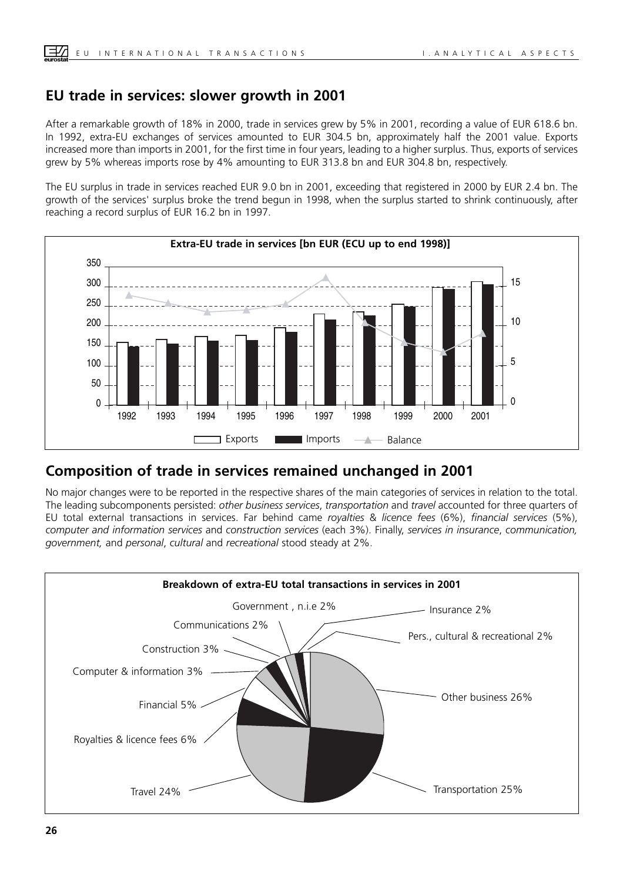## **EU trade in services: slower growth in 2001**

After a remarkable growth of 18% in 2000, trade in services grew by 5% in 2001, recording a value of EUR 618.6 bn. In 1992, extra-EU exchanges of services amounted to EUR 304.5 bn, approximately half the 2001 value. Exports increased more than imports in 2001, for the first time in four years, leading to a higher surplus. Thus, exports of services grew by 5% whereas imports rose by 4% amounting to EUR 313.8 bn and EUR 304.8 bn, respectively.

The EU surplus in trade in services reached EUR 9.0 bn in 2001, exceeding that registered in 2000 by EUR 2.4 bn. The growth of the services' surplus broke the trend begun in 1998, when the surplus started to shrink continuously, after reaching a record surplus of EUR 16.2 bn in 1997.



## **Composition of trade in services remained unchanged in 2001**

No major changes were to be reported in the respective shares of the main categories of services in relation to the total. The leading subcomponents persisted: *other business services*, *transportation* and *travel* accounted for three quarters of EU total external transactions in services. Far behind came *royalties* & *licence fees* (6%), *financial services* (5%), *computer and information services* and *construction services* (each 3%). Finally, *services in insurance*, *communication, government,* and *personal*, *cultural* and *recreational* stood steady at 2%.

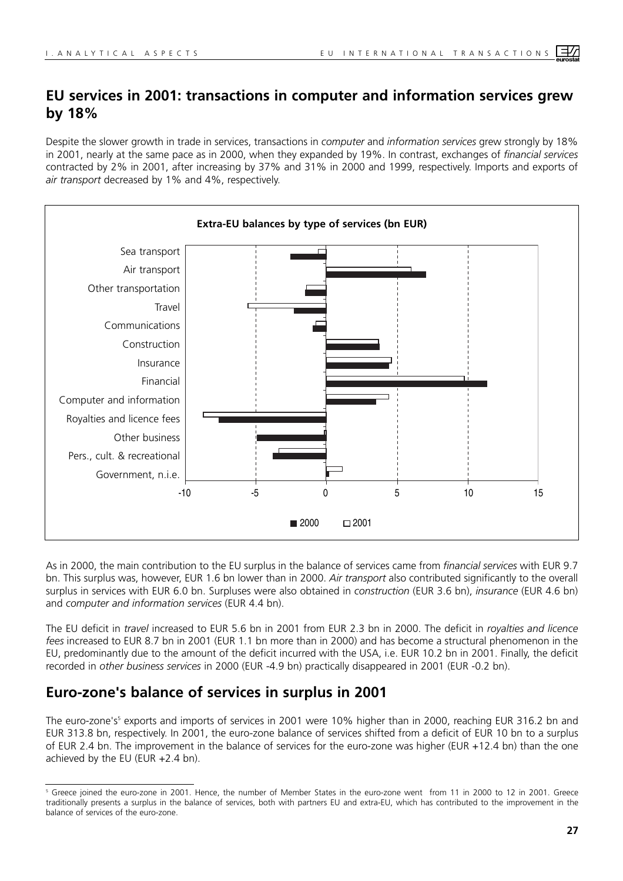## **EU services in 2001: transactions in computer and information services grew by 18%**

Despite the slower growth in trade in services, transactions in *computer* and *information services* grew strongly by 18% in 2001, nearly at the same pace as in 2000, when they expanded by 19%. In contrast, exchanges of *financial services* contracted by 2% in 2001, after increasing by 37% and 31% in 2000 and 1999, respectively. Imports and exports of *air transport* decreased by 1% and 4%, respectively.



As in 2000, the main contribution to the EU surplus in the balance of services came from *financial services* with EUR 9.7 bn. This surplus was, however, EUR 1.6 bn lower than in 2000. *Air transport* also contributed significantly to the overall surplus in services with EUR 6.0 bn. Surpluses were also obtained in *construction* (EUR 3.6 bn), *insurance* (EUR 4.6 bn) and *computer and information services* (EUR 4.4 bn).

The EU deficit in *travel* increased to EUR 5.6 bn in 2001 from EUR 2.3 bn in 2000. The deficit in *royalties and licence fees* increased to EUR 8.7 bn in 2001 (EUR 1.1 bn more than in 2000) and has become a structural phenomenon in the EU, predominantly due to the amount of the deficit incurred with the USA, i.e. EUR 10.2 bn in 2001. Finally, the deficit recorded in *other business services* in 2000 (EUR -4.9 bn) practically disappeared in 2001 (EUR -0.2 bn).

## **Euro-zone's balance of services in surplus in 2001**

The euro-zone's<sup>5</sup> exports and imports of services in 2001 were 10% higher than in 2000, reaching EUR 316.2 bn and EUR 313.8 bn, respectively. In 2001, the euro-zone balance of services shifted from a deficit of EUR 10 bn to a surplus of EUR 2.4 bn. The improvement in the balance of services for the euro-zone was higher (EUR +12.4 bn) than the one achieved by the EU (EUR +2.4 bn).

<sup>5</sup> Greece joined the euro-zone in 2001. Hence, the number of Member States in the euro-zone went from 11 in 2000 to 12 in 2001. Greece traditionally presents a surplus in the balance of services, both with partners EU and extra-EU, which has contributed to the improvement in the balance of services of the euro-zone.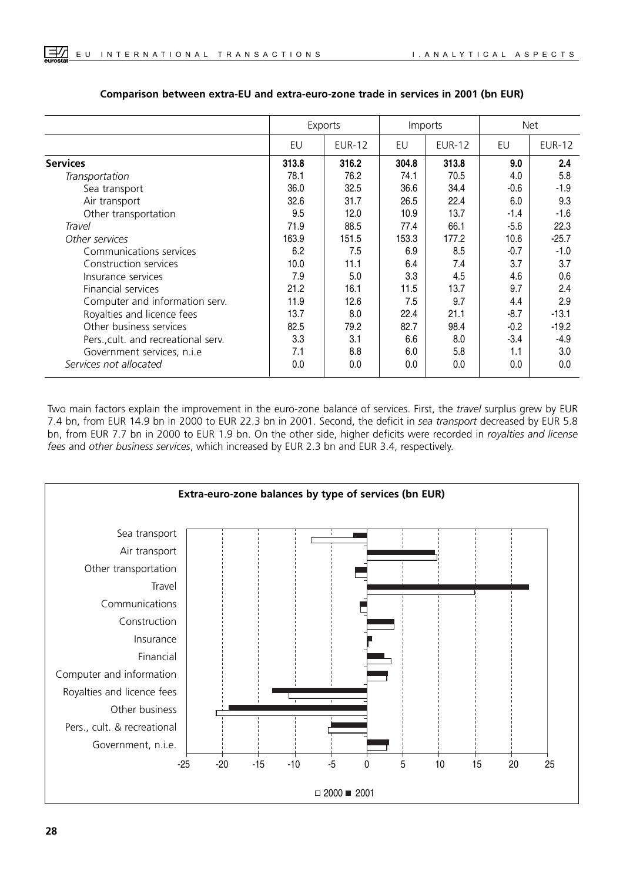|                                     |       | Exports       | Imports |               |        | <b>Net</b>    |
|-------------------------------------|-------|---------------|---------|---------------|--------|---------------|
|                                     | EU    | <b>EUR-12</b> | EU      | <b>EUR-12</b> | EU     | <b>EUR-12</b> |
| <b>Services</b>                     | 313.8 | 316.2         | 304.8   | 313.8         | 9.0    | 2.4           |
| Transportation                      | 78.1  | 76.2          | 74.1    | 70.5          | 4.0    | 5.8           |
| Sea transport                       | 36.0  | 32.5          | 36.6    | 34.4          | $-0.6$ | $-1.9$        |
| Air transport                       | 32.6  | 31.7          | 26.5    | 22.4          | 6.0    | 9.3           |
| Other transportation                | 9.5   | 12.0          | 10.9    | 13.7          | $-1.4$ | $-1.6$        |
| Travel                              | 71.9  | 88.5          | 77.4    | 66.1          | $-5.6$ | 22.3          |
| Other services                      | 163.9 | 151.5         | 153.3   | 177.2         | 10.6   | $-25.7$       |
| Communications services             | 6.2   | 7.5           | 6.9     | 8.5           | $-0.7$ | $-1.0$        |
| Construction services               | 10.0  | 11.1          | 6.4     | 7.4           | 3.7    | 3.7           |
| Insurance services                  | 7.9   | 5.0           | 3.3     | 4.5           | 4.6    | 0.6           |
| Financial services                  | 21.2  | 16.1          | 11.5    | 13.7          | 9.7    | 2.4           |
| Computer and information serv.      | 11.9  | 12.6          | 7.5     | 9.7           | 4.4    | 2.9           |
| Royalties and licence fees          | 13.7  | 8.0           | 22.4    | 21.1          | $-8.7$ | $-13.1$       |
| Other business services             | 82.5  | 79.2          | 82.7    | 98.4          | $-0.2$ | $-19.2$       |
| Pers., cult. and recreational serv. | 3.3   | 3.1           | 6.6     | 8.0           | $-3.4$ | $-4.9$        |
| Government services, n.i.e          | 7.1   | 8.8           | 6.0     | 5.8           | 1.1    | 3.0           |
| Services not allocated              | 0.0   | 0.0           | 0.0     | 0.0           | 0.0    | 0.0           |

#### **Comparison between extra-EU and extra-euro-zone trade in services in 2001 (bn EUR)**

Two main factors explain the improvement in the euro-zone balance of services. First, the *travel* surplus grew by EUR 7.4 bn, from EUR 14.9 bn in 2000 to EUR 22.3 bn in 2001. Second, the deficit in *sea transport* decreased by EUR 5.8 bn, from EUR 7.7 bn in 2000 to EUR 1.9 bn. On the other side, higher deficits were recorded in *royalties and license fees* and *other business services*, which increased by EUR 2.3 bn and EUR 3.4, respectively.

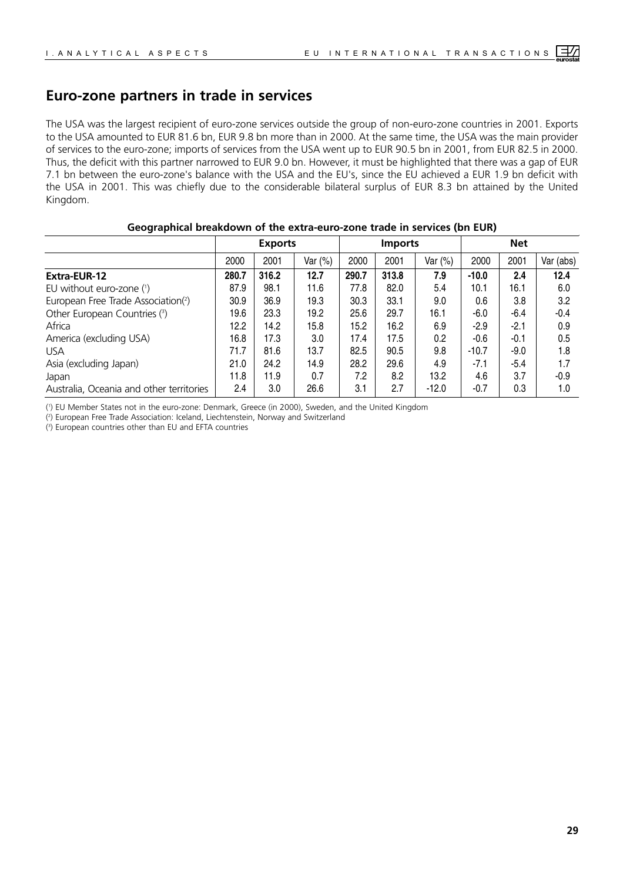## **Euro-zone partners in trade in services**

The USA was the largest recipient of euro-zone services outside the group of non-euro-zone countries in 2001. Exports to the USA amounted to EUR 81.6 bn, EUR 9.8 bn more than in 2000. At the same time, the USA was the main provider of services to the euro-zone; imports of services from the USA went up to EUR 90.5 bn in 2001, from EUR 82.5 in 2000. Thus, the deficit with this partner narrowed to EUR 9.0 bn. However, it must be highlighted that there was a gap of EUR 7.1 bn between the euro-zone's balance with the USA and the EU's, since the EU achieved a EUR 1.9 bn deficit with the USA in 2001. This was chiefly due to the considerable bilateral surplus of EUR 8.3 bn attained by the United Kingdom.

#### **Geographical breakdown of the extra-euro-zone trade in services (bn EUR)**

|                                          |       | <b>Exports</b> |         |       | <b>Imports</b> |           | <b>Net</b> |        |           |  |
|------------------------------------------|-------|----------------|---------|-------|----------------|-----------|------------|--------|-----------|--|
|                                          | 2000  | 2001           | Var (%) | 2000  | 2001           | Var $(%)$ | 2000       | 2001   | Var (abs) |  |
| Extra-EUR-12                             | 280.7 | 316.2          | 12.7    | 290.7 | 313.8          | 7.9       | $-10.0$    | 2.4    | 12.4      |  |
| EU without euro-zone $(1)$               | 87.9  | 98.1           | 11.6    | 77.8  | 82.0           | 5.4       | 10.1       | 16.1   | 6.0       |  |
| European Free Trade Association(2)       | 30.9  | 36.9           | 19.3    | 30.3  | 33.1           | 9.0       | 0.6        | 3.8    | 3.2       |  |
| Other European Countries (3)             | 19.6  | 23.3           | 19.2    | 25.6  | 29.7           | 16.1      | -6.0       | $-6.4$ | $-0.4$    |  |
| Africa                                   | 12.2  | 14.2           | 15.8    | 15.2  | 16.2           | 6.9       | $-2.9$     | $-2.1$ | 0.9       |  |
| America (excluding USA)                  | 16.8  | 17.3           | 3.0     | 17.4  | 17.5           | 0.2       | $-0.6$     | $-0.1$ | 0.5       |  |
| <b>USA</b>                               | 71.7  | 81.6           | 13.7    | 82.5  | 90.5           | 9.8       | $-10.7$    | $-9.0$ | 1.8       |  |
| Asia (excluding Japan)                   | 21.0  | 24.2           | 14.9    | 28.2  | 29.6           | 4.9       | $-7.1$     | $-5.4$ | 1.7       |  |
| Japan                                    | 11.8  | 11.9           | 0.7     | 7.2   | 8.2            | 13.2      | 4.6        | 3.7    | $-0.9$    |  |
| Australia, Oceania and other territories | 2.4   | 3.0            | 26.6    | 3.1   | 2.7            | $-12.0$   | $-0.7$     | 0.3    | 1.0       |  |

( 1 ) EU Member States not in the euro-zone: Denmark, Greece (in 2000), Sweden, and the United Kingdom

( 2 ) European Free Trade Association: Iceland, Liechtenstein, Norway and Switzerland

( 3 ) European countries other than EU and EFTA countries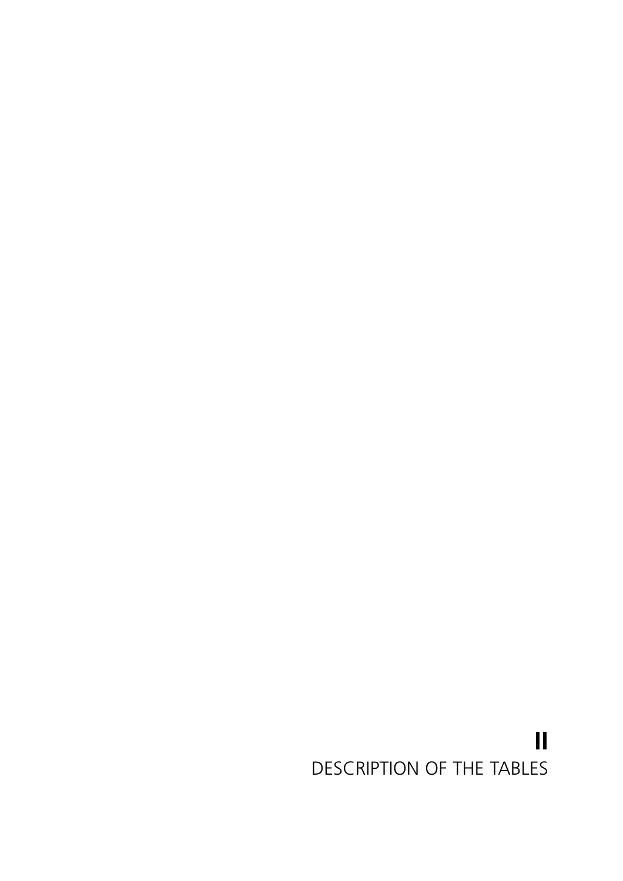## <span id="page-22-0"></span>**II** DESCRIPTION OF THE TABLES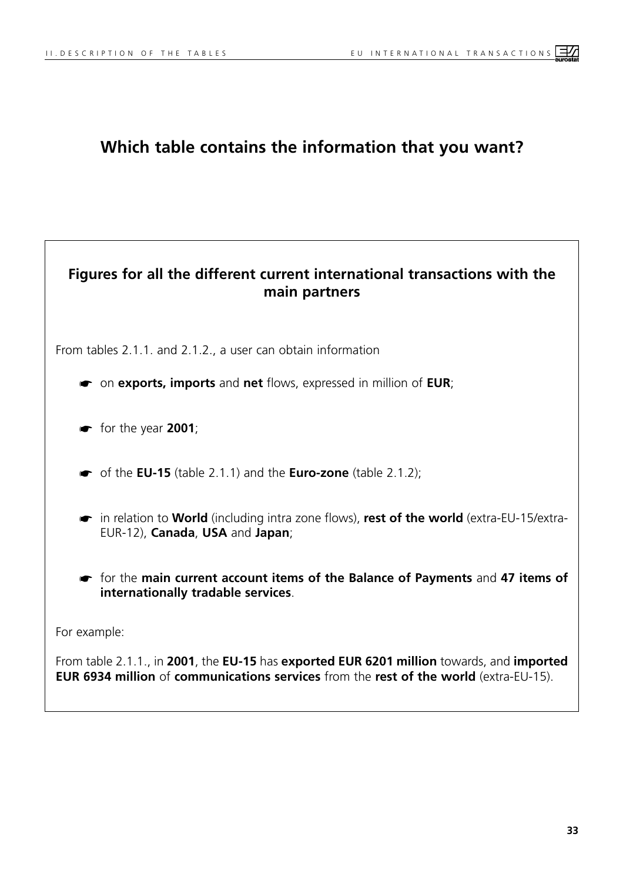## **Which table contains the information that you want?**

## **Figures for all the different current international transactions with the main partners**

From tables 2.1.1. and 2.1.2., a user can obtain information

- ☛ on **exports, imports** and **net** flows, expressed in million of **EUR**;
- ☛ for the year **2001**;
- ☛ of the **EU-15** (table 2.1.1) and the **Euro-zone** (table 2.1.2);
- ☛ in relation to **World** (including intra zone flows), **rest of the world** (extra-EU-15/extra-EUR-12), **Canada**, **USA** and **Japan**;
- ☛ for the **main current account items of the Balance of Payments** and **47 items of internationally tradable services**.

For example:

From table 2.1.1., in **2001**, the **EU-15** has **exported EUR 6201 million** towards, and **imported EUR 6934 million** of **communications services** from the **rest of the world** (extra-EU-15).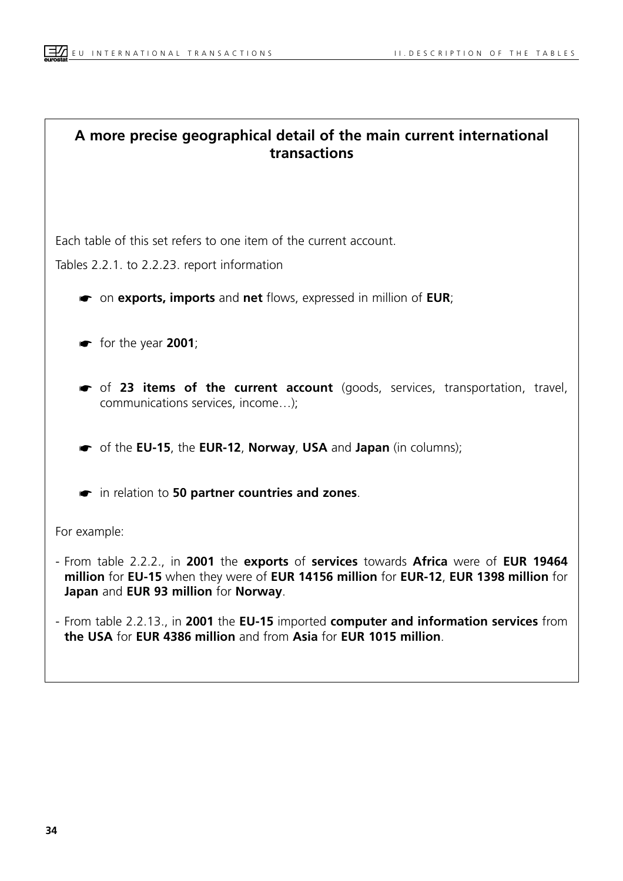## **A more precise geographical detail of the main current international transactions**

Each table of this set refers to one item of the current account.

Tables 2.2.1. to 2.2.23. report information

- ☛ on **exports, imports** and **net** flows, expressed in million of **EUR**;
- ☛ for the year **2001**;
- ☛ of **23 items of the current account** (goods, services, transportation, travel, communications services, income…);

☛ of the **EU-15**, the **EUR-12**, **Norway**, **USA** and **Japan** (in columns);

☛ in relation to **50 partner countries and zones**.

For example:

- From table 2.2.2., in **2001** the **exports** of **services** towards **Africa** were of **EUR 19464 million** for **EU-15** when they were of **EUR 14156 million** for **EUR-12**, **EUR 1398 million** for **Japan** and **EUR 93 million** for **Norway**.
- From table 2.2.13., in **2001** the **EU-15** imported **computer and information services** from **the USA** for **EUR 4386 million** and from **Asia** for **EUR 1015 million**.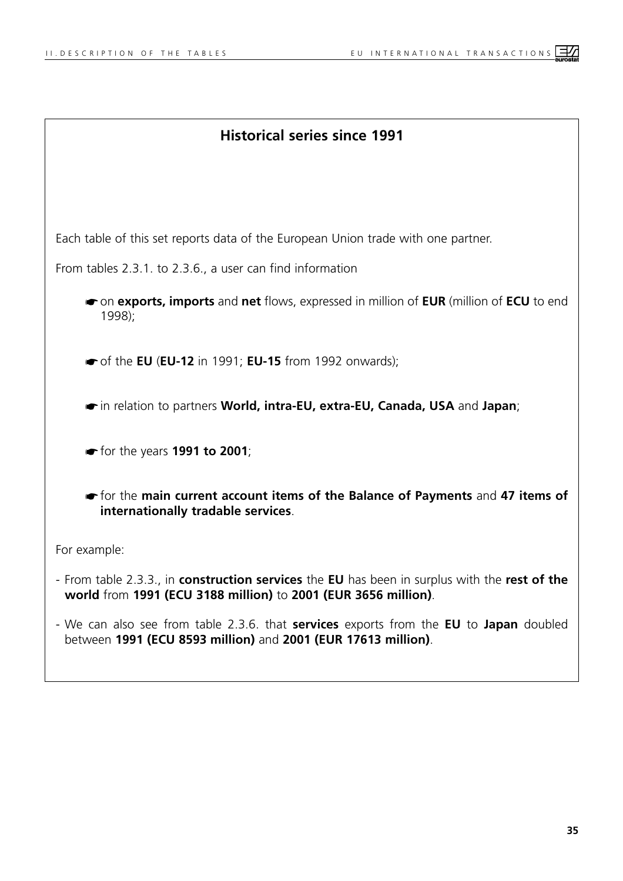| <b>Historical series since 1991</b>                                                                                                                                   |
|-----------------------------------------------------------------------------------------------------------------------------------------------------------------------|
|                                                                                                                                                                       |
| Each table of this set reports data of the European Union trade with one partner.                                                                                     |
| From tables 2.3.1. to 2.3.6., a user can find information                                                                                                             |
| • on exports, imports and net flows, expressed in million of EUR (million of ECU to end<br>1998;                                                                      |
| $\bullet$ of the EU (EU-12 in 1991; EU-15 from 1992 onwards);                                                                                                         |
| in relation to partners World, intra-EU, extra-EU, Canada, USA and Japan;                                                                                             |
| $\bullet$ for the years 1991 to 2001;                                                                                                                                 |
| or for the main current account items of the Balance of Payments and 47 items of<br>internationally tradable services.                                                |
| For example:                                                                                                                                                          |
| - From table 2.3.3., in construction services the EU has been in surplus with the rest of the<br>world from 1991 (ECU 3188 million) to 2001 (EUR 3656 million).       |
| - We can also see from table 2.3.6. that <b>services</b> exports from the <b>EU</b> to Japan doubled<br>between 1991 (ECU 8593 million) and 2001 (EUR 17613 million). |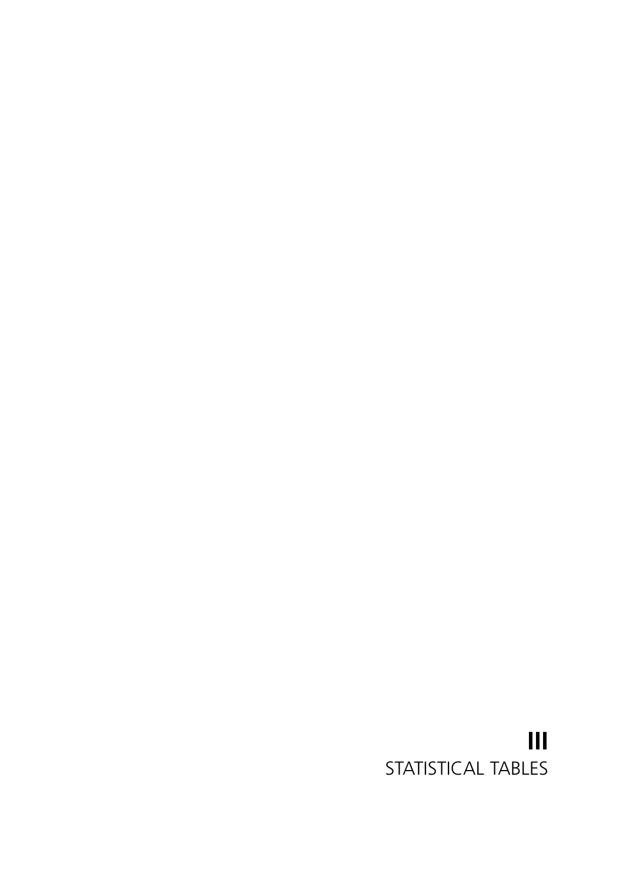## <span id="page-26-0"></span>**III** STATISTICAL TABLES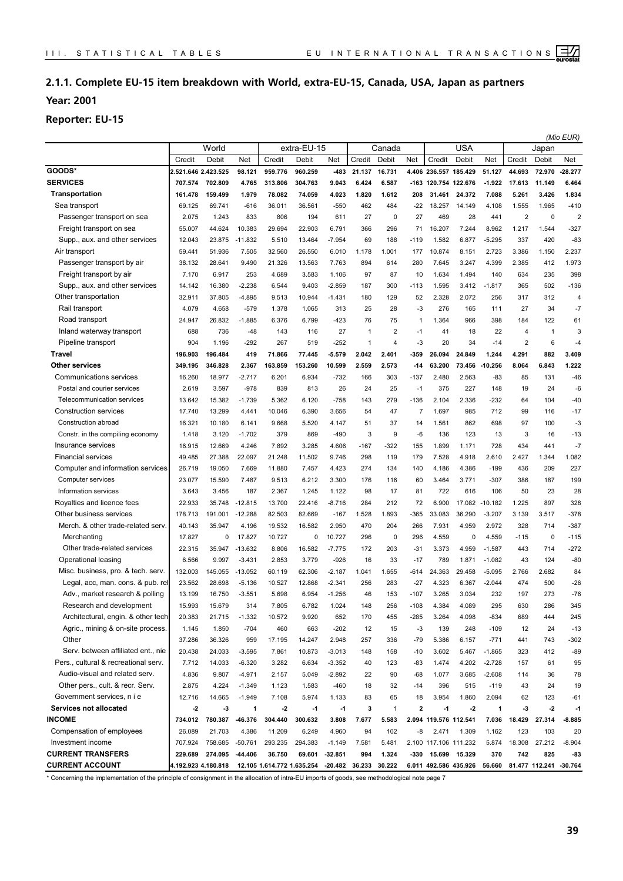## <span id="page-27-0"></span>**2.1.1. Complete EU-15 item breakdown with World, extra-EU-15, Canada, USA, Japan as partners**

**Year: 2001**

### **Reporter: EU-15**

|                                      |                     |         |              | extra-EU-15                |         |           |                |                |                |                       |                       |           | (Mio EUR)            |                       |                |
|--------------------------------------|---------------------|---------|--------------|----------------------------|---------|-----------|----------------|----------------|----------------|-----------------------|-----------------------|-----------|----------------------|-----------------------|----------------|
|                                      |                     | World   |              |                            |         |           |                | Canada         |                |                       | <b>USA</b>            |           |                      | Japan                 |                |
|                                      | Credit              | Debit   | Net          | Credit                     | Debit   | Net       | Credit         | Debit          | Net            | Credit                | Debit                 | Net       | Credit               | Debit                 | Net            |
| GOODS*                               | 2.521.646 2.423.525 |         | 98.121       | 959.776                    | 960.259 | -483      | 21.137         | 16.731         |                | 4.406 236.557 185.429 |                       | 51.127    | 44.693               | 72.970                | 28.277         |
| <b>SERVICES</b>                      | 707.574             | 702.809 | 4.765        | 313.806                    | 304.763 | 9.043     | 6.424          | 6.587          |                |                       | -163 120.754 122.676  | $-1.922$  | 17.613               | 11.149                | 6.464          |
| <b>Transportation</b>                | 161.478             | 159.499 | 1.979        | 78.082                     | 74.059  | 4.023     | 1.820          | 1.612          | 208            | 31.461                | 24.372                | 7.088     | 5.261                | 3.426                 | 1.834          |
| Sea transport                        | 69.125              | 69.741  | $-616$       | 36.011                     | 36.561  | $-550$    | 462            | 484            | $-22$          | 18.257                | 14.149                | 4.108     | 1.555                | 1.965                 | $-410$         |
| Passenger transport on sea           | 2.075               | 1.243   | 833          | 806                        | 194     | 611       | 27             | 0              | 27             | 469                   | 28                    | 441       | $\overline{2}$       | $\mathbf 0$           | $\overline{2}$ |
| Freight transport on sea             | 55.007              | 44.624  | 10.383       | 29.694                     | 22.903  | 6.791     | 366            | 296            | 71             | 16.207                | 7.244                 | 8.962     | 1.217                | 1.544                 | $-327$         |
| Supp., aux. and other services       | 12.043              | 23.875  | $-11.832$    | 5.510                      | 13.464  | $-7.954$  | 69             | 188            | $-119$         | 1.582                 | 6.877                 | $-5.295$  | 337                  | 420                   | $-83$          |
| Air transport                        | 59.441              | 51.936  | 7.505        | 32.560                     | 26.550  | 6.010     | 1.178          | 1.001          | 177            | 10.874                | 8.151                 | 2.723     | 3.386                | 1.150                 | 2.237          |
| Passenger transport by air           | 38.132              | 28.641  | 9.490        | 21.326                     | 13.563  | 7.763     | 894            | 614            | 280            | 7.645                 | 3.247                 | 4.399     | 2.385                | 412                   | 1.973          |
| Freight transport by air             | 7.170               | 6.917   | 253          | 4.689                      | 3.583   | 1.106     | 97             | 87             | 10             | 1.634                 | 1.494                 | 140       | 634                  | 235                   | 398            |
| Supp., aux. and other services       | 14.142              | 16.380  | $-2.238$     | 6.544                      | 9.403   | $-2.859$  | 187            | 300            | $-113$         | 1.595                 | 3.412                 | $-1.817$  | 365                  | 502                   | $-136$         |
| Other transportation                 | 32.911              | 37.805  | $-4.895$     | 9.513                      | 10.944  | $-1.431$  | 180            | 129            | 52             | 2.328                 | 2.072                 | 256       | 317                  | 312                   | $\overline{4}$ |
| Rail transport                       | 4.079               | 4.658   | $-579$       | 1.378                      | 1.065   | 313       | 25             | 28             | $-3$           | 276                   | 165                   | 111       | 27                   | 34                    | $-7$           |
| Road transport                       | 24.947              | 26.832  | $-1.885$     | 6.376                      | 6.799   | $-423$    | 76             | 75             | $\mathbf{1}$   | 1.364                 | 966                   | 398       | 184                  | 122                   | 61             |
| Inland waterway transport            | 688                 | 736     | $-48$        | 143                        | 116     | 27        | $\overline{1}$ | $\overline{2}$ | $-1$           | 41                    | 18                    | 22        | $\overline{4}$       | 1                     | 3              |
| Pipeline transport                   | 904                 | 1.196   | $-292$       | 267                        | 519     | $-252$    | 1              | $\overline{4}$ | $-3$           | 20                    | 34                    | $-14$     | $\overline{2}$       | 6                     | $-4$           |
| Travel                               | 196.903             | 196.484 | 419          | 71.866                     | 77.445  | $-5.579$  | 2.042          | 2.401          | -359           | 26.094                | 24.849                | 1.244     | 4.291                | 882                   | 3.409          |
| <b>Other services</b>                | 349.195             | 346.828 | 2.367        | 163.859                    | 153.260 | 10.599    | 2.559          | 2.573          | $-14$          | 63.200                | 73.456                | $-10.256$ | 8.064                | 6.843                 | 1.222          |
| <b>Communications services</b>       | 16.260              | 18.977  | $-2.717$     | 6.201                      | 6.934   | $-732$    | 166            | 303            | $-137$         | 2.480                 | 2.563                 | -83       | 85                   | 131                   | $-46$          |
| Postal and courier services          | 2.619               | 3.597   | $-978$       | 839                        | 813     | 26        | 24             | 25             | $-1$           | 375                   | 227                   | 148       | 19                   | 24                    | $-6$           |
| Telecommunication services           | 13.642              | 15.382  | $-1.739$     | 5.362                      | 6.120   | $-758$    | 143            | 279            | $-136$         | 2.104                 | 2.336                 | $-232$    | 64                   | 104                   | $-40$          |
| <b>Construction services</b>         | 17.740              | 13.299  | 4.441        | 10.046                     | 6.390   | 3.656     | 54             | 47             | $\overline{7}$ | 1.697                 | 985                   | 712       | 99                   | 116                   | $-17$          |
| Construction abroad                  | 16.321              | 10.180  | 6.141        | 9.668                      | 5.520   | 4.147     | 51             | 37             | 14             | 1.561                 | 862                   | 698       | 97                   | 100                   | $-3$           |
| Constr. in the compiling economy     | 1.418               | 3.120   | $-1.702$     | 379                        | 869     | $-490$    | 3              | 9              | -6             | 136                   | 123                   | 13        | 3                    | 16                    | $-13$          |
| Insurance services                   | 16.915              | 12.669  | 4.246        | 7.892                      | 3.285   | 4.606     | $-167$         | $-322$         | 155            | 1.899                 | 1.171                 | 728       | 434                  | 441                   | $-7$           |
| <b>Financial services</b>            | 49.485              | 27.388  | 22.097       | 21.248                     | 11.502  | 9.746     | 298            | 119            | 179            | 7.528                 | 4.918                 | 2.610     | 2.427                | 1.344                 | 1.082          |
| Computer and information services    | 26.719              | 19.050  | 7.669        | 11.880                     | 7.457   | 4.423     | 274            | 134            | 140            | 4.186                 | 4.386                 | $-199$    | 436                  | 209                   | 227            |
| Computer services                    | 23.077              | 15.590  | 7.487        | 9.513                      | 6.212   | 3.300     | 176            | 116            | 60             | 3.464                 | 3.771                 | $-307$    | 386                  | 187                   | 199            |
| Information services                 | 3.643               | 3.456   | 187          | 2.367                      | 1.245   | 1.122     | 98             | 17             | 81             | 722                   | 616                   | 106       | 50                   | 23                    | 28             |
| Royalties and licence fees           | 22.933              | 35.748  | $-12.815$    | 13.700                     | 22.416  | $-8.716$  | 284            | 212            | 72             | 6.900                 | 17.082                | $-10.182$ | 1.225                | 897                   | 328            |
| Other business services              | 178.713             | 191.001 | $-12.288$    | 82.503                     | 82.669  | $-167$    | 1.528          | 1.893          | $-365$         | 33.083                | 36.290                | $-3.207$  | 3.139                | 3.517                 | $-378$         |
| Merch. & other trade-related serv.   | 40.143              | 35.947  | 4.196        | 19.532                     | 16.582  | 2.950     | 470            | 204            | 266            | 7.931                 | 4.959                 | 2.972     | 328                  | 714                   | $-387$         |
| Merchanting                          | 17.827              | 0       | 17.827       | 10.727                     | 0       | 10.727    | 296            | $\mathbf 0$    | 296            | 4.559                 | 0                     | 4.559     | $-115$               | $\mathbf 0$           | $-115$         |
| Other trade-related services         | 22.315              | 35.947  | $-13.632$    | 8.806                      | 16.582  | $-7.775$  | 172            | 203            | $-31$          | 3.373                 | 4.959                 | $-1.587$  | 443                  | 714                   | $-272$         |
| Operational leasing                  | 6.566               | 9.997   | $-3.431$     | 2.853                      | 3.779   | $-926$    | 16             | 33             | $-17$          | 789                   | 1.871                 | $-1.082$  | 43                   | 124                   | $-80$          |
| Misc. business, pro. & tech. serv.   | 132.003             | 145.055 | $-13.052$    | 60.119                     | 62.306  | $-2.187$  | 1.041          | 1.655          | -614           | 24.363                | 29.458                | $-5.095$  | 2.766                | 2.682                 | 84             |
| Legal, acc, man. cons. & pub. rel    | 23.562              | 28.698  | $-5.136$     | 10.527                     | 12.868  | $-2.341$  | 256            | 283            | $-27$          | 4.323                 | 6.367                 | $-2.044$  | 474                  | 500                   | $-26$          |
| Adv., market research & polling      | 13.199              | 16.750  | $-3.551$     | 5.698                      | 6.954   | $-1.256$  | 46             | 153            | $-107$         | 3.265                 | 3.034                 | 232       | 197                  | 273                   | $-76$          |
| Research and development             | 15.993              | 15.679  | 314          | 7.805                      | 6.782   | 1.024     | 148            | 256            | $-108$         | 4.384                 | 4.089                 | 295       | 630                  | 286                   | 345            |
| Architectural, engin. & other tech   | 20.383              | 21.715  | $-1.332$     | 10.572                     | 9.920   | 652       | 170            | 455            | $-285$         | 3.264                 | 4.098                 | $-834$    | 689                  | 444                   | 245            |
| Agric., mining & on-site process.    | 1.145               | 1.850   | $-704$       | 460                        | 663     | $-202$    | 12             | 15             | $-3$           | 139                   | 248                   | $-109$    | 12                   | 24                    | $-13$          |
| Other                                | 37.286              | 36.326  | 959          | 17.195                     | 14.247  | 2.948     | 257            | 336            | $-79$          | 5.386                 | 6.157                 | $-771$    | 441                  | 743                   | $-302$         |
| Serv. between affiliated ent., nie   | 20.438              | 24.033  | $-3.595$     | 7.861                      | 10.873  | $-3.013$  | 148            | 158            | $-10$          | 3.602                 | 5.467                 | $-1.865$  | 323                  | 412                   | $-89$          |
| Pers., cultural & recreational serv. | 7.712               | 14.033  | $-6.320$     | 3.282                      | 6.634   | $-3.352$  | 40             | 123            | $-83$          | 1.474                 | 4.202                 | $-2.728$  | 157                  | 61                    | 95             |
| Audio-visual and related serv.       | 4.836               | 9.807   | $-4.971$     | 2.157                      | 5.049   | $-2.892$  | 22             | 90             | $-68$          | 1.077                 | 3.685                 | $-2.608$  | 114                  | 36                    | 78             |
| Other pers., cult. & recr. Serv.     | 2.875               | 4.224   | $-1.349$     | 1.123                      | 1.583   | -460      | 18             | 32             | -14            | 396                   | 515                   | $-119$    | 43                   | 24                    | 19             |
| Government services, n i e           | 12.716              | 14.665  | $-1.949$     | 7.108                      | 5.974   | 1.133     | 83             | 65             | 18             | 3.954                 | 1.860                 | 2.094     | 62                   | 123                   | -61            |
| Services not allocated               | -2                  | $-3$    | $\mathbf{1}$ | $-2$                       | $-1$    | $-1$      | 3              | $\overline{1}$ | 2              | $-1$                  | $-2$                  | 1         | $\cdot$ <sub>3</sub> | $-2$                  | $-1$           |
| <b>INCOME</b>                        | 734.012             | 780.387 | -46.376      | 304.440                    | 300.632 | 3.808     | 7.677          | 5.583          |                | 2.094 119.576 112.541 |                       | 7.036     | 18.429               | 27.314                | $-8.885$       |
| Compensation of employees            | 26.089              | 21.703  | 4.386        | 11.209                     | 6.249   | 4.960     | 94             | 102            | -8             | 2.471                 | 1.309                 | 1.162     | 123                  | 103                   | 20             |
| Investment income                    | 707.924             | 758.685 | $-50.761$    | 293.235                    | 294.383 | $-1.149$  | 7.581          | 5.481          |                |                       | 2.100 117.106 111.232 | 5.874     | 18.308               | 27.212                | $-8.904$       |
| <b>CURRENT TRANSFERS</b>             | 229.689             | 274.095 | -44.406      | 36.750                     | 69.601  | $-32.851$ | 994            | 1.324          |                | -330 15.699 15.329    |                       | 370       | 742                  | 825                   | -83            |
| <b>CURRENT ACCOUNT</b>               | 4.192.923 4.180.818 |         |              | 12.105 1.614.772 1.635.254 |         |           | -20.482 36.233 | 30.222         |                |                       | 6.011 492.586 435.926 | 56.660    |                      | 81.477 112.241 30.764 |                |

\* Concerning the implementation of the principle of consignment in the allocation of intra-EU imports of goods, see methodological note page 7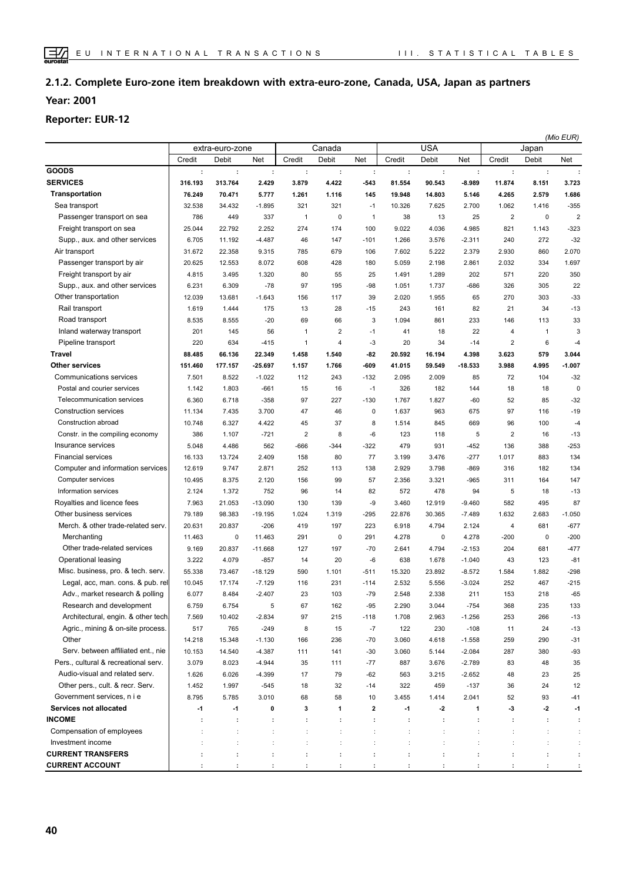## **2.1.2. Complete Euro-zone item breakdown with extra-euro-zone, Canada, USA, Japan as partners Year: 2001**

#### **Reporter: EUR-12**

|                                      |         |                      |                |                         |                      |                      |                      |            |                      | (Mio EUR)               |              |                      |  |
|--------------------------------------|---------|----------------------|----------------|-------------------------|----------------------|----------------------|----------------------|------------|----------------------|-------------------------|--------------|----------------------|--|
|                                      |         | extra-euro-zone      |                |                         | Canada               |                      |                      | <b>USA</b> |                      |                         | Japan        |                      |  |
|                                      | Credit  | Debit                | Net            | Credit                  | Debit                | Net                  | Credit               | Debit      | Net                  | Credit                  | Debit        | Net                  |  |
| <b>GOODS</b>                         | ÷       | $\ddot{\phantom{a}}$ | ÷              | ÷                       | ÷                    | ÷                    | ÷                    | ÷          | ÷                    | ÷                       | ÷            | ÷                    |  |
| <b>SERVICES</b>                      | 316.193 | 313.764              | 2.429          | 3.879                   | 4.422                | $-543$               | 81.554               | 90.543     | $-8.989$             | 11.874                  | 8.151        | 3.723                |  |
| Transportation                       | 76.249  | 70.471               | 5.777          | 1.261                   | 1.116                | 145                  | 19.948               | 14.803     | 5.146                | 4.265                   | 2.579        | 1.686                |  |
| Sea transport                        | 32.538  | 34.432               | $-1.895$       | 321                     | 321                  | $-1$                 | 10.326               | 7.625      | 2.700                | 1.062                   | 1.416        | $-355$               |  |
| Passenger transport on sea           | 786     | 449                  | 337            | 1                       | 0                    | $\overline{1}$       | 38                   | 13         | 25                   | $\overline{\mathbf{c}}$ | $\mathbf 0$  | $\overline{2}$       |  |
| Freight transport on sea             | 25.044  | 22.792               | 2.252          | 274                     | 174                  | 100                  | 9.022                | 4.036      | 4.985                | 821                     | 1.143        | $-323$               |  |
| Supp., aux. and other services       | 6.705   | 11.192               | $-4.487$       | 46                      | 147                  | $-101$               | 1.266                | 3.576      | $-2.311$             | 240                     | 272          | $-32$                |  |
| Air transport                        | 31.672  | 22.358               | 9.315          | 785                     | 679                  | 106                  | 7.602                | 5.222      | 2.379                | 2.930                   | 860          | 2.070                |  |
| Passenger transport by air           | 20.625  | 12.553               | 8.072          | 608                     | 428                  | 180                  | 5.059                | 2.198      | 2.861                | 2.032                   | 334          | 1.697                |  |
| Freight transport by air             | 4.815   | 3.495                | 1.320          | 80                      | 55                   | 25                   | 1.491                | 1.289      | 202                  | 571                     | 220          | 350                  |  |
| Supp., aux. and other services       | 6.231   | 6.309                | $-78$          | 97                      | 195                  | $-98$                | 1.051                | 1.737      | $-686$               | 326                     | 305          | 22                   |  |
| Other transportation                 | 12.039  | 13.681               | $-1.643$       | 156                     | 117                  | 39                   | 2.020                | 1.955      | 65                   | 270                     | 303          | $-33$                |  |
| Rail transport                       | 1.619   | 1.444                | 175            | 13                      | 28                   | $-15$                | 243                  | 161        | 82                   | 21                      | 34           | $-13$                |  |
| Road transport                       | 8.535   | 8.555                | $-20$          | 69                      | 66                   | 3                    | 1.094                | 861        | 233                  | 146                     | 113          | 33                   |  |
| Inland waterway transport            | 201     | 145                  | 56             | 1                       | $\overline{2}$       | $-1$                 | 41                   | 18         | 22                   | 4                       | $\mathbf{1}$ | 3                    |  |
| Pipeline transport                   | 220     | 634                  | $-415$         | $\mathbf{1}$            | $\overline{4}$       | $-3$                 | 20                   | 34         | $-14$                | $\overline{\mathbf{c}}$ | 6            | $-4$                 |  |
| <b>Travel</b>                        | 88.485  | 66.136               | 22.349         | 1.458                   | 1.540                | $-82$                | 20.592               | 16.194     | 4.398                | 3.623                   | 579          | 3.044                |  |
| <b>Other services</b>                | 151.460 | 177.157              | 25.697         | 1.157                   | 1.766                | -609                 | 41.015               | 59.549     | $-18.533$            | 3.988                   | 4.995        | $-1.007$             |  |
| Communications services              | 7.501   | 8.522                | $-1.022$       | 112                     | 243                  | $-132$               | 2.095                | 2.009      | 85                   | 72                      | 104          | $-32$                |  |
| Postal and courier services          | 1.142   | 1.803                | $-661$         | 15                      | 16                   | $-1$                 | 326                  | 182        | 144                  | 18                      | 18           | $\mathbf 0$          |  |
| Telecommunication services           | 6.360   | 6.718                | $-358$         | 97                      | 227                  | $-130$               | 1.767                | 1.827      | $-60$                | 52                      | 85           | $-32$                |  |
| <b>Construction services</b>         | 11.134  | 7.435                | 3.700          | 47                      | 46                   | 0                    | 1.637                | 963        | 675                  | 97                      | 116          | $-19$                |  |
| Construction abroad                  | 10.748  | 6.327                | 4.422          | 45                      | 37                   | 8                    | 1.514                | 845        | 669                  | 96                      | 100          | $-4$                 |  |
| Constr. in the compiling economy     | 386     | 1.107                | $-721$         | $\overline{\mathbf{c}}$ | 8                    | $-6$                 | 123                  | 118        | 5                    | $\overline{\mathbf{c}}$ | 16           | $-13$                |  |
| Insurance services                   | 5.048   | 4.486                | 562            | $-666$                  | $-344$               | $-322$               | 479                  | 931        | $-452$               | 136                     | 388          | $-253$               |  |
| <b>Financial services</b>            | 16.133  | 13.724               | 2.409          | 158                     | 80                   | 77                   | 3.199                | 3.476      | $-277$               | 1.017                   | 883          | 134                  |  |
| Computer and information services    | 12.619  | 9.747                | 2.871          | 252                     | 113                  | 138                  | 2.929                | 3.798      | $-869$               | 316                     | 182          | 134                  |  |
| Computer services                    | 10.495  | 8.375                | 2.120          | 156                     | 99                   | 57                   | 2.356                | 3.321      | $-965$               | 311                     | 164          | 147                  |  |
| Information services                 | 2.124   | 1.372                | 752            | 96                      | 14                   | 82                   | 572                  | 478        | 94                   | 5                       | 18           | $-13$                |  |
| Royalties and licence fees           | 7.963   | 21.053               | $-13.090$      | 130                     | 139                  | -9                   | 3.460                | 12.919     | $-9.460$             | 582                     | 495          | 87                   |  |
| Other business services              | 79.189  | 98.383               | $-19.195$      | 1.024                   | 1.319                | $-295$               | 22.876               | 30.365     | $-7.489$             | 1.632                   | 2.683        | $-1.050$             |  |
| Merch. & other trade-related serv.   | 20.631  | 20.837               | $-206$         | 419                     | 197                  | 223                  | 6.918                | 4.794      | 2.124                | 4                       | 681          | $-677$               |  |
| Merchanting                          | 11.463  | $\mathbf 0$          | 11.463         | 291                     | 0                    | 291                  | 4.278                | 0          | 4.278                | $-200$                  | $\mathbf 0$  | $-200$               |  |
| Other trade-related services         | 9.169   | 20.837               | $-11.668$      | 127                     | 197                  | $-70$                | 2.641                | 4.794      | $-2.153$             | 204                     | 681          | $-477$               |  |
| Operational leasing                  | 3.222   | 4.079                | $-857$         | 14                      | 20                   | $-6$                 | 638                  | 1.678      | $-1.040$             | 43                      | 123          | $-81$                |  |
| Misc. business, pro. & tech. serv.   | 55.338  | 73.467               | $-18.129$      | 590                     | 1.101                | $-511$               | 15.320               | 23.892     | $-8.572$             | 1.584                   | 1.882        | $-298$               |  |
| Legal, acc, man. cons. & pub. rel    | 10.045  | 17.174               | $-7.129$       | 116                     | 231                  | -114                 | 2.532                | 5.556      | $-3.024$             | 252                     | 467          | $-215$               |  |
| Adv., market research & polling      | 6.077   | 8.484                | $-2.407$       | 23                      | 103                  | $-79$                | 2.548                | 2.338      | 211                  | 153                     | 218          | $-65$                |  |
| Research and development             | 6.759   | 6.754                | 5              | 67                      | 162                  | $-95$                | 2.290                | 3.044      | $-754$               | 368                     | 235          | 133                  |  |
| Architectural, engin. & other tech   | 7.569   | 10.402               | $-2.834$       | 97                      | 215                  | $-118$               | 1.708                | 2.963      | $-1.256$             | 253                     | 266          | $-13$                |  |
| Agric., mining & on-site process.    | 517     | 765                  | $-249$         | 8                       | 15                   | $-7$                 | 122                  | 230        | $-108$               | 11                      | 24           | $-13$                |  |
| Other                                | 14.218  | 15.348               | $-1.130$       | 166                     | 236                  | $-70$                | 3.060                | 4.618      | $-1.558$             | 259                     | 290          | $-31$                |  |
| Serv. between affiliated ent., nie   | 10.153  | 14.540               | $-4.387$       | 111                     | 141                  | $-30$                | 3.060                | 5.144      | $-2.084$             | 287                     | 380          | $-93$                |  |
| Pers., cultural & recreational serv. | 3.079   | 8.023                | $-4.944$       | 35                      | 111                  | $-77$                | 887                  | 3.676      | $-2.789$             | 83                      | 48           | 35                   |  |
| Audio-visual and related serv.       | 1.626   | 6.026                | $-4.399$       | 17                      | 79                   | $-62$                | 563                  | 3.215      | $-2.652$             | 48                      | 23           | 25                   |  |
| Other pers., cult. & recr. Serv.     | 1.452   | 1.997                | $-545$         | 18                      | 32                   | $-14$                | 322                  | 459        | $-137$               | 36                      | 24           | 12                   |  |
| Government services, n i e           | 8.795   | 5.785                | 3.010          | 68                      | 58                   | 10                   | 3.455                | 1.414      | 2.041                | 52                      | 93           | -41                  |  |
| Services not allocated               | $-1$    | $-1$                 | 0              | 3                       | 1                    | $\overline{2}$       | $-1$                 | $-2$       | 1                    | $\cdot$ 3               | $-2$         | -1                   |  |
| <b>INCOME</b>                        | ÷       | $\ddot{\phantom{a}}$ | ÷              | ÷                       | ÷                    | ÷                    | ÷                    | ÷          | ÷                    | ÷                       | ÷            | ÷                    |  |
| Compensation of employees            |         | $\ddot{\phantom{a}}$ | t              | $\ddot{\phantom{a}}$    | $\ddot{\cdot}$       | ÷                    | t                    |            | $\ddot{\phantom{a}}$ | ÷                       | ÷            | $\ddot{\phantom{a}}$ |  |
| Investment income                    |         | $\ddot{\cdot}$       | $\ddot{\cdot}$ | $\ddot{\phantom{a}}$    | $\ddot{\phantom{a}}$ | $\ddot{\phantom{a}}$ | $\ddot{\phantom{a}}$ |            | $\ddot{\phantom{a}}$ | ÷                       | ÷            | ÷                    |  |
| <b>CURRENT TRANSFERS</b>             |         | ÷                    | :              | ÷                       | ÷                    | ÷                    | ÷                    | t          | ÷                    | ÷                       | ÷            | ÷                    |  |
| <b>CURRENT ACCOUNT</b>               |         | ÷                    |                |                         | ÷                    |                      |                      |            |                      |                         | ÷            | ÷                    |  |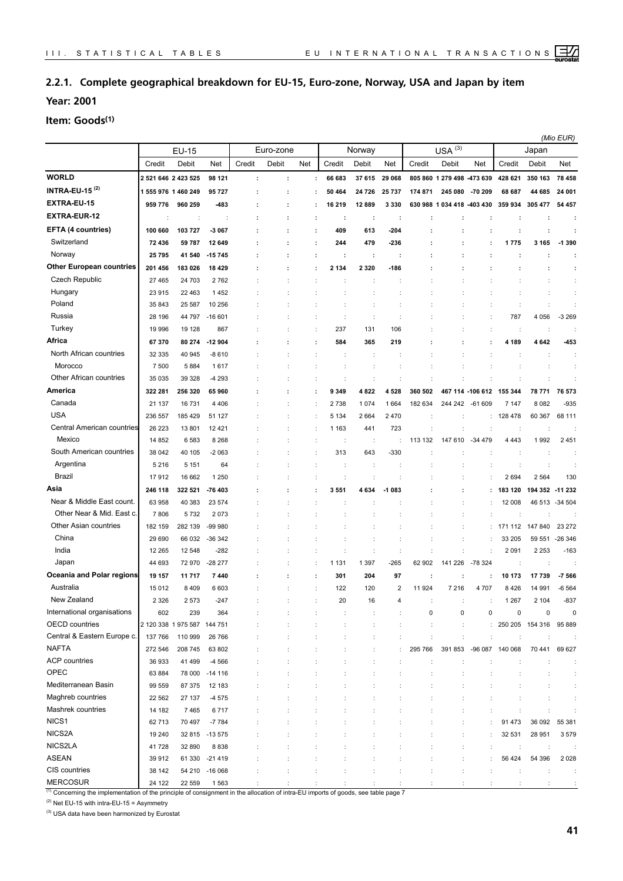#### <span id="page-29-0"></span>**2.2.1. Complete geographical breakdown for EU-15, Euro-zone, Norway, USA and Japan by item**

**Year: 2001**

**Item: Goods(1)**

|                                  |                     |                             |                      |                      |           |                      |             |         | (Mio EUR)              |         |                            |                  |         |                      |                |
|----------------------------------|---------------------|-----------------------------|----------------------|----------------------|-----------|----------------------|-------------|---------|------------------------|---------|----------------------------|------------------|---------|----------------------|----------------|
|                                  |                     | EU-15                       |                      |                      | Euro-zone |                      |             | Norway  |                        |         | $USA^{(3)}$                |                  |         | Japan                |                |
|                                  | Credit              | Debit                       | Net                  | Credit               | Debit     | Net                  | Credit      | Debit   | Net                    | Credit  | Debit                      | Net              | Credit  | Debit                | Net            |
| <b>WORLD</b>                     | 2 521 646 2 423 525 |                             | 98 121               | $\ddot{\phantom{a}}$ | ÷         |                      | 66 683<br>÷ | 37 615  | 29 068                 |         | 805 860 1 279 498 -473 639 |                  | 428 621 | 350 163              | 78 458         |
| <b>INTRA-EU-15<sup>(2)</sup></b> | 1555 976 1460 249   |                             | 95727                |                      |           |                      | 50 464      | 24 726  | 25 737                 | 174 871 | 245 080                    | -70 209          | 68 687  | 44 685               | 24 001         |
| EXTRA-EU-15                      | 959 776             | 960 259                     | $-483$               |                      | ÷         |                      | 16 219      | 12 889  | 3 3 3 0                | 630 988 | 1034418                    | -403 430         | 359 934 | 305 477              | 54 457         |
| <b>EXTRA-EUR-12</b>              | ÷                   | ÷                           | $\ddot{\phantom{a}}$ |                      | ÷         | ÷                    | ÷           | ÷       | ÷                      | ÷       | ÷                          | ÷                |         | ÷                    |                |
| EFTA (4 countries)               | 100 660             | 103 727                     | $-3067$              | t                    | ÷         | ÷                    | 409         | 613     | -204                   |         |                            | ÷                | ÷       | ÷                    |                |
| Switzerland                      | 72 436              | 59 787                      | 12 649               |                      | ÷         | ÷                    | 244         | 479     | -236                   |         |                            | :                | 1775    | 3 1 6 5              | $-1390$        |
| Norway                           | 25795               | 41 540                      | $-15745$             |                      | ÷         |                      | ÷           | ÷       | ÷                      |         |                            |                  |         |                      |                |
| <b>Other European countries</b>  | 201 456             | 183 026                     | 18 4 29              |                      |           | ÷                    | 2 1 3 4     | 2 3 2 0 | -186                   |         |                            | ÷                |         | ÷                    |                |
| Czech Republic                   | 27 465              | 24 703                      | 2762                 |                      |           |                      |             | ÷       |                        |         |                            |                  |         | $\ddot{\phantom{a}}$ |                |
| Hungary                          | 23 915              | 22 4 63                     | 1452                 |                      |           |                      |             |         |                        |         |                            |                  |         | $\ddot{\cdot}$       |                |
| Poland                           | 35 843              | 25 587                      | 10 256               |                      |           |                      |             |         |                        |         |                            |                  |         | $\ddot{\phantom{a}}$ |                |
| Russia                           | 28 196              | 44 797                      | $-16601$             |                      |           |                      |             | ÷       |                        |         |                            |                  | 787     | 4 0 5 6              | $-3269$        |
| Turkey                           | 19 996              | 19 128                      | 867                  |                      |           | ÷                    | 237         | 131     | 106                    |         |                            |                  | ÷       | $\ddot{\phantom{a}}$ |                |
| Africa                           | 67370               | 80 274                      | $-12904$             |                      |           | ÷                    | 584         | 365     | 219                    |         |                            | ÷                | 4 189   | 4642                 | -453           |
| North African countries          | 32 335              | 40 945                      | $-8610$              |                      |           |                      | ÷           | ÷       |                        |         |                            |                  | ÷       | $\ddot{\phantom{a}}$ | ÷              |
| Morocco                          | 7 500               | 5884                        | 1617                 |                      |           |                      |             |         |                        |         |                            |                  |         | t                    | ÷              |
| Other African countries          | 35 0 35             | 39 328                      | -4 293               |                      |           | ÷                    |             |         |                        |         |                            |                  |         |                      |                |
| America                          | 322 281             | 256 320                     | 65960                |                      |           | ÷                    | 9 3 4 9     | 4 822   | 4528                   | 360 502 |                            | 467 114 -106 612 | 155 344 | 78 771               | 76 573         |
| Canada                           | 21 137              | 16731                       | 4 4 0 6              |                      |           |                      | 2738        | 1 0 7 4 | 1664                   | 182 634 | 244 242                    | $-61609$         | 7 147   | 8 0 8 2              | $-935$         |
| <b>USA</b>                       | 236 557             | 185 429                     | 51 127               |                      |           |                      | 5 1 3 4     | 2 6 6 4 | 2470                   |         |                            |                  | 128 478 | 60 367               | 68 111         |
| Central American countries       | 26 223              | 13801                       | 12421                |                      |           |                      | 1 1 6 3     | 441     | 723                    |         |                            |                  |         |                      |                |
| Mexico                           | 14 852              | 6583                        | 8 2 6 8              |                      |           |                      | ÷           | ÷       |                        | 113 132 | 147 610                    | -34 479          | 4 4 4 3 | 1992                 | 2 4 5 1        |
| South American countries         | 38 042              | 40 105                      | $-2063$              |                      |           |                      | 313         | 643     | $-330$                 |         |                            |                  |         |                      |                |
| Argentina                        | 5 2 1 6             | 5 1 5 1                     | 64                   |                      |           |                      |             |         |                        |         |                            |                  |         | ÷                    |                |
| Brazil                           | 17912               | 16 662                      | 1 2 5 0              |                      |           |                      |             |         |                        |         |                            |                  | 2694    | 2 5 6 4              | 130            |
| Asia                             | 246 118             | 322 521                     | -76 403              |                      |           |                      | 3 5 5 1     | 4 634   | $-1083$                |         |                            |                  | 183 120 | 194 352              | -11 232        |
| Near & Middle East count.        | 63 958              | 40 383                      | 23 574               |                      |           |                      |             |         |                        |         |                            |                  | 12 008  |                      | 46 513 -34 504 |
| Other Near & Mid. East c.        | 7806                | 5732                        | 2073                 |                      |           |                      |             |         |                        |         | ÷                          |                  | ÷       | ÷                    |                |
| Other Asian countries            | 182 159             | 282 139                     | -99 980              |                      |           |                      |             |         |                        |         |                            |                  | 171 112 | 147 840              | 23 27 2        |
| China                            | 29 690              | 66 032                      | -36 342              |                      |           |                      |             |         |                        |         |                            |                  | 33 205  | 59 551               | $-26346$       |
| India                            | 12 2 65             | 12 548                      | $-282$               |                      |           | $\ddot{\phantom{a}}$ |             | ÷       | ÷                      |         |                            |                  | 2 0 9 1 | 2 2 5 3              | $-163$         |
| Japan                            | 44 693              | 72970                       | $-28277$             |                      |           | ÷                    | 1 1 3 1     | 1 3 9 7 | -265                   | 62 902  | 141 226                    | -78 324          | ÷       | $\ddot{\phantom{a}}$ |                |
| Oceania and Polar regions        | 19 157              | 11 717                      | 7 4 4 0              |                      |           | ÷                    | 301         | 204     | 97                     | :       |                            | :                | 10 173  | 17739                | $-7566$        |
| Australia                        | 15012               | 8409                        | 6 603                |                      |           | ÷                    | 122         | 120     | $\overline{2}$         | 11 924  | 7 2 1 6                    | 4 7 0 7          | 8426    | 14 991               | $-6564$        |
| New Zealand                      | 2 3 2 6             | 2573                        | 247                  |                      |           |                      | 20          | 16      | $\boldsymbol{\Lambda}$ |         |                            |                  | 1 2 6 7 | 2 104                | $-837$         |
| International organisations      | 602                 | 239                         | 364                  |                      |           |                      |             |         |                        | 0       | 0                          | 0                | 0       | 0                    | 0              |
| OECD countries                   |                     | 2 120 338 1 975 587 144 751 |                      |                      |           |                      |             |         |                        | ÷       | ÷                          |                  |         | 250 205 154 316      | 95 889         |
| Central & Eastern Europe c.      | 137 766             | 110 999                     | 26 766               |                      |           |                      |             |         |                        |         | ÷                          |                  | ÷       | ÷                    |                |
| <b>NAFTA</b>                     | 272 546             | 208 745                     | 63 802               |                      |           |                      |             |         |                        | 295 766 | 391 853                    | -96 087          | 140 068 | 70 441               | 69 627         |
| <b>ACP</b> countries             | 36 933              | 41 499                      | $-4566$              |                      |           |                      |             |         |                        |         |                            |                  |         |                      | ÷              |
| OPEC                             | 63 884              |                             | 78 000 -14 116       |                      |           |                      |             |         |                        |         |                            |                  |         |                      |                |
| Mediterranean Basin              | 99 559              | 87 375                      | 12 183               |                      |           |                      |             |         |                        |         |                            |                  |         |                      |                |
| Maghreb countries                | 22 5 62             | 27 137                      | $-4575$              |                      |           |                      |             |         |                        |         |                            |                  |         |                      |                |
| Mashrek countries                | 14 182              | 7465                        | 6717                 |                      |           |                      |             |         |                        |         |                            |                  |         |                      |                |
| NICS1                            | 62713               | 70 497                      | $-7784$              |                      |           |                      |             |         |                        |         |                            |                  | 91 473  | 36 092               | 55 381         |
| NICS2A                           | 19 240              |                             | 32 815 -13 575       |                      |           |                      |             |         |                        |         |                            |                  | 32 531  | 28 951               | 3579           |
| NICS2LA                          | 41728               | 32 890                      | 8838                 |                      |           |                      |             |         |                        |         | ÷                          |                  | ÷       | $\ddot{\phantom{a}}$ |                |
| <b>ASEAN</b>                     | 39912               |                             | 61 330 -21 419       |                      |           |                      |             |         |                        |         | ÷                          |                  | 56 424  | 54 396               | 2 0 2 8        |
| CIS countries                    | 38 142              |                             | 54 210 -16 068       |                      |           |                      |             |         |                        |         |                            |                  |         | $\ddot{\phantom{a}}$ |                |
| <b>MERCOSUR</b>                  | 24 122              | 22 559                      | 1563                 |                      |           |                      |             |         |                        |         |                            |                  |         |                      |                |

<sup>(1)</sup> Concerning the implementation of the principle of consignment in the allocation of intra-EU imports of goods, see table page 7

 $(2)$  Net EU-15 with intra-EU-15 = Asymmetry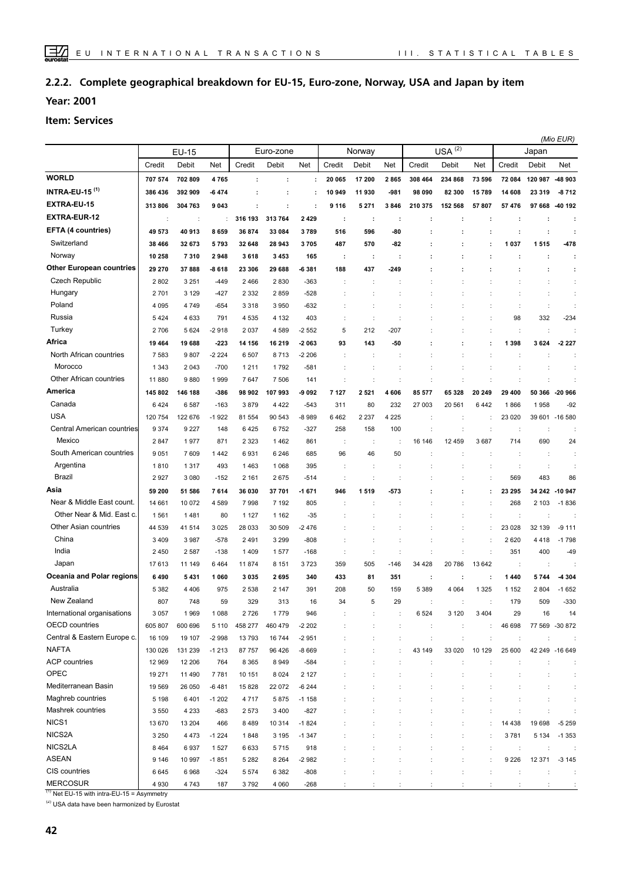#### **Complete geographical breakdown for EU-15, Euro-zone, Norway, USA and Japan by item 2.2.2.**

**Year: 2001**

#### **Item: Services**

|                                 |                      |                      |         |         |           |         |                      |         |         |         | (Mio EUR) |                      |                      |                      |                      |
|---------------------------------|----------------------|----------------------|---------|---------|-----------|---------|----------------------|---------|---------|---------|-----------|----------------------|----------------------|----------------------|----------------------|
|                                 |                      | <b>EU-15</b>         |         |         | Euro-zone |         |                      | Norway  |         |         | USA $(2)$ |                      |                      | Japan                |                      |
|                                 | Credit               | Debit                | Net     | Credit  | Debit     | Net     | Credit               | Debit   | Net     | Credit  | Debit     | Net                  | Credit               | Debit                | Net                  |
| <b>WORLD</b>                    | 707 574              | 702 809              | 4765    | ÷       | ÷         | ÷       | 20 065               | 17 200  | 2865    | 308 464 | 234 868   | 73 596               | 72 084               | 120 987              | -48 903              |
| <b>INTRA-EU-15 (1)</b>          | 386 436              | 392 909              | -6474   |         |           | ÷       | 10 949               | 11930   | $-981$  | 98 090  | 82 300    | 15789                | 14 608               | 23 319               | $-8712$              |
| <b>EXTRA-EU-15</b>              | 313 806              | 304 763              | 9 0 4 3 |         |           | ÷       | 9 1 1 6              | 5 2 7 1 | 3846    | 210 375 | 152 568   | 57807                | 57476                | 97 668               | -40 192              |
| <b>EXTRA-EUR-12</b>             | $\ddot{\phantom{a}}$ | $\ddot{\phantom{a}}$ |         | 316 193 | 313 764   | 2 4 2 9 | ÷                    | ÷       | :       |         | ÷         |                      | ÷                    | ÷                    | ÷                    |
| EFTA (4 countries)              | 49 573               | 40 913               | 8659    | 36 874  | 33 084    | 3789    | 516                  | 596     | -80     |         |           |                      | ÷                    | ÷                    | ÷                    |
| Switzerland                     | 38 466               | 32 673               | 5793    | 32 648  | 28 943    | 3705    | 487                  | 570     | -82     |         |           |                      | 1037                 | 1515                 | -478                 |
| Norway                          | 10 258               | 7310                 | 2948    | 3618    | 3 4 5 3   | 165     | ÷                    | ÷       | ÷       |         |           |                      | ÷                    | ÷                    | ÷                    |
| <b>Other European countries</b> | 29 270               | 37888                | -8 618  | 23 306  | 29 688    | -6 381  | 188                  | 437     | -249    |         |           |                      | ÷                    | ÷                    | ÷                    |
| <b>Czech Republic</b>           | 2802                 | 3 2 5 1              | $-449$  | 2466    | 2830      | $-363$  | ÷                    | ÷       |         |         |           |                      | t                    | t                    | ÷                    |
| Hungary                         | 2701                 | 3 1 2 9              | $-427$  | 2 3 3 2 | 2859      | $-528$  |                      |         |         |         |           |                      |                      |                      | ÷                    |
| Poland                          | 4 0 9 5              | 4749                 | $-654$  | 3 3 1 8 | 3 9 5 0   | $-632$  |                      |         |         |         |           |                      | $\ddot{\phantom{a}}$ | ÷                    |                      |
| Russia                          | 5424                 | 4 6 3 3              | 791     | 4535    | 4 1 3 2   | 403     |                      | ÷       |         |         |           |                      | 98                   | 332                  | $-234$               |
| Turkey                          | 2706                 | 5 6 2 4              | $-2918$ | 2 0 3 7 | 4 5 8 9   | $-2552$ | 5                    | 212     | -207    |         |           |                      | $\ddot{\phantom{a}}$ |                      |                      |
| Africa                          | 19 4 64              | 19688                | $-223$  | 14 156  | 16 219    | $-2063$ | 93                   | 143     | -50     |         |           |                      | 1398                 | 3 6 2 4              | $-2227$              |
| North African countries         | 7583                 | 9807                 | $-2224$ | 6 507   | 8713      | $-2206$ |                      |         |         |         |           |                      |                      |                      |                      |
| Morocco                         | 1 3 4 3              | 2 0 4 3              | $-700$  | 1211    | 1792      | $-581$  |                      |         |         |         |           |                      |                      |                      |                      |
| Other African countries         | 11 880               | 9880                 | 1999    | 7647    | 7 506     | 141     |                      |         |         |         |           |                      |                      |                      |                      |
| America                         | 145 802              | 146 188              | -386    | 98 902  | 107993    | -9 092  | 7 127                | 2521    | 4 606   | 85 577  | 65 328    | 20 249               | 29 400               | 50 366               | -20 966              |
| Canada                          | 6424                 | 6587                 | $-163$  | 3879    | 4 4 2 2   | $-543$  | 311                  | 80      | 232     | 27 003  | 20 561    | 6442                 | 1866                 | 1958                 | $-92$                |
| <b>USA</b>                      | 120 754              | 122 676              | $-1922$ | 81 554  | 90 543    | $-8989$ | 6462                 | 2 2 3 7 | 4 2 2 5 |         |           |                      | 23 0 20              |                      | 39 601 -16 580       |
| Central American countries      | 9 3 7 4              | 9 2 2 7              | 148     | 6425    | 6752      | $-327$  | 258                  | 158     | 100     |         |           |                      | $\ddot{\phantom{a}}$ |                      |                      |
| Mexico                          | 2847                 | 1977                 | 871     | 2 3 2 3 | 1462      | 861     | ÷                    | ÷       |         | 16 146  | 12 459    | 3687                 | 714                  | 690                  | 24                   |
| South American countries        | 9051                 | 7 609                | 1442    | 6931    | 6 2 4 6   | 685     | 96                   | 46      | 50      |         |           |                      | ÷                    | $\ddot{\phantom{a}}$ |                      |
| Argentina                       | 1810                 | 1317                 | 493     | 1463    | 1 0 6 8   | 395     |                      | ÷       |         |         |           |                      | ÷                    | ÷                    |                      |
| Brazil                          | 2927                 | 3 0 8 0              | $-152$  | 2 1 6 1 | 2675      | $-514$  |                      | ÷       |         |         |           |                      | 569                  | 483                  | 86                   |
| Asia                            | 59 200               | 51 586               | 7614    | 36 030  | 37 701    | $-1671$ | 946                  | 1519    | -573    |         |           |                      | 23 295               | 34 24 2              | $-10947$             |
| Near & Middle East count.       | 14 661               | 10 072               | 4589    | 7998    | 7 192     | 805     |                      |         |         |         |           |                      | 268                  | 2 1 0 3              | $-1836$              |
| Other Near & Mid. East c.       | 1561                 | 1481                 | 80      | 1 1 2 7 | 1 1 6 2   | $-35$   |                      |         |         |         |           |                      | $\ddot{\phantom{a}}$ |                      |                      |
| Other Asian countries           | 44 539               | 41 514               | 3 0 2 5 | 28 033  | 30 509    | -2476   |                      |         |         |         | ÷         | ÷                    | 23 0 28              | 32 139               | $-9111$              |
| China                           | 3 4 0 9              | 3987                 | $-578$  | 2491    | 3 2 9 9   | $-808$  |                      |         |         |         | t         |                      | 2620                 | 4 4 1 8              | $-1798$              |
| India                           | 2450                 | 2 5 8 7              | $-138$  | 1409    | 1577      | $-168$  |                      | ÷       |         |         |           |                      | 351                  | 400                  | $-49$                |
| Japan                           | 17613                | 11 149               | 6464    | 11874   | 8 1 5 1   | 3723    | 359                  | 505     | -146    | 34 4 28 | 20786     | 13 642               | ÷                    | ÷                    |                      |
| Oceania and Polar regions       | 6490                 | 5431                 | 1 0 6 0 | 3 0 3 5 | 2695      | 340     | 433                  | 81      | 351     | ÷       | ÷         |                      | 1440                 | 5744                 | -4 304               |
| Australia                       | 5 3 8 2              | 4 4 0 6              | 975     | 2 5 3 8 | 2 1 4 7   | 391     | 208                  | 50      | 159     | 5 3 8 9 | 4 0 64    | 1 3 2 5              | 1 1 5 2              | 2 8 0 4              | $-1652$              |
| New Zealand                     | 807                  | 748                  | 59      | 329     | 313       | 16      | 34                   | 5       | 29      |         |           |                      | 179                  | 509                  | $-330$               |
| International organisations     | 3 0 5 7              | 1969                 | 1 0 8 8 | 2726    | 1779      | 946     |                      |         |         | 6 5 24  | 3 1 2 0   | 3 4 0 4              | 29                   | 16                   | 14                   |
| OECD countries                  | 605 807              | 600 696              | 5 1 1 0 | 458 277 | 460 479   | $-2202$ |                      |         |         | ÷       | ÷         |                      | 46 698               |                      | 77 569 -30 872       |
| Central & Eastern Europe c.     | 16 109               | 19 107               | $-2998$ | 13793   | 16744     | $-2951$ |                      |         |         | ÷       |           |                      | $\ddot{\phantom{a}}$ |                      |                      |
| <b>NAFTA</b>                    | 130 026              | 131 239              | $-1213$ | 87 757  | 96 426    | -8 669  |                      |         |         | 43 149  | 33 0 20   | 10 129               | 25 600               |                      | 42 249 -16 649       |
| <b>ACP</b> countries            | 12 969               | 12 206               | 764     | 8 3 6 5 | 8949      | $-584$  |                      |         |         |         |           |                      |                      |                      |                      |
| OPEC                            | 19 271               | 11 490               | 7781    | 10 151  | 8 0 24    | 2 1 2 7 |                      |         |         |         |           |                      |                      |                      |                      |
| Mediterranean Basin             | 19 569               | 26 050               | $-6481$ | 15 8 28 | 22 072    | $-6244$ |                      |         |         |         |           |                      |                      |                      |                      |
| Maghreb countries               | 5 1 9 8              | 6401                 | $-1202$ | 4717    | 5875      | $-1158$ |                      |         |         |         |           |                      |                      |                      |                      |
| Mashrek countries               | 3550                 | 4 2 3 3              | -683    | 2573    | 3 4 0 0   | $-827$  |                      |         |         |         | ÷         |                      | $\ddot{\phantom{a}}$ |                      |                      |
| NICS1                           | 13 670               | 13 204               | 466     | 8489    | 10 314    | $-1824$ |                      |         |         |         |           |                      | 14 4 38              | 19 698               | $-5259$              |
| NICS2A                          | 3 2 5 0              | 4 4 7 3              | $-1224$ | 1848    | 3 1 9 5   | $-1347$ |                      |         |         |         | ÷         |                      | 3781                 | 5 1 3 4              | $-1353$              |
| NICS2LA                         | 8464                 | 6937                 | 1527    | 6633    | 5715      | 918     |                      | ÷       |         | ÷       | ÷         | $\ddot{\phantom{a}}$ | ÷                    | ÷                    |                      |
| <b>ASEAN</b>                    | 9 1 4 6              | 10 997               | $-1851$ | 5 2 8 2 | 8 2 6 4   | -2982   |                      | ÷       |         | t       | ÷         | ÷                    | 9 2 2 6              | 12 371               | $-3145$              |
| CIS countries                   | 6645                 | 6968                 | $-324$  | 5 5 7 4 | 6 3 8 2   | $-808$  |                      | t       |         | t       | ÷         | ÷                    | ÷                    | ÷                    | $\ddot{\phantom{a}}$ |
| <b>MERCOSUR</b>                 | 4 9 3 0              | 4743                 | 187     | 3792    | 4 0 6 0   | $-268$  | $\ddot{\phantom{a}}$ |         |         |         | ÷         |                      | ÷                    | ÷                    |                      |

 $(1)$  Net EU-15 with intra-EU-15 = Asymmetry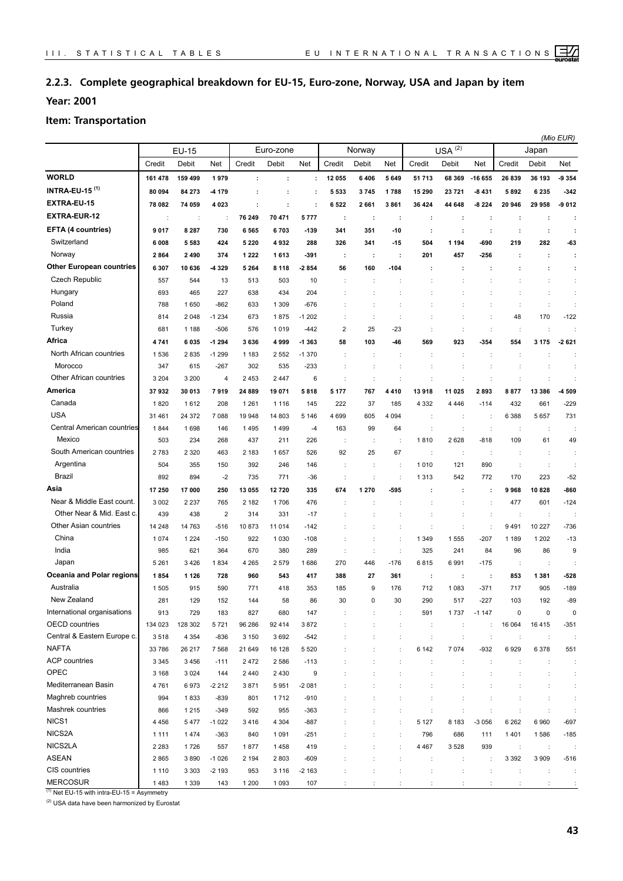#### **2.2.3. Complete geographical breakdown for EU-15, Euro-zone, Norway, USA and Japan by item**

**Year: 2001**

#### **Item: Transportation**

|                                  |         |         |                         |         |           |                  |                |                      |         |                      |                      |                      | (Mio EUR)            |                      |                      |
|----------------------------------|---------|---------|-------------------------|---------|-----------|------------------|----------------|----------------------|---------|----------------------|----------------------|----------------------|----------------------|----------------------|----------------------|
|                                  |         | EU-15   |                         |         | Euro-zone |                  |                | Norway               |         |                      | $USA^{(2)}$          |                      |                      | Japan                |                      |
|                                  | Credit  | Debit   | Net                     | Credit  | Debit     | Net              | Credit         | Debit                | Net     | Credit               | Debit                | Net                  | Credit               | Debit                | <b>Net</b>           |
| <b>WORLD</b>                     | 161 478 | 159 499 | 1979                    | $\cdot$ | ÷         | ÷                | 12 055         | 6406                 | 5 6 4 9 | 51 713               | 68 369               | -16 655              | 26 839               | 36 193               | 9 3 5 4              |
| <b>INTRA-EU-15<sup>(1)</sup></b> | 80 094  | 84 273  | -4 179                  |         |           | ÷                | 5 5 3 3        | 3745                 | 1788    | 15 290               | 23 721               | -8431                | 5892                 | 6 2 3 5              | $-342$               |
| EXTRA-EU-15                      | 78 082  | 74 059  | 4 0 2 3                 | ÷       | ÷         | ÷                | 6522           | 2 661                | 3861    | 36 424               | 44 648               | -8 224               | 20 946               | 29 958               | $-9012$              |
| <b>EXTRA-EUR-12</b>              | ÷       | ÷       | $\ddot{\phantom{a}}$    | 76 249  | 70 471    | 5777             | ÷              | ÷                    | ÷       | t                    | ÷                    | ÷                    | $\cdot$              | ÷                    | ÷                    |
| EFTA (4 countries)               | 9017    | 8 2 8 7 | 730                     | 6 5 6 5 | 6703      | $-139$           | 341            | 351                  | -10     | ÷                    | ÷                    | ÷                    | ÷                    | ÷                    | ÷                    |
| Switzerland                      | 6008    | 5583    | 424                     | 5 2 2 0 | 4932      | 288              | 326            | 341                  | $-15$   | 504                  | 1 1 9 4              | -690                 | 219                  | 282                  | -63                  |
| Norway                           | 2864    | 2490    | 374                     | 1 2 2 2 | 1613      | -391             | ÷              | ÷                    | ÷       | 201                  | 457                  | -256                 | ÷                    | ÷                    | ÷                    |
| <b>Other European countries</b>  | 6 3 0 7 | 10 636  | -4 329                  | 5 2 6 4 | 8 1 1 8   | 2 8 5 4          | 56             | 160                  | -104    |                      | ÷                    |                      |                      | ÷                    | ÷                    |
| <b>Czech Republic</b>            | 557     | 544     | 13                      | 513     | 503       | 10               | ÷              | $\ddot{\phantom{a}}$ |         |                      |                      |                      |                      | ÷                    | ÷                    |
| Hungary                          | 693     | 465     | 227                     | 638     | 434       | 204              |                |                      |         | ÷                    |                      |                      | ÷                    | t                    |                      |
| Poland                           | 788     | 1650    | $-862$                  | 633     | 1 3 0 9   | $-676$           |                | ÷                    |         |                      |                      |                      | ÷                    | $\ddot{\cdot}$       | ÷                    |
| Russia                           | 814     | 2048    | $-1234$                 | 673     | 1875      | $-1202$          |                | $\ddot{\phantom{a}}$ |         |                      | ÷                    |                      | 48                   | 170                  | $-122$               |
| Turkey                           | 681     | 1 1 8 8 | $-506$                  | 576     | 1019      | $-442$           | $\overline{2}$ | 25                   | $-23$   |                      | d                    |                      | ÷                    | t                    |                      |
| Africa                           | 4741    | 6035    | $-1294$                 | 3636    | 4999      | $-1363$          | 58             | 103                  | -46     | 569                  | 923                  | $-354$               | 554                  | 3 1 7 5              | $-2621$              |
| North African countries          | 1536    | 2835    | $-1299$                 | 1 1 8 3 | 2 5 5 2   | $-1370$          |                | ÷                    |         |                      | ÷                    |                      | ÷                    |                      |                      |
| Morocco                          | 347     | 615     | $-267$                  | 302     | 535       | $-233$           |                | ÷                    |         | t                    | ÷                    |                      | ÷                    | $\ddot{\phantom{a}}$ | ÷                    |
| Other African countries          | 3 2 0 4 | 3 2 0 0 | 4                       | 2 4 5 3 | 2 4 4 7   | 6                | ÷              | ÷                    |         | t                    | t                    | ÷                    | $\ddot{\cdot}$       | $\ddot{\cdot}$       | ÷                    |
| America                          | 37932   | 30 013  | 7919                    | 24 889  | 19 071    | 5818             | 5 177          | 767                  | 4410    | 13918                | 11 025               | 2893                 | 8877                 | 13 386               | -4 509               |
| Canada                           | 1820    | 1612    | 208                     | 1 2 6 1 | 1 1 1 6   | 145              | 222            | 37                   | 185     | 4 3 3 2              | 4 4 4 6              | $-114$               | 432                  | 661                  | $-229$               |
| <b>USA</b>                       | 31 461  | 24 372  | 7088                    | 19 948  | 14 803    | 5 1 4 6          | 4 6 9 9        | 605                  | 4 0 9 4 | ÷                    | ÷                    | ÷                    | 6 3 8 8              | 5 6 5 7              | 731                  |
| Central American countries       | 1844    | 1698    | 146                     | 1 4 9 5 | 1499      | $-4$             | 163            | 99                   | 64      | ÷                    | $\ddot{\cdot}$       | $\ddot{\phantom{a}}$ | $\cdot$              | ÷                    | ÷                    |
| Mexico                           | 503     | 234     | 268                     | 437     | 211       | 226              |                | ÷                    |         | 1810                 | 2628                 | $-818$               | 109                  | 61                   | 49                   |
| South American countries         | 2783    | 2 3 2 0 | 463                     | 2 183   | 1657      | 526              | 92             | 25                   | 67      | ÷                    | ÷                    |                      |                      | $\ddot{\phantom{a}}$ | ÷                    |
| Argentina                        | 504     | 355     | 150                     | 392     | 246       | 146              |                | ÷                    |         | 1010                 | 121                  | 890                  | ÷                    | $\ddot{\phantom{a}}$ | ÷                    |
| Brazil                           | 892     | 894     | $-2$                    | 735     | 771       | $-36$            |                | $\ddot{\phantom{a}}$ |         | 1 3 1 3              | 542                  | 772                  | 170                  | 223                  | $-52$                |
| Asia                             | 17 250  | 17000   | 250                     | 13 055  | 12720     | 335              | 674            | 1 270                | -595    |                      | ÷                    | ÷                    | 9968                 | 10828                | -860                 |
| Near & Middle East count.        | 3 0 0 2 | 2 2 3 7 | 765                     | 2 182   | 1706      | 476              |                |                      |         |                      |                      |                      | 477                  | 601                  | $-124$               |
| Other Near & Mid. East c.        | 439     | 438     | $\overline{\mathbf{c}}$ | 314     | 331       | $-17$            |                |                      |         |                      |                      |                      | $\cdot$              | $\cdot$              |                      |
| Other Asian countries            | 14 248  | 14 763  | $-516$                  | 10873   | 11 014    | $-142$           |                |                      |         |                      |                      |                      | 9491                 | 10 227               | $-736$               |
| China                            | 1074    | 1 2 2 4 | $-150$                  | 922     | 1 0 3 0   | $-108$           | ÷              | ÷                    |         | 1 3 4 9              | 1555                 | $-207$               | 1 1 8 9              | 1 2 0 2              | $-13$                |
| India                            | 985     | 621     | 364                     | 670     | 380       | 289              | ÷              | $\ddot{\cdot}$       |         | 325                  | 241                  | 84                   | 96                   | 86                   | 9                    |
| Japan                            | 5 2 6 1 | 3426    | 1834                    | 4 2 6 5 | 2579      | 1686             | 270            | 446                  | $-176$  | 6815                 | 6991                 | $-175$               | ÷                    | $\ddot{\phantom{a}}$ |                      |
| Oceania and Polar regions        | 1854    | 1 1 2 6 | 728                     | 960     | 543       | 417              | 388            | 27                   | 361     | ÷                    | ÷                    | ÷                    | 853                  | 1 3 8 1              | $-528$               |
| Australia                        | 1505    | 915     | 590                     | 771     | 418       | 353              | 185            | 9                    | 176     | 712                  | 1 0 8 3              | $-371$               | 717                  | 905                  | $-189$               |
| New Zealand                      | 281     | 129     | 152                     | 144     | 58        | 86               | 30             | 0                    | 30      | 290                  | 517                  | 227                  | 103                  | 192                  | -89                  |
| International organisations      | 913     | 729     | 183                     | 827     | 680       | 147              |                | ÷                    | ÷       | 591                  | 1737                 | $-1147$              | 0                    | $\pmb{0}$            | $\mathbf 0$          |
| <b>OECD</b> countries            | 134 023 | 128 302 | 5721                    | 96 286  | 92 414    | 3872             | ÷              | ÷                    | ÷       | $\cdot$              | ÷                    | ÷                    | 16 064               | 16415                | $-351$               |
| Central & Eastern Europe c.      | 3518    | 4 3 5 4 | $-836$                  | 3 1 5 0 | 3692      | $-542$           |                | ÷                    | ÷       | $\ddot{\phantom{a}}$ | $\ddot{\cdot}$       | $\ddot{\phantom{a}}$ | ÷                    | $\ddot{\phantom{a}}$ |                      |
| <b>NAFTA</b>                     | 33 786  | 26 217  | 7 5 6 8                 | 21 649  | 16 128    | 5 5 2 0          |                |                      |         | 6 1 4 2              | 7074                 | $-932$               | 6929                 | 6378                 | 551                  |
| <b>ACP</b> countries             | 3 3 4 5 | 3456    | $-111$                  | 2472    | 2 5 8 6   | $-113$           |                | ÷                    |         | ÷                    | ÷                    | $\ddot{\phantom{a}}$ | ÷                    | $\ddot{\phantom{a}}$ | ÷                    |
| OPEC                             | 3 1 6 8 | 3 0 2 4 | 144                     | 2 4 4 0 | 2 4 3 0   | $\boldsymbol{9}$ |                | ÷                    |         | ÷                    | $\ddot{\cdot}$       | ÷                    | $\ddot{\phantom{a}}$ | $\ddot{\cdot}$       | ÷                    |
| Mediterranean Basin              | 4761    | 6973    | $-2212$                 | 3871    | 5951      | $-2081$          |                | t                    |         | ÷                    | ÷                    |                      | t                    | $\ddot{\phantom{a}}$ | $\ddot{\phantom{a}}$ |
| Maghreb countries                | 994     | 1833    | $-839$                  | 801     | 1712      | $-910$           |                |                      |         | ÷                    | t                    |                      |                      | $\ddot{\phantom{a}}$ | ÷                    |
| Mashrek countries                | 866     | 1 2 1 5 | $-349$                  | 592     | 955       | $-363$           |                |                      |         | t                    |                      |                      | ÷                    | $\ddot{\phantom{a}}$ | $\ddot{\phantom{a}}$ |
| NICS1                            | 4 4 5 6 | 5477    | $-1022$                 | 3416    | 4 3 0 4   | $-887$           |                |                      |         | 5 1 2 7              | 8 1 8 3              | $-3056$              | 6 2 6 2              | 6960                 | $-697$               |
| NICS2A                           | 1 1 1 1 | 1474    | $-363$                  | 840     | 1 0 9 1   | $-251$           |                |                      |         | 796                  | 686                  | 111                  | 1401                 | 1586                 | $-185$               |
| NICS2LA                          | 2 2 8 3 | 1726    | 557                     | 1877    | 1458      | 419              |                |                      |         | 4 4 6 7              | 3528                 | 939                  | $\cdot$              | $\ddot{\phantom{a}}$ |                      |
| <b>ASEAN</b>                     | 2865    | 3890    | $-1026$                 | 2 1 9 4 | 2 8 0 3   | $-609$           |                |                      |         | t                    | $\ddot{\phantom{a}}$ | ÷                    | 3 3 9 2              | 3 9 0 9              | $-516$               |
| CIS countries                    | 1 1 1 0 | 3 3 0 3 | $-2193$                 | 953     | 3 1 1 6   | $-2163$          |                | ÷                    |         | t                    | ÷                    | ÷                    | $\ddot{\phantom{a}}$ | ÷                    | ÷                    |
| <b>MERCOSUR</b>                  | 1483    | 1 3 3 9 | 143                     | 1 200   | 1 0 9 3   | 107              |                | ÷                    |         | ÷                    | ÷                    |                      |                      | $\ddot{\phantom{a}}$ | ÷                    |

 $(1)$  Net EU-15 with intra-EU-15 = Asymmetry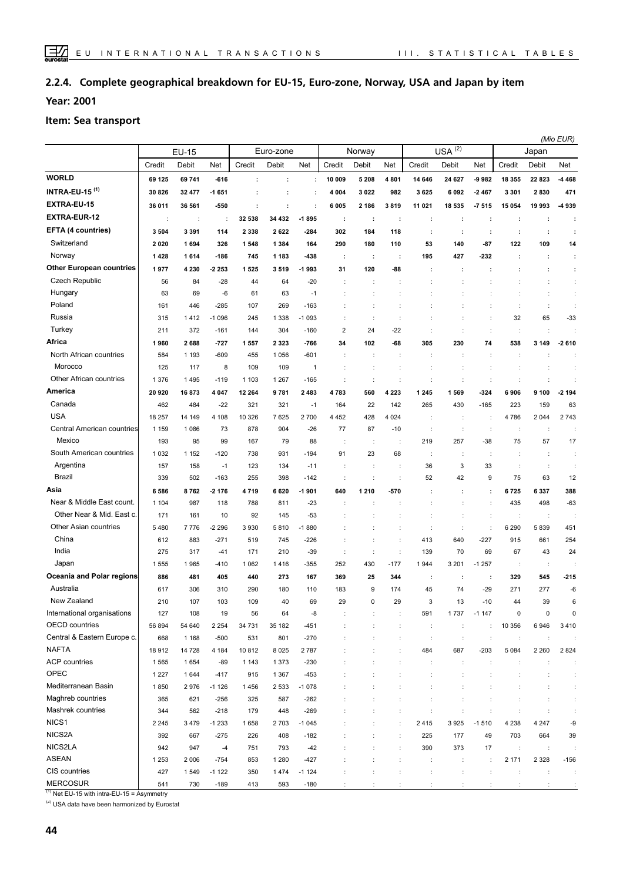#### **Complete geographical breakdown for EU-15, Euro-zone, Norway, USA and Japan by item 2.2.4.**

**Year: 2001**

#### **Item: Sea transport**

|                                 |                      |         |         |                      |         |         |                      |                      |                      |                |                      |                      | (Mio EUR)            |         |                      |  |
|---------------------------------|----------------------|---------|---------|----------------------|---------|---------|----------------------|----------------------|----------------------|----------------|----------------------|----------------------|----------------------|---------|----------------------|--|
|                                 | <b>EU-15</b>         |         |         | Euro-zone            |         |         | Norway               |                      |                      |                | $USA^{(2)}$          |                      | Japan                |         |                      |  |
|                                 | Credit               | Debit   | Net     | Credit               | Debit   | Net     | Credit               | Debit                | Net                  | Credit         | Debit                | Net                  | Credit               | Debit   | Net                  |  |
| <b>WORLD</b>                    | 69 125               | 69 741  | $-616$  | $\ddot{\phantom{a}}$ | ÷       | ÷       | 10 009               | 5 2 0 8              | 4801                 | 14 646         | 24 627               | $-9982$              | 18 355               | 22 823  | 4 4 6 8              |  |
| <b>INTRA-EU-15 (1)</b>          | 30 826               | 32 477  | $-1651$ | ÷                    |         | ÷       | 4 0 0 4              | 3022                 | 982                  | 3625           | 6092                 | $-2467$              | 3 3 0 1              | 2830    | 471                  |  |
| EXTRA-EU-15                     | 36 011               | 36 561  | -550    | ÷                    | ÷       | ÷       | 6005                 | 2 186                | 3819                 | 11 021         | 18 535               | $-7515$              | 15 0 54              | 19 993  | -4939                |  |
| <b>EXTRA-EUR-12</b>             | $\ddot{\phantom{a}}$ | ÷       | ÷       | 32 538               | 34 432  | $-1895$ | ÷                    | ÷                    | ÷                    | ÷              | ÷                    | ÷                    | $\cdot$              | ÷       | ÷                    |  |
| EFTA (4 countries)              | 3504                 | 3 3 9 1 | 114     | 2 3 3 8              | 2622    | $-284$  | 302                  | 184                  | 118                  | ÷              | ÷                    | ÷                    | ÷                    | ÷       | ÷                    |  |
| Switzerland                     | 2020                 | 1694    | 326     | 1548                 | 1 3 8 4 | 164     | 290                  | 180                  | 110                  | 53             | 140                  | $-87$                | 122                  | 109     | 14                   |  |
| Norway                          | 1428                 | 1614    | $-186$  | 745                  | 1 183   | $-438$  | ÷                    | ÷                    | ÷                    | 195            | 427                  | -232                 | ÷                    | ÷       | ÷                    |  |
| <b>Other European countries</b> | 1977                 | 4 2 3 0 | $-2253$ | 1525                 | 3519    | -1993   | 31                   | 120                  | -88                  | ÷              | $\cdot$              | ÷                    | ÷                    | ÷       | ÷                    |  |
| <b>Czech Republic</b>           | 56                   | 84      | $-28$   | 44                   | 64      | $-20$   |                      | ÷                    |                      |                |                      |                      |                      | t       | ÷                    |  |
| Hungary                         | 63                   | 69      | -6      | 61                   | 63      | $-1$    |                      | ÷                    |                      |                |                      |                      | ÷                    | ÷       | $\ddot{\phantom{a}}$ |  |
| Poland                          | 161                  | 446     | $-285$  | 107                  | 269     | $-163$  |                      | ÷                    |                      |                |                      |                      | $\ddot{\phantom{a}}$ | ÷       | ÷                    |  |
| Russia                          | 315                  | 1412    | $-1096$ | 245                  | 1 3 3 8 | $-1093$ |                      | ÷                    |                      |                |                      |                      | 32                   | 65      | $-33$                |  |
| Turkey                          | 211                  | 372     | $-161$  | 144                  | 304     | $-160$  | $\overline{2}$       | 24                   | $-22$                |                |                      | $\ddot{\cdot}$       | ÷                    | ÷       |                      |  |
| Africa                          | 1960                 | 2688    | $-727$  | 1557                 | 2 3 2 3 | $-766$  | 34                   | 102                  | -68                  | 305            | 230                  | 74                   | 538                  | 3 1 4 9 | $-2610$              |  |
| North African countries         | 584                  | 1 1 9 3 | $-609$  | 455                  | 1 0 5 6 | $-601$  |                      | ÷                    |                      | $\ddot{\cdot}$ | $\ddot{\phantom{a}}$ | $\ddot{\phantom{a}}$ | $\ddot{\phantom{a}}$ |         |                      |  |
| Morocco                         | 125                  | 117     | 8       | 109                  | 109     | 1       |                      | ÷                    |                      |                |                      |                      |                      |         |                      |  |
| Other African countries         | 1 3 7 6              | 1495    | $-119$  | 1 1 0 3              | 1 2 6 7 | $-165$  |                      | ÷                    |                      | ÷              |                      |                      |                      |         |                      |  |
| America                         | 20 9 20              | 16873   | 4 0 4 7 | 12 2 64              | 9781    | 2 4 8 3 | 4783                 | 560                  | 4 2 2 3              | 1 2 4 5        | 1569                 | $-324$               | 6906                 | 9 100   | $-2194$              |  |
| Canada                          | 462                  | 484     | $-22$   | 321                  | 321     | -1      | 164                  | 22                   | 142                  | 265            | 430                  | $-165$               | 223                  | 159     | 63                   |  |
| <b>USA</b>                      | 18 257               | 14 149  | 4 108   | 10 326               | 7 6 2 5 | 2 700   | 4 4 5 2              | 428                  | 4 0 24               | ÷              | $\cdot$              |                      | 4786                 | 2 0 4 4 | 2743                 |  |
| Central American countries      | 1 1 5 9              | 1086    | 73      | 878                  | 904     | $-26$   | 77                   | 87                   | -10                  | d              | $\cdot$              | $\ddot{\phantom{a}}$ | $\cdot$              | d       |                      |  |
| Mexico                          | 193                  | 95      | 99      | 167                  | 79      | 88      |                      | ÷                    |                      | 219            | 257                  | $-38$                | 75                   | 57      | 17                   |  |
| South American countries        | 1032                 | 1 1 5 2 | $-120$  | 738                  | 931     | $-194$  | 91                   | 23                   | 68                   | ÷              | ÷                    | $\ddot{\phantom{a}}$ | $\cdot$              | ÷       | ÷                    |  |
| Argentina                       | 157                  | 158     | $-1$    | 123                  | 134     | $-11$   |                      | ÷                    |                      | 36             | 3                    | 33                   | $\cdot$              | ÷       |                      |  |
| Brazil                          | 339                  | 502     | $-163$  | 255                  | 398     | $-142$  | $\ddot{\phantom{a}}$ | ÷                    |                      | 52             | 42                   | 9                    | 75                   | 63      | 12                   |  |
| Asia                            | 6586                 | 8762    | $-2176$ | 4719                 | 6620    | -1901   | 640                  | 1 2 1 0              | 570                  | ÷              | ÷                    | ÷                    | 6725                 | 6337    | 388                  |  |
| Near & Middle East count.       | 1 1 0 4              | 987     | 118     | 788                  | 811     | $-23$   |                      |                      |                      |                | $\ddot{\phantom{a}}$ | ÷                    | 435                  | 498     | $-63$                |  |
| Other Near & Mid. East c.       | 171                  | 161     | 10      | 92                   | 145     | $-53$   |                      |                      |                      | ÷              | $\ddot{\phantom{a}}$ | $\ddot{\phantom{a}}$ | ÷                    | ÷       |                      |  |
| Other Asian countries           | 5480                 | 7776    | $-2296$ | 3930                 | 5810    | $-1880$ |                      |                      |                      | ÷              | ÷                    | $\ddot{\phantom{a}}$ | 6 2 9 0              | 5839    | 451                  |  |
| China                           | 612                  | 883     | $-271$  | 519                  | 745     | $-226$  |                      | ÷                    |                      | 413            | 640                  | $-227$               | 915                  | 661     | 254                  |  |
| India                           | 275                  | 317     | $-41$   | 171                  | 210     | $-39$   | $\ddot{\phantom{a}}$ | $\ddot{\phantom{a}}$ | ÷                    | 139            | 70                   | 69                   | 67                   | 43      | 24                   |  |
| Japan                           | 1555                 | 1965    | $-410$  | 1 0 6 2              | 1416    | $-355$  | 252                  | 430                  | $-177$               | 1944           | 3 2 0 1              | $-1257$              | ÷                    | ÷       |                      |  |
| Oceania and Polar regions       | 886                  | 481     | 405     | 440                  | 273     | 167     | 369                  | 25                   | 344                  | ÷              | ÷                    | ÷                    | 329                  | 545     | $-215$               |  |
| Australia                       | 617                  | 306     | 310     | 290                  | 180     | 110     | 183                  | 9                    | 174                  | 45             | 74                   | $-29$                | 271                  | 277     | $-6$                 |  |
| New Zealand                     | 210                  | 107     | 103     | 109                  | 40      | 69      | 29                   | $\Omega$             | 29                   | 3              | 13                   | 10                   | $\Lambda$            | 39      | 6                    |  |
| International organisations     | 127                  | 108     | 19      | 56                   | 64      | -8      |                      | ÷                    |                      | 591            | 1737                 | $-1147$              | 0                    | 0       | 0                    |  |
| OECD countries                  | 56 894               | 54 640  | 2 2 5 4 | 34 731               | 35 182  | $-451$  |                      |                      | $\ddot{\phantom{a}}$ | ÷              | ÷                    | $\ddot{\phantom{a}}$ | 10 356               | 6946    | 3410                 |  |
| Central & Eastern Europe c.     | 668                  | 1 1 6 8 | $-500$  | 531                  | 801     | $-270$  |                      | ÷                    | ÷                    | ÷              | ÷                    | ÷                    | $\ddot{\phantom{a}}$ | t       |                      |  |
| <b>NAFTA</b>                    | 18912                | 14 728  | 4 1 8 4 | 10812                | 8 0 2 5 | 2 7 8 7 |                      |                      |                      | 484            | 687                  | $-203$               | 5 0 8 4              | 2 2 6 0 | 2824                 |  |
| <b>ACP</b> countries            | 1565                 | 1654    | $-89$   | 1 1 4 3              | 1 3 7 3 | $-230$  |                      |                      |                      | ÷              |                      |                      |                      |         |                      |  |
| OPEC                            | 1 2 2 7              | 1644    | $-417$  | 915                  | 1 3 6 7 | $-453$  |                      |                      |                      | ÷              |                      |                      |                      |         | ÷                    |  |
| Mediterranean Basin             | 1850                 | 2976    | $-1126$ | 1456                 | 2 5 3 3 | $-1078$ |                      |                      |                      | ÷              |                      |                      |                      |         | $\ddot{\phantom{a}}$ |  |
| Maghreb countries               | 365                  | 621     | $-256$  | 325                  | 587     | $-262$  |                      |                      |                      |                |                      |                      |                      |         | ÷                    |  |
| Mashrek countries               | 344                  | 562     | $-218$  | 179                  | 448     | $-269$  |                      |                      |                      |                |                      |                      |                      |         | $\ddot{\phantom{a}}$ |  |
| NICS <sub>1</sub>               | 2 2 4 5              | 3479    | $-1233$ | 1658                 | 2 7 0 3 | $-1045$ |                      |                      |                      | 2415           | 3925                 | $-1510$              | 4 2 3 8              | 4 2 4 7 | -9                   |  |
| NICS2A                          | 392                  | 667     | $-275$  | 226                  | 408     | $-182$  |                      | ÷                    | ÷                    | 225            | 177                  | 49                   | 703                  | 664     | 39                   |  |
| NICS2LA                         | 942                  | 947     | $-4$    | 751                  | 793     | $-42$   |                      | ÷                    | ÷                    | 390            | 373                  | 17                   | $\sim$               | ÷       | $\ddot{\cdot}$       |  |
| <b>ASEAN</b>                    | 1 2 5 3              | 2 0 0 6 | $-754$  | 853                  | 1 2 8 0 | $-427$  |                      |                      | ÷                    | ÷              | ÷                    | $\ddot{\phantom{a}}$ | 2 1 7 1              | 2 3 2 8 | $-156$               |  |
| CIS countries                   | 427                  | 1549    | $-1122$ | 350                  | 1474    | $-1124$ |                      | ÷                    |                      | ÷              | ÷                    | $\ddot{\phantom{a}}$ | ÷                    | ÷       | ÷                    |  |
| <b>MERCOSUR</b>                 | 541                  | 730     | $-189$  | 413                  | 593     | $-180$  | $\ddot{\phantom{a}}$ | ÷                    | ÷                    | ÷              | ÷                    | ÷                    | ÷                    | ÷       | ÷                    |  |

 $(1)$  Net EU-15 with intra-EU-15 = Asymmetry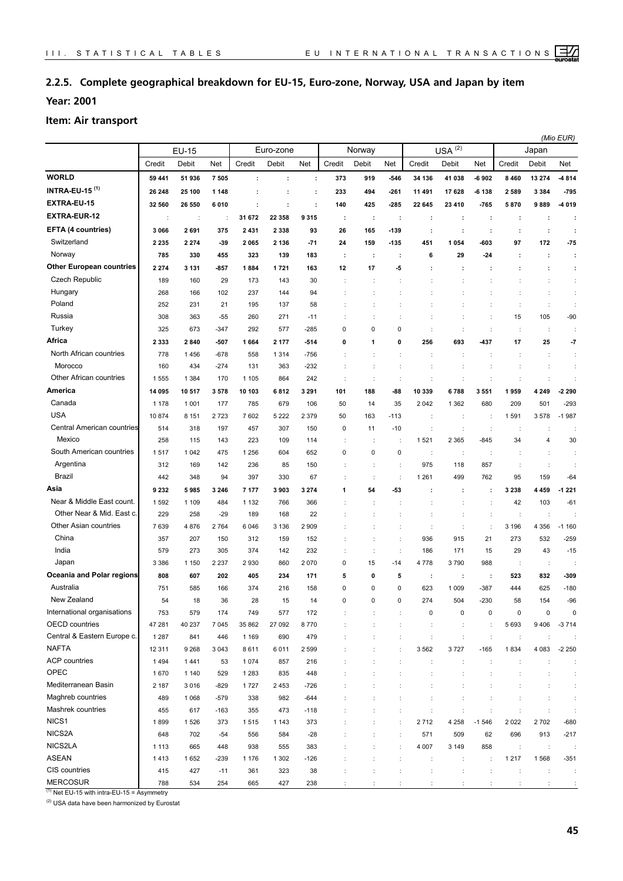#### **2.2.5. Complete geographical breakdown for EU-15, Euro-zone, Norway, USA and Japan by item**

**Year: 2001**

#### **Item: Air transport**

|                                  |              |         |                      |           |         |         |                |             | (Mio EUR)   |         |                      |                      |                      |                      |                      |  |  |
|----------------------------------|--------------|---------|----------------------|-----------|---------|---------|----------------|-------------|-------------|---------|----------------------|----------------------|----------------------|----------------------|----------------------|--|--|
|                                  | <b>EU-15</b> |         |                      | Euro-zone |         |         | Norway         |             |             |         | $USA^{(2)}$          |                      | Japan                |                      |                      |  |  |
|                                  | Credit       | Debit   | Net                  | Credit    | Debit   | Net     | Credit         | Debit       | Net         | Credit  | Debit                | Net                  | Credit               | Debit                | Net                  |  |  |
| <b>WORLD</b>                     | 59 441       | 51 936  | 7505                 | $\cdot$   | ÷       | ÷       | 373            | 919         | -546        | 34 136  | 41 038               | $-6902$              | 8 4 6 0              | 13 274               | -4814                |  |  |
| <b>INTRA-EU-15<sup>(1)</sup></b> | 26 248       | 25 100  | 1 1 4 8              |           |         | ÷       | 233            | 494         | -261        | 11 491  | 17628                | -6 138               | 2589                 | 3 3 8 4              | $-795$               |  |  |
| EXTRA-EU-15                      | 32 560       | 26 550  | 6010                 | ÷         | ÷       | ÷       | 140            | 425         | -285        | 22 645  | 23 4 10              | $-765$               | 5870                 | 9889                 | -4 019               |  |  |
| <b>EXTRA-EUR-12</b>              | ÷            | ÷       | $\ddot{\phantom{a}}$ | 31 672    | 22 358  | 9315    | ÷              | ÷           | ÷           | ÷       | ÷                    | ÷                    | ÷                    | ÷                    | ÷                    |  |  |
| EFTA (4 countries)               | 3 0 6 6      | 2691    | 375                  | 2 4 3 1   | 2 3 3 8 | 93      | 26             | 165         | -139        | ÷       | $\ddot{\phantom{a}}$ | ÷                    | ÷                    | ÷                    | ÷                    |  |  |
| Switzerland                      | 2 2 3 5      | 2 2 7 4 | $-39$                | 2065      | 2 1 3 6 | $-71$   | 24             | 159         | $-135$      | 451     | 1 0 5 4              | -603                 | 97                   | 172                  | $-75$                |  |  |
| Norway                           | 785          | 330     | 455                  | 323       | 139     | 183     | ÷              | ÷           | ÷           | 6       | 29                   | -24                  | ÷                    | ÷                    | ÷                    |  |  |
| <b>Other European countries</b>  | 2 2 7 4      | 3 1 3 1 | $-857$               | 1884      | 1721    | 163     | 12             | 17          | -5          | ÷       | ÷                    | ÷                    | ÷                    | ÷                    | ÷                    |  |  |
| Czech Republic                   | 189          | 160     | 29                   | 173       | 143     | 30      | t              | ÷           |             |         | t                    |                      | t                    | t                    | ÷                    |  |  |
| Hungary                          | 268          | 166     | 102                  | 237       | 144     | 94      |                |             |             |         |                      |                      |                      | $\ddot{\phantom{a}}$ |                      |  |  |
| Poland                           | 252          | 231     | 21                   | 195       | 137     | 58      | ÷              | ÷           |             |         |                      | ÷                    | ÷                    | $\ddot{\cdot}$       | ÷                    |  |  |
| Russia                           | 308          | 363     | $-55$                | 260       | 271     | $-11$   |                | t           |             |         |                      | $\ddot{\cdot}$       | 15                   | 105                  | $-90$                |  |  |
| Turkey                           | 325          | 673     | $-347$               | 292       | 577     | -285    | 0              | 0           | 0           |         | t                    | $\ddot{\phantom{a}}$ | ÷                    | $\ddot{\cdot}$       | ÷                    |  |  |
| Africa                           | 2 3 3 3      | 2840    | $-507$               | 1664      | 2 1 7 7 | -514    | 0              | 1           | 0           | 256     | 693                  | -437                 | 17                   | 25                   | -7                   |  |  |
| North African countries          | 778          | 1456    | $-678$               | 558       | 1 3 1 4 | $-756$  |                | t           |             |         | t                    | $\ddot{\phantom{a}}$ | ÷                    | $\ddot{\phantom{a}}$ | ÷                    |  |  |
| Morocco                          | 160          | 434     | $-274$               | 131       | 363     | -232    |                |             |             |         |                      | $\ddot{\phantom{a}}$ |                      | $\ddot{\phantom{a}}$ | ÷                    |  |  |
| Other African countries          | 1555         | 1 3 8 4 | 170                  | 1 1 0 5   | 864     | 242     | ÷              | ÷           | ÷           |         | t                    | $\ddot{\phantom{a}}$ | ÷                    | $\ddot{\phantom{a}}$ | ÷                    |  |  |
| America                          | 14 095       | 10517   | 3578                 | 10 103    | 6812    | 3 2 9 1 | 101            | 188         | -88         | 10 339  | 6788                 | 3551                 | 1959                 | 4 2 4 9              | -2 290               |  |  |
| Canada                           | 1 1 7 8      | 1 0 0 1 | 177                  | 785       | 679     | 106     | 50             | 14          | 35          | 2 0 4 2 | 1 3 6 2              | 680                  | 209                  | 501                  | $-293$               |  |  |
| <b>USA</b>                       | 10874        | 8 1 5 1 | 2723                 | 7 602     | 5 2 2 2 | 2 3 7 9 | 50             | 163         | -113        | ÷       | t                    | ÷                    | 1591                 | 3578                 | $-1987$              |  |  |
| Central American countries       | 514          | 318     | 197                  | 457       | 307     | 150     | 0              | 11          | $-10$       | ÷       | ÷                    | ÷                    | ÷                    | $\ddot{\phantom{a}}$ | ÷                    |  |  |
| Mexico                           | 258          | 115     | 143                  | 223       | 109     | 114     | t              | t           |             | 1521    | 2 3 6 5              | $-845$               | 34                   | 4                    | 30                   |  |  |
| South American countries         | 1517         | 1 0 4 2 | 475                  | 1 2 5 6   | 604     | 652     | 0              | 0           | 0           | ÷       | ÷                    |                      |                      | $\ddot{\phantom{a}}$ | ÷                    |  |  |
| Argentina                        | 312          | 169     | 142                  | 236       | 85      | 150     | ÷              | ÷           |             | 975     | 118                  | 857                  | ÷                    | $\ddot{\phantom{a}}$ | ÷                    |  |  |
| Brazil                           | 442          | 348     | 94                   | 397       | 330     | 67      |                | ċ           |             | 1 2 6 1 | 499                  | 762                  | 95                   | 159                  | $-64$                |  |  |
| Asia                             | 9 2 3 2      | 5 985   | 3 2 4 6              | 7 177     | 3903    | 3 2 7 4 | 1              | 54          | $-53$       |         | ÷                    | ÷                    | 3 2 3 8              | 4 4 5 9              | -1 221               |  |  |
| Near & Middle East count.        | 1592         | 1 1 0 9 | 484                  | 1 1 3 2   | 766     | 366     |                |             |             |         |                      |                      | 42                   | 103                  | $-61$                |  |  |
| Other Near & Mid. East c.        | 229          | 258     | $-29$                | 189       | 168     | 22      |                |             |             |         |                      | $\ddot{\phantom{a}}$ | ÷                    | $\ddot{\phantom{a}}$ |                      |  |  |
| Other Asian countries            | 7639         | 4876    | 2764                 | 6046      | 3 1 3 6 | 2909    |                |             |             |         | $\ddot{\cdot}$       | $\ddot{\phantom{a}}$ | 3 1 9 6              | 4 3 5 6              | $-1160$              |  |  |
| China                            | 357          | 207     | 150                  | 312       | 159     | 152     | t              | t           | ÷           | 936     | 915                  | 21                   | 273                  | 532                  | $-259$               |  |  |
| India                            | 579          | 273     | 305                  | 374       | 142     | 232     | $\ddot{\cdot}$ | ċ           | ÷           | 186     | 171                  | 15                   | 29                   | 43                   | $-15$                |  |  |
| Japan                            | 3 3 8 6      | 1 1 5 0 | 2 2 3 7              | 2930      | 860     | 2070    | 0              | 15          | -14         | 4778    | 3790                 | 988                  | ÷                    | ÷                    |                      |  |  |
| Oceania and Polar regions        | 808          | 607     | 202                  | 405       | 234     | 171     | 5              | 0           | 5           | ÷       | ÷                    | ÷                    | 523                  | 832                  | -309                 |  |  |
| Australia                        | 751          | 585     | 166                  | 374       | 216     | 158     | 0              | $\mathbf 0$ | $\mathbf 0$ | 623     | 1 0 0 9              | $-387$               | 444                  | 625                  | $-180$               |  |  |
| New Zealand                      | 54           | 18      | 36                   | 28        | 15      | 14      | 0              | 0           | 0           | 274     | 504                  | 230                  | 58                   | 154                  | $-96$                |  |  |
| International organisations      | 753          | 579     | 174                  | 749       | 577     | 172     |                |             |             | 0       | $\pmb{0}$            | $\pmb{0}$            | 0                    | 0                    | $\Omega$             |  |  |
| <b>OECD</b> countries            | 47 281       | 40 237  | 7 0 4 5              | 35 862    | 27 092  | 8770    | ÷              | t           | ÷           | ÷       | ÷                    | ÷                    | 5 6 9 3              | 9406                 | $-3714$              |  |  |
| Central & Eastern Europe c.      | 1 2 8 7      | 841     | 446                  | 1 1 6 9   | 690     | 479     |                | t           | ÷           | ÷       | $\ddot{\phantom{a}}$ | $\ddot{\phantom{a}}$ | ÷                    | $\ddot{\phantom{a}}$ |                      |  |  |
| <b>NAFTA</b>                     | 12 3 11      | 9 2 6 8 | 3 0 4 3              | 8611      | 6011    | 2 5 9 9 |                |             |             | 3 5 6 2 | 3727                 | $-165$               | 1834                 | 4 0 8 3              | $-2250$              |  |  |
| <b>ACP</b> countries             | 1494         | 1441    | 53                   | 1 0 7 4   | 857     | 216     |                | t           | ÷           | ÷       | ÷                    | $\ddot{\phantom{a}}$ | $\ddot{\phantom{a}}$ | ÷                    | ÷                    |  |  |
| OPEC                             | 1670         | 1 1 4 0 | 529                  | 1 2 8 3   | 835     | 448     |                | t           |             |         | ÷                    | ÷                    | t                    | ÷                    | ÷                    |  |  |
| Mediterranean Basin              | 2 187        | 3016    | $-829$               | 1727      | 2 4 5 3 | $-726$  |                |             |             | ÷       |                      |                      |                      | ÷                    | ¢                    |  |  |
| Maghreb countries                | 489          | 1 0 6 8 | $-579$               | 338       | 982     | $-644$  |                |             |             | t       |                      |                      |                      | $\ddot{\phantom{a}}$ | $\ddot{\phantom{a}}$ |  |  |
| Mashrek countries                | 455          | 617     | $-163$               | 355       | 473     | $-118$  |                |             |             | ÷       |                      |                      |                      | $\ddot{\cdot}$       | ¢                    |  |  |
| NICS1                            | 1899         | 1526    | 373                  | 1515      | 1 1 4 3 | 373     |                |             | ÷           | 2712    | 4 2 5 8              | $-1546$              | 2022                 | 2702                 | $-680$               |  |  |
| NICS2A                           | 648          | 702     | $-54$                | 556       | 584     | $-28$   |                |             | ÷           | 571     | 509                  | 62                   | 696                  | 913                  | $-217$               |  |  |
| NICS2LA                          | 1 1 1 3      | 665     | 448                  | 938       | 555     | 383     |                |             |             | 4 0 0 7 | 3 1 4 9              | 858                  | ÷                    | $\ddot{\phantom{a}}$ | ÷                    |  |  |
| <b>ASEAN</b>                     | 1413         | 1652    | $-239$               | 1 1 7 6   | 1 3 0 2 | $-126$  |                |             |             | ÷       | ÷                    | ÷                    | 1217                 | 1568                 | $-351$               |  |  |
| CIS countries                    | 415          | 427     | $-11$                | 361       | 323     | 38      |                |             |             | ÷       | $\ddot{\phantom{a}}$ | $\ddot{\phantom{a}}$ | ÷                    | ÷                    | ¢                    |  |  |
| <b>MERCOSUR</b>                  | 788          | 534     | 254                  | 665       | 427     | 238     |                |             |             |         |                      |                      |                      |                      |                      |  |  |

 $(1)$  Net EU-15 with intra-EU-15 = Asymmetry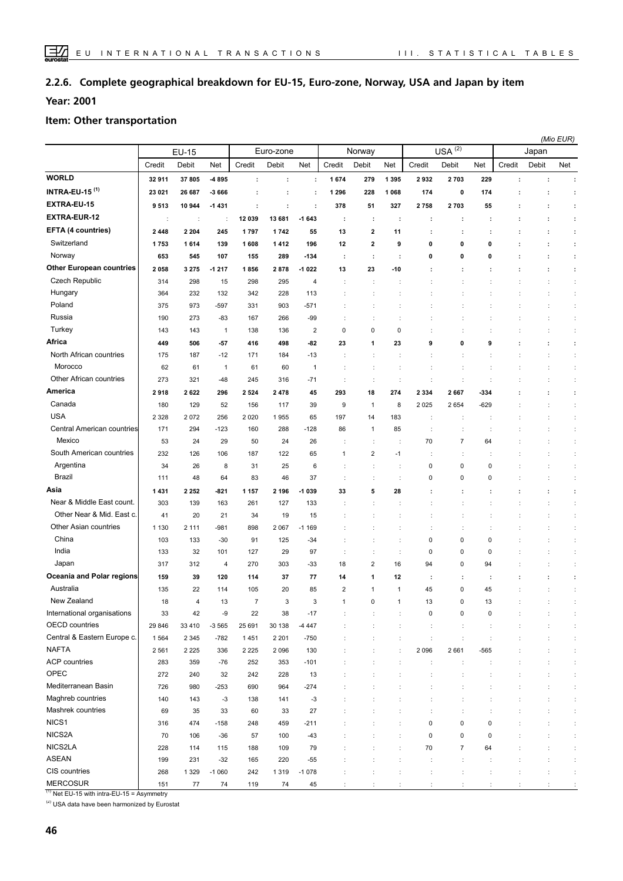#### **Complete geographical breakdown for EU-15, Euro-zone, Norway, USA and Japan by item 2.2.6.**

**Year: 2001**

#### **Item: Other transportation**

|                                  |                      |                        |         |                |         |                |                      |                      |                      |           |                      |                      | (Mio EUR) |       |                      |  |
|----------------------------------|----------------------|------------------------|---------|----------------|---------|----------------|----------------------|----------------------|----------------------|-----------|----------------------|----------------------|-----------|-------|----------------------|--|
|                                  | <b>EU-15</b>         |                        |         | Euro-zone      |         |                | Norway               |                      |                      |           | $USA^{(2)}$          |                      | Japan     |       |                      |  |
|                                  | Credit               | Debit                  | Net     | Credit         | Debit   | Net            | Credit               | Debit                | Net                  | Credit    | Debit                | Net                  | Credit    | Debit | Net                  |  |
| <b>WORLD</b>                     | 32 911               | 37 805                 | -4 895  | ÷              | ÷       | ÷              | 1674                 | 279                  | 1 3 9 5              | 2932      | 2703                 | 229                  | t         | ÷     | ÷                    |  |
| <b>INTRA-EU-15<sup>(1)</sup></b> | 23 021               | 26 687                 | -3 666  | ÷              | ÷       | ÷              | 1 2 9 6              | 228                  | 1068                 | 174       | 0                    | 174                  | ÷         | ÷     | ÷                    |  |
| EXTRA-EU-15                      | 9513                 | 10 944                 | $-1431$ | ÷              | ÷       | ÷              | 378                  | 51                   | 327                  | 2758      | 2703                 | 55                   |           | ÷     | ÷                    |  |
| <b>EXTRA-EUR-12</b>              | $\ddot{\phantom{a}}$ | ÷                      | ÷       | 12 039         | 13 681  | $-1643$        | ÷                    | ÷                    | ÷                    | ÷         | ÷                    | ÷                    |           | ÷     | ÷                    |  |
| EFTA (4 countries)               | 2448                 | 2 2 0 4                | 245     | 1797           | 1742    | 55             | 13                   | 2                    | 11                   |           | ÷                    | ÷                    | t         | ÷     | ÷                    |  |
| Switzerland                      | 1753                 | 1614                   | 139     | 1608           | 1412    | 196            | 12                   | $\mathbf{2}$         | 9                    | 0         | 0                    | 0                    |           | ÷     | ÷                    |  |
| Norway                           | 653                  | 545                    | 107     | 155            | 289     | $-134$         | ÷                    | $\ddot{\phantom{a}}$ | ÷                    | 0         | 0                    | 0                    |           | ÷     | ÷                    |  |
| <b>Other European countries</b>  | 2058                 | 3 2 7 5                | $-1217$ | 1856           | 2878    | $-1022$        | 13                   | 23                   | $-10$                |           | ÷                    |                      |           | ÷     | ÷                    |  |
| Czech Republic                   | 314                  | 298                    | 15      | 298            | 295     | 4              |                      |                      |                      |           |                      |                      |           |       | ÷                    |  |
| Hungary                          | 364                  | 232                    | 132     | 342            | 228     | 113            |                      | ÷                    |                      |           |                      |                      |           | ÷     | ÷                    |  |
| Poland                           | 375                  | 973                    | $-597$  | 331            | 903     | -571           |                      | ÷                    | ÷                    |           |                      |                      |           | ÷     | ÷.                   |  |
| Russia                           | 190                  | 273                    | $-83$   | 167            | 266     | $-99$          |                      | ÷                    |                      |           |                      |                      |           | ÷     | ÷                    |  |
| Turkey                           | 143                  | 143                    | 1       | 138            | 136     | $\overline{2}$ | 0                    | 0                    | 0                    |           |                      |                      |           | ÷     | ÷                    |  |
| Africa                           | 449                  | 506                    | $-57$   | 416            | 498     | $-82$          | 23                   | 1                    | 23                   | 9         | 0                    | 9                    | t         | ÷     | ÷                    |  |
| North African countries          | 175                  | 187                    | $-12$   | 171            | 184     | $-13$          | $\ddot{\phantom{a}}$ | ÷                    | ÷                    |           |                      |                      |           | ÷     | ÷                    |  |
| Morocco                          | 62                   | 61                     | 1       | 61             | 60      | $\overline{1}$ | $\ddot{\phantom{a}}$ | ÷                    | ÷                    |           |                      |                      |           |       | ÷                    |  |
| Other African countries          | 273                  | 321                    | $-48$   | 245            | 316     | -71            | ÷                    | ÷                    | ÷                    |           | ÷                    |                      |           | ÷     | ÷                    |  |
| <b>America</b>                   | 2918                 | 2622                   | 296     | 2 5 2 4        | 2478    | 45             | 293                  | 18                   | 274                  | 2 3 3 4   | 2667                 | -334                 |           | ÷     | $\ddot{\phantom{a}}$ |  |
| Canada                           | 180                  | 129                    | 52      | 156            | 117     | 39             | 9                    | $\mathbf{1}$         | 8                    | 2025      | 2654                 | -629                 |           |       | ÷                    |  |
| <b>USA</b>                       | 2 3 2 8              | 2072                   | 256     | 2 0 2 0        | 1955    | 65             | 197                  | 14                   | 183                  |           |                      |                      |           |       | ÷                    |  |
| Central American countries       | 171                  | 294                    | $-123$  | 160            | 288     | $-128$         | 86                   | $\mathbf{1}$         | 85                   |           | ÷                    |                      |           |       | ÷                    |  |
| Mexico                           | 53                   | 24                     | 29      | 50             | 24      | 26             |                      | $\ddot{\phantom{a}}$ | $\ddot{\cdot}$       | 70        | $\overline{7}$       | 64                   |           |       | ÷                    |  |
| South American countries         | 232                  | 126                    | 106     | 187            | 122     | 65             | 1                    | $\overline{2}$       | -1                   |           | t                    |                      |           |       | ÷                    |  |
| Argentina                        | 34                   | 26                     | 8       | 31             | 25      | 6              |                      |                      | $\ddot{\phantom{a}}$ | 0         | 0                    | $\mathbf 0$          |           |       | ÷                    |  |
| <b>Brazil</b>                    | 111                  | 48                     | 64      | 83             | 46      | 37             | ÷                    | ÷                    | ÷                    | 0         | 0                    | 0                    |           |       | ÷                    |  |
| Asia                             | 1431                 | 2 2 5 2                | -821    | 1 1 5 7        | 2 196   | -1 039         | 33                   | 5                    | 28                   |           | ÷                    |                      |           | ÷     | ÷                    |  |
| Near & Middle East count.        | 303                  | 139                    | 163     | 261            | 127     | 133            |                      |                      | t                    |           |                      |                      |           | ÷     | ÷                    |  |
| Other Near & Mid. East c.        | 41                   | 20                     | 21      | 34             | 19      | 15             |                      |                      |                      |           |                      |                      |           | ÷     | ÷                    |  |
| Other Asian countries            | 1 1 3 0              | 2 1 1 1                | $-981$  | 898            | 2 0 6 7 | $-1169$        |                      |                      | $\ddot{\phantom{a}}$ |           | t                    |                      |           | d     | ÷                    |  |
| China                            | 103                  | 133                    | $-30$   | 91             | 125     | -34            |                      | ÷                    | ÷                    | 0         | 0                    | $\mathbf 0$          |           | ÷     | $\ddot{\phantom{a}}$ |  |
| India                            | 133                  | 32                     | 101     | 127            | 29      | 97             | ÷                    | ÷                    | ÷                    | 0         | 0                    | 0                    |           | ÷     | $\ddot{\phantom{a}}$ |  |
| Japan                            | 317                  | 312                    | 4       | 270            | 303     | $-33$          | 18                   | $\overline{2}$       | 16                   | 94        | 0                    | 94                   |           | ÷     | ċ                    |  |
| Oceania and Polar regions        | 159                  | 39                     | 120     | 114            | 37      | 77             | 14                   | 1                    | 12                   | ÷         | ÷                    | ÷                    | t         | ÷     | ÷                    |  |
| Australia                        | 135                  | 22                     | 114     | 105            | 20      | 85             | $\overline{2}$       | 1                    | $\mathbf{1}$         | 45        | 0                    | 45                   |           | ÷     | ÷                    |  |
| New Zealand                      | 18                   | $\boldsymbol{\Lambda}$ | 13      | $\overline{7}$ | 3       | 3              | $\overline{1}$       | $\Omega$             | $\overline{1}$       | 13        | $\Omega$             | 13                   |           |       |                      |  |
| International organisations      | 33                   | 42                     | -9      | 22             | 38      | $-17$          |                      |                      | ÷                    | 0         | 0                    | 0                    |           |       | ÷                    |  |
| <b>OECD</b> countries            | 29 846               | 33 410                 | $-3565$ | 25 691         | 30 138  | $-4447$        |                      | ÷                    | ÷                    | ÷         | ÷                    | $\ddot{\phantom{a}}$ |           |       | ÷                    |  |
| Central & Eastern Europe c.      | 1564                 | 2 3 4 5                | $-782$  | 1451           | 2 2 0 1 | $-750$         |                      |                      | ÷                    | ÷         | $\ddot{\cdot}$       | $\ddot{\cdot}$       |           |       | ÷.                   |  |
| <b>NAFTA</b>                     | 2561                 | 2 2 2 5                | 336     | 2 2 2 5        | 2 0 9 6 | 130            |                      |                      | $\ddot{\phantom{a}}$ | 2096      | 2661                 | $-565$               |           |       | ÷.                   |  |
| <b>ACP</b> countries             | 283                  | 359                    | $-76$   | 252            | 353     | $-101$         |                      |                      | ÷                    | ÷         | t                    |                      |           |       | ÷.                   |  |
| OPEC                             | 272                  | 240                    | 32      | 242            | 228     | 13             |                      |                      |                      |           |                      |                      |           |       | ÷                    |  |
| Mediterranean Basin              | 726                  | 980                    | $-253$  | 690            | 964     | $-274$         |                      |                      |                      |           |                      |                      |           |       | ÷.                   |  |
| Maghreb countries                | 140                  | 143                    | $-3$    | 138            | 141     | $-3$           |                      |                      |                      |           |                      |                      |           |       | ÷.                   |  |
| Mashrek countries                | 69                   | 35                     | 33      | 60             | 33      | 27             |                      |                      |                      |           |                      |                      |           |       | ÷                    |  |
| NICS1                            | 316                  | 474                    | $-158$  | 248            | 459     | $-211$         |                      |                      |                      | 0         | 0                    | 0                    |           |       | ÷                    |  |
| NICS2A                           | 70                   | 106                    | $-36$   | 57             | 100     | $-43$          |                      |                      | ÷                    | $\pmb{0}$ | 0                    | 0                    |           |       | ÷                    |  |
| NICS2LA                          | 228                  | 114                    | 115     | 188            | 109     | 79             |                      |                      | ÷                    | 70        | $\overline{7}$       | 64                   |           | ÷     | ÷                    |  |
| <b>ASEAN</b>                     | 199                  | 231                    | $-32$   | 165            | 220     | $-55$          | $\ddot{\cdot}$       | ÷                    | ÷                    | ÷         | $\ddot{\phantom{a}}$ | ÷                    | ÷         | ÷     | ÷                    |  |
| CIS countries                    | 268                  | 1 3 2 9                | $-1060$ | 242            | 1 3 1 9 | $-1078$        | ÷                    | ÷                    | $\ddot{\phantom{a}}$ | t         | ÷                    | ÷                    | ÷         | ÷     | ÷                    |  |
| <b>MERCOSUR</b>                  | 151                  | 77                     | 74      | 119            | 74      | 45             |                      |                      |                      |           |                      |                      |           |       | ÷                    |  |

 $(1)$  Net EU-15 with intra-EU-15 = Asymmetry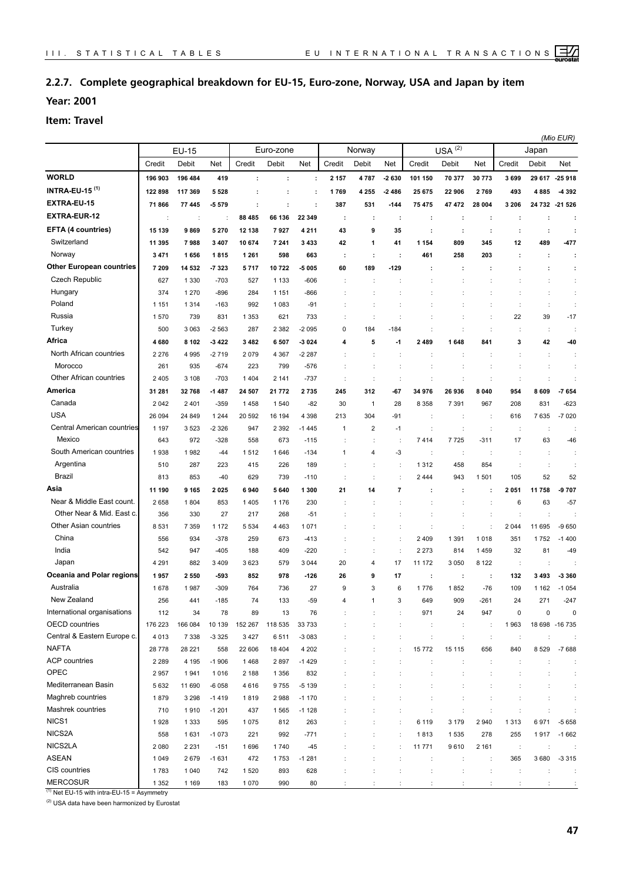## **2.2.7. Complete geographical breakdown for EU-15, Euro-zone, Norway, USA and Japan by item**

**Year: 2001**

**Item: Travel**

|                                  |              |         |         |           |         |          | (Mio EUR)    |                |        |                      |           |                      |              |                      |                |
|----------------------------------|--------------|---------|---------|-----------|---------|----------|--------------|----------------|--------|----------------------|-----------|----------------------|--------------|----------------------|----------------|
|                                  | <b>EU-15</b> |         |         | Euro-zone |         |          | Norway       |                |        |                      | USA $(2)$ |                      | Japan        |                      |                |
|                                  | Credit       | Debit   | Net     | Credit    | Debit   | Net      | Credit       | Debit          | Net    | Credit               | Debit     | Net                  | Credit       | Debit                | Net            |
| <b>WORLD</b>                     | 196 903      | 196 484 | 419     | ÷         | ÷       | ÷        | 2 1 5 7      | 4787           | -2 630 | 101 150              | 70 377    | 30 773               | 3699         | 29 617               | $-25918$       |
| <b>INTRA-EU-15<sup>(1)</sup></b> | 122 898      | 117 369 | 5 5 2 8 | ÷         | ÷       | ÷        | 1769         | 4 2 5 5        | -2486  | 25 675               | 22 906    | 2769                 | 493          | 4885                 | -4392          |
| EXTRA-EU-15                      | 71866        | 77 445  | -5579   | ÷         | ÷       | ÷        | 387          | 531            | -144   | 75 475               | 47 472    | 28 004               | 3 2 0 6      |                      | 24 732 21 526  |
| <b>EXTRA-EUR-12</b>              | ÷            | ÷       | ÷       | 88 485    | 66 136  | 22 349   | ÷            |                | ÷      | ÷                    | ÷         | ÷                    |              | ÷                    |                |
| <b>EFTA (4 countries)</b>        | 15 139       | 9869    | 5270    | 12 138    | 7927    | 4 2 1 1  | 43           | 9              | 35     | ÷                    | ÷         | ÷                    | ÷            | $\ddot{\phantom{a}}$ |                |
| Switzerland                      | 11 395       | 7988    | 3 4 0 7 | 10 674    | 7 241   | 3433     | 42           | 1              | 41     | 1 1 5 4              | 809       | 345                  | 12           | 489                  | $-477$         |
| Norway                           | 3 4 7 1      | 1656    | 1815    | 1 2 6 1   | 598     | 663      | ÷            | ÷              | ÷      | 461                  | 258       | 203                  | $\cdot$      | ÷                    | ÷              |
| <b>Other European countries</b>  | 7 209        | 14 532  | -7323   | 5717      | 10722   | -5 005   | 60           | 189            | $-129$ |                      |           | ÷                    |              | ÷                    | ÷              |
| <b>Czech Republic</b>            | 627          | 1 3 3 0 | $-703$  | 527       | 1 1 3 3 | $-606$   |              |                |        |                      |           |                      |              | $\ddot{\cdot}$       | ÷              |
| Hungary                          | 374          | 1 2 7 0 | $-896$  | 284       | 1 1 5 1 | $-866$   |              |                |        |                      |           |                      |              | $\ddot{\cdot}$       | ÷              |
| Poland                           | 1 1 5 1      | 1 3 1 4 | $-163$  | 992       | 1 0 8 3 | $-91$    |              |                |        |                      |           |                      |              | ÷                    | ÷              |
| Russia                           | 1570         | 739     | 831     | 1 3 5 3   | 621     | 733      |              | ÷              |        |                      |           | $\ddot{\phantom{a}}$ | 22           | 39                   | $-17$          |
| Turkey                           | 500          | 3 0 6 3 | $-2563$ | 287       | 2 3 8 2 | $-2095$  | 0            | 184            | -184   | ÷                    | ÷         | ÷                    | ÷            | $\ddot{\phantom{a}}$ |                |
| Africa                           | 4680         | 8 1 0 2 | $-3422$ | 3482      | 6 5 0 7 | -3 0 2 4 | 4            | 5              | $-1$   | 2489                 | 1648      | 841                  | 3            | 42                   | -40            |
| North African countries          | 2 2 7 6      | 4995    | $-2719$ | 2079      | 4 3 6 7 | -2 287   | ÷            | ÷              | ÷      | ÷                    | ÷         | ÷                    | ÷            | $\ddot{\phantom{a}}$ | ÷              |
| Morocco                          | 261          | 935     | $-674$  | 223       | 799     | $-576$   |              | ÷              |        |                      |           | $\ddot{\phantom{a}}$ |              | $\ddot{\phantom{a}}$ | ÷              |
| Other African countries          | 2 4 0 5      | 3 1 0 8 | $-703$  | 1 4 0 4   | 2 1 4 1 | $-737$   |              | t              | ÷      | ÷                    |           |                      | ÷            | $\ddot{\phantom{a}}$ |                |
| America                          | 31 281       | 32768   | $-1487$ | 24 507    | 21 772  | 2735     | 245          | 312            | -67    | 34 976               | 26 936    | 8 0 4 0              | 954          | 8 609                | 7654           |
| Canada                           | 2042         | 2 4 0 1 | $-359$  | 1458      | 1 540   | $-82$    | 30           | $\mathbf{1}$   | 28     | 8 3 5 8              | 7 3 9 1   | 967                  | 208          | 831                  | $-623$         |
| <b>USA</b>                       | 26 094       | 24 849  | 1 2 4 4 | 20 592    | 16 194  | 4 3 9 8  | 213          | 304            | $-91$  |                      | ÷         | $\ddot{\phantom{a}}$ | 616          | 7635                 | $-7020$        |
| Central American countries       | 1 1 9 7      | 3523    | $-2326$ | 947       | 2 3 9 2 | -1445    | $\mathbf{1}$ | $\overline{2}$ | $-1$   | ÷                    | ÷         | ÷                    | ÷            | ÷                    | ÷              |
| Mexico                           | 643          | 972     | $-328$  | 558       | 673     | $-115$   |              | ÷              | ÷      | 7414                 | 7725      | $-311$               | 17           | 63                   | $-46$          |
| South American countries         | 1938         | 1982    | -44     | 1512      | 1646    | $-134$   | 1            | $\overline{4}$ | -3     | ÷                    | ÷         | $\ddot{\phantom{a}}$ | ÷            | ÷                    | ÷              |
| Argentina                        | 510          | 287     | 223     | 415       | 226     | 189      |              |                |        | 1312                 | 458       | 854                  |              | ÷                    | ÷              |
| Brazil                           | 813          | 853     | $-40$   | 629       | 739     | $-110$   |              |                |        | 2444                 | 943       | 1501                 | 105          | 52                   | 52             |
| Asia                             | 11 190       | 9 1 6 5 | 2025    | 6940      | 5 640   | 1 300    | 21           | 14             | 7      |                      |           | ÷                    | 2051         | 11758                | -9 707         |
| Near & Middle East count.        | 2658         | 1804    | 853     | 1 4 0 5   | 1 1 7 6 | 230      |              |                |        |                      |           | $\ddot{\phantom{a}}$ | 6            | 63                   | $-57$          |
| Other Near & Mid. East c.        | 356          | 330     | 27      | 217       | 268     | $-51$    |              |                |        |                      |           |                      | ÷            | ÷                    |                |
| Other Asian countries            | 8531         | 7 3 5 9 | 1 1 7 2 | 5 5 3 4   | 4 4 6 3 | 1071     |              |                |        |                      |           |                      | 2044         | 11 695               | $-9650$        |
| China                            | 556          | 934     | $-378$  | 259       | 673     | $-413$   |              |                |        | 2 4 0 9              | 1 3 9 1   | 1018                 | 351          | 1752                 | $-1400$        |
| India                            | 542          | 947     | $-405$  | 188       | 409     | $-220$   |              | t              | ÷      | 2 2 7 3              | 814       | 1459                 | 32           | 81                   | -49            |
| Japan                            | 4 2 9 1      | 882     | 3 4 0 9 | 3 6 2 3   | 579     | 3 0 4 4  | 20           | 4              | 17     | 11 172               | 3 0 5 0   | 8 1 2 2              | ÷            | ÷                    |                |
| Oceania and Polar regions        | 1957         | 2550    | $-593$  | 852       | 978     | $-126$   | 26           | 9              | 17     | ÷                    | ÷         | ÷                    | 132          | 3493                 | -3 360         |
| Australia                        | 1678         | 1987    | $-309$  | 764       | 736     | 27       | 9            | 3              | 6      | 1776                 | 1852      | $-76$                | 109          | 1 1 6 2              | $-1054$        |
| New Zealand                      | 256          | 441     | -185    | 74        | 133     | -59      |              |                | 3      | 649                  | 909       | -261                 | 24           | 271                  | -247           |
| International organisations      | 112          | 34      | 78      | 89        | 13      | 76       |              |                |        | 971                  | 24        | 947                  | $\mathbf 0$  | 0                    | $\mathbf 0$    |
| <b>OECD</b> countries            | 176 223      | 166 084 | 10 139  | 152 267   | 118 535 | 33 733   |              |                | ÷      | ÷                    | ÷         | ÷                    | 1963         |                      | 18 698 -16 735 |
| Central & Eastern Europe c.      | 4 0 1 3      | 7 3 3 8 | $-3325$ | 3427      | 6511    | $-3083$  |              | t              | ÷      | $\ddot{\phantom{a}}$ | ÷         | $\cdot$              | ÷            | ÷                    |                |
| <b>NAFTA</b>                     | 28 7 78      | 28 221  | 558     | 22 606    | 18 404  | 4 2 0 2  |              | ÷              | ÷      | 15772                | 15 115    | 656                  | 840          | 8529                 | $-7688$        |
| <b>ACP</b> countries             | 2 2 8 9      | 4 1 9 5 | $-1906$ | 1468      | 2897    | $-1429$  |              | t              |        | d                    | ÷         | ÷                    | ÷            | $\ddot{\phantom{a}}$ |                |
| OPEC                             | 2957         | 1941    | 1016    | 2 188     | 1 3 5 6 | 832      |              |                |        | $\ddot{\phantom{a}}$ | ÷         |                      | ÷            | $\ddot{\phantom{a}}$ | ÷              |
| Mediterranean Basin              | 5632         | 11 690  | $-6058$ | 4616      | 9755    | $-5139$  |              |                |        | t                    |           | ÷                    | ÷            | $\ddot{\phantom{a}}$ | ÷              |
| Maghreb countries                | 1879         | 3 2 9 8 | $-1419$ | 1819      | 2988    | $-1170$  |              | t              |        | ÷                    | ÷         | ÷                    | ÷            | $\ddot{\phantom{a}}$ | ÷              |
| Mashrek countries                | 710          | 1910    | $-1201$ | 437       | 1 5 6 5 | $-1128$  |              |                | ÷      | t                    | ÷         | ÷                    | ÷            | ÷                    | ÷              |
| NICS1                            | 1928         | 1 3 3 3 | 595     | 1 0 7 5   | 812     | 263      |              |                |        | 6 1 1 9              | 3 1 7 9   | 2940                 | 1313         | 6971                 | $-5658$        |
| NICS2A                           | 558          | 1631    | $-1073$ | 221       | 992     | $-771$   |              |                | ÷      | 1813                 | 1535      | 278                  | 255          | 1917                 | $-1662$        |
| NICS2LA                          | 2 0 8 0      | 2 2 3 1 | $-151$  | 1696      | 1740    | $-45$    |              | t              |        | 11771                | 9610      | 2 1 6 1              | $\mathbb{R}$ | $\ddot{\phantom{a}}$ |                |
| <b>ASEAN</b>                     | 1 0 4 9      | 2679    | $-1631$ | 472       | 1753    | $-1281$  |              | ÷              |        | $\ddot{\phantom{a}}$ | ÷         | ÷                    | 365          | 3680                 | $-3315$        |
| CIS countries                    | 1783         | 1 0 4 0 | 742     | 1 5 2 0   | 893     | 628      |              |                |        | t                    |           |                      | ÷            |                      |                |
| <b>MERCOSUR</b>                  | 1 3 5 2      | 1 1 6 9 | 183     | 1 0 7 0   | 990     | 80       |              |                |        |                      |           |                      |              |                      |                |

 $(1)$  Net EU-15 with intra-EU-15 = Asymmetry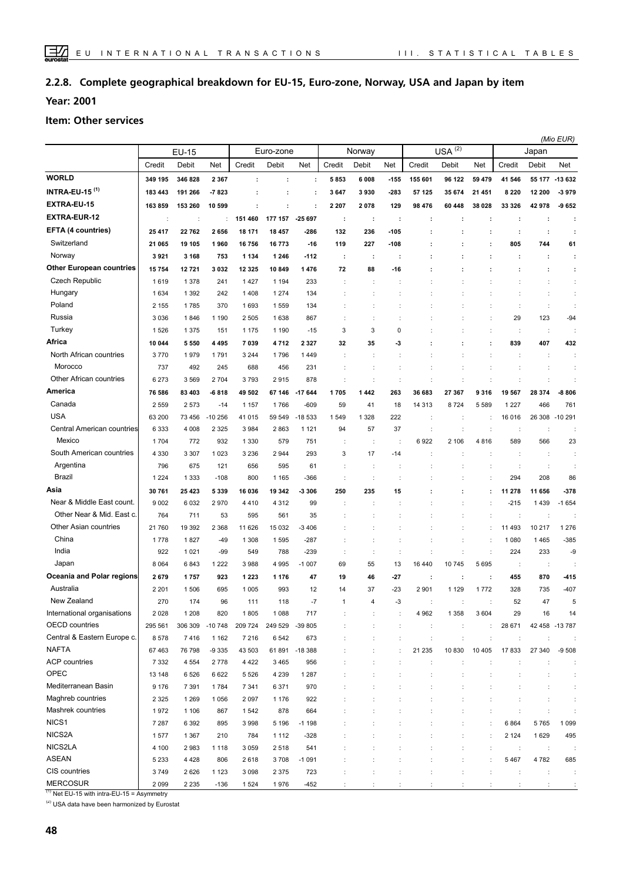#### **Complete geographical breakdown for EU-15, Euro-zone, Norway, USA and Japan by item 2.2.8.**

**Year: 2001**

#### **Item: Other services**

|                                 |         |                      |          |         |           |              |                |                        |                      |                      |             |                      |         | (Mio EUR) |                 |
|---------------------------------|---------|----------------------|----------|---------|-----------|--------------|----------------|------------------------|----------------------|----------------------|-------------|----------------------|---------|-----------|-----------------|
|                                 |         | <b>EU-15</b>         |          |         | Euro-zone |              |                | Norway                 |                      |                      | $USA^{(2)}$ |                      |         | Japan     |                 |
|                                 | Credit  | Debit                | Net      | Credit  | Debit     | Net          | Credit         | Debit                  | Net                  | Credit               | Debit       | Net                  | Credit  | Debit     | Net             |
| <b>WORLD</b>                    | 349 195 | 346 828              | 2 3 6 7  | ÷       | ÷         | ÷            | 5853           | 6008                   | $-155$               | 155 601              | 96 122      | 59 479               | 41 546  |           | 55 177 - 13 632 |
| <b>INTRA-EU-15 (1)</b>          | 183 443 | 191 266              | -7823    |         | ÷         | ÷            | 3647           | 3930                   | -283                 | 57 125               | 35 674      | 21 451               | 8 2 2 0 | 12 200    | -3979           |
| EXTRA-EU-15                     | 163859  | 153 260              | 10 599   | ÷       | ÷         | ÷            | 2 2 0 7        | 2078                   | 129                  | 98 476               | 60 448      | 38 028               | 33 326  | 42 978    | 9652            |
| <b>EXTRA-EUR-12</b>             | ÷       | $\ddot{\phantom{a}}$ |          | 151 460 | 177 157   | -25 697      | ÷              | ÷                      | ÷                    | ÷                    | ÷           | ÷                    | ÷       | ÷         | ÷               |
| EFTA (4 countries)              | 25 417  | 22762                | 2656     | 18 171  | 18 457    | -286         | 132            | 236                    | $-105$               |                      | ÷           | ÷                    | ÷       | ÷         | ÷               |
| Switzerland                     | 21 065  | 19 105               | 1960     | 16756   | 16773     | $-16$        | 119            | 227                    | -108                 |                      |             | ÷                    | 805     | 744       | 61              |
| Norway                          | 3921    | 3 1 6 8              | 753      | 1 1 3 4 | 1 2 4 6   | $-112$       | ÷              | ÷                      | ÷                    |                      |             |                      | ÷       | ÷         | ÷               |
| <b>Other European countries</b> | 15754   | 12721                | 3 0 3 2  | 12 3 25 | 10 849    | 1 4 7 6      | 72             | 88                     | $-16$                |                      |             |                      |         |           | ÷               |
| <b>Czech Republic</b>           | 1619    | 1 3 7 8              | 241      | 1427    | 1 1 9 4   | 233          |                |                        |                      |                      |             |                      |         | t         | ÷               |
| Hungary                         | 1634    | 1 3 9 2              | 242      | 1408    | 1 2 7 4   | 134          |                |                        |                      |                      |             |                      |         | ÷         | ÷               |
| Poland                          | 2 1 5 5 | 1785                 | 370      | 1693    | 1 5 5 9   | 134          |                |                        |                      |                      |             |                      | ÷       | ÷         | ÷               |
| Russia                          | 3 0 3 6 | 1846                 | 1 1 9 0  | 2 5 0 5 | 1 6 3 8   | 867          |                |                        |                      |                      |             |                      | 29      | 123       | $-94$           |
| Turkey                          | 1526    | 1375                 | 151      | 1 1 7 5 | 1 1 9 0   | $-15$        | 3              | 3                      | 0                    |                      |             | ÷                    | ÷       | ÷         |                 |
| Africa                          | 10 044  | 5550                 | 4 4 9 5  | 7039    | 4712      | 2 3 2 7      | 32             | 35                     | -3                   |                      |             | ÷                    | 839     | 407       | 432             |
| North African countries         | 3770    | 1979                 | 1791     | 3 2 4 4 | 1796      | 1449         | $\ddot{\cdot}$ |                        |                      |                      |             |                      | ÷       | ÷         |                 |
| Morocco                         | 737     | 492                  | 245      | 688     | 456       | 231          |                |                        |                      |                      |             |                      |         |           |                 |
| Other African countries         | 6 2 7 3 | 3569                 | 2 7 0 4  | 3793    | 2915      | 878          | ÷              | ÷                      | ÷                    |                      |             |                      |         |           |                 |
| America                         | 76 586  | 83 403               | $-6818$  | 49 502  | 67 146    | -17 644      | 1705           | 1442                   | 263                  | 36 683               | 27 367      | 9316                 | 19 567  | 28 374    | $-8806$         |
| Canada                          | 2 5 5 9 | 2573                 | $-14$    | 1 1 5 7 | 1766      | $-609$       | 59             | 41                     | 18                   | 14 313               | 8724        | 5 5 8 9              | 1 2 2 7 | 466       | 761             |
| <b>USA</b>                      | 63 200  | 73 456               | $-10256$ | 41 015  | 59 549    | -18 533      | 1549           | 1 3 2 8                | 222                  | ÷                    |             |                      | 16 016  | 26 308    | $-10291$        |
| Central American countries      | 6 3 3 3 | 4 0 0 8              | 2 3 2 5  | 3984    | 2 8 6 3   | 1 1 2 1      | 94             | 57                     | 37                   |                      |             | ÷                    | ÷       |           |                 |
| Mexico                          | 1704    | 772                  | 932      | 1 3 3 0 | 579       | 751          |                |                        | d                    | 6922                 | 2 106       | 4816                 | 589     | 566       | 23              |
| South American countries        | 4 3 3 0 | 3 3 0 7              | 1 0 2 3  | 3 2 3 6 | 2 9 4 4   | 293          | 3              | 17                     | $-14$                |                      |             |                      |         | ÷         | ÷               |
| Argentina                       | 796     | 675                  | 121      | 656     | 595       | 61           | ÷              |                        |                      |                      |             |                      | ÷       | ÷         |                 |
| Brazil                          | 1 2 2 4 | 1 3 3 3              | $-108$   | 800     | 1 1 6 5   | -366         | $\ddot{\cdot}$ | ÷                      | d                    |                      |             | t                    | 294     | 208       | 86              |
| Asia                            | 30 761  | 25 4 23              | 5339     | 16 036  | 19 342    | -3 306       | 250            | 235                    | 15                   |                      |             | ÷                    | 11 278  | 11 656    | $-378$          |
| Near & Middle East count.       | 9 0 0 2 | 6032                 | 2970     | 4410    | 4 3 1 2   | 99           |                |                        |                      |                      |             |                      | $-215$  | 1439      | $-1654$         |
| Other Near & Mid. East c.       | 764     | 711                  | 53       | 595     | 561       | 35           |                |                        |                      |                      |             | $\ddot{\cdot}$       | ÷       | ÷         |                 |
| Other Asian countries           | 21 760  | 19 3 9 2             | 2 3 6 8  | 11 626  | 15 032    | -3406        |                |                        |                      |                      |             | $\ddot{\cdot}$       | 11 493  | 10 217    | 1 2 7 6         |
| China                           | 1778    | 1827                 | $-49$    | 1 3 0 8 | 1 5 9 5   | $-287$       | ÷              |                        |                      |                      |             | $\ddot{\phantom{a}}$ | 1 0 8 0 | 1465      | $-385$          |
| India                           | 922     | 1 0 2 1              | $-99$    | 549     | 788       | $-239$       | ÷              | ÷                      | ÷                    | ÷                    | ÷           | $\ddot{\phantom{a}}$ | 224     | 233       | -9              |
| Japan                           | 8 0 6 4 | 6843                 | 1 2 2 2  | 3988    | 4 9 9 5   | $-1007$      | 69             | 55                     | 13                   | 16 440               | 10745       | 5695                 | ÷       | ÷         |                 |
| Oceania and Polar regions       | 2679    | 1757                 | 923      | 1 2 2 3 | 1 1 7 6   | 47           | 19             | 46                     | $-27$                | ÷                    | ÷           | ÷                    | 455     | 870       | -415            |
| Australia                       | 2 2 0 1 | 1506                 | 695      | 1 0 0 5 | 993       | 12           | 14             | 37                     | $-23$                | 2 9 0 1              | 1 1 2 9     | 1772                 | 328     | 735       | $-407$          |
| New Zealand                     | 270     | 174                  | 96       | 111     | 118       | $-7$         | 1              | $\boldsymbol{\Lambda}$ | -3                   |                      |             |                      | 52      | 47        | 5               |
| International organisations     | 2028    | 1 2 0 8              | 820      | 1805    | 1 0 8 8   | 717          |                |                        |                      | 4 9 6 2              | 1 3 5 8     | 3 6 0 4              | 29      | 16        | 14              |
| <b>OECD</b> countries           | 295 561 | 306 309              | $-10748$ | 209 724 | 249 529   | -39 805      |                |                        | $\ddot{\phantom{a}}$ | $\ddot{\phantom{a}}$ | ÷           | ÷                    | 28 671  |           | 42 458 -13 787  |
| Central & Eastern Europe c.     | 8578    | 7416                 | 1 1 6 2  | 7 2 1 6 | 6 5 4 2   | 673          |                |                        | ÷                    | ÷                    | ÷           | $\ddot{\cdot}$       | ÷       | ÷         |                 |
| <b>NAFTA</b>                    | 67 463  | 76 798               | $-9335$  | 43 503  |           | 61891 -18388 |                |                        |                      | 21 235               | 10 830      | 10 4 05              | 17833   | 27 340    | $-9508$         |
| <b>ACP</b> countries            | 7 3 3 2 | 4 5 5 4              | 2778     | 4 4 2 2 | 3 4 6 5   | 956          |                |                        |                      |                      |             |                      |         |           | ÷               |
| OPEC                            | 13 148  | 6526                 | 6622     | 5 5 2 6 | 4 2 3 9   | 1 2 8 7      |                |                        |                      |                      |             |                      |         |           |                 |
| Mediterranean Basin             | 9 1 7 6 | 7 3 9 1              | 1784     | 7 3 4 1 | 6 3 7 1   | 970          |                |                        |                      |                      |             |                      |         |           |                 |
| Maghreb countries               | 2 3 2 5 | 1 2 6 9              | 1 0 5 6  | 2 0 9 7 | 1 1 7 6   | 922          |                |                        |                      |                      |             |                      |         |           |                 |
| Mashrek countries               | 1972    | 1 1 0 6              | 867      | 1542    | 878       | 664          |                |                        |                      |                      |             |                      |         |           |                 |
| NICS <sub>1</sub>               | 7 2 8 7 | 6 3 9 2              | 895      | 3998    | 5 1 9 6   | $-1198$      |                |                        |                      |                      |             | $\ddot{\phantom{a}}$ | 6864    | 5765      | 1 0 9 9         |
| NICS2A                          | 1577    | 1 3 6 7              | 210      | 784     | 1 1 1 2   | $-328$       |                |                        |                      |                      |             | $\ddot{\phantom{a}}$ | 2 1 2 4 | 1629      | 495             |
| NICS2LA                         | 4 100   | 2983                 | 1 1 1 8  | 3 0 5 9 | 2 5 1 8   | 541          |                |                        |                      |                      |             | $\ddot{\phantom{a}}$ | ÷       | $\cdot$   |                 |
| <b>ASEAN</b>                    | 5 2 3 3 | 4 4 2 8              | 806      | 2618    | 3708      | $-1091$      |                |                        | t                    |                      |             | $\ddot{\phantom{a}}$ | 5 4 6 7 | 4782      | 685             |
| CIS countries                   | 3749    | 2626                 | 1 1 2 3  | 3 0 9 8 | 2 3 7 5   | 723          | ÷              |                        | ÷                    |                      | ÷           | $\ddot{\phantom{a}}$ | ÷       | ÷         | ÷               |
| <b>MERCOSUR</b>                 | 2099    | 2 2 3 5              | $-136$   | 1 5 2 4 | 1976      | $-452$       |                |                        |                      |                      |             |                      |         | ÷         |                 |

 $(1)$  Net EU-15 with intra-EU-15 = Asymmetry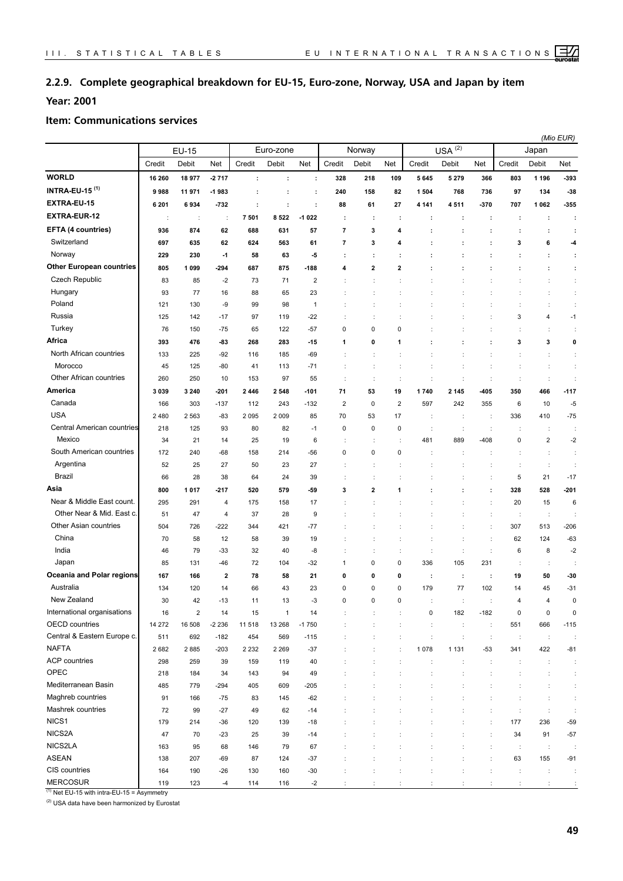## **2.2.9. Complete geographical breakdown for EU-15, Euro-zone, Norway, USA and Japan by item**

## **Year: 2001**

#### **Item: Communications services**

|                                  |         |            |         |                      |              |                         |                          |             |                      |                      |                |                      |                      |                         | (Mio EUR)            |
|----------------------------------|---------|------------|---------|----------------------|--------------|-------------------------|--------------------------|-------------|----------------------|----------------------|----------------|----------------------|----------------------|-------------------------|----------------------|
|                                  |         | EU-15      |         |                      | Euro-zone    |                         |                          | Norway      |                      |                      | $USA^{(2)}$    |                      |                      | Japan                   |                      |
|                                  | Credit  | Debit      | Net     | Credit               | Debit        | Net                     | Credit                   | Debit       | Net                  | Credit               | Debit          | Net                  | Credit               | Debit                   | Net                  |
| <b>WORLD</b>                     | 16 260  | 18 977     | $-2717$ | $\ddot{\phantom{a}}$ | ÷            | ÷                       | 328                      | 218         | 109                  | 5645                 | 5 2 7 9        | 366                  | 803                  | 1 1 9 6                 | -393                 |
| <b>INTRA-EU-15<sup>(1)</sup></b> | 9988    | 11971      | -1983   | ÷                    | ÷            | ÷                       | 240                      | 158         | 82                   | 1 504                | 768            | 736                  | 97                   | 134                     | $-38$                |
| EXTRA-EU-15                      | 6 201   | 6934       | $-732$  | ÷                    | ÷            | ÷                       | 88                       | 61          | 27                   | 4 1 4 1              | 4511           | -370                 | 707                  | 1 0 6 2                 | -355                 |
| <b>EXTRA-EUR-12</b>              | ÷       | ÷          | ÷       | 7 501                | 8522         | $-1022$                 | ÷                        | ÷           | ÷                    | ÷                    | ÷              | ÷                    | ÷                    | ÷                       | ÷                    |
| EFTA (4 countries)               | 936     | 874        | 62      | 688                  | 631          | 57                      | $\overline{\phantom{a}}$ | 3           | 4                    |                      |                | ÷                    | ÷                    | ÷                       | ÷                    |
| Switzerland                      | 697     | 635        | 62      | 624                  | 563          | 61                      | $\overline{\phantom{a}}$ | 3           | 4                    | ÷                    |                | ÷                    | 3                    | 6                       | -4                   |
| Norway                           | 229     | 230        | $-1$    | 58                   | 63           | -5                      | ÷                        | ÷           | ÷                    |                      |                | ÷                    | $\cdot$              | ÷                       | ÷                    |
| <b>Other European countries</b>  | 805     | 1 0 9 9    | $-294$  | 687                  | 875          | $-188$                  | 4                        | 2           | 2                    |                      |                | ÷                    |                      | ÷                       | ÷                    |
| Czech Republic                   | 83      | 85         | $-2$    | 73                   | 71           | $\overline{\mathbf{c}}$ |                          |             |                      |                      |                |                      |                      | $\ddot{\cdot}$          | ÷                    |
| Hungary                          | 93      | 77         | 16      | 88                   | 65           | 23                      |                          |             |                      |                      |                |                      |                      | $\ddot{\phantom{a}}$    | ÷                    |
| Poland                           | 121     | 130        | -9      | 99                   | 98           | 1                       |                          | ÷           |                      |                      |                |                      | ÷                    | $\ddot{\phantom{a}}$    | ÷                    |
| Russia                           | 125     | 142        | $-17$   | 97                   | 119          | $-22$                   |                          |             |                      |                      |                |                      | 3                    | 4                       | $-1$                 |
| Turkey                           | 76      | 150        | $-75$   | 65                   | 122          | $-57$                   | 0                        | 0           | 0                    |                      |                |                      |                      | $\ddot{\phantom{a}}$    | ÷                    |
| Africa                           | 393     | 476        | -83     | 268                  | 283          | $-15$                   | 1                        | 0           | 1                    |                      |                | ÷                    | 3                    | 3                       | 0                    |
| North African countries          | 133     | 225        | $-92$   | 116                  | 185          | $-69$                   |                          | ÷           |                      |                      |                |                      |                      | $\ddot{\phantom{a}}$    | ÷                    |
| Morocco                          | 45      | 125        | -80     | 41                   | 113          | $-71$                   |                          | ÷           |                      |                      | ÷              |                      | ÷                    | $\ddot{\cdot}$          | ÷                    |
| Other African countries          | 260     | 250        | 10      | 153                  | 97           | 55                      | ÷                        | ÷           | ÷                    | ÷                    | ÷              | ÷                    | ÷                    | $\ddot{\phantom{a}}$    | ÷                    |
| America                          | 3 0 3 9 | 3 2 4 0    | $-201$  | 2446                 | 2 5 4 8      | $-101$                  | 71                       | 53          | 19                   | 1740                 | 2 1 4 5        | -405                 | 350                  | 466                     | $-117$               |
| Canada                           | 166     | 303        | $-137$  | 112                  | 243          | $-132$                  | $\overline{\mathbf{c}}$  | 0           | $\overline{2}$       | 597                  | 242            | 355                  | 6                    | 10                      | $-5$                 |
| <b>USA</b>                       | 2480    | 2 5 6 3    | -83     | 2 0 9 5              | 2 0 0 9      | 85                      | 70                       | 53          | 17                   | ÷                    | ÷              | ÷                    | 336                  | 410                     | $-75$                |
| Central American countries       | 218     | 125        | 93      | 80                   | 82           | $-1$                    | $\pmb{0}$                | $\mathbf 0$ | $\mathbf 0$          | $\ddot{\cdot}$       | ÷              | $\ddot{\phantom{a}}$ | ÷                    | $\ddot{\phantom{a}}$    | ÷                    |
| Mexico                           | 34      | 21         | 14      | 25                   | 19           | 6                       |                          | t           |                      | 481                  | 889            | $-408$               | 0                    | $\overline{\mathbf{c}}$ | $-2$                 |
| South American countries         | 172     | 240        | -68     | 158                  | 214          | -56                     | 0                        | 0           | 0                    |                      |                |                      |                      | $\ddot{\phantom{a}}$    | ÷                    |
| Argentina                        | 52      | 25         | 27      | 50                   | 23           | 27                      |                          |             |                      |                      |                |                      | ÷                    | $\ddot{\phantom{a}}$    | ÷                    |
| Brazil                           | 66      | 28         | 38      | 64                   | 24           | 39                      |                          |             |                      |                      |                |                      | 5                    | 21                      | $-17$                |
| Asia                             | 800     | 1017       | $-217$  | 520                  | 579          | -59                     | 3                        | 2           |                      |                      |                | ÷                    | 328                  | 528                     | $-201$               |
| Near & Middle East count.        | 295     | 291        | 4       | 175                  | 158          | 17                      |                          |             |                      |                      |                |                      | 20                   | 15                      | 6                    |
| Other Near & Mid. East c.        | 51      | 47         | 4       | 37                   | 28           | 9                       |                          |             |                      |                      |                |                      | ÷                    | $\ddot{\phantom{a}}$    |                      |
| Other Asian countries            | 504     | 726        | $-222$  | 344                  | 421          | $-77$                   |                          |             |                      |                      |                |                      | 307                  | 513                     | $-206$               |
| China                            | 70      | 58         | 12      | 58                   | 39           | 19                      |                          | ÷           |                      | t                    | $\ddot{\cdot}$ | $\ddot{\phantom{a}}$ | 62                   | 124                     | $-63$                |
| India                            | 46      | 79         | $-33$   | 32                   | 40           | -8                      |                          | ÷           | $\ddot{\phantom{a}}$ | $\ddot{\phantom{a}}$ | ÷              | $\ddot{\phantom{a}}$ | 6                    | 8                       | $-2$                 |
| Japan                            | 85      | 131        | $-46$   | 72                   | 104          | $-32$                   | 1                        | 0           | $\mathsf 0$          | 336                  | 105            | 231                  | ÷                    | $\ddot{\phantom{a}}$    | ÷                    |
| Oceania and Polar regions        | 167     | 166        | 2       | 78                   | 58           | 21                      | 0                        | 0           | 0                    | ÷                    | ÷              | ÷                    | 19                   | 50                      | -30                  |
| Australia                        | 134     | 120        | 14      | 66                   | 43           | 23                      | 0                        | $\mathbf 0$ | $\mathsf 0$          | 179                  | 77             | 102                  | 14                   | 45                      | $-31$                |
| New Zealand                      | 30      | 42         | $-13$   | 11                   | 13           | -3                      |                          |             |                      |                      |                |                      |                      |                         |                      |
| International organisations      | 16      | $\sqrt{2}$ | 14      | 15                   | $\mathbf{1}$ | 14                      |                          |             |                      | 0                    | 182            | $-182$               | $\pmb{0}$            | 0                       | $\mathbf 0$          |
| OECD countries                   | 14 27 2 | 16 508     | $-2236$ | 11 518               | 13 268       | $-1750$                 |                          | ÷           | ÷                    | $\ddot{\cdot}$       | ÷              | ÷                    | 551                  | 666                     | $-115$               |
| Central & Eastern Europe c.      | 511     | 692        | $-182$  | 454                  | 569          | $-115$                  |                          | ÷           | ÷                    | þ                    | ÷              | $\ddot{\phantom{a}}$ | $\ddot{\phantom{a}}$ | $\ddot{\phantom{a}}$    | ÷                    |
| <b>NAFTA</b>                     | 2682    | 2885       | $-203$  | 2 2 3 2              | 2 2 6 9      | $-37$                   |                          |             |                      | 1078                 | 1 1 3 1        | $-53$                | 341                  | 422                     | $-81$                |
| <b>ACP</b> countries             | 298     | 259        | 39      | 159                  | 119          | 40                      |                          | ÷           |                      | ÷                    | ÷              | ÷                    | ÷                    | $\ddot{\cdot}$          | $\ddot{\cdot}$       |
| OPEC                             | 218     | 184        | 34      | 143                  | 94           | 49                      |                          | ÷           |                      | $\ddot{\cdot}$       | ÷              | ÷                    | ÷                    | ÷                       | ÷                    |
| Mediterranean Basin              | 485     | 779        | $-294$  | 405                  | 609          | $-205$                  |                          |             |                      |                      |                |                      |                      | $\ddot{\phantom{a}}$    | $\ddot{\phantom{a}}$ |
| Maghreb countries                | 91      | 166        | $-75$   | 83                   | 145          | $-62$                   |                          |             |                      |                      |                |                      |                      | $\ddot{\phantom{a}}$    | $\ddot{\cdot}$       |
| Mashrek countries                | 72      | 99         | $-27$   | 49                   | 62           | $-14$                   |                          |             |                      |                      |                |                      | ÷                    | $\ddot{\phantom{a}}$    | $\ddot{\cdot}$       |
| NICS1                            | 179     | 214        | $-36$   | 120                  | 139          | $-18$                   |                          |             |                      |                      |                |                      | 177                  | 236                     | $-59$                |
| NICS2A                           | 47      | 70         | $-23$   | 25                   | 39           | $-14$                   |                          |             |                      |                      |                |                      | 34                   | 91                      | $-57$                |
| NICS2LA                          | 163     | 95         | 68      | 146                  | 79           | 67                      |                          |             |                      |                      |                |                      | ÷                    | $\ddot{\phantom{a}}$    | ÷                    |
| <b>ASEAN</b>                     | 138     | 207        | $-69$   | 87                   | 124          | $-37$                   |                          |             |                      |                      |                |                      | 63                   | 155                     | $-91$                |
| CIS countries                    | 164     | 190        | $-26$   | 130                  | 160          | $-30$                   |                          |             |                      |                      |                |                      | ÷                    | $\ddot{\phantom{a}}$    | $\ddot{\cdot}$       |
| MERCOSUR                         | 119     | 123        | $-4$    | 114                  | 116          | $-2$                    |                          |             |                      |                      |                |                      |                      |                         | ÷                    |

 $(1)$  Net EU-15 with intra-EU-15 = Asymmetry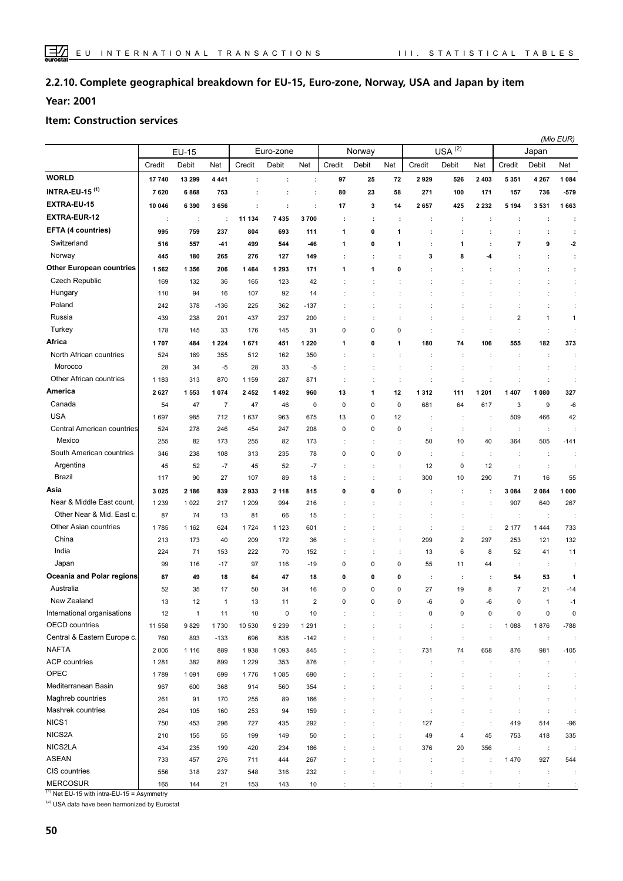#### **Complete geographical breakdown for EU-15, Euro-zone, Norway, USA and Japan by item 2.2.10.**

**Year: 2001**

#### **Item: Construction services**

|                                  |                      |                      |                |         |           |                |           |                      |             |                      |                         |                      |                      | (Mio EUR)            |                      |
|----------------------------------|----------------------|----------------------|----------------|---------|-----------|----------------|-----------|----------------------|-------------|----------------------|-------------------------|----------------------|----------------------|----------------------|----------------------|
|                                  |                      | <b>EU-15</b>         |                |         | Euro-zone |                |           | Norway               |             |                      | $USA^{(2)}$             |                      |                      | Japan                |                      |
|                                  | Credit               | Debit                | Net            | Credit  | Debit     | Net            | Credit    | Debit                | Net         | Credit               | Debit                   | Net                  | Credit               | Debit                | Net                  |
| <b>WORLD</b>                     | 17740                | 13 299               | 4 4 4 1        | ÷       | ÷         | ÷              | 97        | 25                   | 72          | 2929                 | 526                     | 2 4 0 3              | 5 3 5 1              | 4 2 6 7              | 1 0 8 4              |
| <b>INTRA-EU-15<sup>(1)</sup></b> | 7620                 | 6868                 | 753            | ÷       | ÷         | ÷              | 80        | 23                   | 58          | 271                  | 100                     | 171                  | 157                  | 736                  | $-579$               |
| EXTRA-EU-15                      | 10 046               | 6 3 9 0              | 3656           | ÷       | ÷         | ÷              | 17        | 3                    | 14          | 2657                 | 425                     | 2 2 3 2              | 5 1 9 4              | 3531                 | 1663                 |
| EXTRA-EUR-12                     | $\ddot{\phantom{a}}$ | $\ddot{\phantom{a}}$ | ÷              | 11 134  | 7 4 3 5   | 3700           | ÷         | ÷                    | ÷           | ÷                    | ÷                       | ÷                    |                      | ÷                    | ÷                    |
| EFTA (4 countries)               | 995                  | 759                  | 237            | 804     | 693       | 111            | 1         | 0                    | 1           | ÷                    | ÷                       | ÷                    | ÷                    | ÷                    | ÷                    |
| Switzerland                      | 516                  | 557                  | -41            | 499     | 544       | -46            | 1         | 0                    | 1           |                      | 1                       | $\ddot{\phantom{a}}$ | 7                    | 9                    | $-2$                 |
| Norway                           | 445                  | 180                  | 265            | 276     | 127       | 149            |           | ÷                    | ÷           | 3                    | 8                       | -4                   |                      | ÷                    | ÷                    |
| <b>Other European countries</b>  | 1562                 | 1 3 5 6              | 206            | 1464    | 1 2 9 3   | 171            | 1         | 1                    | 0           |                      |                         |                      |                      | ÷                    | ÷                    |
| <b>Czech Republic</b>            | 169                  | 132                  | 36             | 165     | 123       | 42             |           |                      |             |                      |                         |                      |                      | t                    | ÷                    |
| Hungary                          | 110                  | 94                   | 16             | 107     | 92        | 14             |           |                      |             |                      |                         |                      |                      |                      | ÷                    |
| Poland                           | 242                  | 378                  | $-136$         | 225     | 362       | $-137$         |           | t                    |             |                      | t                       |                      | ÷                    | ÷                    | ÷                    |
| Russia                           | 439                  | 238                  | 201            | 437     | 237       | 200            |           |                      |             |                      | ÷                       |                      | 2                    | $\mathbf{1}$         | $\mathbf{1}$         |
| Turkey                           | 178                  | 145                  | 33             | 176     | 145       | 31             | 0         | 0                    | $\pmb{0}$   |                      | $\ddot{\cdot}$          | $\ddot{\phantom{a}}$ | $\ddot{\cdot}$       | ÷                    | ÷                    |
| Africa                           | 1707                 | 484                  | 1 2 2 4        | 1671    | 451       | 1 2 2 0        | 1         | 0                    | 1           | 180                  | 74                      | 106                  | 555                  | 182                  | 373                  |
| North African countries          | 524                  | 169                  | 355            | 512     | 162       | 350            |           | $\ddot{\cdot}$       |             | ÷                    | ÷                       | ÷                    | ÷                    | t                    | ÷                    |
| Morocco                          | 28                   | 34                   | $-5$           | 28      | 33        | -5             |           | $\ddot{\phantom{a}}$ |             |                      |                         |                      |                      | ÷                    | ÷                    |
| Other African countries          | 1 1 8 3              | 313                  | 870            | 1 1 5 9 | 287       | 871            |           | ÷                    | ÷           | İ                    |                         |                      |                      | ÷                    | ÷                    |
| America                          | 2627                 | 1553                 | 1074           | 2452    | 1492      | 960            | 13        | 1                    | 12          | 1312                 | 111                     | 1 201                | 1 407                | 1 0 8 0              | 327                  |
| Canada                           | 54                   | 47                   | $\overline{7}$ | 47      | 46        | 0              | 0         | 0                    | $\mathbf 0$ | 681                  | 64                      | 617                  | 3                    | 9                    | -6                   |
| <b>USA</b>                       | 1697                 | 985                  | 712            | 1637    | 963       | 675            | 13        | 0                    | 12          |                      | ÷                       | $\ddot{\phantom{a}}$ | 509                  | 466                  | 42                   |
| Central American countries       | 524                  | 278                  | 246            | 454     | 247       | 208            | 0         | 0                    | $\mathbf 0$ | $\ddot{\phantom{a}}$ | $\ddot{\phantom{a}}$    | $\ddot{\phantom{a}}$ | ÷                    | $\ddot{\phantom{a}}$ |                      |
| Mexico                           | 255                  | 82                   | 173            | 255     | 82        | 173            |           | ÷                    |             | 50                   | 10                      | 40                   | 364                  | 505                  | $-141$               |
| South American countries         | 346                  | 238                  | 108            | 313     | 235       | 78             | 0         | 0                    | 0           | ÷                    | ÷                       | $\ddot{\phantom{a}}$ | ÷                    | ÷                    | ÷                    |
| Argentina                        | 45                   | 52                   | $-7$           | 45      | 52        | $-7$           |           | t                    |             | 12                   | $\pmb{0}$               | 12                   | ÷                    | ÷                    |                      |
| <b>Brazil</b>                    | 117                  | 90                   | 27             | 107     | 89        | 18             |           | ÷                    |             | 300                  | 10                      | 290                  | 71                   | 16                   | 55                   |
| Asia                             | 3025                 | 2 186                | 839            | 2933    | 2 1 1 8   | 815            | 0         | 0                    | 0           | ÷                    | $\cdot$                 | ÷                    | 3 0 8 4              | 2084                 | 1 000                |
| Near & Middle East count.        | 1 2 3 9              | 1022                 | 217            | 1 2 0 9 | 994       | 216            |           | t                    |             |                      | $\ddot{\cdot}$          | ÷                    | 907                  | 640                  | 267                  |
| Other Near & Mid. East c.        | 87                   | 74                   | 13             | 81      | 66        | 15             |           |                      |             | t                    | ÷                       | ÷                    | ÷                    | ÷                    |                      |
| Other Asian countries            | 1785                 | 1 1 6 2              | 624            | 1724    | 1 1 2 3   | 601            |           |                      |             | ÷                    | ÷                       | ÷                    | 2 177                | 1444                 | 733                  |
| China                            | 213                  | 173                  | 40             | 209     | 172       | 36             |           |                      | ÷           | 299                  | $\overline{\mathbf{c}}$ | 297                  | 253                  | 121                  | 132                  |
| India                            | 224                  | 71                   | 153            | 222     | 70        | 152            |           | ÷                    | ÷           | 13                   | 6                       | 8                    | 52                   | 41                   | 11                   |
| Japan                            | 99                   | 116                  | $-17$          | 97      | 116       | $-19$          | $\pmb{0}$ | 0                    | $\mathbf 0$ | 55                   | 11                      | 44                   | ÷                    | ÷                    |                      |
| Oceania and Polar regions        | 67                   | 49                   | 18             | 64      | 47        | 18             | 0         | 0                    | 0           | ÷                    | ÷                       | ÷                    | 54                   | 53                   | 1                    |
| Australia                        | 52                   | 35                   | 17             | 50      | 34        | 16             | 0         | 0                    | $\mathbf 0$ | 27                   | 19                      | 8                    | $\overline{7}$       | 21                   | $-14$                |
| New Zealand                      | 13                   | 12                   | $\overline{1}$ | 13      | 11        | $\overline{2}$ | $\Omega$  | $\Omega$             | $\Omega$    | <b>G</b>             | $\Omega$                | -ค                   | $\Omega$             | $\mathbf{1}$         | $-1$                 |
| International organisations      | 12                   | $\mathbf{1}$         | 11             | 10      | $\pmb{0}$ | 10             |           |                      |             | 0                    | $\pmb{0}$               | 0                    | 0                    | 0                    | $\pmb{0}$            |
| <b>OECD</b> countries            | 11 558               | 9829                 | 1730           | 10 530  | 9 2 3 9   | 1 2 9 1        |           |                      |             | ÷                    | $\ddot{\phantom{a}}$    | ÷                    | 1 0 8 8              | 1876                 | $-788$               |
| Central & Eastern Europe c.      | 760                  | 893                  | $-133$         | 696     | 838       | $-142$         |           | t                    | ÷           | ÷                    | ÷                       | ÷                    | $\ddot{\phantom{a}}$ | $\ddot{\phantom{a}}$ | ÷                    |
| <b>NAFTA</b>                     | 2 0 0 5              | 1 1 1 6              | 889            | 1938    | 1 0 9 3   | 845            |           |                      |             | 731                  | 74                      | 658                  | 876                  | 981                  | $-105$               |
| ACP countries                    | 1 2 8 1              | 382                  | 899            | 1 2 2 9 | 353       | 876            |           |                      |             | ÷                    | ÷                       |                      | ÷                    | ÷                    | ÷                    |
| OPEC                             | 1789                 | 1091                 | 699            | 1776    | 1 0 8 5   | 690            |           |                      |             | $\ddot{\cdot}$       |                         |                      |                      | ÷                    | ÷                    |
| Mediterranean Basin              | 967                  | 600                  | 368            | 914     | 560       | 354            |           |                      |             | ÷                    |                         |                      |                      | ÷                    | ÷                    |
| Maghreb countries                | 261                  | 91                   | 170            | 255     | 89        | 166            |           |                      |             |                      |                         |                      |                      | t                    | ÷                    |
| Mashrek countries                | 264                  | 105                  | 160            | 253     | 94        | 159            |           |                      |             | $\ddot{\phantom{a}}$ |                         |                      |                      | ÷                    | $\ddot{\phantom{a}}$ |
| NICS <sub>1</sub>                | 750                  | 453                  | 296            | 727     | 435       | 292            |           |                      |             | 127                  | $\ddot{\cdot}$          | ÷                    | 419                  | 514                  | $-96$                |
| NICS2A                           | 210                  | 155                  | 55             | 199     | 149       | 50             |           | $\ddot{\cdot}$       | ÷           | 49                   | 4                       | 45                   | 753                  | 418                  | 335                  |
| NICS2LA                          | 434                  | 235                  | 199            | 420     | 234       | 186            |           |                      | ÷           | 376                  | 20                      | 356                  | $\ddot{\phantom{a}}$ | $\cdot$              | ÷                    |
| <b>ASEAN</b>                     | 733                  | 457                  | 276            | 711     | 444       | 267            |           |                      | ÷           | ÷                    | ÷                       | ÷                    | 1470                 | 927                  | 544                  |
| CIS countries                    | 556                  | 318                  | 237            | 548     | 316       | 232            |           | ÷                    | ÷           | $\ddot{\phantom{a}}$ | ÷                       | $\ddot{\cdot}$       | ÷                    | ÷                    | ÷                    |
| <b>MERCOSUR</b>                  | 165                  | 144                  | 21             | 153     | 143       | 10             | ÷         | ÷                    | ÷           | ÷                    | $\ddot{\phantom{a}}$    | ÷                    | ÷                    | $\ddot{\cdot}$       | ÷                    |

 $(1)$  Net EU-15 with intra-EU-15 = Asymmetry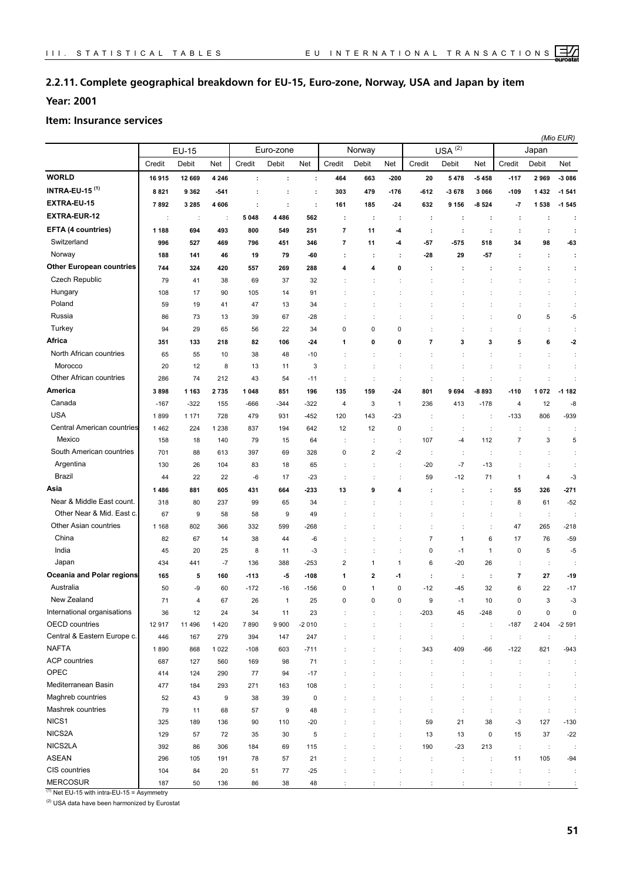## **2.2.11. Complete geographical breakdown for EU-15, Euro-zone, Norway, USA and Japan by item**

**Year: 2001**

#### **Item: Insurance services**

|                                  |         |         |                      |         |           |             |                          |                      |                |                         |                      |                      |                      | (Mio EUR)            |                      |
|----------------------------------|---------|---------|----------------------|---------|-----------|-------------|--------------------------|----------------------|----------------|-------------------------|----------------------|----------------------|----------------------|----------------------|----------------------|
|                                  |         | EU-15   |                      |         | Euro-zone |             |                          | Norway               |                |                         | $USA^{(2)}$          |                      |                      | Japan                |                      |
|                                  | Credit  | Debit   | Net                  | Credit  | Debit     | Net         | Credit                   | Debit                | Net            | Credit                  | Debit                | Net                  | Credit               | Debit                | Net                  |
| <b>WORLD</b>                     | 16915   | 12 669  | 4 2 4 6              | ÷       | ÷         | ÷           | 464                      | 663                  | $-200$         | 20                      | 5478                 | -5458                | $-117$               | 2969                 | $-3086$              |
| <b>INTRA-EU-15<sup>(1)</sup></b> | 8821    | 9 3 6 2 | $-541$               | ÷       | ÷         | ÷           | 303                      | 479                  | $-176$         | -612                    | -3678                | 3 0 6 6              | $-109$               | 1432                 | $-1541$              |
| EXTRA-EU-15                      | 7892    | 3 2 8 5 | 4 60 6               | ÷       | ÷         | ÷           | 161                      | 185                  | $-24$          | 632                     | 9 1 5 6              | $-8524$              | $-7$                 | 1538                 | $-1,545$             |
| <b>EXTRA-EUR-12</b>              | ÷       | ÷       | $\ddot{\phantom{a}}$ | 5 0 4 8 | 4486      | 562         | ÷                        | ÷                    | ÷              | ÷                       | ÷                    | ÷                    | ÷                    | ÷                    | ÷                    |
| EFTA (4 countries)               | 1 1 8 8 | 694     | 493                  | 800     | 549       | 251         | $\overline{7}$           | 11                   | -4             | ÷                       | ÷                    | ÷                    | ÷                    | ÷                    | ÷                    |
| Switzerland                      | 996     | 527     | 469                  | 796     | 451       | 346         | $\overline{\phantom{a}}$ | 11                   | -4             | $-57$                   | $-575$               | 518                  | 34                   | 98                   | -63                  |
| Norway                           | 188     | 141     | 46                   | 19      | 79        | -60         | ÷                        | ÷                    | ÷              | -28                     | 29                   | -57                  | ÷                    | ÷                    | ÷                    |
| <b>Other European countries</b>  | 744     | 324     | 420                  | 557     | 269       | 288         | 4                        | 4                    | 0              | ÷                       | ÷                    | ÷                    | ÷                    | ÷                    | ÷                    |
| Czech Republic                   | 79      | 41      | 38                   | 69      | 37        | 32          |                          | t                    |                | t                       | t                    |                      | t                    | $\ddot{\phantom{a}}$ | ÷                    |
| Hungary                          | 108     | 17      | 90                   | 105     | 14        | 91          |                          | ÷                    |                | ÷                       |                      |                      | ÷                    | t                    | ÷                    |
| Poland                           | 59      | 19      | 41                   | 47      | 13        | 34          |                          | ÷                    |                |                         | ÷                    |                      | $\ddot{\cdot}$       | t                    | ÷                    |
| Russia                           | 86      | 73      | 13                   | 39      | 67        | $-28$       |                          | ÷                    |                |                         |                      |                      | 0                    | 5                    | $-5$                 |
| Turkey                           | 94      | 29      | 65                   | 56      | 22        | 34          | 0                        | 0                    | 0              |                         |                      |                      | t                    | t                    | ÷                    |
| Africa                           | 351     | 133     | 218                  | 82      | 106       | $-24$       | 1                        | 0                    | 0              | $\overline{\mathbf{r}}$ | 3                    | 3                    | 5                    | 6                    | $-2$                 |
| North African countries          | 65      | 55      | 10                   | 38      | 48        | $-10$       |                          |                      |                |                         |                      |                      | İ                    | $\ddot{\phantom{a}}$ | ÷                    |
| Morocco                          | 20      | 12      | 8                    | 13      | 11        | 3           |                          | ÷                    |                | ÷                       | t                    | $\ddot{\phantom{a}}$ | ÷                    | $\ddot{\phantom{a}}$ | ÷                    |
| Other African countries          | 286     | 74      | 212                  | 43      | 54        | $-11$       | ÷                        | ÷                    | ÷              | ÷                       | ÷                    | ÷                    | ÷                    | $\ddot{\cdot}$       | ÷                    |
| America                          | 3898    | 1 1 6 3 | 2735                 | 1 048   | 851       | 196         | 135                      | 159                  | $-24$          | 801                     | 9694                 | -8 893               | $-110$               | 1072                 | $-1182$              |
| Canada                           | $-167$  | $-322$  | 155                  | -666    | -344      | $-322$      | 4                        | 3                    | $\mathbf{1}$   | 236                     | 413                  | $-178$               | 4                    | 12                   | -8                   |
| <b>USA</b>                       | 1899    | 1 1 7 1 | 728                  | 479     | 931       | $-452$      | 120                      | 143                  | $-23$          | ÷                       | ÷                    | $\ddot{\phantom{a}}$ | $-133$               | 806                  | $-939$               |
| Central American countries       | 1462    | 224     | 1 2 3 8              | 837     | 194       | 642         | 12                       | 12                   | $\mathsf 0$    | ÷                       | ÷                    | $\ddot{\phantom{a}}$ | ÷                    | $\ddot{\phantom{a}}$ | ÷                    |
| Mexico                           | 158     | 18      | 140                  | 79      | 15        | 64          |                          | t                    |                | 107                     | $-4$                 | 112                  | $\overline{7}$       | 3                    | 5                    |
| South American countries         | 701     | 88      | 613                  | 397     | 69        | 328         | 0                        | 2                    | -2             | ÷                       | ÷                    |                      |                      | ÷                    | ÷                    |
| Argentina                        | 130     | 26      | 104                  | 83      | 18        | 65          |                          | ÷                    |                | $-20$                   | $-7$                 | $-13$                | ÷                    | $\ddot{\phantom{a}}$ | ÷                    |
| Brazil                           | 44      | 22      | 22                   | -6      | 17        | $-23$       |                          |                      |                | 59                      | $-12$                | 71                   | 1                    | 4                    | -3                   |
| Asia                             | 1486    | 881     | 605                  | 431     | 664       | -233        | 13                       | 9                    | 4              | ÷                       | ÷                    | ÷                    | 55                   | 326                  | $-271$               |
| Near & Middle East count.        | 318     | 80      | 237                  | 99      | 65        | 34          |                          |                      |                |                         |                      |                      | 8                    | 61                   | $-52$                |
| Other Near & Mid. East c.        | 67      | 9       | 58                   | 58      | 9         | 49          |                          |                      |                |                         |                      |                      | ÷                    | $\ddot{\phantom{a}}$ |                      |
| Other Asian countries            | 1 1 6 8 | 802     | 366                  | 332     | 599       | $-268$      |                          |                      |                |                         |                      | $\ddot{\cdot}$       | 47                   | 265                  | $-218$               |
| China                            | 82      | 67      | 14                   | 38      | 44        | -6          |                          | t                    | ÷              | $\overline{7}$          | 1                    | 6                    | 17                   | 76                   | $-59$                |
| India                            | 45      | 20      | 25                   | 8       | 11        | $-3$        |                          | t                    |                | 0                       | $-1$                 | $\mathbf{1}$         | 0                    | 5                    | $-5$                 |
| Japan                            | 434     | 441     | $-7$                 | 136     | 388       | $-253$      | 2                        | 1                    | 1              | 6                       | $-20$                | 26                   | ÷                    | ÷                    | ÷                    |
| Oceania and Polar regions        | 165     | 5       | 160                  | -113    | -5        | $-108$      | 1                        | 2                    | -1             | ÷                       | ÷                    | ÷                    | 7                    | 27                   | $-19$                |
| Australia                        | 50      | -9      | 60                   | $-172$  | $-16$     | $-156$      | 0                        | $\mathbf{1}$         | 0              | $-12$                   | $-45$                | 32                   | 6                    | 22                   | $-17$                |
| New Zealand                      | 71      |         | 67                   | 26      |           | 25          | 0                        | 0                    | 0              | 9                       | $-1$                 | 10                   | 0                    | 3                    | -3                   |
| International organisations      | 36      | 12      | 24                   | 34      | 11        | 23          |                          | ÷                    | ÷              | $-203$                  | 45                   | $-248$               | 0                    | $\pmb{0}$            | 0                    |
| OECD countries                   | 12917   | 11 496  | 1420                 | 7890    | 9900      | $-2010$     | ÷                        | $\ddot{\cdot}$       | $\ddot{\cdot}$ | $\sim$                  | $\ddot{\phantom{a}}$ | $\ddot{\phantom{a}}$ | $-187$               | 2 4 0 4              | $-2591$              |
| Central & Eastern Europe c.      | 446     | 167     | 279                  | 394     | 147       | 247         | $\ddot{\cdot}$           | $\ddot{\phantom{a}}$ | $\ddot{\cdot}$ | $\ddot{\phantom{a}}$    | $\ddot{\phantom{a}}$ | $\ddot{\phantom{a}}$ | $\ddot{\phantom{a}}$ | $\ddot{\phantom{a}}$ |                      |
| <b>NAFTA</b>                     | 1890    | 868     | 1 0 2 2              | $-108$  | 603       | $-711$      |                          | t                    | t              | 343                     | 409                  | $-66$                | $-122$               | 821                  | $-943$               |
| <b>ACP</b> countries             | 687     | 127     | 560                  | 169     | 98        | 71          |                          | ÷                    | ÷              | ÷                       | ÷                    | ÷                    | $\ddot{\phantom{a}}$ | ÷                    | ÷                    |
| OPEC                             | 414     | 124     | 290                  | 77      | 94        | $-17$       |                          | ÷                    | ÷              | ÷                       | $\ddot{\phantom{a}}$ | $\ddot{\phantom{a}}$ | ÷                    | ÷                    | ÷                    |
| Mediterranean Basin              | 477     | 184     | 293                  | 271     | 163       | 108         |                          | t                    |                | ÷                       | t                    |                      | $\ddot{\phantom{a}}$ | $\ddot{\phantom{a}}$ | $\ddot{\phantom{a}}$ |
| Maghreb countries                | 52      | 43      | 9                    | 38      | 39        | $\mathsf 0$ |                          |                      | ÷              | ÷                       | t                    |                      | ÷                    | $\ddot{\phantom{a}}$ | ÷                    |
| Mashrek countries                | 79      | 11      | 68                   | 57      | 9         | 48          |                          |                      |                | ÷                       | ÷                    |                      | ÷                    | $\ddot{\phantom{a}}$ | ÷                    |
| NICS1                            | 325     | 189     | 136                  | 90      | 110       | $-20$       |                          |                      |                | 59                      | 21                   | 38                   | $-3$                 | 127                  | $-130$               |
| NICS2A                           | 129     | 57      | 72                   | 35      | 30        | 5           |                          |                      |                | 13                      | 13                   | $\pmb{0}$            | 15                   | 37                   | $-22$                |
| NICS2LA                          | 392     | 86      | 306                  | 184     | 69        | 115         |                          |                      |                | 190                     | $-23$                | 213                  | $\ddot{\phantom{a}}$ | $\ddot{\phantom{a}}$ |                      |
| <b>ASEAN</b>                     | 296     | 105     | 191                  | 78      | 57        | 21          |                          |                      |                | ÷                       | ÷                    | ÷                    | 11                   | 105                  | $-94$                |
| CIS countries                    | 104     | 84      | 20                   | 51      | $77\,$    | $-25$       |                          | ÷                    |                | t                       |                      |                      | ÷                    | $\ddot{\phantom{a}}$ | ÷                    |
| <b>MERCOSUR</b>                  | 187     | 50      | 136                  | 86      | 38        | 48          |                          |                      |                |                         |                      |                      |                      |                      | ÷                    |

 $(1)$  Net EU-15 with intra-EU-15 = Asymmetry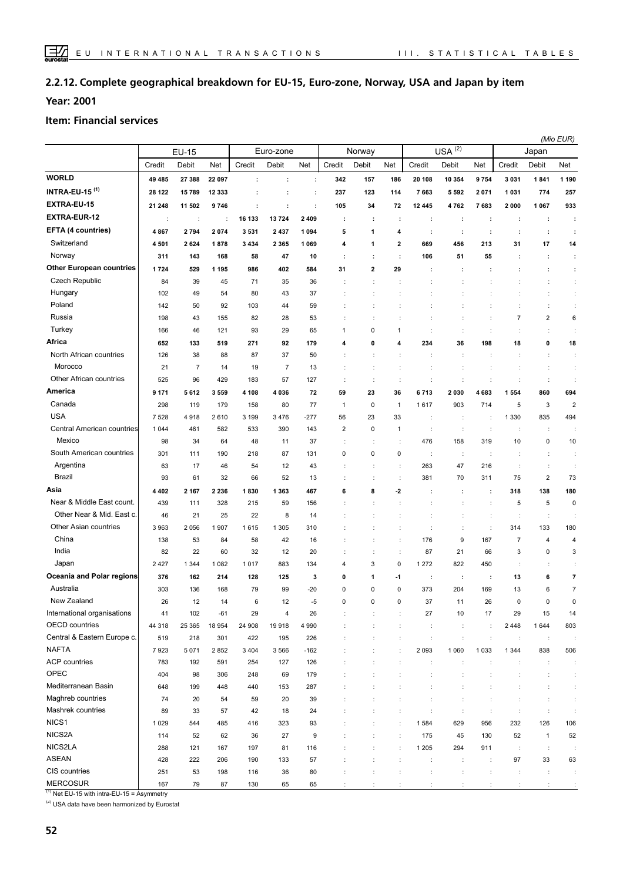#### **Complete geographical breakdown for EU-15, Euro-zone, Norway, USA and Japan by item 2.2.12.**

**Year: 2001**

#### **Item: Financial services**

|                                  |                      |                      |         |         |                |         |                |                      |                         |                      |                      |                      |                          | (Mio EUR)            |                         |
|----------------------------------|----------------------|----------------------|---------|---------|----------------|---------|----------------|----------------------|-------------------------|----------------------|----------------------|----------------------|--------------------------|----------------------|-------------------------|
|                                  |                      | <b>EU-15</b>         |         |         | Euro-zone      |         |                | Norway               |                         |                      | $USA^{(2)}$          |                      |                          | Japan                |                         |
|                                  | Credit               | Debit                | Net     | Credit  | Debit          | Net     | Credit         | Debit                | Net                     | Credit               | Debit                | Net                  | Credit                   | Debit                | Net                     |
| <b>WORLD</b>                     | 49 485               | 27 388               | 22 097  | ÷       | ÷              | ÷       | 342            | 157                  | 186                     | 20 108               | 10 354               | 9754                 | 3031                     | 1841                 | 1 1 9 0                 |
| <b>INTRA-EU-15<sup>(1)</sup></b> | 28 122               | 15789                | 12 333  | ÷       | ÷              | ÷       | 237            | 123                  | 114                     | 7663                 | 5 5 9 2              | 2071                 | 1031                     | 774                  | 257                     |
| EXTRA-EU-15                      | 21 248               | 11 502               | 9746    | ÷       | ÷              | ÷       | 105            | 34                   | 72                      | 12 445               | 4762                 | 7683                 | 2000                     | 1 0 6 7              | 933                     |
| <b>EXTRA-EUR-12</b>              | $\ddot{\phantom{a}}$ | $\ddot{\phantom{a}}$ | ÷       | 16 133  | 13724          | 2 4 0 9 | ÷              | ÷                    | ÷                       | ÷                    | ÷                    | ÷                    | ÷                        | $\ddot{\phantom{a}}$ | ÷                       |
| EFTA (4 countries)               | 4867                 | 2794                 | 2074    | 3531    | 2 4 3 7        | 1 0 9 4 | 5              | 1                    | 4                       | ÷                    | ÷                    | ÷                    | ÷                        | ÷                    | ÷                       |
| Switzerland                      | 4501                 | 2624                 | 1878    | 3 4 3 4 | 2 3 6 5        | 1 0 6 9 | 4              | 1                    | $\overline{\mathbf{2}}$ | 669                  | 456                  | 213                  | 31                       | 17                   | 14                      |
| Norway                           | 311                  | 143                  | 168     | 58      | 47             | 10      | ÷              | ÷                    | ÷                       | 106                  | 51                   | 55                   | ÷                        | ÷                    | ÷                       |
| <b>Other European countries</b>  | 1724                 | 529                  | 1 1 9 5 | 986     | 402            | 584     | 31             | 2                    | 29                      | ÷                    | ÷                    | ÷                    | ÷                        | ÷                    | ÷                       |
| <b>Czech Republic</b>            | 84                   | 39                   | 45      | 71      | 35             | 36      |                | $\ddot{\phantom{a}}$ |                         |                      |                      |                      | İ                        | t                    | $\ddot{\phantom{a}}$    |
| Hungary                          | 102                  | 49                   | 54      | 80      | 43             | 37      |                | ÷                    |                         | t                    |                      |                      | ÷                        | ÷                    | ÷                       |
| Poland                           | 142                  | 50                   | 92      | 103     | 44             | 59      |                | ÷                    |                         |                      | ÷                    |                      | $\ddot{\phantom{a}}$     | ÷                    | ÷                       |
| Russia                           | 198                  | 43                   | 155     | 82      | 28             | 53      |                | $\ddot{\cdot}$       |                         | t                    | ÷                    |                      | $\overline{\mathcal{I}}$ | 2                    | 6                       |
| Turkey                           | 166                  | 46                   | 121     | 93      | 29             | 65      | 1              | 0                    | $\mathbf{1}$            |                      | $\ddot{\phantom{a}}$ |                      | $\ddot{\phantom{a}}$     | ÷                    | ÷                       |
| Africa                           |                      |                      |         |         |                |         |                |                      | 4                       |                      |                      |                      |                          |                      |                         |
| North African countries          | 652                  | 133                  | 519     | 271     | 92             | 179     | 4              | 0                    |                         | 234                  | 36                   | 198                  | 18                       | 0                    | 18                      |
| Morocco                          | 126                  | 38                   | 88      | 87      | 37             | 50      |                | ÷                    |                         | ÷                    | $\ddot{\phantom{a}}$ | ÷                    | ÷                        | ÷                    | ÷                       |
| Other African countries          | 21                   | $\overline{7}$       | 14      | 19      | $\overline{7}$ | 13      |                | t                    |                         |                      |                      |                      |                          | t                    | $\ddot{\phantom{a}}$    |
| America                          | 525                  | 96                   | 429     | 183     | 57             | 127     |                | ÷                    | ÷                       | ÷                    |                      |                      | $\ddot{\phantom{a}}$     | ÷                    | $\ddot{\phantom{a}}$    |
|                                  | 9 1 7 1              | 5612                 | 3559    | 4 1 0 8 | 4 0 3 6        | 72      | 59             | 23                   | 36                      | 6713                 | 2030                 | 4683                 | 1554                     | 860                  | 694                     |
| Canada                           | 298                  | 119                  | 179     | 158     | 80             | 77      | $\mathbf{1}$   | 0                    | $\mathbf{1}$            | 1617                 | 903                  | 714                  | 5                        | 3                    | $\overline{\mathbf{c}}$ |
| <b>USA</b>                       | 7528                 | 4918                 | 2610    | 3 1 9 9 | 3 4 7 6        | $-277$  | 56             | 23                   | 33                      | ÷                    | ÷                    | ÷                    | 1 3 3 0                  | 835                  | 494                     |
| Central American countries       | 1 0 4 4              | 461                  | 582     | 533     | 390            | 143     | $\overline{2}$ | 0                    | $\mathbf{1}$            | t                    | $\cdot$              | $\ddot{\phantom{a}}$ | $\cdot$                  | d                    |                         |
| Mexico                           | 98                   | 34                   | 64      | 48      | 11             | 37      |                | ÷                    |                         | 476                  | 158                  | 319                  | 10                       | 0                    | 10                      |
| South American countries         | 301                  | 111                  | 190     | 218     | 87             | 131     | 0              | 0                    | $\pmb{0}$               | ÷                    | ÷                    | $\ddot{\phantom{a}}$ | $\cdot$                  | ÷                    | ÷                       |
| Argentina                        | 63                   | 17                   | 46      | 54      | 12             | 43      |                |                      | ÷                       | 263                  | 47                   | 216                  | $\cdot$                  | t                    |                         |
| <b>Brazil</b>                    | 93                   | 61                   | 32      | 66      | 52             | 13      | ÷              | ÷                    | ÷                       | 381                  | 70                   | 311                  | 75                       | $\mathbf 2$          | 73                      |
| Asia                             | 4402                 | 2 1 6 7              | 2 2 3 6 | 1830    | 1 3 6 3        | 467     | 6              | 8                    | -2                      | ÷                    | ÷                    | ÷                    | 318                      | 138                  | 180                     |
| Near & Middle East count.        | 439                  | 111                  | 328     | 215     | 59             | 156     |                | $\ddot{\cdot}$       |                         | ÷                    | $\ddot{\phantom{a}}$ | ÷                    | 5                        | 5                    | $\mathbf 0$             |
| Other Near & Mid. East c.        | 46                   | 21                   | 25      | 22      | 8              | 14      |                |                      |                         | ÷                    | ÷                    | ÷                    | $\ddot{\phantom{a}}$     | $\ddot{\cdot}$       |                         |
| Other Asian countries            | 3963                 | 2056                 | 1907    | 1615    | 1 3 0 5        | 310     |                |                      | $\ddot{\phantom{a}}$    | ÷                    | ÷                    | $\ddot{\phantom{a}}$ | 314                      | 133                  | 180                     |
| China                            | 138                  | 53                   | 84      | 58      | 42             | 16      |                | ÷                    | ÷                       | 176                  | 9                    | 167                  | $\overline{7}$           | 4                    | 4                       |
| India                            | 82                   | 22                   | 60      | 32      | 12             | 20      |                | ÷                    | ÷                       | 87                   | 21                   | 66                   | 3                        | 0                    | 3                       |
| Japan                            | 2 4 2 7              | 1 3 4 4              | 1 0 8 2 | 1017    | 883            | 134     | 4              | 3                    | $\mathbf 0$             | 1 2 7 2              | 822                  | 450                  | ÷                        | t                    | ÷                       |
| Oceania and Polar regions        | 376                  | 162                  | 214     | 128     | 125            | 3       | 0              | 1                    | -1                      | ÷                    | ÷                    | ÷                    | 13                       | 6                    | 7                       |
| Australia                        | 303                  | 136                  | 168     | 79      | 99             | $-20$   | 0              | 0                    | $\mathbf 0$             | 373                  | 204                  | 169                  | 13                       | 6                    | $\overline{7}$          |
| New Zealand                      | 26                   | 12                   | 14      | 6       | 12             | -5      | $\Omega$       | $\Omega$             | $\Omega$                | 37                   | 11                   | 26                   | $\pmb{0}$                | 0                    | $\Omega$                |
| International organisations      | 41                   | 102                  | $-61$   | 29      | $\overline{4}$ | 26      |                | ÷                    |                         | 27                   | $10$                 | 17                   | 29                       | 15                   | 14                      |
| OECD countries                   | 44 318               | 25 365               | 18 954  | 24 908  | 19 918         | 4 9 9 0 |                | $\ddot{\phantom{a}}$ | ÷                       | $\ddot{\phantom{a}}$ | $\ddot{\phantom{a}}$ | ÷                    | 2448                     | 1 6 4 4              | 803                     |
| Central & Eastern Europe c.      | 519                  | 218                  | 301     | 422     | 195            | 226     |                | $\ddot{\cdot}$       | ÷                       | ÷                    | ÷                    | ÷                    | $\ddot{\phantom{a}}$     | $\ddot{\phantom{a}}$ | ÷                       |
| <b>NAFTA</b>                     | 7923                 | 5 0 7 1              | 2852    | 3 4 0 4 | 3 5 6 6        | $-162$  |                |                      |                         | 2 0 9 3              | 1 0 6 0              | 1033                 | 1 3 4 4                  | 838                  | 506                     |
| <b>ACP</b> countries             | 783                  | 192                  | 591     | 254     | 127            | 126     |                |                      |                         | ÷                    |                      |                      | ÷                        | ÷                    | ÷                       |
| OPEC                             | 404                  | 98                   | 306     | 248     | 69             | 179     |                |                      |                         | $\ddot{\phantom{a}}$ |                      |                      |                          | ÷                    | ÷                       |
| Mediterranean Basin              | 648                  | 199                  | 448     | 440     | 153            | 287     |                | ÷                    |                         | $\ddot{\cdot}$       | ÷                    |                      | ÷                        | ÷                    | ÷                       |
| Maghreb countries                | 74                   | 20                   | 54      | 59      | 20             | 39      |                |                      |                         |                      |                      |                      |                          | t                    | ÷                       |
| Mashrek countries                | 89                   | 33                   | 57      | 42      | 18             | 24      |                |                      |                         | t                    | ÷                    | $\ddot{\phantom{a}}$ | ÷                        | ÷                    | ÷                       |
| NICS1                            | 1 0 2 9              | 544                  | 485     | 416     | 323            | 93      |                | $\ddot{\phantom{a}}$ | ÷                       | 1584                 | 629                  | 956                  | 232                      | 126                  | 106                     |
| NICS2A                           | 114                  | 52                   | 62      | 36      | 27             | 9       |                | ÷                    | ÷                       | 175                  | 45                   | 130                  | 52                       | $\mathbf{1}$         | 52                      |
| NICS2LA                          | 288                  | 121                  | 167     | 197     | 81             | 116     |                | ÷                    | ÷                       | 1 2 0 5              | 294                  | 911                  | $\sim$                   | $\mathcal{L}$        | ÷                       |
| <b>ASEAN</b>                     | 428                  | 222                  | 206     | 190     | 133            | 57      |                | ÷                    | ÷                       | $\ddot{\phantom{a}}$ | $\ddot{\phantom{a}}$ | ÷                    | 97                       | 33                   | 63                      |
| CIS countries                    | 251                  | 53                   | 198     | 116     | 36             | 80      |                | ÷                    | ÷                       | ÷                    | $\ddot{\phantom{a}}$ | ÷                    | $\ddot{\phantom{a}}$     | ÷                    | ÷                       |
| <b>MERCOSUR</b>                  | 167                  | 79                   | 87      | 130     | 65             | 65      | ÷              | ÷                    | ÷                       | ÷                    | ÷                    | ÷                    | ÷                        | ÷                    | $\ddot{\phantom{a}}$    |

 $(1)$  Net EU-15 with intra-EU-15 = Asymmetry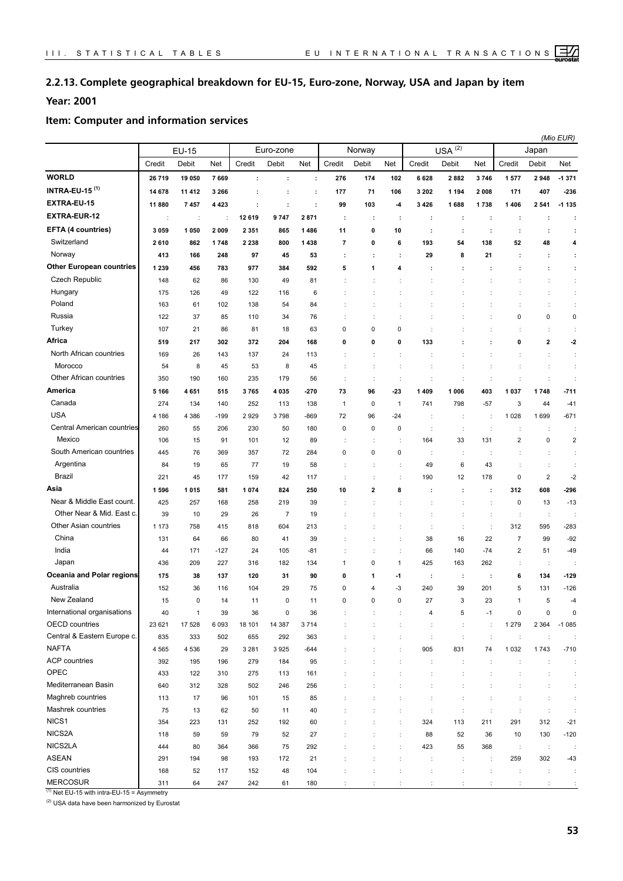## **2.2.13. Complete geographical breakdown for EU-15, Euro-zone, Norway, USA and Japan by item**

## **Year: 2001**

#### **Item: Computer and information services**

| (2)<br>Euro-zone<br>Norway<br><b>USA</b><br><b>EU-15</b><br>Japan<br>Credit<br>Credit<br>Credit<br>Credit<br>Debit<br>Net<br>Debit<br>Net<br>Debit<br>Net<br>Debit<br>Net<br>Credit<br>Debit<br>Net<br>26719<br>19 050<br>7669<br>276<br>174<br>102<br>6628<br>2882<br>3746<br>1577<br>2948<br>$-1371$<br>$\ddot{\phantom{a}}$<br>÷<br>÷<br>14 678<br>3 2 6 6<br>177<br>71<br>106<br>3 2 0 2<br>1 1 9 4<br>2008<br>171<br>407<br>$-236$<br>11 412<br>÷<br>÷<br>÷<br>$-1135$<br>11880<br>7457<br>4 4 2 3<br>÷<br>$\ddot{\phantom{a}}$<br>99<br>103<br>-4<br>3426<br>1688<br>1738<br>1406<br>2541<br>÷<br>12 619<br>9747<br>2871<br>÷<br>÷<br>÷<br>÷<br>÷<br>÷<br>÷<br>÷<br>÷<br>÷<br>÷<br>÷<br>3 0 5 9<br>1 0 5 0<br>2009<br>1486<br>11<br>0<br>10<br>2 3 5 1<br>865<br>÷<br>÷<br>$\ddot{\phantom{a}}$<br>÷<br>$\ddot{\phantom{a}}$<br>÷<br>Switzerland<br>800<br>1438<br>$\overline{\phantom{a}}$<br>0<br>6<br>193<br>54<br>138<br>52<br>48<br>4<br>2610<br>862<br>1748<br>2 2 3 8<br>Norway<br>97<br>413<br>166<br>248<br>45<br>53<br>29<br>8<br>21<br>÷<br>÷<br>÷<br>÷<br>÷<br>÷<br>1 2 3 9<br>456<br>783<br>977<br>384<br>592<br>5<br>1<br>4<br>÷<br>÷<br>÷<br>÷<br>÷<br>÷<br>Czech Republic<br>62<br>86<br>130<br>49<br>81<br>÷<br>148<br>$\ddot{\phantom{a}}$<br>Hungary<br>$\ddot{\cdot}$<br>122<br>175<br>126<br>49<br>116<br>6<br>$\ddot{\phantom{a}}$<br>Poland<br>$\ddot{\cdot}$<br>163<br>61<br>102<br>138<br>54<br>84<br>$\ddot{\phantom{a}}$<br>÷<br>÷<br>Russia<br>122<br>37<br>76<br>0<br>0<br>0<br>85<br>110<br>34<br>Turkey<br>21<br>0<br>0<br>$\mathbf 0$<br>107<br>86<br>81<br>18<br>63<br>$\ddot{\phantom{a}}$<br>÷<br>÷<br>2<br>302<br>372<br>204<br>168<br>0<br>0<br>133<br>0<br>$-2$<br>519<br>217<br>0<br>North African countries<br>169<br>137<br>26<br>143<br>24<br>113<br>$\ddot{\phantom{a}}$<br>÷<br>÷<br>Morocco<br>8<br>54<br>45<br>53<br>8<br>45<br>$\ddot{\cdot}$<br>÷<br>÷<br>÷<br>Other African countries<br>235<br>350<br>190<br>160<br>179<br>56<br>÷<br>$\ddot{\cdot}$<br>÷<br>÷<br>÷<br>÷<br>÷<br>÷<br>÷<br>4035<br>$-23$<br>1 4 0 9<br>1 0 0 6<br>403<br>1 0 3 7<br>1748<br>$-711$<br>5 1 6 6<br>4651<br>515<br>3765<br>$-270$<br>73<br>96<br>Canada<br>$\mathbf{1}$<br>3<br>$-41$<br>274<br>134<br>140<br>252<br>113<br>138<br>$\mathbf{1}$<br>0<br>741<br>798<br>$-57$<br>44<br><b>USA</b><br>4 186<br>4 3 8 6<br>2929<br>3798<br>$-869$<br>1028<br>1699<br>$-671$<br>$-199$<br>72<br>96<br>-24<br>÷<br>÷<br>÷<br>Central American countries<br>260<br>206<br>230<br>50<br>180<br>$\pmb{0}$<br>$\mathbf 0$<br>$\mathbf 0$<br>55<br>÷<br>÷<br>÷<br>÷<br>÷<br>$\ddot{\phantom{a}}$<br>Mexico<br>$\mathbf 2$<br>101<br>89<br>33<br>131<br>0<br>$\overline{\mathbf{c}}$<br>106<br>15<br>91<br>12<br>164<br>t<br>South American countries<br>72<br>0<br>$\mathbf 0$<br>445<br>76<br>369<br>357<br>284<br>0<br>÷<br>÷<br>Argentina<br>77<br>6<br>43<br>19<br>65<br>19<br>58<br>49<br>÷<br>84<br>$\ddot{\phantom{a}}$<br>Brazil<br>$\overline{\mathbf{c}}$<br>$-2$<br>221<br>45<br>159<br>42<br>190<br>12<br>178<br>0<br>177<br>117<br>824<br>2<br>8<br>312<br>608<br>-296<br>1596<br>1015<br>581<br>1074<br>250<br>10<br>÷<br>÷<br>÷<br>Near & Middle East count.<br>425<br>257<br>258<br>219<br>39<br>$\mathbf 0$<br>13<br>$-13$<br>168<br>$\ddot{\phantom{a}}$<br>Other Near & Mid. East c.<br>39<br>29<br>26<br>$\overline{7}$<br>10<br>19<br>÷<br>$\ddot{\phantom{a}}$<br>Other Asian countries<br>604<br>312<br>$-283$<br>1 1 7 3<br>758<br>415<br>818<br>213<br>$\ddot{\phantom{a}}$<br>$\ddot{\phantom{a}}$<br>595<br>÷<br>China<br>22<br>$\overline{7}$<br>$-92$<br>38<br>16<br>99<br>64<br>66<br>80<br>41<br>39<br>131<br>India<br>$\overline{2}$<br>171<br>$-127$<br>24<br>105<br>$-81$<br>140<br>$-74$<br>51<br>$-49$<br>÷<br>66<br>44<br>Japan<br>436<br>316<br>0<br>$\mathbf{1}$<br>425<br>209<br>227<br>182<br>134<br>163<br>262<br>$\ddot{\phantom{a}}$<br>1<br>÷<br>120<br>6<br>$-129$<br>175<br>38<br>137<br>31<br>90<br>0<br>-1<br>134<br>1<br>÷<br>÷<br>÷<br>Australia<br>36<br>116<br>104<br>29<br>75<br>0<br>$\overline{4}$<br>$-3$<br>240<br>39<br>201<br>5<br>131<br>$-126$<br>152<br>New Zealand<br>11<br>15<br>0<br>0<br>0<br>0<br>27<br>3<br>23<br>5<br>11<br>0<br>5<br>0<br>$\mathbf{1}$<br>39<br>36<br>$\pmb{0}$<br>36<br>0<br>0<br>40<br>4<br>$-1$<br>OECD countries<br>1 2 7 9<br>23 621<br>17 528<br>6093<br>18 101<br>14 387<br>3714<br>2 3 6 4<br>$-1085$<br>$\ddot{\cdot}$<br>$\ddot{\phantom{a}}$<br>$\ddot{\phantom{a}}$<br>÷<br>÷<br>Central & Eastern Europe c.<br>835<br>333<br>502<br>655<br>292<br>363<br>$\ddot{\phantom{a}}$<br>$\ddot{\phantom{a}}$<br>$\ddot{\phantom{a}}$<br>÷<br>÷<br>$\ddot{\phantom{a}}$<br>t<br><b>NAFTA</b><br>4 5 6 5<br>4 5 3 6<br>29<br>3 2 8 1<br>3925<br>$-644$<br>905<br>831<br>74<br>1 0 3 2<br>1743<br>$-710$<br>÷<br><b>ACP</b> countries<br>392<br>279<br>184<br>95<br>195<br>196<br>$\ddot{\phantom{a}}$<br>÷<br>÷<br>÷<br>$\ddot{\phantom{a}}$<br>÷<br>OPEC<br>122<br>275<br>113<br>161<br>433<br>310<br>$\ddot{\phantom{a}}$<br>÷<br>$\ddot{\phantom{a}}$<br>÷<br>÷<br>÷<br>Mediterranean Basin<br>640<br>312<br>328<br>502<br>246<br>256<br>÷<br>$\ddot{\cdot}$<br>$\ddot{\phantom{a}}$<br>Maghreb countries<br>17<br>96<br>101<br>15<br>85<br>113<br>÷<br>÷<br>$\ddot{\phantom{a}}$<br>Mashrek countries<br>75<br>13<br>62<br>50<br>11<br>40<br>÷<br>÷<br>÷<br>$\ddot{\phantom{a}}$<br>÷<br>$\ddot{\phantom{a}}$<br>NICS1<br>291<br>354<br>223<br>131<br>252<br>192<br>60<br>324<br>113<br>211<br>312<br>$-21$<br>NICS2A |                                  |     |    |    |    |    |    |  |    |    |    |    | (Mio EUR) |        |
|------------------------------------------------------------------------------------------------------------------------------------------------------------------------------------------------------------------------------------------------------------------------------------------------------------------------------------------------------------------------------------------------------------------------------------------------------------------------------------------------------------------------------------------------------------------------------------------------------------------------------------------------------------------------------------------------------------------------------------------------------------------------------------------------------------------------------------------------------------------------------------------------------------------------------------------------------------------------------------------------------------------------------------------------------------------------------------------------------------------------------------------------------------------------------------------------------------------------------------------------------------------------------------------------------------------------------------------------------------------------------------------------------------------------------------------------------------------------------------------------------------------------------------------------------------------------------------------------------------------------------------------------------------------------------------------------------------------------------------------------------------------------------------------------------------------------------------------------------------------------------------------------------------------------------------------------------------------------------------------------------------------------------------------------------------------------------------------------------------------------------------------------------------------------------------------------------------------------------------------------------------------------------------------------------------------------------------------------------------------------------------------------------------------------------------------------------------------------------------------------------------------------------------------------------------------------------------------------------------------------------------------------------------------------------------------------------------------------------------------------------------------------------------------------------------------------------------------------------------------------------------------------------------------------------------------------------------------------------------------------------------------------------------------------------------------------------------------------------------------------------------------------------------------------------------------------------------------------------------------------------------------------------------------------------------------------------------------------------------------------------------------------------------------------------------------------------------------------------------------------------------------------------------------------------------------------------------------------------------------------------------------------------------------------------------------------------------------------------------------------------------------------------------------------------------------------------------------------------------------------------------------------------------------------------------------------------------------------------------------------------------------------------------------------------------------------------------------------------------------------------------------------------------------------------------------------------------------------------------------------------------------------------------------------------------------------------------------------------------------------------------------------------------------------------------------------------------------------------------------------------------------------------------------------------------------------------------------------------------------------------------------------------------------------------------------------------------------------------------------------------------------------------------------------------------------------------------------------------------------------------------------------------------------------------------------------------------------------------------------------------------------------------------------------------------------------------------------------------------------------------------------------------------------------------------------------------------------------------------------------------------------------------------------------------------------------------------------------------------------------------------------------------------------------------------------------------------------------------------------------------------------------------------------------|----------------------------------|-----|----|----|----|----|----|--|----|----|----|----|-----------|--------|
|                                                                                                                                                                                                                                                                                                                                                                                                                                                                                                                                                                                                                                                                                                                                                                                                                                                                                                                                                                                                                                                                                                                                                                                                                                                                                                                                                                                                                                                                                                                                                                                                                                                                                                                                                                                                                                                                                                                                                                                                                                                                                                                                                                                                                                                                                                                                                                                                                                                                                                                                                                                                                                                                                                                                                                                                                                                                                                                                                                                                                                                                                                                                                                                                                                                                                                                                                                                                                                                                                                                                                                                                                                                                                                                                                                                                                                                                                                                                                                                                                                                                                                                                                                                                                                                                                                                                                                                                                                                                                                                                                                                                                                                                                                                                                                                                                                                                                                                                                                                                                                                                                                                                                                                                                                                                                                                                                                                                                                                                                                                                                |                                  |     |    |    |    |    |    |  |    |    |    |    |           |        |
|                                                                                                                                                                                                                                                                                                                                                                                                                                                                                                                                                                                                                                                                                                                                                                                                                                                                                                                                                                                                                                                                                                                                                                                                                                                                                                                                                                                                                                                                                                                                                                                                                                                                                                                                                                                                                                                                                                                                                                                                                                                                                                                                                                                                                                                                                                                                                                                                                                                                                                                                                                                                                                                                                                                                                                                                                                                                                                                                                                                                                                                                                                                                                                                                                                                                                                                                                                                                                                                                                                                                                                                                                                                                                                                                                                                                                                                                                                                                                                                                                                                                                                                                                                                                                                                                                                                                                                                                                                                                                                                                                                                                                                                                                                                                                                                                                                                                                                                                                                                                                                                                                                                                                                                                                                                                                                                                                                                                                                                                                                                                                |                                  |     |    |    |    |    |    |  |    |    |    |    |           |        |
|                                                                                                                                                                                                                                                                                                                                                                                                                                                                                                                                                                                                                                                                                                                                                                                                                                                                                                                                                                                                                                                                                                                                                                                                                                                                                                                                                                                                                                                                                                                                                                                                                                                                                                                                                                                                                                                                                                                                                                                                                                                                                                                                                                                                                                                                                                                                                                                                                                                                                                                                                                                                                                                                                                                                                                                                                                                                                                                                                                                                                                                                                                                                                                                                                                                                                                                                                                                                                                                                                                                                                                                                                                                                                                                                                                                                                                                                                                                                                                                                                                                                                                                                                                                                                                                                                                                                                                                                                                                                                                                                                                                                                                                                                                                                                                                                                                                                                                                                                                                                                                                                                                                                                                                                                                                                                                                                                                                                                                                                                                                                                | <b>WORLD</b>                     |     |    |    |    |    |    |  |    |    |    |    |           |        |
|                                                                                                                                                                                                                                                                                                                                                                                                                                                                                                                                                                                                                                                                                                                                                                                                                                                                                                                                                                                                                                                                                                                                                                                                                                                                                                                                                                                                                                                                                                                                                                                                                                                                                                                                                                                                                                                                                                                                                                                                                                                                                                                                                                                                                                                                                                                                                                                                                                                                                                                                                                                                                                                                                                                                                                                                                                                                                                                                                                                                                                                                                                                                                                                                                                                                                                                                                                                                                                                                                                                                                                                                                                                                                                                                                                                                                                                                                                                                                                                                                                                                                                                                                                                                                                                                                                                                                                                                                                                                                                                                                                                                                                                                                                                                                                                                                                                                                                                                                                                                                                                                                                                                                                                                                                                                                                                                                                                                                                                                                                                                                | <b>INTRA-EU-15<sup>(1)</sup></b> |     |    |    |    |    |    |  |    |    |    |    |           |        |
|                                                                                                                                                                                                                                                                                                                                                                                                                                                                                                                                                                                                                                                                                                                                                                                                                                                                                                                                                                                                                                                                                                                                                                                                                                                                                                                                                                                                                                                                                                                                                                                                                                                                                                                                                                                                                                                                                                                                                                                                                                                                                                                                                                                                                                                                                                                                                                                                                                                                                                                                                                                                                                                                                                                                                                                                                                                                                                                                                                                                                                                                                                                                                                                                                                                                                                                                                                                                                                                                                                                                                                                                                                                                                                                                                                                                                                                                                                                                                                                                                                                                                                                                                                                                                                                                                                                                                                                                                                                                                                                                                                                                                                                                                                                                                                                                                                                                                                                                                                                                                                                                                                                                                                                                                                                                                                                                                                                                                                                                                                                                                | EXTRA-EU-15                      |     |    |    |    |    |    |  |    |    |    |    |           |        |
|                                                                                                                                                                                                                                                                                                                                                                                                                                                                                                                                                                                                                                                                                                                                                                                                                                                                                                                                                                                                                                                                                                                                                                                                                                                                                                                                                                                                                                                                                                                                                                                                                                                                                                                                                                                                                                                                                                                                                                                                                                                                                                                                                                                                                                                                                                                                                                                                                                                                                                                                                                                                                                                                                                                                                                                                                                                                                                                                                                                                                                                                                                                                                                                                                                                                                                                                                                                                                                                                                                                                                                                                                                                                                                                                                                                                                                                                                                                                                                                                                                                                                                                                                                                                                                                                                                                                                                                                                                                                                                                                                                                                                                                                                                                                                                                                                                                                                                                                                                                                                                                                                                                                                                                                                                                                                                                                                                                                                                                                                                                                                | <b>EXTRA-EUR-12</b>              |     |    |    |    |    |    |  |    |    |    |    |           |        |
|                                                                                                                                                                                                                                                                                                                                                                                                                                                                                                                                                                                                                                                                                                                                                                                                                                                                                                                                                                                                                                                                                                                                                                                                                                                                                                                                                                                                                                                                                                                                                                                                                                                                                                                                                                                                                                                                                                                                                                                                                                                                                                                                                                                                                                                                                                                                                                                                                                                                                                                                                                                                                                                                                                                                                                                                                                                                                                                                                                                                                                                                                                                                                                                                                                                                                                                                                                                                                                                                                                                                                                                                                                                                                                                                                                                                                                                                                                                                                                                                                                                                                                                                                                                                                                                                                                                                                                                                                                                                                                                                                                                                                                                                                                                                                                                                                                                                                                                                                                                                                                                                                                                                                                                                                                                                                                                                                                                                                                                                                                                                                | EFTA (4 countries)               |     |    |    |    |    |    |  |    |    |    |    |           |        |
|                                                                                                                                                                                                                                                                                                                                                                                                                                                                                                                                                                                                                                                                                                                                                                                                                                                                                                                                                                                                                                                                                                                                                                                                                                                                                                                                                                                                                                                                                                                                                                                                                                                                                                                                                                                                                                                                                                                                                                                                                                                                                                                                                                                                                                                                                                                                                                                                                                                                                                                                                                                                                                                                                                                                                                                                                                                                                                                                                                                                                                                                                                                                                                                                                                                                                                                                                                                                                                                                                                                                                                                                                                                                                                                                                                                                                                                                                                                                                                                                                                                                                                                                                                                                                                                                                                                                                                                                                                                                                                                                                                                                                                                                                                                                                                                                                                                                                                                                                                                                                                                                                                                                                                                                                                                                                                                                                                                                                                                                                                                                                |                                  |     |    |    |    |    |    |  |    |    |    |    |           |        |
|                                                                                                                                                                                                                                                                                                                                                                                                                                                                                                                                                                                                                                                                                                                                                                                                                                                                                                                                                                                                                                                                                                                                                                                                                                                                                                                                                                                                                                                                                                                                                                                                                                                                                                                                                                                                                                                                                                                                                                                                                                                                                                                                                                                                                                                                                                                                                                                                                                                                                                                                                                                                                                                                                                                                                                                                                                                                                                                                                                                                                                                                                                                                                                                                                                                                                                                                                                                                                                                                                                                                                                                                                                                                                                                                                                                                                                                                                                                                                                                                                                                                                                                                                                                                                                                                                                                                                                                                                                                                                                                                                                                                                                                                                                                                                                                                                                                                                                                                                                                                                                                                                                                                                                                                                                                                                                                                                                                                                                                                                                                                                |                                  |     |    |    |    |    |    |  |    |    |    |    |           |        |
|                                                                                                                                                                                                                                                                                                                                                                                                                                                                                                                                                                                                                                                                                                                                                                                                                                                                                                                                                                                                                                                                                                                                                                                                                                                                                                                                                                                                                                                                                                                                                                                                                                                                                                                                                                                                                                                                                                                                                                                                                                                                                                                                                                                                                                                                                                                                                                                                                                                                                                                                                                                                                                                                                                                                                                                                                                                                                                                                                                                                                                                                                                                                                                                                                                                                                                                                                                                                                                                                                                                                                                                                                                                                                                                                                                                                                                                                                                                                                                                                                                                                                                                                                                                                                                                                                                                                                                                                                                                                                                                                                                                                                                                                                                                                                                                                                                                                                                                                                                                                                                                                                                                                                                                                                                                                                                                                                                                                                                                                                                                                                | <b>Other European countries</b>  |     |    |    |    |    |    |  |    |    |    |    |           |        |
|                                                                                                                                                                                                                                                                                                                                                                                                                                                                                                                                                                                                                                                                                                                                                                                                                                                                                                                                                                                                                                                                                                                                                                                                                                                                                                                                                                                                                                                                                                                                                                                                                                                                                                                                                                                                                                                                                                                                                                                                                                                                                                                                                                                                                                                                                                                                                                                                                                                                                                                                                                                                                                                                                                                                                                                                                                                                                                                                                                                                                                                                                                                                                                                                                                                                                                                                                                                                                                                                                                                                                                                                                                                                                                                                                                                                                                                                                                                                                                                                                                                                                                                                                                                                                                                                                                                                                                                                                                                                                                                                                                                                                                                                                                                                                                                                                                                                                                                                                                                                                                                                                                                                                                                                                                                                                                                                                                                                                                                                                                                                                |                                  |     |    |    |    |    |    |  |    |    |    |    |           |        |
|                                                                                                                                                                                                                                                                                                                                                                                                                                                                                                                                                                                                                                                                                                                                                                                                                                                                                                                                                                                                                                                                                                                                                                                                                                                                                                                                                                                                                                                                                                                                                                                                                                                                                                                                                                                                                                                                                                                                                                                                                                                                                                                                                                                                                                                                                                                                                                                                                                                                                                                                                                                                                                                                                                                                                                                                                                                                                                                                                                                                                                                                                                                                                                                                                                                                                                                                                                                                                                                                                                                                                                                                                                                                                                                                                                                                                                                                                                                                                                                                                                                                                                                                                                                                                                                                                                                                                                                                                                                                                                                                                                                                                                                                                                                                                                                                                                                                                                                                                                                                                                                                                                                                                                                                                                                                                                                                                                                                                                                                                                                                                |                                  |     |    |    |    |    |    |  |    |    |    |    |           |        |
|                                                                                                                                                                                                                                                                                                                                                                                                                                                                                                                                                                                                                                                                                                                                                                                                                                                                                                                                                                                                                                                                                                                                                                                                                                                                                                                                                                                                                                                                                                                                                                                                                                                                                                                                                                                                                                                                                                                                                                                                                                                                                                                                                                                                                                                                                                                                                                                                                                                                                                                                                                                                                                                                                                                                                                                                                                                                                                                                                                                                                                                                                                                                                                                                                                                                                                                                                                                                                                                                                                                                                                                                                                                                                                                                                                                                                                                                                                                                                                                                                                                                                                                                                                                                                                                                                                                                                                                                                                                                                                                                                                                                                                                                                                                                                                                                                                                                                                                                                                                                                                                                                                                                                                                                                                                                                                                                                                                                                                                                                                                                                |                                  |     |    |    |    |    |    |  |    |    |    |    |           |        |
|                                                                                                                                                                                                                                                                                                                                                                                                                                                                                                                                                                                                                                                                                                                                                                                                                                                                                                                                                                                                                                                                                                                                                                                                                                                                                                                                                                                                                                                                                                                                                                                                                                                                                                                                                                                                                                                                                                                                                                                                                                                                                                                                                                                                                                                                                                                                                                                                                                                                                                                                                                                                                                                                                                                                                                                                                                                                                                                                                                                                                                                                                                                                                                                                                                                                                                                                                                                                                                                                                                                                                                                                                                                                                                                                                                                                                                                                                                                                                                                                                                                                                                                                                                                                                                                                                                                                                                                                                                                                                                                                                                                                                                                                                                                                                                                                                                                                                                                                                                                                                                                                                                                                                                                                                                                                                                                                                                                                                                                                                                                                                |                                  |     |    |    |    |    |    |  |    |    |    |    |           |        |
|                                                                                                                                                                                                                                                                                                                                                                                                                                                                                                                                                                                                                                                                                                                                                                                                                                                                                                                                                                                                                                                                                                                                                                                                                                                                                                                                                                                                                                                                                                                                                                                                                                                                                                                                                                                                                                                                                                                                                                                                                                                                                                                                                                                                                                                                                                                                                                                                                                                                                                                                                                                                                                                                                                                                                                                                                                                                                                                                                                                                                                                                                                                                                                                                                                                                                                                                                                                                                                                                                                                                                                                                                                                                                                                                                                                                                                                                                                                                                                                                                                                                                                                                                                                                                                                                                                                                                                                                                                                                                                                                                                                                                                                                                                                                                                                                                                                                                                                                                                                                                                                                                                                                                                                                                                                                                                                                                                                                                                                                                                                                                |                                  |     |    |    |    |    |    |  |    |    |    |    |           |        |
|                                                                                                                                                                                                                                                                                                                                                                                                                                                                                                                                                                                                                                                                                                                                                                                                                                                                                                                                                                                                                                                                                                                                                                                                                                                                                                                                                                                                                                                                                                                                                                                                                                                                                                                                                                                                                                                                                                                                                                                                                                                                                                                                                                                                                                                                                                                                                                                                                                                                                                                                                                                                                                                                                                                                                                                                                                                                                                                                                                                                                                                                                                                                                                                                                                                                                                                                                                                                                                                                                                                                                                                                                                                                                                                                                                                                                                                                                                                                                                                                                                                                                                                                                                                                                                                                                                                                                                                                                                                                                                                                                                                                                                                                                                                                                                                                                                                                                                                                                                                                                                                                                                                                                                                                                                                                                                                                                                                                                                                                                                                                                | Africa                           |     |    |    |    |    |    |  |    |    |    |    |           |        |
|                                                                                                                                                                                                                                                                                                                                                                                                                                                                                                                                                                                                                                                                                                                                                                                                                                                                                                                                                                                                                                                                                                                                                                                                                                                                                                                                                                                                                                                                                                                                                                                                                                                                                                                                                                                                                                                                                                                                                                                                                                                                                                                                                                                                                                                                                                                                                                                                                                                                                                                                                                                                                                                                                                                                                                                                                                                                                                                                                                                                                                                                                                                                                                                                                                                                                                                                                                                                                                                                                                                                                                                                                                                                                                                                                                                                                                                                                                                                                                                                                                                                                                                                                                                                                                                                                                                                                                                                                                                                                                                                                                                                                                                                                                                                                                                                                                                                                                                                                                                                                                                                                                                                                                                                                                                                                                                                                                                                                                                                                                                                                |                                  |     |    |    |    |    |    |  |    |    |    |    |           |        |
|                                                                                                                                                                                                                                                                                                                                                                                                                                                                                                                                                                                                                                                                                                                                                                                                                                                                                                                                                                                                                                                                                                                                                                                                                                                                                                                                                                                                                                                                                                                                                                                                                                                                                                                                                                                                                                                                                                                                                                                                                                                                                                                                                                                                                                                                                                                                                                                                                                                                                                                                                                                                                                                                                                                                                                                                                                                                                                                                                                                                                                                                                                                                                                                                                                                                                                                                                                                                                                                                                                                                                                                                                                                                                                                                                                                                                                                                                                                                                                                                                                                                                                                                                                                                                                                                                                                                                                                                                                                                                                                                                                                                                                                                                                                                                                                                                                                                                                                                                                                                                                                                                                                                                                                                                                                                                                                                                                                                                                                                                                                                                |                                  |     |    |    |    |    |    |  |    |    |    |    |           |        |
|                                                                                                                                                                                                                                                                                                                                                                                                                                                                                                                                                                                                                                                                                                                                                                                                                                                                                                                                                                                                                                                                                                                                                                                                                                                                                                                                                                                                                                                                                                                                                                                                                                                                                                                                                                                                                                                                                                                                                                                                                                                                                                                                                                                                                                                                                                                                                                                                                                                                                                                                                                                                                                                                                                                                                                                                                                                                                                                                                                                                                                                                                                                                                                                                                                                                                                                                                                                                                                                                                                                                                                                                                                                                                                                                                                                                                                                                                                                                                                                                                                                                                                                                                                                                                                                                                                                                                                                                                                                                                                                                                                                                                                                                                                                                                                                                                                                                                                                                                                                                                                                                                                                                                                                                                                                                                                                                                                                                                                                                                                                                                |                                  |     |    |    |    |    |    |  |    |    |    |    |           |        |
|                                                                                                                                                                                                                                                                                                                                                                                                                                                                                                                                                                                                                                                                                                                                                                                                                                                                                                                                                                                                                                                                                                                                                                                                                                                                                                                                                                                                                                                                                                                                                                                                                                                                                                                                                                                                                                                                                                                                                                                                                                                                                                                                                                                                                                                                                                                                                                                                                                                                                                                                                                                                                                                                                                                                                                                                                                                                                                                                                                                                                                                                                                                                                                                                                                                                                                                                                                                                                                                                                                                                                                                                                                                                                                                                                                                                                                                                                                                                                                                                                                                                                                                                                                                                                                                                                                                                                                                                                                                                                                                                                                                                                                                                                                                                                                                                                                                                                                                                                                                                                                                                                                                                                                                                                                                                                                                                                                                                                                                                                                                                                | America                          |     |    |    |    |    |    |  |    |    |    |    |           |        |
|                                                                                                                                                                                                                                                                                                                                                                                                                                                                                                                                                                                                                                                                                                                                                                                                                                                                                                                                                                                                                                                                                                                                                                                                                                                                                                                                                                                                                                                                                                                                                                                                                                                                                                                                                                                                                                                                                                                                                                                                                                                                                                                                                                                                                                                                                                                                                                                                                                                                                                                                                                                                                                                                                                                                                                                                                                                                                                                                                                                                                                                                                                                                                                                                                                                                                                                                                                                                                                                                                                                                                                                                                                                                                                                                                                                                                                                                                                                                                                                                                                                                                                                                                                                                                                                                                                                                                                                                                                                                                                                                                                                                                                                                                                                                                                                                                                                                                                                                                                                                                                                                                                                                                                                                                                                                                                                                                                                                                                                                                                                                                |                                  |     |    |    |    |    |    |  |    |    |    |    |           |        |
|                                                                                                                                                                                                                                                                                                                                                                                                                                                                                                                                                                                                                                                                                                                                                                                                                                                                                                                                                                                                                                                                                                                                                                                                                                                                                                                                                                                                                                                                                                                                                                                                                                                                                                                                                                                                                                                                                                                                                                                                                                                                                                                                                                                                                                                                                                                                                                                                                                                                                                                                                                                                                                                                                                                                                                                                                                                                                                                                                                                                                                                                                                                                                                                                                                                                                                                                                                                                                                                                                                                                                                                                                                                                                                                                                                                                                                                                                                                                                                                                                                                                                                                                                                                                                                                                                                                                                                                                                                                                                                                                                                                                                                                                                                                                                                                                                                                                                                                                                                                                                                                                                                                                                                                                                                                                                                                                                                                                                                                                                                                                                |                                  |     |    |    |    |    |    |  |    |    |    |    |           |        |
|                                                                                                                                                                                                                                                                                                                                                                                                                                                                                                                                                                                                                                                                                                                                                                                                                                                                                                                                                                                                                                                                                                                                                                                                                                                                                                                                                                                                                                                                                                                                                                                                                                                                                                                                                                                                                                                                                                                                                                                                                                                                                                                                                                                                                                                                                                                                                                                                                                                                                                                                                                                                                                                                                                                                                                                                                                                                                                                                                                                                                                                                                                                                                                                                                                                                                                                                                                                                                                                                                                                                                                                                                                                                                                                                                                                                                                                                                                                                                                                                                                                                                                                                                                                                                                                                                                                                                                                                                                                                                                                                                                                                                                                                                                                                                                                                                                                                                                                                                                                                                                                                                                                                                                                                                                                                                                                                                                                                                                                                                                                                                |                                  |     |    |    |    |    |    |  |    |    |    |    |           |        |
|                                                                                                                                                                                                                                                                                                                                                                                                                                                                                                                                                                                                                                                                                                                                                                                                                                                                                                                                                                                                                                                                                                                                                                                                                                                                                                                                                                                                                                                                                                                                                                                                                                                                                                                                                                                                                                                                                                                                                                                                                                                                                                                                                                                                                                                                                                                                                                                                                                                                                                                                                                                                                                                                                                                                                                                                                                                                                                                                                                                                                                                                                                                                                                                                                                                                                                                                                                                                                                                                                                                                                                                                                                                                                                                                                                                                                                                                                                                                                                                                                                                                                                                                                                                                                                                                                                                                                                                                                                                                                                                                                                                                                                                                                                                                                                                                                                                                                                                                                                                                                                                                                                                                                                                                                                                                                                                                                                                                                                                                                                                                                |                                  |     |    |    |    |    |    |  |    |    |    |    |           |        |
|                                                                                                                                                                                                                                                                                                                                                                                                                                                                                                                                                                                                                                                                                                                                                                                                                                                                                                                                                                                                                                                                                                                                                                                                                                                                                                                                                                                                                                                                                                                                                                                                                                                                                                                                                                                                                                                                                                                                                                                                                                                                                                                                                                                                                                                                                                                                                                                                                                                                                                                                                                                                                                                                                                                                                                                                                                                                                                                                                                                                                                                                                                                                                                                                                                                                                                                                                                                                                                                                                                                                                                                                                                                                                                                                                                                                                                                                                                                                                                                                                                                                                                                                                                                                                                                                                                                                                                                                                                                                                                                                                                                                                                                                                                                                                                                                                                                                                                                                                                                                                                                                                                                                                                                                                                                                                                                                                                                                                                                                                                                                                |                                  |     |    |    |    |    |    |  |    |    |    |    |           |        |
|                                                                                                                                                                                                                                                                                                                                                                                                                                                                                                                                                                                                                                                                                                                                                                                                                                                                                                                                                                                                                                                                                                                                                                                                                                                                                                                                                                                                                                                                                                                                                                                                                                                                                                                                                                                                                                                                                                                                                                                                                                                                                                                                                                                                                                                                                                                                                                                                                                                                                                                                                                                                                                                                                                                                                                                                                                                                                                                                                                                                                                                                                                                                                                                                                                                                                                                                                                                                                                                                                                                                                                                                                                                                                                                                                                                                                                                                                                                                                                                                                                                                                                                                                                                                                                                                                                                                                                                                                                                                                                                                                                                                                                                                                                                                                                                                                                                                                                                                                                                                                                                                                                                                                                                                                                                                                                                                                                                                                                                                                                                                                |                                  |     |    |    |    |    |    |  |    |    |    |    |           |        |
|                                                                                                                                                                                                                                                                                                                                                                                                                                                                                                                                                                                                                                                                                                                                                                                                                                                                                                                                                                                                                                                                                                                                                                                                                                                                                                                                                                                                                                                                                                                                                                                                                                                                                                                                                                                                                                                                                                                                                                                                                                                                                                                                                                                                                                                                                                                                                                                                                                                                                                                                                                                                                                                                                                                                                                                                                                                                                                                                                                                                                                                                                                                                                                                                                                                                                                                                                                                                                                                                                                                                                                                                                                                                                                                                                                                                                                                                                                                                                                                                                                                                                                                                                                                                                                                                                                                                                                                                                                                                                                                                                                                                                                                                                                                                                                                                                                                                                                                                                                                                                                                                                                                                                                                                                                                                                                                                                                                                                                                                                                                                                |                                  |     |    |    |    |    |    |  |    |    |    |    |           |        |
|                                                                                                                                                                                                                                                                                                                                                                                                                                                                                                                                                                                                                                                                                                                                                                                                                                                                                                                                                                                                                                                                                                                                                                                                                                                                                                                                                                                                                                                                                                                                                                                                                                                                                                                                                                                                                                                                                                                                                                                                                                                                                                                                                                                                                                                                                                                                                                                                                                                                                                                                                                                                                                                                                                                                                                                                                                                                                                                                                                                                                                                                                                                                                                                                                                                                                                                                                                                                                                                                                                                                                                                                                                                                                                                                                                                                                                                                                                                                                                                                                                                                                                                                                                                                                                                                                                                                                                                                                                                                                                                                                                                                                                                                                                                                                                                                                                                                                                                                                                                                                                                                                                                                                                                                                                                                                                                                                                                                                                                                                                                                                | Asia                             |     |    |    |    |    |    |  |    |    |    |    |           |        |
|                                                                                                                                                                                                                                                                                                                                                                                                                                                                                                                                                                                                                                                                                                                                                                                                                                                                                                                                                                                                                                                                                                                                                                                                                                                                                                                                                                                                                                                                                                                                                                                                                                                                                                                                                                                                                                                                                                                                                                                                                                                                                                                                                                                                                                                                                                                                                                                                                                                                                                                                                                                                                                                                                                                                                                                                                                                                                                                                                                                                                                                                                                                                                                                                                                                                                                                                                                                                                                                                                                                                                                                                                                                                                                                                                                                                                                                                                                                                                                                                                                                                                                                                                                                                                                                                                                                                                                                                                                                                                                                                                                                                                                                                                                                                                                                                                                                                                                                                                                                                                                                                                                                                                                                                                                                                                                                                                                                                                                                                                                                                                |                                  |     |    |    |    |    |    |  |    |    |    |    |           |        |
|                                                                                                                                                                                                                                                                                                                                                                                                                                                                                                                                                                                                                                                                                                                                                                                                                                                                                                                                                                                                                                                                                                                                                                                                                                                                                                                                                                                                                                                                                                                                                                                                                                                                                                                                                                                                                                                                                                                                                                                                                                                                                                                                                                                                                                                                                                                                                                                                                                                                                                                                                                                                                                                                                                                                                                                                                                                                                                                                                                                                                                                                                                                                                                                                                                                                                                                                                                                                                                                                                                                                                                                                                                                                                                                                                                                                                                                                                                                                                                                                                                                                                                                                                                                                                                                                                                                                                                                                                                                                                                                                                                                                                                                                                                                                                                                                                                                                                                                                                                                                                                                                                                                                                                                                                                                                                                                                                                                                                                                                                                                                                |                                  |     |    |    |    |    |    |  |    |    |    |    |           |        |
|                                                                                                                                                                                                                                                                                                                                                                                                                                                                                                                                                                                                                                                                                                                                                                                                                                                                                                                                                                                                                                                                                                                                                                                                                                                                                                                                                                                                                                                                                                                                                                                                                                                                                                                                                                                                                                                                                                                                                                                                                                                                                                                                                                                                                                                                                                                                                                                                                                                                                                                                                                                                                                                                                                                                                                                                                                                                                                                                                                                                                                                                                                                                                                                                                                                                                                                                                                                                                                                                                                                                                                                                                                                                                                                                                                                                                                                                                                                                                                                                                                                                                                                                                                                                                                                                                                                                                                                                                                                                                                                                                                                                                                                                                                                                                                                                                                                                                                                                                                                                                                                                                                                                                                                                                                                                                                                                                                                                                                                                                                                                                |                                  |     |    |    |    |    |    |  |    |    |    |    |           |        |
|                                                                                                                                                                                                                                                                                                                                                                                                                                                                                                                                                                                                                                                                                                                                                                                                                                                                                                                                                                                                                                                                                                                                                                                                                                                                                                                                                                                                                                                                                                                                                                                                                                                                                                                                                                                                                                                                                                                                                                                                                                                                                                                                                                                                                                                                                                                                                                                                                                                                                                                                                                                                                                                                                                                                                                                                                                                                                                                                                                                                                                                                                                                                                                                                                                                                                                                                                                                                                                                                                                                                                                                                                                                                                                                                                                                                                                                                                                                                                                                                                                                                                                                                                                                                                                                                                                                                                                                                                                                                                                                                                                                                                                                                                                                                                                                                                                                                                                                                                                                                                                                                                                                                                                                                                                                                                                                                                                                                                                                                                                                                                |                                  |     |    |    |    |    |    |  |    |    |    |    |           |        |
|                                                                                                                                                                                                                                                                                                                                                                                                                                                                                                                                                                                                                                                                                                                                                                                                                                                                                                                                                                                                                                                                                                                                                                                                                                                                                                                                                                                                                                                                                                                                                                                                                                                                                                                                                                                                                                                                                                                                                                                                                                                                                                                                                                                                                                                                                                                                                                                                                                                                                                                                                                                                                                                                                                                                                                                                                                                                                                                                                                                                                                                                                                                                                                                                                                                                                                                                                                                                                                                                                                                                                                                                                                                                                                                                                                                                                                                                                                                                                                                                                                                                                                                                                                                                                                                                                                                                                                                                                                                                                                                                                                                                                                                                                                                                                                                                                                                                                                                                                                                                                                                                                                                                                                                                                                                                                                                                                                                                                                                                                                                                                |                                  |     |    |    |    |    |    |  |    |    |    |    |           |        |
|                                                                                                                                                                                                                                                                                                                                                                                                                                                                                                                                                                                                                                                                                                                                                                                                                                                                                                                                                                                                                                                                                                                                                                                                                                                                                                                                                                                                                                                                                                                                                                                                                                                                                                                                                                                                                                                                                                                                                                                                                                                                                                                                                                                                                                                                                                                                                                                                                                                                                                                                                                                                                                                                                                                                                                                                                                                                                                                                                                                                                                                                                                                                                                                                                                                                                                                                                                                                                                                                                                                                                                                                                                                                                                                                                                                                                                                                                                                                                                                                                                                                                                                                                                                                                                                                                                                                                                                                                                                                                                                                                                                                                                                                                                                                                                                                                                                                                                                                                                                                                                                                                                                                                                                                                                                                                                                                                                                                                                                                                                                                                |                                  |     |    |    |    |    |    |  |    |    |    |    |           |        |
|                                                                                                                                                                                                                                                                                                                                                                                                                                                                                                                                                                                                                                                                                                                                                                                                                                                                                                                                                                                                                                                                                                                                                                                                                                                                                                                                                                                                                                                                                                                                                                                                                                                                                                                                                                                                                                                                                                                                                                                                                                                                                                                                                                                                                                                                                                                                                                                                                                                                                                                                                                                                                                                                                                                                                                                                                                                                                                                                                                                                                                                                                                                                                                                                                                                                                                                                                                                                                                                                                                                                                                                                                                                                                                                                                                                                                                                                                                                                                                                                                                                                                                                                                                                                                                                                                                                                                                                                                                                                                                                                                                                                                                                                                                                                                                                                                                                                                                                                                                                                                                                                                                                                                                                                                                                                                                                                                                                                                                                                                                                                                | Oceania and Polar regions        |     |    |    |    |    |    |  |    |    |    |    |           |        |
|                                                                                                                                                                                                                                                                                                                                                                                                                                                                                                                                                                                                                                                                                                                                                                                                                                                                                                                                                                                                                                                                                                                                                                                                                                                                                                                                                                                                                                                                                                                                                                                                                                                                                                                                                                                                                                                                                                                                                                                                                                                                                                                                                                                                                                                                                                                                                                                                                                                                                                                                                                                                                                                                                                                                                                                                                                                                                                                                                                                                                                                                                                                                                                                                                                                                                                                                                                                                                                                                                                                                                                                                                                                                                                                                                                                                                                                                                                                                                                                                                                                                                                                                                                                                                                                                                                                                                                                                                                                                                                                                                                                                                                                                                                                                                                                                                                                                                                                                                                                                                                                                                                                                                                                                                                                                                                                                                                                                                                                                                                                                                |                                  |     |    |    |    |    |    |  |    |    |    |    |           |        |
|                                                                                                                                                                                                                                                                                                                                                                                                                                                                                                                                                                                                                                                                                                                                                                                                                                                                                                                                                                                                                                                                                                                                                                                                                                                                                                                                                                                                                                                                                                                                                                                                                                                                                                                                                                                                                                                                                                                                                                                                                                                                                                                                                                                                                                                                                                                                                                                                                                                                                                                                                                                                                                                                                                                                                                                                                                                                                                                                                                                                                                                                                                                                                                                                                                                                                                                                                                                                                                                                                                                                                                                                                                                                                                                                                                                                                                                                                                                                                                                                                                                                                                                                                                                                                                                                                                                                                                                                                                                                                                                                                                                                                                                                                                                                                                                                                                                                                                                                                                                                                                                                                                                                                                                                                                                                                                                                                                                                                                                                                                                                                |                                  |     |    |    |    |    |    |  |    |    |    |    |           |        |
|                                                                                                                                                                                                                                                                                                                                                                                                                                                                                                                                                                                                                                                                                                                                                                                                                                                                                                                                                                                                                                                                                                                                                                                                                                                                                                                                                                                                                                                                                                                                                                                                                                                                                                                                                                                                                                                                                                                                                                                                                                                                                                                                                                                                                                                                                                                                                                                                                                                                                                                                                                                                                                                                                                                                                                                                                                                                                                                                                                                                                                                                                                                                                                                                                                                                                                                                                                                                                                                                                                                                                                                                                                                                                                                                                                                                                                                                                                                                                                                                                                                                                                                                                                                                                                                                                                                                                                                                                                                                                                                                                                                                                                                                                                                                                                                                                                                                                                                                                                                                                                                                                                                                                                                                                                                                                                                                                                                                                                                                                                                                                | International organisations      |     |    |    |    |    |    |  |    |    |    |    |           |        |
|                                                                                                                                                                                                                                                                                                                                                                                                                                                                                                                                                                                                                                                                                                                                                                                                                                                                                                                                                                                                                                                                                                                                                                                                                                                                                                                                                                                                                                                                                                                                                                                                                                                                                                                                                                                                                                                                                                                                                                                                                                                                                                                                                                                                                                                                                                                                                                                                                                                                                                                                                                                                                                                                                                                                                                                                                                                                                                                                                                                                                                                                                                                                                                                                                                                                                                                                                                                                                                                                                                                                                                                                                                                                                                                                                                                                                                                                                                                                                                                                                                                                                                                                                                                                                                                                                                                                                                                                                                                                                                                                                                                                                                                                                                                                                                                                                                                                                                                                                                                                                                                                                                                                                                                                                                                                                                                                                                                                                                                                                                                                                |                                  |     |    |    |    |    |    |  |    |    |    |    |           |        |
|                                                                                                                                                                                                                                                                                                                                                                                                                                                                                                                                                                                                                                                                                                                                                                                                                                                                                                                                                                                                                                                                                                                                                                                                                                                                                                                                                                                                                                                                                                                                                                                                                                                                                                                                                                                                                                                                                                                                                                                                                                                                                                                                                                                                                                                                                                                                                                                                                                                                                                                                                                                                                                                                                                                                                                                                                                                                                                                                                                                                                                                                                                                                                                                                                                                                                                                                                                                                                                                                                                                                                                                                                                                                                                                                                                                                                                                                                                                                                                                                                                                                                                                                                                                                                                                                                                                                                                                                                                                                                                                                                                                                                                                                                                                                                                                                                                                                                                                                                                                                                                                                                                                                                                                                                                                                                                                                                                                                                                                                                                                                                |                                  |     |    |    |    |    |    |  |    |    |    |    |           |        |
|                                                                                                                                                                                                                                                                                                                                                                                                                                                                                                                                                                                                                                                                                                                                                                                                                                                                                                                                                                                                                                                                                                                                                                                                                                                                                                                                                                                                                                                                                                                                                                                                                                                                                                                                                                                                                                                                                                                                                                                                                                                                                                                                                                                                                                                                                                                                                                                                                                                                                                                                                                                                                                                                                                                                                                                                                                                                                                                                                                                                                                                                                                                                                                                                                                                                                                                                                                                                                                                                                                                                                                                                                                                                                                                                                                                                                                                                                                                                                                                                                                                                                                                                                                                                                                                                                                                                                                                                                                                                                                                                                                                                                                                                                                                                                                                                                                                                                                                                                                                                                                                                                                                                                                                                                                                                                                                                                                                                                                                                                                                                                |                                  |     |    |    |    |    |    |  |    |    |    |    |           |        |
|                                                                                                                                                                                                                                                                                                                                                                                                                                                                                                                                                                                                                                                                                                                                                                                                                                                                                                                                                                                                                                                                                                                                                                                                                                                                                                                                                                                                                                                                                                                                                                                                                                                                                                                                                                                                                                                                                                                                                                                                                                                                                                                                                                                                                                                                                                                                                                                                                                                                                                                                                                                                                                                                                                                                                                                                                                                                                                                                                                                                                                                                                                                                                                                                                                                                                                                                                                                                                                                                                                                                                                                                                                                                                                                                                                                                                                                                                                                                                                                                                                                                                                                                                                                                                                                                                                                                                                                                                                                                                                                                                                                                                                                                                                                                                                                                                                                                                                                                                                                                                                                                                                                                                                                                                                                                                                                                                                                                                                                                                                                                                |                                  |     |    |    |    |    |    |  |    |    |    |    |           |        |
|                                                                                                                                                                                                                                                                                                                                                                                                                                                                                                                                                                                                                                                                                                                                                                                                                                                                                                                                                                                                                                                                                                                                                                                                                                                                                                                                                                                                                                                                                                                                                                                                                                                                                                                                                                                                                                                                                                                                                                                                                                                                                                                                                                                                                                                                                                                                                                                                                                                                                                                                                                                                                                                                                                                                                                                                                                                                                                                                                                                                                                                                                                                                                                                                                                                                                                                                                                                                                                                                                                                                                                                                                                                                                                                                                                                                                                                                                                                                                                                                                                                                                                                                                                                                                                                                                                                                                                                                                                                                                                                                                                                                                                                                                                                                                                                                                                                                                                                                                                                                                                                                                                                                                                                                                                                                                                                                                                                                                                                                                                                                                |                                  |     |    |    |    |    |    |  |    |    |    |    |           |        |
|                                                                                                                                                                                                                                                                                                                                                                                                                                                                                                                                                                                                                                                                                                                                                                                                                                                                                                                                                                                                                                                                                                                                                                                                                                                                                                                                                                                                                                                                                                                                                                                                                                                                                                                                                                                                                                                                                                                                                                                                                                                                                                                                                                                                                                                                                                                                                                                                                                                                                                                                                                                                                                                                                                                                                                                                                                                                                                                                                                                                                                                                                                                                                                                                                                                                                                                                                                                                                                                                                                                                                                                                                                                                                                                                                                                                                                                                                                                                                                                                                                                                                                                                                                                                                                                                                                                                                                                                                                                                                                                                                                                                                                                                                                                                                                                                                                                                                                                                                                                                                                                                                                                                                                                                                                                                                                                                                                                                                                                                                                                                                |                                  |     |    |    |    |    |    |  |    |    |    |    |           |        |
|                                                                                                                                                                                                                                                                                                                                                                                                                                                                                                                                                                                                                                                                                                                                                                                                                                                                                                                                                                                                                                                                                                                                                                                                                                                                                                                                                                                                                                                                                                                                                                                                                                                                                                                                                                                                                                                                                                                                                                                                                                                                                                                                                                                                                                                                                                                                                                                                                                                                                                                                                                                                                                                                                                                                                                                                                                                                                                                                                                                                                                                                                                                                                                                                                                                                                                                                                                                                                                                                                                                                                                                                                                                                                                                                                                                                                                                                                                                                                                                                                                                                                                                                                                                                                                                                                                                                                                                                                                                                                                                                                                                                                                                                                                                                                                                                                                                                                                                                                                                                                                                                                                                                                                                                                                                                                                                                                                                                                                                                                                                                                |                                  |     |    |    |    |    |    |  |    |    |    |    |           |        |
|                                                                                                                                                                                                                                                                                                                                                                                                                                                                                                                                                                                                                                                                                                                                                                                                                                                                                                                                                                                                                                                                                                                                                                                                                                                                                                                                                                                                                                                                                                                                                                                                                                                                                                                                                                                                                                                                                                                                                                                                                                                                                                                                                                                                                                                                                                                                                                                                                                                                                                                                                                                                                                                                                                                                                                                                                                                                                                                                                                                                                                                                                                                                                                                                                                                                                                                                                                                                                                                                                                                                                                                                                                                                                                                                                                                                                                                                                                                                                                                                                                                                                                                                                                                                                                                                                                                                                                                                                                                                                                                                                                                                                                                                                                                                                                                                                                                                                                                                                                                                                                                                                                                                                                                                                                                                                                                                                                                                                                                                                                                                                |                                  |     |    |    |    |    |    |  |    |    |    |    |           |        |
|                                                                                                                                                                                                                                                                                                                                                                                                                                                                                                                                                                                                                                                                                                                                                                                                                                                                                                                                                                                                                                                                                                                                                                                                                                                                                                                                                                                                                                                                                                                                                                                                                                                                                                                                                                                                                                                                                                                                                                                                                                                                                                                                                                                                                                                                                                                                                                                                                                                                                                                                                                                                                                                                                                                                                                                                                                                                                                                                                                                                                                                                                                                                                                                                                                                                                                                                                                                                                                                                                                                                                                                                                                                                                                                                                                                                                                                                                                                                                                                                                                                                                                                                                                                                                                                                                                                                                                                                                                                                                                                                                                                                                                                                                                                                                                                                                                                                                                                                                                                                                                                                                                                                                                                                                                                                                                                                                                                                                                                                                                                                                |                                  |     |    |    |    |    |    |  |    |    |    |    |           |        |
|                                                                                                                                                                                                                                                                                                                                                                                                                                                                                                                                                                                                                                                                                                                                                                                                                                                                                                                                                                                                                                                                                                                                                                                                                                                                                                                                                                                                                                                                                                                                                                                                                                                                                                                                                                                                                                                                                                                                                                                                                                                                                                                                                                                                                                                                                                                                                                                                                                                                                                                                                                                                                                                                                                                                                                                                                                                                                                                                                                                                                                                                                                                                                                                                                                                                                                                                                                                                                                                                                                                                                                                                                                                                                                                                                                                                                                                                                                                                                                                                                                                                                                                                                                                                                                                                                                                                                                                                                                                                                                                                                                                                                                                                                                                                                                                                                                                                                                                                                                                                                                                                                                                                                                                                                                                                                                                                                                                                                                                                                                                                                | NICS2LA                          | 118 | 59 | 59 | 79 | 52 | 27 |  | 88 | 52 | 36 | 10 | 130       | $-120$ |
| 55<br>80<br>364<br>366<br>75<br>292<br>423<br>368<br>444<br>÷<br>$\ddot{\phantom{a}}$<br>÷                                                                                                                                                                                                                                                                                                                                                                                                                                                                                                                                                                                                                                                                                                                                                                                                                                                                                                                                                                                                                                                                                                                                                                                                                                                                                                                                                                                                                                                                                                                                                                                                                                                                                                                                                                                                                                                                                                                                                                                                                                                                                                                                                                                                                                                                                                                                                                                                                                                                                                                                                                                                                                                                                                                                                                                                                                                                                                                                                                                                                                                                                                                                                                                                                                                                                                                                                                                                                                                                                                                                                                                                                                                                                                                                                                                                                                                                                                                                                                                                                                                                                                                                                                                                                                                                                                                                                                                                                                                                                                                                                                                                                                                                                                                                                                                                                                                                                                                                                                                                                                                                                                                                                                                                                                                                                                                                                                                                                                                     | <b>ASEAN</b>                     |     |    |    |    |    |    |  |    |    |    |    |           |        |
| 172<br>291<br>194<br>98<br>193<br>21<br>259<br>302<br>$-43$<br>÷<br>÷<br>÷                                                                                                                                                                                                                                                                                                                                                                                                                                                                                                                                                                                                                                                                                                                                                                                                                                                                                                                                                                                                                                                                                                                                                                                                                                                                                                                                                                                                                                                                                                                                                                                                                                                                                                                                                                                                                                                                                                                                                                                                                                                                                                                                                                                                                                                                                                                                                                                                                                                                                                                                                                                                                                                                                                                                                                                                                                                                                                                                                                                                                                                                                                                                                                                                                                                                                                                                                                                                                                                                                                                                                                                                                                                                                                                                                                                                                                                                                                                                                                                                                                                                                                                                                                                                                                                                                                                                                                                                                                                                                                                                                                                                                                                                                                                                                                                                                                                                                                                                                                                                                                                                                                                                                                                                                                                                                                                                                                                                                                                                     | CIS countries                    |     |    |    |    |    |    |  |    |    |    |    |           |        |
| 104<br>168<br>52<br>117<br>152<br>48<br>$\ddot{\phantom{a}}$<br>t<br>÷<br>$\ddot{\phantom{a}}$<br>$\ddot{\phantom{a}}$<br>÷<br>64<br>247<br>242<br>61<br>180<br>311<br>÷<br>÷<br>÷<br>÷                                                                                                                                                                                                                                                                                                                                                                                                                                                                                                                                                                                                                                                                                                                                                                                                                                                                                                                                                                                                                                                                                                                                                                                                                                                                                                                                                                                                                                                                                                                                                                                                                                                                                                                                                                                                                                                                                                                                                                                                                                                                                                                                                                                                                                                                                                                                                                                                                                                                                                                                                                                                                                                                                                                                                                                                                                                                                                                                                                                                                                                                                                                                                                                                                                                                                                                                                                                                                                                                                                                                                                                                                                                                                                                                                                                                                                                                                                                                                                                                                                                                                                                                                                                                                                                                                                                                                                                                                                                                                                                                                                                                                                                                                                                                                                                                                                                                                                                                                                                                                                                                                                                                                                                                                                                                                                                                                        | <b>MERCOSUR</b>                  |     |    |    |    |    |    |  |    |    |    |    |           |        |

 $(1)$  Net EU-15 with intra-EU-15 = Asymmetry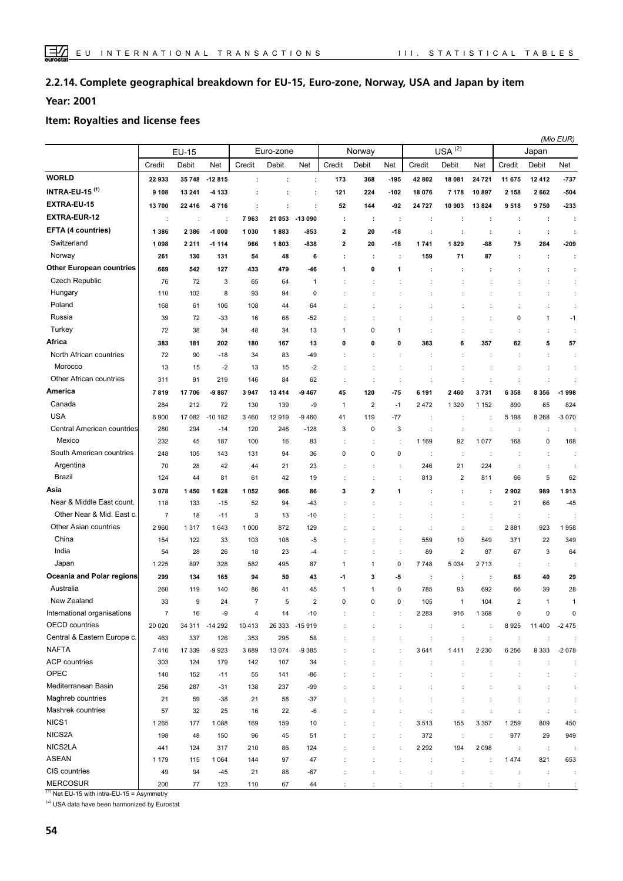#### **Complete geographical breakdown for EU-15, Euro-zone, Norway, USA and Japan by item 2.2.14.**

**Year: 2001**

#### **Item: Royalties and license fees**

| $USA^{(2)}$<br>Euro-zone<br>Norway<br><b>EU-15</b><br>Japan<br>Credit<br>Debit<br>Credit<br>Debit<br>Net<br>Credit<br>Credit<br>Credit<br>Net<br>Net<br>Debit<br>Net<br>Debit<br>Net<br>Debit<br><b>WORLD</b><br>22 933<br>35 748<br>$-12815$<br>173<br>368<br>$-195$<br>42 802<br>18 081<br>24 7 21<br>11 675<br>12 412<br>$-737$<br>÷<br>÷<br>÷<br><b>INTRA-EU-15 (1)</b><br>$-504$<br>9 1 0 8<br>13 241<br>224<br>-102<br>-4 133<br>121<br>18 076<br>7 1 7 8<br>10897<br>2 1 5 8<br>2 6 6 2<br>÷<br>÷<br>÷<br>EXTRA-EU-15<br>9750<br>-233<br>13700<br>22 416<br>$-8716$<br>52<br>144<br>-92<br>24 7 27<br>10 903<br>13824<br>9518<br>÷<br>÷<br>÷<br><b>EXTRA-EUR-12</b><br>7963<br>21 053<br>$-13090$<br>÷<br>$\ddot{\phantom{a}}$<br>÷<br>÷<br>÷<br>÷<br>÷<br>÷<br>÷<br>÷<br>÷<br>÷<br>EFTA (4 countries)<br>2 3 8 6<br>$-1000$<br>$\overline{\mathbf{2}}$<br>20<br>1 3 8 6<br>1030<br>1883<br>-853<br>-18<br>÷<br>÷<br>÷<br>÷<br>÷<br>÷<br>Switzerland<br>1098<br>2 2 1 1<br>966<br>1803<br>-838<br>$\overline{\mathbf{2}}$<br>20<br>$-18$<br>1741<br>1829<br>-88<br>75<br>284<br>-209<br>$-1114$<br>Norway<br>71<br>261<br>130<br>131<br>54<br>48<br>6<br>÷<br>÷<br>159<br>87<br>÷<br>÷<br>÷<br>÷<br><b>Other European countries</b><br>669<br>542<br>127<br>433<br>479<br>0<br>1<br>-46<br>1<br>÷<br>÷<br>÷<br>÷<br>÷<br><b>Czech Republic</b><br>72<br>65<br>76<br>3<br>64<br>÷<br>1<br>Hungary<br>8<br>110<br>102<br>93<br>94<br>0<br>÷<br>÷<br>÷<br>Poland<br>168<br>61<br>106<br>108<br>44<br>64<br>÷<br>÷<br>÷<br>Russia<br>39<br>72<br>16<br>$\pmb{0}$<br>$\mathbf{1}$<br>$-1$<br>$-33$<br>68<br>-52<br>$\ddot{\cdot}$<br>Turkey<br>38<br>48<br>34<br>0<br>72<br>34<br>13<br>÷<br>1<br>$\mathbf{1}$<br>÷<br>÷<br>Africa<br>5<br>0<br>6<br>357<br>62<br>57<br>383<br>181<br>202<br>180<br>167<br>13<br>0<br>0<br>363<br>North African countries<br>72<br>90<br>83<br>$-49$<br>$-18$<br>34<br>÷<br>÷<br>÷<br>÷<br>t<br>$\ddot{\phantom{a}}$<br>Morocco<br>13<br>13<br>15<br>-2<br>15<br>-2<br>d<br>Other African countries<br>311<br>91<br>219<br>146<br>84<br>62<br>$\ddot{\phantom{a}}$<br>÷<br>America<br>17706<br>$-9887$<br>120<br>2460<br>3731<br>6 3 5 8<br>8 3 5 6<br>$-1998$<br>7819<br>3947<br>13414<br>-9 467<br>45<br>$-75$<br>6 191<br>Canada<br>2<br>65<br>824<br>284<br>212<br>72<br>130<br>139<br>-9<br>$\mathbf{1}$<br>$-1$<br>2472<br>1 3 2 0<br>1 1 5 2<br>890<br><b>USA</b><br>6900<br>17 082<br>8 2 6 8<br>$-3070$<br>$-10182$<br>3460<br>12919<br>-9 460<br>119<br>$-77$<br>5 1 9 8<br>41<br>$\ddot{\phantom{a}}$<br>÷<br>÷<br>Central American countries<br>280<br>294<br>120<br>$-128$<br>3<br>0<br>3<br>$-14$<br>248<br>$\ddot{\phantom{a}}$<br>÷<br>÷<br>÷<br>Mexico<br>232<br>100<br>92<br>1077<br>168<br>0<br>168<br>45<br>187<br>16<br>83<br>1 1 6 9<br>South American countries<br>$\pmb{0}$<br>0<br>0<br>248<br>105<br>143<br>131<br>94<br>36<br>÷<br>$\ddot{\phantom{a}}$<br>÷<br>÷<br>Argentina<br>21<br>21<br>224<br>70<br>28<br>42<br>44<br>23<br>246<br>$\ddot{\phantom{a}}$<br>÷<br>÷<br>Brazil<br>$\overline{2}$<br>5<br>62<br>61<br>42<br>66<br>124<br>44<br>81<br>19<br>÷<br>÷<br>813<br>811<br>Asia<br>2<br>1913<br>3078<br>1450<br>1628<br>1052<br>966<br>86<br>3<br>1<br>2902<br>989<br>÷<br>÷<br>Near & Middle East count.<br>52<br>21<br>66<br>$-45$<br>118<br>133<br>$-15$<br>94<br>$-43$<br>$\ddot{\phantom{a}}$<br>÷<br>Other Near & Mid. East c.<br>$\overline{7}$<br>18<br>3<br>13<br>$-11$<br>$-10$<br>÷<br>÷<br>÷<br>÷<br>Other Asian countries<br>2960<br>1 0 0 0<br>872<br>$\ddot{\phantom{a}}$<br>2881<br>923<br>1958<br>1 3 1 7<br>1643<br>129<br>÷<br>t<br>÷<br>China<br>10<br>549<br>349<br>154<br>122<br>33<br>103<br>108<br>-5<br>÷<br>559<br>371<br>22<br>India<br>$\overline{2}$<br>23<br>87<br>67<br>3<br>64<br>54<br>28<br>26<br>18<br>÷<br>89<br>-4<br>÷<br>Japan<br>1 2 2 5<br>897<br>328<br>582<br>495<br>87<br>$\mathbf{1}$<br>0<br>7748<br>5 0 3 4<br>2713<br>$\mathbf{1}$<br>÷<br>÷<br>Oceania and Polar regions<br>299<br>3<br>-5<br>68<br>40<br>29<br>134<br>165<br>94<br>50<br>43<br>-1<br>÷<br>÷<br>÷<br>Australia<br>785<br>93<br>692<br>260<br>86<br>$\pmb{0}$<br>66<br>39<br>28<br>119<br>140<br>41<br>45<br>1<br>$\mathbf{1}$<br>New Zealand<br>33<br>105<br>104<br>$\mathcal{D}$<br>9<br>24<br>$\overline{7}$<br>5<br>$\overline{2}$<br>$\Omega$<br>$\Omega$<br>$\Omega$<br>$\overline{1}$<br>$\mathbf{1}$<br>$\overline{1}$<br>International organisations<br>$\boldsymbol{7}$<br>16<br>-9<br>$\overline{4}$<br>14<br>$-10$<br>2 2 8 3<br>916<br>1 3 6 8<br>$\pmb{0}$<br>0<br>$\mathbf 0$<br>OECD countries<br>26 333 - 15 919<br>11 400<br>$-2475$<br>20 0 20<br>34 311 -14 292<br>10413<br>8925<br>÷<br>÷<br>$\ddot{\phantom{a}}$<br>÷<br>Central & Eastern Europe c.<br>295<br>463<br>337<br>126<br>353<br>58<br>$\ddot{\phantom{a}}$<br>t<br>÷<br>÷<br>÷<br>÷<br>÷<br><b>NAFTA</b><br>17 339<br>13 0 74<br>8 3 3 3<br>7416<br>$-9923$<br>3689<br>$-9385$<br>3641<br>1411<br>2 2 3 0<br>6 2 5 6<br>$-2078$<br><b>ACP</b> countries<br>303<br>124<br>179<br>142<br>107<br>34<br>÷<br>$\ddot{\phantom{a}}$<br>÷<br>÷<br>OPEC<br>152<br>55<br>141<br>140<br>$-11$<br>-86<br>÷<br>Mediterranean Basin<br>237<br>256<br>287<br>138<br>$-99$<br>$-31$<br>÷<br>Maghreb countries<br>21<br>59<br>$-38$<br>21<br>58<br>$-37$<br>Mashrek countries<br>57<br>32<br>25<br>16<br>22<br>-6<br>$\ddot{\phantom{a}}$<br>÷<br>NICS <sub>1</sub><br>1 2 6 5<br>177<br>1088<br>169<br>159<br>10<br>3513<br>155<br>3 3 5 7<br>1 2 5 9<br>809<br>450<br>$\ddot{\phantom{a}}$<br>NICS2A<br>96<br>977<br>29<br>949<br>48<br>150<br>45<br>51<br>372<br>$\cdot$<br>198<br>$\ddot{\phantom{a}}$<br>÷<br>$\ddot{\phantom{a}}$<br>NICS2LA<br>210<br>124<br>2 2 9 2<br>194<br>2 0 9 8<br>124<br>317<br>86<br>$\ddot{\phantom{a}}$<br>$\ddot{\phantom{a}}$<br>441<br>$\ddot{\phantom{a}}$<br>÷<br>÷<br><b>ASEAN</b><br>1474<br>1 1 7 9<br>115<br>1 0 6 4<br>144<br>97<br>47<br>$\ddot{\phantom{a}}$<br>$\ddot{\phantom{a}}$<br>821<br>653<br>÷<br>÷<br>÷<br>CIS countries<br>94<br>$-45$<br>21<br>88<br>$-67$<br>49<br>÷<br>$\ddot{\phantom{a}}$<br>÷<br>÷<br>÷<br>÷<br>÷<br>÷<br>÷<br><b>MERCOSUR</b><br>67<br>200<br>77<br>123<br>110<br>44<br>÷<br>÷<br>÷<br>÷<br>÷<br>÷<br>$\ddot{\phantom{a}}$<br>÷<br>÷ |  |  |  |  |  |  |  | (Mio EUR) |
|-------------------------------------------------------------------------------------------------------------------------------------------------------------------------------------------------------------------------------------------------------------------------------------------------------------------------------------------------------------------------------------------------------------------------------------------------------------------------------------------------------------------------------------------------------------------------------------------------------------------------------------------------------------------------------------------------------------------------------------------------------------------------------------------------------------------------------------------------------------------------------------------------------------------------------------------------------------------------------------------------------------------------------------------------------------------------------------------------------------------------------------------------------------------------------------------------------------------------------------------------------------------------------------------------------------------------------------------------------------------------------------------------------------------------------------------------------------------------------------------------------------------------------------------------------------------------------------------------------------------------------------------------------------------------------------------------------------------------------------------------------------------------------------------------------------------------------------------------------------------------------------------------------------------------------------------------------------------------------------------------------------------------------------------------------------------------------------------------------------------------------------------------------------------------------------------------------------------------------------------------------------------------------------------------------------------------------------------------------------------------------------------------------------------------------------------------------------------------------------------------------------------------------------------------------------------------------------------------------------------------------------------------------------------------------------------------------------------------------------------------------------------------------------------------------------------------------------------------------------------------------------------------------------------------------------------------------------------------------------------------------------------------------------------------------------------------------------------------------------------------------------------------------------------------------------------------------------------------------------------------------------------------------------------------------------------------------------------------------------------------------------------------------------------------------------------------------------------------------------------------------------------------------------------------------------------------------------------------------------------------------------------------------------------------------------------------------------------------------------------------------------------------------------------------------------------------------------------------------------------------------------------------------------------------------------------------------------------------------------------------------------------------------------------------------------------------------------------------------------------------------------------------------------------------------------------------------------------------------------------------------------------------------------------------------------------------------------------------------------------------------------------------------------------------------------------------------------------------------------------------------------------------------------------------------------------------------------------------------------------------------------------------------------------------------------------------------------------------------------------------------------------------------------------------------------------------------------------------------------------------------------------------------------------------------------------------------------------------------------------------------------------------------------------------------------------------------------------------------------------------------------------------------------------------------------------------------------------------------------------------------------------------------------------------------------------------------------------------------------------------------------------------------------------------------------------------------------------------------------------------------------------------------------------------------------------------------------------------------------------------------------------------------------------------------------------------------------------------------------------------------------------------------------------------------------------------------------------------------------------------------------------------------------------------------------------------------------------------------------------------------------------------------------------------------------------------------------------------------------------------------------------------------------------------------------------------------------------------------------------------------------------------------|--|--|--|--|--|--|--|-----------|
|                                                                                                                                                                                                                                                                                                                                                                                                                                                                                                                                                                                                                                                                                                                                                                                                                                                                                                                                                                                                                                                                                                                                                                                                                                                                                                                                                                                                                                                                                                                                                                                                                                                                                                                                                                                                                                                                                                                                                                                                                                                                                                                                                                                                                                                                                                                                                                                                                                                                                                                                                                                                                                                                                                                                                                                                                                                                                                                                                                                                                                                                                                                                                                                                                                                                                                                                                                                                                                                                                                                                                                                                                                                                                                                                                                                                                                                                                                                                                                                                                                                                                                                                                                                                                                                                                                                                                                                                                                                                                                                                                                                                                                                                                                                                                                                                                                                                                                                                                                                                                                                                                                                                                                                                                                                                                                                                                                                                                                                                                                                                                                                                                                                                                                                                                                                                                                                                                                                                                                                                                                                                                                                                                                                                                                                                               |  |  |  |  |  |  |  |           |
|                                                                                                                                                                                                                                                                                                                                                                                                                                                                                                                                                                                                                                                                                                                                                                                                                                                                                                                                                                                                                                                                                                                                                                                                                                                                                                                                                                                                                                                                                                                                                                                                                                                                                                                                                                                                                                                                                                                                                                                                                                                                                                                                                                                                                                                                                                                                                                                                                                                                                                                                                                                                                                                                                                                                                                                                                                                                                                                                                                                                                                                                                                                                                                                                                                                                                                                                                                                                                                                                                                                                                                                                                                                                                                                                                                                                                                                                                                                                                                                                                                                                                                                                                                                                                                                                                                                                                                                                                                                                                                                                                                                                                                                                                                                                                                                                                                                                                                                                                                                                                                                                                                                                                                                                                                                                                                                                                                                                                                                                                                                                                                                                                                                                                                                                                                                                                                                                                                                                                                                                                                                                                                                                                                                                                                                                               |  |  |  |  |  |  |  |           |
|                                                                                                                                                                                                                                                                                                                                                                                                                                                                                                                                                                                                                                                                                                                                                                                                                                                                                                                                                                                                                                                                                                                                                                                                                                                                                                                                                                                                                                                                                                                                                                                                                                                                                                                                                                                                                                                                                                                                                                                                                                                                                                                                                                                                                                                                                                                                                                                                                                                                                                                                                                                                                                                                                                                                                                                                                                                                                                                                                                                                                                                                                                                                                                                                                                                                                                                                                                                                                                                                                                                                                                                                                                                                                                                                                                                                                                                                                                                                                                                                                                                                                                                                                                                                                                                                                                                                                                                                                                                                                                                                                                                                                                                                                                                                                                                                                                                                                                                                                                                                                                                                                                                                                                                                                                                                                                                                                                                                                                                                                                                                                                                                                                                                                                                                                                                                                                                                                                                                                                                                                                                                                                                                                                                                                                                                               |  |  |  |  |  |  |  |           |
|                                                                                                                                                                                                                                                                                                                                                                                                                                                                                                                                                                                                                                                                                                                                                                                                                                                                                                                                                                                                                                                                                                                                                                                                                                                                                                                                                                                                                                                                                                                                                                                                                                                                                                                                                                                                                                                                                                                                                                                                                                                                                                                                                                                                                                                                                                                                                                                                                                                                                                                                                                                                                                                                                                                                                                                                                                                                                                                                                                                                                                                                                                                                                                                                                                                                                                                                                                                                                                                                                                                                                                                                                                                                                                                                                                                                                                                                                                                                                                                                                                                                                                                                                                                                                                                                                                                                                                                                                                                                                                                                                                                                                                                                                                                                                                                                                                                                                                                                                                                                                                                                                                                                                                                                                                                                                                                                                                                                                                                                                                                                                                                                                                                                                                                                                                                                                                                                                                                                                                                                                                                                                                                                                                                                                                                                               |  |  |  |  |  |  |  |           |
|                                                                                                                                                                                                                                                                                                                                                                                                                                                                                                                                                                                                                                                                                                                                                                                                                                                                                                                                                                                                                                                                                                                                                                                                                                                                                                                                                                                                                                                                                                                                                                                                                                                                                                                                                                                                                                                                                                                                                                                                                                                                                                                                                                                                                                                                                                                                                                                                                                                                                                                                                                                                                                                                                                                                                                                                                                                                                                                                                                                                                                                                                                                                                                                                                                                                                                                                                                                                                                                                                                                                                                                                                                                                                                                                                                                                                                                                                                                                                                                                                                                                                                                                                                                                                                                                                                                                                                                                                                                                                                                                                                                                                                                                                                                                                                                                                                                                                                                                                                                                                                                                                                                                                                                                                                                                                                                                                                                                                                                                                                                                                                                                                                                                                                                                                                                                                                                                                                                                                                                                                                                                                                                                                                                                                                                                               |  |  |  |  |  |  |  |           |
|                                                                                                                                                                                                                                                                                                                                                                                                                                                                                                                                                                                                                                                                                                                                                                                                                                                                                                                                                                                                                                                                                                                                                                                                                                                                                                                                                                                                                                                                                                                                                                                                                                                                                                                                                                                                                                                                                                                                                                                                                                                                                                                                                                                                                                                                                                                                                                                                                                                                                                                                                                                                                                                                                                                                                                                                                                                                                                                                                                                                                                                                                                                                                                                                                                                                                                                                                                                                                                                                                                                                                                                                                                                                                                                                                                                                                                                                                                                                                                                                                                                                                                                                                                                                                                                                                                                                                                                                                                                                                                                                                                                                                                                                                                                                                                                                                                                                                                                                                                                                                                                                                                                                                                                                                                                                                                                                                                                                                                                                                                                                                                                                                                                                                                                                                                                                                                                                                                                                                                                                                                                                                                                                                                                                                                                                               |  |  |  |  |  |  |  |           |
|                                                                                                                                                                                                                                                                                                                                                                                                                                                                                                                                                                                                                                                                                                                                                                                                                                                                                                                                                                                                                                                                                                                                                                                                                                                                                                                                                                                                                                                                                                                                                                                                                                                                                                                                                                                                                                                                                                                                                                                                                                                                                                                                                                                                                                                                                                                                                                                                                                                                                                                                                                                                                                                                                                                                                                                                                                                                                                                                                                                                                                                                                                                                                                                                                                                                                                                                                                                                                                                                                                                                                                                                                                                                                                                                                                                                                                                                                                                                                                                                                                                                                                                                                                                                                                                                                                                                                                                                                                                                                                                                                                                                                                                                                                                                                                                                                                                                                                                                                                                                                                                                                                                                                                                                                                                                                                                                                                                                                                                                                                                                                                                                                                                                                                                                                                                                                                                                                                                                                                                                                                                                                                                                                                                                                                                                               |  |  |  |  |  |  |  |           |
|                                                                                                                                                                                                                                                                                                                                                                                                                                                                                                                                                                                                                                                                                                                                                                                                                                                                                                                                                                                                                                                                                                                                                                                                                                                                                                                                                                                                                                                                                                                                                                                                                                                                                                                                                                                                                                                                                                                                                                                                                                                                                                                                                                                                                                                                                                                                                                                                                                                                                                                                                                                                                                                                                                                                                                                                                                                                                                                                                                                                                                                                                                                                                                                                                                                                                                                                                                                                                                                                                                                                                                                                                                                                                                                                                                                                                                                                                                                                                                                                                                                                                                                                                                                                                                                                                                                                                                                                                                                                                                                                                                                                                                                                                                                                                                                                                                                                                                                                                                                                                                                                                                                                                                                                                                                                                                                                                                                                                                                                                                                                                                                                                                                                                                                                                                                                                                                                                                                                                                                                                                                                                                                                                                                                                                                                               |  |  |  |  |  |  |  |           |
|                                                                                                                                                                                                                                                                                                                                                                                                                                                                                                                                                                                                                                                                                                                                                                                                                                                                                                                                                                                                                                                                                                                                                                                                                                                                                                                                                                                                                                                                                                                                                                                                                                                                                                                                                                                                                                                                                                                                                                                                                                                                                                                                                                                                                                                                                                                                                                                                                                                                                                                                                                                                                                                                                                                                                                                                                                                                                                                                                                                                                                                                                                                                                                                                                                                                                                                                                                                                                                                                                                                                                                                                                                                                                                                                                                                                                                                                                                                                                                                                                                                                                                                                                                                                                                                                                                                                                                                                                                                                                                                                                                                                                                                                                                                                                                                                                                                                                                                                                                                                                                                                                                                                                                                                                                                                                                                                                                                                                                                                                                                                                                                                                                                                                                                                                                                                                                                                                                                                                                                                                                                                                                                                                                                                                                                                               |  |  |  |  |  |  |  |           |
|                                                                                                                                                                                                                                                                                                                                                                                                                                                                                                                                                                                                                                                                                                                                                                                                                                                                                                                                                                                                                                                                                                                                                                                                                                                                                                                                                                                                                                                                                                                                                                                                                                                                                                                                                                                                                                                                                                                                                                                                                                                                                                                                                                                                                                                                                                                                                                                                                                                                                                                                                                                                                                                                                                                                                                                                                                                                                                                                                                                                                                                                                                                                                                                                                                                                                                                                                                                                                                                                                                                                                                                                                                                                                                                                                                                                                                                                                                                                                                                                                                                                                                                                                                                                                                                                                                                                                                                                                                                                                                                                                                                                                                                                                                                                                                                                                                                                                                                                                                                                                                                                                                                                                                                                                                                                                                                                                                                                                                                                                                                                                                                                                                                                                                                                                                                                                                                                                                                                                                                                                                                                                                                                                                                                                                                                               |  |  |  |  |  |  |  |           |
|                                                                                                                                                                                                                                                                                                                                                                                                                                                                                                                                                                                                                                                                                                                                                                                                                                                                                                                                                                                                                                                                                                                                                                                                                                                                                                                                                                                                                                                                                                                                                                                                                                                                                                                                                                                                                                                                                                                                                                                                                                                                                                                                                                                                                                                                                                                                                                                                                                                                                                                                                                                                                                                                                                                                                                                                                                                                                                                                                                                                                                                                                                                                                                                                                                                                                                                                                                                                                                                                                                                                                                                                                                                                                                                                                                                                                                                                                                                                                                                                                                                                                                                                                                                                                                                                                                                                                                                                                                                                                                                                                                                                                                                                                                                                                                                                                                                                                                                                                                                                                                                                                                                                                                                                                                                                                                                                                                                                                                                                                                                                                                                                                                                                                                                                                                                                                                                                                                                                                                                                                                                                                                                                                                                                                                                                               |  |  |  |  |  |  |  |           |
|                                                                                                                                                                                                                                                                                                                                                                                                                                                                                                                                                                                                                                                                                                                                                                                                                                                                                                                                                                                                                                                                                                                                                                                                                                                                                                                                                                                                                                                                                                                                                                                                                                                                                                                                                                                                                                                                                                                                                                                                                                                                                                                                                                                                                                                                                                                                                                                                                                                                                                                                                                                                                                                                                                                                                                                                                                                                                                                                                                                                                                                                                                                                                                                                                                                                                                                                                                                                                                                                                                                                                                                                                                                                                                                                                                                                                                                                                                                                                                                                                                                                                                                                                                                                                                                                                                                                                                                                                                                                                                                                                                                                                                                                                                                                                                                                                                                                                                                                                                                                                                                                                                                                                                                                                                                                                                                                                                                                                                                                                                                                                                                                                                                                                                                                                                                                                                                                                                                                                                                                                                                                                                                                                                                                                                                                               |  |  |  |  |  |  |  |           |
|                                                                                                                                                                                                                                                                                                                                                                                                                                                                                                                                                                                                                                                                                                                                                                                                                                                                                                                                                                                                                                                                                                                                                                                                                                                                                                                                                                                                                                                                                                                                                                                                                                                                                                                                                                                                                                                                                                                                                                                                                                                                                                                                                                                                                                                                                                                                                                                                                                                                                                                                                                                                                                                                                                                                                                                                                                                                                                                                                                                                                                                                                                                                                                                                                                                                                                                                                                                                                                                                                                                                                                                                                                                                                                                                                                                                                                                                                                                                                                                                                                                                                                                                                                                                                                                                                                                                                                                                                                                                                                                                                                                                                                                                                                                                                                                                                                                                                                                                                                                                                                                                                                                                                                                                                                                                                                                                                                                                                                                                                                                                                                                                                                                                                                                                                                                                                                                                                                                                                                                                                                                                                                                                                                                                                                                                               |  |  |  |  |  |  |  |           |
|                                                                                                                                                                                                                                                                                                                                                                                                                                                                                                                                                                                                                                                                                                                                                                                                                                                                                                                                                                                                                                                                                                                                                                                                                                                                                                                                                                                                                                                                                                                                                                                                                                                                                                                                                                                                                                                                                                                                                                                                                                                                                                                                                                                                                                                                                                                                                                                                                                                                                                                                                                                                                                                                                                                                                                                                                                                                                                                                                                                                                                                                                                                                                                                                                                                                                                                                                                                                                                                                                                                                                                                                                                                                                                                                                                                                                                                                                                                                                                                                                                                                                                                                                                                                                                                                                                                                                                                                                                                                                                                                                                                                                                                                                                                                                                                                                                                                                                                                                                                                                                                                                                                                                                                                                                                                                                                                                                                                                                                                                                                                                                                                                                                                                                                                                                                                                                                                                                                                                                                                                                                                                                                                                                                                                                                                               |  |  |  |  |  |  |  |           |
|                                                                                                                                                                                                                                                                                                                                                                                                                                                                                                                                                                                                                                                                                                                                                                                                                                                                                                                                                                                                                                                                                                                                                                                                                                                                                                                                                                                                                                                                                                                                                                                                                                                                                                                                                                                                                                                                                                                                                                                                                                                                                                                                                                                                                                                                                                                                                                                                                                                                                                                                                                                                                                                                                                                                                                                                                                                                                                                                                                                                                                                                                                                                                                                                                                                                                                                                                                                                                                                                                                                                                                                                                                                                                                                                                                                                                                                                                                                                                                                                                                                                                                                                                                                                                                                                                                                                                                                                                                                                                                                                                                                                                                                                                                                                                                                                                                                                                                                                                                                                                                                                                                                                                                                                                                                                                                                                                                                                                                                                                                                                                                                                                                                                                                                                                                                                                                                                                                                                                                                                                                                                                                                                                                                                                                                                               |  |  |  |  |  |  |  |           |
|                                                                                                                                                                                                                                                                                                                                                                                                                                                                                                                                                                                                                                                                                                                                                                                                                                                                                                                                                                                                                                                                                                                                                                                                                                                                                                                                                                                                                                                                                                                                                                                                                                                                                                                                                                                                                                                                                                                                                                                                                                                                                                                                                                                                                                                                                                                                                                                                                                                                                                                                                                                                                                                                                                                                                                                                                                                                                                                                                                                                                                                                                                                                                                                                                                                                                                                                                                                                                                                                                                                                                                                                                                                                                                                                                                                                                                                                                                                                                                                                                                                                                                                                                                                                                                                                                                                                                                                                                                                                                                                                                                                                                                                                                                                                                                                                                                                                                                                                                                                                                                                                                                                                                                                                                                                                                                                                                                                                                                                                                                                                                                                                                                                                                                                                                                                                                                                                                                                                                                                                                                                                                                                                                                                                                                                                               |  |  |  |  |  |  |  |           |
|                                                                                                                                                                                                                                                                                                                                                                                                                                                                                                                                                                                                                                                                                                                                                                                                                                                                                                                                                                                                                                                                                                                                                                                                                                                                                                                                                                                                                                                                                                                                                                                                                                                                                                                                                                                                                                                                                                                                                                                                                                                                                                                                                                                                                                                                                                                                                                                                                                                                                                                                                                                                                                                                                                                                                                                                                                                                                                                                                                                                                                                                                                                                                                                                                                                                                                                                                                                                                                                                                                                                                                                                                                                                                                                                                                                                                                                                                                                                                                                                                                                                                                                                                                                                                                                                                                                                                                                                                                                                                                                                                                                                                                                                                                                                                                                                                                                                                                                                                                                                                                                                                                                                                                                                                                                                                                                                                                                                                                                                                                                                                                                                                                                                                                                                                                                                                                                                                                                                                                                                                                                                                                                                                                                                                                                                               |  |  |  |  |  |  |  |           |
|                                                                                                                                                                                                                                                                                                                                                                                                                                                                                                                                                                                                                                                                                                                                                                                                                                                                                                                                                                                                                                                                                                                                                                                                                                                                                                                                                                                                                                                                                                                                                                                                                                                                                                                                                                                                                                                                                                                                                                                                                                                                                                                                                                                                                                                                                                                                                                                                                                                                                                                                                                                                                                                                                                                                                                                                                                                                                                                                                                                                                                                                                                                                                                                                                                                                                                                                                                                                                                                                                                                                                                                                                                                                                                                                                                                                                                                                                                                                                                                                                                                                                                                                                                                                                                                                                                                                                                                                                                                                                                                                                                                                                                                                                                                                                                                                                                                                                                                                                                                                                                                                                                                                                                                                                                                                                                                                                                                                                                                                                                                                                                                                                                                                                                                                                                                                                                                                                                                                                                                                                                                                                                                                                                                                                                                                               |  |  |  |  |  |  |  |           |
|                                                                                                                                                                                                                                                                                                                                                                                                                                                                                                                                                                                                                                                                                                                                                                                                                                                                                                                                                                                                                                                                                                                                                                                                                                                                                                                                                                                                                                                                                                                                                                                                                                                                                                                                                                                                                                                                                                                                                                                                                                                                                                                                                                                                                                                                                                                                                                                                                                                                                                                                                                                                                                                                                                                                                                                                                                                                                                                                                                                                                                                                                                                                                                                                                                                                                                                                                                                                                                                                                                                                                                                                                                                                                                                                                                                                                                                                                                                                                                                                                                                                                                                                                                                                                                                                                                                                                                                                                                                                                                                                                                                                                                                                                                                                                                                                                                                                                                                                                                                                                                                                                                                                                                                                                                                                                                                                                                                                                                                                                                                                                                                                                                                                                                                                                                                                                                                                                                                                                                                                                                                                                                                                                                                                                                                                               |  |  |  |  |  |  |  |           |
|                                                                                                                                                                                                                                                                                                                                                                                                                                                                                                                                                                                                                                                                                                                                                                                                                                                                                                                                                                                                                                                                                                                                                                                                                                                                                                                                                                                                                                                                                                                                                                                                                                                                                                                                                                                                                                                                                                                                                                                                                                                                                                                                                                                                                                                                                                                                                                                                                                                                                                                                                                                                                                                                                                                                                                                                                                                                                                                                                                                                                                                                                                                                                                                                                                                                                                                                                                                                                                                                                                                                                                                                                                                                                                                                                                                                                                                                                                                                                                                                                                                                                                                                                                                                                                                                                                                                                                                                                                                                                                                                                                                                                                                                                                                                                                                                                                                                                                                                                                                                                                                                                                                                                                                                                                                                                                                                                                                                                                                                                                                                                                                                                                                                                                                                                                                                                                                                                                                                                                                                                                                                                                                                                                                                                                                                               |  |  |  |  |  |  |  |           |
|                                                                                                                                                                                                                                                                                                                                                                                                                                                                                                                                                                                                                                                                                                                                                                                                                                                                                                                                                                                                                                                                                                                                                                                                                                                                                                                                                                                                                                                                                                                                                                                                                                                                                                                                                                                                                                                                                                                                                                                                                                                                                                                                                                                                                                                                                                                                                                                                                                                                                                                                                                                                                                                                                                                                                                                                                                                                                                                                                                                                                                                                                                                                                                                                                                                                                                                                                                                                                                                                                                                                                                                                                                                                                                                                                                                                                                                                                                                                                                                                                                                                                                                                                                                                                                                                                                                                                                                                                                                                                                                                                                                                                                                                                                                                                                                                                                                                                                                                                                                                                                                                                                                                                                                                                                                                                                                                                                                                                                                                                                                                                                                                                                                                                                                                                                                                                                                                                                                                                                                                                                                                                                                                                                                                                                                                               |  |  |  |  |  |  |  |           |
|                                                                                                                                                                                                                                                                                                                                                                                                                                                                                                                                                                                                                                                                                                                                                                                                                                                                                                                                                                                                                                                                                                                                                                                                                                                                                                                                                                                                                                                                                                                                                                                                                                                                                                                                                                                                                                                                                                                                                                                                                                                                                                                                                                                                                                                                                                                                                                                                                                                                                                                                                                                                                                                                                                                                                                                                                                                                                                                                                                                                                                                                                                                                                                                                                                                                                                                                                                                                                                                                                                                                                                                                                                                                                                                                                                                                                                                                                                                                                                                                                                                                                                                                                                                                                                                                                                                                                                                                                                                                                                                                                                                                                                                                                                                                                                                                                                                                                                                                                                                                                                                                                                                                                                                                                                                                                                                                                                                                                                                                                                                                                                                                                                                                                                                                                                                                                                                                                                                                                                                                                                                                                                                                                                                                                                                                               |  |  |  |  |  |  |  |           |
|                                                                                                                                                                                                                                                                                                                                                                                                                                                                                                                                                                                                                                                                                                                                                                                                                                                                                                                                                                                                                                                                                                                                                                                                                                                                                                                                                                                                                                                                                                                                                                                                                                                                                                                                                                                                                                                                                                                                                                                                                                                                                                                                                                                                                                                                                                                                                                                                                                                                                                                                                                                                                                                                                                                                                                                                                                                                                                                                                                                                                                                                                                                                                                                                                                                                                                                                                                                                                                                                                                                                                                                                                                                                                                                                                                                                                                                                                                                                                                                                                                                                                                                                                                                                                                                                                                                                                                                                                                                                                                                                                                                                                                                                                                                                                                                                                                                                                                                                                                                                                                                                                                                                                                                                                                                                                                                                                                                                                                                                                                                                                                                                                                                                                                                                                                                                                                                                                                                                                                                                                                                                                                                                                                                                                                                                               |  |  |  |  |  |  |  |           |
|                                                                                                                                                                                                                                                                                                                                                                                                                                                                                                                                                                                                                                                                                                                                                                                                                                                                                                                                                                                                                                                                                                                                                                                                                                                                                                                                                                                                                                                                                                                                                                                                                                                                                                                                                                                                                                                                                                                                                                                                                                                                                                                                                                                                                                                                                                                                                                                                                                                                                                                                                                                                                                                                                                                                                                                                                                                                                                                                                                                                                                                                                                                                                                                                                                                                                                                                                                                                                                                                                                                                                                                                                                                                                                                                                                                                                                                                                                                                                                                                                                                                                                                                                                                                                                                                                                                                                                                                                                                                                                                                                                                                                                                                                                                                                                                                                                                                                                                                                                                                                                                                                                                                                                                                                                                                                                                                                                                                                                                                                                                                                                                                                                                                                                                                                                                                                                                                                                                                                                                                                                                                                                                                                                                                                                                                               |  |  |  |  |  |  |  |           |
|                                                                                                                                                                                                                                                                                                                                                                                                                                                                                                                                                                                                                                                                                                                                                                                                                                                                                                                                                                                                                                                                                                                                                                                                                                                                                                                                                                                                                                                                                                                                                                                                                                                                                                                                                                                                                                                                                                                                                                                                                                                                                                                                                                                                                                                                                                                                                                                                                                                                                                                                                                                                                                                                                                                                                                                                                                                                                                                                                                                                                                                                                                                                                                                                                                                                                                                                                                                                                                                                                                                                                                                                                                                                                                                                                                                                                                                                                                                                                                                                                                                                                                                                                                                                                                                                                                                                                                                                                                                                                                                                                                                                                                                                                                                                                                                                                                                                                                                                                                                                                                                                                                                                                                                                                                                                                                                                                                                                                                                                                                                                                                                                                                                                                                                                                                                                                                                                                                                                                                                                                                                                                                                                                                                                                                                                               |  |  |  |  |  |  |  |           |
|                                                                                                                                                                                                                                                                                                                                                                                                                                                                                                                                                                                                                                                                                                                                                                                                                                                                                                                                                                                                                                                                                                                                                                                                                                                                                                                                                                                                                                                                                                                                                                                                                                                                                                                                                                                                                                                                                                                                                                                                                                                                                                                                                                                                                                                                                                                                                                                                                                                                                                                                                                                                                                                                                                                                                                                                                                                                                                                                                                                                                                                                                                                                                                                                                                                                                                                                                                                                                                                                                                                                                                                                                                                                                                                                                                                                                                                                                                                                                                                                                                                                                                                                                                                                                                                                                                                                                                                                                                                                                                                                                                                                                                                                                                                                                                                                                                                                                                                                                                                                                                                                                                                                                                                                                                                                                                                                                                                                                                                                                                                                                                                                                                                                                                                                                                                                                                                                                                                                                                                                                                                                                                                                                                                                                                                                               |  |  |  |  |  |  |  |           |
|                                                                                                                                                                                                                                                                                                                                                                                                                                                                                                                                                                                                                                                                                                                                                                                                                                                                                                                                                                                                                                                                                                                                                                                                                                                                                                                                                                                                                                                                                                                                                                                                                                                                                                                                                                                                                                                                                                                                                                                                                                                                                                                                                                                                                                                                                                                                                                                                                                                                                                                                                                                                                                                                                                                                                                                                                                                                                                                                                                                                                                                                                                                                                                                                                                                                                                                                                                                                                                                                                                                                                                                                                                                                                                                                                                                                                                                                                                                                                                                                                                                                                                                                                                                                                                                                                                                                                                                                                                                                                                                                                                                                                                                                                                                                                                                                                                                                                                                                                                                                                                                                                                                                                                                                                                                                                                                                                                                                                                                                                                                                                                                                                                                                                                                                                                                                                                                                                                                                                                                                                                                                                                                                                                                                                                                                               |  |  |  |  |  |  |  |           |
|                                                                                                                                                                                                                                                                                                                                                                                                                                                                                                                                                                                                                                                                                                                                                                                                                                                                                                                                                                                                                                                                                                                                                                                                                                                                                                                                                                                                                                                                                                                                                                                                                                                                                                                                                                                                                                                                                                                                                                                                                                                                                                                                                                                                                                                                                                                                                                                                                                                                                                                                                                                                                                                                                                                                                                                                                                                                                                                                                                                                                                                                                                                                                                                                                                                                                                                                                                                                                                                                                                                                                                                                                                                                                                                                                                                                                                                                                                                                                                                                                                                                                                                                                                                                                                                                                                                                                                                                                                                                                                                                                                                                                                                                                                                                                                                                                                                                                                                                                                                                                                                                                                                                                                                                                                                                                                                                                                                                                                                                                                                                                                                                                                                                                                                                                                                                                                                                                                                                                                                                                                                                                                                                                                                                                                                                               |  |  |  |  |  |  |  |           |
|                                                                                                                                                                                                                                                                                                                                                                                                                                                                                                                                                                                                                                                                                                                                                                                                                                                                                                                                                                                                                                                                                                                                                                                                                                                                                                                                                                                                                                                                                                                                                                                                                                                                                                                                                                                                                                                                                                                                                                                                                                                                                                                                                                                                                                                                                                                                                                                                                                                                                                                                                                                                                                                                                                                                                                                                                                                                                                                                                                                                                                                                                                                                                                                                                                                                                                                                                                                                                                                                                                                                                                                                                                                                                                                                                                                                                                                                                                                                                                                                                                                                                                                                                                                                                                                                                                                                                                                                                                                                                                                                                                                                                                                                                                                                                                                                                                                                                                                                                                                                                                                                                                                                                                                                                                                                                                                                                                                                                                                                                                                                                                                                                                                                                                                                                                                                                                                                                                                                                                                                                                                                                                                                                                                                                                                                               |  |  |  |  |  |  |  |           |
|                                                                                                                                                                                                                                                                                                                                                                                                                                                                                                                                                                                                                                                                                                                                                                                                                                                                                                                                                                                                                                                                                                                                                                                                                                                                                                                                                                                                                                                                                                                                                                                                                                                                                                                                                                                                                                                                                                                                                                                                                                                                                                                                                                                                                                                                                                                                                                                                                                                                                                                                                                                                                                                                                                                                                                                                                                                                                                                                                                                                                                                                                                                                                                                                                                                                                                                                                                                                                                                                                                                                                                                                                                                                                                                                                                                                                                                                                                                                                                                                                                                                                                                                                                                                                                                                                                                                                                                                                                                                                                                                                                                                                                                                                                                                                                                                                                                                                                                                                                                                                                                                                                                                                                                                                                                                                                                                                                                                                                                                                                                                                                                                                                                                                                                                                                                                                                                                                                                                                                                                                                                                                                                                                                                                                                                                               |  |  |  |  |  |  |  |           |
|                                                                                                                                                                                                                                                                                                                                                                                                                                                                                                                                                                                                                                                                                                                                                                                                                                                                                                                                                                                                                                                                                                                                                                                                                                                                                                                                                                                                                                                                                                                                                                                                                                                                                                                                                                                                                                                                                                                                                                                                                                                                                                                                                                                                                                                                                                                                                                                                                                                                                                                                                                                                                                                                                                                                                                                                                                                                                                                                                                                                                                                                                                                                                                                                                                                                                                                                                                                                                                                                                                                                                                                                                                                                                                                                                                                                                                                                                                                                                                                                                                                                                                                                                                                                                                                                                                                                                                                                                                                                                                                                                                                                                                                                                                                                                                                                                                                                                                                                                                                                                                                                                                                                                                                                                                                                                                                                                                                                                                                                                                                                                                                                                                                                                                                                                                                                                                                                                                                                                                                                                                                                                                                                                                                                                                                                               |  |  |  |  |  |  |  |           |
|                                                                                                                                                                                                                                                                                                                                                                                                                                                                                                                                                                                                                                                                                                                                                                                                                                                                                                                                                                                                                                                                                                                                                                                                                                                                                                                                                                                                                                                                                                                                                                                                                                                                                                                                                                                                                                                                                                                                                                                                                                                                                                                                                                                                                                                                                                                                                                                                                                                                                                                                                                                                                                                                                                                                                                                                                                                                                                                                                                                                                                                                                                                                                                                                                                                                                                                                                                                                                                                                                                                                                                                                                                                                                                                                                                                                                                                                                                                                                                                                                                                                                                                                                                                                                                                                                                                                                                                                                                                                                                                                                                                                                                                                                                                                                                                                                                                                                                                                                                                                                                                                                                                                                                                                                                                                                                                                                                                                                                                                                                                                                                                                                                                                                                                                                                                                                                                                                                                                                                                                                                                                                                                                                                                                                                                                               |  |  |  |  |  |  |  |           |
|                                                                                                                                                                                                                                                                                                                                                                                                                                                                                                                                                                                                                                                                                                                                                                                                                                                                                                                                                                                                                                                                                                                                                                                                                                                                                                                                                                                                                                                                                                                                                                                                                                                                                                                                                                                                                                                                                                                                                                                                                                                                                                                                                                                                                                                                                                                                                                                                                                                                                                                                                                                                                                                                                                                                                                                                                                                                                                                                                                                                                                                                                                                                                                                                                                                                                                                                                                                                                                                                                                                                                                                                                                                                                                                                                                                                                                                                                                                                                                                                                                                                                                                                                                                                                                                                                                                                                                                                                                                                                                                                                                                                                                                                                                                                                                                                                                                                                                                                                                                                                                                                                                                                                                                                                                                                                                                                                                                                                                                                                                                                                                                                                                                                                                                                                                                                                                                                                                                                                                                                                                                                                                                                                                                                                                                                               |  |  |  |  |  |  |  |           |
|                                                                                                                                                                                                                                                                                                                                                                                                                                                                                                                                                                                                                                                                                                                                                                                                                                                                                                                                                                                                                                                                                                                                                                                                                                                                                                                                                                                                                                                                                                                                                                                                                                                                                                                                                                                                                                                                                                                                                                                                                                                                                                                                                                                                                                                                                                                                                                                                                                                                                                                                                                                                                                                                                                                                                                                                                                                                                                                                                                                                                                                                                                                                                                                                                                                                                                                                                                                                                                                                                                                                                                                                                                                                                                                                                                                                                                                                                                                                                                                                                                                                                                                                                                                                                                                                                                                                                                                                                                                                                                                                                                                                                                                                                                                                                                                                                                                                                                                                                                                                                                                                                                                                                                                                                                                                                                                                                                                                                                                                                                                                                                                                                                                                                                                                                                                                                                                                                                                                                                                                                                                                                                                                                                                                                                                                               |  |  |  |  |  |  |  |           |
|                                                                                                                                                                                                                                                                                                                                                                                                                                                                                                                                                                                                                                                                                                                                                                                                                                                                                                                                                                                                                                                                                                                                                                                                                                                                                                                                                                                                                                                                                                                                                                                                                                                                                                                                                                                                                                                                                                                                                                                                                                                                                                                                                                                                                                                                                                                                                                                                                                                                                                                                                                                                                                                                                                                                                                                                                                                                                                                                                                                                                                                                                                                                                                                                                                                                                                                                                                                                                                                                                                                                                                                                                                                                                                                                                                                                                                                                                                                                                                                                                                                                                                                                                                                                                                                                                                                                                                                                                                                                                                                                                                                                                                                                                                                                                                                                                                                                                                                                                                                                                                                                                                                                                                                                                                                                                                                                                                                                                                                                                                                                                                                                                                                                                                                                                                                                                                                                                                                                                                                                                                                                                                                                                                                                                                                                               |  |  |  |  |  |  |  |           |
|                                                                                                                                                                                                                                                                                                                                                                                                                                                                                                                                                                                                                                                                                                                                                                                                                                                                                                                                                                                                                                                                                                                                                                                                                                                                                                                                                                                                                                                                                                                                                                                                                                                                                                                                                                                                                                                                                                                                                                                                                                                                                                                                                                                                                                                                                                                                                                                                                                                                                                                                                                                                                                                                                                                                                                                                                                                                                                                                                                                                                                                                                                                                                                                                                                                                                                                                                                                                                                                                                                                                                                                                                                                                                                                                                                                                                                                                                                                                                                                                                                                                                                                                                                                                                                                                                                                                                                                                                                                                                                                                                                                                                                                                                                                                                                                                                                                                                                                                                                                                                                                                                                                                                                                                                                                                                                                                                                                                                                                                                                                                                                                                                                                                                                                                                                                                                                                                                                                                                                                                                                                                                                                                                                                                                                                                               |  |  |  |  |  |  |  |           |
|                                                                                                                                                                                                                                                                                                                                                                                                                                                                                                                                                                                                                                                                                                                                                                                                                                                                                                                                                                                                                                                                                                                                                                                                                                                                                                                                                                                                                                                                                                                                                                                                                                                                                                                                                                                                                                                                                                                                                                                                                                                                                                                                                                                                                                                                                                                                                                                                                                                                                                                                                                                                                                                                                                                                                                                                                                                                                                                                                                                                                                                                                                                                                                                                                                                                                                                                                                                                                                                                                                                                                                                                                                                                                                                                                                                                                                                                                                                                                                                                                                                                                                                                                                                                                                                                                                                                                                                                                                                                                                                                                                                                                                                                                                                                                                                                                                                                                                                                                                                                                                                                                                                                                                                                                                                                                                                                                                                                                                                                                                                                                                                                                                                                                                                                                                                                                                                                                                                                                                                                                                                                                                                                                                                                                                                                               |  |  |  |  |  |  |  |           |
|                                                                                                                                                                                                                                                                                                                                                                                                                                                                                                                                                                                                                                                                                                                                                                                                                                                                                                                                                                                                                                                                                                                                                                                                                                                                                                                                                                                                                                                                                                                                                                                                                                                                                                                                                                                                                                                                                                                                                                                                                                                                                                                                                                                                                                                                                                                                                                                                                                                                                                                                                                                                                                                                                                                                                                                                                                                                                                                                                                                                                                                                                                                                                                                                                                                                                                                                                                                                                                                                                                                                                                                                                                                                                                                                                                                                                                                                                                                                                                                                                                                                                                                                                                                                                                                                                                                                                                                                                                                                                                                                                                                                                                                                                                                                                                                                                                                                                                                                                                                                                                                                                                                                                                                                                                                                                                                                                                                                                                                                                                                                                                                                                                                                                                                                                                                                                                                                                                                                                                                                                                                                                                                                                                                                                                                                               |  |  |  |  |  |  |  |           |
|                                                                                                                                                                                                                                                                                                                                                                                                                                                                                                                                                                                                                                                                                                                                                                                                                                                                                                                                                                                                                                                                                                                                                                                                                                                                                                                                                                                                                                                                                                                                                                                                                                                                                                                                                                                                                                                                                                                                                                                                                                                                                                                                                                                                                                                                                                                                                                                                                                                                                                                                                                                                                                                                                                                                                                                                                                                                                                                                                                                                                                                                                                                                                                                                                                                                                                                                                                                                                                                                                                                                                                                                                                                                                                                                                                                                                                                                                                                                                                                                                                                                                                                                                                                                                                                                                                                                                                                                                                                                                                                                                                                                                                                                                                                                                                                                                                                                                                                                                                                                                                                                                                                                                                                                                                                                                                                                                                                                                                                                                                                                                                                                                                                                                                                                                                                                                                                                                                                                                                                                                                                                                                                                                                                                                                                                               |  |  |  |  |  |  |  |           |
|                                                                                                                                                                                                                                                                                                                                                                                                                                                                                                                                                                                                                                                                                                                                                                                                                                                                                                                                                                                                                                                                                                                                                                                                                                                                                                                                                                                                                                                                                                                                                                                                                                                                                                                                                                                                                                                                                                                                                                                                                                                                                                                                                                                                                                                                                                                                                                                                                                                                                                                                                                                                                                                                                                                                                                                                                                                                                                                                                                                                                                                                                                                                                                                                                                                                                                                                                                                                                                                                                                                                                                                                                                                                                                                                                                                                                                                                                                                                                                                                                                                                                                                                                                                                                                                                                                                                                                                                                                                                                                                                                                                                                                                                                                                                                                                                                                                                                                                                                                                                                                                                                                                                                                                                                                                                                                                                                                                                                                                                                                                                                                                                                                                                                                                                                                                                                                                                                                                                                                                                                                                                                                                                                                                                                                                                               |  |  |  |  |  |  |  |           |
|                                                                                                                                                                                                                                                                                                                                                                                                                                                                                                                                                                                                                                                                                                                                                                                                                                                                                                                                                                                                                                                                                                                                                                                                                                                                                                                                                                                                                                                                                                                                                                                                                                                                                                                                                                                                                                                                                                                                                                                                                                                                                                                                                                                                                                                                                                                                                                                                                                                                                                                                                                                                                                                                                                                                                                                                                                                                                                                                                                                                                                                                                                                                                                                                                                                                                                                                                                                                                                                                                                                                                                                                                                                                                                                                                                                                                                                                                                                                                                                                                                                                                                                                                                                                                                                                                                                                                                                                                                                                                                                                                                                                                                                                                                                                                                                                                                                                                                                                                                                                                                                                                                                                                                                                                                                                                                                                                                                                                                                                                                                                                                                                                                                                                                                                                                                                                                                                                                                                                                                                                                                                                                                                                                                                                                                                               |  |  |  |  |  |  |  |           |
|                                                                                                                                                                                                                                                                                                                                                                                                                                                                                                                                                                                                                                                                                                                                                                                                                                                                                                                                                                                                                                                                                                                                                                                                                                                                                                                                                                                                                                                                                                                                                                                                                                                                                                                                                                                                                                                                                                                                                                                                                                                                                                                                                                                                                                                                                                                                                                                                                                                                                                                                                                                                                                                                                                                                                                                                                                                                                                                                                                                                                                                                                                                                                                                                                                                                                                                                                                                                                                                                                                                                                                                                                                                                                                                                                                                                                                                                                                                                                                                                                                                                                                                                                                                                                                                                                                                                                                                                                                                                                                                                                                                                                                                                                                                                                                                                                                                                                                                                                                                                                                                                                                                                                                                                                                                                                                                                                                                                                                                                                                                                                                                                                                                                                                                                                                                                                                                                                                                                                                                                                                                                                                                                                                                                                                                                               |  |  |  |  |  |  |  |           |
|                                                                                                                                                                                                                                                                                                                                                                                                                                                                                                                                                                                                                                                                                                                                                                                                                                                                                                                                                                                                                                                                                                                                                                                                                                                                                                                                                                                                                                                                                                                                                                                                                                                                                                                                                                                                                                                                                                                                                                                                                                                                                                                                                                                                                                                                                                                                                                                                                                                                                                                                                                                                                                                                                                                                                                                                                                                                                                                                                                                                                                                                                                                                                                                                                                                                                                                                                                                                                                                                                                                                                                                                                                                                                                                                                                                                                                                                                                                                                                                                                                                                                                                                                                                                                                                                                                                                                                                                                                                                                                                                                                                                                                                                                                                                                                                                                                                                                                                                                                                                                                                                                                                                                                                                                                                                                                                                                                                                                                                                                                                                                                                                                                                                                                                                                                                                                                                                                                                                                                                                                                                                                                                                                                                                                                                                               |  |  |  |  |  |  |  |           |
|                                                                                                                                                                                                                                                                                                                                                                                                                                                                                                                                                                                                                                                                                                                                                                                                                                                                                                                                                                                                                                                                                                                                                                                                                                                                                                                                                                                                                                                                                                                                                                                                                                                                                                                                                                                                                                                                                                                                                                                                                                                                                                                                                                                                                                                                                                                                                                                                                                                                                                                                                                                                                                                                                                                                                                                                                                                                                                                                                                                                                                                                                                                                                                                                                                                                                                                                                                                                                                                                                                                                                                                                                                                                                                                                                                                                                                                                                                                                                                                                                                                                                                                                                                                                                                                                                                                                                                                                                                                                                                                                                                                                                                                                                                                                                                                                                                                                                                                                                                                                                                                                                                                                                                                                                                                                                                                                                                                                                                                                                                                                                                                                                                                                                                                                                                                                                                                                                                                                                                                                                                                                                                                                                                                                                                                                               |  |  |  |  |  |  |  |           |
|                                                                                                                                                                                                                                                                                                                                                                                                                                                                                                                                                                                                                                                                                                                                                                                                                                                                                                                                                                                                                                                                                                                                                                                                                                                                                                                                                                                                                                                                                                                                                                                                                                                                                                                                                                                                                                                                                                                                                                                                                                                                                                                                                                                                                                                                                                                                                                                                                                                                                                                                                                                                                                                                                                                                                                                                                                                                                                                                                                                                                                                                                                                                                                                                                                                                                                                                                                                                                                                                                                                                                                                                                                                                                                                                                                                                                                                                                                                                                                                                                                                                                                                                                                                                                                                                                                                                                                                                                                                                                                                                                                                                                                                                                                                                                                                                                                                                                                                                                                                                                                                                                                                                                                                                                                                                                                                                                                                                                                                                                                                                                                                                                                                                                                                                                                                                                                                                                                                                                                                                                                                                                                                                                                                                                                                                               |  |  |  |  |  |  |  |           |
|                                                                                                                                                                                                                                                                                                                                                                                                                                                                                                                                                                                                                                                                                                                                                                                                                                                                                                                                                                                                                                                                                                                                                                                                                                                                                                                                                                                                                                                                                                                                                                                                                                                                                                                                                                                                                                                                                                                                                                                                                                                                                                                                                                                                                                                                                                                                                                                                                                                                                                                                                                                                                                                                                                                                                                                                                                                                                                                                                                                                                                                                                                                                                                                                                                                                                                                                                                                                                                                                                                                                                                                                                                                                                                                                                                                                                                                                                                                                                                                                                                                                                                                                                                                                                                                                                                                                                                                                                                                                                                                                                                                                                                                                                                                                                                                                                                                                                                                                                                                                                                                                                                                                                                                                                                                                                                                                                                                                                                                                                                                                                                                                                                                                                                                                                                                                                                                                                                                                                                                                                                                                                                                                                                                                                                                                               |  |  |  |  |  |  |  |           |
|                                                                                                                                                                                                                                                                                                                                                                                                                                                                                                                                                                                                                                                                                                                                                                                                                                                                                                                                                                                                                                                                                                                                                                                                                                                                                                                                                                                                                                                                                                                                                                                                                                                                                                                                                                                                                                                                                                                                                                                                                                                                                                                                                                                                                                                                                                                                                                                                                                                                                                                                                                                                                                                                                                                                                                                                                                                                                                                                                                                                                                                                                                                                                                                                                                                                                                                                                                                                                                                                                                                                                                                                                                                                                                                                                                                                                                                                                                                                                                                                                                                                                                                                                                                                                                                                                                                                                                                                                                                                                                                                                                                                                                                                                                                                                                                                                                                                                                                                                                                                                                                                                                                                                                                                                                                                                                                                                                                                                                                                                                                                                                                                                                                                                                                                                                                                                                                                                                                                                                                                                                                                                                                                                                                                                                                                               |  |  |  |  |  |  |  |           |
|                                                                                                                                                                                                                                                                                                                                                                                                                                                                                                                                                                                                                                                                                                                                                                                                                                                                                                                                                                                                                                                                                                                                                                                                                                                                                                                                                                                                                                                                                                                                                                                                                                                                                                                                                                                                                                                                                                                                                                                                                                                                                                                                                                                                                                                                                                                                                                                                                                                                                                                                                                                                                                                                                                                                                                                                                                                                                                                                                                                                                                                                                                                                                                                                                                                                                                                                                                                                                                                                                                                                                                                                                                                                                                                                                                                                                                                                                                                                                                                                                                                                                                                                                                                                                                                                                                                                                                                                                                                                                                                                                                                                                                                                                                                                                                                                                                                                                                                                                                                                                                                                                                                                                                                                                                                                                                                                                                                                                                                                                                                                                                                                                                                                                                                                                                                                                                                                                                                                                                                                                                                                                                                                                                                                                                                                               |  |  |  |  |  |  |  |           |
|                                                                                                                                                                                                                                                                                                                                                                                                                                                                                                                                                                                                                                                                                                                                                                                                                                                                                                                                                                                                                                                                                                                                                                                                                                                                                                                                                                                                                                                                                                                                                                                                                                                                                                                                                                                                                                                                                                                                                                                                                                                                                                                                                                                                                                                                                                                                                                                                                                                                                                                                                                                                                                                                                                                                                                                                                                                                                                                                                                                                                                                                                                                                                                                                                                                                                                                                                                                                                                                                                                                                                                                                                                                                                                                                                                                                                                                                                                                                                                                                                                                                                                                                                                                                                                                                                                                                                                                                                                                                                                                                                                                                                                                                                                                                                                                                                                                                                                                                                                                                                                                                                                                                                                                                                                                                                                                                                                                                                                                                                                                                                                                                                                                                                                                                                                                                                                                                                                                                                                                                                                                                                                                                                                                                                                                                               |  |  |  |  |  |  |  |           |
|                                                                                                                                                                                                                                                                                                                                                                                                                                                                                                                                                                                                                                                                                                                                                                                                                                                                                                                                                                                                                                                                                                                                                                                                                                                                                                                                                                                                                                                                                                                                                                                                                                                                                                                                                                                                                                                                                                                                                                                                                                                                                                                                                                                                                                                                                                                                                                                                                                                                                                                                                                                                                                                                                                                                                                                                                                                                                                                                                                                                                                                                                                                                                                                                                                                                                                                                                                                                                                                                                                                                                                                                                                                                                                                                                                                                                                                                                                                                                                                                                                                                                                                                                                                                                                                                                                                                                                                                                                                                                                                                                                                                                                                                                                                                                                                                                                                                                                                                                                                                                                                                                                                                                                                                                                                                                                                                                                                                                                                                                                                                                                                                                                                                                                                                                                                                                                                                                                                                                                                                                                                                                                                                                                                                                                                                               |  |  |  |  |  |  |  |           |
|                                                                                                                                                                                                                                                                                                                                                                                                                                                                                                                                                                                                                                                                                                                                                                                                                                                                                                                                                                                                                                                                                                                                                                                                                                                                                                                                                                                                                                                                                                                                                                                                                                                                                                                                                                                                                                                                                                                                                                                                                                                                                                                                                                                                                                                                                                                                                                                                                                                                                                                                                                                                                                                                                                                                                                                                                                                                                                                                                                                                                                                                                                                                                                                                                                                                                                                                                                                                                                                                                                                                                                                                                                                                                                                                                                                                                                                                                                                                                                                                                                                                                                                                                                                                                                                                                                                                                                                                                                                                                                                                                                                                                                                                                                                                                                                                                                                                                                                                                                                                                                                                                                                                                                                                                                                                                                                                                                                                                                                                                                                                                                                                                                                                                                                                                                                                                                                                                                                                                                                                                                                                                                                                                                                                                                                                               |  |  |  |  |  |  |  |           |

 $\frac{(1)}{(1)}$  Net EU-15 with intra-EU-15 = Asymmetry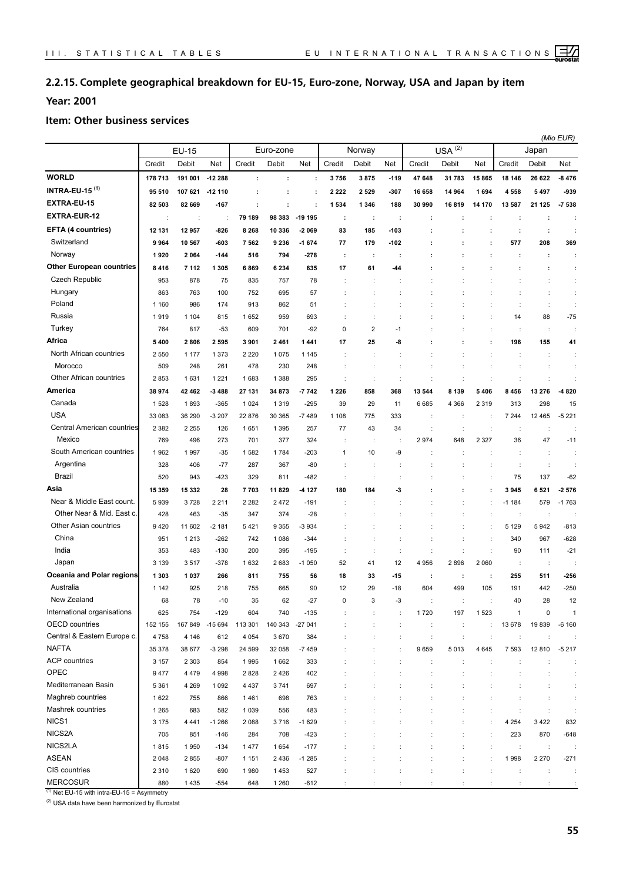## **2.2.15. Complete geographical breakdown for EU-15, Euro-zone, Norway, USA and Japan by item**

**Year: 2001**

#### **Item: Other business services**

|                                  |         |         |                      |          |                 |            |              |         |                      |         |                   |                      |                | (Mio EUR)            |                |
|----------------------------------|---------|---------|----------------------|----------|-----------------|------------|--------------|---------|----------------------|---------|-------------------|----------------------|----------------|----------------------|----------------|
|                                  |         | EU-15   |                      |          | Euro-zone       |            |              | Norway  |                      |         | (2)<br><b>USA</b> |                      |                | Japan                |                |
|                                  | Credit  | Debit   | Net                  | Credit   | Debit           | <b>Net</b> | Credit       | Debit   | Net                  | Credit  | Debit             | Net                  | Credit         | Debit                | Net            |
| <b>WORLD</b>                     | 178 713 | 191 001 | $-12288$             | ÷        | ÷               | ÷          | 3756         | 3875    | $-119$               | 47 648  | 31 783            | 15865                | 18 146         | 26 622               | $-8476$        |
| <b>INTRA-EU-15<sup>(1)</sup></b> | 95 510  | 107 621 | $-12110$             |          | ÷               |            | 2 2 2 2      | 2 5 2 9 | -307                 | 16 658  | 14 964            | 1694                 | 4558           | 5497                 | -939           |
| EXTRA-EU-15                      | 82 503  | 82 669  | $-167$               | ÷        | ÷               | ÷          | 1 5 3 4      | 1 3 4 6 | 188                  | 30 990  | 16819             | 14 170               | 13 587         | 21 125               | $-7538$        |
| <b>EXTRA-EUR-12</b>              | t       | ÷       | $\ddot{\phantom{a}}$ | 79 189   | 98 383          | -19 195    | ÷            | ÷       | ÷                    | ÷       |                   | ÷                    | ÷              | ÷                    |                |
| EFTA (4 countries)               | 12 131  | 12 957  | $-826$               | 8 2 6 8  | 10 336          | -2 069     | 83           | 185     | -103                 |         |                   | ÷                    | ÷              | $\ddot{\phantom{a}}$ |                |
| Switzerland                      | 9964    | 10 567  | $-603$               | 7562     | 9 2 3 6         | $-1674$    | 77           | 179     | -102                 |         |                   | ÷                    | 577            | 208                  | 369            |
| Norway                           | 1920    | 2064    | $-144$               | 516      | 794             | $-278$     | ÷            | ÷       | ÷                    |         |                   | ÷                    | ÷              | ÷                    | ÷              |
| <b>Other European countries</b>  | 8416    | 7 1 1 2 | 1 3 0 5              | 6869     | 6 2 3 4         | 635        | 17           | 61      | 44                   |         |                   |                      |                | ÷                    | ÷              |
| Czech Republic                   | 953     | 878     | 75                   | 835      | 757             | 78         |              |         |                      |         |                   |                      |                |                      | ÷              |
| Hungary                          | 863     | 763     | 100                  | 752      | 695             | 57         |              |         |                      |         |                   |                      |                | $\ddot{\phantom{a}}$ | ÷              |
| Poland                           | 1 1 6 0 | 986     | 174                  | 913      | 862             | 51         |              | ÷       |                      |         |                   |                      | ÷              | ÷                    | ÷              |
| Russia                           | 1919    | 1 1 0 4 | 815                  | 1652     | 959             | 693        |              |         |                      |         |                   |                      | 14             | 88                   | $-75$          |
| Turkey                           | 764     | 817     | $-53$                | 609      | 701             | $-92$      | 0            | 2       | $-1$                 |         |                   |                      | ÷              | ÷                    | ÷              |
| Africa                           | 5400    | 2806    | 2595                 | 3 9 0 1  | 2461            | 1441       | 17           | 25      | -8                   |         |                   |                      | 196            | 155                  | 41             |
| North African countries          | 2 5 5 0 | 1 1 7 7 | 1 3 7 3              | 2 2 2 0  | 1075            | 1 1 4 5    |              |         |                      |         |                   |                      | ÷              | $\ddot{\phantom{a}}$ | ÷              |
| Morocco                          | 509     | 248     | 261                  | 478      | 230             | 248        |              |         |                      |         |                   |                      |                | $\ddot{\phantom{a}}$ | ÷              |
| Other African countries          | 2853    | 1631    | 1 2 2 1              | 1683     | 1 3 8 8         | 295        |              | ÷       | ÷                    |         | t                 |                      | ÷              | $\ddot{\phantom{a}}$ | ÷              |
| America                          | 38 974  | 42 462  | $-3488$              | 27 131   | 34 873          | $-7742$    | 1 2 2 6      | 858     | 368                  | 13 544  | 8 1 3 9           | 5 4 0 6              | 8456           | 13 276               | -4820          |
| Canada                           | 1528    | 1893    | $-365$               | 1 0 2 4  | 1 3 1 9         | $-295$     | 39           | 29      | 11                   | 6685    | 4 3 6 6           | 2 3 1 9              | 313            | 298                  | 15             |
| <b>USA</b>                       | 33 083  | 36 290  | $-3207$              | 22 876   | 30 365          | $-7489$    | 1 1 0 8      | 775     | 333                  | ÷       | ÷                 | ÷                    | 7 2 4 4        | 12 4 65              | $-5221$        |
| Central American countries       | 2 3 8 2 | 2 2 5 5 | 126                  | 1651     | 1 3 9 5         | 257        | 77           | 43      | 34                   |         | ÷                 |                      | ÷              | $\ddot{\cdot}$       | ÷              |
| Mexico                           | 769     | 496     | 273                  | 701      | 377             | 324        |              | ÷       |                      | 2974    | 648               | 2 3 2 7              | 36             | 47                   | $-11$          |
| South American countries         | 1962    | 1997    | $-35$                | 1582     | 1784            | $-203$     | $\mathbf{1}$ | 10      | -9                   |         |                   |                      |                | $\ddot{\phantom{a}}$ |                |
| Argentina                        | 328     | 406     | $-77$                | 287      | 367             | $-80$      |              |         |                      |         |                   |                      |                | $\ddot{\cdot}$       |                |
| Brazil                           | 520     | 943     | $-423$               | 329      | 811             | $-482$     |              |         |                      |         |                   |                      | 75             | 137                  | $-62$          |
| Asia                             | 15 359  | 15 332  | 28                   | 7703     | 11829           | 4 1 2 7    | 180          | 184     | -3                   |         |                   |                      | 3945           | 6521                 | $-2576$        |
| Near & Middle East count.        | 5939    | 3728    | 2 2 1 1              | 2 2 8 2  | 2472            | $-191$     |              |         |                      |         |                   |                      | $-1184$        | 579                  | $-1763$        |
| Other Near & Mid. East c.        | 428     | 463     | $-35$                | 347      | 374             | $-28$      |              |         |                      |         |                   |                      |                | $\ddot{\phantom{a}}$ |                |
| Other Asian countries            | 9420    | 11 602  | $-2181$              | 5421     | 9 3 5 5         | -3 934     |              |         |                      |         |                   |                      | 5 1 2 9        | 5942                 | $-813$         |
| China                            | 951     | 1 2 1 3 | $-262$               | 742      | 1 0 8 6         | -344       |              |         |                      |         | ÷                 | $\ddot{\phantom{a}}$ | 340            | 967                  | $-628$         |
| India                            | 353     | 483     | $-130$               | 200      | 395             | $-195$     | ÷            | ÷       | $\ddot{\phantom{a}}$ | ÷       | ÷                 | ÷                    | 90             | 111                  | $-21$          |
| Japan                            | 3 1 3 9 | 3517    | $-378$               | 1632     | 2683            | $-1050$    | 52           | 41      | 12                   | 4 9 5 6 | 2896              | 2 0 6 0              | ÷              | $\ddot{\phantom{a}}$ |                |
| Oceania and Polar regions        | 1 3 0 3 | 1037    | 266                  | 811      | 755             | 56         | 18           | 33      | -15                  | ÷       | ÷                 | ÷                    | 255            | 511                  | -256           |
| Australia                        | 1 1 4 2 | 925     | 218                  | 755      | 665             | 90         | 12           | 29      | $-18$                | 604     | 499               | 105                  | 191            | 442                  | $-250$         |
| New Zealand                      | 68      | 78      | $-10$                | 35       | 62              | $-27$      |              |         |                      |         |                   |                      |                | 28                   | 12             |
| International organisations      | 625     | 754     | $-129$               | 604      | 740             | $-135$     |              |         |                      | 1720    | 197               | 1523                 | $\overline{1}$ | 0                    | $\overline{1}$ |
| <b>OECD</b> countries            | 152 155 | 167 849 | $-15694$             | 113 301  | 140 343 -27 041 |            |              | ÷       | ÷                    | ÷       | ÷                 | ÷                    | 13 678         | 19839                | $-6160$        |
| Central & Eastern Europe c.      | 4758    | 4 1 4 6 | 612                  | 4 0 5 4  | 3670            | 384        |              | ÷       | ÷                    | ÷       | ÷                 | ÷                    | ÷              | $\ddot{\phantom{a}}$ |                |
| <b>NAFTA</b>                     | 35 378  | 38 677  | $-3298$              | 24 5 9 9 | 32 058          | $-7459$    |              |         |                      | 9659    | 5013              | 4 6 4 5              | 7 5 9 3        | 12 810               | $-5217$        |
| <b>ACP</b> countries             | 3 1 5 7 | 2 3 0 3 | 854                  | 1995     | 1662            | 333        |              |         |                      | ÷       | ÷                 |                      |                | $\ddot{\phantom{a}}$ | ÷              |
| OPEC                             | 9477    | 4 4 7 9 | 4 9 9 8              | 2828     | 2 4 2 6         | 402        |              | ÷       |                      | t       | ÷                 |                      | ÷              | $\ddot{\phantom{a}}$ | ÷              |
| Mediterranean Basin              | 5 3 6 1 | 4 2 6 9 | 1 0 9 2              | 4 4 3 7  | 3741            | 697        |              |         |                      |         |                   |                      |                |                      | ÷              |
| Maghreb countries                | 1622    | 755     | 866                  | 1461     | 698             | 763        |              |         |                      |         |                   |                      |                |                      | ÷              |
| Mashrek countries                | 1 2 6 5 | 683     | 582                  | 1 0 3 9  | 556             | 483        |              |         |                      |         |                   |                      |                | $\ddot{\phantom{a}}$ | ÷              |
| NICS1                            | 3 1 7 5 | 4 4 4 1 | $-1266$              | 2088     | 3716            | $-1629$    |              |         |                      |         |                   |                      | 4 2 5 4        | 3422                 | 832            |
| NICS2A                           | 705     | 851     | $-146$               | 284      | 708             | $-423$     |              |         |                      |         |                   |                      | 223            | 870                  | $-648$         |
| NICS2LA                          | 1815    | 1950    | $-134$               | 1477     | 1654            | $-177$     |              |         |                      |         |                   |                      | ÷              | $\ddot{\phantom{a}}$ |                |
| <b>ASEAN</b>                     | 2 0 4 8 | 2855    | $-807$               | 1 1 5 1  | 2 4 3 6         | $-1285$    |              |         |                      |         |                   |                      | 1998           | 2 2 7 0              | $-271$         |
| CIS countries                    | 2 3 1 0 | 1620    | 690                  | 1980     | 1453            | 527        |              |         |                      |         |                   |                      |                | $\ddot{\phantom{a}}$ | ÷              |
| <b>MERCOSUR</b>                  | 880     | 1435    | $-554$               | 648      | 1 2 6 0         | $-612$     |              |         |                      |         |                   |                      |                |                      |                |

 $(1)$  Net EU-15 with intra-EU-15 = Asymmetry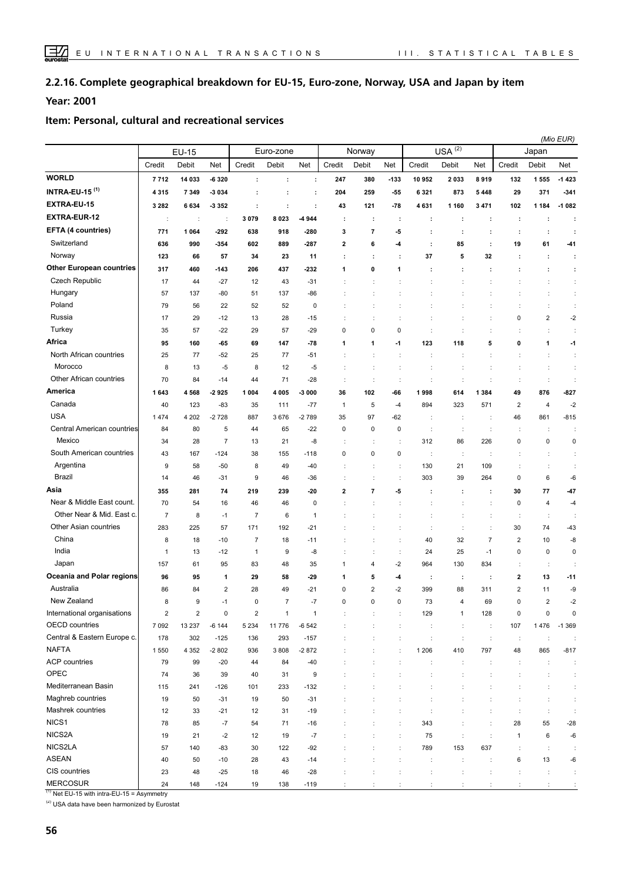#### **Complete geographical breakdown for EU-15, Euro-zone, Norway, USA and Japan by item 2.2.16.**

**Year: 2001**

#### **Item: Personal, cultural and recreational services**

|                                 |                         |                      |                |                      |                      |                      |                         |                      |                      |                      |                        |                      |                         |                         | (Mio EUR)            |
|---------------------------------|-------------------------|----------------------|----------------|----------------------|----------------------|----------------------|-------------------------|----------------------|----------------------|----------------------|------------------------|----------------------|-------------------------|-------------------------|----------------------|
|                                 |                         | <b>EU-15</b>         |                |                      | Euro-zone            |                      |                         | Norway               |                      |                      | $USA^{\overline{(2)}}$ |                      |                         | Japan                   |                      |
|                                 | Credit                  | Debit                | Net            | Credit               | Debit                | Net                  | Credit                  | Debit                | Net                  | Credit               | Debit                  | Net                  | Credit                  | Debit                   | Net                  |
| <b>WORLD</b>                    | 7712                    | 14 033               | $-6320$        | ÷                    | $\ddot{\phantom{a}}$ | ÷                    | 247                     | 380                  | $-133$               | 10 952               | 2033                   | 8919                 | 132                     | 1 555                   | $-1423$              |
| <b>INTRA-EU-15 (1)</b>          | 4315                    | 7 3 4 9              | $-3034$        | ÷                    | ÷                    | $\ddot{\phantom{a}}$ | 204                     | 259                  | $-55$                | 6 3 2 1              | 873                    | 5 4 4 8              | 29                      | 371                     | $-341$               |
| EXTRA-EU-15                     | 3 2 8 2                 | 6634                 | -3 3 5 2       | $\ddot{\phantom{a}}$ | $\ddot{\phantom{a}}$ | ÷                    | 43                      | 121                  | $-78$                | 4631                 | 1 1 6 0                | 3 4 7 1              | 102                     | 1 1 8 4                 | $-1082$              |
| <b>EXTRA-EUR-12</b>             | ÷                       | $\ddot{\phantom{a}}$ | ÷              | 3 0 7 9              | 8 0 2 3              | 4 9 4 4              | ÷                       | $\cdot$              | ÷                    | ÷                    | ÷                      | ÷                    | ÷                       | ÷                       | $\cdot$              |
| <b>EFTA (4 countries)</b>       | 771                     | 1 0 6 4              | $-292$         | 638                  | 918                  | $-280$               | 3                       | 7                    | -5                   |                      |                        | $\ddot{\phantom{a}}$ | ÷                       | ÷                       |                      |
| Switzerland                     | 636                     | 990                  | $-354$         | 602                  | 889                  | $-287$               | $\overline{\mathbf{2}}$ | 6                    | -4                   | $\ddot{\phantom{a}}$ | 85                     | $\ddot{\phantom{a}}$ | 19                      | 61                      | -41                  |
| Norway                          | 123                     | 66                   | 57             | 34                   | 23                   | 11                   | ÷                       | $\cdot$              | $\cdot$              | 37                   | 5                      | 32                   |                         | ÷                       | ÷                    |
| <b>Other European countries</b> | 317                     | 460                  | $-143$         | 206                  | 437                  | $-232$               | 1                       | 0                    | 1                    | ÷                    |                        | $\cdot$              |                         | ÷                       | ÷                    |
| <b>Czech Republic</b>           | 17                      | 44                   | $-27$          | 12                   | 43                   | $-31$                |                         | t                    |                      |                      |                        |                      |                         | ÷                       | ÷                    |
| Hungary                         | 57                      | 137                  | $-80$          | 51                   | 137                  | $-86$                |                         |                      |                      |                      |                        |                      |                         | ÷                       | ÷                    |
| Poland                          | 79                      | 56                   | 22             | 52                   | 52                   | $\mathbf 0$          |                         |                      |                      |                      |                        |                      |                         | t                       | $\ddot{\phantom{a}}$ |
| Russia                          | 17                      | 29                   | $-12$          | 13                   | 28                   | $-15$                |                         |                      |                      |                      |                        | $\ddot{\cdot}$       | 0                       | $\overline{\mathbf{c}}$ | $-2$                 |
| Turkey                          | 35                      | 57                   | $-22$          | 29                   | 57                   | $-29$                | 0                       | 0                    | 0                    | ÷                    |                        | $\ddot{\phantom{a}}$ | ÷                       | ÷                       | ÷                    |
| Africa                          | 95                      | 160                  | $-65$          | 69                   | 147                  | $-78$                | 1                       | 1                    | $-1$                 | 123                  | 118                    | 5                    | 0                       | 1                       | $-1$                 |
| North African countries         | 25                      | 77                   | $-52$          | 25                   | 77                   | $-51$                |                         | ÷                    | ÷                    | ÷                    | ÷                      | ÷                    | ÷                       | ÷                       | ÷                    |
| Morocco                         | 8                       | 13                   | -5             | 8                    | 12                   | -5                   |                         | ÷                    | ÷                    | ÷                    | ÷                      | ÷                    | ÷                       | $\ddot{\phantom{a}}$    | ÷                    |
| Other African countries         | 70                      | 84                   | $-14$          | 44                   | 71                   | $-28$                | $\ddot{\phantom{a}}$    | $\ddot{\phantom{a}}$ | ÷                    | t                    | ÷                      | $\ddot{\phantom{a}}$ | $\ddot{\phantom{a}}$    | $\ddot{\phantom{a}}$    | $\ddot{\phantom{a}}$ |
| America                         | 1643                    | 4568                 | $-2925$        | 1 0 0 4              | 4 0 0 5              | $-3000$              | 36                      | 102                  | -66                  | 1998                 | 614                    | 1 3 8 4              | 49                      | 876                     | $-827$               |
| Canada                          | 40                      | 123                  | $-83$          | 35                   | 111                  | $-77$                | $\mathbf{1}$            | 5                    | $-4$                 | 894                  | 323                    | 571                  | $\overline{2}$          | $\overline{4}$          | $-2$                 |
| <b>USA</b>                      | 1474                    | 4 2 0 2              | $-2728$        | 887                  | 3676                 | $-2789$              | 35                      | 97                   | $-62$                |                      | ÷                      | $\ddot{\phantom{a}}$ | 46                      | 861                     | $-815$               |
| Central American countries      | 84                      | 80                   | 5              | 44                   | 65                   | $-22$                | 0                       | 0                    | 0                    | ÷                    | ÷                      | $\ddot{\phantom{a}}$ | ÷                       | ÷                       | ÷                    |
| Mexico                          | 34                      | 28                   | $\overline{7}$ | 13                   | 21                   | -8                   |                         | ÷                    | $\ddot{\phantom{a}}$ | 312                  | 86                     | 226                  | 0                       | 0                       | $\pmb{0}$            |
| South American countries        | 43                      | 167                  | $-124$         | 38                   | 155                  | $-118$               | 0                       | 0                    | 0                    | $\ddot{\phantom{a}}$ | ÷                      | ÷                    | ÷                       | t                       | ÷                    |
| Argentina                       | 9                       | 58                   | $-50$          | 8                    | 49                   | $-40$                |                         | $\ddot{\cdot}$       | $\ddot{\cdot}$       | 130                  | 21                     | 109                  |                         | ÷                       | ÷                    |
| <b>Brazil</b>                   | 14                      | 46                   | $-31$          | 9                    | 46                   | $-36$                |                         | ÷                    | ÷                    | 303                  | 39                     | 264                  | 0                       | 6                       | -6                   |
| Asia                            | 355                     | 281                  | 74             | 219                  | 239                  | $-20$                | $\mathbf{2}$            | 7                    | -5                   | ÷                    | ÷                      | ÷                    | 30                      | 77                      | -47                  |
| Near & Middle East count.       | 70                      | 54                   | 16             | 46                   | 46                   | $\mathbf 0$          |                         |                      |                      |                      |                        |                      | 0                       | 4                       | $-4$                 |
| Other Near & Mid. East c.       | 7                       | 8                    | $-1$           | $\overline{7}$       | 6                    | -1                   |                         |                      |                      |                      |                        |                      | ÷                       | ÷                       | ÷                    |
| Other Asian countries           | 283                     | 225                  | 57             | 171                  | 192                  | $-21$                |                         |                      |                      | t                    | ÷                      | $\ddot{\cdot}$       | 30                      | 74                      | $-43$                |
| China                           | 8                       | 18                   | $-10$          | $\overline{7}$       | 18                   | $-11$                |                         |                      |                      | 40                   | 32                     | $\overline{7}$       | $\overline{2}$          | 10                      | -8                   |
| India                           | 1                       | 13                   | $-12$          | $\mathbf{1}$         | 9                    | -8                   |                         | ÷                    | ÷                    | 24                   | 25                     | $-1$                 | 0                       | $\pmb{0}$               | $\mathbf 0$          |
| Japan                           | 157                     | 61                   | 95             | 83                   | 48                   | 35                   | $\mathbf{1}$            | 4                    | $-2$                 | 964                  | 130                    | 834                  | ÷                       | ÷                       | ÷                    |
| Oceania and Polar regions       | 96                      | 95                   | 1              | 29                   | 58                   | $-29$                | $\mathbf{1}$            | 5                    | -4                   | ÷                    | ÷                      | ÷                    | $\overline{\mathbf{2}}$ | 13                      | $-11$                |
| Australia                       | 86                      | 84                   | 2              | 28                   | 49                   | $-21$                | 0                       | 2                    | $-2$                 | 399                  | 88                     | 311                  | $\overline{\mathbf{c}}$ | 11                      | -9                   |
| New Zealand                     | 8                       | 9                    | $-1$           | $\mathbf 0$          | $\overline{7}$       | $-7$                 | 0                       | 0                    | $\mathbf 0$          | 73                   | $\overline{4}$         | 69                   | 0                       | $\overline{2}$          | $-2$                 |
| International organisations     | $\overline{\mathbf{c}}$ | $\sqrt{2}$           | $\pmb{0}$      | $\mathbf 2$          | $\mathbf{1}$         | $\mathbf{1}$         | ÷                       | ÷                    | ÷                    | 129                  | $\mathbf{1}$           | 128                  | $\pmb{0}$               | $\pmb{0}$               | $\mathbf 0$          |
| OECD countries                  | 7 0 9 2                 | 13 2 3 7             | $-6144$        | 5 2 3 4              | 11776                | $-6542$              |                         |                      | $\ddot{\phantom{a}}$ | ÷                    | ÷                      | $\ddot{\phantom{a}}$ | 107                     | 1 4 7 6                 | $-1.369$             |
| Central & Eastern Europe c.     | 178                     | 302                  | $-125$         | 136                  | 293                  | $-157$               | $\ddot{\phantom{a}}$    | t                    | ÷                    | ÷                    | $\ddot{\phantom{a}}$   | $\ddot{\phantom{a}}$ | $\ddot{\phantom{a}}$    | $\ddot{\phantom{a}}$    | ÷                    |
| <b>NAFTA</b>                    | 1550                    | 4 3 5 2              | $-2802$        | 936                  | 3808                 | $-2872$              | ÷                       | ÷                    | ÷                    | 1 2 0 6              | 410                    | 797                  | 48                      | 865                     | $-817$               |
| <b>ACP</b> countries            | 79                      | 99                   | $-20$          | 44                   | 84                   | $-40$                |                         | ÷                    | ÷                    | ÷                    | $\ddot{\phantom{a}}$   | $\ddot{\cdot}$       | $\ddot{\phantom{a}}$    | $\ddot{\phantom{a}}$    | $\ddot{\phantom{a}}$ |
| OPEC                            | 74                      | 36                   | 39             | 40                   | 31                   | 9                    |                         | $\ddot{\phantom{a}}$ | ÷                    | ċ                    | t                      |                      | t                       | $\ddot{\phantom{a}}$    | $\ddot{\phantom{a}}$ |
| Mediterranean Basin             | 115                     | 241                  | $-126$         | 101                  | 233                  | $-132$               |                         |                      |                      | ÷                    | t                      | $\ddot{\cdot}$       | ÷                       | ÷                       | $\ddot{\phantom{a}}$ |
| Maghreb countries               | 19                      | 50                   | $-31$          | 19                   | 50                   | $-31$                |                         | ÷                    |                      | $\ddot{\phantom{a}}$ | $\ddot{\phantom{a}}$   | ÷                    | ÷                       | $\ddot{\phantom{a}}$    | $\ddot{\phantom{a}}$ |
| Mashrek countries               | 12                      | 33                   | $-21$          | 12                   | 31                   | $-19$                |                         | ÷                    | ÷                    | $\ddot{\phantom{a}}$ | ÷                      | $\ddot{\phantom{a}}$ | ÷                       | $\ddot{\cdot}$          | $\ddot{\phantom{a}}$ |
| NICS1                           | 78                      | 85                   | $-7$           | 54                   | 71                   | $-16$                |                         | $\ddot{\cdot}$       | ÷                    | 343                  | ÷                      | $\ddot{\phantom{a}}$ | 28                      | 55                      | $-28$                |
| NICS2A                          | 19                      | 21                   | $-2$           | 12                   | 19                   | $-7$                 |                         |                      | ÷                    | 75                   | ÷                      | ÷                    | $\mathbf{1}$            | 6                       | -6                   |
| NICS2LA                         | 57                      | 140                  | $-83$          | 30                   | 122                  | -92                  |                         |                      | ÷                    | 789                  | 153                    | 637                  | ÷                       | $\ddot{\cdot}$          | ÷                    |
| ASEAN                           | 40                      | 50                   | $-10$          | 28                   | 43                   | $-14$                |                         | $\ddot{\cdot}$       | ÷                    | $\ddot{\phantom{a}}$ | $\ddot{\phantom{a}}$   | ÷                    | 6                       | 13                      | -6                   |
| CIS countries                   | 23                      | 48                   | $-25$          | 18                   | 46                   | $-28$                |                         |                      |                      | ċ                    | t                      | $\ddot{\phantom{a}}$ |                         | $\ddot{\phantom{a}}$    | ÷                    |
| <b>MERCOSUR</b>                 | 24                      | 148                  | $-124$         | 19                   | 138                  | $-119$               |                         |                      |                      | $\cdot$              |                        |                      |                         |                         |                      |

 $(1)$  Net EU-15 with intra-EU-15 = Asymmetry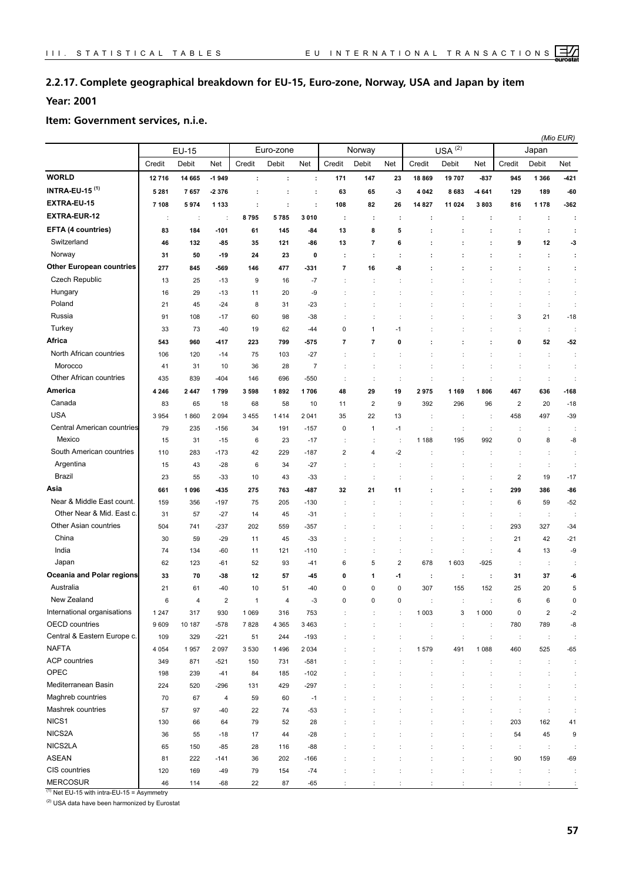## **2.2.17. Complete geographical breakdown for EU-15, Euro-zone, Norway, USA and Japan by item**

## **Year: 2001**

#### **Item: Government services, n.i.e.**

|                                  |         | EU-15  |                         |                      | Euro-zone                 |                      |                          | Norway                   |                |                      | $USA^{(2)}$    |                      |                | Japan                | (Mio EUR)            |
|----------------------------------|---------|--------|-------------------------|----------------------|---------------------------|----------------------|--------------------------|--------------------------|----------------|----------------------|----------------|----------------------|----------------|----------------------|----------------------|
|                                  | Credit  | Debit  | Net                     | Credit               | Debit                     | Net                  | Credit                   | Debit                    | Net            | Credit               | Debit          | Net                  | Credit         | Debit                | Net                  |
| <b>WORLD</b>                     | 12716   | 14 665 | $-1949$                 | $\ddot{\phantom{a}}$ |                           | :                    | 171                      | 147                      | 23             | 18869                | 19707          | $-837$               | 945            | 1 3 6 6              | -421                 |
| <b>INTRA-EU-15<sup>(1)</sup></b> | 5 2 8 1 | 7657   | $-2376$                 | $\ddot{\phantom{a}}$ | $\ddot{\phantom{a}}$<br>÷ | ÷                    | 63                       | 65                       | $-3$           | 4 0 4 2              | 8683           | -4 641               | 129            | 189                  | -60                  |
| EXTRA-EU-15                      |         |        |                         |                      |                           |                      |                          |                          |                |                      |                |                      |                |                      |                      |
| <b>EXTRA-EUR-12</b>              | 7 1 0 8 | 5974   | 1 1 3 3                 | $\ddot{\phantom{a}}$ | $\ddot{\phantom{a}}$      | $\ddot{\phantom{a}}$ | 108                      | 82                       | 26             | 14 827               | 11 024         | 3803                 | 816            | 1 1 7 8              | -362                 |
|                                  | ÷       | ÷      | ÷                       | 8795                 | 5785                      | 3 0 1 0              | $\cdot$                  | ÷                        | ÷              | ÷                    | ÷              | ÷                    | ÷              | ÷                    | ÷                    |
| EFTA (4 countries)               | 83      | 184    | $-101$                  | 61                   | 145                       | -84                  | 13                       | 8                        | 5              | t                    |                | ÷                    | ÷              | $\ddot{\phantom{a}}$ | ÷                    |
| Switzerland                      | 46      | 132    | -85                     | 35                   | 121                       | $-86$                | 13                       | $\overline{\phantom{a}}$ | 6              | t                    | ÷              | ÷                    | 9              | 12                   | $-3$                 |
| Norway                           | 31      | 50     | $-19$                   | 24                   | 23                        | 0                    | ÷                        | ÷                        | ÷              | ÷                    | ÷              | $\ddot{\phantom{a}}$ | ÷              | ÷                    | ÷                    |
| <b>Other European countries</b>  | 277     | 845    | -569                    | 146                  | 477                       | $-331$               | $\overline{\phantom{a}}$ | 16                       | -8             |                      |                | ÷                    | ÷              | ÷                    | ÷                    |
| Czech Republic                   | 13      | 25     | $-13$                   | 9                    | 16                        | $-7$                 | $\ddot{\phantom{a}}$     |                          | t              |                      |                |                      |                | $\ddot{\cdot}$       | ÷                    |
| Hungary                          | 16      | 29     | $-13$                   | 11                   | 20                        | -9                   | ÷                        |                          | ÷              |                      |                | $\ddot{\phantom{a}}$ |                | $\ddot{\phantom{a}}$ | ÷                    |
| Poland                           | 21      | 45     | -24                     | 8                    | 31                        | $-23$                | ÷                        | ÷                        | f,             |                      |                | $\ddot{\phantom{a}}$ | ÷              | ÷                    | ÷                    |
| Russia                           | 91      | 108    | $-17$                   | 60                   | 98                        | $-38$                |                          |                          | ÷              |                      |                | $\ddot{\cdot}$       | 3              | 21                   | $-18$                |
| Turkey                           | 33      | 73     | $-40$                   | 19                   | 62                        | $-44$                | $\mathbf 0$              | 1                        | $-1$           |                      |                |                      |                | ÷                    | t                    |
| Africa                           | 543     | 960    | -417                    | 223                  | 799                       | $-575$               | $\overline{7}$           | 7                        | 0              |                      |                | ÷                    | 0              | 52                   | $-52$                |
| North African countries          | 106     | 120    | $-14$                   | 75                   | 103                       | $-27$                |                          |                          |                |                      |                |                      |                | $\ddot{\cdot}$       | ÷                    |
| Morocco                          | 41      | 31     | 10                      | 36                   | 28                        | $\overline{7}$       | ÷                        | ÷                        | ÷              |                      |                | $\ddot{\phantom{a}}$ | ÷              | ÷                    | ÷                    |
| Other African countries          | 435     | 839    | $-404$                  | 146                  | 696                       | $-550$               | $\ddot{\cdot}$           | ÷                        | ÷              | ÷                    | ÷              | $\ddot{\cdot}$       | ÷              | ÷                    | $\ddot{\cdot}$       |
| America                          | 4 2 4 6 | 2447   | 1799                    | 3598                 | 1892                      | 1706                 | 48                       | 29                       | 19             | 2975                 | 1 169          | 1806                 | 467            | 636                  | $-168$               |
| Canada                           | 83      | 65     | 18                      | 68                   | 58                        | 10                   | 11                       | $\overline{2}$           | 9              | 392                  | 296            | 96                   | $\overline{2}$ | 20                   | $-18$                |
| <b>USA</b>                       | 3954    | 1860   | 2 0 9 4                 | 3 4 5 5              | 1414                      | 2 0 4 1              | 35                       | 22                       | 13             | ÷                    | ÷              | ÷                    | 458            | 497                  | $-39$                |
| Central American countries       | 79      | 235    | $-156$                  | 34                   | 191                       | $-157$               | $\pmb{0}$                | $\mathbf{1}$             | $-1$           | t                    | ÷              | ÷                    | ÷              | ÷                    | ÷                    |
| Mexico                           | 15      | 31     | $-15$                   | 6                    | 23                        | $-17$                | $\ddot{\phantom{a}}$     | ÷                        | d              | 1 1 8 8              | 195            | 992                  | $\mathbf 0$    | 8                    | -8                   |
| South American countries         | 110     | 283    | $-173$                  | 42                   | 229                       | $-187$               | $\overline{2}$           | 4                        | -2             |                      |                |                      |                |                      | ÷                    |
| Argentina                        | 15      | 43     | $-28$                   | 6                    | 34                        | $-27$                |                          |                          |                |                      |                |                      | ÷              | $\ddot{\phantom{a}}$ | ÷                    |
| Brazil                           | 23      | 55     | $-33$                   | 10                   | 43                        | $-33$                | $\ddot{\cdot}$           |                          |                |                      |                | $\ddot{\cdot}$       | $\overline{2}$ | 19                   | $-17$                |
| Asia                             | 661     | 1096   | -435                    | 275                  | 763                       | -487                 | 32                       | 21                       | 11             |                      |                | ÷                    | 299            | 386                  | -86                  |
| Near & Middle East count.        | 159     | 356    | $-197$                  | 75                   | 205                       | $-130$               |                          |                          |                |                      |                | $\ddot{\cdot}$       | 6              | 59                   | $-52$                |
| Other Near & Mid. East c.        | 31      | 57     | $-27$                   | 14                   | 45                        | $-31$                |                          |                          |                |                      |                |                      | ÷              | $\ddot{\phantom{a}}$ |                      |
| Other Asian countries            | 504     | 741    | $-237$                  | 202                  | 559                       | $-357$               |                          |                          |                |                      |                | $\ddot{\cdot}$       | 293            | 327                  | $-34$                |
| China                            | 30      | 59     | $-29$                   | 11                   | 45                        | $-33$                |                          |                          | ÷              | t                    | ÷              | $\ddot{\cdot}$       | 21             | 42                   | $-21$                |
| India                            | 74      | 134    | $-60$                   | 11                   | 121                       | $-110$               | ÷                        | ÷                        | ÷              | $\ddot{\phantom{a}}$ | ÷              | $\ddot{\phantom{a}}$ | 4              | 13                   | -9                   |
| Japan                            | 62      | 123    | -61                     | 52                   | 93                        | -41                  | 6                        | 5                        | $\overline{c}$ | 678                  | 1603           | $-925$               | ÷              | ÷                    | ÷                    |
| Oceania and Polar regions        | 33      | 70     | -38                     | 12                   | 57                        | -45                  | 0                        | 1                        | $-1$           | ÷                    | ÷              | ÷                    | 31             | 37                   | -6                   |
| Australia                        | 21      | 61     | $-40$                   | 10                   | 51                        | $-40$                | $\mathbf 0$              | $\mathbf 0$              | 0              | 307                  | 155            | 152                  | 25             | 20                   | 5                    |
| New Zealand                      | 6       |        | $\overline{\mathbf{c}}$ |                      |                           | -3                   |                          | 0                        | 0              |                      |                |                      | 6              | 6                    | $\mathbf 0$          |
| International organisations      | 1 2 4 7 | 317    | 930                     | 1 0 6 9              | 316                       | 753                  | ÷                        |                          | ÷              | 1 0 0 3              | 3              | 1 0 0 0              | $\pmb{0}$      | $\sqrt{2}$           | $-2$                 |
| <b>OECD</b> countries            | 9609    | 10 187 | $-578$                  | 7828                 | 4 3 6 5                   | 3 4 6 3              | ÷                        | ÷                        | ÷              | ÷                    | ÷              | $\ddot{\phantom{a}}$ | 780            | 789                  | -8                   |
| Central & Eastern Europe c.      | 109     | 329    | $-221$                  | 51                   | 244                       | $-193$               | ÷                        | ÷                        | $\ddot{\cdot}$ | ÷                    | $\ddot{\cdot}$ | $\ddot{\cdot}$       | $\sim$         | $\ddot{\phantom{a}}$ | $\ddot{\phantom{a}}$ |
| <b>NAFTA</b>                     | 4 0 5 4 | 1957   | 2 0 9 7                 | 3 5 3 0              | 1496                      | 2 0 3 4              |                          |                          | ÷              | 1579                 | 491            | 1088                 | 460            | 525                  | $-65$                |
| <b>ACP</b> countries             | 349     | 871    | $-521$                  | 150                  | 731                       | $-581$               |                          |                          | ÷              | ÷                    | ÷              | ÷                    | ÷              | ÷                    | $\ddot{\cdot}$       |
| OPEC                             | 198     | 239    | $-41$                   | 84                   | 185                       | $-102$               |                          | ÷                        | ÷              | ÷                    |                | ÷                    | ÷              | $\ddot{\phantom{a}}$ | ÷                    |
| Mediterranean Basin              | 224     | 520    | $-296$                  | 131                  | 429                       | $-297$               |                          |                          | ÷              | ÷                    |                | $\ddot{\cdot}$       | ÷              |                      | ÷                    |
| Maghreb countries                | 70      | 67     | $\pmb{4}$               | 59                   | 60                        | $-1$                 |                          |                          |                |                      |                |                      |                |                      | ÷                    |
| Mashrek countries                | 57      | 97     | $-40$                   | 22                   | 74                        | -53                  |                          |                          |                |                      |                | $\ddot{\phantom{a}}$ | ÷              | ÷                    | $\ddot{\cdot}$       |
| NICS1                            | 130     | 66     | 64                      | 79                   | 52                        | 28                   |                          |                          |                |                      |                | $\ddot{\cdot}$       | 203            | 162                  | 41                   |
| NICS2A                           | 36      | 55     | $-18$                   | 17                   | 44                        | $-28$                |                          |                          |                |                      |                | $\ddot{\phantom{a}}$ | 54             | 45                   | 9                    |
| NICS2LA                          | 65      | 150    | $-85$                   | 28                   | 116                       | $-88$                |                          |                          |                |                      |                |                      | ÷              | $\ddot{\phantom{a}}$ | ÷                    |
| <b>ASEAN</b>                     | 81      | 222    | $-141$                  | 36                   | 202                       | $-166$               |                          |                          |                |                      |                | $\ddot{\phantom{a}}$ | 90             | 159                  | $-69$                |
| CIS countries                    | 120     | 169    | $-49$                   | 79                   | 154                       | $-74$                |                          |                          |                |                      |                | $\ddot{\cdot}$       | ÷              | $\ddot{\phantom{a}}$ | ÷                    |
| MERCOSUR                         | 46      | 114    | $-68$                   | 22                   | 87                        | $-65$                |                          |                          |                |                      |                |                      |                |                      |                      |

 $(1)$  Net EU-15 with intra-EU-15 = Asymmetry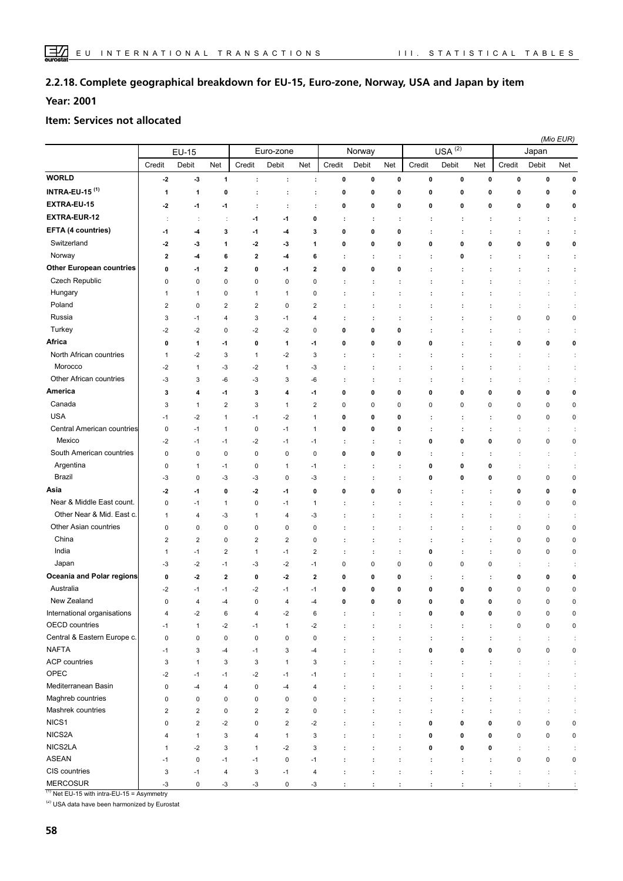#### **Complete geographical breakdown for EU-15, Euro-zone, Norway, USA and Japan by item 2.2.18.**

**Year: 2001**

#### **Item: Services not allocated**

|                                 |                         |                      |                |                           |                |                         |                      |                      |                      |                      |                      |                      |                      |                      | (Mio EUR)            |
|---------------------------------|-------------------------|----------------------|----------------|---------------------------|----------------|-------------------------|----------------------|----------------------|----------------------|----------------------|----------------------|----------------------|----------------------|----------------------|----------------------|
|                                 |                         | <b>EU-15</b>         |                |                           | Euro-zone      |                         |                      | Norway               |                      |                      | $USA^{(2)}$          |                      |                      | Japan                |                      |
|                                 | Credit                  | Debit                | Net            | Credit                    | Debit          | Net                     | Credit               | Debit                | Net                  | Credit               | Debit                | Net                  | Credit               | Debit                | Net                  |
| <b>WORLD</b>                    | $-2$                    | $-3$                 | $\mathbf{1}$   | ÷                         | ÷              | ÷                       | $\pmb{0}$            | $\mathbf 0$          | $\pmb{0}$            | 0                    | $\pmb{0}$            | $\pmb{0}$            | $\pmb{0}$            | 0                    | $\pmb{0}$            |
| INTRA-EU-15 $(1)$               | 1                       | 1                    | 0              | ÷                         | ÷              | $\ddot{\phantom{a}}$    | $\mathbf 0$          | 0                    | $\mathbf 0$          | 0                    | 0                    | $\mathbf 0$          | $\mathbf 0$          | 0                    | 0                    |
| EXTRA-EU-15                     | $-2$                    | $-1$                 | $-1$           | ÷                         | ÷              | ÷                       | 0                    | 0                    | 0                    | 0                    | 0                    | 0                    | 0                    | 0                    | 0                    |
| EXTRA-EUR-12                    | $\ddot{\phantom{a}}$    | $\ddot{\phantom{a}}$ | ÷              | -1                        | $-1$           | 0                       | ÷                    | ÷                    | t                    | ÷                    | ÷                    | ÷                    | ÷                    | ÷                    | ÷                    |
| <b>EFTA (4 countries)</b>       | -1                      | $-4$                 | 3              | $-1$                      | -4             | 3                       | 0                    | 0                    | 0                    | ÷                    | ÷                    |                      | t                    | ÷                    | ÷                    |
| Switzerland                     | -2                      | -3                   | 1              | $-2$                      | -3             | 1                       | 0                    | 0                    | 0                    | 0                    | 0                    | 0                    | 0                    | 0                    | 0                    |
| Norway                          | $\overline{\mathbf{2}}$ | -4                   | 6              | $\overline{\mathbf{2}}$   | -4             | 6                       | ÷                    | ÷                    | ÷                    | ÷                    | 0                    | ÷                    | t                    | ÷                    | ÷                    |
| <b>Other European countries</b> | 0                       | $-1$                 | $\overline{2}$ | $\mathbf 0$               | $-1$           | 2                       | 0                    | 0                    | 0                    | ÷                    | ÷                    |                      | t                    | ÷                    | ÷                    |
| Czech Republic                  | 0                       | $\mathbf 0$          | $\pmb{0}$      | $\pmb{0}$                 | 0              | 0                       | ÷                    | ÷                    | ÷                    |                      |                      |                      |                      |                      | ÷                    |
| Hungary                         | 1                       | $\mathbf{1}$         | 0              | 1                         | $\mathbf{1}$   | 0                       | ÷                    | ÷                    | ÷                    |                      |                      |                      |                      |                      | ÷                    |
| Poland                          | $\overline{2}$          | 0                    | $\overline{c}$ | $\overline{2}$            | 0              | $\overline{\mathbf{c}}$ | $\ddot{\phantom{a}}$ | ÷                    | ÷                    | t                    | $\ddot{\phantom{a}}$ | ÷                    | ÷                    |                      | ÷                    |
| Russia                          | 3                       | $-1$                 | 4              | 3                         | $-1$           | $\overline{4}$          | ÷                    | ÷                    | ÷                    | ÷                    | ÷                    | ÷                    | $\pmb{0}$            | $\pmb{0}$            | $\pmb{0}$            |
| Turkey                          | $-2$                    | $-2$                 | $\mathbf 0$    | $-2$                      | $-2$           | $\mathbf{0}$            | 0                    | 0                    | 0                    |                      | ÷                    | ÷                    | ÷                    | ÷                    | ÷                    |
| Africa                          | 0                       | 1                    | -1             | $\mathbf 0$               | 1              | -1                      | $\mathbf 0$          | 0                    | 0                    | 0                    | ÷                    | ÷                    | 0                    | 0                    | 0                    |
| North African countries         | 1                       | $-2$                 | 3              | $\mathbf{1}$              | $-2$           | 3                       | ÷                    | ÷                    | t                    | ÷                    | ÷                    | ÷                    | ÷                    | ÷                    | ÷                    |
| Morocco                         | $-2$                    | $\mathbf{1}$         | $-3$           | $-2$                      | $\mathbf{1}$   | -3                      | ÷                    | ÷                    | ÷                    | ÷                    | ÷                    | ÷                    | ÷                    | ÷                    | $\ddot{\phantom{a}}$ |
| Other African countries         | -3                      | 3                    | -6             | -3                        | 3              | -6                      | ÷                    | ÷                    | ÷                    | $\ddot{\phantom{a}}$ | ÷                    | t                    | ċ                    | ÷                    | ÷                    |
| America                         | 3                       | 4                    | -1             | 3                         | 4              | -1                      | 0                    | 0                    | 0                    | 0                    | 0                    | 0                    | 0                    | 0                    | $\pmb{0}$            |
| Canada                          | 3                       | $\mathbf{1}$         | $\overline{2}$ | 3                         | $\mathbf{1}$   | $\overline{2}$          | $\pmb{0}$            | 0                    | 0                    | 0                    | $\pmb{0}$            | 0                    | $\pmb{0}$            | 0                    | $\pmb{0}$            |
| <b>USA</b>                      | $-1$                    | $-2$                 | $\mathbf{1}$   | $-1$                      | $-2$           | 1                       | 0                    | 0                    | 0                    | ÷                    | ÷                    | ÷                    | $\pmb{0}$            | 0                    | $\pmb{0}$            |
| Central American countries      | 0                       | $-1$                 | $\mathbf{1}$   | 0                         | $-1$           | $\mathbf{1}$            | 0                    | 0                    | 0                    | ÷                    | ÷                    | ÷                    | ÷                    | ÷                    | $\mathbb{C}$         |
| Mexico                          | $-2$                    | $-1$                 | $-1$           | $-2$                      | $-1$           | -1                      | ÷                    | ÷                    | ÷                    | 0                    | $\pmb{0}$            | 0                    | $\pmb{0}$            | $\pmb{0}$            | $\pmb{0}$            |
| South American countries        | 0                       | 0                    | 0              | $\mathbf 0$               | 0              | $\mathbf 0$             | 0                    | 0                    | 0                    | ÷                    | ÷                    | t                    | ÷                    |                      | $\mathbb{C}$         |
| Argentina                       | 0                       | $\mathbf{1}$         | $-1$           | $\mathbf 0$               | 1              | -1                      | ÷                    | ÷                    | ÷                    | 0                    | 0                    | 0                    | ÷                    | ÷                    | ÷                    |
| <b>Brazil</b>                   | -3                      | $\mathbf 0$          | $-3$           | $-3$                      | 0              | $-3$                    | ÷                    | ÷                    | ÷                    | 0                    | 0                    | 0                    | 0                    | 0                    | $\pmb{0}$            |
| Asia                            | $-2$                    | $-1$                 | 0              | $-2$                      | $-1$           | 0                       | 0                    | 0                    | 0                    | ÷                    | ÷                    | ÷                    | 0                    | 0                    | 0                    |
| Near & Middle East count.       | 0                       | $-1$                 | $\mathbf{1}$   | $\mathbf 0$               | $-1$           | $\mathbf{1}$            | ÷                    | ÷                    | ÷                    |                      | $\cdot$              | ÷                    | 0                    | 0                    | $\pmb{0}$            |
| Other Near & Mid. East c.       | 1                       | 4                    | $-3$           | $\mathbf{1}$              | $\overline{4}$ | -3                      | ÷                    | ÷                    | ÷                    |                      |                      | ÷                    | ÷                    |                      | $\ddot{\phantom{a}}$ |
| Other Asian countries           | 0                       | 0                    | 0              | $\mathbf 0$               | 0              | 0                       |                      | ÷                    | ÷                    | ÷                    |                      | ÷                    | $\pmb{0}$            | $\pmb{0}$            | $\pmb{0}$            |
| China                           | $\overline{2}$          | $\overline{2}$       | 0              | $\overline{2}$            | $\overline{2}$ | 0                       |                      | ÷                    |                      |                      |                      | t                    | 0                    | 0                    | $\pmb{0}$            |
| India                           | 1                       | $-1$                 | $\overline{2}$ | $\mathbf{1}$              | $-1$           | $\overline{\mathbf{c}}$ | ÷                    | ÷                    | ÷                    | 0                    |                      | ÷                    | $\pmb{0}$            | 0                    | $\pmb{0}$            |
| Japan                           | -3                      | $-2$                 | $-1$           | $-3$                      | $-2$           | $-1$                    | $\pmb{0}$            | 0                    | 0                    | 0                    | $\pmb{0}$            | 0                    | ÷                    | ÷                    | ÷                    |
| Oceania and Polar regions       | 0                       | $-2$                 | $\mathbf{2}$   | 0                         | $\cdot$        | $\overline{\mathbf{2}}$ | 0                    | 0                    | 0                    | ÷                    | ÷                    | ÷                    | 0                    | 0                    | 0                    |
| Australia                       | $-2$                    | $-1$                 | $-1$           | $-2$                      | $-1$           | $-1$                    | 0                    | 0                    | 0                    | 0                    | 0                    | 0                    | 0                    | 0                    | 0                    |
| New Zealand                     | $\mathbf 0$             | $\overline{4}$       | $-4$           | $\mathbf 0$               | $\overline{4}$ | $-4$                    | 0                    | 0                    | 0                    | 0                    | 0                    | 0                    | $\mathbf 0$          | $\mathbf 0$          | $\mathbf 0$          |
| International organisations     | 4                       | $-2$                 | 6              | $\overline{4}$            | $-2$           | 6                       | ÷                    | ÷                    | ÷                    | 0                    | 0                    | 0                    | $\pmb{0}$            | $\mathsf 0$          | $\pmb{0}$            |
| OECD countries                  | $-1$                    | $\mathbf{1}$         | $-2$           | $-1$                      | $\mathbf{1}$   | $-2$                    | :                    | $\ddot{\phantom{a}}$ | ÷                    | $\colon$             | $\ddot{\phantom{a}}$ | $\ddot{\phantom{a}}$ | $\pmb{0}$            | $\mathsf 0$          | $\pmb{0}$            |
| Central & Eastern Europe c.     | 0                       | $\mathsf 0$          | 0              | $\pmb{0}$                 | $\pmb{0}$      | $\pmb{0}$               | ÷                    | $\ddot{\phantom{a}}$ | ÷                    | ÷                    | $\ddot{\phantom{a}}$ | $\ddot{\phantom{a}}$ | ÷                    | ÷                    | $\ddot{\phantom{a}}$ |
| <b>NAFTA</b>                    | $-1$                    | 3                    | $-4$           | $-1$                      | 3              | -4                      | ÷                    | ÷                    | $\ddot{\phantom{a}}$ | 0                    | $\pmb{0}$            | $\pmb{0}$            | $\pmb{0}$            | $\pmb{0}$            | $\pmb{0}$            |
| ACP countries                   | 3                       | $\mathbf{1}$         | 3              | $\ensuremath{\mathsf{3}}$ | $\mathbf{1}$   | 3                       | ÷                    | ÷                    | ÷                    | ÷                    | ÷                    | ÷                    | ÷                    | ÷                    | $\ddot{\cdot}$       |
| OPEC                            | $-2$                    | $-1$                 | $-1$           | $-2$                      | $-1$           | $-1$                    | $\ddot{\phantom{a}}$ | $\ddot{\phantom{a}}$ | ÷                    | $\ddot{\phantom{a}}$ | $\ddot{\phantom{a}}$ | $\ddot{\phantom{a}}$ | ÷                    | $\ddot{\phantom{a}}$ | $\ddot{\cdot}$       |
| Mediterranean Basin             | 0                       | $-4$                 | 4              | $\pmb{0}$                 | $-4$           | 4                       | $\ddot{\phantom{a}}$ | ÷                    | $\ddot{\phantom{a}}$ | $\ddot{\phantom{a}}$ | $\ddot{\phantom{a}}$ | ÷                    | $\ddot{\phantom{a}}$ |                      | ÷                    |
| Maghreb countries               | $\pmb{0}$               | $\pmb{0}$            | 0              | $\pmb{0}$                 | $\pmb{0}$      | $\pmb{0}$               | ÷                    | ÷                    | ÷                    | $\ddot{\phantom{a}}$ | $\ddot{\phantom{a}}$ | ÷                    | ÷                    | ÷                    | ÷                    |
| Mashrek countries               | $\overline{\mathbf{c}}$ | $\overline{2}$       | 0              | $\overline{2}$            | $\overline{2}$ | $\mathsf 0$             | ÷                    | ÷                    | ÷                    | ÷                    | ÷                    | ÷                    | $\ddot{\cdot}$       | ÷                    | $\ddot{\cdot}$       |
| NICS1                           | $\pmb{0}$               | $\sqrt{2}$           | $-2$           | $\pmb{0}$                 | $\overline{2}$ | $-2$                    | $\ddot{\phantom{a}}$ | $\ddot{\phantom{a}}$ | ÷                    | 0                    | $\pmb{0}$            | 0                    | $\pmb{0}$            | 0                    | $\pmb{0}$            |
| NICS2A                          | 4                       | $\mathbf{1}$         | 3              | $\overline{4}$            | $\mathbf{1}$   | 3                       | :                    | $\ddot{\phantom{a}}$ | ÷                    | 0                    | 0                    | 0                    | $\pmb{0}$            | $\pmb{0}$            | $\pmb{0}$            |
| NICS2LA                         | 1                       | $-2$                 | 3              | $\mathbf{1}$              | $-2$           | 3                       | ÷                    | ÷                    | ÷                    | 0                    | $\pmb{0}$            | $\mathbf 0$          | ÷                    | ÷                    | ÷                    |
| ASEAN                           | $-1$                    | $\mathsf 0$          | $-1$           | $-1$                      | $\pmb{0}$      | $-1$                    | ÷                    | ÷                    | ÷                    | $\ddot{\phantom{a}}$ | $\ddot{\phantom{a}}$ | $\ddot{\phantom{a}}$ | $\pmb{0}$            | $\pmb{0}$            | $\pmb{0}$            |
| CIS countries                   | 3                       | $-1$                 | 4              | $\ensuremath{\mathsf{3}}$ | $-1$           | $\overline{\mathbf{4}}$ | $\ddot{\phantom{a}}$ | ÷                    | ÷                    | $\ddot{\phantom{a}}$ | ÷                    | $\ddot{\phantom{a}}$ | ċ                    | ÷                    | ÷                    |
| <b>MERCOSUR</b>                 | $-3$                    | $\pmb{0}$            | $-3$           | $-3$                      | $\mathsf 0$    | -3                      | $\cdot$              |                      |                      | $\cdot$              |                      |                      | $\cdot$              | ÷                    | $\cdot$              |

 $(1)$  Net EU-15 with intra-EU-15 = Asymmetry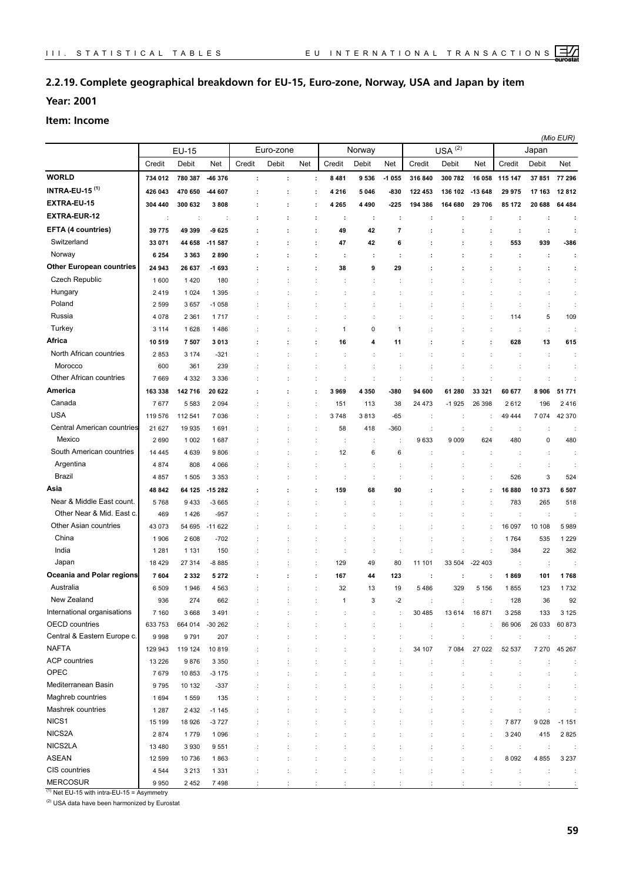## **2.2.19. Complete geographical breakdown for EU-15, Euro-zone, Norway, USA and Japan by item**

**Year: 2001**

#### **Item: Income**

|                                  | <b>EU-15</b> |                    |                      |         |           |     |                |                      |                |         |                      |                      |              |                      | (Mio EUR)            |
|----------------------------------|--------------|--------------------|----------------------|---------|-----------|-----|----------------|----------------------|----------------|---------|----------------------|----------------------|--------------|----------------------|----------------------|
|                                  |              |                    |                      |         | Euro-zone |     |                | Norway               |                |         | $USA^{(2)}$          |                      |              | Japan                |                      |
| <b>WORLD</b>                     | Credit       | Debit              | Net                  | Credit  | Debit     | Net | Credit         | Debit                | Net            | Credit  | Debit                | Net                  | Credit       | Debit                | Net                  |
| <b>INTRA-EU-15<sup>(1)</sup></b> | 734 012      | 780 387<br>470 650 | 46 376               | $\cdot$ | ÷         | ÷   | 8 4 8 1        | 9536                 | $-1055$        | 316 840 | 300 782              | 16 058               | 115 147      | 37 851               | 77 296               |
| EXTRA-EU-15                      | 426 043      |                    | -44 607              |         |           | ÷   | 4 2 1 6        | 5 0 4 6              | -830           | 122 453 | 136 102              | $-13648$             | 29 975       | 17 163               | 12812                |
|                                  | 304 440      | 300 632            | 3808                 |         |           | ÷   | 4 2 6 5        | 4 4 9 0              | -225           | 194 386 | 164 680              | 29 706               | 85 172       | 20 688               | 64 484               |
| <b>EXTRA-EUR-12</b>              | ÷            | ÷                  | $\ddot{\phantom{a}}$ |         |           | ÷   | ÷              | ÷                    | ÷              | ÷       | ÷                    | ÷                    | ÷            | ÷                    | ÷                    |
| EFTA (4 countries)               | 39775        | 49 399             | 9625                 |         |           | ÷   | 49             | 42                   | $\overline{7}$ | ÷       | t                    | ÷                    | ÷            | ÷                    | ÷                    |
| Switzerland                      | 33 071       | 44 658             | $-11587$             |         |           | ÷   | 47             | 42                   | 6              | ÷       |                      | ÷                    | 553          | 939                  | -386                 |
| Norway                           | 6 2 5 4      | 3 3 6 3            | 2890                 |         |           | ÷   | ÷              | ÷                    | ÷              | ÷       | ÷                    | ÷                    | ÷            | ÷                    | $\ddot{\phantom{a}}$ |
| <b>Other European countries</b>  | 24 943       | 26 637             | $-1693$              |         |           | ÷   | 38             | 9                    | 29             |         |                      |                      | t            | ÷                    | ÷                    |
| Czech Republic                   | 1600         | 1420               | 180                  |         |           |     |                | t                    |                |         |                      |                      |              | d                    | ÷                    |
| Hungary                          | 2419         | 1 0 2 4            | 1 3 9 5              |         |           |     |                |                      |                |         |                      |                      | ÷            | ÷                    |                      |
| Poland                           | 2599         | 3657               | $-1058$              |         |           |     | ÷              | ÷                    |                |         |                      | ÷                    | ÷            | $\ddot{\phantom{a}}$ | ÷                    |
| Russia                           | 4 0 7 8      | 2 3 6 1            | 1717                 |         |           |     |                | ÷                    |                |         |                      |                      | 114          | 5                    | 109                  |
| Turkey                           | 3 1 1 4      | 1628               | 1486                 |         |           |     | 1              | 0                    | 1              |         |                      |                      | ÷            | $\ddot{\phantom{a}}$ | ÷                    |
| Africa                           | 10519        | 7507               | 3013                 |         |           |     | 16             | 4                    | 11             |         |                      |                      | 628          | 13                   | 615                  |
| North African countries          | 2853         | 3 1 7 4            | $-321$               |         |           |     |                | t                    |                |         |                      | t                    | ÷            | $\ddot{\phantom{a}}$ | ÷                    |
| Morocco                          | 600          | 361                | 239                  |         |           |     |                | t                    |                |         |                      |                      |              | ÷                    | ÷                    |
| Other African countries          | 7669         | 4 3 3 2            | 3 3 3 6              |         |           |     | ÷              | t                    | ÷              |         |                      | $\ddot{\phantom{a}}$ | ÷            | ÷                    | ÷                    |
| America                          | 163 338      | 142 716            | 20 622               |         |           | ÷   | 3969           | 4 350                | -380           | 94 600  | 61 280               | 33 321               | 60 677       | 8 9 0 6              | 51 771               |
| Canada                           | 7677         | 5 5 8 3            | 2 0 9 4              |         |           | ÷   | 151            | 113                  | 38             | 24 473  | $-1925$              | 26 398               | 2612         | 196                  | 2416                 |
| <b>USA</b>                       | 119 576      | 112 541            | 7036                 |         |           |     | 3748           | 3813                 | -65            | ÷       | ÷                    | ÷                    | 49 444       | 7 0 7 4              | 42 370               |
| Central American countries       | 21 627       | 19 935             | 1691                 |         |           |     | 58             | 418                  | $-360$         | ÷       | t                    | $\ddot{\phantom{a}}$ | ÷            | ÷                    | ÷                    |
| Mexico                           | 2690         | 1 0 0 2            | 1687                 |         |           |     |                | t                    |                | 9633    | 9 0 0 9              | 624                  | 480          | 0                    | 480                  |
| South American countries         | 14 4 45      | 4 6 3 9            | 9806                 |         |           |     | 12             | 6                    | 6              |         |                      |                      |              | ÷                    | ÷                    |
| Argentina                        | 4874         | 808                | 4 0 6 6              |         |           |     |                | ÷                    |                |         |                      | ÷                    | ÷            | ÷                    | ÷                    |
| Brazil                           | 4857         | 1 5 0 5            | 3 3 5 3              |         |           |     |                | ċ                    |                |         |                      |                      | 526          | 3                    | 524                  |
| Asia                             | 48 842       | 64 125             | -15 282              |         |           |     | 159            | 68                   | 90             |         |                      |                      | 16880        | 10 373               | 6 507                |
| Near & Middle East count.        | 5768         | 9433               | $-3665$              |         |           |     |                |                      |                |         |                      |                      | 783          | 265                  | 518                  |
| Other Near & Mid. East c.        | 469          | 1426               | $-957$               |         |           |     |                |                      |                |         |                      |                      | t            | $\ddot{\phantom{a}}$ |                      |
| Other Asian countries            | 43 073       | 54 695             | $-11622$             |         |           |     |                |                      |                |         |                      |                      | 16 097       | 10 108               | 5989                 |
| China                            | 1906         | 2608               | $-702$               |         |           |     | ÷              | t                    |                |         | t                    | $\ddot{\phantom{a}}$ | 1764         | 535                  | 1 2 2 9              |
| India                            | 1 2 8 1      | 1 1 3 1            | 150                  |         |           |     | $\ddot{\cdot}$ | $\ddot{\phantom{a}}$ | $\ddot{\cdot}$ |         |                      | $\ddot{\phantom{a}}$ | 384          | 22                   | 362                  |
| Japan                            | 18 4 29      | 27 314             | $-8885$              |         |           |     | 129            | 49                   | 80             | 11 101  | 33 504               | $-22403$             | ÷            | $\ddot{\cdot}$       |                      |
| Oceania and Polar regions        | 7604         | 2 3 3 2            | 5 2 7 2              |         |           | ÷   | 167            | 44                   | 123            | ÷       | ÷                    | ÷                    | 1869         | 101                  | 1768                 |
| Australia                        | 6 5 0 9      | 1946               | 4 5 6 3              |         |           |     | 32             | 13                   | 19             | 5486    | 329                  | 5 1 5 6              | 1855         | 123                  | 1732                 |
| New Zealand                      | 936          | 274                | 662                  |         |           |     |                | 3                    |                |         |                      |                      | 128          | 36                   | 92                   |
| International organisations      | 7 160        | 3668               | 3491                 |         |           |     |                |                      |                | 30 485  | 13614                | 16871                | 3 2 5 8      | 133                  | 3 1 2 5              |
| <b>OECD</b> countries            | 633 753      | 664 014            | $-30262$             |         |           |     | ÷              | ÷                    |                | ÷       | ÷                    | $\mathbb{C}$         | 86 906       | 26 033               | 60 873               |
| Central & Eastern Europe c.      | 9998         | 9791               | 207                  |         |           |     |                | t                    |                | ÷       | $\ddot{\phantom{a}}$ | ÷                    | $\cdot$      | ÷                    |                      |
| <b>NAFTA</b>                     | 129 943      | 119 124            | 10819                |         |           |     |                |                      |                | 34 107  | 7 0 8 4              | 27 022               | 52 537       | 7 2 7 0              | 45 267               |
| <b>ACP</b> countries             | 13 2 26      | 9876               | 3 3 5 0              |         |           |     |                |                      |                | ÷       |                      | ÷                    | ÷            |                      | ÷                    |
| OPEC                             | 7679         | 10853              | $-3175$              |         |           |     |                | ÷                    |                |         |                      |                      |              |                      | ÷                    |
| Mediterranean Basin              | 9795         | 10 132             | $-337$               |         |           |     |                |                      |                |         |                      |                      |              | ÷                    | ÷                    |
| Maghreb countries                | 1694         | 1559               | 135                  |         |           |     |                |                      |                |         |                      |                      |              |                      |                      |
| Mashrek countries                | 1 2 8 7      | 2432               | $-1145$              |         |           |     |                |                      |                |         |                      |                      |              | ÷                    |                      |
| NICS1                            | 15 199       | 18 9 26            | $-3727$              |         |           |     |                |                      |                |         |                      |                      | 7877         | 9028                 | $-1151$              |
| NICS2A                           | 2874         | 1779               | 1096                 |         |           |     |                |                      |                |         |                      |                      | 3 2 4 0      | 415                  | 2825                 |
| NICS2LA                          | 13 4 8 0     | 3 9 3 0            | 9551                 |         |           |     |                |                      |                |         |                      | t                    | $\mathbb{Z}$ | ÷                    |                      |
| <b>ASEAN</b>                     | 12 599       | 10736              | 1863                 |         |           |     |                |                      |                |         |                      |                      | 8 0 9 2      | 4 8 5 5              | 3 2 3 7              |
| CIS countries                    | 4 5 4 4      | 3 2 1 3            | 1 3 3 1              |         |           |     |                |                      |                |         |                      |                      | ÷            | ÷                    |                      |
| <b>MERCOSUR</b>                  | 9950         | 2452               | 7498                 |         |           |     |                |                      |                |         |                      |                      |              |                      |                      |

 $(1)$  Net EU-15 with intra-EU-15 = Asymmetry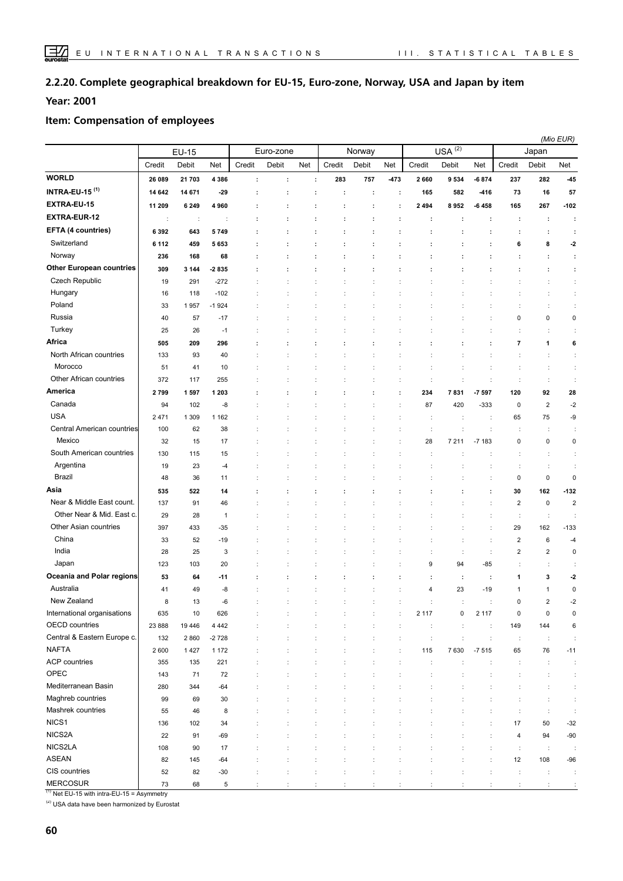#### **Complete geographical breakdown for EU-15, Euro-zone, Norway, USA and Japan by item 2.2.20.**

**Year: 2001**

#### **Item: Compensation of employees**

|                                  |                      |                      |              |                      |           |     |                      |                      |                      |                      |             |                      |                      | (Mio EUR)               |                         |
|----------------------------------|----------------------|----------------------|--------------|----------------------|-----------|-----|----------------------|----------------------|----------------------|----------------------|-------------|----------------------|----------------------|-------------------------|-------------------------|
|                                  |                      | <b>EU-15</b>         |              |                      | Euro-zone |     |                      | Norway               |                      |                      | $USA^{(2)}$ |                      |                      | Japan                   |                         |
|                                  | Credit               | Debit                | Net          | Credit               | Debit     | Net | Credit               | Debit                | Net                  | Credit               | Debit       | Net                  | Credit               | Debit                   | Net                     |
| <b>WORLD</b>                     | 26 089               | 21 703               | 4 3 8 6      | ÷                    | ÷         | ÷   | 283                  | 757                  | -473                 | 2660                 | 9534        | $-6874$              | 237                  | 282                     | -45                     |
| <b>INTRA-EU-15<sup>(1)</sup></b> | 14 642               | 14 671               | $-29$        | ÷                    | ÷         | ÷   | ÷                    | ÷                    | ÷                    | 165                  | 582         | $-416$               | 73                   | 16                      | 57                      |
| EXTRA-EU-15                      | 11 209               | 6 2 4 9              | 4960         | ÷                    | ÷         |     | ÷                    |                      | ÷                    | 2 4 9 4              | 8952        | $-6458$              | 165                  | 267                     | $-102$                  |
| <b>EXTRA-EUR-12</b>              | $\ddot{\phantom{a}}$ | $\ddot{\phantom{a}}$ | ÷            | ÷                    |           |     |                      |                      | ÷                    | ÷                    |             | ÷                    | ÷                    | ÷                       | ÷                       |
| <b>EFTA (4 countries)</b>        | 6 3 9 2              | 643                  | 5749         |                      |           |     |                      |                      |                      |                      |             |                      | ÷                    | ÷                       | ÷                       |
| Switzerland                      | 6 112                | 459                  | 5653         |                      |           |     |                      |                      |                      |                      |             | t                    | 6                    | 8                       | $-2$                    |
| Norway                           | 236                  | 168                  | 68           |                      |           |     |                      |                      |                      |                      |             |                      |                      |                         | ÷                       |
| <b>Other European countries</b>  | 309                  | 3 1 4 4              | -2835        |                      |           |     |                      |                      |                      |                      |             |                      |                      |                         | $\ddot{\phantom{a}}$    |
| Czech Republic                   | 19                   | 291                  | $-272$       |                      |           |     |                      |                      |                      |                      |             |                      |                      | ÷                       | ÷                       |
| Hungary                          | 16                   | 118                  | $-102$       |                      |           |     |                      |                      |                      |                      |             |                      |                      |                         | ÷                       |
| Poland                           | 33                   | 1957                 | $-1924$      |                      |           |     |                      |                      |                      |                      |             |                      |                      |                         | ÷                       |
| Russia                           | 40                   | 57                   | $-17$        |                      |           |     |                      |                      |                      |                      |             | ÷                    | $\pmb{0}$            | 0                       | $\mathbf 0$             |
| Turkey                           | 25                   | 26                   | $-1$         |                      |           |     |                      |                      |                      |                      |             | ÷                    | ÷                    | ÷                       | ÷                       |
| Africa                           | 505                  | 209                  | 296          |                      |           | ÷   | ÷                    |                      | ÷                    | t                    | ÷           | ÷                    | $\overline{7}$       | 1                       | 6                       |
| North African countries          | 133                  | 93                   | 40           |                      |           |     |                      |                      | ÷                    |                      |             | ÷                    | ÷                    | ÷                       | ÷                       |
| Morocco                          | 51                   | 41                   | 10           |                      |           |     |                      | ÷                    | ÷                    | ÷                    |             | ÷                    | ÷                    | ÷                       | ÷                       |
| Other African countries          | 372                  | 117                  | 255          |                      |           |     |                      |                      | ÷                    | t                    |             | ÷                    | ÷                    | ÷                       | ÷                       |
| America                          | 2799                 | 1597                 | 1 2 0 3      |                      |           | ÷   | ÷                    |                      | ÷                    | 234                  | 7831        | $-7597$              | 120                  | 92                      | 28                      |
| Canada                           | 94                   | 102                  | -8           |                      |           |     |                      |                      | ÷                    | 87                   | 420         | $-333$               | $\mathbf 0$          | $\sqrt{2}$              | $-2$                    |
| <b>USA</b>                       | 2471                 | 1 3 0 9              | 1 1 6 2      |                      |           |     |                      |                      |                      | t                    |             | ÷                    | 65                   | 75                      | -9                      |
| Central American countries       | 100                  | 62                   | 38           |                      |           |     |                      |                      |                      | ÷                    |             | ÷                    | ÷                    | ÷                       | ÷                       |
| Mexico                           | 32                   | 15                   | 17           |                      |           |     |                      |                      |                      | 28                   | 7 2 1 1     | $-7183$              | $\pmb{0}$            | $\pmb{0}$               | $\pmb{0}$               |
| South American countries         | 130                  | 115                  | 15           |                      |           |     |                      |                      |                      | ÷                    |             | ÷                    | ÷                    | ÷                       | ÷                       |
| Argentina                        | 19                   | 23                   | -4           |                      |           |     |                      |                      |                      |                      |             | ÷                    | ÷                    | ÷                       | ÷                       |
| Brazil                           | 48                   | 36                   | 11           |                      |           |     |                      |                      |                      |                      |             |                      | $\pmb{0}$            | $\pmb{0}$               | $\pmb{0}$               |
| Asia                             | 535                  | 522                  | 14           |                      |           |     |                      |                      |                      |                      |             | ÷                    | 30                   | 162                     | $-132$                  |
| Near & Middle East count.        | 137                  | 91                   | 46           |                      |           |     |                      |                      |                      |                      |             |                      | $\overline{2}$       | $\pmb{0}$               | $\overline{\mathbf{c}}$ |
| Other Near & Mid. East c.        | 29                   | 28                   | $\mathbf{1}$ |                      |           |     |                      |                      |                      |                      |             |                      | ÷                    | ÷                       |                         |
| Other Asian countries            | 397                  | 433                  | $-35$        |                      |           |     |                      |                      |                      |                      |             |                      | 29                   | 162                     | $-133$                  |
| China                            | 33                   | 52                   | $-19$        |                      |           |     |                      |                      |                      |                      |             | ÷                    | $\overline{2}$       | 6                       | $-4$                    |
| India                            | 28                   | 25                   | 3            |                      |           |     |                      |                      |                      |                      | ÷           | t                    | $\overline{2}$       | $\overline{\mathbf{c}}$ | $\pmb{0}$               |
| Japan                            | 123                  | 103                  | 20           |                      |           |     |                      |                      |                      | 9                    | 94          | $-85$                |                      | ÷                       | ÷                       |
| Oceania and Polar regions        | 53                   | 64                   | $-11$        |                      |           |     |                      |                      |                      | ÷                    | ÷           | $\ddot{\phantom{a}}$ | 1                    | 3                       | $-2$                    |
| Australia                        | 41                   | 49                   | -8           |                      |           |     |                      |                      |                      | 4                    | 23          | $-19$                | 1                    | 1                       | $\mathbf 0$             |
| New Zealand                      | 8                    | 13                   | $-6$         |                      |           |     |                      |                      |                      |                      | ÷           | ÷                    | $\mathbf 0$          | $\overline{2}$          | $-2$                    |
| International organisations      | 635                  | $10$                 | 626          | $\ddot{\phantom{a}}$ |           | ÷   |                      | $\ddot{\phantom{a}}$ | $\ddot{\phantom{a}}$ | 2 1 1 7              | $\mathsf 0$ | 2 1 1 7              | $\pmb{0}$            | $\pmb{0}$               | $\mathbf 0$             |
| OECD countries                   | 23 888               | 19 4 46              | 4 4 4 2      |                      |           |     | $\ddot{\cdot}$       | ÷                    | ÷                    | $\ddot{\phantom{a}}$ | ÷           | $\ddot{\cdot}$       | 149                  | 144                     | $\,6\,$                 |
| Central & Eastern Europe c.      | 132                  | 2860                 | $-2728$      |                      |           | t   |                      | ÷                    | ÷                    | ÷                    | ÷           | $\ddot{\cdot}$       | $\ddot{\phantom{a}}$ | $\ddot{\phantom{a}}$    | ÷                       |
| <b>NAFTA</b>                     | 2600                 | 1427                 | 1 1 7 2      | ÷                    |           | ÷   | $\ddot{\phantom{a}}$ | ÷                    | ÷                    | 115                  | 7630        | $-7515$              | 65                   | 76                      | $-11$                   |
| <b>ACP</b> countries             | 355                  | 135                  | 221          | ÷                    |           | ÷   | ÷                    | ÷                    | $\ddot{\phantom{a}}$ | $\ddot{\phantom{a}}$ | ÷           | $\ddot{\cdot}$       | ÷                    | $\ddot{\phantom{a}}$    | $\ddot{\phantom{a}}$    |
| OPEC                             | 143                  | 71                   | 72           |                      |           | ÷   | ÷                    | ÷                    | ÷                    | t                    |             | ÷                    | ÷                    | ÷                       | ÷                       |
| Mediterranean Basin              | 280                  | 344                  | $-64$        |                      |           |     |                      |                      |                      |                      |             |                      |                      | t                       | $\ddot{\phantom{a}}$    |
| Maghreb countries                | 99                   | 69                   | 30           |                      |           | ÷   |                      | ÷                    | ÷                    |                      |             | ÷                    | ÷                    | ÷                       | ÷                       |
| Mashrek countries                | 55                   | 46                   | 8            |                      |           | t   |                      | ÷                    | ÷                    |                      |             | ÷                    | ÷                    | $\ddot{\phantom{a}}$    | ÷                       |
| NICS1                            | 136                  | 102                  | 34           |                      |           |     |                      | ÷                    | ÷                    |                      |             | ÷                    | $17$                 | 50                      | $-32$                   |
| NICS2A                           | 22                   | 91                   | $-69$        |                      |           |     |                      |                      |                      |                      |             | t                    | $\overline{4}$       | 94                      | $-90$                   |
| NICS2LA                          | 108                  | 90                   | 17           |                      |           |     |                      |                      |                      |                      |             | ÷                    | $\ddot{\phantom{a}}$ | $\ddot{\phantom{a}}$    | ÷                       |
| ASEAN                            | 82                   | 145                  | $-64$        |                      |           |     |                      | ÷                    |                      | ÷                    |             | $\ddot{\phantom{a}}$ | 12                   | 108                     | $-96$                   |
| CIS countries                    | 52                   | 82                   | $-30$        |                      |           | ÷   |                      | ÷                    |                      | t                    |             | t                    | ÷                    | $\ddot{\cdot}$          | ÷                       |
| <b>MERCOSUR</b>                  | $73\,$               | 68                   | 5            | ÷                    | ÷         | ÷   | ÷                    | ÷                    | ÷                    | ÷                    | ÷           | ÷                    | ÷                    | $\ddot{\cdot}$          | ÷                       |

 $\frac{(1)}{(1)}$  Net EU-15 with intra-EU-15 = Asymmetry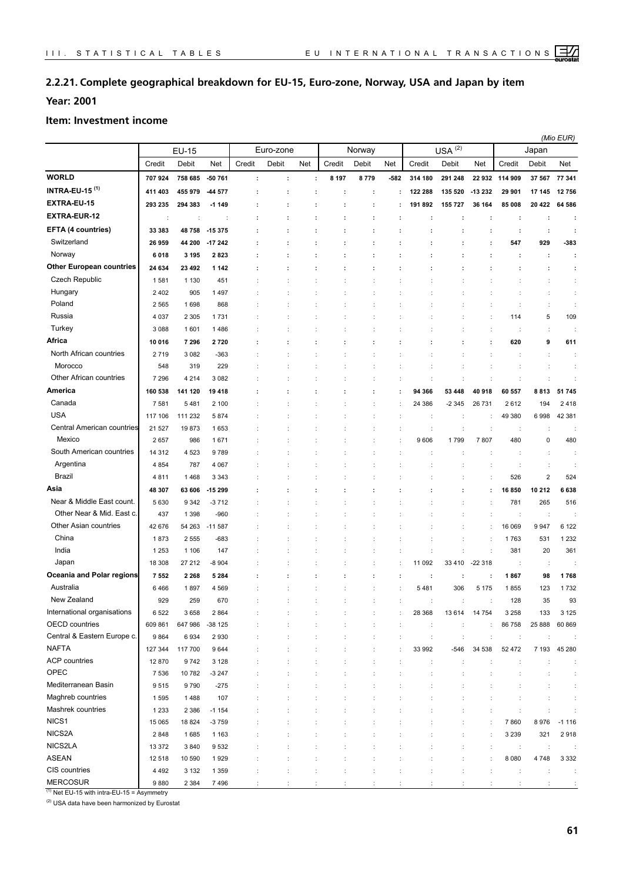## **2.2.21. Complete geographical breakdown for EU-15, Euro-zone, Norway, USA and Japan by item**

## **Year: 2001**

#### **Item: Investment income**

|                                  |                 |              |                      |                      |           |                      |         |        |      |         |                   |                      |         |                         | (Mio EUR) |
|----------------------------------|-----------------|--------------|----------------------|----------------------|-----------|----------------------|---------|--------|------|---------|-------------------|----------------------|---------|-------------------------|-----------|
|                                  |                 | <b>EU-15</b> |                      |                      | Euro-zone |                      |         | Norway |      |         | (2)<br><b>USA</b> |                      |         | Japan                   |           |
|                                  | Credit          | Debit        | Net                  | Credit               | Debit     | Net                  | Credit  | Debit  | Net  | Credit  | Debit             | Net                  | Credit  | Debit                   | Net       |
| <b>WORLD</b>                     | 707924          | 758 685      | -50 761              | $\ddot{\phantom{a}}$ | ÷         | ÷                    | 8 1 9 7 | 8779   | -582 | 314 180 | 291 248           | 22 932               | 114 909 | 37 567                  | 77 341    |
| <b>INTRA-EU-15<sup>(1)</sup></b> | 411 403         | 455 979      | 44 577               | í                    | ÷         |                      | ÷       |        |      | 122 288 | 135 520           | -13 232              | 29 901  | 17 145                  | 12756     |
| EXTRA-EU-15                      | 293 235         | 294 383      | $-1149$              | í                    | ÷         |                      | ÷       |        | ÷    | 191892  | 155 727           | 36 164               | 85 008  | 20 422                  | 64 586    |
| <b>EXTRA-EUR-12</b>              |                 |              | $\ddot{\phantom{a}}$ |                      |           |                      |         |        |      | ÷       |                   | ÷                    | ÷       | ÷                       | ÷         |
| EFTA (4 countries)               | 33 383          | 48 758       | -15 375              |                      |           |                      |         |        |      |         |                   | ÷                    | ÷       | $\ddot{\phantom{a}}$    | ÷         |
| Switzerland                      | 26 959          | 44 200       | -17 242              | t                    |           |                      |         |        |      |         |                   | ÷                    | 547     | 929                     | -383      |
| Norway                           | 6018            | 3 1 9 5      | 2823                 | ÷                    | ÷         | $\ddot{\phantom{0}}$ | ÷       |        | ÷    |         |                   | ÷                    | ÷       | ÷                       | ÷         |
| <b>Other European countries</b>  | 24 634          | 23 492       | 1 1 4 2              |                      |           |                      |         |        |      |         |                   |                      |         | ÷                       | ÷         |
| Czech Republic                   | 1581            | 1 1 3 0      | 451                  |                      |           |                      |         |        |      |         |                   |                      |         |                         | ÷         |
| Hungary                          | 2402            | 905          | 1497                 |                      |           |                      |         |        |      |         |                   |                      |         | ÷                       | ÷         |
| Poland                           | 2565            | 1698         | 868                  |                      |           |                      |         |        |      |         |                   |                      | ÷       | ÷                       | ÷         |
| Russia                           | 4 0 3 7         | 2 3 0 5      | 1731                 |                      |           |                      |         |        |      |         |                   |                      | 114     | 5                       | 109       |
| Turkey                           | 3 0 8 8         | 1601         | 1486                 |                      |           |                      |         |        |      |         |                   |                      | ÷       | ÷                       | ÷         |
| Africa                           | 10 016          | 7 2 9 6      | 2720                 |                      |           |                      |         |        |      |         |                   | ÷                    | 620     | 9                       | 611       |
| North African countries          | 2719            | 3 0 8 2      | $-363$               |                      |           |                      |         |        |      |         |                   |                      | ÷       | $\ddot{\phantom{a}}$    | ÷         |
| Morocco                          | 548             | 319          | 229                  |                      |           |                      |         |        |      |         |                   |                      |         | ÷                       | ÷         |
| Other African countries          | 7 2 9 6         | 4 2 1 4      | 3 0 8 2              |                      |           |                      |         |        |      | ÷       | t                 |                      | ÷       | t                       | ÷         |
| <b>America</b>                   | 160 538         | 141 120      | 19418                |                      |           |                      |         |        |      | 94 366  | 53 448            | 40 918               | 60 557  | 8813                    | 51 745    |
| Canada                           | 7581            | 5481         | 2 100                |                      |           |                      |         |        |      | 24 386  | -2 345            | 26 731               | 2612    | 194                     | 2 4 1 8   |
| <b>USA</b>                       | 117 106         | 111 232      | 5874                 |                      |           |                      |         |        |      | ÷       | ÷                 |                      | 49 380  | 6998                    | 42 381    |
| Central American countries       | 21 5 27         | 19873        | 1653                 |                      |           |                      |         |        |      | ÷       | ÷                 | $\ddot{\phantom{a}}$ | ÷       | $\ddot{\phantom{a}}$    |           |
| Mexico                           | 2657            | 986          | 1671                 |                      |           |                      |         |        |      | 9606    | 1799              | 7807                 | 480     | 0                       | 480       |
| South American countries         | 14 3 12         | 4 5 23       | 9789                 |                      |           |                      |         |        |      |         |                   |                      |         | ÷                       |           |
| Argentina                        | 4 8 5 4         | 787          | 4 0 6 7              |                      |           |                      |         |        |      |         |                   |                      |         | ÷                       |           |
| Brazil                           | 4811            | 1468         | 3 3 4 3              |                      |           |                      |         |        |      |         |                   |                      | 526     | $\overline{\mathbf{c}}$ | 524       |
| Asia                             | 48 307          | 63 606       | -15 299              |                      |           |                      |         |        |      |         |                   |                      | 16850   | 10 212                  | 6638      |
| Near & Middle East count.        | 5 6 3 0         | 9 3 4 2      | $-3712$              |                      |           |                      |         |        |      |         |                   |                      | 781     | 265                     | 516       |
| Other Near & Mid. East c.        | 437             | 1 3 9 8      | $-960$               |                      |           |                      |         |        |      |         |                   |                      |         | $\ddot{\phantom{a}}$    |           |
| Other Asian countries            | 42 676          | 54 263       | $-11587$             |                      |           |                      |         |        |      |         |                   |                      | 16 069  | 9947                    | 6 1 2 2   |
| China                            | 1873            | 2 5 5 5      | $-683$               |                      |           |                      |         |        |      |         | ÷                 | $\ddot{\phantom{a}}$ | 1763    | 531                     | 1 2 3 2   |
| India                            | 1 2 5 3         | 1 1 0 6      | 147                  |                      |           |                      |         |        |      | ÷       |                   | $\ddot{\cdot}$       | 381     | 20                      | 361       |
| Japan                            | 18 308          | 27 212       | $-8904$              |                      |           |                      |         |        |      | 11 092  | 33 410            | $-22318$             | ÷       | $\ddot{\phantom{a}}$    |           |
| Oceania and Polar regions        | 7552            | 2 2 6 8      | 5 2 8 4              |                      |           |                      |         |        | ÷    | ÷       | ÷                 | ÷                    | 1867    | 98                      | 1768      |
| Australia                        | 6466            | 1897         | 4 5 6 9              |                      |           |                      |         |        |      | 5481    | 306               | 5 1 7 5              | 1855    | 123                     | 1732      |
| New Zealand                      | 929             | 259          | 670                  |                      |           |                      |         |        |      |         |                   |                      | 128     | 35                      | 93        |
| International organisations      | 6522            | 3658         | 2864                 |                      |           |                      |         |        |      | 28 368  | 13614             | 14 754               | 3 2 5 8 | 133                     | 3 1 2 5   |
| <b>OECD</b> countries            | 609 861         | 647986       | $-38125$             |                      |           |                      | ÷       | ÷      | ÷    | ÷       | ÷                 | ÷                    | 86 758  | 25 888                  | 60 869    |
| Central & Eastern Europe c.      | 9864            | 6934         | 2930                 |                      |           |                      |         | ÷      |      | ÷       | ÷                 | ÷                    | ÷       | ÷                       |           |
| <b>NAFTA</b>                     | 127 344         | 117 700      | 9644                 |                      |           |                      |         |        |      | 33 992  | -546              | 34 538               | 52 472  | 7 1 9 3                 | 45 280    |
| <b>ACP</b> countries             | 12870           | 9742         | 3 1 2 8              |                      |           |                      |         |        |      | ÷       | ÷                 |                      | ÷       |                         | ÷         |
| OPEC                             | 7 5 3 6         | 10782        | $-3247$              |                      |           |                      |         | ÷      |      | ÷       | ÷                 |                      | ÷       | $\ddot{\phantom{a}}$    | ÷         |
| Mediterranean Basin              | 9515            | 9790         | $-275$               |                      |           |                      |         |        |      |         |                   |                      |         |                         | ÷         |
| Maghreb countries                | 1595            | 1488         | 107                  |                      |           |                      |         |        |      |         |                   |                      |         |                         | ÷         |
| Mashrek countries                | 1 2 3 3         | 2 3 8 6      | $-1154$              |                      |           |                      |         |        |      |         |                   |                      |         |                         |           |
| NICS1                            | 15 065          | 18824        | $-3759$              |                      |           |                      |         |        |      |         |                   |                      | 7860    | 8976                    | $-1116$   |
| NICS2A                           | 2848            | 1685         | 1 1 6 3              |                      |           |                      |         |        |      |         |                   |                      | 3 2 3 9 | 321                     | 2918      |
| NICS2LA                          | 13 372          | 3840         | 9532                 |                      |           |                      |         |        |      |         |                   | $\ddot{\phantom{a}}$ | ÷       | $\ddot{\phantom{a}}$    |           |
| <b>ASEAN</b><br>CIS countries    | 12 5 18         | 10 590       | 1929                 |                      |           |                      |         |        |      |         | $\ddot{\cdot}$    |                      | 8 0 8 0 | 4748                    | 3 3 3 2   |
| <b>MERCOSUR</b>                  | 4 4 9 2<br>9880 | 3 1 3 2      | 1 3 5 9              |                      |           |                      |         |        |      |         |                   |                      | ÷       | ÷<br>÷                  | ÷         |
|                                  |                 | 2 3 8 4      | 7496                 |                      |           |                      |         |        |      |         |                   |                      |         |                         | ÷         |

 $(1)$  Net EU-15 with intra-EU-15 = Asymmetry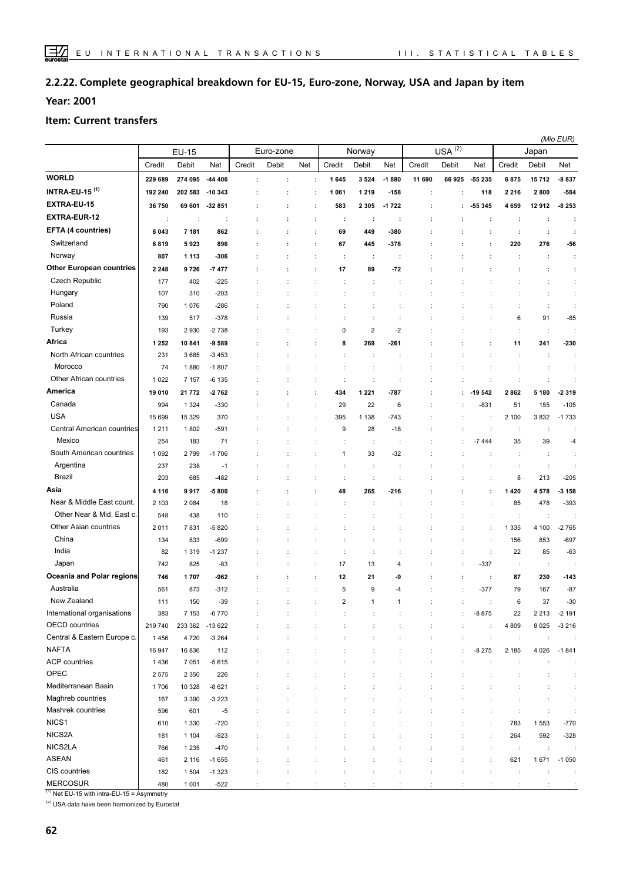#### **Complete geographical breakdown for EU-15, Euro-zone, Norway, USA and Japan by item 2.2.22.**

**Year: 2001**

#### **Item: Current transfers**

|                                 |                      |                 |                 |                      |           |     |                      |                         |                        |        |           |                          |              | (Mio EUR)            |                |
|---------------------------------|----------------------|-----------------|-----------------|----------------------|-----------|-----|----------------------|-------------------------|------------------------|--------|-----------|--------------------------|--------------|----------------------|----------------|
|                                 |                      | <b>EU-15</b>    |                 |                      | Euro-zone |     |                      | Norway                  |                        |        | USA $(2)$ |                          |              | Japan                |                |
|                                 | Credit               | Debit           | Net             | Credit               | Debit     | Net | Credit               | Debit                   | Net                    | Credit | Debit     | Net                      | Credit       | Debit                | Net            |
| <b>WORLD</b>                    | 229 689              | 274 095         | -44 406         | $\ddot{\phantom{a}}$ | ÷         |     | 1645<br>÷            | 3524                    | $-1880$                | 11 690 | 66 925    | -55 235                  | 6875         | 15712                | -8 837         |
| <b>INTRA-EU-15 (1)</b>          | 192 240              | 202 583         | $-10343$        | ÷                    | ÷         | ÷   | 1 0 6 1              | 1 2 1 9                 | -158                   | ÷      | ÷         | 118                      | 2 2 1 6      | 2800                 | $-584$         |
| EXTRA-EU-15                     | 36750                | 69 601          | $-32851$        | ÷                    | ÷         | ÷   | 583                  | 2 3 0 5                 | $-1722$                | ÷      | ÷         | 55 345                   | 4659         | 12912                | $-8253$        |
| <b>EXTRA-EUR-12</b>             | $\ddot{\phantom{a}}$ | ÷               | ÷               |                      | ÷         | ÷   | ÷                    | ÷                       | ÷                      | ÷      |           | ÷                        | ÷            | ÷                    | ÷              |
| EFTA (4 countries)              | 8 0 4 3              | 7 181           | 862             | ÷                    | ÷         | ÷   | 69                   | 449                     | -380                   | ÷      |           | ÷                        | ÷            | ÷                    | ÷              |
| Switzerland                     | 6819                 | 5923            | 896             |                      |           |     | 67                   | 445                     | -378                   |        |           | ÷                        | 220          | 276                  | -56            |
| Norway                          | 807                  | 1 1 1 3         | $-306$          |                      |           | ÷   | ÷                    | ÷                       | ÷                      |        |           | ÷                        | ÷            | ÷                    | ÷              |
| <b>Other European countries</b> | 2 2 4 8              | 9726            | $-7477$         |                      |           | ÷   | 17                   | 89                      | $-72$                  |        |           |                          |              | ÷                    | ÷              |
| Czech Republic                  | 177                  | 402             | $-225$          |                      |           |     |                      | ÷                       |                        |        |           |                          |              | t                    | ÷              |
| Hungary                         | 107                  | 310             | $-203$          |                      |           |     |                      | ÷                       |                        |        |           |                          |              | ÷                    | ÷              |
| Poland                          | 790                  | 1076            | $-286$          |                      |           |     |                      | ÷                       |                        |        |           |                          | ÷            | ÷                    | ÷              |
| Russia                          | 139                  | 517             | $-378$          |                      |           |     |                      |                         |                        |        |           |                          | 6            | 91                   | $-85$          |
| Turkey                          | 193                  | 2930            | $-2738$         |                      |           |     | 0                    | $\overline{\mathbf{c}}$ | $-2$                   |        |           |                          | ÷            | ÷                    |                |
| Africa                          | 1 2 5 2              | 10841           | $-9589$         |                      |           | ÷   | 8                    | 269                     | -261                   |        |           |                          | 11           | 241                  | $-230$         |
| North African countries         | 231                  | 3685            | $-3453$         |                      |           |     | ÷                    | $\ddot{\cdot}$          |                        |        |           |                          | ÷            | ÷                    | ÷              |
| Morocco                         | 74                   | 1880            | $-1807$         |                      |           |     |                      |                         |                        |        |           |                          |              | d                    | $\ddot{\cdot}$ |
| Other African countries         | 1022                 | 7 1 5 7         | $-6135$         |                      |           |     | $\ddot{\phantom{a}}$ | ÷                       |                        |        |           |                          |              |                      |                |
| America                         | 19 010               | 21 772          | $-2762$         |                      |           | ÷   | 434                  | 1 2 2 1                 | -787                   |        |           | $-19542$                 | 2862         | 5 180                | -2319          |
| Canada                          | 994                  | 1 3 2 4         | $-330$          |                      |           |     | 29<br>÷              | 22                      | 6                      |        |           | -831                     | 51           | 155                  | $-105$         |
| <b>USA</b>                      | 15 699               | 15 3 29         | 370             |                      |           |     | 395                  | 1 1 3 8                 | -743                   |        |           |                          | 2 100        | 3832                 | $-1733$        |
| Central American countries      | 1211                 | 1802            | $-591$          |                      |           |     | 9                    | 28                      | $-18$                  |        |           | $\ddot{\cdot}$           |              | ÷                    |                |
| Mexico                          | 254                  | 183             | 71              |                      |           |     |                      | ÷                       |                        |        |           | $-7444$                  | 35           | 39                   | $-4$           |
| South American countries        | 1 0 9 2              | 2799            | $-1706$         |                      |           |     | $\mathbf{1}$         | 33                      | $-32$                  |        |           |                          |              | ÷                    |                |
| Argentina                       | 237                  | 238             | $-1$            |                      |           |     |                      | ÷                       |                        |        |           |                          | ÷            | $\ddot{\phantom{a}}$ |                |
| <b>Brazil</b>                   | 203                  | 685             | $-482$          |                      |           |     | ÷                    | ÷                       |                        |        |           | ÷                        | 8            | 213                  | $-205$         |
| Asia                            | 4 1 1 6              | 9917            | $-5800$         |                      |           |     | 48                   | 265                     | -216                   |        |           | ÷                        | 1420         | 4578                 | -3 158         |
| Near & Middle East count.       | 2 1 0 3              | 2 0 8 4         | 18              |                      |           |     |                      | ÷                       |                        |        |           |                          | 85           | 478                  | $-393$         |
| Other Near & Mid. East c.       | 548                  | 438             | 110             |                      |           |     |                      |                         |                        |        |           | ÷                        | ÷            | ÷                    |                |
| Other Asian countries           | 2011                 | 7831            | $-5820$         |                      |           |     |                      |                         |                        |        |           | $\ddot{\cdot}$           | 1 3 3 5      | 4 100                | $-2765$        |
| China                           | 134                  | 833             | $-699$          |                      |           |     | $\ddot{\phantom{a}}$ | ÷                       |                        |        |           | ÷                        | 156          | 853                  | $-697$         |
| India                           | 82                   | 1 3 1 9         | $-1237$         |                      |           |     | ÷<br>÷               | ÷                       |                        |        | ÷         | ÷                        | 22           | 85                   | $-63$          |
| Japan                           | 742                  | 825             | $-83$           |                      |           |     | 17<br>÷              | 13                      | 4                      |        |           | $-337$                   | ÷            | ÷                    |                |
| Oceania and Polar regions       | 746                  | 1707            | -962            |                      |           | ÷   | 12                   | 21                      | -9                     |        | ÷         |                          | 87           | 230                  | $-143$         |
| Australia                       |                      |                 |                 |                      |           |     |                      |                         |                        | ÷      |           | ÷<br>$-377$              | 79           |                      | $-87$          |
| New Zealand                     | 561<br>111           | 873<br>150      | $-312$<br>$-39$ |                      |           | ÷   | 5<br>$\mathcal{P}$   | 9<br>$\overline{1}$     | $-4$<br>$\overline{1}$ |        |           |                          | 6            | 167<br>37            | -30            |
| International organisations     | 383                  | 7 1 5 3         | $-6770$         |                      |           |     |                      |                         |                        |        |           | -8 875                   | 22           | 2 2 1 3              | $-2191$        |
| OECD countries                  | 219 740              | 233 362 -13 622 |                 |                      |           |     |                      |                         |                        |        |           | ÷                        | 4809         | 8 0 25               | $-3216$        |
| Central & Eastern Europe c.     | 1456                 | 4720            | $-3264$         |                      |           |     |                      |                         |                        | ÷      | ÷         |                          |              | ÷                    | ÷              |
| <b>NAFTA</b>                    | 16 947               | 16836           | 112             |                      |           |     |                      |                         |                        |        |           | $\ddot{\cdot}$<br>-8 275 | ÷<br>2 1 8 5 | 4 0 26               | $-1841$        |
| <b>ACP</b> countries            | 1436                 | 7 0 5 1         | $-5615$         |                      |           |     |                      |                         |                        |        |           |                          |              |                      | ÷              |
| OPEC                            | 2575                 | 2 3 5 0         | 226             |                      |           |     |                      |                         |                        |        |           |                          |              |                      | ÷              |
| Mediterranean Basin             | 1706                 | 10 328          | $-8621$         |                      |           |     |                      |                         |                        |        |           |                          |              |                      | ÷              |
| Maghreb countries               | 167                  | 3 3 9 0         | $-3223$         |                      |           |     |                      |                         |                        |        |           |                          |              |                      |                |
| Mashrek countries               | 596                  | 601             | $-5$            |                      |           |     |                      |                         |                        |        |           |                          |              |                      |                |
| NICS1                           | 610                  | 1 3 3 0         | $-720$          |                      |           |     |                      |                         |                        |        |           |                          | 783          | 1553                 | $-770$         |
| NICS2A                          | 181                  | 1 1 0 4         | $-923$          |                      |           |     |                      |                         |                        |        |           |                          | 264          | 592                  | $-328$         |
| NICS2LA                         | 766                  | 1 2 3 5         | $-470$          |                      |           |     |                      |                         |                        |        |           | ÷                        | $\cdot$      | ÷                    |                |
| <b>ASEAN</b>                    | 461                  | 2 1 1 6         | $-1655$         |                      |           | t   |                      |                         |                        | ÷      | ÷         | ÷                        | 621          | 1671                 | $-1050$        |
| CIS countries                   | 182                  | 1 5 0 4         | $-1323$         |                      |           |     | ÷                    | ÷                       |                        | ÷      | ÷         | ÷                        | ÷            | ÷                    | ÷              |
| <b>MERCOSUR</b>                 | 480                  | 1 0 0 1         | $-522$          | ÷                    |           |     | ÷                    | ÷                       |                        | ÷      | ÷         | ÷                        | ÷            | ÷                    | ÷              |
|                                 |                      |                 |                 |                      |           |     |                      |                         |                        |        |           |                          |              |                      |                |

 $\frac{(1)}{(1)}$  Net EU-15 with intra-EU-15 = Asymmetry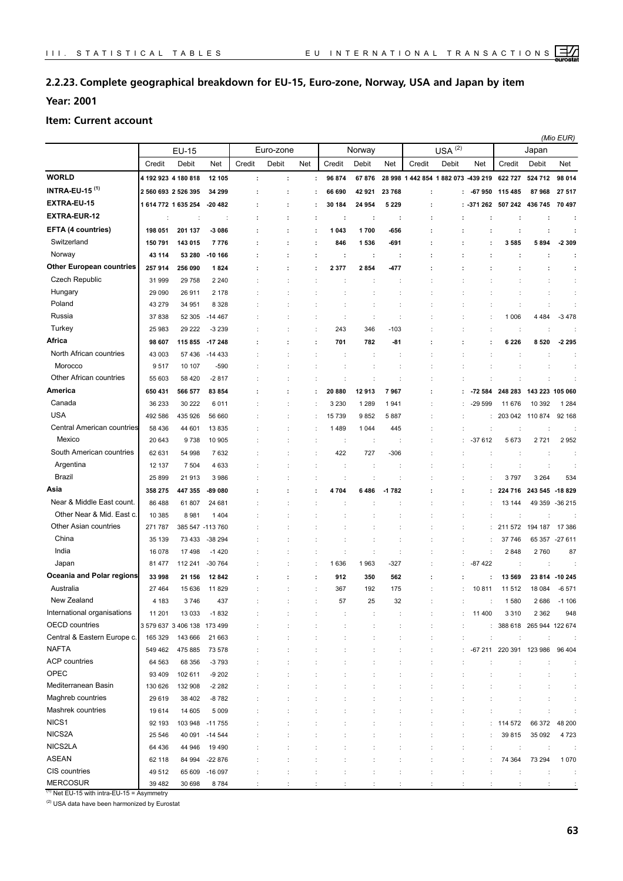## **2.2.23. Complete geographical breakdown for EU-15, Euro-zone, Norway, USA and Japan by item**

**Year: 2001**

#### **Item: Current account**

|                                  |         |                             |                      |        |           |     |             |                      |         |                                    |             |          |                         |                         | (Mio EUR)       |
|----------------------------------|---------|-----------------------------|----------------------|--------|-----------|-----|-------------|----------------------|---------|------------------------------------|-------------|----------|-------------------------|-------------------------|-----------------|
|                                  |         | EU-15                       |                      |        | Euro-zone |     |             | Norway               |         |                                    | $USA^{(2)}$ |          |                         | Japan                   |                 |
|                                  | Credit  | Debit                       | Net                  | Credit | Debit     | Net | Credit      | Debit                | Net     | Credit                             | Debit       | Net      | Credit                  | Debit                   | Net             |
| <b>WORLD</b>                     |         | 4 192 923 4 180 818         | 12 105               | ÷      | ÷         |     | 96 874<br>÷ | 67876                |         | 28 998 1 442 854 1 882 073 439 219 |             |          | 622 727                 | 524 712                 | 98 014          |
| <b>INTRA-EU-15<sup>(1)</sup></b> |         | 2 560 693 2 526 395         | 34 299               |        |           |     | 66 690      | 42 921               | 23768   | ÷                                  |             | -67950   | 115 485                 | 87968                   | 27 517          |
| EXTRA-EU-15                      |         | 1 614 772 1 635 254         | $-20482$             |        |           | ÷   | 30 184      | 24 954               | 5 2 2 9 | ÷                                  |             | -371 262 | 507 242                 | 436 745                 | 70 497          |
| <b>EXTRA-EUR-12</b>              |         |                             | $\ddot{\phantom{a}}$ |        |           | ÷   | ÷           | ÷                    | ÷       | ÷                                  |             |          | ÷                       | ÷                       |                 |
| EFTA (4 countries)               | 198 051 | 201 137                     | $-3086$              |        |           | ÷   | 043<br>1    | 1700                 | -656    |                                    |             |          | ÷                       | ÷                       |                 |
| Switzerland                      | 150 791 | 143 015                     | 7776                 |        |           | ÷   | 846         | 1 536                | -691    | ÷                                  |             |          | 3585                    | 5894                    | $-2309$         |
| Norway                           | 43 114  | 53 280                      | $-10166$             |        |           | ÷   | ÷           | ÷                    | ÷       | ÷                                  |             |          | ÷                       | ÷                       |                 |
| <b>Other European countries</b>  | 257 914 | 256 090                     | 1824                 |        |           |     | 2 3 7 7     | 2 8 5 4              | 477     |                                    |             |          |                         |                         |                 |
| Czech Republic                   | 31 999  | 29 7 58                     | 2 2 4 0              |        |           |     |             |                      |         |                                    |             |          |                         |                         |                 |
| Hungary                          | 29 090  | 26911                       | 2 1 7 8              |        |           |     |             |                      |         |                                    |             |          |                         |                         |                 |
| Poland                           | 43 279  | 34 951                      | 8 3 2 8              |        |           |     |             | $\ddot{\phantom{a}}$ |         |                                    |             |          | $\ddot{\phantom{a}}$    | $\ddot{\phantom{a}}$    |                 |
| Russia                           | 37 838  | 52 305                      | $-14467$             |        |           |     |             | ÷                    |         |                                    |             |          | 1 0 0 6                 | 4 4 8 4                 | $-3478$         |
| Turkey                           | 25 983  | 29 222                      | $-3239$              |        |           |     | 243         | 346                  | $-103$  |                                    |             |          | ÷                       | t                       |                 |
| Africa                           | 98 607  | 115 855                     | -17 248              |        |           | ÷   | 701         | 782                  | -81     |                                    |             |          | 6 2 2 6                 | 8520                    | -2 2 9 5        |
| North African countries          | 43 003  | 57 436                      | $-14433$             |        |           |     |             |                      |         |                                    |             |          |                         |                         |                 |
| Morocco                          | 9517    | 10 107                      | $-590$               |        |           |     |             | ÷                    |         |                                    |             |          |                         |                         |                 |
| Other African countries          | 55 603  | 58 4 20                     | $-2817$              |        |           |     |             | $\ddot{\phantom{a}}$ |         |                                    |             |          | t                       | ÷                       |                 |
| America                          | 650 431 | 566 577                     | 83 854               |        |           |     | 20 880      | 12913                | 7967    | ÷                                  |             | -72 584  | 248 283                 | 143 223 105 060         |                 |
| Canada                           | 36 233  | 30 222                      | 6011                 |        |           |     | 3 2 3 0     | 1 2 8 9              | 1941    |                                    |             | $-29599$ | 11 676                  | 10 392                  | 1 2 8 4         |
| <b>USA</b>                       | 492 586 | 435 926                     | 56 660               |        | ÷         |     | 15 739      | 9852                 | 5887    |                                    |             | ÷        | 203 042                 | 110874                  | 92 168          |
| Central American countries       | 58 436  | 44 601                      | 13835                |        |           |     | 1489        | 1 0 4 4              | 445     |                                    |             |          |                         | ÷                       |                 |
| Mexico                           | 20 643  | 9738                        | 10 905               |        |           |     |             | ÷                    |         |                                    |             | -37 612  | 5673                    | 2721                    | 2952            |
| South American countries         | 62 631  | 54 998                      | 7632                 |        |           |     | 422         | 727                  | $-306$  |                                    |             |          | ÷                       | ÷                       |                 |
| Argentina                        | 12 137  | 7 5 0 4                     | 4 6 3 3              |        |           |     |             |                      |         |                                    |             |          |                         | ÷                       |                 |
| Brazil                           | 25 899  | 21913                       | 3986                 |        |           |     |             |                      |         |                                    |             |          | 3797                    | 3 2 6 4                 | 534             |
| Asia                             | 358 275 | 447 355                     | -89 080              |        |           |     | 4704        | 6486                 | $-1782$ |                                    |             |          | 224 716                 | 243 545                 | -18 829         |
| Near & Middle East count.        | 86 488  | 61 807                      | 24 681               |        |           |     |             |                      |         |                                    |             |          | 13 144                  |                         | 49 359 - 36 215 |
| Other Near & Mid. East c.        | 10 385  | 8981                        | 1404                 |        |           |     |             |                      |         |                                    |             |          | ÷                       |                         |                 |
| Other Asian countries            | 271 787 |                             | 385 547 -113 760     |        |           |     |             |                      |         |                                    |             |          | 211 572                 | 194 187                 | 17 386          |
| China                            | 35 139  | 73 433                      | $-38294$             |        |           |     |             |                      |         |                                    |             |          | 37 746                  |                         | 65 357 - 27 611 |
| India                            | 16 078  | 17498                       | $-1420$              |        |           |     |             | $\ddot{\phantom{a}}$ |         |                                    |             |          | 2848                    | 2760                    | 87              |
| Japan                            | 81 477  | 112 241                     | $-30764$             |        |           |     | 636<br>1    | 1963                 | $-327$  |                                    |             | $-87422$ | $\cdot$                 | ÷                       |                 |
| Oceania and Polar regions        | 33 998  | 21 156                      | 12842                |        |           |     | 912         | 350                  | 562     |                                    |             |          | 13 569                  | 23814                   | -10 245         |
| Australia                        | 27 4 64 | 15 636                      | 11829                |        |           |     | 367         | 192                  | 175     |                                    |             | 10811    | 11 512                  | 18 0 84                 | $-6571$         |
| New Zealand                      | 4 183   | 3746                        | 437                  |        |           |     | 57          | 25                   | 32      |                                    |             |          | 1580                    | 2686                    | -1 106          |
| International organisations      | 11 201  | 13 0 33                     | $-1832$              |        |           |     |             | ÷                    |         |                                    | ÷           | 11 400   | 3 3 1 0                 | 2 3 6 2                 | 948             |
| <b>OECD</b> countries            |         | 3 579 637 3 406 138 173 499 |                      |        |           |     |             | İ                    |         | $\ddot{\phantom{a}}$               | t           | ÷.       |                         | 388 618 265 944 122 674 |                 |
| Central & Eastern Europe c.      | 165 329 | 143 666                     | 21 663               |        |           |     | ÷           | ÷                    |         | ÷                                  | ÷           | ÷        | ÷                       | ÷                       |                 |
| <b>NAFTA</b>                     | 549 462 | 475 885                     | 73 578               |        |           |     |             | ÷                    |         | ÷                                  | ÷           |          | -67 211 220 391 123 986 |                         | 96 404          |
| <b>ACP</b> countries             | 64 563  | 68 356                      | $-3793$              |        |           |     |             | İ                    |         |                                    |             |          | ÷                       |                         |                 |
| OPEC                             | 93 409  | 102 611                     | $-9202$              |        |           |     |             |                      |         |                                    |             |          |                         |                         | ÷               |
| Mediterranean Basin              | 130 626 | 132 908                     | $-2282$              |        |           |     |             |                      |         |                                    |             |          |                         |                         | ÷               |
| Maghreb countries                | 29 619  | 38 402                      | $-8782$              |        |           |     |             | ÷                    |         |                                    |             |          | ÷                       | ÷                       | ÷               |
| Mashrek countries                | 19614   | 14 605                      | 5 0 0 9              |        |           |     |             | t                    |         | ÷                                  |             |          | $\ddot{\cdot}$          | $\ddot{\phantom{a}}$    | ÷               |
| NICS1                            | 92 193  |                             | 103 948 -11 755      |        |           |     |             |                      |         |                                    |             |          | : 114 572               | 66 372                  | 48 200          |
| NICS2A                           | 25 546  |                             | 40 091 -14 544       |        |           |     |             |                      |         |                                    |             |          | 39815                   | 35 092                  | 4 7 2 3         |
| NICS2LA                          | 64 436  | 44 946                      | 19 4 9 0             |        |           |     |             |                      |         |                                    | ÷           |          | ÷                       | $\ddot{\phantom{a}}$    |                 |
| <b>ASEAN</b>                     | 62 118  | 84 994                      | $-22876$             |        |           |     |             |                      |         |                                    | t           |          | 74 364                  | 73 294                  | 1 0 7 0         |
| CIS countries                    | 49 512  | 65 609                      | -16 097              |        |           |     |             |                      |         |                                    |             |          |                         |                         |                 |
| <b>MERCOSUR</b>                  | 39 4 82 | 30 698                      | 8784                 |        |           |     |             |                      |         |                                    |             |          |                         |                         |                 |

 $(1)$  Net EU-15 with intra-EU-15 = Asymmetry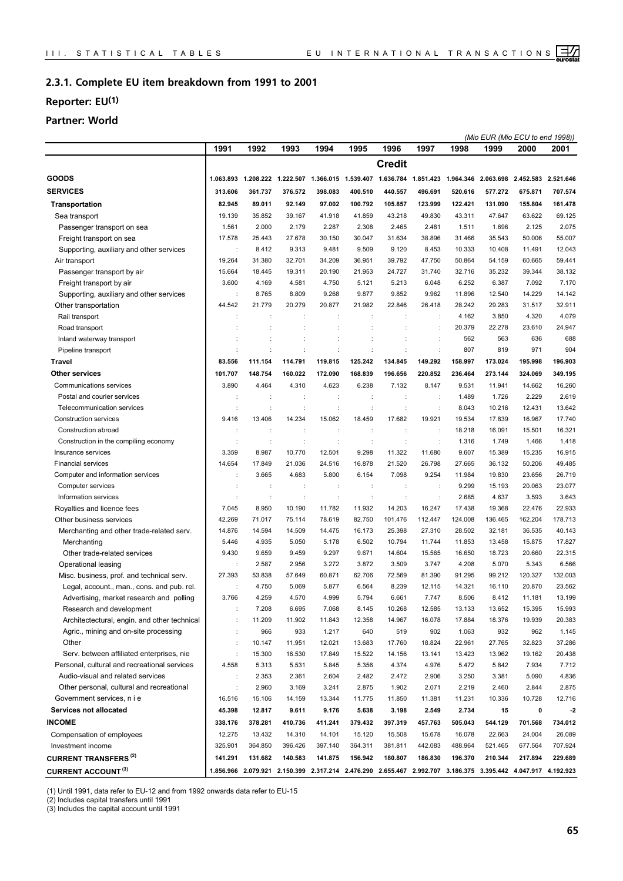#### **Complete EU item breakdown from 1991 to 2001 2.3.1.**

## **Reporter: EU(1)**

## **Partner: World**

|                                              |                      |                      |                               |                      |                      |                                                                                                               |                      |         |         | (Mio EUR (Mio ECU to end 1998)) |         |
|----------------------------------------------|----------------------|----------------------|-------------------------------|----------------------|----------------------|---------------------------------------------------------------------------------------------------------------|----------------------|---------|---------|---------------------------------|---------|
|                                              | 1991                 | 1992                 | 1993                          | 1994                 | 1995                 | 1996                                                                                                          | 1997                 | 1998    | 1999    | 2000                            | 2001    |
|                                              |                      |                      |                               |                      |                      | <b>Credit</b>                                                                                                 |                      |         |         |                                 |         |
| <b>GOODS</b>                                 |                      |                      |                               |                      |                      | 1.063.893 1.208.222 1.222.507 1.366.015 1.539.407 1.636.784 1.851.423 1.964.346 2.063.698 2.452.583 2.521.646 |                      |         |         |                                 |         |
| <b>SERVICES</b>                              | 313.606              | 361.737              | 376.572                       | 398.083              | 400.510              | 440.557                                                                                                       | 496.691              | 520.616 | 577.272 | 675.871                         | 707.574 |
| <b>Transportation</b>                        | 82.945               | 89.011               | 92.149                        | 97.002               | 100.792              | 105.857                                                                                                       | 123.999              | 122.421 | 131.090 | 155.804                         | 161.478 |
| Sea transport                                | 19.139               | 35.852               | 39.167                        | 41.918               | 41.859               | 43.218                                                                                                        | 49.830               | 43.311  | 47.647  | 63.622                          | 69.125  |
| Passenger transport on sea                   | 1.561                | 2.000                | 2.179                         | 2.287                | 2.308                | 2.465                                                                                                         | 2.481                | 1.511   | 1.696   | 2.125                           | 2.075   |
| Freight transport on sea                     | 17.578               | 25.443               | 27.678                        | 30.150               | 30.047               | 31.634                                                                                                        | 38.896               | 31.466  | 35.543  | 50.006                          | 55.007  |
| Supporting, auxiliary and other services     | ÷                    | 8.412                | 9.313                         | 9.481                | 9.509                | 9.120                                                                                                         | 8.453                | 10.333  | 10.408  | 11.491                          | 12.043  |
| Air transport                                | 19.264               | 31.380               | 32.701                        | 34.209               | 36.951               | 39.792                                                                                                        | 47.750               | 50.864  | 54.159  | 60.665                          | 59.441  |
| Passenger transport by air                   | 15.664               | 18.445               | 19.311                        | 20.190               | 21.953               | 24.727                                                                                                        | 31.740               | 32.716  | 35.232  | 39.344                          | 38.132  |
| Freight transport by air                     | 3.600                | 4.169                | 4.581                         | 4.750                | 5.121                | 5.213                                                                                                         | 6.048                | 6.252   | 6.387   | 7.092                           | 7.170   |
| Supporting, auxiliary and other services     |                      | 8.765                | 8.809                         | 9.268                | 9.877                | 9.852                                                                                                         | 9.962                | 11.896  | 12.540  | 14.229                          | 14.142  |
| Other transportation                         | 44.542               | 21.779               | 20.279                        | 20.877               | 21.982               | 22.846                                                                                                        | 26.418               | 28.242  | 29.283  | 31.517                          | 32.911  |
| Rail transport                               |                      |                      |                               | ÷                    |                      | ÷                                                                                                             | ÷                    | 4.162   | 3.850   | 4.320                           | 4.079   |
| Road transport                               |                      |                      |                               | ÷                    |                      |                                                                                                               | $\ddot{\cdot}$       | 20.379  | 22.278  | 23.610                          | 24.947  |
| Inland waterway transport                    |                      |                      | t                             |                      |                      |                                                                                                               | ÷                    | 562     | 563     | 636                             | 688     |
| Pipeline transport                           |                      |                      |                               |                      |                      |                                                                                                               | t                    | 807     | 819     | 971                             | 904     |
| Travel                                       | 83.556               | 111.154              | 114.791                       | 119.815              | 125.242              | 134.845                                                                                                       | 149.292              | 158.997 | 173.024 | 195.998                         | 196.903 |
| <b>Other services</b>                        | 101.707              | 148.754              | 160.022                       | 172.090              | 168.839              | 196.656                                                                                                       | 220.852              | 236.464 | 273.144 | 324.069                         | 349.195 |
| Communications services                      | 3.890                | 4.464                | 4.310                         | 4.623                | 6.238                | 7.132                                                                                                         | 8.147                | 9.531   | 11.941  | 14.662                          | 16.260  |
| Postal and courier services                  |                      | $\ddot{\phantom{a}}$ | t                             | ÷                    | ÷                    | t                                                                                                             | ÷                    | 1.489   | 1.726   | 2.229                           | 2.619   |
| Telecommunication services                   |                      | d                    | t                             | $\ddot{\phantom{a}}$ | $\ddot{\phantom{a}}$ | t                                                                                                             | $\ddot{\phantom{a}}$ | 8.043   | 10.216  | 12.431                          | 13.642  |
| Construction services                        | 9.416                | 13.406               | 14.234                        | 15.062               | 18.459               | 17.682                                                                                                        | 19.921               | 19.534  | 17.839  | 16.967                          | 17.740  |
| Construction abroad                          |                      | ÷                    | ÷                             | ÷                    | ÷                    |                                                                                                               | ÷                    | 18.218  | 16.091  | 15.501                          | 16.321  |
| Construction in the compiling economy        |                      | d                    | ÷                             | ÷                    | $\ddot{\phantom{a}}$ | ÷                                                                                                             | $\ddot{\phantom{a}}$ | 1.316   | 1.749   | 1.466                           | 1.418   |
| Insurance services                           | 3.359                | 8.987                | 10.770                        | 12.501               | 9.298                | 11.322                                                                                                        | 11.680               | 9.607   | 15.389  | 15.235                          | 16.915  |
| <b>Financial services</b>                    | 14.654               | 17.849               | 21.036                        | 24.516               | 16.878               | 21.520                                                                                                        | 26.798               | 27.665  | 36.132  | 50.206                          | 49.485  |
| Computer and information services            |                      | 3.665                | 4.683                         | 5.800                | 6.154                | 7.098                                                                                                         | 9.254                | 11.984  | 19.830  | 23.656                          | 26.719  |
| Computer services                            |                      | d                    | t                             | ÷                    | ÷                    | ÷                                                                                                             | $\ddot{\phantom{a}}$ | 9.299   | 15.193  | 20.063                          | 23.077  |
| Information services                         |                      | ÷                    | t                             | t                    | ÷                    | ÷                                                                                                             | ÷                    | 2.685   | 4.637   | 3.593                           | 3.643   |
| Royalties and licence fees                   | 7.045                | 8.950                | 10.190                        | 11.782               | 11.932               | 14.203                                                                                                        | 16.247               | 17.438  | 19.368  | 22.476                          | 22.933  |
| Other business services                      | 42.269               | 71.017               | 75.114                        | 78.619               | 82.750               | 101.476                                                                                                       | 112.447              | 124.008 | 136.465 | 162.204                         | 178.713 |
| Merchanting and other trade-related serv.    | 14.876               | 14.594               | 14.509                        | 14.475               | 16.173               | 25.398                                                                                                        | 27.310               | 28.502  | 32.181  | 36.535                          | 40.143  |
| Merchanting                                  | 5.446                | 4.935                | 5.050                         | 5.178                | 6.502                | 10.794                                                                                                        | 11.744               | 11.853  | 13.458  | 15.875                          | 17.827  |
| Other trade-related services                 | 9.430                | 9.659                | 9.459                         | 9.297                | 9.671                | 14.604                                                                                                        | 15.565               | 16.650  | 18.723  | 20.660                          | 22.315  |
| Operational leasing                          |                      | 2.587                | 2.956                         | 3.272                | 3.872                | 3.509                                                                                                         | 3.747                | 4.208   | 5.070   | 5.343                           | 6.566   |
| Misc. business, prof. and technical serv.    | 27.393               | 53.838               | 57.649                        | 60.871               | 62.706               | 72.569                                                                                                        | 81.390               | 91.295  | 99.212  | 120.327                         | 132.003 |
| Legal, account., man., cons. and pub. rel.   |                      | 4.750                | 5.069                         | 5.877                | 6.564                | 8.239                                                                                                         | 12.115               | 14.321  | 16.110  | 20.870                          | 23.562  |
| Advertising, market research and polling     | 3.766                | 4.259                | 4.570                         | 4.999                | 5.794                | 6.661                                                                                                         | 7.747                | 8.506   | 8.412   | 11.181                          | 13.199  |
| Research and development                     |                      | 7.208                | 6.695                         | 7.068                | 8.145                | 10.268                                                                                                        | 12.585               | 13.133  | 13.652  | 15.395                          | 15.993  |
| Architectectural, engin. and other technical |                      | 11.209               | 11.902                        | 11.843               | 12.358               | 14.967                                                                                                        | 16.078               | 17.884  | 18.376  | 19.939                          | 20.383  |
| Agric., mining and on-site processing        | $\ddot{\phantom{a}}$ | 966                  | 933                           | 1.217                | 640                  | 519                                                                                                           | 902                  | 1.063   | 932     | 962                             | 1.145   |
| Other                                        | $\ddot{\phantom{a}}$ | 10.147               | 11.951                        | 12.021               | 13.683               | 17.760                                                                                                        | 18.824               | 22.961  | 27.765  | 32.823                          | 37.286  |
| Serv. between affiliated enterprises, nie    | $\ddot{\phantom{a}}$ | 15.300               | 16.530                        | 17.849               | 15.522               | 14.156                                                                                                        | 13.141               | 13.423  | 13.962  | 19.162                          | 20.438  |
| Personal, cultural and recreational services | 4.558                | 5.313                | 5.531                         | 5.845                | 5.356                | 4.374                                                                                                         | 4.976                | 5.472   | 5.842   | 7.934                           | 7.712   |
| Audio-visual and related services            | ÷                    | 2.353                | 2.361                         | 2.604                | 2.482                | 2.472                                                                                                         | 2.906                | 3.250   | 3.381   | 5.090                           | 4.836   |
| Other personal, cultural and recreational    | $\ddot{\phantom{a}}$ | 2.960                | 3.169                         | 3.241                | 2.875                | 1.902                                                                                                         | 2.071                | 2.219   | 2.460   | 2.844                           | 2.875   |
| Government services, n i e                   | 16.516               | 15.106               | 14.159                        | 13.344               | 11.775               | 11.850                                                                                                        | 11.381               | 11.231  | 10.336  | 10.728                          | 12.716  |
| <b>Services not allocated</b>                | 45.398               | 12.817               | 9.611                         | 9.176                | 5.638                | 3.198                                                                                                         | 2.549                | 2.734   | 15      | 0                               | $-2$    |
| <b>INCOME</b>                                | 338.176              | 378.281              | 410.736                       | 411.241              | 379.432              | 397.319                                                                                                       | 457.763              | 505.043 | 544.129 | 701.568                         | 734.012 |
| Compensation of employees                    | 12.275               | 13.432               | 14.310                        | 14.101               | 15.120               | 15.508                                                                                                        | 15.678               | 16.078  | 22.663  | 24.004                          | 26.089  |
| Investment income                            | 325.901              | 364.850              | 396.426                       | 397.140              | 364.311              | 381.811                                                                                                       | 442.083              | 488.964 | 521.465 | 677.564                         | 707.924 |
| <b>CURRENT TRANSFERS<sup>(2)</sup></b>       | 141.291              | 131.682              | 140.583                       | 141.875              | 156.942              | 180.807                                                                                                       | 186.830              | 196.370 | 210.344 | 217.894                         | 229.689 |
| <b>CURRENT ACCOUNT (3)</b>                   |                      |                      | 1.856.966 2.079.921 2.150.399 |                      |                      | 2.317.214 2.476.290 2.655.467 2.992.707 3.186.375 3.395.442 4.047.917 4.192.923                               |                      |         |         |                                 |         |

(1) Until 1991, data refer to EU-12 and from 1992 onwards data refer to EU-15

(2) Includes capital transfers until 1991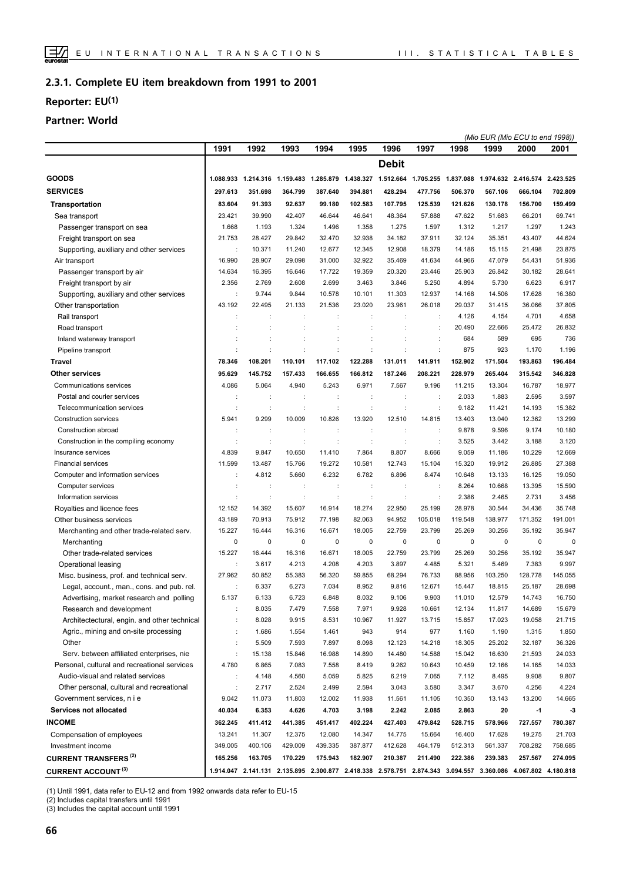#### **Complete EU item breakdown from 1991 to 2001 2.3.1.**

## **Reporter: EU(1)**

## **Partner: World**

|                                              |         |         |                      |         |         |                                                                  |                                                                                                               |                                                   |             | (Mio EUR (Mio ECU to end 1998)) |         |
|----------------------------------------------|---------|---------|----------------------|---------|---------|------------------------------------------------------------------|---------------------------------------------------------------------------------------------------------------|---------------------------------------------------|-------------|---------------------------------|---------|
|                                              | 1991    | 1992    | 1993                 | 1994    | 1995    | 1996                                                             | 1997                                                                                                          | 1998                                              | 1999        | 2000                            | 2001    |
|                                              |         |         |                      |         |         | <b>Debit</b>                                                     |                                                                                                               |                                                   |             |                                 |         |
| <b>GOODS</b>                                 |         |         |                      |         |         | 1.088.933  1.214.316  1.159.483  1.285.879  1.438.327  1.512.664 |                                                                                                               | 1.705.255 1.837.088 1.974.632 2.416.574 2.423.525 |             |                                 |         |
| <b>SERVICES</b>                              | 297.613 | 351.698 | 364.799              | 387.640 | 394.881 | 428.294                                                          | 477.756                                                                                                       | 506.370                                           | 567.106     | 666.104                         | 702.809 |
| <b>Transportation</b>                        | 83.604  | 91.393  | 92.637               | 99.180  | 102.583 | 107.795                                                          | 125.539                                                                                                       | 121.626                                           | 130.178     | 156.700                         | 159.499 |
| Sea transport                                | 23.421  | 39.990  | 42.407               | 46.644  | 46.641  | 48.364                                                           | 57.888                                                                                                        | 47.622                                            | 51.683      | 66.201                          | 69.741  |
| Passenger transport on sea                   | 1.668   | 1.193   | 1.324                | 1.496   | 1.358   | 1.275                                                            | 1.597                                                                                                         | 1.312                                             | 1.217       | 1.297                           | 1.243   |
| Freight transport on sea                     | 21.753  | 28.427  | 29.842               | 32.470  | 32.938  | 34.182                                                           | 37.911                                                                                                        | 32.124                                            | 35.351      | 43.407                          | 44.624  |
| Supporting, auxiliary and other services     | ÷       | 10.371  | 11.240               | 12.677  | 12.345  | 12.908                                                           | 18.379                                                                                                        | 14.186                                            | 15.115      | 21.498                          | 23.875  |
| Air transport                                | 16.990  | 28.907  | 29.098               | 31.000  | 32.922  | 35.469                                                           | 41.634                                                                                                        | 44.966                                            | 47.079      | 54.431                          | 51.936  |
| Passenger transport by air                   | 14.634  | 16.395  | 16.646               | 17.722  | 19.359  | 20.320                                                           | 23.446                                                                                                        | 25.903                                            | 26.842      | 30.182                          | 28.641  |
| Freight transport by air                     | 2.356   | 2.769   | 2.608                | 2.699   | 3.463   | 3.846                                                            | 5.250                                                                                                         | 4.894                                             | 5.730       | 6.623                           | 6.917   |
| Supporting, auxiliary and other services     | ÷       | 9.744   | 9.844                | 10.578  | 10.101  | 11.303                                                           | 12.937                                                                                                        | 14.168                                            | 14.506      | 17.628                          | 16.380  |
| Other transportation                         | 43.192  | 22.495  | 21.133               | 21.536  | 23.020  | 23.961                                                           | 26.018                                                                                                        | 29.037                                            | 31.415      | 36.066                          | 37.805  |
| Rail transport                               |         |         |                      | ÷       |         |                                                                  | ÷                                                                                                             | 4.126                                             | 4.154       | 4.701                           | 4.658   |
| Road transport                               |         |         |                      |         |         |                                                                  | $\ddot{\phantom{a}}$                                                                                          | 20.490                                            | 22.666      | 25.472                          | 26.832  |
| Inland waterway transport                    |         |         | ÷                    | t       |         |                                                                  |                                                                                                               | 684                                               | 589         | 695                             | 736     |
| Pipeline transport                           |         |         |                      | ÷       |         |                                                                  | ÷                                                                                                             | 875                                               | 923         | 1.170                           | 1.196   |
| Travel                                       | 78.346  | 108.201 | 110.101              | 117.102 | 122.288 | 131.011                                                          | 141.911                                                                                                       | 152.902                                           | 171.504     | 193.863                         | 196.484 |
|                                              |         |         | 157.433              |         |         | 187.246                                                          | 208.221                                                                                                       |                                                   |             |                                 |         |
| Other services                               | 95.629  | 145.752 |                      | 166.655 | 166.812 |                                                                  |                                                                                                               | 228.979                                           | 265.404     | 315.542                         | 346.828 |
| Communications services                      | 4.086   | 5.064   | 4.940                | 5.243   | 6.971   | 7.567                                                            | 9.196                                                                                                         | 11.215                                            | 13.304      | 16.787                          | 18.977  |
| Postal and courier services                  |         |         |                      | ÷       | t       |                                                                  | $\ddot{\cdot}$                                                                                                | 2.033                                             | 1.883       | 2.595                           | 3.597   |
| Telecommunication services                   |         | d       | ÷                    | ċ       | ÷       | ċ                                                                | $\ddot{\cdot}$                                                                                                | 9.182                                             | 11.421      | 14.193                          | 15.382  |
| <b>Construction services</b>                 | 5.941   | 9.299   | 10.009               | 10.826  | 13.920  | 12.510                                                           | 14.815                                                                                                        | 13.403                                            | 13.040      | 12.362                          | 13.299  |
| Construction abroad                          | ÷       | ÷       | ÷                    | ÷       | t       | $\ddot{\phantom{a}}$                                             | $\ddot{\phantom{a}}$                                                                                          | 9.878                                             | 9.596       | 9.174                           | 10.180  |
| Construction in the compiling economy        | ÷       | ÷       | ÷                    | ÷       | ÷       | ÷                                                                | $\ddot{\phantom{a}}$                                                                                          | 3.525                                             | 3.442       | 3.188                           | 3.120   |
| Insurance services                           | 4.839   | 9.847   | 10.650               | 11.410  | 7.864   | 8.807                                                            | 8.666                                                                                                         | 9.059                                             | 11.186      | 10.229                          | 12.669  |
| <b>Financial services</b>                    | 11.599  | 13.487  | 15.766               | 19.272  | 10.581  | 12.743                                                           | 15.104                                                                                                        | 15.320                                            | 19.912      | 26.885                          | 27.388  |
| Computer and information services            |         | 4.812   | 5.660                | 6.232   | 6.782   | 6.896                                                            | 8.474                                                                                                         | 10.648                                            | 13.133      | 16.125                          | 19.050  |
| Computer services                            |         |         |                      | ÷       |         |                                                                  |                                                                                                               | 8.264                                             | 10.668      | 13.395                          | 15.590  |
| Information services                         |         | ÷       | $\ddot{\phantom{a}}$ | ÷       | ÷       | $\ddot{\cdot}$                                                   | $\ddot{\phantom{a}}$                                                                                          | 2.386                                             | 2.465       | 2.731                           | 3.456   |
| Royalties and licence fees                   | 12.152  | 14.392  | 15.607               | 16.914  | 18.274  | 22.950                                                           | 25.199                                                                                                        | 28.978                                            | 30.544      | 34.436                          | 35.748  |
| Other business services                      | 43.189  | 70.913  | 75.912               | 77.198  | 82.063  | 94.952                                                           | 105.018                                                                                                       | 119.548                                           | 138.977     | 171.352                         | 191.001 |
| Merchanting and other trade-related serv.    | 15.227  | 16.444  | 16.316               | 16.671  | 18.005  | 22.759                                                           | 23.799                                                                                                        | 25.269                                            | 30.256      | 35.192                          | 35.947  |
| Merchanting                                  | 0       | 0       | 0                    | 0       | 0       | 0                                                                | 0                                                                                                             | 0                                                 | $\mathbf 0$ | $\mathbf 0$                     | 0       |
| Other trade-related services                 | 15.227  | 16.444  | 16.316               | 16.671  | 18.005  | 22.759                                                           | 23.799                                                                                                        | 25.269                                            | 30.256      | 35.192                          | 35.947  |
| Operational leasing                          |         | 3.617   | 4.213                | 4.208   | 4.203   | 3.897                                                            | 4.485                                                                                                         | 5.321                                             | 5.469       | 7.383                           | 9.997   |
| Misc. business, prof. and technical serv.    | 27.962  | 50.852  | 55.383               | 56.320  | 59.855  | 68.294                                                           | 76.733                                                                                                        | 88.956                                            | 103.250     | 128.778                         | 145.055 |
| Legal, account., man., cons. and pub. rel.   |         | 6.337   | 6.273                | 7.034   | 8.952   | 9.816                                                            | 12.671                                                                                                        | 15.447                                            | 18.815      | 25.187                          | 28.698  |
| Advertising, market research and polling     | 5.137   | 6.133   | 6.723                | 6.848   | 8.032   | 9.106                                                            | 9.903                                                                                                         | 11.010                                            | 12.579      | 14.743                          | 16.750  |
| Research and development                     |         | 8.035   | 7.479                | 7.558   | 7.971   | 9.928                                                            | 10.661                                                                                                        | 12.134                                            | 11.817      | 14.689                          | 15.679  |
| Architectectural, engin. and other technical |         | 8.028   | 9.915                | 8.531   | 10.967  | 11.927                                                           | 13.715                                                                                                        | 15.857                                            | 17.023      | 19.058                          | 21.715  |
| Agric., mining and on-site processing        | ÷       | 1.686   | 1.554                | 1.461   | 943     | 914                                                              | 977                                                                                                           | 1.160                                             | 1.190       | 1.315                           | 1.850   |
| Other                                        | ÷       | 5.509   | 7.593                | 7.897   | 8.098   | 12.123                                                           | 14.218                                                                                                        | 18.305                                            | 25.202      | 32.187                          | 36.326  |
| Serv. between affiliated enterprises, nie    | ÷       | 15.138  | 15.846               | 16.988  | 14.890  | 14.480                                                           | 14.588                                                                                                        | 15.042                                            | 16.630      | 21.593                          | 24.033  |
| Personal, cultural and recreational services | 4.780   | 6.865   | 7.083                | 7.558   | 8.419   | 9.262                                                            | 10.643                                                                                                        | 10.459                                            | 12.166      | 14.165                          | 14.033  |
| Audio-visual and related services            | ÷       | 4.148   | 4.560                | 5.059   | 5.825   | 6.219                                                            | 7.065                                                                                                         | 7.112                                             | 8.495       | 9.908                           | 9.807   |
| Other personal, cultural and recreational    |         | 2.717   | 2.524                | 2.499   | 2.594   | 3.043                                                            | 3.580                                                                                                         | 3.347                                             | 3.670       | 4.256                           | 4.224   |
| Government services, n i e                   | 9.042   | 11.073  | 11.803               | 12.002  | 11.938  | 11.561                                                           | 11.105                                                                                                        | 10.350                                            | 13.143      | 13.200                          | 14.665  |
| Services not allocated                       | 40.034  | 6.353   | 4.626                | 4.703   | 3.198   | 2.242                                                            | 2.085                                                                                                         | 2.863                                             | 20          | $-1$                            | $-3$    |
| <b>INCOME</b>                                | 362.245 | 411.412 | 441.385              | 451.417 | 402.224 | 427.403                                                          | 479.842                                                                                                       | 528.715                                           | 578.966     | 727.557                         | 780.387 |
| Compensation of employees                    | 13.241  | 11.307  | 12.375               | 12.080  | 14.347  | 14.775                                                           | 15.664                                                                                                        | 16.400                                            | 17.628      | 19.275                          | 21.703  |
| Investment income                            | 349.005 | 400.106 | 429.009              | 439.335 | 387.877 | 412.628                                                          | 464.179                                                                                                       | 512.313                                           | 561.337     | 708.282                         | 758.685 |
| <b>CURRENT TRANSFERS (2)</b>                 | 165.256 | 163.705 | 170.229              | 175.943 | 182.907 | 210.387                                                          | 211.490                                                                                                       | 222.386                                           | 239.383     | 257.567                         | 274.095 |
| <b>CURRENT ACCOUNT (3)</b>                   |         |         |                      |         |         |                                                                  | 1.914.047 2.141.131 2.135.895 2.300.877 2.418.338 2.578.751 2.874.343 3.094.557 3.360.086 4.067.802 4.180.818 |                                                   |             |                                 |         |

(1) Until 1991, data refer to EU-12 and from 1992 onwards data refer to EU-15

(2) Includes capital transfers until 1991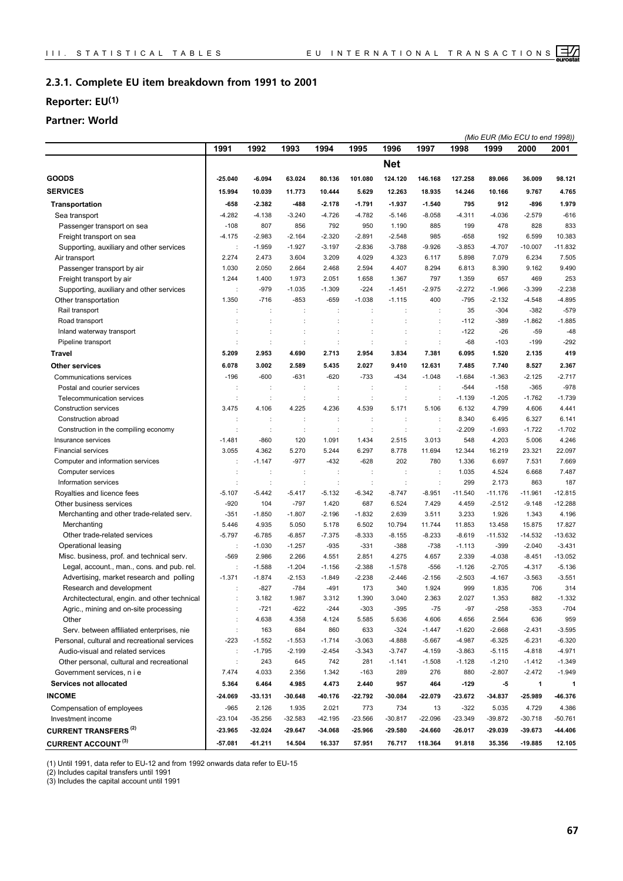#### **Complete EU item breakdown from 1991 to 2001 2.3.1.**

## **Reporter: EU(1)**

## **Partner: World**

|                                              |                      |                      |           |           |                      |                |                      |           | (Mio EUR (Mio ECU to end 1998)) |              |           |
|----------------------------------------------|----------------------|----------------------|-----------|-----------|----------------------|----------------|----------------------|-----------|---------------------------------|--------------|-----------|
|                                              | 1991                 | 1992                 | 1993      | 1994      | 1995                 | 1996           | 1997                 | 1998      | 1999                            | 2000         | 2001      |
|                                              |                      |                      |           |           |                      | <b>Net</b>     |                      |           |                                 |              |           |
| <b>GOODS</b>                                 | $-25.040$            | $-6.094$             | 63.024    | 80.136    | 101.080              | 124.120        | 146.168              | 127.258   | 89.066                          | 36.009       | 98.121    |
| <b>SERVICES</b>                              | 15.994               | 10.039               | 11.773    | 10.444    | 5.629                | 12.263         | 18.935               | 14.246    | 10.166                          | 9.767        | 4.765     |
| <b>Transportation</b>                        | -658                 | -2.382               | -488      | $-2.178$  | $-1.791$             | $-1.937$       | $-1.540$             | 795       | 912                             | -896         | 1.979     |
| Sea transport                                | $-4.282$             | $-4.138$             | $-3.240$  | $-4.726$  | $-4.782$             | $-5.146$       | $-8.058$             | $-4.311$  | $-4.036$                        | $-2.579$     | $-616$    |
| Passenger transport on sea                   | $-108$               | 807                  | 856       | 792       | 950                  | 1.190          | 885                  | 199       | 478                             | 828          | 833       |
| Freight transport on sea                     | $-4.175$             | $-2.983$             | $-2.164$  | $-2.320$  | $-2.891$             | $-2.548$       | 985                  | $-658$    | 192                             | 6.599        | 10.383    |
| Supporting, auxiliary and other services     |                      | $-1.959$             | $-1.927$  | $-3.197$  | $-2.836$             | $-3.788$       | $-9.926$             | $-3.853$  | $-4.707$                        | $-10.007$    | $-11.832$ |
| Air transport                                | 2.274                | 2.473                | 3.604     | 3.209     | 4.029                | 4.323          | 6.117                | 5.898     | 7.079                           | 6.234        | 7.505     |
| Passenger transport by air                   | 1.030                | 2.050                | 2.664     | 2.468     | 2.594                | 4.407          | 8.294                | 6.813     | 8.390                           | 9.162        | 9.490     |
| Freight transport by air                     | 1.244                | 1.400                | 1.973     | 2.051     | 1.658                | 1.367          | 797                  | 1.359     | 657                             | 469          | 253       |
| Supporting, auxiliary and other services     |                      | $-979$               | $-1.035$  | $-1.309$  | $-224$               | $-1.451$       | $-2.975$             | $-2.272$  | $-1.966$                        | $-3.399$     | $-2.238$  |
| Other transportation                         | 1.350                | $-716$               | $-853$    | $-659$    | $-1.038$             | $-1.115$       | 400                  | $-795$    | $-2.132$                        | $-4.548$     | $-4.895$  |
| Rail transport                               |                      | $\ddot{\phantom{a}}$ | ÷         | ÷         | $\ddot{\phantom{a}}$ | ÷              | $\ddot{\phantom{a}}$ | 35        | $-304$                          | $-382$       | $-579$    |
| Road transport                               |                      |                      |           |           |                      |                |                      | $-112$    | $-389$                          | $-1.862$     | $-1.885$  |
| Inland waterway transport                    |                      |                      |           |           |                      |                | t                    | $-122$    | $-26$                           | $-59$        | $-48$     |
| Pipeline transport                           |                      | ÷                    | ÷         | ÷         | ÷                    | $\ddot{\cdot}$ | ÷                    | $-68$     | $-103$                          | $-199$       | $-292$    |
| <b>Travel</b>                                | 5.209                | 2.953                | 4.690     | 2.713     | 2.954                | 3.834          | 7.381                | 6.095     | 1.520                           | 2.135        | 419       |
| <b>Other services</b>                        | 6.078                | 3.002                | 2.589     | 5.435     | 2.027                | 9.410          | 12.631               | 7.485     | 7.740                           | 8.527        | 2.367     |
| Communications services                      | $-196$               | $-600$               | $-631$    | $-620$    | $-733$               | $-434$         | $-1.048$             | $-1.684$  | $-1.363$                        | $-2.125$     | $-2.717$  |
| Postal and courier services                  | ÷                    | ÷                    | ÷         | ÷         | ÷                    | ÷              | ÷                    | $-544$    | $-158$                          | $-365$       | $-978$    |
| Telecommunication services                   | ÷                    | $\ddot{\phantom{a}}$ | ÷         | ÷         | ÷                    | $\ddot{\cdot}$ | $\ddot{\phantom{a}}$ | $-1.139$  | $-1.205$                        | $-1.762$     | $-1.739$  |
| <b>Construction services</b>                 | 3.475                | 4.106                | 4.225     | 4.236     | 4.539                | 5.171          | 5.106                | 6.132     | 4.799                           | 4.606        | 4.441     |
| Construction abroad                          | $\ddot{\phantom{a}}$ |                      | t         | t         |                      |                | $\ddot{\phantom{a}}$ | 8.340     | 6.495                           | 6.327        | 6.141     |
| Construction in the compiling economy        |                      | ÷                    | ÷         | ÷         | ÷                    | ċ              | $\ddot{\phantom{a}}$ | $-2.209$  | $-1.693$                        | $-1.722$     | $-1.702$  |
| Insurance services                           | $-1.481$             | $-860$               | 120       | 1.091     | 1.434                | 2.515          | 3.013                | 548       | 4.203                           | 5.006        | 4.246     |
| <b>Financial services</b>                    | 3.055                | 4.362                | 5.270     | 5.244     | 6.297                | 8.778          | 11.694               | 12.344    | 16.219                          | 23.321       | 22.097    |
| Computer and information services            |                      | $-1.147$             | $-977$    | $-432$    | $-628$               | 202            | 780                  | 1.336     | 6.697                           | 7.531        | 7.669     |
| Computer services                            |                      | ÷                    | ÷         | ÷         | ÷                    | ÷              | ÷                    | 1.035     | 4.524                           | 6.668        | 7.487     |
| Information services                         |                      | ÷                    | ÷         | ÷         | ÷                    | $\ddot{\cdot}$ | ÷                    | 299       | 2.173                           | 863          | 187       |
| Royalties and licence fees                   | $-5.107$             | $-5.442$             | $-5.417$  | $-5.132$  | $-6.342$             | $-8.747$       | $-8.951$             | $-11.540$ | $-11.176$                       | $-11.961$    | $-12.815$ |
| Other business services                      | $-920$               | 104                  | $-797$    | 1.420     | 687                  | 6.524          | 7.429                | 4.459     | $-2.512$                        | $-9.148$     | $-12.288$ |
| Merchanting and other trade-related serv.    | $-351$               | $-1.850$             | $-1.807$  | $-2.196$  | $-1.832$             | 2.639          | 3.511                | 3.233     | 1.926                           | 1.343        | 4.196     |
| Merchanting                                  | 5.446                | 4.935                | 5.050     | 5.178     | 6.502                | 10.794         | 11.744               | 11.853    | 13.458                          | 15.875       | 17.827    |
| Other trade-related services                 | $-5.797$             | $-6.785$             | $-6.857$  | $-7.375$  | $-8.333$             | $-8.155$       | $-8.233$             | $-8.619$  | $-11.532$                       | $-14.532$    | $-13.632$ |
| Operational leasing                          | ÷                    | $-1.030$             | $-1.257$  | $-935$    | $-331$               | $-388$         | $-738$               | $-1.113$  | $-399$                          | $-2.040$     | $-3.431$  |
| Misc. business, prof. and technical serv.    | $-569$               | 2.986                | 2.266     | 4.551     | 2.851                | 4.275          | 4.657                | 2.339     | $-4.038$                        | $-8.451$     | $-13.052$ |
| Legal, account., man., cons. and pub. rel.   | ÷                    | $-1.588$             | $-1.204$  | $-1.156$  | $-2.388$             | $-1.578$       | $-556$               | $-1.126$  | $-2.705$                        | $-4.317$     | $-5.136$  |
| Advertising, market research and polling     | $-1.371$             | $-1.874$             | $-2.153$  | $-1.849$  | $-2.238$             | $-2.446$       | $-2.156$             | $-2.503$  | $-4.167$                        | $-3.563$     | $-3.551$  |
| Research and development                     |                      | $-827$               | $-784$    | $-491$    | 173                  | 340            | 1.924                | 999       | 1.835                           | 706          | 314       |
| Architectectural, engin. and other technical |                      | 3.182                | 1.987     | 3.312     | 1.390                | 3.040          | 2.363                | 2.027     | 1.353                           | 882          | $-1.332$  |
| Agric., mining and on-site processing        |                      | $-721$               | $-622$    | $-244$    | $-303$               | $-395$         | $-75$                | -97       | $-258$                          | $-353$       | $-704$    |
| Other                                        | $\ddot{\phantom{a}}$ | 4.638                | 4.358     | 4.124     | 5.585                | 5.636          | 4.606                | 4.656     | 2.564                           | 636          | 959       |
| Serv. between affiliated enterprises, nie    | $\ddot{\phantom{a}}$ | 163                  | 684       | 860       | 633                  | $-324$         | $-1.447$             | $-1.620$  | $-2.668$                        | $-2.431$     | $-3.595$  |
| Personal, cultural and recreational services | $-223$               | $-1.552$             | $-1.553$  | $-1.714$  | $-3.063$             | $-4.888$       | $-5.667$             | $-4.987$  | $-6.325$                        | $-6.231$     | $-6.320$  |
| Audio-visual and related services            | ÷                    | $-1.795$             | $-2.199$  | $-2.454$  | $-3.343$             | $-3.747$       | -4.159               | $-3.863$  | $-5.115$                        | -4.818       | $-4.971$  |
| Other personal, cultural and recreational    | $\ddot{\phantom{a}}$ | 243                  | 645       | 742       | 281                  | $-1.141$       | $-1.508$             | $-1.128$  | $-1.210$                        | -1.412       | $-1.349$  |
| Government services, n i e                   | 7.474                | 4.033                | 2.356     | 1.342     | $-163$               | 289            | 276                  | 880       | $-2.807$                        | $-2.472$     | $-1.949$  |
| <b>Services not allocated</b>                | 5.364                | 6.464                | 4.985     | 4.473     | 2.440                | 957            | 464                  | $-129$    | -5                              | $\mathbf{1}$ | -1        |
| <b>INCOME</b>                                | $-24.069$            | 33.131               | -30.648   | 40.176    | $-22.792$            | -30.084        | -22.079              | -23.672   | -34.837                         | 25.989       | 46.376    |
| Compensation of employees                    | $-965$               | 2.126                | 1.935     | 2.021     | 773                  | 734            | 13                   | $-322$    | 5.035                           | 4.729        | 4.386     |
| Investment income                            | $-23.104$            | $-35.256$            | $-32.583$ | $-42.195$ | $-23.566$            | $-30.817$      | $-22.096$            | $-23.349$ | $-39.872$                       | $-30.718$    | $-50.761$ |
| <b>CURRENT TRANSFERS<sup>(2)</sup></b>       | -23.965              | -32.024              | -29.647   | -34.068   | -25.966              | -29.580        | -24.660              | $-26.017$ | -29.039                         | -39.673      | -44.406   |
| <b>CURRENT ACCOUNT (3)</b>                   | $-57.081$            | $-61.211$            | 14.504    | 16.337    | 57.951               | 76.717         | 118.364              | 91.818    | 35.356                          | $-19.885$    | 12.105    |

(1) Until 1991, data refer to EU-12 and from 1992 onwards data refer to EU-15

(2) Includes capital transfers until 1991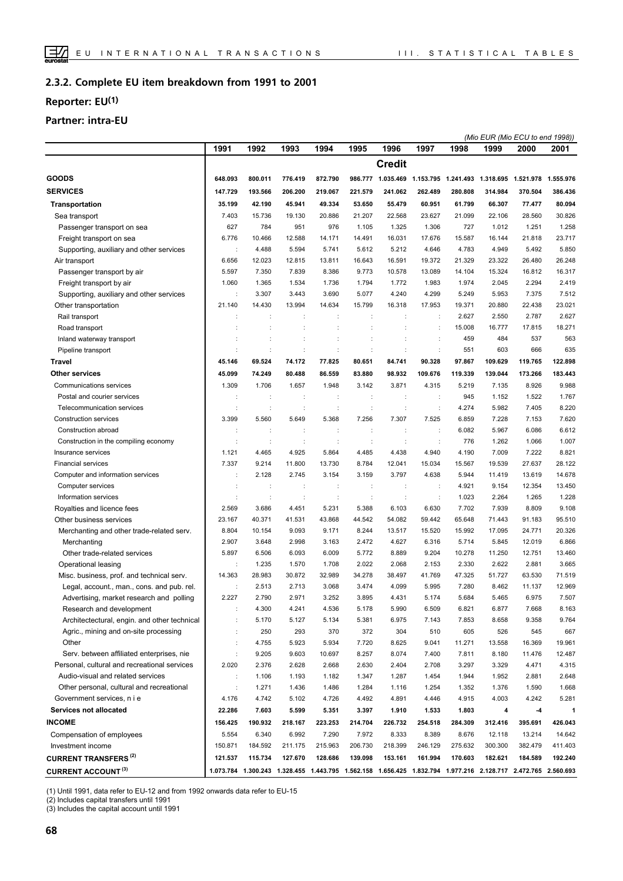#### **Complete EU item breakdown from 1991 to 2001 2.3.2.**

## **Reporter: EU(1)**

## **Partner: intra-EU**

|                                              |         |                      |         |                      |                      |                      |                      |         |         | (Mio EUR (Mio ECU to end 1998))                                                                               |         |
|----------------------------------------------|---------|----------------------|---------|----------------------|----------------------|----------------------|----------------------|---------|---------|---------------------------------------------------------------------------------------------------------------|---------|
|                                              | 1991    | 1992                 | 1993    | 1994                 | 1995                 | 1996                 | 1997                 | 1998    | 1999    | 2000                                                                                                          | 2001    |
|                                              |         |                      |         |                      |                      | <b>Credit</b>        |                      |         |         |                                                                                                               |         |
| <b>GOODS</b>                                 | 648.093 | 800.011              | 776.419 | 872.790              |                      |                      |                      |         |         | 986.777  1.035.469  1.153.795  1.241.493  1.318.695  1.521.978  1.555.976                                     |         |
| <b>SERVICES</b>                              | 147.729 | 193.566              | 206.200 | 219.067              | 221.579              | 241.062              | 262.489              | 280.808 | 314.984 | 370.504                                                                                                       | 386.436 |
| Transportation                               | 35.199  | 42.190               | 45.941  | 49.334               | 53.650               | 55.479               | 60.951               | 61.799  | 66.307  | 77.477                                                                                                        | 80.094  |
| Sea transport                                | 7.403   | 15.736               | 19.130  | 20.886               | 21.207               | 22.568               | 23.627               | 21.099  | 22.106  | 28.560                                                                                                        | 30.826  |
| Passenger transport on sea                   | 627     | 784                  | 951     | 976                  | 1.105                | 1.325                | 1.306                | 727     | 1.012   | 1.251                                                                                                         | 1.258   |
| Freight transport on sea                     | 6.776   | 10.466               | 12.588  | 14.171               | 14.491               | 16.031               | 17.676               | 15.587  | 16.144  | 21.818                                                                                                        | 23.717  |
| Supporting, auxiliary and other services     |         | 4.488                | 5.594   | 5.741                | 5.612                | 5.212                | 4.646                | 4.783   | 4.949   | 5.492                                                                                                         | 5.850   |
| Air transport                                | 6.656   | 12.023               | 12.815  | 13.811               | 16.643               | 16.591               | 19.372               | 21.329  | 23.322  | 26.480                                                                                                        | 26.248  |
| Passenger transport by air                   | 5.597   | 7.350                | 7.839   | 8.386                | 9.773                | 10.578               | 13.089               | 14.104  | 15.324  | 16.812                                                                                                        | 16.317  |
| Freight transport by air                     | 1.060   | 1.365                | 1.534   | 1.736                | 1.794                | 1.772                | 1.983                | 1.974   | 2.045   | 2.294                                                                                                         | 2.419   |
| Supporting, auxiliary and other services     |         | 3.307                | 3.443   | 3.690                | 5.077                | 4.240                | 4.299                | 5.249   | 5.953   | 7.375                                                                                                         | 7.512   |
| Other transportation                         | 21.140  | 14.430               | 13.994  | 14.634               | 15.799               | 16.318               | 17.953               | 19.371  | 20.880  | 22.438                                                                                                        | 23.021  |
| Rail transport                               |         |                      |         | ÷                    |                      | $\ddot{\phantom{a}}$ | $\ddot{\phantom{a}}$ | 2.627   | 2.550   | 2.787                                                                                                         | 2.627   |
| Road transport                               |         |                      |         | ÷                    |                      |                      | $\ddot{\phantom{a}}$ | 15.008  | 16.777  | 17.815                                                                                                        | 18.271  |
|                                              |         |                      |         |                      | t                    |                      |                      | 459     | 484     | 537                                                                                                           | 563     |
| Inland waterway transport                    |         |                      |         | ÷<br>÷               | $\ddot{\cdot}$       | $\ddot{\phantom{a}}$ | $\ddot{\cdot}$<br>÷  | 551     | 603     | 666                                                                                                           | 635     |
| Pipeline transport                           |         |                      |         |                      |                      | ÷                    |                      |         |         |                                                                                                               |         |
| Travel                                       | 45.146  | 69.524               | 74.172  | 77.825               | 80.651               | 84.741               | 90.328               | 97.867  | 109.629 | 119.765                                                                                                       | 122.898 |
| <b>Other services</b>                        | 45.099  | 74.249               | 80.488  | 86.559               | 83.880               | 98.932               | 109.676              | 119.339 | 139.044 | 173.266                                                                                                       | 183.443 |
| Communications services                      | 1.309   | 1.706                | 1.657   | 1.948                | 3.142                | 3.871                | 4.315                | 5.219   | 7.135   | 8.926                                                                                                         | 9.988   |
| Postal and courier services                  |         | ÷                    |         | ÷                    | ÷                    | $\ddot{\phantom{a}}$ | $\ddot{\phantom{a}}$ | 945     | 1.152   | 1.522                                                                                                         | 1.767   |
| Telecommunication services                   |         | ÷                    | ÷       | $\ddot{\phantom{a}}$ | ÷                    | $\ddot{\phantom{a}}$ | ÷                    | 4.274   | 5.982   | 7.405                                                                                                         | 8.220   |
| Construction services                        | 3.399   | 5.560                | 5.649   | 5.368                | 7.256                | 7.307                | 7.525                | 6.859   | 7.228   | 7.153                                                                                                         | 7.620   |
| Construction abroad                          |         | ÷                    | ÷       | ÷                    | $\ddot{\phantom{a}}$ | $\ddot{\phantom{a}}$ | $\ddot{\phantom{a}}$ | 6.082   | 5.967   | 6.086                                                                                                         | 6.612   |
| Construction in the compiling economy        |         | ÷                    |         | ÷                    |                      |                      | $\ddot{\phantom{a}}$ | 776     | 1.262   | 1.066                                                                                                         | 1.007   |
| Insurance services                           | 1.121   | 4.465                | 4.925   | 5.864                | 4.485                | 4.438                | 4.940                | 4.190   | 7.009   | 7.222                                                                                                         | 8.821   |
| <b>Financial services</b>                    | 7.337   | 9.214                | 11.800  | 13.730               | 8.784                | 12.041               | 15.034               | 15.567  | 19.539  | 27.637                                                                                                        | 28.122  |
| Computer and information services            | ÷       | 2.128                | 2.745   | 3.154                | 3.159                | 3.797                | 4.638                | 5.944   | 11.419  | 13.619                                                                                                        | 14.678  |
| Computer services                            |         | ÷                    | ÷       | ÷                    | ÷                    | $\ddot{\phantom{a}}$ | $\ddot{\phantom{a}}$ | 4.921   | 9.154   | 12.354                                                                                                        | 13.450  |
| Information services                         |         | $\ddot{\phantom{a}}$ |         | ÷                    | ÷                    | $\ddot{\phantom{a}}$ | $\ddot{\phantom{a}}$ | 1.023   | 2.264   | 1.265                                                                                                         | 1.228   |
| Royalties and licence fees                   | 2.569   | 3.686                | 4.451   | 5.231                | 5.388                | 6.103                | 6.630                | 7.702   | 7.939   | 8.809                                                                                                         | 9.108   |
| Other business services                      | 23.167  | 40.371               | 41.531  | 43.868               | 44.542               | 54.082               | 59.442               | 65.648  | 71.443  | 91.183                                                                                                        | 95.510  |
| Merchanting and other trade-related serv.    | 8.804   | 10.154               | 9.093   | 9.171                | 8.244                | 13.517               | 15.520               | 15.992  | 17.095  | 24.771                                                                                                        | 20.326  |
| Merchanting                                  | 2.907   | 3.648                | 2.998   | 3.163                | 2.472                | 4.627                | 6.316                | 5.714   | 5.845   | 12.019                                                                                                        | 6.866   |
| Other trade-related services                 | 5.897   | 6.506                | 6.093   | 6.009                | 5.772                | 8.889                | 9.204                | 10.278  | 11.250  | 12.751                                                                                                        | 13.460  |
| Operational leasing                          | ÷       | 1.235                | 1.570   | 1.708                | 2.022                | 2.068                | 2.153                | 2.330   | 2.622   | 2.881                                                                                                         | 3.665   |
| Misc. business, prof. and technical serv.    | 14.363  | 28.983               | 30.872  | 32.989               | 34.278               | 38.497               | 41.769               | 47.325  | 51.727  | 63.530                                                                                                        | 71.519  |
| Legal, account., man., cons. and pub. rel.   |         | 2.513                | 2.713   | 3.068                | 3.474                | 4.099                | 5.995                | 7.280   | 8.462   | 11.137                                                                                                        | 12.969  |
| Advertising, market research and polling     | 2.227   | 2.790                | 2.971   | 3.252                | 3.895                | 4.431                | 5.174                | 5.684   | 5.465   | 6.975                                                                                                         | 7.507   |
| Research and development                     |         | 4.300                | 4.241   | 4.536                | 5.178                | 5.990                | 6.509                | 6.821   | 6.877   | 7.668                                                                                                         | 8.163   |
| Architectectural, engin. and other technical |         | 5.170                | 5.127   | 5.134                | 5.381                | 6.975                | 7.143                | 7.853   | 8.658   | 9.358                                                                                                         | 9.764   |
| Agric., mining and on-site processing        |         | 250                  | 293     | 370                  | 372                  | 304                  | 510                  | 605     | 526     | 545                                                                                                           | 667     |
| Other                                        |         | 4.755                | 5.923   | 5.934                | 7.720                | 8.625                | 9.041                | 11.271  | 13.558  | 16.369                                                                                                        | 19.961  |
| Serv. between affiliated enterprises, nie    | ÷       | 9.205                | 9.603   | 10.697               | 8.257                | 8.074                | 7.400                | 7.811   | 8.180   | 11.476                                                                                                        | 12.487  |
| Personal, cultural and recreational services | 2.020   | 2.376                | 2.628   | 2.668                | 2.630                | 2.404                | 2.708                | 3.297   | 3.329   | 4.471                                                                                                         | 4.315   |
| Audio-visual and related services            | ÷       | 1.106                | 1.193   | 1.182                | 1.347                | 1.287                | 1.454                | 1.944   | 1.952   | 2.881                                                                                                         | 2.648   |
| Other personal, cultural and recreational    |         | 1.271                | 1.436   | 1.486                | 1.284                | 1.116                | 1.254                | 1.352   | 1.376   | 1.590                                                                                                         | 1.668   |
| Government services, n i e                   | 4.176   | 4.742                | 5.102   | 4.726                | 4.492                | 4.891                | 4.446                | 4.915   | 4.003   | 4.242                                                                                                         | 5.281   |
| Services not allocated                       | 22.286  | 7.603                | 5.599   | 5.351                | 3.397                | 1.910                | 1.533                | 1.803   | 4       | -4                                                                                                            | 1       |
| <b>INCOME</b>                                | 156.425 | 190.932              | 218.167 | 223.253              | 214.704              | 226.732              | 254.518              | 284.309 | 312.416 | 395.691                                                                                                       | 426.043 |
| Compensation of employees                    | 5.554   | 6.340                | 6.992   | 7.290                | 7.972                | 8.333                | 8.389                | 8.676   | 12.118  | 13.214                                                                                                        | 14.642  |
| Investment income                            | 150.871 | 184.592              | 211.175 | 215.963              | 206.730              | 218.399              | 246.129              | 275.632 | 300.300 | 382.479                                                                                                       | 411.403 |
| <b>CURRENT TRANSFERS (2)</b>                 | 121.537 | 115.734              | 127.670 | 128.686              | 139.098              | 153.161              | 161.994              | 170.603 | 182.621 | 184.589                                                                                                       | 192.240 |
| <b>CURRENT ACCOUNT (3)</b>                   |         |                      |         |                      |                      |                      |                      |         |         | 1.073.784 1.300.243 1.328.455 1.443.795 1.562.158 1.656.425 1.832.794 1.977.216 2.128.717 2.472.765 2.560.693 |         |
|                                              |         |                      |         |                      |                      |                      |                      |         |         |                                                                                                               |         |

(1) Until 1991, data refer to EU-12 and from 1992 onwards data refer to EU-15

(2) Includes capital transfers until 1991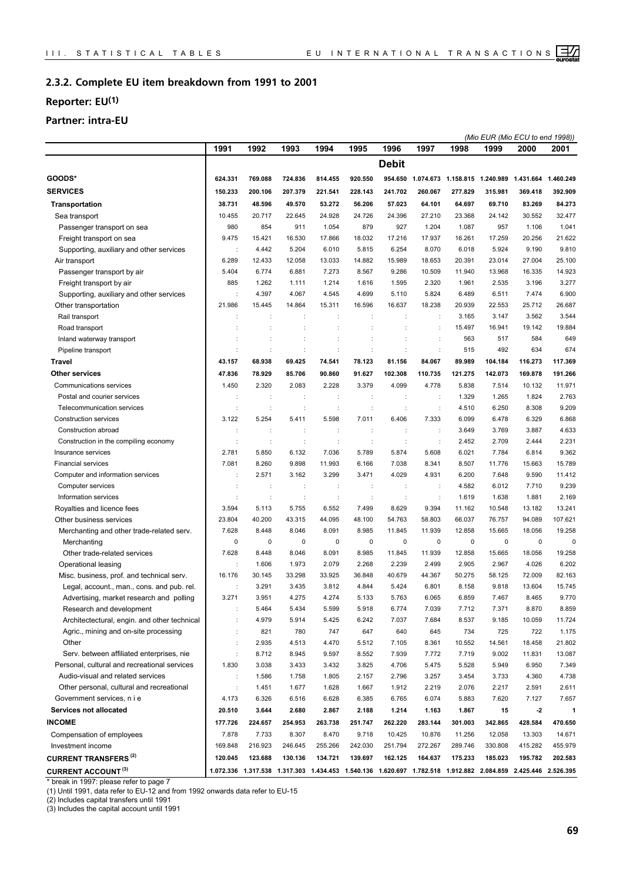#### **Complete EU item breakdown from 1991 to 2001 2.3.2.**

## **Reporter: EU(1)**

## **Partner: intra-EU**

| 1991<br>1992<br>1993<br>1994<br>1995<br>1996<br>1997<br>1998<br>1999<br>2000<br><b>Debit</b><br>GOODS*<br>769.088<br>814.455<br>920.550<br>954.650<br>1.074.673 1.158.815 1.240.989 1.431.664 1.460.249<br>624.331<br>724.836<br><b>SERVICES</b><br>150.233<br>200.106<br>207.379<br>221.541<br>228.143<br>241.702<br>260.067<br>277.829<br>315.981<br>369.418 | 2001<br>392.909<br>84.273<br>32.477 |
|----------------------------------------------------------------------------------------------------------------------------------------------------------------------------------------------------------------------------------------------------------------------------------------------------------------------------------------------------------------|-------------------------------------|
|                                                                                                                                                                                                                                                                                                                                                                |                                     |
|                                                                                                                                                                                                                                                                                                                                                                |                                     |
|                                                                                                                                                                                                                                                                                                                                                                |                                     |
|                                                                                                                                                                                                                                                                                                                                                                |                                     |
| <b>Transportation</b><br>38.731<br>48.596<br>49.570<br>53.272<br>56.206<br>57.023<br>64.101<br>64.697<br>69.710<br>83.269                                                                                                                                                                                                                                      |                                     |
| 10.455<br>20.717<br>22.645<br>24.928<br>24.726<br>24.396<br>27.210<br>23.368<br>24.142<br>30.552<br>Sea transport                                                                                                                                                                                                                                              |                                     |
| 980<br>854<br>1.054<br>879<br>927<br>1.204<br>1.087<br>957<br>Passenger transport on sea<br>911<br>1.106                                                                                                                                                                                                                                                       | 1.041                               |
| 9.475<br>16.530<br>17.866<br>18.032<br>17.216<br>17.937<br>17.259<br>20.256<br>Freight transport on sea<br>15.421<br>16.261                                                                                                                                                                                                                                    | 21.622                              |
| 5.204<br>6.010<br>5.815<br>6.254<br>8.070<br>6.018<br>5.924<br>9.190<br>Supporting, auxiliary and other services<br>4.442                                                                                                                                                                                                                                      | 9.810                               |
| 12.058<br>13.033<br>14.882<br>15.989<br>18.653<br>23.014<br>27.004<br>Air transport<br>6.289<br>12.433<br>20.391                                                                                                                                                                                                                                               | 25.100                              |
| 5.404<br>6.774<br>6.881<br>7.273<br>8.567<br>9.286<br>10.509<br>11.940<br>13.968<br>16.335<br>Passenger transport by air                                                                                                                                                                                                                                       | 14.923                              |
| Freight transport by air<br>885<br>1.214<br>1.616<br>1.595<br>2.320<br>1.961<br>3.196<br>1.262<br>1.111<br>2.535                                                                                                                                                                                                                                               | 3.277                               |
| Supporting, auxiliary and other services<br>4.397<br>4.067<br>4.545<br>4.699<br>5.110<br>5.824<br>6.489<br>6.511<br>7.474                                                                                                                                                                                                                                      | 6.900                               |
| 21.986<br>15.445<br>14.864<br>15.311<br>16.596<br>16.637<br>18.238<br>20.939<br>22.553<br>25.712<br>Other transportation                                                                                                                                                                                                                                       | 26.687                              |
| Rail transport<br>3.147<br>3.562<br>÷<br>÷<br>3.165                                                                                                                                                                                                                                                                                                            | 3.544                               |
| 15.497<br>16.941<br>Road transport<br>÷<br>19.142<br>÷<br>÷<br>÷                                                                                                                                                                                                                                                                                               | 19.884                              |
| 563<br>517<br>Inland waterway transport<br>584<br>t<br>÷                                                                                                                                                                                                                                                                                                       | 649                                 |
| ċ<br>÷<br>515<br>492<br>634<br>Pipeline transport<br>÷<br>÷<br>d<br>÷                                                                                                                                                                                                                                                                                          | 674                                 |
| 84.067<br>89.989<br>104.184                                                                                                                                                                                                                                                                                                                                    | 117.369                             |
| <b>Travel</b><br>43.157<br>68.938<br>69.425<br>74.541<br>78.123<br>81.156<br>116.273                                                                                                                                                                                                                                                                           |                                     |
| <b>Other services</b><br>47.836<br>78.929<br>85.706<br>90.860<br>91.627<br>102.308<br>110.735<br>121.275<br>142.073<br>169.878                                                                                                                                                                                                                                 | 191.266                             |
| Communications services<br>2.228<br>3.379<br>4.099<br>5.838<br>1.450<br>2.320<br>2.083<br>4.778<br>7.514<br>10.132                                                                                                                                                                                                                                             | 11.971                              |
| 1.329<br>1.265<br>1.824<br>Postal and courier services<br>÷<br>÷<br>÷<br>÷<br>÷                                                                                                                                                                                                                                                                                | 2.763                               |
| Telecommunication services<br>4.510<br>6.250<br>÷<br>t<br>d<br>$\ddot{\cdot}$<br>8.308<br>÷<br>÷                                                                                                                                                                                                                                                               | 9.209                               |
| 3.122<br>5.254<br>5.411<br>5.598<br>7.011<br>6.406<br>7.333<br>6.099<br>6.478<br>6.329<br>Construction services                                                                                                                                                                                                                                                | 6.868                               |
| Construction abroad<br>3.649<br>3.769<br>3.887<br>÷<br>t<br>÷                                                                                                                                                                                                                                                                                                  | 4.633                               |
| 2.452<br>2.709<br>2.444<br>Construction in the compiling economy<br>t<br>÷<br>÷<br>÷<br>÷<br>÷                                                                                                                                                                                                                                                                 | 2.231                               |
| 2.781<br>6.132<br>7.036<br>5.789<br>5.874<br>5.608<br>6.021<br>7.784<br>6.814<br>Insurance services<br>5.850                                                                                                                                                                                                                                                   | 9.362                               |
| 7.081<br>8.260<br>9.898<br>11.993<br>6.166<br>7.038<br>8.341<br>8.507<br>11.776<br>15.663<br><b>Financial services</b>                                                                                                                                                                                                                                         | 15.789                              |
| 3.299<br>2.571<br>3.162<br>3.471<br>4.029<br>4.931<br>6.200<br>Computer and information services<br>7.648<br>9.590                                                                                                                                                                                                                                             | 11.412                              |
| 4.582<br>6.012<br>Computer services<br>÷<br>÷<br>÷<br>÷<br>÷<br>$\ddot{\cdot}$<br>7.710                                                                                                                                                                                                                                                                        | 9.239                               |
| Information services<br>1.638<br>1.881<br>÷<br>1.619<br>÷<br>÷<br>÷<br>÷<br>÷                                                                                                                                                                                                                                                                                  | 2.169                               |
| 5.755<br>6.552<br>Royalties and licence fees<br>3.594<br>5.113<br>7.499<br>8.629<br>9.394<br>11.162<br>10.548<br>13.182                                                                                                                                                                                                                                        | 13.241                              |
| Other business services<br>23.804<br>40.200<br>43.315<br>44.095<br>48.100<br>54.763<br>58.803<br>66.037<br>76.757<br>94.089                                                                                                                                                                                                                                    | 107.621                             |
| 7.628<br>8.448<br>8.046<br>8.091<br>8.985<br>11.845<br>11.939<br>12.858<br>15.665<br>18.056<br>Merchanting and other trade-related serv.                                                                                                                                                                                                                       | 19.258                              |
| Merchanting<br>0<br>$\mathbf 0$<br>0<br>0<br>$\mathbf 0$<br>0<br>$\pmb{0}$<br>0<br>0<br>$\mathbf 0$                                                                                                                                                                                                                                                            | 0                                   |
| Other trade-related services<br>7.628<br>8.448<br>8.046<br>8.091<br>8.985<br>11.845<br>11.939<br>12.858<br>15.665<br>18.056                                                                                                                                                                                                                                    | 19.258                              |
| Operational leasing<br>1.606<br>1.973<br>2.079<br>2.268<br>2.239<br>2.905<br>2.967<br>4.026<br>2.499<br>÷                                                                                                                                                                                                                                                      | 6.202                               |
| 16.176<br>33.298<br>33.925<br>40.679<br>44.367<br>50.275<br>72.009<br>Misc. business, prof. and technical serv.<br>30.145<br>36.848<br>58.125                                                                                                                                                                                                                  | 82.163                              |
| Legal, account., man., cons. and pub. rel.<br>3.291<br>3.435<br>3.812<br>4.844<br>5.424<br>6.801<br>8.158<br>9.818<br>13.604                                                                                                                                                                                                                                   | 15.745                              |
| 3.271<br>4.275<br>4.274<br>5.763<br>6.065<br>6.859<br>Advertising, market research and polling<br>3.951<br>5.133<br>7.467<br>8.465                                                                                                                                                                                                                             | 9.770                               |
| Research and development<br>5.464<br>5.434<br>5.599<br>5.918<br>6.774<br>7.039<br>7.712<br>7.371<br>8.870                                                                                                                                                                                                                                                      | 8.859                               |
| Architectectural, engin. and other technical<br>4.979<br>5.914<br>5.425<br>6.242<br>7.037<br>7.684<br>8.537<br>9.185<br>10.059                                                                                                                                                                                                                                 | 11.724                              |
| Agric., mining and on-site processing<br>821<br>780<br>747<br>647<br>640<br>645<br>734<br>725<br>722                                                                                                                                                                                                                                                           | 1.175                               |
| Other<br>2.935<br>4.513<br>4.470<br>5.512<br>7.105<br>8.361<br>10.552<br>14.561<br>18.458                                                                                                                                                                                                                                                                      | 21.802                              |
| Serv. between affiliated enterprises, nie<br>8.712<br>8.945<br>9.597<br>8.552<br>7.939<br>7.772<br>7.719<br>9.002<br>11.831                                                                                                                                                                                                                                    | 13.087                              |
| Personal, cultural and recreational services<br>1.830<br>3.038<br>3.432<br>3.825<br>4.706<br>5.475<br>5.528<br>5.949<br>6.950<br>3.433                                                                                                                                                                                                                         | 7.349                               |
| Audio-visual and related services<br>1.805<br>2.157<br>3.257<br>1.586<br>1.758<br>2.796<br>3.454<br>3.733<br>4.360<br>÷                                                                                                                                                                                                                                        | 4.738                               |
| 1.628<br>2.219<br>Other personal, cultural and recreational<br>÷<br>1.451<br>1.677<br>1.667<br>1.912<br>2.076<br>2.217<br>2.591                                                                                                                                                                                                                                | 2.611                               |
| Government services, n i e<br>4.173<br>6.326<br>6.516<br>6.628<br>6.385<br>6.765<br>6.074<br>5.883<br>7.620<br>7.127                                                                                                                                                                                                                                           | 7.657                               |
| Services not allocated<br>20.510<br>3.644<br>2.680<br>2.867<br>2.188<br>1.214<br>1.163<br>1.867<br>15<br>$-2$                                                                                                                                                                                                                                                  | 1                                   |
| <b>INCOME</b><br>177.726<br>224.657<br>254.953<br>263.738<br>251.747<br>262.220<br>283.144<br>301.003<br>342.865<br>428.584                                                                                                                                                                                                                                    | 470.650                             |
| Compensation of employees<br>7.878<br>7.733<br>8.307<br>8.470<br>9.718<br>10.425<br>10.876<br>11.256<br>12.058<br>13.303                                                                                                                                                                                                                                       | 14.671                              |
| Investment income<br>169.848<br>216.923<br>246.645<br>255.266<br>242.030<br>251.794<br>272.267<br>289.746<br>330.808<br>415.282                                                                                                                                                                                                                                | 455.979                             |
| <b>CURRENT TRANSFERS<sup>(2)</sup></b><br>120.045<br>123.688<br>130.136<br>134.721<br>139.697<br>162.125<br>164.637<br>175.233<br>185.023<br>195.782                                                                                                                                                                                                           | 202.583                             |
| <b>CURRENT ACCOUNT (3)</b><br>1.072.336 1.317.538 1.317.303 1.434.453 1.540.136 1.620.697 1.782.518 1.912.882 2.084.859 2.425.446 2.526.395                                                                                                                                                                                                                    |                                     |

\* break in 1997: please refer to page 7

(1) Until 1991, data refer to EU-12 and from 1992 onwards data refer to EU-15

(2) Includes capital transfers until 1991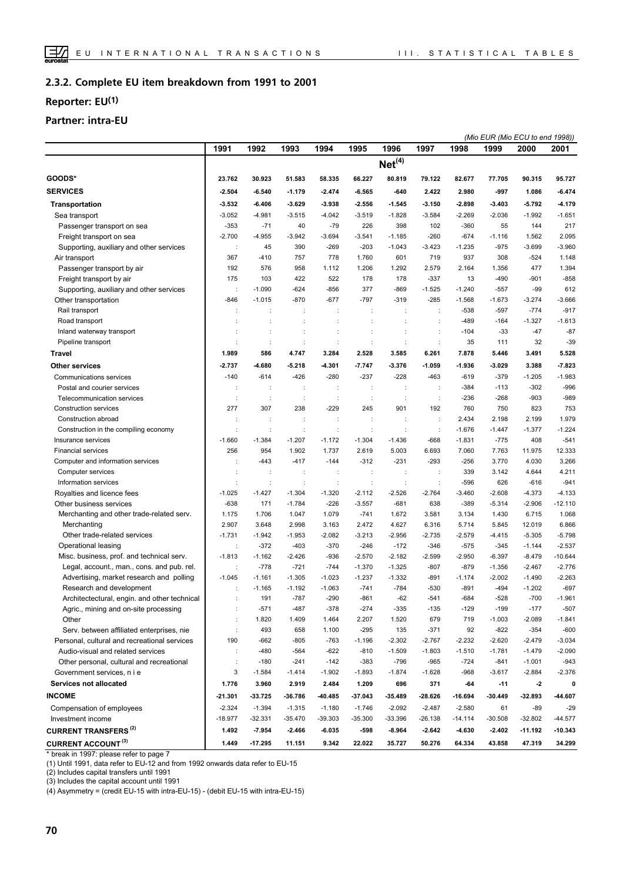#### **Complete EU item breakdown from 1991 to 2001 2.3.2.**

## **Reporter: EU(1)**

## **Partner: intra-EU**

|                                                                         |                   |                                  |                                  |                      |                            |                      |                                |                      | (Mio EUR (Mio ECU to end 1998)) |                      |                    |
|-------------------------------------------------------------------------|-------------------|----------------------------------|----------------------------------|----------------------|----------------------------|----------------------|--------------------------------|----------------------|---------------------------------|----------------------|--------------------|
|                                                                         | 1991              | 1992                             | 1993                             | 1994                 | 1995                       | 1996                 | 1997                           | 1998                 | 1999                            | 2000                 | 2001               |
|                                                                         |                   |                                  |                                  |                      |                            | Net <sup>(4)</sup>   |                                |                      |                                 |                      |                    |
| GOODS*                                                                  | 23.762            | 30.923                           | 51.583                           | 58.335               | 66.227                     | 80.819               | 79.122                         | 82.677               | 77.705                          | 90.315               | 95.727             |
| <b>SERVICES</b>                                                         | $-2.504$          | $-6.540$                         | $-1.179$                         | $-2.474$             | $-6.565$                   | -640                 | 2.422                          | 2.980                | -997                            | 1.086                | $-6.474$           |
| <b>Transportation</b>                                                   | 3.532             | $-6.406$                         | $-3.629$                         | $-3.938$             | $-2.556$                   | $-1.545$             | $-3.150$                       | $-2.898$             | $-3.403$                        | 5.792                | -4.179             |
| Sea transport                                                           | $-3.052$          | $-4.981$                         | $-3.515$                         | $-4.042$             | $-3.519$                   | $-1.828$             | $-3.584$                       | $-2.269$             | $-2.036$                        | $-1.992$             | $-1.651$           |
| Passenger transport on sea                                              | $-353$            | $-71$                            | 40                               | $-79$                | 226                        | 398                  | 102                            | $-360$               | 55                              | 144                  | 217                |
| Freight transport on sea                                                | $-2.700$          | $-4.955$                         | $-3.942$                         | $-3.694$             | $-3.541$                   | $-1.185$             | $-260$                         | $-674$               | $-1.116$                        | 1.562                | 2.095              |
| Supporting, auxiliary and other services                                | ÷                 | 45                               | 390                              | $-269$               | $-203$                     | $-1.043$             | $-3.423$                       | $-1.235$             | $-975$                          | $-3.699$             | $-3.960$           |
| Air transport                                                           | 367               | $-410$                           | 757                              | 778                  | 1.760                      | 601                  | 719                            | 937                  | 308                             | $-524$               | 1.148              |
| Passenger transport by air                                              | 192               | 576                              | 958                              | 1.112                | 1.206                      | 1.292                | 2.579                          | 2.164                | 1.356                           | 477                  | 1.394              |
| Freight transport by air                                                | 175               | 103                              | 422                              | 522                  | 178                        | 178                  | $-337$                         | 13                   | $-490$                          | $-901$               | $-858$             |
| Supporting, auxiliary and other services                                | ÷                 | $-1.090$                         | $-624$                           | $-856$               | 377                        | $-869$               | $-1.525$                       | $-1.240$             | $-557$                          | $-99$                | 612                |
| Other transportation                                                    | $-846$            | $-1.015$                         | $-870$                           | $-677$               | $-797$                     | $-319$               | $-285$                         | $-1.568$             | $-1.673$                        | $-3.274$             | $-3.666$           |
| Rail transport                                                          | ÷                 | ÷                                | ÷                                | ÷                    | t                          | ÷                    | ÷                              | $-538$               | $-597$                          | $-774$               | $-917$             |
| Road transport                                                          |                   |                                  |                                  |                      |                            |                      |                                | $-489$               | $-164$                          | $-1.327$             | $-1.613$           |
| Inland waterway transport                                               |                   |                                  | $\ddot{\phantom{a}}$             | ÷                    | ÷                          |                      | $\ddot{\phantom{a}}$           | $-104$               | $-33$                           | $-47$                | $-87$              |
| Pipeline transport                                                      |                   | ÷                                | ÷                                | $\ddot{\cdot}$       | $\ddot{\cdot}$             | $\ddot{\phantom{a}}$ | $\ddot{\cdot}$                 | 35                   | 111                             | 32                   | $-39$              |
| <b>Travel</b>                                                           | 1.989             | 586                              | 4.747                            | 3.284                | 2.528                      | 3.585                | 6.261                          | 7.878                | 5.446                           | 3.491                | 5.528              |
| Other services                                                          | 2.737             | -4.680                           | $-5.218$                         | -4.301               | $-7.747$                   | $-3.376$             | $-1.059$                       | $-1.936$             | $-3.029$                        | 3.388                | $-7.823$           |
| Communications services                                                 | $-140$            |                                  |                                  |                      |                            |                      |                                | $-619$               |                                 |                      |                    |
| Postal and courier services                                             |                   | $-614$                           | $-426$                           | $-280$               | $-237$                     | $-228$               | $-463$                         | $-384$               | $-379$<br>$-113$                | $-1.205$<br>$-302$   | $-1.983$<br>$-996$ |
| Telecommunication services                                              | ÷                 | ÷<br>÷                           | ÷<br>÷                           | ÷<br>÷               | ÷<br>÷                     | ÷<br>$\ddot{\cdot}$  | ÷<br>÷                         | $-236$               | $-268$                          | $-903$               | $-989$             |
|                                                                         | 277               | 307                              |                                  | $-229$               |                            | 901                  | 192                            | 760                  |                                 | 823                  | 753                |
| Construction services<br>Construction abroad                            |                   |                                  | 238                              |                      | 245                        |                      |                                | 2.434                | 750<br>2.198                    | 2.199                |                    |
|                                                                         |                   | ÷                                | ÷                                | ÷                    | ÷                          | ÷                    | ÷                              |                      |                                 |                      | 1.979              |
| Construction in the compiling economy                                   | $-1.660$          | $\ddot{\phantom{a}}$<br>$-1.384$ | $\ddot{\phantom{a}}$<br>$-1.207$ | ÷<br>$-1.172$        | $\ddot{\cdot}$<br>$-1.304$ | $\ddot{\cdot}$       | $\ddot{\phantom{a}}$<br>$-668$ | $-1.676$<br>$-1.831$ | $-1.447$<br>$-775$              | $-1.377$<br>408      | $-1.224$<br>$-541$ |
| Insurance services                                                      | 256               | 954                              | 1.902                            | 1.737                | 2.619                      | $-1.436$<br>5.003    | 6.693                          | 7.060                | 7.763                           | 11.975               | 12.333             |
| <b>Financial services</b>                                               |                   | $-443$                           | $-417$                           | $-144$               | $-312$                     | $-231$               | $-293$                         | $-256$               | 3.770                           | 4.030                | 3.266              |
| Computer and information services                                       |                   |                                  |                                  |                      |                            |                      |                                | 339                  |                                 |                      | 4.211              |
| Computer services                                                       |                   | ÷                                | ÷                                | ÷                    | ÷                          | ÷                    | ÷                              |                      | 3.142                           | 4.644                | $-941$             |
| Information services                                                    |                   | $\ddot{\phantom{a}}$             | $\ddot{\cdot}$                   | $\ddot{\cdot}$       | ÷                          | $\ddot{\phantom{a}}$ | $\ddot{\phantom{a}}$           | $-596$               | 626                             | $-616$               |                    |
| Royalties and licence fees                                              | $-1.025$          | $-1.427$                         | $-1.304$                         | $-1.320$             | $-2.112$                   | $-2.526$             | $-2.764$                       | $-3.460$             | $-2.608$                        | $-4.373$             | $-4.133$           |
| Other business services                                                 | $-638$            | 171                              | $-1.784$                         | $-226$               | $-3.557$                   | $-681$               | 638                            | $-389$               | $-5.314$                        | $-2.906$             | $-12.110$          |
| Merchanting and other trade-related serv.                               | 1.175             | 1.706                            | 1.047                            | 1.079                | $-741$                     | 1.672                | 3.581                          | 3.134                | 1.430                           | 6.715                | 1.068              |
| Merchanting<br>Other trade-related services                             | 2.907<br>$-1.731$ | 3.648<br>$-1.942$                | 2.998<br>$-1.953$                | 3.163<br>$-2.082$    | 2.472<br>$-3.213$          | 4.627<br>$-2.956$    | 6.316<br>$-2.735$              | 5.714<br>$-2.579$    | 5.845<br>$-4.415$               | 12.019<br>$-5.305$   | 6.866<br>$-5.798$  |
|                                                                         |                   | $-372$                           | $-403$                           | $-370$               | $-246$                     | $-172$               | $-346$                         | $-575$               | $-345$                          |                      | $-2.537$           |
| Operational leasing                                                     |                   | $-1.162$                         | $-2.426$                         |                      |                            | $-2.182$             |                                |                      |                                 | $-1.144$             |                    |
| Misc. business, prof. and technical serv.                               | $-1.813$          |                                  | $-721$                           | $-936$<br>$-744$     | $-2.570$                   |                      | $-2.599$                       | $-2.950$             | $-6.397$                        | $-8.479$             | $-10.644$          |
| Legal, account., man., cons. and pub. rel.                              | $-1.045$          | $-778$                           |                                  |                      | $-1.370$                   | $-1.325$             | $-807$                         | $-879$               | $-1.356$                        | $-2.467$             | $-2.776$           |
| Advertising, market research and polling                                |                   | $-1.161$<br>$-1.165$             | $-1.305$<br>$-1.192$             | $-1.023$<br>$-1.063$ | $-1.237$<br>$-741$         | $-1.332$<br>$-784$   | -891<br>$-530$                 | $-1.174$<br>$-891$   | $-2.002$<br>$-494$              | $-1.490$<br>$-1.202$ | $-2.263$<br>$-697$ |
| Research and development                                                |                   | 191                              | $-787$                           | $-290$               | $-861$                     | $-62$                | $-541$                         | $-684$               | $-528$                          | $-700$               | $-1.961$           |
| Architectectural, engin. and other technical                            |                   |                                  |                                  |                      |                            |                      |                                |                      |                                 |                      |                    |
| Agric., mining and on-site processing<br>Other                          |                   | $-571$                           | $-487$                           | $-378$               | $-274$                     | $-335$               | $-135$                         | $-129$               | $-199$                          | $-177$               | $-507$             |
| Serv. between affiliated enterprises, nie                               | ÷<br>÷            | 1.820<br>493                     | 1.409<br>658                     | 1.464<br>1.100       | 2.207<br>$-295$            | 1.520<br>135         | 679<br>$-371$                  | 719<br>92            | $-1.003$<br>$-822$              | $-2.089$<br>$-354$   | $-1.841$<br>$-600$ |
| Personal, cultural and recreational services                            | 190               | $-662$                           | $-805$                           | $-763$               | $-1.196$                   | $-2.302$             | $-2.767$                       | $-2.232$             | $-2.620$                        | $-2.479$             | $-3.034$           |
| Audio-visual and related services                                       |                   | $-480$                           | -564                             | $-622$               | $-810$                     | $-1.509$             | $-1.803$                       | $-1.510$             | $-1.781$                        | $-1.479$             | $-2.090$           |
|                                                                         | ÷<br>÷            | $-180$                           | $-241$                           | $-142$               | $-383$                     | $-796$               | $-965$                         | $-724$               | $-841$                          | $-1.001$             | $-943$             |
| Other personal, cultural and recreational<br>Government services, n i e | 3                 | $-1.584$                         | $-1.414$                         | $-1.902$             | $-1.893$                   | $-1.874$             | $-1.628$                       | $-968$               | $-3.617$                        | $-2.884$             | $-2.376$           |
|                                                                         |                   |                                  |                                  |                      |                            |                      |                                |                      |                                 | $-2$                 | $\mathbf{0}$       |
| Services not allocated                                                  | 1.776             | 3.960                            | 2.919                            | 2.484                | 1.209                      | 696                  | 371                            | -64                  | $-11$                           |                      |                    |
| <b>INCOME</b>                                                           | $-21.301$         | -33.725                          | -36.786                          | -40.485              | -37.043                    | -35.489              | $-28.626$                      | $-16.694$            | -30.449                         | 32.893               | 44.607             |
| Compensation of employees                                               | $-2.324$          | $-1.394$                         | $-1.315$                         | $-1.180$             | $-1.746$                   | $-2.092$             | $-2.487$                       | $-2.580$             | 61                              | $-89$                | $-29$              |
| Investment income                                                       | $-18.977$         | $-32.331$                        | $-35.470$                        | $-39.303$            | $-35.300$                  | $-33.396$            | $-26.138$                      | $-14.114$            | -30.508                         | $-32.802$            | $-44.577$          |
| <b>CURRENT TRANSFERS (2)</b>                                            | 1.492             | 7.954                            | $-2.466$                         | $-6.035$             | -598                       | $-8.964$             | $-2.642$                       | -4.630               | $-2.402$                        | $-11.192$            | $-10.343$          |
| <b>CURRENT ACCOUNT (3)</b>                                              | 1.449             | $-17.295$                        | 11.151                           | 9.342                | 22.022                     | 35.727               | 50.276                         | 64.334               | 43.858                          | 47.319               | 34.299             |

\* break in 1997: please refer to page 7

(1) Until 1991, data refer to EU-12 and from 1992 onwards data refer to EU-15

(2) Includes capital transfers until 1991

(3) Includes the capital account until 1991

(4) Asymmetry = (credit EU-15 with intra-EU-15) - (debit EU-15 with intra-EU-15)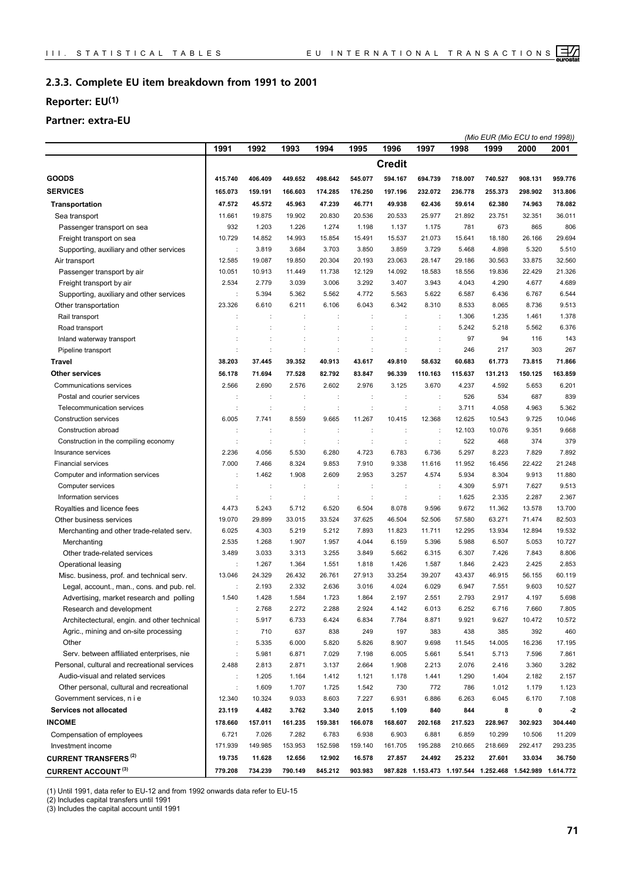#### **Complete EU item breakdown from 1991 to 2001 2.3.3.**

## **Reporter: EU(1)**

## **Partner: extra-EU**

|                                              |                      |         |         |         |                      |               |                                                           |         |         | (Mio EUR (Mio ECU to end 1998)) |         |
|----------------------------------------------|----------------------|---------|---------|---------|----------------------|---------------|-----------------------------------------------------------|---------|---------|---------------------------------|---------|
|                                              | 1991                 | 1992    | 1993    | 1994    | 1995                 | 1996          | 1997                                                      | 1998    | 1999    | 2000                            | 2001    |
|                                              |                      |         |         |         |                      | <b>Credit</b> |                                                           |         |         |                                 |         |
| <b>GOODS</b>                                 | 415.740              | 406.409 | 449.652 | 498.642 | 545.077              | 594.167       | 694.739                                                   | 718.007 | 740.527 | 908.131                         | 959.776 |
| <b>SERVICES</b>                              | 165.073              | 159.191 | 166.603 | 174.285 | 176.250              | 197.196       | 232.072                                                   | 236.778 | 255.373 | 298.902                         | 313.806 |
| <b>Transportation</b>                        | 47.572               | 45.572  | 45.963  | 47.239  | 46.771               | 49.938        | 62.436                                                    | 59.614  | 62.380  | 74.963                          | 78.082  |
| Sea transport                                | 11.661               | 19.875  | 19.902  | 20.830  | 20.536               | 20.533        | 25.977                                                    | 21.892  | 23.751  | 32.351                          | 36.011  |
| Passenger transport on sea                   | 932                  | 1.203   | 1.226   | 1.274   | 1.198                | 1.137         | 1.175                                                     | 781     | 673     | 865                             | 806     |
| Freight transport on sea                     | 10.729               | 14.852  | 14.993  | 15.854  | 15.491               | 15.537        | 21.073                                                    | 15.641  | 18.180  | 26.166                          | 29.694  |
| Supporting, auxiliary and other services     |                      | 3.819   | 3.684   | 3.703   | 3.850                | 3.859         | 3.729                                                     | 5.468   | 4.898   | 5.320                           | 5.510   |
| Air transport                                | 12.585               | 19.087  | 19.850  | 20.304  | 20.193               | 23.063        | 28.147                                                    | 29.186  | 30.563  | 33.875                          | 32.560  |
| Passenger transport by air                   | 10.051               | 10.913  | 11.449  | 11.738  | 12.129               | 14.092        | 18.583                                                    | 18.556  | 19.836  | 22.429                          | 21.326  |
| Freight transport by air                     | 2.534                | 2.779   | 3.039   | 3.006   | 3.292                | 3.407         | 3.943                                                     | 4.043   | 4.290   | 4.677                           | 4.689   |
| Supporting, auxiliary and other services     |                      | 5.394   | 5.362   | 5.562   | 4.772                | 5.563         | 5.622                                                     | 6.587   | 6.436   | 6.767                           | 6.544   |
| Other transportation                         | 23.326               | 6.610   | 6.211   | 6.106   | 6.043                | 6.342         | 8.310                                                     | 8.533   | 8.065   | 8.736                           | 9.513   |
| Rail transport                               |                      |         |         | ÷       |                      |               | ÷                                                         | 1.306   | 1.235   | 1.461                           | 1.378   |
| Road transport                               |                      |         | ÷       | ÷       |                      | ÷             | $\ddot{\cdot}$                                            | 5.242   | 5.218   | 5.562                           | 6.376   |
| Inland waterway transport                    |                      |         |         | t       |                      |               | ÷                                                         | 97      | 94      | 116                             | 143     |
| Pipeline transport                           |                      | ÷       | t       | ÷       | ċ                    | ÷             | ÷                                                         | 246     | 217     | 303                             | 267     |
| <b>Travel</b>                                | 38.203               | 37.445  | 39.352  | 40.913  | 43.617               | 49.810        | 58.632                                                    | 60.683  | 61.773  | 73.815                          | 71.866  |
| <b>Other services</b>                        | 56.178               | 71.694  | 77.528  | 82.792  | 83.847               | 96.339        | 110.163                                                   | 115.637 | 131.213 | 150.125                         | 163.859 |
| Communications services                      | 2.566                | 2.690   | 2.576   | 2.602   | 2.976                | 3.125         | 3.670                                                     | 4.237   | 4.592   | 5.653                           | 6.201   |
| Postal and courier services                  |                      |         | ÷       | ÷       | ÷                    | ÷             | ÷                                                         | 526     | 534     | 687                             | 839     |
| Telecommunication services                   |                      |         | ÷       | ÷       | $\ddot{\phantom{a}}$ | t             | $\ddot{\phantom{a}}$                                      | 3.711   | 4.058   | 4.963                           | 5.362   |
| Construction services                        | 6.005                | 7.741   | 8.559   | 9.665   | 11.267               | 10.415        | 12.368                                                    | 12.625  | 10.543  | 9.725                           | 10.046  |
| Construction abroad                          |                      |         |         | ÷       |                      |               | ÷                                                         | 12.103  | 10.076  | 9.351                           | 9.668   |
| Construction in the compiling economy        |                      | ÷       | t       | ÷       | ÷                    | ÷             | ÷                                                         | 522     | 468     | 374                             | 379     |
| Insurance services                           | 2.236                | 4.056   | 5.530   | 6.280   | 4.723                | 6.783         | 6.736                                                     | 5.297   | 8.223   | 7.829                           | 7.892   |
| <b>Financial services</b>                    | 7.000                | 7.466   | 8.324   | 9.853   | 7.910                | 9.338         | 11.616                                                    | 11.952  | 16.456  | 22.422                          | 21.248  |
| Computer and information services            |                      | 1.462   | 1.908   | 2.609   | 2.953                | 3.257         | 4.574                                                     | 5.934   | 8.304   | 9.913                           | 11.880  |
| Computer services                            |                      | ÷       | ÷       | ÷       | ÷                    | ÷             | ÷                                                         | 4.309   | 5.971   | 7.627                           | 9.513   |
| Information services                         |                      | ÷       | ÷       | ÷       | ÷                    | ÷             | ÷                                                         | 1.625   | 2.335   | 2.287                           | 2.367   |
| Royalties and licence fees                   | 4.473                | 5.243   | 5.712   | 6.520   | 6.504                | 8.078         | 9.596                                                     | 9.672   | 11.362  | 13.578                          | 13.700  |
| Other business services                      | 19.070               | 29.899  | 33.015  | 33.524  | 37.625               | 46.504        | 52.506                                                    | 57.580  | 63.271  | 71.474                          | 82.503  |
| Merchanting and other trade-related serv.    | 6.025                | 4.303   | 5.219   | 5.212   | 7.893                | 11.823        | 11.711                                                    | 12.295  | 13.934  | 12.894                          | 19.532  |
| Merchanting                                  | 2.535                | 1.268   | 1.907   | 1.957   | 4.044                | 6.159         | 5.396                                                     | 5.988   | 6.507   | 5.053                           | 10.727  |
| Other trade-related services                 | 3.489                | 3.033   | 3.313   | 3.255   | 3.849                | 5.662         | 6.315                                                     | 6.307   | 7.426   | 7.843                           | 8.806   |
| Operational leasing                          | $\ddot{ }$           | 1.267   | 1.364   | 1.551   | 1.818                | 1.426         | 1.587                                                     | 1.846   | 2.423   | 2.425                           | 2.853   |
| Misc. business, prof. and technical serv.    | 13.046               | 24.329  | 26.432  | 26.761  | 27.913               | 33.254        | 39.207                                                    | 43.437  | 46.915  | 56.155                          | 60.119  |
| Legal, account., man., cons. and pub. rel.   |                      | 2.193   | 2.332   | 2.636   | 3.016                | 4.024         | 6.029                                                     | 6.947   | 7.551   | 9.603                           | 10.527  |
| Advertising, market research and polling     | 1.540                | 1.428   | 1.584   | 1.723   | 1.864                | 2.197         | 2.551                                                     | 2.793   | 2.917   | 4.197                           | 5.698   |
| Research and development                     |                      | 2.768   | 2.272   | 2.288   | 2.924                | 4.142         | 6.013                                                     | 6.252   | 6.716   | 7.660                           | 7.805   |
| Architectectural, engin. and other technical |                      | 5.917   | 6.733   | 6.424   | 6.834                | 7.784         | 8.871                                                     | 9.921   | 9.627   | 10.472                          | 10.572  |
| Agric., mining and on-site processing        |                      | 710     | 637     | 838     | 249                  | 197           | 383                                                       | 438     | 385     | 392                             | 460     |
| Other                                        |                      | 5.335   | 6.000   | 5.820   | 5.826                | 8.907         | 9.698                                                     | 11.545  | 14.005  | 16.236                          | 17.195  |
| Serv. between affiliated enterprises, nie    |                      | 5.981   | 6.871   | 7.029   | 7.198                | 6.005         | 5.661                                                     | 5.541   | 5.713   | 7.596                           | 7.861   |
| Personal, cultural and recreational services | 2.488                | 2.813   | 2.871   | 3.137   | 2.664                | 1.908         | 2.213                                                     | 2.076   | 2.416   | 3.360                           | 3.282   |
| Audio-visual and related services            | ÷                    | 1.205   | 1.164   | 1.412   | 1.121                | 1.178         | 1.441                                                     | 1.290   | 1.404   | 2.182                           | 2.157   |
| Other personal, cultural and recreational    | $\ddot{\phantom{a}}$ | 1.609   | 1.707   | 1.725   | 1.542                | 730           | 772                                                       | 786     | 1.012   | 1.179                           | 1.123   |
| Government services, n i e                   | 12.340               | 10.324  | 9.033   | 8.603   | 7.227                | 6.931         | 6.886                                                     | 6.263   | 6.045   | 6.170                           | 7.108   |
| Services not allocated                       | 23.119               | 4.482   | 3.762   | 3.340   | 2.015                | 1.109         | 840                                                       | 844     | 8       | 0                               | $-2$    |
| <b>INCOME</b>                                | 178.660              | 157.011 | 161.235 | 159.381 | 166.078              | 168.607       | 202.168                                                   | 217.523 | 228.967 | 302.923                         | 304.440 |
| Compensation of employees                    | 6.721                | 7.026   | 7.282   | 6.783   | 6.938                | 6.903         | 6.881                                                     | 6.859   | 10.299  | 10.506                          | 11.209  |
| Investment income                            | 171.939              | 149.985 | 153.953 | 152.598 | 159.140              | 161.705       | 195.288                                                   | 210.665 | 218.669 | 292.417                         | 293.235 |
| <b>CURRENT TRANSFERS<sup>(2)</sup></b>       | 19.735               | 11.628  | 12.656  | 12.902  | 16.578               | 27.857        | 24.492                                                    | 25.232  | 27.601  | 33.034                          | 36.750  |
| <b>CURRENT ACCOUNT (3)</b>                   | 779.208              | 734.239 | 790.149 | 845.212 | 903.983              |               | 987.828 1.153.473 1.197.544 1.252.468 1.542.989 1.614.772 |         |         |                                 |         |

(1) Until 1991, data refer to EU-12 and from 1992 onwards data refer to EU-15

(2) Includes capital transfers until 1991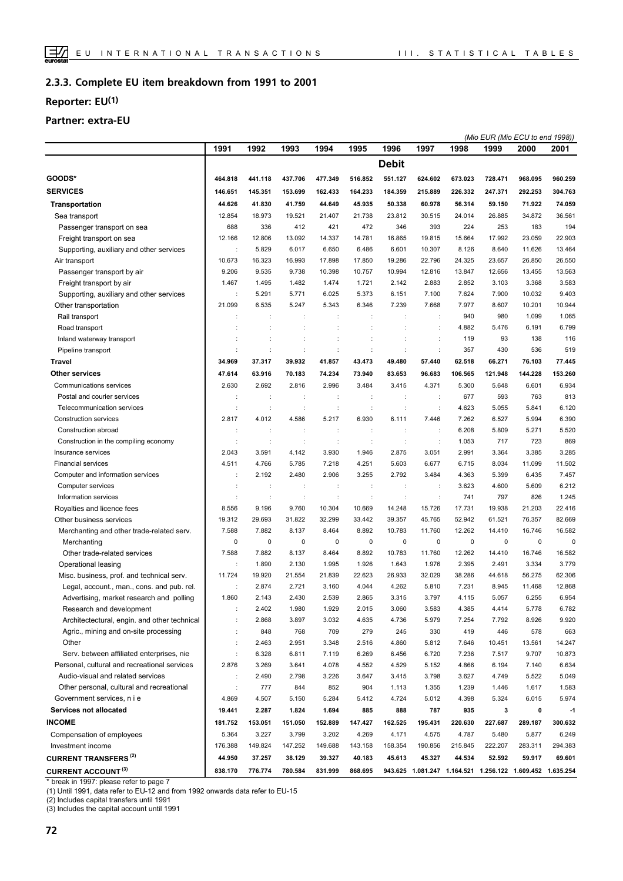#### **Complete EU item breakdown from 1991 to 2001 2.3.3.**

## **Reporter: EU(1)**

## **Partner: extra-EU**

|                                              |         |             |             |         |           |              |                      |                                                           |             | (Mio EUR (Mio ECU to end 1998)) |         |
|----------------------------------------------|---------|-------------|-------------|---------|-----------|--------------|----------------------|-----------------------------------------------------------|-------------|---------------------------------|---------|
|                                              | 1991    | 1992        | 1993        | 1994    | 1995      | 1996         | 1997                 | 1998                                                      | 1999        | 2000                            | 2001    |
|                                              |         |             |             |         |           | <b>Debit</b> |                      |                                                           |             |                                 |         |
| GOODS*                                       | 464.818 | 441.118     | 437.706     | 477.349 | 516.852   | 551.127      | 624.602              | 673.023                                                   | 728.471     | 968.095                         | 960.259 |
| <b>SERVICES</b>                              | 146.651 | 145.351     | 153.699     | 162.433 | 164.233   | 184.359      | 215.889              | 226.332                                                   | 247.371     | 292.253                         | 304.763 |
| <b>Transportation</b>                        | 44.626  | 41.830      | 41.759      | 44.649  | 45.935    | 50.338       | 60.978               | 56.314                                                    | 59.150      | 71.922                          | 74.059  |
| Sea transport                                | 12.854  | 18.973      | 19.521      | 21.407  | 21.738    | 23.812       | 30.515               | 24.014                                                    | 26.885      | 34.872                          | 36.561  |
| Passenger transport on sea                   | 688     | 336         | 412         | 421     | 472       | 346          | 393                  | 224                                                       | 253         | 183                             | 194     |
| Freight transport on sea                     | 12.166  | 12.806      | 13.092      | 14.337  | 14.781    | 16.865       | 19.815               | 15.664                                                    | 17.992      | 23.059                          | 22.903  |
| Supporting, auxiliary and other services     |         | 5.829       | 6.017       | 6.650   | 6.486     | 6.601        | 10.307               | 8.126                                                     | 8.640       | 11.626                          | 13.464  |
| Air transport                                | 10.673  | 16.323      | 16.993      | 17.898  | 17.850    | 19.286       | 22.796               | 24.325                                                    | 23.657      | 26.850                          | 26.550  |
| Passenger transport by air                   | 9.206   | 9.535       | 9.738       | 10.398  | 10.757    | 10.994       | 12.816               | 13.847                                                    | 12.656      | 13.455                          | 13.563  |
| Freight transport by air                     | 1.467   | 1.495       | 1.482       | 1.474   | 1.721     | 2.142        | 2.883                | 2.852                                                     | 3.103       | 3.368                           | 3.583   |
| Supporting, auxiliary and other services     |         | 5.291       | 5.771       | 6.025   | 5.373     | 6.151        | 7.100                | 7.624                                                     | 7.900       | 10.032                          | 9.403   |
| Other transportation                         | 21.099  | 6.535       | 5.247       | 5.343   | 6.346     | 7.239        | 7.668                | 7.977                                                     | 8.607       | 10.201                          | 10.944  |
| Rail transport                               |         |             |             |         |           |              | $\ddot{\phantom{a}}$ | 940                                                       | 980         | 1.099                           | 1.065   |
| Road transport                               |         |             |             |         |           |              | $\ddot{\cdot}$       | 4.882                                                     | 5.476       | 6.191                           | 6.799   |
| Inland waterway transport                    |         |             |             |         |           |              | $\ddot{\cdot}$       | 119                                                       | 93          | 138                             | 116     |
| Pipeline transport                           |         |             |             |         |           |              | ÷                    | 357                                                       | 430         | 536                             | 519     |
| Travel                                       | 34.969  | 37.317      | 39.932      | 41.857  | 43.473    | 49.480       | 57.440               | 62.518                                                    | 66.271      | 76.103                          | 77.445  |
| <b>Other services</b>                        | 47.614  | 63.916      | 70.183      | 74.234  | 73.940    | 83.653       | 96.683               | 106.565                                                   | 121.948     | 144.228                         | 153.260 |
| Communications services                      | 2.630   | 2.692       | 2.816       | 2.996   | 3.484     | 3.415        | 4.371                | 5.300                                                     | 5.648       | 6.601                           | 6.934   |
| Postal and courier services                  |         |             |             |         |           |              |                      | 677                                                       | 593         | 763                             | 813     |
| Telecommunication services                   |         | ÷           | ÷           | ÷       | ÷         | ÷            | ÷                    | 4.623                                                     | 5.055       | 5.841                           | 6.120   |
| <b>Construction services</b>                 | 2.817   | 4.012       | 4.586       | 5.217   | 6.930     | 6.111        | 7.446                | 7.262                                                     | 6.527       | 5.994                           | 6.390   |
| Construction abroad                          | ÷       | ÷           | ÷           | ÷       | ÷         | ÷            | ÷                    | 6.208                                                     | 5.809       | 5.271                           | 5.520   |
| Construction in the compiling economy        |         | ÷           |             | ÷       | ÷         |              | $\ddot{\phantom{a}}$ | 1.053                                                     | 717         | 723                             | 869     |
| Insurance services                           | 2.043   | 3.591       | 4.142       | 3.930   | 1.946     | 2.875        | 3.051                | 2.991                                                     | 3.364       | 3.385                           | 3.285   |
| <b>Financial services</b>                    | 4.511   | 4.766       | 5.785       | 7.218   | 4.251     | 5.603        | 6.677                | 6.715                                                     | 8.034       | 11.099                          | 11.502  |
| Computer and information services            |         | 2.192       | 2.480       | 2.906   | 3.255     | 2.792        | 3.484                | 4.363                                                     | 5.399       | 6.435                           | 7.457   |
| Computer services                            |         |             |             | ÷       | d         |              | ÷                    | 3.623                                                     | 4.600       | 5.609                           | 6.212   |
| Information services                         |         |             |             |         |           |              | $\ddot{\cdot}$       | 741                                                       | 797         | 826                             | 1.245   |
| Royalties and licence fees                   | 8.556   | 9.196       | 9.760       | 10.304  | 10.669    | 14.248       | 15.726               | 17.731                                                    | 19.938      | 21.203                          | 22.416  |
| Other business services                      | 19.312  | 29.693      | 31.822      | 32.299  | 33.442    | 39.357       | 45.765               | 52.942                                                    | 61.521      | 76.357                          | 82.669  |
| Merchanting and other trade-related serv.    | 7.588   | 7.882       | 8.137       | 8.464   | 8.892     | 10.783       | 11.760               | 12.262                                                    | 14.410      | 16.746                          | 16.582  |
| Merchanting                                  | 0       | $\mathbf 0$ | $\mathsf 0$ | 0       | $\pmb{0}$ | $\pmb{0}$    | $\pmb{0}$            | $\mathbf 0$                                               | $\mathbf 0$ | 0                               | 0       |
| Other trade-related services                 | 7.588   | 7.882       | 8.137       | 8.464   | 8.892     | 10.783       | 11.760               | 12.262                                                    | 14.410      | 16.746                          | 16.582  |
| Operational leasing                          | ÷       | 1.890       | 2.130       | 1.995   | 1.926     | 1.643        | 1.976                | 2.395                                                     | 2.491       | 3.334                           | 3.779   |
| Misc. business, prof. and technical serv.    | 11.724  | 19.920      | 21.554      | 21.839  | 22.623    | 26.933       | 32.029               | 38.286                                                    | 44.618      | 56.275                          | 62.306  |
| Legal, account., man., cons. and pub. rel.   | ÷       | 2.874       | 2.721       | 3.160   | 4.044     | 4.262        | 5.810                | 7.231                                                     | 8.945       | 11.468                          | 12.868  |
| Advertising, market research and polling     | 1.860   | 2.143       | 2.430       | 2.539   | 2.865     | 3.315        | 3.797                | 4.115                                                     | 5.057       | 6.255                           | 6.954   |
| Research and development                     | ÷       | 2.402       | 1.980       | 1.929   | 2.015     | 3.060        | 3.583                | 4.385                                                     | 4.414       | 5.778                           | 6.782   |
| Architectectural, engin. and other technical | ÷       | 2.868       | 3.897       | 3.032   | 4.635     | 4.736        | 5.979                | 7.254                                                     | 7.792       | 8.926                           | 9.920   |
| Agric., mining and on-site processing        |         | 848         | 768         | 709     | 279       | 245          | 330                  | 419                                                       | 446         | 578                             | 663     |
| Other                                        | ÷       | 2.463       | 2.951       | 3.348   | 2.516     | 4.860        | 5.812                | 7.646                                                     | 10.451      | 13.561                          | 14.247  |
| Serv. between affiliated enterprises, nie    |         | 6.328       | 6.811       | 7.119   | 6.269     | 6.456        | 6.720                | 7.236                                                     | 7.517       | 9.707                           | 10.873  |
| Personal, cultural and recreational services | 2.876   | 3.269       | 3.641       | 4.078   | 4.552     | 4.529        | 5.152                | 4.866                                                     | 6.194       | 7.140                           | 6.634   |
| Audio-visual and related services            |         | 2.490       | 2.798       | 3.226   | 3.647     | 3.415        | 3.798                | 3.627                                                     | 4.749       | 5.522                           | 5.049   |
| Other personal, cultural and recreational    |         | 777         | 844         | 852     | 904       | 1.113        | 1.355                | 1.239                                                     | 1.446       | 1.617                           | 1.583   |
| Government services, n i e                   | 4.869   | 4.507       | 5.150       | 5.284   | 5.412     | 4.724        | 5.012                | 4.398                                                     | 5.324       | 6.015                           | 5.974   |
| Services not allocated                       | 19.441  | 2.287       | 1.824       | 1.694   | 885       | 888          | 787                  | 935                                                       | 3           | 0                               | $-1$    |
| <b>INCOME</b>                                | 181.752 | 153.051     | 151.050     | 152.889 | 147.427   | 162.525      | 195.431              | 220.630                                                   | 227.687     | 289.187                         | 300.632 |
| Compensation of employees                    | 5.364   | 3.227       | 3.799       | 3.202   | 4.269     | 4.171        | 4.575                | 4.787                                                     | 5.480       | 5.877                           | 6.249   |
| Investment income                            | 176.388 | 149.824     | 147.252     | 149.688 | 143.158   | 158.354      | 190.856              | 215.845                                                   | 222.207     | 283.311                         | 294.383 |
| <b>CURRENT TRANSFERS (2)</b>                 | 44.950  | 37.257      | 38.129      | 39.327  | 40.183    | 45.613       | 45.327               | 44.534                                                    | 52.592      | 59.917                          | 69.601  |
| <b>CURRENT ACCOUNT (3)</b>                   | 838.170 | 776.774     | 780.584     | 831.999 | 868.695   |              |                      | 943.625 1.081.247 1.164.521 1.256.122 1.609.452 1.635.254 |             |                                 |         |
|                                              |         |             |             |         |           |              |                      |                                                           |             |                                 |         |

\* break in 1997: please refer to page 7

(1) Until 1991, data refer to EU-12 and from 1992 onwards data refer to EU-15

(2) Includes capital transfers until 1991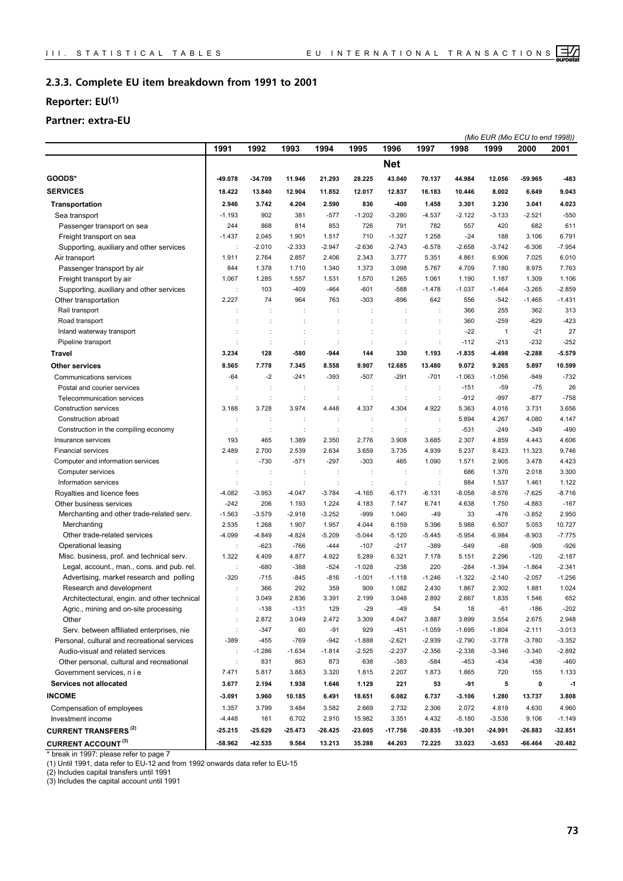#### **Complete EU item breakdown from 1991 to 2001 2.3.3.**

## **Reporter: EU(1)**

## **Partner: extra-EU**

|                                              |                      |                      |          |           |                |                      |           |          | (Mio EUR (Mio ECU to end 1998)) |           |           |
|----------------------------------------------|----------------------|----------------------|----------|-----------|----------------|----------------------|-----------|----------|---------------------------------|-----------|-----------|
|                                              | 1991                 | 1992                 | 1993     | 1994      | 1995           | 1996                 | 1997      | 1998     | 1999                            | 2000      | 2001      |
|                                              |                      |                      |          |           |                | <b>Net</b>           |           |          |                                 |           |           |
| GOODS*                                       | 49.078               | -34.709              | 11.946   | 21.293    | 28.225         | 43.040               | 70.137    | 44.984   | 12.056                          | 59.965    | -483      |
| <b>SERVICES</b>                              | 18.422               | 13.840               | 12.904   | 11.852    | 12.017         | 12.837               | 16.183    | 10.446   | 8.002                           | 6.649     | 9.043     |
| <b>Transportation</b>                        | 2.946                | 3.742                | 4.204    | 2.590     | 836            | -400                 | 1.458     | 3.301    | 3.230                           | 3.041     | 4.023     |
| Sea transport                                | $-1.193$             | 902                  | 381      | $-577$    | $-1.202$       | $-3.280$             | $-4.537$  | $-2.122$ | $-3.133$                        | $-2.521$  | $-550$    |
| Passenger transport on sea                   | 244                  | 868                  | 814      | 853       | 726            | 791                  | 782       | 557      | 420                             | 682       | 611       |
| Freight transport on sea                     | $-1.437$             | 2.045                | 1.901    | 1.517     | 710            | $-1.327$             | 1.258     | $-24$    | 188                             | 3.106     | 6.791     |
| Supporting, auxiliary and other services     |                      | $-2.010$             | $-2.333$ | $-2.947$  | $-2.636$       | $-2.743$             | $-6.578$  | $-2.658$ | $-3.742$                        | $-6.306$  | $-7.954$  |
| Air transport                                | 1.911                | 2.764                | 2.857    | 2.406     | 2.343          | 3.777                | 5.351     | 4.861    | 6.906                           | 7.025     | 6.010     |
| Passenger transport by air                   | 844                  | 1.378                | 1.710    | 1.340     | 1.373          | 3.098                | 5.767     | 4.709    | 7.180                           | 8.975     | 7.763     |
| Freight transport by air                     | 1.067                | 1.285                | 1.557    | 1.531     | 1.570          | 1.265                | 1.061     | 1.190    | 1.187                           | 1.309     | 1.106     |
| Supporting, auxiliary and other services     |                      | 103                  | $-409$   | $-464$    | $-601$         | $-588$               | $-1.478$  | $-1.037$ | $-1.464$                        | $-3.265$  | $-2.859$  |
| Other transportation                         | 2.227                | 74                   | 964      | 763       | $-303$         | $-896$               | 642       | 556      | $-542$                          | $-1.465$  | $-1.431$  |
| Rail transport                               |                      | $\ddot{\phantom{a}}$ | ÷        | ÷         | ÷              | $\ddot{\phantom{a}}$ | ÷         | 366      | 255                             | 362       | 313       |
| Road transport                               |                      |                      |          |           |                |                      |           | 360      | $-259$                          | $-629$    | $-423$    |
| Inland waterway transport                    |                      |                      | ÷        | t         | ÷              | ÷                    | ÷         | $-22$    | $\mathbf{1}$                    | $-21$     | 27        |
| Pipeline transport                           |                      | $\ddot{\phantom{a}}$ | t        | ÷         | t              | ÷                    | ÷         | $-112$   | $-213$                          | $-232$    | $-252$    |
| Travel                                       | 3.234                | 128                  | -580     | $-944$    | 144            | 330                  | 1.193     | $-1.835$ | -4.498                          | $-2.288$  | $-5.579$  |
| <b>Other services</b>                        | 8.565                | 7.778                | 7.345    | 8.558     | 9.907          | 12.685               | 13.480    | 9.072    | 9.265                           | 5.897     | 10.599    |
| Communications services                      | $-64$                | $-2$                 | $-241$   | $-393$    | $-507$         | $-291$               | $-701$    | $-1.063$ | $-1.056$                        | $-949$    | $-732$    |
| Postal and courier services                  | ÷                    | ÷                    | t        | t         |                |                      | ÷         | $-151$   | $-59$                           | $-75$     | 26        |
| Telecommunication services                   | ÷                    | ÷                    | ÷        | ÷         | ÷              | $\ddot{\phantom{a}}$ | ÷         | $-912$   | $-997$                          | $-877$    | $-758$    |
| Construction services                        | 3.188                | 3.728                | 3.974    | 4.448     | 4.337          | 4.304                | 4.922     | 5.363    | 4.016                           | 3.731     | 3.656     |
| Construction abroad                          |                      |                      | t        | ÷         |                |                      | ÷         | 5.894    | 4.267                           | 4.080     | 4.147     |
| Construction in the compiling economy        | ÷                    | ÷                    | ÷        | ÷         | ÷              | $\ddot{\phantom{a}}$ | ÷         | $-531$   | $-249$                          | $-349$    | $-490$    |
| Insurance services                           | 193                  | 465                  | 1.389    | 2.350     | 2.776          | 3.908                | 3.685     | 2.307    | 4.859                           | 4.443     | 4.606     |
| <b>Financial services</b>                    | 2.489                | 2.700                | 2.539    | 2.634     | 3.659          | 3.735                | 4.939     | 5.237    | 8.423                           | 11.323    | 9.746     |
| Computer and information services            |                      | $-730$               | $-571$   | $-297$    | $-303$         | 465                  | 1.090     | 1.571    | 2.905                           | 3.478     | 4.423     |
| Computer services                            |                      | Ĵ.                   |          | ÷         | t              | $\cdot$              | ÷         | 686      | 1.370                           | 2.018     | 3.300     |
| Information services                         |                      | ÷                    | ÷        | ÷         | $\ddot{\cdot}$ | $\ddot{\phantom{a}}$ | ÷         | 884      | 1.537                           | 1.461     | 1.122     |
| Royalties and licence fees                   | $-4.082$             | $-3.953$             | $-4.047$ | $-3.784$  | $-4.165$       | -6.171               | $-6.131$  | $-8.058$ | $-8.576$                        | $-7.625$  | $-8.716$  |
| Other business services                      | $-242$               | 206                  | 1.193    | 1.224     | 4.183          | 7.147                | 6.741     | 4.638    | 1.750                           | $-4.883$  | $-167$    |
| Merchanting and other trade-related serv.    | $-1.563$             | $-3.579$             | $-2.918$ | $-3.252$  | $-999$         | 1.040                | -49       | 33       | $-476$                          | $-3.852$  | 2.950     |
| Merchanting                                  | 2.535                | 1.268                | 1.907    | 1.957     | 4.044          | 6.159                | 5.396     | 5.988    | 6.507                           | 5.053     | 10.727    |
| Other trade-related services                 | $-4.099$             | $-4.849$             | $-4.824$ | $-5.209$  | $-5.044$       | $-5.120$             | $-5.445$  | -5.954   | $-6.984$                        | $-8.903$  | $-7.775$  |
| Operational leasing                          | ÷                    | $-623$               | $-766$   | $-444$    | $-107$         | $-217$               | $-389$    | $-549$   | $-68$                           | $-909$    | $-926$    |
| Misc. business, prof. and technical serv.    | 1.322                | 4.409                | 4.877    | 4.922     | 5.289          | 6.321                | 7.178     | 5.151    | 2.296                           | $-120$    | $-2.187$  |
| Legal, account., man., cons. and pub. rel.   | $\ddot{\phantom{a}}$ | $-680$               | $-388$   | $-524$    | $-1.028$       | $-238$               | 220       | $-284$   | $-1.394$                        | $-1.864$  | $-2.341$  |
| Advertising, market research and polling     | $-320$               | $-715$               | $-845$   | $-816$    | $-1.001$       | -1.118               | $-1.246$  | $-1.322$ | $-2.140$                        | $-2.057$  | $-1.256$  |
| Research and development                     |                      | 366                  | 292      | 359       | 909            | 1.082                | 2.430     | 1.867    | 2.302                           | 1.881     | 1.024     |
| Architectectural, engin. and other technical |                      | 3.049                | 2.836    | 3.391     | 2.199          | 3.048                | 2.892     | 2.667    | 1.835                           | 1.546     | 652       |
| Agric., mining and on-site processing        | $\ddot{\phantom{a}}$ | $-138$               | $-131$   | 129       | $-29$          | $-49$                | 54        | 18       | $-61$                           | -186      | $-202$    |
| Other                                        | $\ddot{\phantom{a}}$ | 2.872                | 3.049    | 2.472     | 3.309          | 4.047                | 3.887     | 3.899    | 3.554                           | 2.675     | 2.948     |
| Serv. between affiliated enterprises, nie    | $\ddot{\phantom{a}}$ | $-347$               | 60       | $-91$     | 929            | $-451$               | $-1.059$  | $-1.695$ | $-1.804$                        | $-2.111$  | $-3.013$  |
| Personal, cultural and recreational services | -389                 | $-455$               | -769     | $-942$    | $-1.888$       | $-2.621$             | $-2.939$  | -2.790   | $-3.778$                        | $-3.780$  | $-3.352$  |
| Audio-visual and related services            | ÷                    | $-1.286$             | $-1.634$ | -1.814    | $-2.525$       | $-2.237$             | $-2.356$  | $-2.338$ | $-3.346$                        | $-3.340$  | $-2.892$  |
| Other personal, cultural and recreational    | $\ddot{\phantom{a}}$ | 831                  | 863      | 873       | 638            | $-383$               | $-584$    | $-453$   | $-434$                          | -438      | $-460$    |
| Government services, n i e                   | 7.471                | 5.817                | 3.883    | 3.320     | 1.815          | 2.207                | 1.873     | 1.865    | 720                             | 155       | 1.133     |
| <b>Services not allocated</b>                | 3.677                | 2.194                | 1.938    | 1.646     | 1.129          | 221                  | 53        | $-91$    | 5                               | 0         | $-1$      |
| <b>INCOME</b>                                | $-3.091$             | 3.960                | 10.185   | 6.491     | 18.651         | 6.082                | 6.737     | $-3.106$ | 1.280                           | 13.737    | 3.808     |
| Compensation of employees                    | 1.357                | 3.799                | 3.484    | 3.582     | 2.669          | 2.732                | 2.306     | 2.072    | 4.819                           | 4.630     | 4.960     |
| Investment income                            | $-4.448$             | 161                  | 6.702    | 2.910     | 15.982         | 3.351                | 4.432     | -5.180   | $-3.538$                        | 9.106     | $-1.149$  |
| <b>CURRENT TRANSFERS<sup>(2)</sup></b>       | $-25.215$            | -25.629              | -25.473  | $-26.425$ | -23.605        | $-17.756$            | $-20.835$ | -19.301  | -24.991                         | $-26.883$ | $-32.851$ |
| <b>CURRENT ACCOUNT (3)</b>                   | 58.962               | 42.535               | 9.564    | 13.213    | 35.288         | 44.203               | 72.225    | 33.023   | $-3.653$                        | -66.464   | $-20.482$ |

\* break in 1997: please refer to page 7

(1) Until 1991, data refer to EU-12 and from 1992 onwards data refer to EU-15

(2) Includes capital transfers until 1991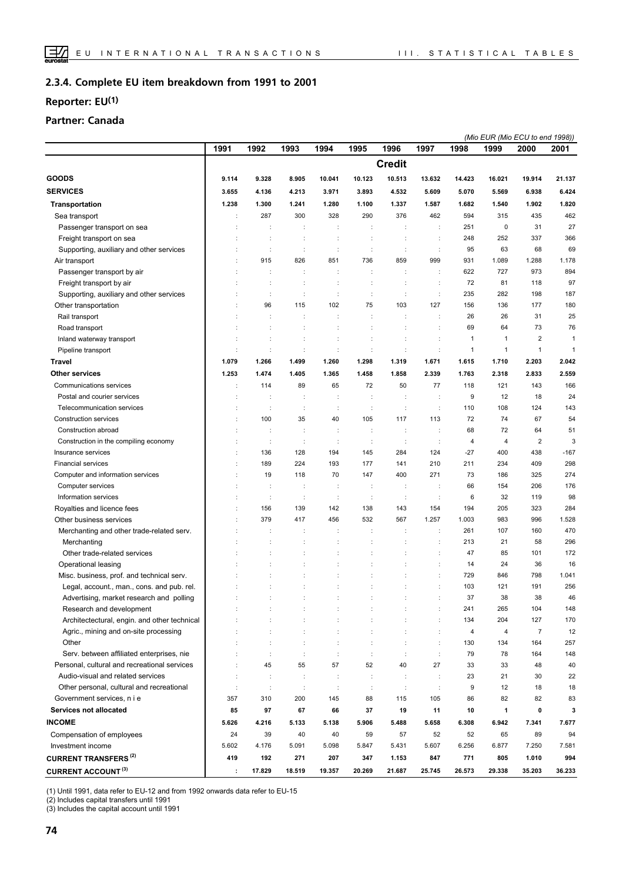#### **Complete EU item breakdown from 1991 to 2001 2.3.4.**

## **Reporter: EU(1)**

## **Partner: Canada**

|                                                                      |          |                      |               |                      |               |                      |                      |               |               | (Mio EUR (Mio ECU to end 1998)) |               |  |
|----------------------------------------------------------------------|----------|----------------------|---------------|----------------------|---------------|----------------------|----------------------|---------------|---------------|---------------------------------|---------------|--|
|                                                                      | 1991     | 1992                 | 1993          | 1994                 | 1995          | 1996                 | 1997                 | 1998          | 1999          | 2000                            | 2001          |  |
|                                                                      |          |                      |               |                      |               | <b>Credit</b>        |                      |               |               |                                 |               |  |
| <b>GOODS</b>                                                         | 9.114    | 9.328                | 8.905         | 10.041               | 10.123        | 10.513               | 13.632               | 14.423        | 16.021        | 19.914                          | 21.137        |  |
| <b>SERVICES</b>                                                      | 3.655    | 4.136                | 4.213         | 3.971                | 3.893         | 4.532                | 5.609                | 5.070         | 5.569         | 6.938                           | 6.424         |  |
| <b>Transportation</b>                                                | 1.238    | 1.300                | 1.241         | 1.280                | 1.100         | 1.337                | 1.587                | 1.682         | 1.540         | 1.902                           | 1.820         |  |
| Sea transport                                                        |          | 287                  | 300           | 328                  | 290           | 376                  | 462                  | 594           | 315           | 435                             | 462           |  |
| Passenger transport on sea                                           |          | ÷                    | ÷             | ÷                    |               | ÷                    | ÷                    | 251           | $\mathbf 0$   | 31                              | 27            |  |
| Freight transport on sea                                             |          | $\ddot{\phantom{a}}$ | ÷             | $\ddot{\cdot}$       | ÷             | ÷                    | $\ddot{\phantom{a}}$ | 248           | 252           | 337                             | 366           |  |
| Supporting, auxiliary and other services                             |          | ÷                    | ÷             | ÷                    | ÷             | ÷                    | ÷                    | 95            | 63            | 68                              | 69            |  |
| Air transport                                                        |          | 915                  | 826           | 851                  | 736           | 859                  | 999                  | 931           | 1.089         | 1.288                           | 1.178         |  |
| Passenger transport by air                                           |          | ÷                    | ÷             | ÷                    | ÷             | $\ddot{\phantom{a}}$ | $\ddot{\phantom{a}}$ | 622           | 727           | 973                             | 894           |  |
| Freight transport by air                                             |          |                      |               |                      |               | $\ddot{\phantom{a}}$ | $\ddot{\phantom{a}}$ | 72            | 81            | 118                             | 97            |  |
| Supporting, auxiliary and other services                             |          | ÷                    | ÷             | ÷                    | ÷             | ÷                    | ÷                    | 235           | 282           | 198                             | 187           |  |
| Other transportation                                                 |          | 96                   | 115           | 102                  | 75            | 103                  | 127                  | 156           | 136           | 177                             | 180           |  |
| Rail transport                                                       |          | $\ddot{\phantom{a}}$ | ÷             | ÷                    | ÷             | ÷                    | $\ddot{\phantom{a}}$ | 26            | 26            | 31                              | 25            |  |
| Road transport                                                       |          | ÷                    | ÷             | ÷                    | ÷             | ÷                    | $\ddot{\cdot}$       | 69            | 64            | 73                              | 76            |  |
| Inland waterway transport                                            |          | ÷                    | ÷             | ÷                    |               |                      | $\ddot{\phantom{a}}$ | 1             | $\mathbf{1}$  | $\overline{\mathbf{c}}$         | 1             |  |
|                                                                      |          | ÷                    | ÷             | ÷                    | ċ             | $\ddot{\phantom{a}}$ | $\ddot{\phantom{a}}$ | $\mathbf{1}$  | $\mathbf{1}$  | $\mathbf{1}$                    | $\mathbf{1}$  |  |
| Pipeline transport                                                   |          |                      |               |                      |               |                      |                      |               |               |                                 |               |  |
| <b>Travel</b>                                                        | 1.079    | 1.266                | 1.499         | 1.260                | 1.298         | 1.319                | 1.671                | 1.615         | 1.710         | 2.203                           | 2.042         |  |
| <b>Other services</b>                                                | 1.253    | 1.474                | 1.405         | 1.365                | 1.458         | 1.858                | 2.339                | 1.763         | 2.318         | 2.833                           | 2.559         |  |
| Communications services                                              |          | 114                  | 89            | 65                   | 72            | 50                   | 77                   | 118           | 121           | 143                             | 166           |  |
| Postal and courier services                                          |          | ÷                    | ÷             | ÷                    | ÷             | $\ddot{\cdot}$       | ÷                    | 9             | 12            | 18                              | 24            |  |
| Telecommunication services                                           |          | $\cdot$              | ÷             | ÷                    | ÷             | $\ddot{\phantom{a}}$ | $\ddot{\phantom{a}}$ | 110           | 108           | 124                             | 143           |  |
| Construction services                                                | ÷        | 100                  | 35            | 40                   | 105           | 117                  | 113                  | 72            | 74            | 67                              | 54            |  |
| Construction abroad                                                  |          |                      |               | t                    |               | $\ddot{\phantom{a}}$ | $\ddot{\phantom{a}}$ | 68            | 72            | 64                              | 51            |  |
| Construction in the compiling economy                                |          | $\ddot{\phantom{a}}$ | ÷             | t                    | ÷             | ÷                    | ÷                    | 4             | 4             | $\overline{2}$                  | 3             |  |
| Insurance services                                                   |          | 136                  | 128           | 194                  | 145           | 284                  | 124                  | $-27$         | 400           | 438                             | $-167$        |  |
| <b>Financial services</b>                                            |          | 189                  | 224           | 193                  | 177           | 141                  | 210                  | 211           | 234           | 409                             | 298           |  |
| Computer and information services                                    |          | 19                   | 118           | 70                   | 147           | 400                  | 271                  | 73            | 186           | 325                             | 274           |  |
| Computer services                                                    |          | $\ddot{\phantom{a}}$ | ÷             | ÷                    | ÷             | $\ddot{\phantom{a}}$ | $\ddot{\phantom{a}}$ | 66            | 154           | 206                             | 176           |  |
| Information services                                                 |          | ÷                    | ÷             | ÷                    | ÷             | $\ddot{\phantom{a}}$ | ÷                    | 6             | 32            | 119                             | 98            |  |
| Royalties and licence fees                                           |          | 156                  | 139           | 142                  | 138           | 143                  | 154                  | 194           | 205           | 323                             | 284           |  |
| Other business services                                              |          | 379                  | 417           | 456                  | 532           | 567                  | 1.257                | 1.003         | 983           | 996                             | 1.528         |  |
| Merchanting and other trade-related serv.                            |          |                      | ÷             |                      |               | ÷                    | $\ddot{\phantom{a}}$ | 261           | 107           | 160                             | 470           |  |
| Merchanting                                                          |          | ÷                    | ÷             | ÷                    |               | $\ddot{\phantom{a}}$ | ÷                    | 213           | 21            | 58                              | 296           |  |
| Other trade-related services                                         |          |                      |               |                      |               |                      |                      | 47            | 85            | 101                             | 172           |  |
| Operational leasing                                                  |          |                      |               |                      |               |                      | $\ddot{\phantom{a}}$ | 14            | 24            | 36                              | 16            |  |
| Misc. business, prof. and technical serv.                            |          |                      |               | ÷                    |               |                      | $\vdots$             | 729           | 846           | 798                             | 1.041         |  |
| Legal, account., man., cons. and pub. rel.                           |          |                      | ÷             | $\ddot{\phantom{a}}$ |               |                      | $\ddot{\phantom{a}}$ | 103           | 121           | 191                             | 256           |  |
| Advertising, market research and polling                             |          |                      |               |                      |               |                      |                      | 37            | 38            | 38                              | 46            |  |
| Research and development                                             |          |                      |               |                      |               |                      | ÷                    | 241           | 265           | 104                             | 148           |  |
| Architectectural, engin. and other technical                         |          |                      |               |                      |               |                      | ÷                    | 134           | 204           | 127                             | 170           |  |
| Agric., mining and on-site processing                                |          |                      |               | $\ddot{\phantom{a}}$ |               |                      | ÷                    | 4             | 4             | $\overline{7}$                  | 12            |  |
| Other                                                                |          |                      |               | ÷                    |               |                      | $\ddot{\phantom{a}}$ | 130           | 134           | 164                             | 257           |  |
| Serv. between affiliated enterprises, nie                            |          | $\ddot{\phantom{a}}$ | ÷             | ÷                    | ÷             | $\cdot$              | ÷                    | 79            | 78            | 164                             | 148           |  |
| Personal, cultural and recreational services                         |          | 45                   | 55            | 57                   | 52            | 40                   | 27                   | 33            | 33            | 48                              | 40            |  |
| Audio-visual and related services                                    |          | ÷                    | ÷             | ÷                    | ÷             | ÷                    | $\ddot{\phantom{a}}$ | 23            | 21            | 30                              | 22            |  |
| Other personal, cultural and recreational                            | ÷        | $\cdot$              | ÷             | $\ddot{\phantom{a}}$ | ÷             | $\ddot{\phantom{a}}$ | ÷                    | 9             | 12            | 18                              | 18            |  |
| Government services, n i e                                           | 357      | 310                  | 200           | 145                  | 88            | 115                  | 105                  | 86            | 82            | 82                              | 83            |  |
| <b>Services not allocated</b>                                        | 85       | 97                   | 67            | 66                   | 37            | 19                   | 11                   | 10            | 1             | 0                               | 3             |  |
| <b>INCOME</b>                                                        | 5.626    | 4.216                | 5.133         | 5.138                | 5.906         | 5.488                | 5.658                | 6.308         | 6.942         | 7.341                           | 7.677         |  |
|                                                                      | 24       | 39                   | 40            | 40                   | 59            | 57                   | 52                   | 52            | 65            | 89                              | 94            |  |
| Compensation of employees<br>Investment income                       | 5.602    | 4.176                | 5.091         | 5.098                | 5.847         | 5.431                | 5.607                |               | 6.877         | 7.250                           | 7.581         |  |
|                                                                      |          |                      |               |                      |               |                      |                      | 6.256         |               |                                 |               |  |
| <b>CURRENT TRANSFERS<sup>(2)</sup></b><br><b>CURRENT ACCOUNT (3)</b> | 419<br>÷ | 192<br>17.829        | 271<br>18.519 | 207<br>19.357        | 347<br>20.269 | 1.153<br>21.687      | 847<br>25.745        | 771<br>26.573 | 805<br>29.338 | 1.010<br>35.203                 | 994<br>36.233 |  |
|                                                                      |          |                      |               |                      |               |                      |                      |               |               |                                 |               |  |

(1) Until 1991, data refer to EU-12 and from 1992 onwards data refer to EU-15

(2) Includes capital transfers until 1991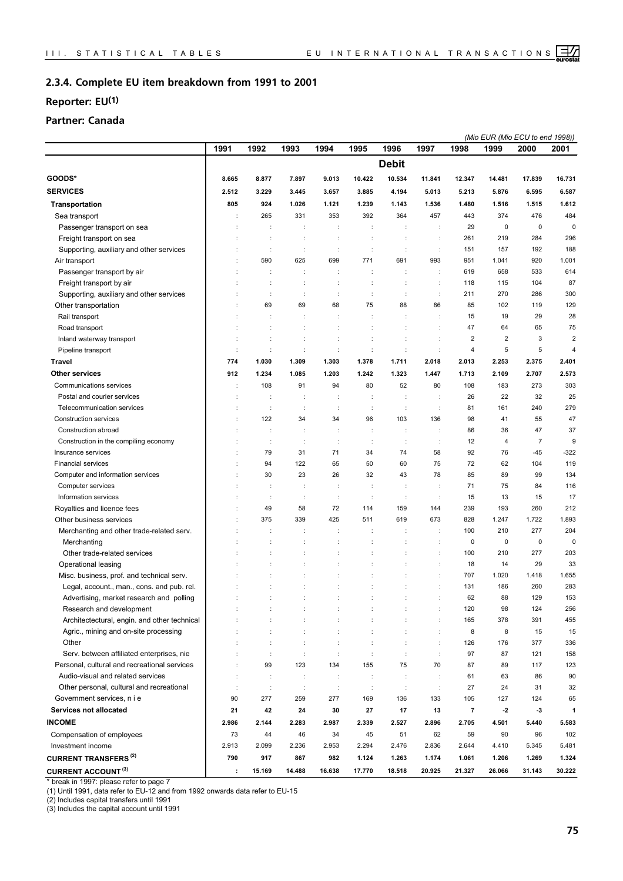#### **Complete EU item breakdown from 1991 to 2001 2.3.4.**

## **Reporter: EU(1)**

## **Partner: Canada**

|                                              |       |                      |                      |                      |                |                      |                      |                         |                | (Mio EUR (Mio ECU to end 1998)) |                |
|----------------------------------------------|-------|----------------------|----------------------|----------------------|----------------|----------------------|----------------------|-------------------------|----------------|---------------------------------|----------------|
|                                              | 1991  | 1992                 | 1993                 | 1994                 | 1995           | 1996                 | 1997                 | 1998                    | 1999           | 2000                            | 2001           |
|                                              |       |                      |                      |                      |                | <b>Debit</b>         |                      |                         |                |                                 |                |
| GOODS*                                       | 8.665 | 8.877                | 7.897                | 9.013                | 10.422         | 10.534               | 11.841               | 12.347                  | 14.481         | 17.839                          | 16.731         |
| <b>SERVICES</b>                              | 2.512 | 3.229                | 3.445                | 3.657                | 3.885          | 4.194                | 5.013                | 5.213                   | 5.876          | 6.595                           | 6.587          |
| <b>Transportation</b>                        | 805   | 924                  | 1.026                | 1.121                | 1.239          | 1.143                | 1.536                | 1.480                   | 1.516          | 1.515                           | 1.612          |
| Sea transport                                |       | 265                  | 331                  | 353                  | 392            | 364                  | 457                  | 443                     | 374            | 476                             | 484            |
| Passenger transport on sea                   |       | ÷                    |                      | ÷                    |                | ÷                    | ÷                    | 29                      | 0              | $\mathbf 0$                     | $\mathbf 0$    |
| Freight transport on sea                     |       |                      |                      |                      |                | $\ddot{\cdot}$       | $\ddot{\phantom{a}}$ | 261                     | 219            | 284                             | 296            |
| Supporting, auxiliary and other services     |       | ÷                    | ÷                    | ÷                    | ÷              | ÷                    | $\ddot{\phantom{a}}$ | 151                     | 157            | 192                             | 188            |
| Air transport                                |       | 590                  | 625                  | 699                  | 771            | 691                  | 993                  | 951                     | 1.041          | 920                             | 1.001          |
| Passenger transport by air                   |       | ÷                    | ÷                    | ÷                    | ÷              | ÷                    | ÷                    | 619                     | 658            | 533                             | 614            |
| Freight transport by air                     |       |                      |                      | t                    |                | ÷                    | $\ddot{\cdot}$       | 118                     | 115            | 104                             | 87             |
| Supporting, auxiliary and other services     |       | ÷                    | ÷                    | ÷                    | ÷              | ÷                    | ÷                    | 211                     | 270            | 286                             | 300            |
| Other transportation                         |       | 69                   | 69                   | 68                   | 75             | 88                   | 86                   | 85                      | 102            | 119                             | 129            |
| Rail transport                               |       |                      |                      | ÷                    |                |                      | ÷                    | 15                      | 19             | 29                              | 28             |
| Road transport                               |       |                      |                      | t                    | t              | t                    | $\ddot{\phantom{a}}$ | 47                      | 64             | 65                              | 75             |
| Inland waterway transport                    |       |                      |                      | t                    | ÷              |                      |                      | 2                       | $\overline{2}$ | 3                               | $\overline{2}$ |
| Pipeline transport                           | ÷     | $\ddot{\phantom{a}}$ | $\ddot{\phantom{a}}$ | ÷                    | ÷              | ÷                    | ÷                    | 4                       | 5              | 5                               | 4              |
| Travel                                       | 774   | 1.030                | 1.309                | 1.303                | 1.378          | 1.711                | 2.018                | 2.013                   | 2.253          | 2.375                           | 2.401          |
| <b>Other services</b>                        | 912   | 1.234                | 1.085                | 1.203                | 1.242          | 1.323                | 1.447                | 1.713                   | 2.109          | 2.707                           | 2.573          |
| Communications services                      |       | 108                  | 91                   | 94                   | 80             | 52                   | 80                   | 108                     | 183            | 273                             | 303            |
| Postal and courier services                  |       |                      | ÷                    | ÷                    | ÷              | ÷                    | ÷                    | 26                      | 22             | 32                              | 25             |
| Telecommunication services                   |       |                      | ÷                    | ÷                    | $\ddot{\cdot}$ | $\ddot{\cdot}$       |                      | 81                      | 161            | 240                             | 279            |
| Construction services                        |       | 122                  | 34                   | 34                   | 96             | 103                  | 136                  | 98                      | 41             | 55                              | 47             |
| Construction abroad                          |       |                      | ÷                    | ÷                    | ÷              | ÷                    | $\ddot{\cdot}$       | 86                      | 36             | 47                              | 37             |
| Construction in the compiling economy        |       | ÷                    | ÷                    | ÷                    | ÷              | ÷                    | ÷                    | 12                      | 4              | $\overline{7}$                  | 9              |
| Insurance services                           |       | 79                   | 31                   | 71                   | 34             | 74                   | 58                   | 92                      | 76             | -45                             | $-322$         |
| <b>Financial services</b>                    |       | 94                   | 122                  | 65                   | 50             | 60                   | 75                   | 72                      | 62             | 104                             | 119            |
| Computer and information services            |       | 30                   | 23                   | 26                   | 32             | 43                   | 78                   | 85                      | 89             | 99                              | 134            |
| Computer services                            |       |                      |                      | ÷                    |                |                      | $\ddot{\phantom{a}}$ | 71                      | 75             | 84                              | 116            |
| Information services                         |       | ÷                    | ÷                    | ÷                    | ÷              | ÷                    | ÷                    | 15                      | 13             | 15                              | 17             |
| Royalties and licence fees                   |       | 49                   | 58                   | 72                   | 114            | 159                  | 144                  | 239                     | 193            | 260                             | 212            |
| Other business services                      |       | 375                  | 339                  | 425                  | 511            | 619                  | 673                  | 828                     | 1.247          | 1.722                           | 1.893          |
| Merchanting and other trade-related serv.    |       |                      | ÷                    | ÷                    | ÷              | ÷                    | ÷                    | 100                     | 210            | 277                             | 204            |
| Merchanting                                  |       |                      | ÷                    | ÷                    | t              | t                    | ÷                    | 0                       | 0              | $\mathbf 0$                     | $\mathbf 0$    |
| Other trade-related services                 |       |                      |                      | ÷                    | ÷              |                      | ÷                    | 100                     | 210            | 277                             | 203            |
| Operational leasing                          |       |                      |                      |                      |                |                      | $\ddot{\phantom{a}}$ | 18                      | 14             | 29                              | 33             |
| Misc. business, prof. and technical serv.    |       |                      |                      |                      |                |                      | ÷                    | 707                     | 1.020          | 1.418                           | 1.655          |
| Legal, account., man., cons. and pub. rel.   |       |                      |                      | t                    | ÷              |                      |                      | 131                     | 186            | 260                             | 283            |
| Advertising, market research and polling     |       |                      |                      |                      |                |                      |                      | 62                      | 88             | 129                             | 153            |
| Research and development                     |       |                      |                      | ÷                    |                |                      | ÷                    | 120                     | 98             | 124                             | 256            |
| Architectectural, engin. and other technical |       |                      |                      | ÷                    |                |                      | ÷                    | 165                     | 378            | 391                             | 455            |
| Agric., mining and on-site processing        |       |                      |                      | ÷                    | $\ddot{\cdot}$ | ÷                    | ÷                    | 8                       | 8              | 15                              | 15             |
| Other                                        |       |                      |                      | $\ddot{\phantom{a}}$ | $\ddot{\cdot}$ | $\ddot{\cdot}$       | ÷                    | 126                     | 176            | 377                             | 336            |
| Serv. between affiliated enterprises, nie    |       | ÷                    | ÷                    | ÷                    | ÷              | ÷                    | ÷                    | 97                      | 87             | 121                             | 158            |
| Personal, cultural and recreational services |       | 99                   | 123                  | 134                  | 155            | 75                   | 70                   | 87                      | 89             | 117                             | 123            |
| Audio-visual and related services            |       | ÷                    | ÷                    | $\ddot{\phantom{a}}$ | ÷              | ÷                    | $\ddot{\phantom{a}}$ | 61                      | 63             | 86                              | 90             |
| Other personal, cultural and recreational    |       | $\ddot{\phantom{a}}$ | $\ddot{\cdot}$       | $\ddot{\phantom{a}}$ | $\sim$         | $\ddot{\phantom{a}}$ | $\ddot{\phantom{a}}$ | 27                      | 24             | 31                              | 32             |
| Government services, n i e                   | 90    | 277                  | 259                  | 277                  | 169            | 136                  | 133                  | 105                     | 127            | 124                             | 65             |
| <b>Services not allocated</b>                | 21    | 42                   | 24                   | 30                   | 27             | 17                   | 13                   | $\overline{\mathbf{7}}$ | $\cdot$        | $-3$                            | 1              |
| <b>INCOME</b>                                | 2.986 | 2.144                | 2.283                | 2.987                | 2.339          | 2.527                | 2.896                | 2.705                   | 4.501          | 5.440                           | 5.583          |
| Compensation of employees                    | 73    | 44                   | 46                   | 34                   | 45             | 51                   | 62                   | 59                      | 90             | 96                              | 102            |
| Investment income                            | 2.913 | 2.099                | 2.236                | 2.953                | 2.294          | 2.476                | 2.836                | 2.644                   | 4.410          | 5.345                           | 5.481          |
| <b>CURRENT TRANSFERS<sup>(2)</sup></b>       | 790   | 917                  | 867                  | 982                  | 1.124          | 1.263                | 1.174                | 1.061                   | 1.206          | 1.269                           | 1.324          |
| <b>CURRENT ACCOUNT (3)</b>                   | ÷     | 15.169               | 14.488               | 16.638               | 17.770         | 18.518               | 20.925               | 21.327                  | 26.066         | 31.143                          | 30.222         |
|                                              |       |                      |                      |                      |                |                      |                      |                         |                |                                 |                |

\* break in 1997: please refer to page 7

(1) Until 1991, data refer to EU-12 and from 1992 onwards data refer to EU-15

(2) Includes capital transfers until 1991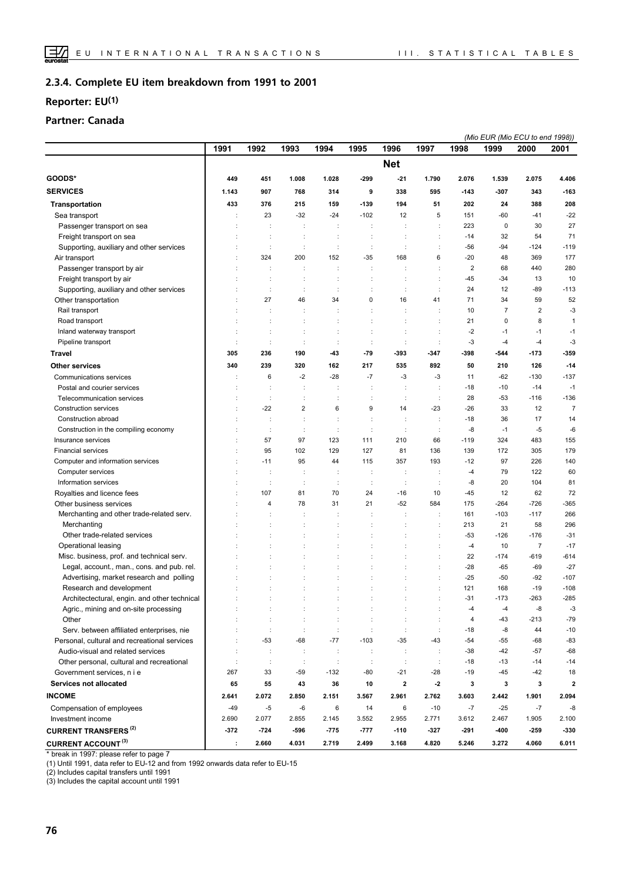#### **Complete EU item breakdown from 1991 to 2001 2.3.4.**

## **Reporter: EU(1)**

## **Partner: Canada**

|                                                                                        |        |                      |                      |                      |                      |                      |                                              |                | (Mio EUR (Mio ECU to end 1998)) |                          |                 |
|----------------------------------------------------------------------------------------|--------|----------------------|----------------------|----------------------|----------------------|----------------------|----------------------------------------------|----------------|---------------------------------|--------------------------|-----------------|
|                                                                                        | 1991   | 1992                 | 1993                 | 1994                 | 1995                 | 1996                 | 1997                                         | 1998           | 1999                            | 2000                     | 2001            |
|                                                                                        |        |                      |                      |                      |                      | <b>Net</b>           |                                              |                |                                 |                          |                 |
| GOODS*                                                                                 | 449    | 451                  | 1.008                | 1.028                | $-299$               | $-21$                | 1.790                                        | 2.076          | 1.539                           | 2.075                    | 4.406           |
| <b>SERVICES</b>                                                                        | 1.143  | 907                  | 768                  | 314                  | 9                    | 338                  | 595                                          | -143           | -307                            | 343                      | $-163$          |
| <b>Transportation</b>                                                                  | 433    | 376                  | 215                  | 159                  | $-139$               | 194                  | 51                                           | 202            | 24                              | 388                      | 208             |
| Sea transport                                                                          | ÷      | 23                   | $-32$                | $-24$                | $-102$               | 12                   | 5                                            | 151            | $-60$                           | $-41$                    | $-22$           |
| Passenger transport on sea                                                             |        |                      | ÷                    |                      |                      |                      |                                              | 223            | $\mathbf 0$                     | 30                       | 27              |
| Freight transport on sea                                                               |        |                      | t                    | ÷                    |                      |                      | ÷                                            | $-14$          | 32                              | 54                       | 71              |
| Supporting, auxiliary and other services                                               |        | ÷                    | $\ddot{\phantom{a}}$ | ÷                    | $\ddot{\phantom{a}}$ | $\ddot{\phantom{a}}$ | ÷                                            | $-56$          | -94                             | $-124$                   | $-119$          |
| Air transport                                                                          |        | 324                  | 200                  | 152                  | $-35$                | 168                  | 6                                            | $-20$          | 48                              | 369                      | 177             |
| Passenger transport by air                                                             | ÷      | ÷                    | ÷                    | ÷                    | $\ddot{\cdot}$       |                      | $\ddot{\phantom{a}}$                         | $\overline{2}$ | 68                              | 440                      | 280             |
| Freight transport by air                                                               |        | t                    | t                    | ÷                    | t                    | t                    | $\ddot{\phantom{a}}$                         | $-45$          | $-34$                           | 13                       | 10              |
| Supporting, auxiliary and other services                                               |        | ÷                    | ÷                    | ÷                    |                      | $\ddot{\phantom{a}}$ |                                              | 24             | 12                              | -89                      | $-113$          |
| Other transportation                                                                   |        | 27                   | 46                   | 34                   | 0                    | 16                   | 41                                           | 71             | 34                              | 59                       | 52              |
| Rail transport                                                                         |        |                      | t                    | $\ddot{\phantom{a}}$ |                      | $\ddot{\cdot}$       | $\ddot{\phantom{a}}$                         | 10             | $\overline{7}$                  | $\overline{2}$           | $-3$            |
| Road transport                                                                         |        |                      | ÷                    |                      |                      |                      | $\ddot{\phantom{a}}$                         | 21             | $\mathbf 0$                     | 8                        | $\mathbf{1}$    |
| Inland waterway transport                                                              | ÷      |                      | ÷                    | $\ddot{\phantom{a}}$ | ÷                    | $\ddot{\cdot}$       | $\ddot{\phantom{a}}$                         | $-2$           | -1                              | $-1$                     | $-1$            |
| Pipeline transport                                                                     |        | $\ddot{\phantom{a}}$ | t                    | ċ                    |                      | $\ddot{\phantom{a}}$ | $\vdots$                                     | -3             | $-4$                            | $-4$                     | $-3$            |
| <b>Travel</b>                                                                          | 305    | 236                  | 190                  | -43                  | -79                  | -393                 | $-347$                                       | -398           | -544                            | $-173$                   | -359            |
| <b>Other services</b>                                                                  | 340    | 239                  | 320                  | 162                  | 217                  | 535                  | 892                                          | 50             | 210                             | 126                      | $-14$           |
| Communications services                                                                |        | 6                    | $-2$                 | $-28$                | $-7$                 | $-3$                 | $-3$                                         | 11             | $-62$                           | $-130$                   | $-137$          |
| Postal and courier services                                                            | ÷      | ÷                    | ÷                    | ÷                    |                      | $\ddot{\cdot}$       | $\ddot{\cdot}$                               | $-18$          | $-10$                           | $-14$                    | $-1$            |
| Telecommunication services                                                             |        | ÷                    | $\ddot{\cdot}$       | $\ddot{\phantom{a}}$ | $\ddot{\phantom{a}}$ | $\ddot{\phantom{a}}$ | $\ddot{\cdot}$                               | 28             | $-53$                           | $-116$                   | $-136$          |
| <b>Construction services</b>                                                           | ÷      | $-22$                | $\overline{2}$       | 6                    | 9                    | 14                   | -23                                          | -26            | 33                              | 12                       | $\overline{7}$  |
| Construction abroad                                                                    |        | ÷                    | ÷                    | ÷                    | t                    | ÷                    | $\ddot{\phantom{a}}$                         | $-18$          | 36                              | 17                       | 14              |
| Construction in the compiling economy                                                  |        | $\ddot{\phantom{a}}$ | $\ddot{\phantom{a}}$ | ċ                    |                      | $\ddot{\phantom{a}}$ | $\ddot{\phantom{a}}$                         | -8             | $-1$                            | $-5$                     | -6              |
| Insurance services                                                                     |        | 57                   | 97                   | 123                  | 111                  | 210                  | 66                                           | $-119$         | 324                             | 483                      | 155             |
| <b>Financial services</b>                                                              | ÷      | 95                   | 102                  | 129                  | 127                  | 81                   | 136                                          | 139            | 172                             | 305                      | 179             |
| Computer and information services                                                      |        | $-11$                | 95                   | 44                   | 115                  | 357                  | 193                                          | $-12$          | 97                              | 226                      | 140             |
| Computer services                                                                      |        | ÷                    | ÷                    | ÷                    | ÷                    | $\ddot{\phantom{a}}$ | $\ddot{\phantom{a}}$                         | $-4$           | 79                              | 122                      | 60              |
| Information services                                                                   | ÷      | $\ddot{\phantom{a}}$ | ÷                    | $\ddot{\phantom{a}}$ | ÷                    | ÷                    | $\ddot{\cdot}$                               | -8             | 20                              | 104                      | 81              |
| Royalties and licence fees                                                             |        | 107                  | 81                   | 70                   | 24                   | $-16$                | 10                                           | $-45$          | 12                              | 62                       | 72              |
| Other business services                                                                |        | $\overline{4}$       | 78                   | 31                   | 21                   | $-52$                | 584                                          | 175            | $-264$                          | $-726$                   | $-365$          |
| Merchanting and other trade-related serv.                                              |        |                      |                      |                      |                      |                      |                                              | 161            | $-103$                          | $-117$                   | 266             |
| Merchanting                                                                            |        |                      |                      |                      |                      |                      |                                              | 213            | 21                              | 58                       | 296             |
| Other trade-related services                                                           |        |                      |                      | ÷                    |                      | t                    | $\vdots$                                     | $-53$          | $-126$                          | $-176$                   | $-31$           |
| Operational leasing                                                                    |        |                      |                      | $\ddot{\phantom{a}}$ |                      |                      | $\ddot{\phantom{a}}$<br>$\ddot{\phantom{a}}$ | $-4$<br>22     | 10<br>$-174$                    | $\overline{7}$<br>$-619$ | $-17$<br>$-614$ |
| Misc. business, prof. and technical serv.                                              |        |                      |                      | ÷                    |                      | t                    | $\ddot{\cdot}$                               | $-28$          | $-65$                           | $-69$                    | $-27$           |
| Legal, account., man., cons. and pub. rel.<br>Advertising, market research and polling |        |                      |                      |                      |                      |                      |                                              | $-25$          | $-50$                           | $-92$                    | $-107$          |
| Research and development                                                               |        |                      | ÷                    | ÷                    | $\ddot{\phantom{a}}$ |                      | $\ddot{\phantom{a}}$                         | 121            | 168                             | $-19$                    | $-108$          |
| Architectectural, engin. and other technical                                           |        |                      |                      |                      |                      |                      |                                              | $-31$          | $-173$                          | $-263$                   | $-285$          |
| Agric., mining and on-site processing                                                  |        | ÷                    | ÷                    | ÷                    | ÷                    |                      | $\ddot{\phantom{a}}$                         | -4             | $-4$                            | -8                       | -3              |
| Other                                                                                  |        |                      |                      | $\ddot{\phantom{a}}$ |                      |                      | ÷                                            | 4              | $-43$                           | $-213$                   | $-79$           |
| Serv. between affiliated enterprises, nie                                              |        | ÷                    | $\ddot{\cdot}$       | ÷                    | $\ddot{\phantom{a}}$ | $\ddot{\phantom{a}}$ | ÷                                            | -18            | -8                              | 44                       | $-10$           |
| Personal, cultural and recreational services                                           |        | $-53$                | $-68$                | $-77$                | $-103$               | $-35$                | $-43$                                        | $-54$          | -55                             | $-68$                    | $-83$           |
| Audio-visual and related services                                                      | ÷      | ÷                    | ÷                    | ÷                    | ÷                    | $\ddot{\phantom{a}}$ | ÷                                            | $-38$          | $-42$                           | $-57$                    | $-68$           |
| Other personal, cultural and recreational                                              |        | $\ddot{\phantom{a}}$ | ÷                    | ÷                    | ÷                    | $\ddot{\phantom{a}}$ | $\ddot{\phantom{a}}$                         | $-18$          | $-13$                           | $-14$                    | $-14$           |
| Government services, n i e                                                             | 267    | 33                   | $-59$                | $-132$               | -80                  | $-21$                | -28                                          | $-19$          | $-45$                           | $-42$                    | 18              |
| Services not allocated                                                                 | 65     | 55                   | 43                   | 36                   | 10                   | 2                    | $-2$                                         | 3              | 3                               | 3                        | $\overline{2}$  |
| <b>INCOME</b>                                                                          | 2.641  | 2.072                | 2.850                | 2.151                | 3.567                | 2.961                | 2.762                                        | 3.603          | 2.442                           | 1.901                    | 2.094           |
| Compensation of employees                                                              | $-49$  | $-5$                 | -6                   | 6                    | 14                   | 6                    | $-10$                                        | $-7$           | $-25$                           | $-7$                     | -8              |
| Investment income                                                                      | 2.690  | 2.077                | 2.855                | 2.145                | 3.552                | 2.955                | 2.771                                        | 3.612          | 2.467                           | 1.905                    | 2.100           |
| <b>CURRENT TRANSFERS<sup>(2)</sup></b>                                                 |        |                      |                      |                      |                      |                      |                                              |                |                                 |                          |                 |
|                                                                                        | $-372$ | $-724$               | -596                 | $-775$               | $-777$               | $-110$               | $-327$                                       | -291           | -400                            | $-259$                   | -330            |
| <b>CURRENT ACCOUNT (3)</b>                                                             | ÷      | 2.660                | 4.031                | 2.719                | 2.499                | 3.168                | 4.820                                        | 5.246          | 3.272                           | 4.060                    | 6.011           |

\* break in 1997: please refer to page 7

(1) Until 1991, data refer to EU-12 and from 1992 onwards data refer to EU-15

(2) Includes capital transfers until 1991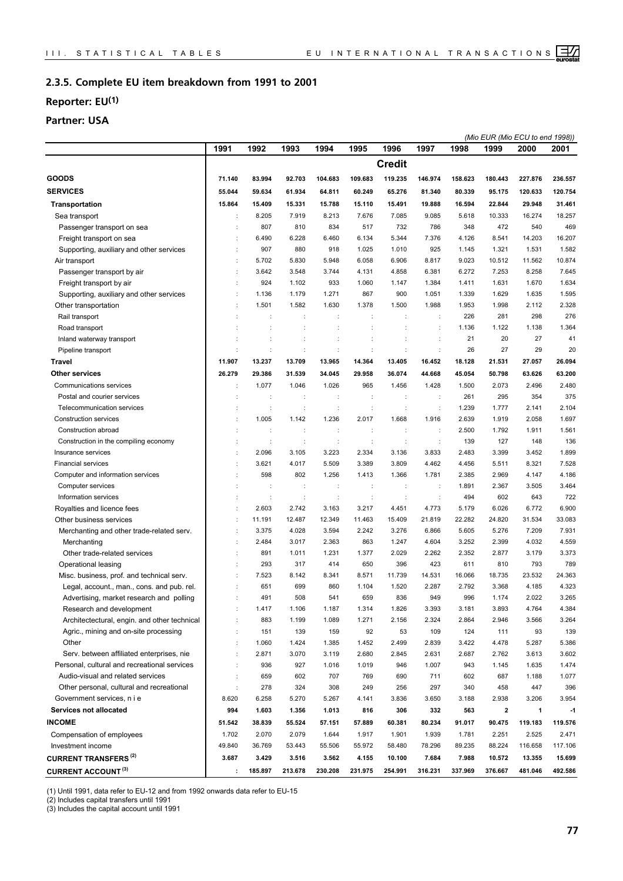#### **Complete EU item breakdown from 1991 to 2001 2.3.5.**

## **Reporter: EU(1)**

## **Partner: USA**

|                                              |                      |                      |         |         |                      |                |                      |         |          | (Mio EUR (Mio ECU to end 1998)) |         |
|----------------------------------------------|----------------------|----------------------|---------|---------|----------------------|----------------|----------------------|---------|----------|---------------------------------|---------|
|                                              | 1991                 | 1992                 | 1993    | 1994    | 1995                 | 1996           | 1997                 | 1998    | 1999     | 2000                            | 2001    |
|                                              |                      |                      |         |         |                      | <b>Credit</b>  |                      |         |          |                                 |         |
| <b>GOODS</b>                                 | 71.140               | 83.994               | 92.703  | 104.683 | 109.683              | 119.235        | 146.974              | 158.623 | 180.443  | 227.876                         | 236.557 |
| <b>SERVICES</b>                              | 55.044               | 59.634               | 61.934  | 64.811  | 60.249               | 65.276         | 81.340               | 80.339  | 95.175   | 120.633                         | 120.754 |
| <b>Transportation</b>                        | 15.864               | 15.409               | 15.331  | 15.788  | 15.110               | 15.491         | 19.888               | 16.594  | 22.844   | 29.948                          | 31.461  |
| Sea transport                                |                      | 8.205                | 7.919   | 8.213   | 7.676                | 7.085          | 9.085                | 5.618   | 10.333   | 16.274                          | 18.257  |
| Passenger transport on sea                   |                      | 807                  | 810     | 834     | 517                  | 732            | 786                  | 348     | 472      | 540                             | 469     |
| Freight transport on sea                     |                      | 6.490                | 6.228   | 6.460   | 6.134                | 5.344          | 7.376                | 4.126   | 8.541    | 14.203                          | 16.207  |
| Supporting, auxiliary and other services     |                      | 907                  | 880     | 918     | 1.025                | 1.010          | 925                  | 1.145   | 1.321    | 1.531                           | 1.582   |
| Air transport                                | $\ddot{\phantom{a}}$ | 5.702                | 5.830   | 5.948   | 6.058                | 6.906          | 8.817                | 9.023   | 10.512   | 11.562                          | 10.874  |
| Passenger transport by air                   | ÷                    | 3.642                | 3.548   | 3.744   | 4.131                | 4.858          | 6.381                | 6.272   | 7.253    | 8.258                           | 7.645   |
| Freight transport by air                     | ÷                    | 924                  | 1.102   | 933     | 1.060                | 1.147          | 1.384                | 1.411   | 1.631    | 1.670                           | 1.634   |
| Supporting, auxiliary and other services     | $\ddot{\phantom{a}}$ | 1.136                | 1.179   | 1.271   | 867                  | 900            | 1.051                | 1.339   | 1.629    | 1.635                           | 1.595   |
| Other transportation                         | ÷                    | 1.501                | 1.582   | 1.630   | 1.378                | 1.500          | 1.988                | 1.953   | 1.998    | 2.112                           | 2.328   |
| Rail transport                               |                      |                      | ÷       | ÷       | t                    |                | ÷                    | 226     | 281      | 298                             | 276     |
| Road transport                               |                      |                      |         | ÷       |                      |                | $\ddot{\cdot}$       | 1.136   | 1.122    | 1.138                           | 1.364   |
| Inland waterway transport                    |                      |                      |         |         |                      |                | ÷                    | 21      | 20       | 27                              | 41      |
| Pipeline transport                           |                      | d                    |         | ÷       | ÷                    | ċ              | ÷                    | 26      | 27       | 29                              | 20      |
| Travel                                       | 11.907               | 13.237               | 13.709  | 13.965  | 14.364               | 13.405         | 16.452               | 18.128  | 21.531   | 27.057                          | 26.094  |
| <b>Other services</b>                        | 26.279               | 29.386               | 31.539  | 34.045  | 29.958               | 36.074         | 44.668               | 45.054  | 50.798   | 63.626                          | 63.200  |
| Communications services                      |                      | 1.077                | 1.046   | 1.026   | 965                  | 1.456          | 1.428                | 1.500   | 2.073    | 2.496                           | 2.480   |
| Postal and courier services                  |                      |                      |         | t       |                      |                | ÷                    | 261     | 295      | 354                             | 375     |
| Telecommunication services                   | ÷                    | $\ddot{\phantom{a}}$ | ÷       | ÷       | ÷                    | ÷              | ÷                    | 1.239   | 1.777    | 2.141                           | 2.104   |
| <b>Construction services</b>                 |                      | 1.005                | 1.142   | 1.236   | 2.017                | 1.668          | 1.916                | 2.639   | 1.919    | 2.058                           | 1.697   |
| Construction abroad                          | ÷                    | ÷                    | ÷       | ÷       | $\ddot{\phantom{a}}$ | $\ddot{\cdot}$ | $\ddot{\phantom{a}}$ | 2.500   | 1.792    | 1.911                           | 1.561   |
| Construction in the compiling economy        |                      | d                    | ÷       | t       | ÷                    | ÷              | ÷                    | 139     | 127      | 148                             | 136     |
| Insurance services                           | ÷                    | 2.096                | 3.105   | 3.223   | 2.334                | 3.136          | 3.833                | 2.483   | 3.399    | 3.452                           | 1.899   |
| <b>Financial services</b>                    | $\ddot{\phantom{a}}$ | 3.621                | 4.017   | 5.509   | 3.389                | 3.809          | 4.462                | 4.456   | 5.511    | 8.321                           | 7.528   |
| Computer and information services            |                      | 598                  | 802     | 1.256   | 1.413                | 1.366          | 1.781                | 2.385   | 2.969    | 4.147                           | 4.186   |
| Computer services                            |                      | ÷                    | ÷       | ÷       | ÷                    | ÷              | ÷                    | 1.891   | 2.367    | 3.505                           | 3.464   |
| Information services                         |                      | þ                    |         |         |                      |                |                      | 494     | 602      | 643                             | 722     |
| Royalties and licence fees                   | $\ddot{\phantom{a}}$ | 2.603                | 2.742   | 3.163   | 3.217                | 4.451          | 4.773                | 5.179   | 6.026    | 6.772                           | 6.900   |
| Other business services                      |                      | 11.191               | 12.487  | 12.349  | 11.463               | 15.409         | 21.819               | 22.282  | 24.820   | 31.534                          | 33.083  |
| Merchanting and other trade-related serv.    | ÷                    | 3.375                | 4.028   | 3.594   | 2.242                | 3.276          | 6.866                | 5.605   | 5.276    | 7.209                           | 7.931   |
| Merchanting                                  | ÷                    | 2.484                | 3.017   | 2.363   | 863                  | 1.247          | 4.604                | 3.252   | 2.399    | 4.032                           | 4.559   |
| Other trade-related services                 | ÷                    | 891                  | 1.011   | 1.231   | 1.377                | 2.029          | 2.262                | 2.352   | 2.877    | 3.179                           | 3.373   |
| Operational leasing                          |                      | 293                  | 317     | 414     | 650                  | 396            | 423                  | 611     | 810      | 793                             | 789     |
| Misc. business, prof. and technical serv.    |                      | 7.523                | 8.142   | 8.341   | 8.571                | 11.739         | 14.531               | 16.066  | 18.735   | 23.532                          | 24.363  |
| Legal, account., man., cons. and pub. rel.   | ÷                    | 651                  | 699     | 860     | 1.104                | 1.520          | 2.287                | 2.792   | 3.368    | 4.185                           | 4.323   |
| Advertising, market research and polling     |                      | 491                  | 508     | 541     | 659                  | 836            | 949                  | 996     | 1.174    | 2.022                           | 3.265   |
| Research and development                     | ÷                    | 1.417                | 1.106   | 1.187   | 1.314                | 1.826          | 3.393                | 3.181   | 3.893    | 4.764                           | 4.384   |
| Architectectural, engin. and other technical |                      | 883                  | 1.199   | 1.089   | 1.271                | 2.156          | 2.324                | 2.864   | 2.946    | 3.566                           | 3.264   |
| Agric., mining and on-site processing        | ÷                    | 151                  | 139     | 159     | 92                   | 53             | 109                  | 124     | 111      | 93                              | 139     |
| Other                                        | $\ddot{\phantom{a}}$ | 1.060                | 1.424   | 1.385   | 1.452                | 2.499          | 2.839                | 3.422   | 4.478    | 5.287                           | 5.386   |
| Serv. between affiliated enterprises, nie    | $\ddot{\phantom{a}}$ | 2.871                | 3.070   | 3.119   | 2.680                | 2.845          | 2.631                | 2.687   | 2.762    | 3.613                           | 3.602   |
| Personal, cultural and recreational services | $\ddot{\phantom{a}}$ | 936                  | 927     | 1.016   | 1.019                | 946            | 1.007                | 943     | 1.145    | 1.635                           | 1.474   |
| Audio-visual and related services            | $\ddot{\cdot}$       | 659                  | 602     | 707     | 769                  | 690            | 711                  | 602     | 687      | 1.188                           | 1.077   |
| Other personal, cultural and recreational    | $\ddot{\phantom{a}}$ | 278                  | 324     | 308     | 249                  | 256            | 297                  | 340     | 458      | 447                             | 396     |
| Government services, n i e                   | 8.620                | 6.258                | 5.270   | 5.267   | 4.141                | 3.836          | 3.650                | 3.188   | 2.938    | 3.206                           | 3.954   |
| <b>Services not allocated</b>                | 994                  | 1.603                | 1.356   | 1.013   | 816                  | 306            | 332                  | 563     | $\bf{2}$ | $\mathbf{1}$                    | $-1$    |
| <b>INCOME</b>                                | 51.542               | 38.839               | 55.524  | 57.151  | 57.889               | 60.381         | 80.234               | 91.017  | 90.475   | 119.183                         | 119.576 |
| Compensation of employees                    | 1.702                | 2.070                | 2.079   | 1.644   | 1.917                | 1.901          | 1.939                | 1.781   | 2.251    | 2.525                           | 2.471   |
| Investment income                            | 49.840               | 36.769               | 53.443  | 55.506  | 55.972               | 58.480         | 78.296               | 89.235  | 88.224   | 116.658                         | 117.106 |
| <b>CURRENT TRANSFERS<sup>(2)</sup></b>       | 3.687                | 3.429                | 3.516   | 3.562   | 4.155                | 10.100         | 7.684                | 7.988   | 10.572   | 13.355                          | 15.699  |
| <b>CURRENT ACCOUNT (3)</b>                   | ÷                    | 185.897              | 213.678 | 230.208 | 231.975              | 254.991        | 316.231              | 337.969 | 376.667  | 481.046                         | 492.586 |

(1) Until 1991, data refer to EU-12 and from 1992 onwards data refer to EU-15

(2) Includes capital transfers until 1991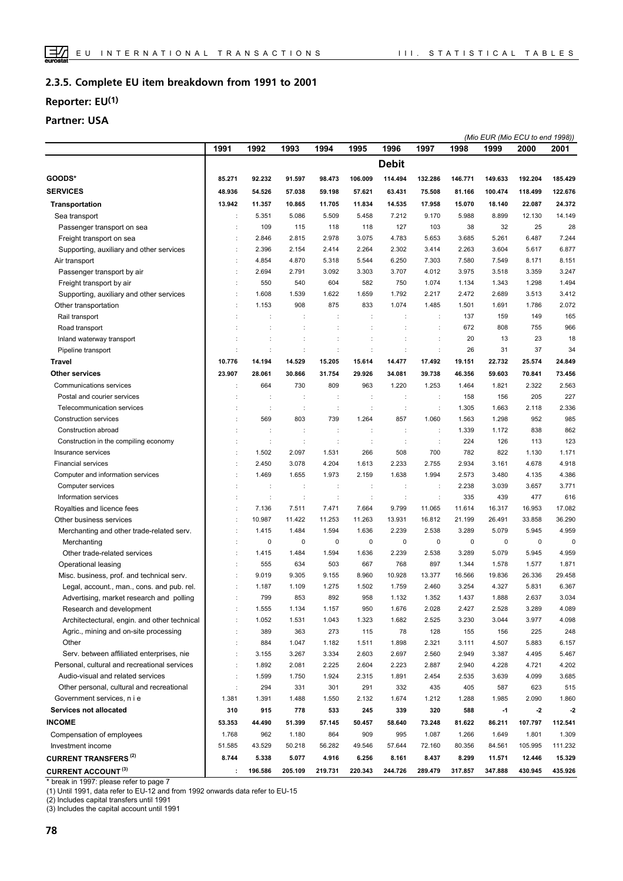#### **Complete EU item breakdown from 1991 to 2001 2.3.5.**

## **Reporter: EU(1)**

## **Partner: USA**

|                                              |        |         |         |          |                      |                      |                      |         |         | (Mio EUR (Mio ECU to end 1998)) |             |
|----------------------------------------------|--------|---------|---------|----------|----------------------|----------------------|----------------------|---------|---------|---------------------------------|-------------|
|                                              | 1991   | 1992    | 1993    | 1994     | 1995                 | 1996                 | 1997                 | 1998    | 1999    | 2000                            | 2001        |
|                                              |        |         |         |          |                      | <b>Debit</b>         |                      |         |         |                                 |             |
| GOODS*                                       | 85.271 | 92.232  | 91.597  | 98.473   | 106.009              | 114.494              | 132.286              | 146.771 | 149.633 | 192.204                         | 185.429     |
| <b>SERVICES</b>                              | 48.936 | 54.526  | 57.038  | 59.198   | 57.621               | 63.431               | 75.508               | 81.166  | 100.474 | 118.499                         | 122.676     |
| <b>Transportation</b>                        | 13.942 | 11.357  | 10.865  | 11.705   | 11.834               | 14.535               | 17.958               | 15.070  | 18.140  | 22.087                          | 24.372      |
| Sea transport                                | ÷      | 5.351   | 5.086   | 5.509    | 5.458                | 7.212                | 9.170                | 5.988   | 8.899   | 12.130                          | 14.149      |
| Passenger transport on sea                   | ÷      | 109     | 115     | 118      | 118                  | 127                  | 103                  | 38      | 32      | 25                              | 28          |
| Freight transport on sea                     | ÷      | 2.846   | 2.815   | 2.978    | 3.075                | 4.783                | 5.653                | 3.685   | 5.261   | 6.487                           | 7.244       |
| Supporting, auxiliary and other services     | ÷      | 2.396   | 2.154   | 2.414    | 2.264                | 2.302                | 3.414                | 2.263   | 3.604   | 5.617                           | 6.877       |
| Air transport                                | ÷      | 4.854   | 4.870   | 5.318    | 5.544                | 6.250                | 7.303                | 7.580   | 7.549   | 8.171                           | 8.151       |
| Passenger transport by air                   | ÷      | 2.694   | 2.791   | 3.092    | 3.303                | 3.707                | 4.012                | 3.975   | 3.518   | 3.359                           | 3.247       |
| Freight transport by air                     | ÷      | 550     | 540     | 604      | 582                  | 750                  | 1.074                | 1.134   | 1.343   | 1.298                           | 1.494       |
| Supporting, auxiliary and other services     | ÷      | 1.608   | 1.539   | 1.622    | 1.659                | 1.792                | 2.217                | 2.472   | 2.689   | 3.513                           | 3.412       |
| Other transportation                         | ÷      | 1.153   | 908     | 875      | 833                  | 1.074                | 1.485                | 1.501   | 1.691   | 1.786                           | 2.072       |
| Rail transport                               |        |         | ÷       | ÷        | ÷                    |                      | $\ddot{\phantom{a}}$ | 137     | 159     | 149                             | 165         |
| Road transport                               |        |         |         |          |                      |                      |                      | 672     | 808     | 755                             | 966         |
| Inland waterway transport                    | ÷      |         |         |          |                      |                      | $\ddot{\phantom{a}}$ | 20      | 13      | 23                              | 18          |
| Pipeline transport                           |        | ċ       |         | $\vdots$ | ċ                    |                      | $\vdots$             | 26      | 31      | 37                              | 34          |
| Travel                                       | 10.776 | 14.194  | 14.529  | 15.205   | 15.614               | 14.477               | 17.492               | 19.151  | 22.732  | 25.574                          | 24.849      |
| Other services                               | 23.907 | 28.061  | 30.866  | 31.754   | 29.926               | 34.081               | 39.738               | 46.356  | 59.603  | 70.841                          | 73.456      |
|                                              |        |         |         |          |                      |                      |                      |         |         |                                 |             |
| Communications services                      |        | 664     | 730     | 809      | 963                  | 1.220                | 1.253                | 1.464   | 1.821   | 2.322                           | 2.563       |
| Postal and courier services                  |        |         |         | ÷        |                      |                      | $\ddot{\cdot}$       | 158     | 156     | 205                             | 227         |
| Telecommunication services                   | ÷      | ÷       | ÷       | ÷        | $\ddot{\phantom{a}}$ | ÷                    | ÷                    | 1.305   | 1.663   | 2.118                           | 2.336       |
| <b>Construction services</b>                 |        | 569     | 803     | 739      | 1.264                | 857                  | 1.060                | 1.563   | 1.298   | 952                             | 985         |
| Construction abroad                          | ÷      | ÷       | ÷       | ÷        | t                    | $\ddot{\phantom{a}}$ | $\ddot{\phantom{a}}$ | 1.339   | 1.172   | 838                             | 862         |
| Construction in the compiling economy        |        | ÷       | t       | d        | ÷                    | $\ddot{\phantom{a}}$ | $\ddot{\phantom{a}}$ | 224     | 126     | 113                             | 123         |
| Insurance services                           | ÷      | 1.502   | 2.097   | 1.531    | 266                  | 508                  | 700                  | 782     | 822     | 1.130                           | 1.171       |
| <b>Financial services</b>                    | ÷      | 2.450   | 3.078   | 4.204    | 1.613                | 2.233                | 2.755                | 2.934   | 3.161   | 4.678                           | 4.918       |
| Computer and information services            | ÷      | 1.469   | 1.655   | 1.973    | 2.159                | 1.638                | 1.994                | 2.573   | 3.480   | 4.135                           | 4.386       |
| Computer services                            | t      | ÷       | ÷       | ÷        | ÷                    | $\ddot{\phantom{a}}$ | $\ddot{\phantom{a}}$ | 2.238   | 3.039   | 3.657                           | 3.771       |
| Information services                         |        |         |         |          |                      |                      |                      | 335     | 439     | 477                             | 616         |
| Royalties and licence fees                   | ÷      | 7.136   | 7.511   | 7.471    | 7.664                | 9.799                | 11.065               | 11.614  | 16.317  | 16.953                          | 17.082      |
| Other business services                      | t      | 10.987  | 11.422  | 11.253   | 11.263               | 13.931               | 16.812               | 21.199  | 26.491  | 33.858                          | 36.290      |
| Merchanting and other trade-related serv.    | ÷      | 1.415   | 1.484   | 1.594    | 1.636                | 2.239                | 2.538                | 3.289   | 5.079   | 5.945                           | 4.959       |
| Merchanting                                  | ÷      | 0       | 0       | 0        | 0                    | 0                    | 0                    | 0       | 0       | 0                               | $\mathbf 0$ |
| Other trade-related services                 | ÷      | 1.415   | 1.484   | 1.594    | 1.636                | 2.239                | 2.538                | 3.289   | 5.079   | 5.945                           | 4.959       |
| Operational leasing                          | ÷      | 555     | 634     | 503      | 667                  | 768                  | 897                  | 1.344   | 1.578   | 1.577                           | 1.871       |
| Misc. business, prof. and technical serv.    | ÷      | 9.019   | 9.305   | 9.155    | 8.960                | 10.928               | 13.377               | 16.566  | 19.836  | 26.336                          | 29.458      |
| Legal, account., man., cons. and pub. rel.   | ÷      | 1.187   | 1.109   | 1.275    | 1.502                | 1.759                | 2.460                | 3.254   | 4.327   | 5.831                           | 6.367       |
| Advertising, market research and polling     |        | 799     | 853     | 892      | 958                  | 1.132                | 1.352                | 1.437   | 1.888   | 2.637                           | 3.034       |
| Research and development                     | ÷      | 1.555   | 1.134   | 1.157    | 950                  | 1.676                | 2.028                | 2.427   | 2.528   | 3.289                           | 4.089       |
| Architectectural, engin. and other technical | ÷      | 1.052   | 1.531   | 1.043    | 1.323                | 1.682                | 2.525                | 3.230   | 3.044   | 3.977                           | 4.098       |
| Agric., mining and on-site processing        | ÷      | 389     | 363     | 273      | 115                  | 78                   | 128                  | 155     | 156     | 225                             | 248         |
| Other                                        | ÷      | 884     | 1.047   | 1.182    | 1.511                | 1.898                | 2.321                | 3.111   | 4.507   | 5.883                           | 6.157       |
| Serv. between affiliated enterprises, nie    | ÷      | 3.155   | 3.267   | 3.334    | 2.603                | 2.697                | 2.560                | 2.949   | 3.387   | 4.495                           | 5.467       |
| Personal, cultural and recreational services | ÷      | 1.892   | 2.081   | 2.225    | 2.604                | 2.223                | 2.887                | 2.940   | 4.228   | 4.721                           | 4.202       |
| Audio-visual and related services            | t      | 1.599   | 1.750   | 1.924    | 2.315                | 1.891                | 2.454                | 2.535   | 3.639   | 4.099                           | 3.685       |
| Other personal, cultural and recreational    | ÷      | 294     | 331     | 301      | 291                  | 332                  | 435                  | 405     | 587     | 623                             | 515         |
| Government services, n i e                   | 1.381  | 1.391   | 1.488   | 1.550    | 2.132                | 1.674                | 1.212                | 1.288   | 1.985   | 2.090                           | 1.860       |
| Services not allocated                       | 310    | 915     | 778     | 533      | 245                  | 339                  | 320                  | 588     | $-1$    | $-2$                            | $-2$        |
| <b>INCOME</b>                                | 53.353 | 44.490  | 51.399  | 57.145   | 50.457               | 58.640               | 73.248               | 81.622  | 86.211  | 107.797                         | 112.541     |
| Compensation of employees                    | 1.768  | 962     | 1.180   | 864      | 909                  | 995                  | 1.087                | 1.266   | 1.649   | 1.801                           | 1.309       |
| Investment income                            | 51.585 | 43.529  | 50.218  | 56.282   | 49.546               | 57.644               | 72.160               | 80.356  | 84.561  | 105.995                         | 111.232     |
| <b>CURRENT TRANSFERS<sup>(2)</sup></b>       | 8.744  | 5.338   | 5.077   | 4.916    | 6.256                | 8.161                | 8.437                | 8.299   | 11.571  | 12.446                          | 15.329      |
| <b>CURRENT ACCOUNT (3)</b>                   | ÷      | 196.586 | 205.109 | 219.731  | 220.343              | 244.726              | 289.479              | 317.857 | 347.888 | 430.945                         | 435.926     |

\* break in 1997: please refer to page 7

(1) Until 1991, data refer to EU-12 and from 1992 onwards data refer to EU-15

(2) Includes capital transfers until 1991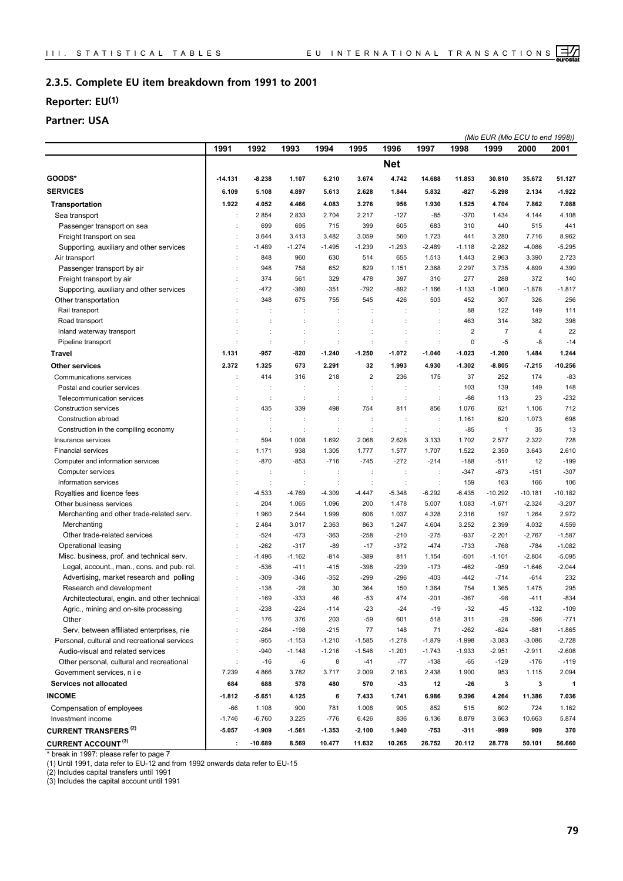#### **Complete EU item breakdown from 1991 to 2001 2.3.5.**

## **Reporter: EU(1)**

## **Partner: USA**

|                                              |                      |                      |                      |          |                |                      |                      |          | (Mio EUR (Mio ECU to end 1998)) |           |              |
|----------------------------------------------|----------------------|----------------------|----------------------|----------|----------------|----------------------|----------------------|----------|---------------------------------|-----------|--------------|
|                                              | 1991                 | 1992                 | 1993                 | 1994     | 1995           | 1996                 | 1997                 | 1998     | 1999                            | 2000      | 2001         |
|                                              |                      |                      |                      |          |                | <b>Net</b>           |                      |          |                                 |           |              |
| GOODS*                                       | -14.131              | $-8.238$             | 1.107                | 6.210    | 3.674          | 4.742                | 14.688               | 11.853   | 30.810                          | 35.672    | 51.127       |
| <b>SERVICES</b>                              | 6.109                | 5.108                | 4.897                | 5.613    | 2.628          | 1.844                | 5.832                | $-827$   | $-5.298$                        | 2.134     | $-1.922$     |
| <b>Transportation</b>                        | 1.922                | 4.052                | 4.466                | 4.083    | 3.276          | 956                  | 1.930                | 1.525    | 4.704                           | 7.862     | 7.088        |
| Sea transport                                |                      | 2.854                | 2.833                | 2.704    | 2.217          | $-127$               | -85                  | $-370$   | 1.434                           | 4.144     | 4.108        |
| Passenger transport on sea                   |                      | 699                  | 695                  | 715      | 399            | 605                  | 683                  | 310      | 440                             | 515       | 441          |
| Freight transport on sea                     |                      | 3.644                | 3.413                | 3.482    | 3.059          | 560                  | 1.723                | 441      | 3.280                           | 7.716     | 8.962        |
| Supporting, auxiliary and other services     |                      | $-1.489$             | $-1.274$             | $-1.495$ | $-1.239$       | $-1.293$             | $-2.489$             | $-1.118$ | $-2.282$                        | $-4.086$  | $-5.295$     |
| Air transport                                |                      | 848                  | 960                  | 630      | 514            | 655                  | 1.513                | 1.443    | 2.963                           | 3.390     | 2.723        |
| Passenger transport by air                   |                      | 948                  | 758                  | 652      | 829            | 1.151                | 2.368                | 2.297    | 3.735                           | 4.899     | 4.399        |
| Freight transport by air                     |                      | 374                  | 561                  | 329      | 478            | 397                  | 310                  | 277      | 288                             | 372       | 140          |
| Supporting, auxiliary and other services     |                      | $-472$               | $-360$               | $-351$   | $-792$         | $-892$               | $-1.166$             | $-1.133$ | $-1.060$                        | $-1.878$  | $-1.817$     |
| Other transportation                         |                      | 348                  | 675                  | 755      | 545            | 426                  | 503                  | 452      | 307                             | 326       | 256          |
| Rail transport                               |                      |                      | ÷                    | ÷        | ÷              | ÷                    | ÷                    | 88       | 122                             | 149       | 111          |
| Road transport                               |                      |                      |                      |          |                |                      |                      | 463      | 314                             | 382       | 398          |
| Inland waterway transport                    |                      |                      | ÷                    | t        |                |                      | ÷                    | 2        | $\overline{7}$                  | 4         | 22           |
| Pipeline transport                           |                      |                      | ÷                    | ÷        | $\ddot{\cdot}$ | $\ddot{\cdot}$       | $\ddot{\phantom{a}}$ | 0        | $-5$                            | -8        | $-14$        |
| Travel                                       | 1.131                | -957                 | $-820$               | $-1.240$ | $-1.250$       | $-1.072$             | $-1.040$             | $-1.023$ | $-1.200$                        | 1.484     | 1.244        |
| <b>Other services</b>                        | 2.372                | 1.325                | 673                  | 2.291    | 32             | 1.993                | 4.930                | $-1.302$ | $-8.805$                        | $-7.215$  | $-10.256$    |
| Communications services                      |                      | 414                  | 316                  | 218      | $\overline{2}$ | 236                  | 175                  | 37       | 252                             | 174       | $-83$        |
| Postal and courier services                  |                      | ÷                    | ÷                    | ÷        | ÷              | ÷                    | ÷                    | 103      | 139                             | 149       | 148          |
| Telecommunication services                   |                      | $\ddot{\phantom{a}}$ | $\ddot{\phantom{a}}$ | ÷        | ÷              | $\ddot{\phantom{a}}$ | $\ddot{\phantom{a}}$ | $-66$    | 113                             | 23        | $-232$       |
| Construction services                        |                      | 435                  | 339                  | 498      | 754            | 811                  | 856                  | 1.076    | 621                             | 1.106     | 712          |
| Construction abroad                          |                      |                      |                      | ÷        |                | t                    | ÷                    | 1.161    | 620                             | 1.073     | 698          |
| Construction in the compiling economy        |                      | ÷                    | ÷                    | ÷        | $\ddot{\cdot}$ | ÷                    | $\ddot{\phantom{a}}$ | $-85$    | $\mathbf{1}$                    | 35        | 13           |
| Insurance services                           |                      | 594                  | 1.008                | 1.692    | 2.068          | 2.628                | 3.133                | 1.702    | 2.577                           | 2.322     | 728          |
| <b>Financial services</b>                    |                      | 1.171                | 938                  | 1.305    | 1.777          | 1.577                | 1.707                | 1.522    | 2.350                           | 3.643     | 2.610        |
| Computer and information services            |                      | $-870$               | $-853$               | $-716$   | $-745$         | $-272$               | $-214$               | $-188$   | $-511$                          | 12        | $-199$       |
| Computer services                            |                      |                      | ÷                    | ÷        | ÷              | ÷                    | ÷                    | $-347$   | $-673$                          | $-151$    | $-307$       |
| Information services                         |                      | $\ddot{\phantom{a}}$ | ÷                    | ÷        | ÷              | $\ddot{\cdot}$       | ÷                    | 159      | 163                             | 166       | 106          |
| Royalties and licence fees                   |                      | $-4.533$             | $-4.769$             | $-4.309$ | $-4.447$       | $-5.348$             | $-6.292$             | $-6.435$ | $-10.292$                       | $-10.181$ | $-10.182$    |
| Other business services                      |                      | 204                  | 1.065                | 1.096    | 200            | 1.478                | 5.007                | 1.083    | $-1.671$                        | $-2.324$  | $-3.207$     |
| Merchanting and other trade-related serv.    | $\ddot{\phantom{a}}$ | 1.960                | 2.544                | 1.999    | 606            | 1.037                | 4.328                | 2.316    | 197                             | 1.264     | 2.972        |
| Merchanting                                  |                      | 2.484                | 3.017                | 2.363    | 863            | 1.247                | 4.604                | 3.252    | 2.399                           | 4.032     | 4.559        |
| Other trade-related services                 |                      | $-524$               | $-473$               | $-363$   | $-258$         | $-210$               | $-275$               | $-937$   | $-2.201$                        | $-2.767$  | $-1.587$     |
| Operational leasing                          |                      | $-262$               | $-317$               | $-89$    | $-17$          | $-372$               | $-474$               | $-733$   | $-768$                          | $-784$    | $-1.082$     |
| Misc. business, prof. and technical serv.    |                      | $-1.496$             | $-1.162$             | $-814$   | $-389$         | 811                  | 1.154                | $-501$   | $-1.101$                        | $-2.804$  | $-5.095$     |
| Legal, account., man., cons. and pub. rel.   |                      | $-536$               | $-411$               | $-415$   | $-398$         | $-239$               | $-173$               | $-462$   | $-959$                          | $-1.646$  | $-2.044$     |
| Advertising, market research and polling     |                      | $-309$               | $-346$               | $-352$   | $-299$         | $-296$               | $-403$               | -442     | $-714$                          | -614      | 232          |
| Research and development                     |                      | $-138$               | $-28$                | 30       | 364            | 150                  | 1.364                | 754      | 1.365                           | 1.475     | 295          |
| Architectectural, engin. and other technical |                      | $-169$               | $-333$               | 46       | $-53$          | 474                  | $-201$               | $-367$   | $-98$                           | -411      | $-834$       |
| Agric., mining and on-site processing        |                      | $-238$               | $-224$               | $-114$   | $-23$          | $-24$                | $-19$                | $-32$    | $-45$                           | $-132$    | $-109$       |
| Other                                        |                      | 176                  | 376                  | 203      | $-59$          | 601                  | 518                  | 311      | $-28$                           | $-596$    | $-771$       |
| Serv. between affiliated enterprises, nie    |                      | $-284$               | $-198$               | $-215$   | 77             | 148                  | 71                   | $-262$   | $-624$                          | $-881$    | $-1.865$     |
| Personal, cultural and recreational services |                      | $-955$               | $-1.153$             | $-1.210$ | $-1.585$       | $-1.278$             | $-1.879$             | $-1.998$ | $-3.083$                        | $-3.086$  | $-2.728$     |
| Audio-visual and related services            |                      | $-940$               | $-1.148$             | $-1.216$ | $-1.546$       | $-1.201$             | $-1.743$             | $-1.933$ | $-2.951$                        | $-2.911$  | $-2.608$     |
| Other personal, cultural and recreational    |                      | $-16$                | -6                   | 8        | $-41$          | $-77$                | $-138$               | $-65$    | $-129$                          | $-176$    | $-119$       |
| Government services, n i e                   | 7.239                | 4.866                | 3.782                | 3.717    | 2.009          | 2.163                | 2.438                | 1.900    | 953                             | 1.115     | 2.094        |
| Services not allocated                       | 684                  | 688                  | 578                  | 480      | 570            | -33                  | 12                   | $-26$    | 3                               | 3         | $\mathbf{1}$ |
| <b>INCOME</b>                                | $-1.812$             | $-5.651$             | 4.125                | 6        | 7.433          | 1.741                | 6.986                | 9.396    | 4.264                           | 11.386    | 7.036        |
| Compensation of employees                    | -66                  | 1.108                | 900                  | 781      | 1.008          | 905                  | 852                  | 515      | 602                             | 724       | 1.162        |
| Investment income                            | $-1.746$             | $-6.760$             | 3.225                | $-776$   | 6.426          | 836                  | 6.136                | 8.879    | 3.663                           | 10.663    | 5.874        |
| <b>CURRENT TRANSFERS<sup>(2)</sup></b>       | $-5.057$             | $-1.909$             | $-1.561$             | $-1.353$ | $-2.100$       | 1.940                | -753                 | $-311$   | -999                            | 909       | 370          |
| <b>CURRENT ACCOUNT (3)</b>                   | ÷                    | $-10.689$            | 8.569                | 10.477   | 11.632         | 10.265               | 26.752               | 20.112   | 28.778                          | 50.101    | 56.660       |

\* break in 1997: please refer to page 7

(1) Until 1991, data refer to EU-12 and from 1992 onwards data refer to EU-15

(2) Includes capital transfers until 1991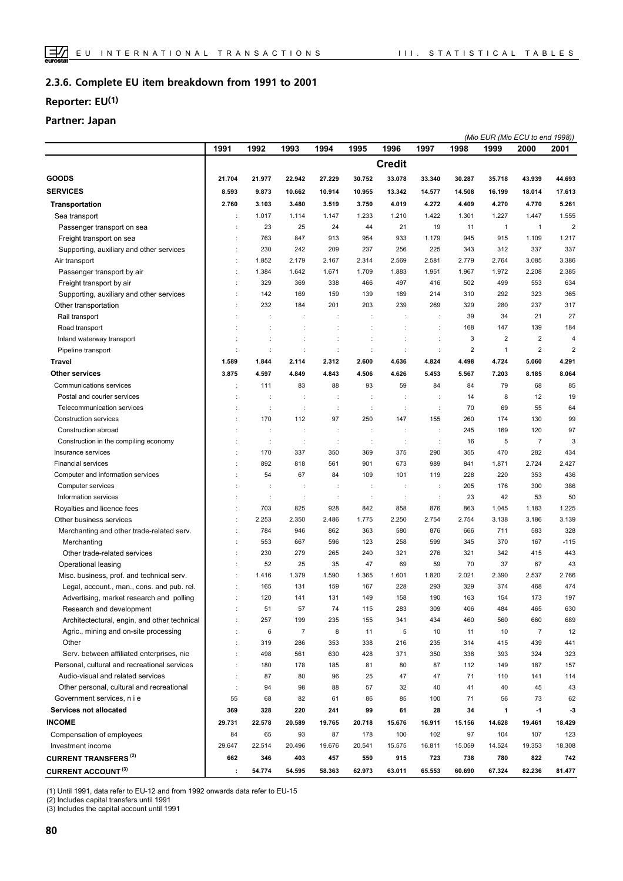#### **Complete EU item breakdown from 1991 to 2001 2.3.6.**

## **Reporter: EU(1)**

## **Partner: Japan**

|                                              |        |                      |                |                      |                |                      |                      |                | (Mio EUR (Mio ECU to end 1998)) |                |                |
|----------------------------------------------|--------|----------------------|----------------|----------------------|----------------|----------------------|----------------------|----------------|---------------------------------|----------------|----------------|
|                                              | 1991   | 1992                 | 1993           | 1994                 | 1995           | 1996                 | 1997                 | 1998           | 1999                            | 2000           | 2001           |
|                                              |        |                      |                |                      |                | <b>Credit</b>        |                      |                |                                 |                |                |
| <b>GOODS</b>                                 | 21.704 | 21.977               | 22.942         | 27.229               | 30.752         | 33.078               | 33.340               | 30.287         | 35.718                          | 43.939         | 44.693         |
| <b>SERVICES</b>                              | 8.593  | 9.873                | 10.662         | 10.914               | 10.955         | 13.342               | 14.577               | 14.508         | 16.199                          | 18.014         | 17.613         |
| Transportation                               | 2.760  | 3.103                | 3.480          | 3.519                | 3.750          | 4.019                | 4.272                | 4.409          | 4.270                           | 4.770          | 5.261          |
| Sea transport                                | ÷      | 1.017                | 1.114          | 1.147                | 1.233          | 1.210                | 1.422                | 1.301          | 1.227                           | 1.447          | 1.555          |
| Passenger transport on sea                   |        | 23                   | 25             | 24                   | 44             | 21                   | 19                   | 11             | $\mathbf{1}$                    | $\mathbf{1}$   | $\overline{2}$ |
| Freight transport on sea                     |        | 763                  | 847            | 913                  | 954            | 933                  | 1.179                | 945            | 915                             | 1.109          | 1.217          |
| Supporting, auxiliary and other services     | ÷      | 230                  | 242            | 209                  | 237            | 256                  | 225                  | 343            | 312                             | 337            | 337            |
| Air transport                                | ċ      | 1.852                | 2.179          | 2.167                | 2.314          | 2.569                | 2.581                | 2.779          | 2.764                           | 3.085          | 3.386          |
| Passenger transport by air                   | ÷      | 1.384                | 1.642          | 1.671                | 1.709          | 1.883                | 1.951                | 1.967          | 1.972                           | 2.208          | 2.385          |
| Freight transport by air                     |        | 329                  | 369            | 338                  | 466            | 497                  | 416                  | 502            | 499                             | 553            | 634            |
| Supporting, auxiliary and other services     | ÷      | 142                  | 169            | 159                  | 139            | 189                  | 214                  | 310            | 292                             | 323            | 365            |
| Other transportation                         | ÷      | 232                  | 184            | 201                  | 203            | 239                  | 269                  | 329            | 280                             | 237            | 317            |
| Rail transport                               |        |                      |                | ÷                    |                | ÷                    | t                    | 39             | 34                              | 21             | 27             |
| Road transport                               |        |                      | t              | ÷                    |                |                      | $\ddot{\phantom{a}}$ | 168            | 147                             | 139            | 184            |
| Inland waterway transport                    |        |                      |                |                      |                |                      |                      | 3              | $\overline{2}$                  | $\overline{2}$ | $\overline{4}$ |
| Pipeline transport                           | ÷      | ÷                    | $\ddot{\cdot}$ | $\ddot{\phantom{a}}$ | $\ddot{\cdot}$ | $\ddot{\cdot}$       | $\ddot{\phantom{a}}$ | $\overline{2}$ | $\overline{1}$                  | $\overline{2}$ | $\overline{2}$ |
| <b>Travel</b>                                | 1.589  | 1.844                | 2.114          | 2.312                | 2.600          | 4.636                | 4.824                | 4.498          | 4.724                           | 5.060          | 4.291          |
| Other services                               | 3.875  | 4.597                | 4.849          | 4.843                | 4.506          | 4.626                | 5.453                | 5.567          | 7.203                           | 8.185          | 8.064          |
| Communications services                      |        | 111                  | 83             | 88                   | 93             | 59                   | 84                   | 84             | 79                              | 68             | 85             |
| Postal and courier services                  |        |                      | ÷              | ÷                    |                | ÷                    | $\ddot{\phantom{a}}$ | 14             | 8                               | 12             | 19             |
| Telecommunication services                   |        | ÷                    | ÷              |                      |                | t                    |                      | 70             | 69                              | 55             | 64             |
| Construction services                        | ÷      | 170                  | 112            | 97                   | 250            | 147                  | 155                  | 260            | 174                             | 130            | 99             |
| Construction abroad                          |        | ÷                    | t              | ÷                    | t              | $\ddot{\phantom{a}}$ | $\ddot{\phantom{a}}$ | 245            | 169                             | 120            | 97             |
| Construction in the compiling economy        | ÷      | ÷                    | ÷              | ÷                    | ÷              | $\ddot{\phantom{a}}$ | $\ddot{\phantom{a}}$ | 16             | 5                               | $\overline{7}$ | 3              |
| Insurance services                           | ÷      | 170                  | 337            | 350                  | 369            | 375                  | 290                  | 355            | 470                             | 282            | 434            |
| <b>Financial services</b>                    | ÷      | 892                  | 818            | 561                  | 901            | 673                  | 989                  | 841            | 1.871                           | 2.724          | 2.427          |
| Computer and information services            |        | 54                   | 67             | 84                   | 109            | 101                  | 119                  | 228            | 220                             | 353            | 436            |
| Computer services                            |        |                      |                | d                    |                | t                    | $\ddot{\phantom{a}}$ | 205            | 176                             | 300            | 386            |
| Information services                         |        | $\ddot{\phantom{a}}$ | ÷              | $\ddot{\phantom{a}}$ | $\ddot{\cdot}$ | $\ddot{\phantom{a}}$ | $\ddot{\phantom{a}}$ | 23             | 42                              | 53             | 50             |
| Royalties and licence fees                   |        | 703                  | 825            | 928                  | 842            | 858                  | 876                  | 863            | 1.045                           | 1.183          | 1.225          |
| Other business services                      | ÷      | 2.253                | 2.350          | 2.486                | 1.775          | 2.250                | 2.754                | 2.754          | 3.138                           | 3.186          | 3.139          |
| Merchanting and other trade-related serv.    | ÷      | 784                  | 946            | 862                  | 363            | 580                  | 876                  | 666            | 711                             | 583            | 328            |
| Merchanting                                  | ÷      | 553                  | 667            | 596                  | 123            | 258                  | 599                  | 345            | 370                             | 167            | $-115$         |
| Other trade-related services                 | ÷      | 230                  | 279            | 265                  | 240            | 321                  | 276                  | 321            | 342                             | 415            | 443            |
| Operational leasing                          |        | 52                   | 25             | 35                   | 47             | 69                   | 59                   | 70             | 37                              | 67             | 43             |
| Misc. business, prof. and technical serv.    | t      | 1.416                | 1.379          | 1.590                | 1.365          | 1.601                | 1.820                | 2.021          | 2.390                           | 2.537          | 2.766          |
| Legal, account., man., cons. and pub. rel.   |        | 165                  | 131            | 159                  | 167            | 228                  | 293                  | 329            | 374                             | 468            | 474            |
| Advertising, market research and polling     |        | 120                  | 141            | 131                  | 149            | 158                  | 190                  | 163            | 154                             | 173            | 197            |
| Research and development                     |        | 51                   | 57             | 74                   | 115            | 283                  | 309                  | 406            | 484                             | 465            | 630            |
| Architectectural, engin. and other technical | ÷      | 257                  | 199            | 235                  | 155            | 341                  | 434                  | 460            | 560                             | 660            | 689            |
| Agric., mining and on-site processing        | ÷      | 6                    | $\overline{7}$ | 8                    | 11             | 5                    | 10                   | 11             | 10                              | $\overline{7}$ | 12             |
| Other                                        | ÷      | 319                  | 286            | 353                  | 338            | 216                  | 235                  | 314            | 415                             | 439            | 441            |
| Serv. between affiliated enterprises, nie    | ÷      | 498                  | 561            | 630                  | 428            | 371                  | 350                  | 338            | 393                             | 324            | 323            |
| Personal, cultural and recreational services | t      | 180                  | 178            | 185                  | 81             | 80                   | 87                   | 112            | 149                             | 187            | 157            |
| Audio-visual and related services            | ÷      | 87                   | 80             | 96                   | 25             | 47                   | 47                   | 71             | 110                             | 141            | 114            |
| Other personal, cultural and recreational    | t      | 94                   | 98             | 88                   | 57             | 32                   | 40                   | 41             | 40                              | 45             | 43             |
| Government services, n i e                   | 55     | 68                   | 82             | 61                   | 86             | 85                   | 100                  | 71             | 56                              | 73             | 62             |
| Services not allocated                       | 369    | 328                  | 220            | 241                  | 99             | 61                   | 28                   | 34             | 1                               | $-1$           | -3             |
| <b>INCOME</b>                                | 29.731 | 22.578               | 20.589         | 19.765               | 20.718         | 15.676               | 16.911               | 15.156         | 14.628                          | 19.461         | 18.429         |
| Compensation of employees                    | 84     | 65                   | 93             | 87                   | 178            | 100                  | 102                  | 97             | 104                             | 107            | 123            |
| Investment income                            | 29.647 | 22.514               | 20.496         | 19.676               | 20.541         | 15.575               | 16.811               | 15.059         | 14.524                          | 19.353         | 18.308         |
| <b>CURRENT TRANSFERS (2)</b>                 | 662    | 346                  | 403            | 457                  | 550            | 915                  | 723                  | 738            | 780                             | 822            | 742            |
| <b>CURRENT ACCOUNT (3)</b>                   | ÷      | 54.774               | 54.595         | 58.363               | 62.973         | 63.011               | 65.553               | 60.690         | 67.324                          | 82.236         | 81.477         |

(1) Until 1991, data refer to EU-12 and from 1992 onwards data refer to EU-15

(2) Includes capital transfers until 1991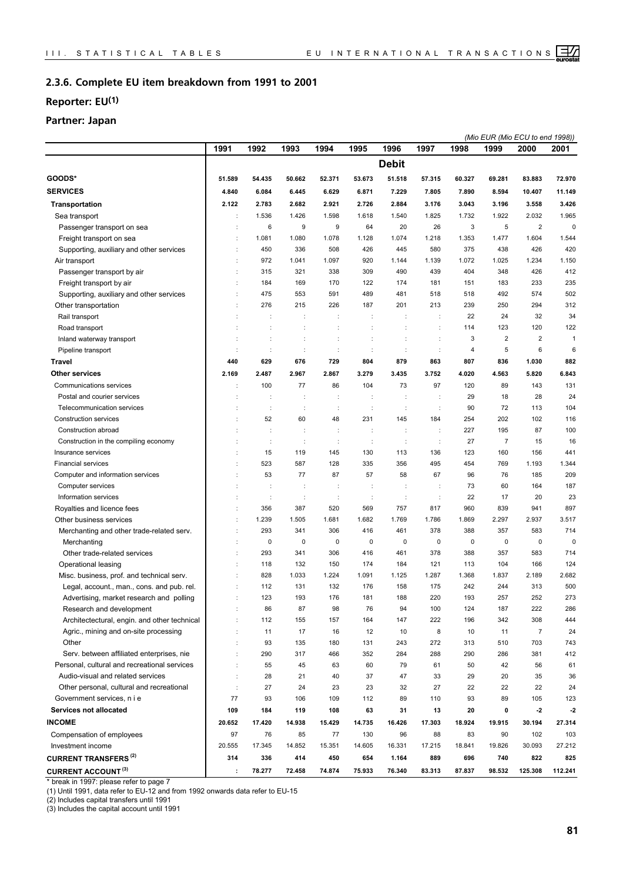#### **Complete EU item breakdown from 1991 to 2001 2.3.6.**

## **Reporter: EU(1)**

## **Partner: Japan**

|                                              |                      |                      |        |                      |                      |              |                      |        |                | (Mio EUR (Mio ECU to end 1998)) |                |
|----------------------------------------------|----------------------|----------------------|--------|----------------------|----------------------|--------------|----------------------|--------|----------------|---------------------------------|----------------|
|                                              | 1991                 | 1992                 | 1993   | 1994                 | 1995                 | 1996         | 1997                 | 1998   | 1999           | 2000                            | 2001           |
|                                              |                      |                      |        |                      |                      | <b>Debit</b> |                      |        |                |                                 |                |
| GOODS*                                       | 51.589               | 54.435               | 50.662 | 52.371               | 53.673               | 51.518       | 57.315               | 60.327 | 69.281         | 83.883                          | 72.970         |
| <b>SERVICES</b>                              | 4.840                | 6.084                | 6.445  | 6.629                | 6.871                | 7.229        | 7.805                | 7.890  | 8.594          | 10.407                          | 11.149         |
| <b>Transportation</b>                        | 2.122                | 2.783                | 2.682  | 2.921                | 2.726                | 2.884        | 3.176                | 3.043  | 3.196          | 3.558                           | 3.426          |
| Sea transport                                | ÷                    | 1.536                | 1.426  | 1.598                | 1.618                | 1.540        | 1.825                | 1.732  | 1.922          | 2.032                           | 1.965          |
| Passenger transport on sea                   |                      | 6                    | 9      | 9                    | 64                   | 20           | 26                   | 3      | 5              | $\overline{2}$                  | $\mathbf 0$    |
| Freight transport on sea                     | ÷                    | 1.081                | 1.080  | 1.078                | 1.128                | 1.074        | 1.218                | 1.353  | 1.477          | 1.604                           | 1.544          |
| Supporting, auxiliary and other services     | ÷                    | 450                  | 336    | 508                  | 426                  | 445          | 580                  | 375    | 438            | 426                             | 420            |
| Air transport                                | ÷                    | 972                  | 1.041  | 1.097                | 920                  | 1.144        | 1.139                | 1.072  | 1.025          | 1.234                           | 1.150          |
| Passenger transport by air                   |                      | 315                  | 321    | 338                  | 309                  | 490          | 439                  | 404    | 348            | 426                             | 412            |
| Freight transport by air                     |                      | 184                  | 169    | 170                  | 122                  | 174          | 181                  | 151    | 183            | 233                             | 235            |
| Supporting, auxiliary and other services     | ÷                    | 475                  | 553    | 591                  | 489                  | 481          | 518                  | 518    | 492            | 574                             | 502            |
| Other transportation                         |                      | 276                  | 215    | 226                  | 187                  | 201          | 213                  | 239    | 250            | 294                             | 312            |
| Rail transport                               |                      | ÷                    | ÷      | ÷                    | ÷                    | ÷            | ÷                    | 22     | 24             | 32                              | 34             |
| Road transport                               |                      |                      | t      | t                    |                      | t            | $\ddot{\cdot}$       | 114    | 123            | 120                             | 122            |
| Inland waterway transport                    | ÷                    | ÷                    | ÷      | ÷                    | ÷                    | ÷            | ÷                    | 3      | $\overline{2}$ | $\overline{2}$                  | $\overline{1}$ |
| Pipeline transport                           | $\ddot{\phantom{a}}$ | ÷                    | ÷      | $\ddot{\phantom{a}}$ | $\ddot{\phantom{a}}$ | d            | $\ddot{\phantom{a}}$ | 4      | 5              | 6                               | 6              |
| <b>Travel</b>                                | 440                  | 629                  | 676    | 729                  | 804                  | 879          | 863                  | 807    | 836            | 1.030                           | 882            |
| <b>Other services</b>                        | 2.169                | 2.487                | 2.967  | 2.867                | 3.279                | 3.435        | 3.752                | 4.020  | 4.563          | 5.820                           | 6.843          |
| Communications services                      |                      | 100                  | 77     | 86                   | 104                  | 73           | 97                   | 120    | 89             | 143                             | 131            |
| Postal and courier services                  |                      | d                    | ÷      | t                    |                      | ÷            | $\ddot{\phantom{a}}$ | 29     | 18             | 28                              | 24             |
| Telecommunication services                   | ÷                    | $\ddot{\phantom{a}}$ | ÷      | ÷                    | ÷                    | ÷            | ÷                    | 90     | 72             | 113                             | 104            |
| Construction services                        |                      | 52                   | 60     | 48                   | 231                  | 145          | 184                  | 254    | 202            | 102                             | 116            |
| Construction abroad                          |                      |                      | t      | ÷                    |                      | t            | $\ddot{\cdot}$       | 227    | 195            | 87                              | 100            |
| Construction in the compiling economy        |                      | d                    | ÷      | ÷                    | ÷                    | ÷            | ÷                    | 27     | $\overline{7}$ | 15                              | 16             |
| Insurance services                           |                      | 15                   | 119    | 145                  | 130                  | 113          | 136                  | 123    | 160            | 156                             | 441            |
| <b>Financial services</b>                    |                      | 523                  | 587    | 128                  | 335                  | 356          | 495                  | 454    | 769            | 1.193                           | 1.344          |
| Computer and information services            |                      | 53                   | 77     | 87                   | 57                   | 58           | 67                   | 96     | 76             | 185                             | 209            |
| Computer services                            |                      | $\ddot{\phantom{a}}$ | ÷      | ÷                    | t                    | ÷            | ÷                    | 73     | 60             | 164                             | 187            |
| Information services                         |                      | ÷                    | ÷      | t                    | ÷                    | ÷            | ÷                    | 22     | 17             | 20                              | 23             |
| Royalties and licence fees                   | ÷                    | 356                  | 387    | 520                  | 569                  | 757          | 817                  | 960    | 839            | 941                             | 897            |
| Other business services                      |                      | 1.239                | 1.505  | 1.681                | 1.682                | 1.769        | 1.786                | 1.869  | 2.297          | 2.937                           | 3.517          |
| Merchanting and other trade-related serv.    |                      | 293                  | 341    | 306                  | 416                  | 461          | 378                  | 388    | 357            | 583                             | 714            |
| Merchanting                                  |                      | 0                    | 0      | 0                    | 0                    | 0            | 0                    | 0      | $\mathbf 0$    | $\mathbf 0$                     | 0              |
| Other trade-related services                 |                      | 293                  | 341    | 306                  | 416                  | 461          | 378                  | 388    | 357            | 583                             | 714            |
| Operational leasing                          |                      | 118                  | 132    | 150                  | 174                  | 184          | 121                  | 113    | 104            | 166                             | 124            |
| Misc. business, prof. and technical serv.    |                      | 828                  | 1.033  | 1.224                | 1.091                | 1.125        | 1.287                | 1.368  | 1.837          | 2.189                           | 2.682          |
| Legal, account., man., cons. and pub. rel.   |                      | 112                  | 131    | 132                  | 176                  | 158          | 175                  | 242    | 244            | 313                             | 500            |
| Advertising, market research and polling     |                      | 123                  | 193    | 176                  | 181                  | 188          | 220                  | 193    | 257            | 252                             | 273            |
| Research and development                     |                      | 86                   | 87     | 98                   | 76                   | 94           | 100                  | 124    | 187            | 222                             | 286            |
| Architectectural, engin. and other technical |                      | 112                  | 155    | 157                  | 164                  | 147          | 222                  | 196    | 342            | 308                             | 444            |
| Agric., mining and on-site processing        |                      | 11                   | 17     | 16                   | 12                   | 10           | 8                    | 10     | 11             | $\overline{7}$                  | 24             |
| Other                                        |                      | 93                   | 135    | 180                  | 131                  | 243          | 272                  | 313    | 510            | 703                             | 743            |
| Serv. between affiliated enterprises, nie    | $\ddot{\phantom{a}}$ | 290                  | 317    | 466                  | 352                  | 284          | 288                  | 290    | 286            | 381                             | 412            |
| Personal, cultural and recreational services | $\ddot{\phantom{a}}$ | 55                   | 45     | 63                   | 60                   | 79           | 61                   | 50     | 42             | 56                              | 61             |
| Audio-visual and related services            | $\ddot{\phantom{a}}$ | 28                   | 21     | 40                   | 37                   | 47           | 33                   | 29     | 20             | 35                              | 36             |
| Other personal, cultural and recreational    | $\ddot{\phantom{a}}$ | 27                   | 24     | 23                   | 23                   | 32           | 27                   | 22     | 22             | 22                              | 24             |
| Government services, n i e                   | 77                   | 93                   | 106    | 109                  | 112                  | 89           | 110                  | 93     | 89             | 105                             | 123            |
| Services not allocated                       | 109                  | 184                  | 119    | 108                  | 63                   | 31           | 13                   | 20     | 0              | $-2$                            | $-2$           |
| <b>INCOME</b>                                | 20.652               | 17.420               | 14.938 | 15.429               | 14.735               | 16.426       | 17.303               | 18.924 | 19.915         | 30.194                          | 27.314         |
| Compensation of employees                    | 97                   | 76                   | 85     | 77                   | 130                  | 96           | 88                   | 83     | 90             | 102                             | 103            |
| Investment income                            | 20.555               | 17.345               | 14.852 | 15.351               | 14.605               | 16.331       | 17.215               | 18.841 | 19.826         | 30.093                          | 27.212         |
| <b>CURRENT TRANSFERS<sup>(2)</sup></b>       | 314                  | 336                  | 414    | 450                  | 654                  | 1.164        | 889                  | 696    | 740            | 822                             | 825            |
| <b>CURRENT ACCOUNT (3)</b>                   | ÷                    | 78.277               | 72.458 | 74.874               | 75.933               | 76.340       | 83.313               | 87.837 | 98.532         | 125.308                         | 112.241        |

\* break in 1997: please refer to page 7

(1) Until 1991, data refer to EU-12 and from 1992 onwards data refer to EU-15

(2) Includes capital transfers until 1991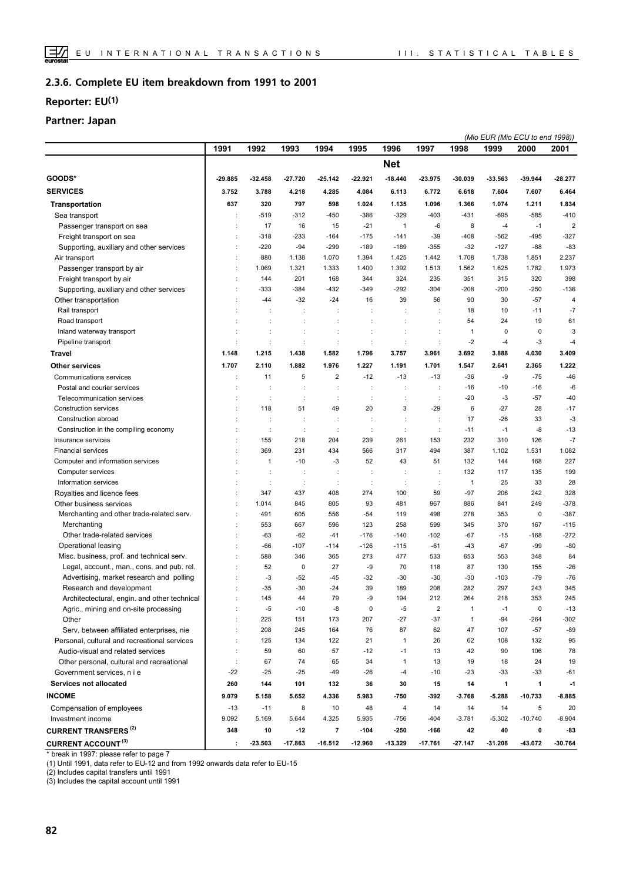#### **Complete EU item breakdown from 1991 to 2001 2.3.6.**

## **Reporter: EU(1)**

### **Partner: Japan**

| 1991<br>1992<br>1993<br>1994<br>1995<br>1996<br>1997<br>1998<br>1999<br>2000<br>2001<br><b>Net</b><br>GOODS*<br>$-29.885$<br>32.458<br>$-27.720$<br>$-25.142$<br>$-22.921$<br>$-18.440$<br>23.975<br>-33.563<br>-39.944<br>$-28.277$<br>-30.039<br><b>SERVICES</b><br>3.752<br>3.788<br>4.218<br>4.285<br>4.084<br>6.113<br>6.772<br>6.618<br>7.604<br>7.607<br>6.464<br><b>Transportation</b><br>637<br>320<br>797<br>598<br>1.024<br>1.096<br>1.366<br>1.074<br>1.211<br>1.834<br>1.135<br>$-519$<br>$-312$<br>$-450$<br>$-386$<br>$-329$<br>$-403$<br>$-431$<br>$-695$<br>$-585$<br>$-410$<br>Sea transport<br>16<br>$-21$<br>8<br>$-1$<br>$\overline{2}$<br>Passenger transport on sea<br>17<br>15<br>$\mathbf{1}$<br>-6<br>$-4$<br>÷<br>$-318$<br>$-233$<br>$-175$<br>$-141$<br>$-39$<br>$-408$<br>$-562$<br>-495<br>$-327$<br>Freight transport on sea<br>$-164$<br>÷<br>$-220$<br>$-94$<br>$-299$<br>$-189$<br>$-189$<br>$-355$<br>$-32$<br>$-127$<br>$-88$<br>$-83$<br>Supporting, auxiliary and other services<br>÷<br>880<br>1.070<br>1.394<br>1.425<br>1.442<br>1.708<br>1.738<br>1.851<br>2.237<br>Air transport<br>÷<br>1.138<br>1.069<br>1.400<br>1.392<br>1.562<br>1.782<br>1.973<br>Passenger transport by air<br>1.321<br>1.333<br>1.513<br>1.625<br>÷<br>398<br>201<br>344<br>324<br>351<br>315<br>320<br>Freight transport by air<br>144<br>168<br>235<br>÷<br>$-333$<br>$-384$<br>$-432$<br>$-349$<br>$-292$<br>$-304$<br>$-208$<br>$-200$<br>$-250$<br>$-136$<br>Supporting, auxiliary and other services<br>$-44$<br>$-32$<br>$-24$<br>16<br>39<br>56<br>90<br>30<br>$-57$<br>$\overline{4}$<br>Other transportation<br>÷<br>10<br>$-11$<br>$-7$<br>Rail transport<br>÷<br>÷<br>÷<br>18<br>÷<br>t<br>÷<br>54<br>24<br>19<br>61<br>Road transport<br>$\mathbf 0$<br>$\mathbf 0$<br>3<br>Inland waterway transport<br>t<br>t<br>$\ddot{\phantom{a}}$<br>1<br>÷<br>Pipeline transport<br>$-2$<br>$-3$<br>÷<br>÷<br>$\ddot{\phantom{a}}$<br>$\ddot{\phantom{a}}$<br>$\ddot{\phantom{a}}$<br>$-4$<br>-4<br><b>Travel</b><br>1.215<br>1.582<br>1.796<br>3.692<br>3.888<br>4.030<br>3.409<br>1.148<br>1.438<br>3.757<br>3.961<br>1.222<br>1.707<br>1.882<br>1.547<br>2.365<br>Other services<br>2.110<br>1.976<br>1.227<br>1.191<br>1.701<br>2.641<br>Communications services<br>11<br>5<br>$\overline{\mathbf{c}}$<br>$-12$<br>$-13$<br>$-13$<br>$-36$<br>-9<br>$-75$<br>$-46$<br>Postal and courier services<br>-6<br>$-16$<br>$-10$<br>$-16$<br>÷<br>÷<br>÷<br>÷<br>Telecommunication services<br>÷<br>÷<br>÷<br>$\ddot{\phantom{a}}$<br>$-20$<br>$-3$<br>$-57$<br>$-40$<br>$\ddot{\phantom{a}}$<br>÷<br>÷<br>20<br>$-17$<br>Construction services<br>118<br>51<br>49<br>3<br>$-29$<br>6<br>$-27$<br>28<br>Construction abroad<br>$-26$<br>33<br>$-3$<br>17<br>÷<br>÷<br>÷<br>$\ddot{\phantom{a}}$<br>Construction in the compiling economy<br>-8<br>$\ddot{\phantom{a}}$<br>÷<br>÷<br>÷<br>÷<br>÷<br>$-11$<br>$-1$<br>$-13$<br>155<br>204<br>239<br>261<br>153<br>232<br>310<br>126<br>$-7$<br>218<br>Insurance services<br>369<br>231<br>434<br>566<br>317<br>494<br>387<br>1.102<br>1.531<br>1.082<br><b>Financial services</b><br>227<br>$\mathbf{1}$<br>$-3$<br>52<br>51<br>132<br>144<br>168<br>Computer and information services<br>$-10$<br>43<br>÷<br>Computer services<br>132<br>135<br>199<br>117<br>$\ddot{\phantom{a}}$<br>÷<br>$\ddot{\phantom{a}}$<br>÷<br>Information services<br>25<br>33<br>28<br>$\ddot{\phantom{a}}$<br>÷<br>$\ddot{\phantom{a}}$<br>÷<br>$\ddot{\cdot}$<br>÷<br>÷<br>1<br>347<br>408<br>274<br>100<br>59<br>$-97$<br>206<br>242<br>328<br>Royalties and licence fees<br>÷<br>437<br>93<br>886<br>249<br>$-378$<br>Other business services<br>1.014<br>845<br>805<br>481<br>967<br>841<br>÷<br>$-387$<br>491<br>605<br>119<br>498<br>278<br>353<br>$\mathbf 0$<br>Merchanting and other trade-related serv.<br>556<br>$-54$<br>÷<br>553<br>667<br>596<br>123<br>258<br>599<br>345<br>370<br>167<br>$-115$<br>Merchanting<br>Other trade-related services<br>$-63$<br>$-62$<br>$-176$<br>$-168$<br>$-272$<br>$-41$<br>$-140$<br>$-102$<br>$-67$<br>$-15$<br>÷<br>$-80$<br>$-66$<br>$-107$<br>$-126$<br>$-61$<br>$-67$<br>$-99$<br>Operational leasing<br>$-114$<br>$-115$<br>$-43$<br>÷<br>588<br>346<br>365<br>273<br>477<br>533<br>653<br>553<br>348<br>84<br>Misc. business, prof. and technical serv.<br>52<br>$\mathbf 0$<br>-9<br>70<br>87<br>130<br>155<br>$-26$<br>Legal, account., man., cons. and pub. rel.<br>27<br>118<br>$-3$<br>$-45$<br>$-103$<br>$-79$<br>$-76$<br>Advertising, market research and polling<br>$-52$<br>$-32$<br>$-30$<br>-30<br>$-30$<br>282<br>297<br>$-35$<br>$-30$<br>39<br>189<br>208<br>243<br>345<br>Research and development<br>$-24$<br>145<br>44<br>79<br>-9<br>194<br>212<br>264<br>218<br>353<br>245<br>Architectectural, engin. and other technical<br>Agric., mining and on-site processing<br>$-5$<br>$-10$<br>0<br>$-5$<br>$\overline{\mathbf{c}}$<br>$\pmb{0}$<br>$-13$<br>-8<br>1<br>$-1$<br>Other<br>225<br>207<br>$-27$<br>$-37$<br>$-264$<br>$-302$<br>151<br>173<br>1<br>$-94$<br>÷<br>Serv. between affiliated enterprises, nie<br>208<br>245<br>164<br>76<br>87<br>62<br>47<br>107<br>$-57$<br>$-89$<br>÷<br>Personal, cultural and recreational services<br>125<br>134<br>122<br>21<br>$\mathbf{1}$<br>26<br>62<br>108<br>132<br>95<br>÷<br>Audio-visual and related services<br>59<br>60<br>57<br>$-12$<br>$-1$<br>42<br>106<br>78<br>13<br>90<br>÷<br>74<br>19<br>18<br>24<br>Other personal, cultural and recreational<br>÷<br>67<br>65<br>34<br>1<br>13<br>19<br>$-22$<br>$-25$<br>$-25$<br>$-49$<br>$-26$<br>$-10$<br>$-23$<br>$-33$<br>$-33$<br>Government services, n i e<br>$-4$<br>-61<br>Services not allocated<br>144<br>101<br>36<br>30<br>14<br>$\mathbf{1}$<br>$\mathbf{1}$<br>260<br>132<br>15<br>-1<br><b>INCOME</b><br>9.079<br>5.158<br>5.652<br>4.336<br>5.983<br>$-750$<br>-392<br>$-3.768$<br>$-5.288$<br>$-10.733$<br>$-8.885$<br>Compensation of employees<br>$-11$<br>8<br>10<br>48<br>4<br>14<br>14<br>14<br>5<br>20<br>$-13$<br>9.092<br>5.169<br>5.644<br>4.325<br>5.935<br>$-3.781$<br>$-5.302$<br>$-10.740$<br>$-8.904$<br>Investment income<br>-756<br>$-404$<br><b>CURRENT TRANSFERS (2)</b><br>348<br>10<br>$-12$<br>7<br>$-104$<br>-250<br>$-166$<br>42<br>40<br>0<br>-83<br>÷ |                            |         |           |           |         |           |           |           | (Mio EUR (Mio ECU to end 1998)) |        |         |
|-------------------------------------------------------------------------------------------------------------------------------------------------------------------------------------------------------------------------------------------------------------------------------------------------------------------------------------------------------------------------------------------------------------------------------------------------------------------------------------------------------------------------------------------------------------------------------------------------------------------------------------------------------------------------------------------------------------------------------------------------------------------------------------------------------------------------------------------------------------------------------------------------------------------------------------------------------------------------------------------------------------------------------------------------------------------------------------------------------------------------------------------------------------------------------------------------------------------------------------------------------------------------------------------------------------------------------------------------------------------------------------------------------------------------------------------------------------------------------------------------------------------------------------------------------------------------------------------------------------------------------------------------------------------------------------------------------------------------------------------------------------------------------------------------------------------------------------------------------------------------------------------------------------------------------------------------------------------------------------------------------------------------------------------------------------------------------------------------------------------------------------------------------------------------------------------------------------------------------------------------------------------------------------------------------------------------------------------------------------------------------------------------------------------------------------------------------------------------------------------------------------------------------------------------------------------------------------------------------------------------------------------------------------------------------------------------------------------------------------------------------------------------------------------------------------------------------------------------------------------------------------------------------------------------------------------------------------------------------------------------------------------------------------------------------------------------------------------------------------------------------------------------------------------------------------------------------------------------------------------------------------------------------------------------------------------------------------------------------------------------------------------------------------------------------------------------------------------------------------------------------------------------------------------------------------------------------------------------------------------------------------------------------------------------------------------------------------------------------------------------------------------------------------------------------------------------------------------------------------------------------------------------------------------------------------------------------------------------------------------------------------------------------------------------------------------------------------------------------------------------------------------------------------------------------------------------------------------------------------------------------------------------------------------------------------------------------------------------------------------------------------------------------------------------------------------------------------------------------------------------------------------------------------------------------------------------------------------------------------------------------------------------------------------------------------------------------------------------------------------------------------------------------------------------------------------------------------------------------------------------------------------------------------------------------------------------------------------------------------------------------------------------------------------------------------------------------------------------------------------------------------------------------------------------------------------------------------------------------------------------------------------------------------------------------------------------------------------------------------------------------------------------------------------------------------------------------------------------------------------------------------------------------------------------------------------------------------------------------------------------------------------------------------------------------------------------------------------------------------------------------------------------------------------------------------------------------------------------------------------------------------------------------------------------------------------------------------------------------------------------------------------------------------------------------------------------------------------------------------------------------------------------------------------------------------------------------------------------------------------------------------------------------------------------------------------------------|----------------------------|---------|-----------|-----------|---------|-----------|-----------|-----------|---------------------------------|--------|---------|
|                                                                                                                                                                                                                                                                                                                                                                                                                                                                                                                                                                                                                                                                                                                                                                                                                                                                                                                                                                                                                                                                                                                                                                                                                                                                                                                                                                                                                                                                                                                                                                                                                                                                                                                                                                                                                                                                                                                                                                                                                                                                                                                                                                                                                                                                                                                                                                                                                                                                                                                                                                                                                                                                                                                                                                                                                                                                                                                                                                                                                                                                                                                                                                                                                                                                                                                                                                                                                                                                                                                                                                                                                                                                                                                                                                                                                                                                                                                                                                                                                                                                                                                                                                                                                                                                                                                                                                                                                                                                                                                                                                                                                                                                                                                                                                                                                                                                                                                                                                                                                                                                                                                                                                                                                                                                                                                                                                                                                                                                                                                                                                                                                                                                                                                                                                                                                                                                                                                                                                                                                                                                                                                                                                                                                                                                                                                               |                            |         |           |           |         |           |           |           |                                 |        |         |
|                                                                                                                                                                                                                                                                                                                                                                                                                                                                                                                                                                                                                                                                                                                                                                                                                                                                                                                                                                                                                                                                                                                                                                                                                                                                                                                                                                                                                                                                                                                                                                                                                                                                                                                                                                                                                                                                                                                                                                                                                                                                                                                                                                                                                                                                                                                                                                                                                                                                                                                                                                                                                                                                                                                                                                                                                                                                                                                                                                                                                                                                                                                                                                                                                                                                                                                                                                                                                                                                                                                                                                                                                                                                                                                                                                                                                                                                                                                                                                                                                                                                                                                                                                                                                                                                                                                                                                                                                                                                                                                                                                                                                                                                                                                                                                                                                                                                                                                                                                                                                                                                                                                                                                                                                                                                                                                                                                                                                                                                                                                                                                                                                                                                                                                                                                                                                                                                                                                                                                                                                                                                                                                                                                                                                                                                                                                               |                            |         |           |           |         |           |           |           |                                 |        |         |
|                                                                                                                                                                                                                                                                                                                                                                                                                                                                                                                                                                                                                                                                                                                                                                                                                                                                                                                                                                                                                                                                                                                                                                                                                                                                                                                                                                                                                                                                                                                                                                                                                                                                                                                                                                                                                                                                                                                                                                                                                                                                                                                                                                                                                                                                                                                                                                                                                                                                                                                                                                                                                                                                                                                                                                                                                                                                                                                                                                                                                                                                                                                                                                                                                                                                                                                                                                                                                                                                                                                                                                                                                                                                                                                                                                                                                                                                                                                                                                                                                                                                                                                                                                                                                                                                                                                                                                                                                                                                                                                                                                                                                                                                                                                                                                                                                                                                                                                                                                                                                                                                                                                                                                                                                                                                                                                                                                                                                                                                                                                                                                                                                                                                                                                                                                                                                                                                                                                                                                                                                                                                                                                                                                                                                                                                                                                               |                            |         |           |           |         |           |           |           |                                 |        |         |
|                                                                                                                                                                                                                                                                                                                                                                                                                                                                                                                                                                                                                                                                                                                                                                                                                                                                                                                                                                                                                                                                                                                                                                                                                                                                                                                                                                                                                                                                                                                                                                                                                                                                                                                                                                                                                                                                                                                                                                                                                                                                                                                                                                                                                                                                                                                                                                                                                                                                                                                                                                                                                                                                                                                                                                                                                                                                                                                                                                                                                                                                                                                                                                                                                                                                                                                                                                                                                                                                                                                                                                                                                                                                                                                                                                                                                                                                                                                                                                                                                                                                                                                                                                                                                                                                                                                                                                                                                                                                                                                                                                                                                                                                                                                                                                                                                                                                                                                                                                                                                                                                                                                                                                                                                                                                                                                                                                                                                                                                                                                                                                                                                                                                                                                                                                                                                                                                                                                                                                                                                                                                                                                                                                                                                                                                                                                               |                            |         |           |           |         |           |           |           |                                 |        |         |
|                                                                                                                                                                                                                                                                                                                                                                                                                                                                                                                                                                                                                                                                                                                                                                                                                                                                                                                                                                                                                                                                                                                                                                                                                                                                                                                                                                                                                                                                                                                                                                                                                                                                                                                                                                                                                                                                                                                                                                                                                                                                                                                                                                                                                                                                                                                                                                                                                                                                                                                                                                                                                                                                                                                                                                                                                                                                                                                                                                                                                                                                                                                                                                                                                                                                                                                                                                                                                                                                                                                                                                                                                                                                                                                                                                                                                                                                                                                                                                                                                                                                                                                                                                                                                                                                                                                                                                                                                                                                                                                                                                                                                                                                                                                                                                                                                                                                                                                                                                                                                                                                                                                                                                                                                                                                                                                                                                                                                                                                                                                                                                                                                                                                                                                                                                                                                                                                                                                                                                                                                                                                                                                                                                                                                                                                                                                               |                            |         |           |           |         |           |           |           |                                 |        |         |
|                                                                                                                                                                                                                                                                                                                                                                                                                                                                                                                                                                                                                                                                                                                                                                                                                                                                                                                                                                                                                                                                                                                                                                                                                                                                                                                                                                                                                                                                                                                                                                                                                                                                                                                                                                                                                                                                                                                                                                                                                                                                                                                                                                                                                                                                                                                                                                                                                                                                                                                                                                                                                                                                                                                                                                                                                                                                                                                                                                                                                                                                                                                                                                                                                                                                                                                                                                                                                                                                                                                                                                                                                                                                                                                                                                                                                                                                                                                                                                                                                                                                                                                                                                                                                                                                                                                                                                                                                                                                                                                                                                                                                                                                                                                                                                                                                                                                                                                                                                                                                                                                                                                                                                                                                                                                                                                                                                                                                                                                                                                                                                                                                                                                                                                                                                                                                                                                                                                                                                                                                                                                                                                                                                                                                                                                                                                               |                            |         |           |           |         |           |           |           |                                 |        |         |
|                                                                                                                                                                                                                                                                                                                                                                                                                                                                                                                                                                                                                                                                                                                                                                                                                                                                                                                                                                                                                                                                                                                                                                                                                                                                                                                                                                                                                                                                                                                                                                                                                                                                                                                                                                                                                                                                                                                                                                                                                                                                                                                                                                                                                                                                                                                                                                                                                                                                                                                                                                                                                                                                                                                                                                                                                                                                                                                                                                                                                                                                                                                                                                                                                                                                                                                                                                                                                                                                                                                                                                                                                                                                                                                                                                                                                                                                                                                                                                                                                                                                                                                                                                                                                                                                                                                                                                                                                                                                                                                                                                                                                                                                                                                                                                                                                                                                                                                                                                                                                                                                                                                                                                                                                                                                                                                                                                                                                                                                                                                                                                                                                                                                                                                                                                                                                                                                                                                                                                                                                                                                                                                                                                                                                                                                                                                               |                            |         |           |           |         |           |           |           |                                 |        |         |
|                                                                                                                                                                                                                                                                                                                                                                                                                                                                                                                                                                                                                                                                                                                                                                                                                                                                                                                                                                                                                                                                                                                                                                                                                                                                                                                                                                                                                                                                                                                                                                                                                                                                                                                                                                                                                                                                                                                                                                                                                                                                                                                                                                                                                                                                                                                                                                                                                                                                                                                                                                                                                                                                                                                                                                                                                                                                                                                                                                                                                                                                                                                                                                                                                                                                                                                                                                                                                                                                                                                                                                                                                                                                                                                                                                                                                                                                                                                                                                                                                                                                                                                                                                                                                                                                                                                                                                                                                                                                                                                                                                                                                                                                                                                                                                                                                                                                                                                                                                                                                                                                                                                                                                                                                                                                                                                                                                                                                                                                                                                                                                                                                                                                                                                                                                                                                                                                                                                                                                                                                                                                                                                                                                                                                                                                                                                               |                            |         |           |           |         |           |           |           |                                 |        |         |
|                                                                                                                                                                                                                                                                                                                                                                                                                                                                                                                                                                                                                                                                                                                                                                                                                                                                                                                                                                                                                                                                                                                                                                                                                                                                                                                                                                                                                                                                                                                                                                                                                                                                                                                                                                                                                                                                                                                                                                                                                                                                                                                                                                                                                                                                                                                                                                                                                                                                                                                                                                                                                                                                                                                                                                                                                                                                                                                                                                                                                                                                                                                                                                                                                                                                                                                                                                                                                                                                                                                                                                                                                                                                                                                                                                                                                                                                                                                                                                                                                                                                                                                                                                                                                                                                                                                                                                                                                                                                                                                                                                                                                                                                                                                                                                                                                                                                                                                                                                                                                                                                                                                                                                                                                                                                                                                                                                                                                                                                                                                                                                                                                                                                                                                                                                                                                                                                                                                                                                                                                                                                                                                                                                                                                                                                                                                               |                            |         |           |           |         |           |           |           |                                 |        |         |
|                                                                                                                                                                                                                                                                                                                                                                                                                                                                                                                                                                                                                                                                                                                                                                                                                                                                                                                                                                                                                                                                                                                                                                                                                                                                                                                                                                                                                                                                                                                                                                                                                                                                                                                                                                                                                                                                                                                                                                                                                                                                                                                                                                                                                                                                                                                                                                                                                                                                                                                                                                                                                                                                                                                                                                                                                                                                                                                                                                                                                                                                                                                                                                                                                                                                                                                                                                                                                                                                                                                                                                                                                                                                                                                                                                                                                                                                                                                                                                                                                                                                                                                                                                                                                                                                                                                                                                                                                                                                                                                                                                                                                                                                                                                                                                                                                                                                                                                                                                                                                                                                                                                                                                                                                                                                                                                                                                                                                                                                                                                                                                                                                                                                                                                                                                                                                                                                                                                                                                                                                                                                                                                                                                                                                                                                                                                               |                            |         |           |           |         |           |           |           |                                 |        |         |
|                                                                                                                                                                                                                                                                                                                                                                                                                                                                                                                                                                                                                                                                                                                                                                                                                                                                                                                                                                                                                                                                                                                                                                                                                                                                                                                                                                                                                                                                                                                                                                                                                                                                                                                                                                                                                                                                                                                                                                                                                                                                                                                                                                                                                                                                                                                                                                                                                                                                                                                                                                                                                                                                                                                                                                                                                                                                                                                                                                                                                                                                                                                                                                                                                                                                                                                                                                                                                                                                                                                                                                                                                                                                                                                                                                                                                                                                                                                                                                                                                                                                                                                                                                                                                                                                                                                                                                                                                                                                                                                                                                                                                                                                                                                                                                                                                                                                                                                                                                                                                                                                                                                                                                                                                                                                                                                                                                                                                                                                                                                                                                                                                                                                                                                                                                                                                                                                                                                                                                                                                                                                                                                                                                                                                                                                                                                               |                            |         |           |           |         |           |           |           |                                 |        |         |
|                                                                                                                                                                                                                                                                                                                                                                                                                                                                                                                                                                                                                                                                                                                                                                                                                                                                                                                                                                                                                                                                                                                                                                                                                                                                                                                                                                                                                                                                                                                                                                                                                                                                                                                                                                                                                                                                                                                                                                                                                                                                                                                                                                                                                                                                                                                                                                                                                                                                                                                                                                                                                                                                                                                                                                                                                                                                                                                                                                                                                                                                                                                                                                                                                                                                                                                                                                                                                                                                                                                                                                                                                                                                                                                                                                                                                                                                                                                                                                                                                                                                                                                                                                                                                                                                                                                                                                                                                                                                                                                                                                                                                                                                                                                                                                                                                                                                                                                                                                                                                                                                                                                                                                                                                                                                                                                                                                                                                                                                                                                                                                                                                                                                                                                                                                                                                                                                                                                                                                                                                                                                                                                                                                                                                                                                                                                               |                            |         |           |           |         |           |           |           |                                 |        |         |
|                                                                                                                                                                                                                                                                                                                                                                                                                                                                                                                                                                                                                                                                                                                                                                                                                                                                                                                                                                                                                                                                                                                                                                                                                                                                                                                                                                                                                                                                                                                                                                                                                                                                                                                                                                                                                                                                                                                                                                                                                                                                                                                                                                                                                                                                                                                                                                                                                                                                                                                                                                                                                                                                                                                                                                                                                                                                                                                                                                                                                                                                                                                                                                                                                                                                                                                                                                                                                                                                                                                                                                                                                                                                                                                                                                                                                                                                                                                                                                                                                                                                                                                                                                                                                                                                                                                                                                                                                                                                                                                                                                                                                                                                                                                                                                                                                                                                                                                                                                                                                                                                                                                                                                                                                                                                                                                                                                                                                                                                                                                                                                                                                                                                                                                                                                                                                                                                                                                                                                                                                                                                                                                                                                                                                                                                                                                               |                            |         |           |           |         |           |           |           |                                 |        |         |
|                                                                                                                                                                                                                                                                                                                                                                                                                                                                                                                                                                                                                                                                                                                                                                                                                                                                                                                                                                                                                                                                                                                                                                                                                                                                                                                                                                                                                                                                                                                                                                                                                                                                                                                                                                                                                                                                                                                                                                                                                                                                                                                                                                                                                                                                                                                                                                                                                                                                                                                                                                                                                                                                                                                                                                                                                                                                                                                                                                                                                                                                                                                                                                                                                                                                                                                                                                                                                                                                                                                                                                                                                                                                                                                                                                                                                                                                                                                                                                                                                                                                                                                                                                                                                                                                                                                                                                                                                                                                                                                                                                                                                                                                                                                                                                                                                                                                                                                                                                                                                                                                                                                                                                                                                                                                                                                                                                                                                                                                                                                                                                                                                                                                                                                                                                                                                                                                                                                                                                                                                                                                                                                                                                                                                                                                                                                               |                            |         |           |           |         |           |           |           |                                 |        |         |
|                                                                                                                                                                                                                                                                                                                                                                                                                                                                                                                                                                                                                                                                                                                                                                                                                                                                                                                                                                                                                                                                                                                                                                                                                                                                                                                                                                                                                                                                                                                                                                                                                                                                                                                                                                                                                                                                                                                                                                                                                                                                                                                                                                                                                                                                                                                                                                                                                                                                                                                                                                                                                                                                                                                                                                                                                                                                                                                                                                                                                                                                                                                                                                                                                                                                                                                                                                                                                                                                                                                                                                                                                                                                                                                                                                                                                                                                                                                                                                                                                                                                                                                                                                                                                                                                                                                                                                                                                                                                                                                                                                                                                                                                                                                                                                                                                                                                                                                                                                                                                                                                                                                                                                                                                                                                                                                                                                                                                                                                                                                                                                                                                                                                                                                                                                                                                                                                                                                                                                                                                                                                                                                                                                                                                                                                                                                               |                            |         |           |           |         |           |           |           |                                 |        |         |
|                                                                                                                                                                                                                                                                                                                                                                                                                                                                                                                                                                                                                                                                                                                                                                                                                                                                                                                                                                                                                                                                                                                                                                                                                                                                                                                                                                                                                                                                                                                                                                                                                                                                                                                                                                                                                                                                                                                                                                                                                                                                                                                                                                                                                                                                                                                                                                                                                                                                                                                                                                                                                                                                                                                                                                                                                                                                                                                                                                                                                                                                                                                                                                                                                                                                                                                                                                                                                                                                                                                                                                                                                                                                                                                                                                                                                                                                                                                                                                                                                                                                                                                                                                                                                                                                                                                                                                                                                                                                                                                                                                                                                                                                                                                                                                                                                                                                                                                                                                                                                                                                                                                                                                                                                                                                                                                                                                                                                                                                                                                                                                                                                                                                                                                                                                                                                                                                                                                                                                                                                                                                                                                                                                                                                                                                                                                               |                            |         |           |           |         |           |           |           |                                 |        |         |
|                                                                                                                                                                                                                                                                                                                                                                                                                                                                                                                                                                                                                                                                                                                                                                                                                                                                                                                                                                                                                                                                                                                                                                                                                                                                                                                                                                                                                                                                                                                                                                                                                                                                                                                                                                                                                                                                                                                                                                                                                                                                                                                                                                                                                                                                                                                                                                                                                                                                                                                                                                                                                                                                                                                                                                                                                                                                                                                                                                                                                                                                                                                                                                                                                                                                                                                                                                                                                                                                                                                                                                                                                                                                                                                                                                                                                                                                                                                                                                                                                                                                                                                                                                                                                                                                                                                                                                                                                                                                                                                                                                                                                                                                                                                                                                                                                                                                                                                                                                                                                                                                                                                                                                                                                                                                                                                                                                                                                                                                                                                                                                                                                                                                                                                                                                                                                                                                                                                                                                                                                                                                                                                                                                                                                                                                                                                               |                            |         |           |           |         |           |           |           |                                 |        |         |
|                                                                                                                                                                                                                                                                                                                                                                                                                                                                                                                                                                                                                                                                                                                                                                                                                                                                                                                                                                                                                                                                                                                                                                                                                                                                                                                                                                                                                                                                                                                                                                                                                                                                                                                                                                                                                                                                                                                                                                                                                                                                                                                                                                                                                                                                                                                                                                                                                                                                                                                                                                                                                                                                                                                                                                                                                                                                                                                                                                                                                                                                                                                                                                                                                                                                                                                                                                                                                                                                                                                                                                                                                                                                                                                                                                                                                                                                                                                                                                                                                                                                                                                                                                                                                                                                                                                                                                                                                                                                                                                                                                                                                                                                                                                                                                                                                                                                                                                                                                                                                                                                                                                                                                                                                                                                                                                                                                                                                                                                                                                                                                                                                                                                                                                                                                                                                                                                                                                                                                                                                                                                                                                                                                                                                                                                                                                               |                            |         |           |           |         |           |           |           |                                 |        |         |
|                                                                                                                                                                                                                                                                                                                                                                                                                                                                                                                                                                                                                                                                                                                                                                                                                                                                                                                                                                                                                                                                                                                                                                                                                                                                                                                                                                                                                                                                                                                                                                                                                                                                                                                                                                                                                                                                                                                                                                                                                                                                                                                                                                                                                                                                                                                                                                                                                                                                                                                                                                                                                                                                                                                                                                                                                                                                                                                                                                                                                                                                                                                                                                                                                                                                                                                                                                                                                                                                                                                                                                                                                                                                                                                                                                                                                                                                                                                                                                                                                                                                                                                                                                                                                                                                                                                                                                                                                                                                                                                                                                                                                                                                                                                                                                                                                                                                                                                                                                                                                                                                                                                                                                                                                                                                                                                                                                                                                                                                                                                                                                                                                                                                                                                                                                                                                                                                                                                                                                                                                                                                                                                                                                                                                                                                                                                               |                            |         |           |           |         |           |           |           |                                 |        |         |
|                                                                                                                                                                                                                                                                                                                                                                                                                                                                                                                                                                                                                                                                                                                                                                                                                                                                                                                                                                                                                                                                                                                                                                                                                                                                                                                                                                                                                                                                                                                                                                                                                                                                                                                                                                                                                                                                                                                                                                                                                                                                                                                                                                                                                                                                                                                                                                                                                                                                                                                                                                                                                                                                                                                                                                                                                                                                                                                                                                                                                                                                                                                                                                                                                                                                                                                                                                                                                                                                                                                                                                                                                                                                                                                                                                                                                                                                                                                                                                                                                                                                                                                                                                                                                                                                                                                                                                                                                                                                                                                                                                                                                                                                                                                                                                                                                                                                                                                                                                                                                                                                                                                                                                                                                                                                                                                                                                                                                                                                                                                                                                                                                                                                                                                                                                                                                                                                                                                                                                                                                                                                                                                                                                                                                                                                                                                               |                            |         |           |           |         |           |           |           |                                 |        |         |
|                                                                                                                                                                                                                                                                                                                                                                                                                                                                                                                                                                                                                                                                                                                                                                                                                                                                                                                                                                                                                                                                                                                                                                                                                                                                                                                                                                                                                                                                                                                                                                                                                                                                                                                                                                                                                                                                                                                                                                                                                                                                                                                                                                                                                                                                                                                                                                                                                                                                                                                                                                                                                                                                                                                                                                                                                                                                                                                                                                                                                                                                                                                                                                                                                                                                                                                                                                                                                                                                                                                                                                                                                                                                                                                                                                                                                                                                                                                                                                                                                                                                                                                                                                                                                                                                                                                                                                                                                                                                                                                                                                                                                                                                                                                                                                                                                                                                                                                                                                                                                                                                                                                                                                                                                                                                                                                                                                                                                                                                                                                                                                                                                                                                                                                                                                                                                                                                                                                                                                                                                                                                                                                                                                                                                                                                                                                               |                            |         |           |           |         |           |           |           |                                 |        |         |
|                                                                                                                                                                                                                                                                                                                                                                                                                                                                                                                                                                                                                                                                                                                                                                                                                                                                                                                                                                                                                                                                                                                                                                                                                                                                                                                                                                                                                                                                                                                                                                                                                                                                                                                                                                                                                                                                                                                                                                                                                                                                                                                                                                                                                                                                                                                                                                                                                                                                                                                                                                                                                                                                                                                                                                                                                                                                                                                                                                                                                                                                                                                                                                                                                                                                                                                                                                                                                                                                                                                                                                                                                                                                                                                                                                                                                                                                                                                                                                                                                                                                                                                                                                                                                                                                                                                                                                                                                                                                                                                                                                                                                                                                                                                                                                                                                                                                                                                                                                                                                                                                                                                                                                                                                                                                                                                                                                                                                                                                                                                                                                                                                                                                                                                                                                                                                                                                                                                                                                                                                                                                                                                                                                                                                                                                                                                               |                            |         |           |           |         |           |           |           |                                 |        |         |
|                                                                                                                                                                                                                                                                                                                                                                                                                                                                                                                                                                                                                                                                                                                                                                                                                                                                                                                                                                                                                                                                                                                                                                                                                                                                                                                                                                                                                                                                                                                                                                                                                                                                                                                                                                                                                                                                                                                                                                                                                                                                                                                                                                                                                                                                                                                                                                                                                                                                                                                                                                                                                                                                                                                                                                                                                                                                                                                                                                                                                                                                                                                                                                                                                                                                                                                                                                                                                                                                                                                                                                                                                                                                                                                                                                                                                                                                                                                                                                                                                                                                                                                                                                                                                                                                                                                                                                                                                                                                                                                                                                                                                                                                                                                                                                                                                                                                                                                                                                                                                                                                                                                                                                                                                                                                                                                                                                                                                                                                                                                                                                                                                                                                                                                                                                                                                                                                                                                                                                                                                                                                                                                                                                                                                                                                                                                               |                            |         |           |           |         |           |           |           |                                 |        |         |
|                                                                                                                                                                                                                                                                                                                                                                                                                                                                                                                                                                                                                                                                                                                                                                                                                                                                                                                                                                                                                                                                                                                                                                                                                                                                                                                                                                                                                                                                                                                                                                                                                                                                                                                                                                                                                                                                                                                                                                                                                                                                                                                                                                                                                                                                                                                                                                                                                                                                                                                                                                                                                                                                                                                                                                                                                                                                                                                                                                                                                                                                                                                                                                                                                                                                                                                                                                                                                                                                                                                                                                                                                                                                                                                                                                                                                                                                                                                                                                                                                                                                                                                                                                                                                                                                                                                                                                                                                                                                                                                                                                                                                                                                                                                                                                                                                                                                                                                                                                                                                                                                                                                                                                                                                                                                                                                                                                                                                                                                                                                                                                                                                                                                                                                                                                                                                                                                                                                                                                                                                                                                                                                                                                                                                                                                                                                               |                            |         |           |           |         |           |           |           |                                 |        |         |
|                                                                                                                                                                                                                                                                                                                                                                                                                                                                                                                                                                                                                                                                                                                                                                                                                                                                                                                                                                                                                                                                                                                                                                                                                                                                                                                                                                                                                                                                                                                                                                                                                                                                                                                                                                                                                                                                                                                                                                                                                                                                                                                                                                                                                                                                                                                                                                                                                                                                                                                                                                                                                                                                                                                                                                                                                                                                                                                                                                                                                                                                                                                                                                                                                                                                                                                                                                                                                                                                                                                                                                                                                                                                                                                                                                                                                                                                                                                                                                                                                                                                                                                                                                                                                                                                                                                                                                                                                                                                                                                                                                                                                                                                                                                                                                                                                                                                                                                                                                                                                                                                                                                                                                                                                                                                                                                                                                                                                                                                                                                                                                                                                                                                                                                                                                                                                                                                                                                                                                                                                                                                                                                                                                                                                                                                                                                               |                            |         |           |           |         |           |           |           |                                 |        |         |
|                                                                                                                                                                                                                                                                                                                                                                                                                                                                                                                                                                                                                                                                                                                                                                                                                                                                                                                                                                                                                                                                                                                                                                                                                                                                                                                                                                                                                                                                                                                                                                                                                                                                                                                                                                                                                                                                                                                                                                                                                                                                                                                                                                                                                                                                                                                                                                                                                                                                                                                                                                                                                                                                                                                                                                                                                                                                                                                                                                                                                                                                                                                                                                                                                                                                                                                                                                                                                                                                                                                                                                                                                                                                                                                                                                                                                                                                                                                                                                                                                                                                                                                                                                                                                                                                                                                                                                                                                                                                                                                                                                                                                                                                                                                                                                                                                                                                                                                                                                                                                                                                                                                                                                                                                                                                                                                                                                                                                                                                                                                                                                                                                                                                                                                                                                                                                                                                                                                                                                                                                                                                                                                                                                                                                                                                                                                               |                            |         |           |           |         |           |           |           |                                 |        |         |
|                                                                                                                                                                                                                                                                                                                                                                                                                                                                                                                                                                                                                                                                                                                                                                                                                                                                                                                                                                                                                                                                                                                                                                                                                                                                                                                                                                                                                                                                                                                                                                                                                                                                                                                                                                                                                                                                                                                                                                                                                                                                                                                                                                                                                                                                                                                                                                                                                                                                                                                                                                                                                                                                                                                                                                                                                                                                                                                                                                                                                                                                                                                                                                                                                                                                                                                                                                                                                                                                                                                                                                                                                                                                                                                                                                                                                                                                                                                                                                                                                                                                                                                                                                                                                                                                                                                                                                                                                                                                                                                                                                                                                                                                                                                                                                                                                                                                                                                                                                                                                                                                                                                                                                                                                                                                                                                                                                                                                                                                                                                                                                                                                                                                                                                                                                                                                                                                                                                                                                                                                                                                                                                                                                                                                                                                                                                               |                            |         |           |           |         |           |           |           |                                 |        |         |
|                                                                                                                                                                                                                                                                                                                                                                                                                                                                                                                                                                                                                                                                                                                                                                                                                                                                                                                                                                                                                                                                                                                                                                                                                                                                                                                                                                                                                                                                                                                                                                                                                                                                                                                                                                                                                                                                                                                                                                                                                                                                                                                                                                                                                                                                                                                                                                                                                                                                                                                                                                                                                                                                                                                                                                                                                                                                                                                                                                                                                                                                                                                                                                                                                                                                                                                                                                                                                                                                                                                                                                                                                                                                                                                                                                                                                                                                                                                                                                                                                                                                                                                                                                                                                                                                                                                                                                                                                                                                                                                                                                                                                                                                                                                                                                                                                                                                                                                                                                                                                                                                                                                                                                                                                                                                                                                                                                                                                                                                                                                                                                                                                                                                                                                                                                                                                                                                                                                                                                                                                                                                                                                                                                                                                                                                                                                               |                            |         |           |           |         |           |           |           |                                 |        |         |
|                                                                                                                                                                                                                                                                                                                                                                                                                                                                                                                                                                                                                                                                                                                                                                                                                                                                                                                                                                                                                                                                                                                                                                                                                                                                                                                                                                                                                                                                                                                                                                                                                                                                                                                                                                                                                                                                                                                                                                                                                                                                                                                                                                                                                                                                                                                                                                                                                                                                                                                                                                                                                                                                                                                                                                                                                                                                                                                                                                                                                                                                                                                                                                                                                                                                                                                                                                                                                                                                                                                                                                                                                                                                                                                                                                                                                                                                                                                                                                                                                                                                                                                                                                                                                                                                                                                                                                                                                                                                                                                                                                                                                                                                                                                                                                                                                                                                                                                                                                                                                                                                                                                                                                                                                                                                                                                                                                                                                                                                                                                                                                                                                                                                                                                                                                                                                                                                                                                                                                                                                                                                                                                                                                                                                                                                                                                               |                            |         |           |           |         |           |           |           |                                 |        |         |
|                                                                                                                                                                                                                                                                                                                                                                                                                                                                                                                                                                                                                                                                                                                                                                                                                                                                                                                                                                                                                                                                                                                                                                                                                                                                                                                                                                                                                                                                                                                                                                                                                                                                                                                                                                                                                                                                                                                                                                                                                                                                                                                                                                                                                                                                                                                                                                                                                                                                                                                                                                                                                                                                                                                                                                                                                                                                                                                                                                                                                                                                                                                                                                                                                                                                                                                                                                                                                                                                                                                                                                                                                                                                                                                                                                                                                                                                                                                                                                                                                                                                                                                                                                                                                                                                                                                                                                                                                                                                                                                                                                                                                                                                                                                                                                                                                                                                                                                                                                                                                                                                                                                                                                                                                                                                                                                                                                                                                                                                                                                                                                                                                                                                                                                                                                                                                                                                                                                                                                                                                                                                                                                                                                                                                                                                                                                               |                            |         |           |           |         |           |           |           |                                 |        |         |
|                                                                                                                                                                                                                                                                                                                                                                                                                                                                                                                                                                                                                                                                                                                                                                                                                                                                                                                                                                                                                                                                                                                                                                                                                                                                                                                                                                                                                                                                                                                                                                                                                                                                                                                                                                                                                                                                                                                                                                                                                                                                                                                                                                                                                                                                                                                                                                                                                                                                                                                                                                                                                                                                                                                                                                                                                                                                                                                                                                                                                                                                                                                                                                                                                                                                                                                                                                                                                                                                                                                                                                                                                                                                                                                                                                                                                                                                                                                                                                                                                                                                                                                                                                                                                                                                                                                                                                                                                                                                                                                                                                                                                                                                                                                                                                                                                                                                                                                                                                                                                                                                                                                                                                                                                                                                                                                                                                                                                                                                                                                                                                                                                                                                                                                                                                                                                                                                                                                                                                                                                                                                                                                                                                                                                                                                                                                               |                            |         |           |           |         |           |           |           |                                 |        |         |
|                                                                                                                                                                                                                                                                                                                                                                                                                                                                                                                                                                                                                                                                                                                                                                                                                                                                                                                                                                                                                                                                                                                                                                                                                                                                                                                                                                                                                                                                                                                                                                                                                                                                                                                                                                                                                                                                                                                                                                                                                                                                                                                                                                                                                                                                                                                                                                                                                                                                                                                                                                                                                                                                                                                                                                                                                                                                                                                                                                                                                                                                                                                                                                                                                                                                                                                                                                                                                                                                                                                                                                                                                                                                                                                                                                                                                                                                                                                                                                                                                                                                                                                                                                                                                                                                                                                                                                                                                                                                                                                                                                                                                                                                                                                                                                                                                                                                                                                                                                                                                                                                                                                                                                                                                                                                                                                                                                                                                                                                                                                                                                                                                                                                                                                                                                                                                                                                                                                                                                                                                                                                                                                                                                                                                                                                                                                               |                            |         |           |           |         |           |           |           |                                 |        |         |
|                                                                                                                                                                                                                                                                                                                                                                                                                                                                                                                                                                                                                                                                                                                                                                                                                                                                                                                                                                                                                                                                                                                                                                                                                                                                                                                                                                                                                                                                                                                                                                                                                                                                                                                                                                                                                                                                                                                                                                                                                                                                                                                                                                                                                                                                                                                                                                                                                                                                                                                                                                                                                                                                                                                                                                                                                                                                                                                                                                                                                                                                                                                                                                                                                                                                                                                                                                                                                                                                                                                                                                                                                                                                                                                                                                                                                                                                                                                                                                                                                                                                                                                                                                                                                                                                                                                                                                                                                                                                                                                                                                                                                                                                                                                                                                                                                                                                                                                                                                                                                                                                                                                                                                                                                                                                                                                                                                                                                                                                                                                                                                                                                                                                                                                                                                                                                                                                                                                                                                                                                                                                                                                                                                                                                                                                                                                               |                            |         |           |           |         |           |           |           |                                 |        |         |
|                                                                                                                                                                                                                                                                                                                                                                                                                                                                                                                                                                                                                                                                                                                                                                                                                                                                                                                                                                                                                                                                                                                                                                                                                                                                                                                                                                                                                                                                                                                                                                                                                                                                                                                                                                                                                                                                                                                                                                                                                                                                                                                                                                                                                                                                                                                                                                                                                                                                                                                                                                                                                                                                                                                                                                                                                                                                                                                                                                                                                                                                                                                                                                                                                                                                                                                                                                                                                                                                                                                                                                                                                                                                                                                                                                                                                                                                                                                                                                                                                                                                                                                                                                                                                                                                                                                                                                                                                                                                                                                                                                                                                                                                                                                                                                                                                                                                                                                                                                                                                                                                                                                                                                                                                                                                                                                                                                                                                                                                                                                                                                                                                                                                                                                                                                                                                                                                                                                                                                                                                                                                                                                                                                                                                                                                                                                               |                            |         |           |           |         |           |           |           |                                 |        |         |
|                                                                                                                                                                                                                                                                                                                                                                                                                                                                                                                                                                                                                                                                                                                                                                                                                                                                                                                                                                                                                                                                                                                                                                                                                                                                                                                                                                                                                                                                                                                                                                                                                                                                                                                                                                                                                                                                                                                                                                                                                                                                                                                                                                                                                                                                                                                                                                                                                                                                                                                                                                                                                                                                                                                                                                                                                                                                                                                                                                                                                                                                                                                                                                                                                                                                                                                                                                                                                                                                                                                                                                                                                                                                                                                                                                                                                                                                                                                                                                                                                                                                                                                                                                                                                                                                                                                                                                                                                                                                                                                                                                                                                                                                                                                                                                                                                                                                                                                                                                                                                                                                                                                                                                                                                                                                                                                                                                                                                                                                                                                                                                                                                                                                                                                                                                                                                                                                                                                                                                                                                                                                                                                                                                                                                                                                                                                               |                            |         |           |           |         |           |           |           |                                 |        |         |
|                                                                                                                                                                                                                                                                                                                                                                                                                                                                                                                                                                                                                                                                                                                                                                                                                                                                                                                                                                                                                                                                                                                                                                                                                                                                                                                                                                                                                                                                                                                                                                                                                                                                                                                                                                                                                                                                                                                                                                                                                                                                                                                                                                                                                                                                                                                                                                                                                                                                                                                                                                                                                                                                                                                                                                                                                                                                                                                                                                                                                                                                                                                                                                                                                                                                                                                                                                                                                                                                                                                                                                                                                                                                                                                                                                                                                                                                                                                                                                                                                                                                                                                                                                                                                                                                                                                                                                                                                                                                                                                                                                                                                                                                                                                                                                                                                                                                                                                                                                                                                                                                                                                                                                                                                                                                                                                                                                                                                                                                                                                                                                                                                                                                                                                                                                                                                                                                                                                                                                                                                                                                                                                                                                                                                                                                                                                               |                            |         |           |           |         |           |           |           |                                 |        |         |
|                                                                                                                                                                                                                                                                                                                                                                                                                                                                                                                                                                                                                                                                                                                                                                                                                                                                                                                                                                                                                                                                                                                                                                                                                                                                                                                                                                                                                                                                                                                                                                                                                                                                                                                                                                                                                                                                                                                                                                                                                                                                                                                                                                                                                                                                                                                                                                                                                                                                                                                                                                                                                                                                                                                                                                                                                                                                                                                                                                                                                                                                                                                                                                                                                                                                                                                                                                                                                                                                                                                                                                                                                                                                                                                                                                                                                                                                                                                                                                                                                                                                                                                                                                                                                                                                                                                                                                                                                                                                                                                                                                                                                                                                                                                                                                                                                                                                                                                                                                                                                                                                                                                                                                                                                                                                                                                                                                                                                                                                                                                                                                                                                                                                                                                                                                                                                                                                                                                                                                                                                                                                                                                                                                                                                                                                                                                               |                            |         |           |           |         |           |           |           |                                 |        |         |
|                                                                                                                                                                                                                                                                                                                                                                                                                                                                                                                                                                                                                                                                                                                                                                                                                                                                                                                                                                                                                                                                                                                                                                                                                                                                                                                                                                                                                                                                                                                                                                                                                                                                                                                                                                                                                                                                                                                                                                                                                                                                                                                                                                                                                                                                                                                                                                                                                                                                                                                                                                                                                                                                                                                                                                                                                                                                                                                                                                                                                                                                                                                                                                                                                                                                                                                                                                                                                                                                                                                                                                                                                                                                                                                                                                                                                                                                                                                                                                                                                                                                                                                                                                                                                                                                                                                                                                                                                                                                                                                                                                                                                                                                                                                                                                                                                                                                                                                                                                                                                                                                                                                                                                                                                                                                                                                                                                                                                                                                                                                                                                                                                                                                                                                                                                                                                                                                                                                                                                                                                                                                                                                                                                                                                                                                                                                               |                            |         |           |           |         |           |           |           |                                 |        |         |
|                                                                                                                                                                                                                                                                                                                                                                                                                                                                                                                                                                                                                                                                                                                                                                                                                                                                                                                                                                                                                                                                                                                                                                                                                                                                                                                                                                                                                                                                                                                                                                                                                                                                                                                                                                                                                                                                                                                                                                                                                                                                                                                                                                                                                                                                                                                                                                                                                                                                                                                                                                                                                                                                                                                                                                                                                                                                                                                                                                                                                                                                                                                                                                                                                                                                                                                                                                                                                                                                                                                                                                                                                                                                                                                                                                                                                                                                                                                                                                                                                                                                                                                                                                                                                                                                                                                                                                                                                                                                                                                                                                                                                                                                                                                                                                                                                                                                                                                                                                                                                                                                                                                                                                                                                                                                                                                                                                                                                                                                                                                                                                                                                                                                                                                                                                                                                                                                                                                                                                                                                                                                                                                                                                                                                                                                                                                               |                            |         |           |           |         |           |           |           |                                 |        |         |
|                                                                                                                                                                                                                                                                                                                                                                                                                                                                                                                                                                                                                                                                                                                                                                                                                                                                                                                                                                                                                                                                                                                                                                                                                                                                                                                                                                                                                                                                                                                                                                                                                                                                                                                                                                                                                                                                                                                                                                                                                                                                                                                                                                                                                                                                                                                                                                                                                                                                                                                                                                                                                                                                                                                                                                                                                                                                                                                                                                                                                                                                                                                                                                                                                                                                                                                                                                                                                                                                                                                                                                                                                                                                                                                                                                                                                                                                                                                                                                                                                                                                                                                                                                                                                                                                                                                                                                                                                                                                                                                                                                                                                                                                                                                                                                                                                                                                                                                                                                                                                                                                                                                                                                                                                                                                                                                                                                                                                                                                                                                                                                                                                                                                                                                                                                                                                                                                                                                                                                                                                                                                                                                                                                                                                                                                                                                               |                            |         |           |           |         |           |           |           |                                 |        |         |
|                                                                                                                                                                                                                                                                                                                                                                                                                                                                                                                                                                                                                                                                                                                                                                                                                                                                                                                                                                                                                                                                                                                                                                                                                                                                                                                                                                                                                                                                                                                                                                                                                                                                                                                                                                                                                                                                                                                                                                                                                                                                                                                                                                                                                                                                                                                                                                                                                                                                                                                                                                                                                                                                                                                                                                                                                                                                                                                                                                                                                                                                                                                                                                                                                                                                                                                                                                                                                                                                                                                                                                                                                                                                                                                                                                                                                                                                                                                                                                                                                                                                                                                                                                                                                                                                                                                                                                                                                                                                                                                                                                                                                                                                                                                                                                                                                                                                                                                                                                                                                                                                                                                                                                                                                                                                                                                                                                                                                                                                                                                                                                                                                                                                                                                                                                                                                                                                                                                                                                                                                                                                                                                                                                                                                                                                                                                               |                            |         |           |           |         |           |           |           |                                 |        |         |
|                                                                                                                                                                                                                                                                                                                                                                                                                                                                                                                                                                                                                                                                                                                                                                                                                                                                                                                                                                                                                                                                                                                                                                                                                                                                                                                                                                                                                                                                                                                                                                                                                                                                                                                                                                                                                                                                                                                                                                                                                                                                                                                                                                                                                                                                                                                                                                                                                                                                                                                                                                                                                                                                                                                                                                                                                                                                                                                                                                                                                                                                                                                                                                                                                                                                                                                                                                                                                                                                                                                                                                                                                                                                                                                                                                                                                                                                                                                                                                                                                                                                                                                                                                                                                                                                                                                                                                                                                                                                                                                                                                                                                                                                                                                                                                                                                                                                                                                                                                                                                                                                                                                                                                                                                                                                                                                                                                                                                                                                                                                                                                                                                                                                                                                                                                                                                                                                                                                                                                                                                                                                                                                                                                                                                                                                                                                               |                            |         |           |           |         |           |           |           |                                 |        |         |
|                                                                                                                                                                                                                                                                                                                                                                                                                                                                                                                                                                                                                                                                                                                                                                                                                                                                                                                                                                                                                                                                                                                                                                                                                                                                                                                                                                                                                                                                                                                                                                                                                                                                                                                                                                                                                                                                                                                                                                                                                                                                                                                                                                                                                                                                                                                                                                                                                                                                                                                                                                                                                                                                                                                                                                                                                                                                                                                                                                                                                                                                                                                                                                                                                                                                                                                                                                                                                                                                                                                                                                                                                                                                                                                                                                                                                                                                                                                                                                                                                                                                                                                                                                                                                                                                                                                                                                                                                                                                                                                                                                                                                                                                                                                                                                                                                                                                                                                                                                                                                                                                                                                                                                                                                                                                                                                                                                                                                                                                                                                                                                                                                                                                                                                                                                                                                                                                                                                                                                                                                                                                                                                                                                                                                                                                                                                               |                            |         |           |           |         |           |           |           |                                 |        |         |
|                                                                                                                                                                                                                                                                                                                                                                                                                                                                                                                                                                                                                                                                                                                                                                                                                                                                                                                                                                                                                                                                                                                                                                                                                                                                                                                                                                                                                                                                                                                                                                                                                                                                                                                                                                                                                                                                                                                                                                                                                                                                                                                                                                                                                                                                                                                                                                                                                                                                                                                                                                                                                                                                                                                                                                                                                                                                                                                                                                                                                                                                                                                                                                                                                                                                                                                                                                                                                                                                                                                                                                                                                                                                                                                                                                                                                                                                                                                                                                                                                                                                                                                                                                                                                                                                                                                                                                                                                                                                                                                                                                                                                                                                                                                                                                                                                                                                                                                                                                                                                                                                                                                                                                                                                                                                                                                                                                                                                                                                                                                                                                                                                                                                                                                                                                                                                                                                                                                                                                                                                                                                                                                                                                                                                                                                                                                               |                            |         |           |           |         |           |           |           |                                 |        |         |
|                                                                                                                                                                                                                                                                                                                                                                                                                                                                                                                                                                                                                                                                                                                                                                                                                                                                                                                                                                                                                                                                                                                                                                                                                                                                                                                                                                                                                                                                                                                                                                                                                                                                                                                                                                                                                                                                                                                                                                                                                                                                                                                                                                                                                                                                                                                                                                                                                                                                                                                                                                                                                                                                                                                                                                                                                                                                                                                                                                                                                                                                                                                                                                                                                                                                                                                                                                                                                                                                                                                                                                                                                                                                                                                                                                                                                                                                                                                                                                                                                                                                                                                                                                                                                                                                                                                                                                                                                                                                                                                                                                                                                                                                                                                                                                                                                                                                                                                                                                                                                                                                                                                                                                                                                                                                                                                                                                                                                                                                                                                                                                                                                                                                                                                                                                                                                                                                                                                                                                                                                                                                                                                                                                                                                                                                                                                               |                            |         |           |           |         |           |           |           |                                 |        |         |
|                                                                                                                                                                                                                                                                                                                                                                                                                                                                                                                                                                                                                                                                                                                                                                                                                                                                                                                                                                                                                                                                                                                                                                                                                                                                                                                                                                                                                                                                                                                                                                                                                                                                                                                                                                                                                                                                                                                                                                                                                                                                                                                                                                                                                                                                                                                                                                                                                                                                                                                                                                                                                                                                                                                                                                                                                                                                                                                                                                                                                                                                                                                                                                                                                                                                                                                                                                                                                                                                                                                                                                                                                                                                                                                                                                                                                                                                                                                                                                                                                                                                                                                                                                                                                                                                                                                                                                                                                                                                                                                                                                                                                                                                                                                                                                                                                                                                                                                                                                                                                                                                                                                                                                                                                                                                                                                                                                                                                                                                                                                                                                                                                                                                                                                                                                                                                                                                                                                                                                                                                                                                                                                                                                                                                                                                                                                               |                            |         |           |           |         |           |           |           |                                 |        |         |
|                                                                                                                                                                                                                                                                                                                                                                                                                                                                                                                                                                                                                                                                                                                                                                                                                                                                                                                                                                                                                                                                                                                                                                                                                                                                                                                                                                                                                                                                                                                                                                                                                                                                                                                                                                                                                                                                                                                                                                                                                                                                                                                                                                                                                                                                                                                                                                                                                                                                                                                                                                                                                                                                                                                                                                                                                                                                                                                                                                                                                                                                                                                                                                                                                                                                                                                                                                                                                                                                                                                                                                                                                                                                                                                                                                                                                                                                                                                                                                                                                                                                                                                                                                                                                                                                                                                                                                                                                                                                                                                                                                                                                                                                                                                                                                                                                                                                                                                                                                                                                                                                                                                                                                                                                                                                                                                                                                                                                                                                                                                                                                                                                                                                                                                                                                                                                                                                                                                                                                                                                                                                                                                                                                                                                                                                                                                               |                            |         |           |           |         |           |           |           |                                 |        |         |
|                                                                                                                                                                                                                                                                                                                                                                                                                                                                                                                                                                                                                                                                                                                                                                                                                                                                                                                                                                                                                                                                                                                                                                                                                                                                                                                                                                                                                                                                                                                                                                                                                                                                                                                                                                                                                                                                                                                                                                                                                                                                                                                                                                                                                                                                                                                                                                                                                                                                                                                                                                                                                                                                                                                                                                                                                                                                                                                                                                                                                                                                                                                                                                                                                                                                                                                                                                                                                                                                                                                                                                                                                                                                                                                                                                                                                                                                                                                                                                                                                                                                                                                                                                                                                                                                                                                                                                                                                                                                                                                                                                                                                                                                                                                                                                                                                                                                                                                                                                                                                                                                                                                                                                                                                                                                                                                                                                                                                                                                                                                                                                                                                                                                                                                                                                                                                                                                                                                                                                                                                                                                                                                                                                                                                                                                                                                               |                            |         |           |           |         |           |           |           |                                 |        |         |
|                                                                                                                                                                                                                                                                                                                                                                                                                                                                                                                                                                                                                                                                                                                                                                                                                                                                                                                                                                                                                                                                                                                                                                                                                                                                                                                                                                                                                                                                                                                                                                                                                                                                                                                                                                                                                                                                                                                                                                                                                                                                                                                                                                                                                                                                                                                                                                                                                                                                                                                                                                                                                                                                                                                                                                                                                                                                                                                                                                                                                                                                                                                                                                                                                                                                                                                                                                                                                                                                                                                                                                                                                                                                                                                                                                                                                                                                                                                                                                                                                                                                                                                                                                                                                                                                                                                                                                                                                                                                                                                                                                                                                                                                                                                                                                                                                                                                                                                                                                                                                                                                                                                                                                                                                                                                                                                                                                                                                                                                                                                                                                                                                                                                                                                                                                                                                                                                                                                                                                                                                                                                                                                                                                                                                                                                                                                               |                            |         |           |           |         |           |           |           |                                 |        |         |
|                                                                                                                                                                                                                                                                                                                                                                                                                                                                                                                                                                                                                                                                                                                                                                                                                                                                                                                                                                                                                                                                                                                                                                                                                                                                                                                                                                                                                                                                                                                                                                                                                                                                                                                                                                                                                                                                                                                                                                                                                                                                                                                                                                                                                                                                                                                                                                                                                                                                                                                                                                                                                                                                                                                                                                                                                                                                                                                                                                                                                                                                                                                                                                                                                                                                                                                                                                                                                                                                                                                                                                                                                                                                                                                                                                                                                                                                                                                                                                                                                                                                                                                                                                                                                                                                                                                                                                                                                                                                                                                                                                                                                                                                                                                                                                                                                                                                                                                                                                                                                                                                                                                                                                                                                                                                                                                                                                                                                                                                                                                                                                                                                                                                                                                                                                                                                                                                                                                                                                                                                                                                                                                                                                                                                                                                                                                               |                            |         |           |           |         |           |           |           |                                 |        |         |
|                                                                                                                                                                                                                                                                                                                                                                                                                                                                                                                                                                                                                                                                                                                                                                                                                                                                                                                                                                                                                                                                                                                                                                                                                                                                                                                                                                                                                                                                                                                                                                                                                                                                                                                                                                                                                                                                                                                                                                                                                                                                                                                                                                                                                                                                                                                                                                                                                                                                                                                                                                                                                                                                                                                                                                                                                                                                                                                                                                                                                                                                                                                                                                                                                                                                                                                                                                                                                                                                                                                                                                                                                                                                                                                                                                                                                                                                                                                                                                                                                                                                                                                                                                                                                                                                                                                                                                                                                                                                                                                                                                                                                                                                                                                                                                                                                                                                                                                                                                                                                                                                                                                                                                                                                                                                                                                                                                                                                                                                                                                                                                                                                                                                                                                                                                                                                                                                                                                                                                                                                                                                                                                                                                                                                                                                                                                               |                            |         |           |           |         |           |           |           |                                 |        |         |
|                                                                                                                                                                                                                                                                                                                                                                                                                                                                                                                                                                                                                                                                                                                                                                                                                                                                                                                                                                                                                                                                                                                                                                                                                                                                                                                                                                                                                                                                                                                                                                                                                                                                                                                                                                                                                                                                                                                                                                                                                                                                                                                                                                                                                                                                                                                                                                                                                                                                                                                                                                                                                                                                                                                                                                                                                                                                                                                                                                                                                                                                                                                                                                                                                                                                                                                                                                                                                                                                                                                                                                                                                                                                                                                                                                                                                                                                                                                                                                                                                                                                                                                                                                                                                                                                                                                                                                                                                                                                                                                                                                                                                                                                                                                                                                                                                                                                                                                                                                                                                                                                                                                                                                                                                                                                                                                                                                                                                                                                                                                                                                                                                                                                                                                                                                                                                                                                                                                                                                                                                                                                                                                                                                                                                                                                                                                               |                            |         |           |           |         |           |           |           |                                 |        |         |
|                                                                                                                                                                                                                                                                                                                                                                                                                                                                                                                                                                                                                                                                                                                                                                                                                                                                                                                                                                                                                                                                                                                                                                                                                                                                                                                                                                                                                                                                                                                                                                                                                                                                                                                                                                                                                                                                                                                                                                                                                                                                                                                                                                                                                                                                                                                                                                                                                                                                                                                                                                                                                                                                                                                                                                                                                                                                                                                                                                                                                                                                                                                                                                                                                                                                                                                                                                                                                                                                                                                                                                                                                                                                                                                                                                                                                                                                                                                                                                                                                                                                                                                                                                                                                                                                                                                                                                                                                                                                                                                                                                                                                                                                                                                                                                                                                                                                                                                                                                                                                                                                                                                                                                                                                                                                                                                                                                                                                                                                                                                                                                                                                                                                                                                                                                                                                                                                                                                                                                                                                                                                                                                                                                                                                                                                                                                               |                            |         |           |           |         |           |           |           |                                 |        |         |
|                                                                                                                                                                                                                                                                                                                                                                                                                                                                                                                                                                                                                                                                                                                                                                                                                                                                                                                                                                                                                                                                                                                                                                                                                                                                                                                                                                                                                                                                                                                                                                                                                                                                                                                                                                                                                                                                                                                                                                                                                                                                                                                                                                                                                                                                                                                                                                                                                                                                                                                                                                                                                                                                                                                                                                                                                                                                                                                                                                                                                                                                                                                                                                                                                                                                                                                                                                                                                                                                                                                                                                                                                                                                                                                                                                                                                                                                                                                                                                                                                                                                                                                                                                                                                                                                                                                                                                                                                                                                                                                                                                                                                                                                                                                                                                                                                                                                                                                                                                                                                                                                                                                                                                                                                                                                                                                                                                                                                                                                                                                                                                                                                                                                                                                                                                                                                                                                                                                                                                                                                                                                                                                                                                                                                                                                                                                               |                            |         |           |           |         |           |           |           |                                 |        |         |
|                                                                                                                                                                                                                                                                                                                                                                                                                                                                                                                                                                                                                                                                                                                                                                                                                                                                                                                                                                                                                                                                                                                                                                                                                                                                                                                                                                                                                                                                                                                                                                                                                                                                                                                                                                                                                                                                                                                                                                                                                                                                                                                                                                                                                                                                                                                                                                                                                                                                                                                                                                                                                                                                                                                                                                                                                                                                                                                                                                                                                                                                                                                                                                                                                                                                                                                                                                                                                                                                                                                                                                                                                                                                                                                                                                                                                                                                                                                                                                                                                                                                                                                                                                                                                                                                                                                                                                                                                                                                                                                                                                                                                                                                                                                                                                                                                                                                                                                                                                                                                                                                                                                                                                                                                                                                                                                                                                                                                                                                                                                                                                                                                                                                                                                                                                                                                                                                                                                                                                                                                                                                                                                                                                                                                                                                                                                               |                            |         |           |           |         |           |           |           |                                 |        |         |
|                                                                                                                                                                                                                                                                                                                                                                                                                                                                                                                                                                                                                                                                                                                                                                                                                                                                                                                                                                                                                                                                                                                                                                                                                                                                                                                                                                                                                                                                                                                                                                                                                                                                                                                                                                                                                                                                                                                                                                                                                                                                                                                                                                                                                                                                                                                                                                                                                                                                                                                                                                                                                                                                                                                                                                                                                                                                                                                                                                                                                                                                                                                                                                                                                                                                                                                                                                                                                                                                                                                                                                                                                                                                                                                                                                                                                                                                                                                                                                                                                                                                                                                                                                                                                                                                                                                                                                                                                                                                                                                                                                                                                                                                                                                                                                                                                                                                                                                                                                                                                                                                                                                                                                                                                                                                                                                                                                                                                                                                                                                                                                                                                                                                                                                                                                                                                                                                                                                                                                                                                                                                                                                                                                                                                                                                                                                               | <b>CURRENT ACCOUNT (3)</b> | -23.503 | $-17.863$ | $-16.512$ | -12.960 | $-13.329$ | $-17.761$ | $-27.147$ | -31.208                         | 43.072 | -30.764 |

\* break in 1997: please refer to page 7

(1) Until 1991, data refer to EU-12 and from 1992 onwards data refer to EU-15

(2) Includes capital transfers until 1991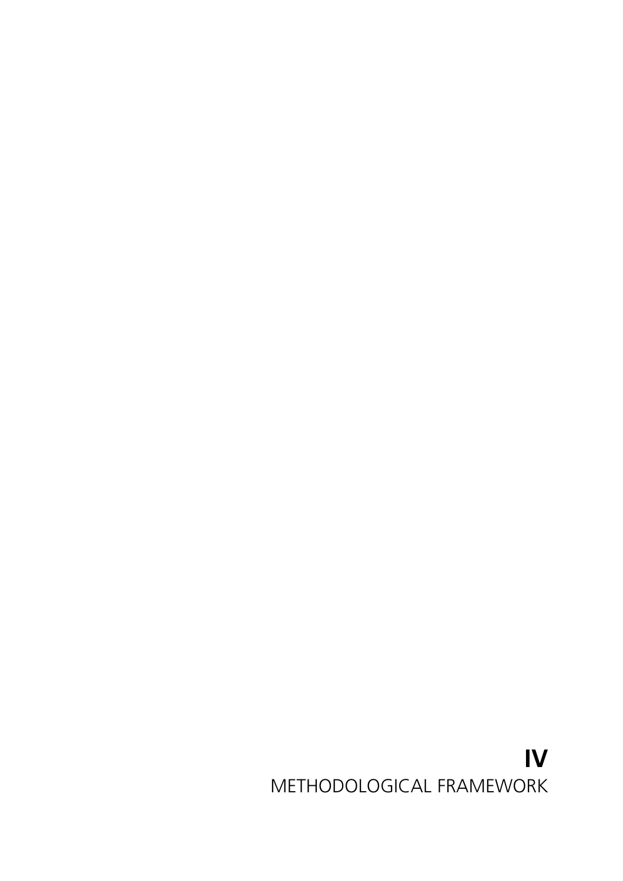# **IV** METHODOLOGICAL FRAMEWORK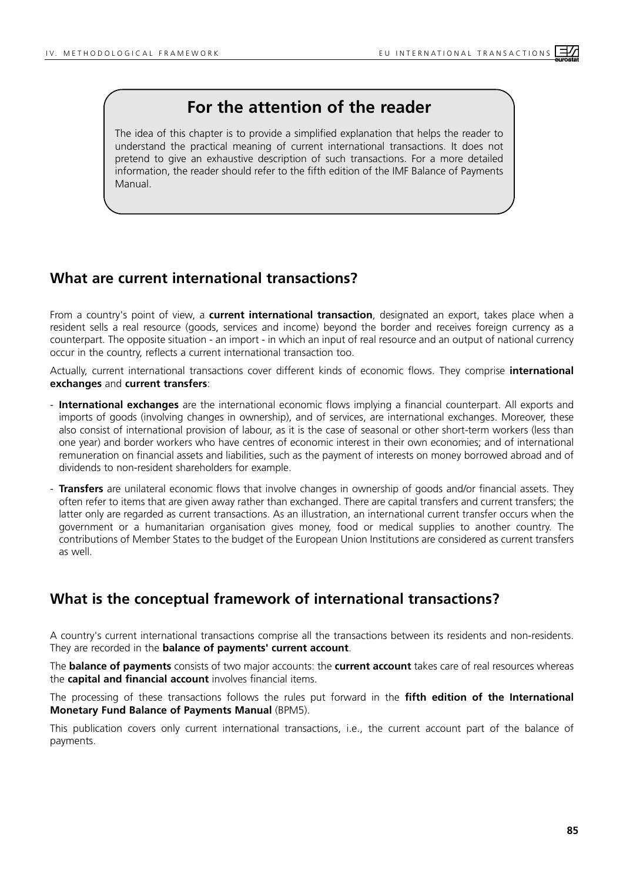# **For the attention of the reader**

The idea of this chapter is to provide a simplified explanation that helps the reader to understand the practical meaning of current international transactions. It does not pretend to give an exhaustive description of such transactions. For a more detailed information, the reader should refer to the fifth edition of the IMF Balance of Payments Manual.

# **What are current international transactions?**

From a country's point of view, a **current international transaction**, designated an export, takes place when a resident sells a real resource (goods, services and income) beyond the border and receives foreign currency as a counterpart. The opposite situation - an import - in which an input of real resource and an output of national currency occur in the country, reflects a current international transaction too.

Actually, current international transactions cover different kinds of economic flows. They comprise **international exchanges** and **current transfers**:

- **International exchanges** are the international economic flows implying a financial counterpart. All exports and imports of goods (involving changes in ownership), and of services, are international exchanges. Moreover, these also consist of international provision of labour, as it is the case of seasonal or other short-term workers (less than one year) and border workers who have centres of economic interest in their own economies; and of international remuneration on financial assets and liabilities, such as the payment of interests on money borrowed abroad and of dividends to non-resident shareholders for example.
- **Transfers** are unilateral economic flows that involve changes in ownership of goods and/or financial assets. They often refer to items that are given away rather than exchanged. There are capital transfers and current transfers; the latter only are regarded as current transactions. As an illustration, an international current transfer occurs when the government or a humanitarian organisation gives money, food or medical supplies to another country. The contributions of Member States to the budget of the European Union Institutions are considered as current transfers as well.

# **What is the conceptual framework of international transactions?**

A country's current international transactions comprise all the transactions between its residents and non-residents. They are recorded in the **balance of payments' current account**.

The **balance of payments** consists of two major accounts: the **current account** takes care of real resources whereas the **capital and financial account** involves financial items.

The processing of these transactions follows the rules put forward in the **fifth edition of the International Monetary Fund Balance of Payments Manual** (BPM5).

This publication covers only current international transactions, i.e., the current account part of the balance of payments.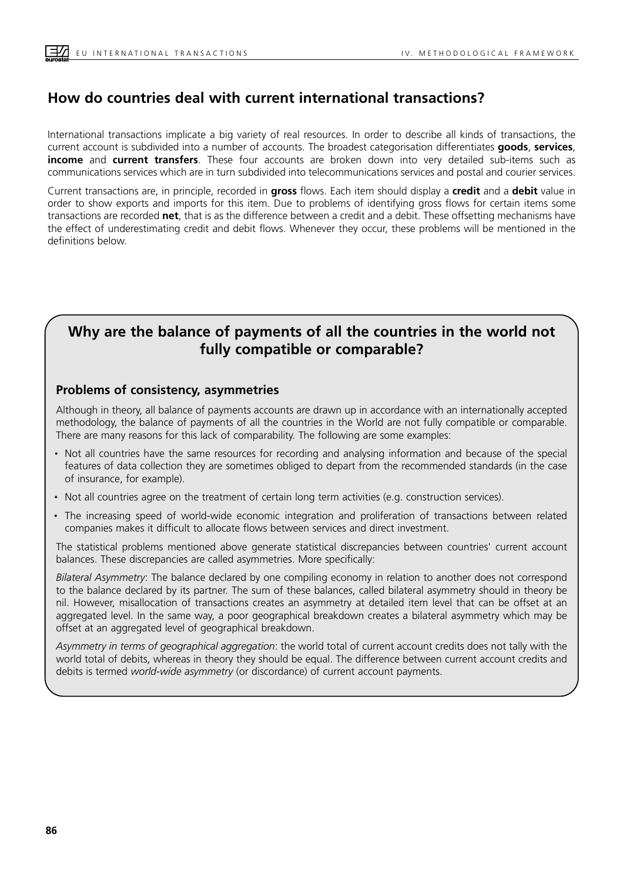## **How do countries deal with current international transactions?**

International transactions implicate a big variety of real resources. In order to describe all kinds of transactions, the current account is subdivided into a number of accounts. The broadest categorisation differentiates **goods**, **services**, **income** and **current transfers**. These four accounts are broken down into very detailed sub-items such as communications services which are in turn subdivided into telecommunications services and postal and courier services.

Current transactions are, in principle, recorded in **gross** flows. Each item should display a **credit** and a **debit** value in order to show exports and imports for this item. Due to problems of identifying gross flows for certain items some transactions are recorded **net**, that is as the difference between a credit and a debit. These offsetting mechanisms have the effect of underestimating credit and debit flows. Whenever they occur, these problems will be mentioned in the definitions below.

## **Why are the balance of payments of all the countries in the world not fully compatible or comparable?**

#### **Problems of consistency, asymmetries**

Although in theory, all balance of payments accounts are drawn up in accordance with an internationally accepted methodology, the balance of payments of all the countries in the World are not fully compatible or comparable. There are many reasons for this lack of comparability. The following are some examples:

- Not all countries have the same resources for recording and analysing information and because of the special<br>
factures of data cellection they are constituent lined to depent from the magnesium ded standards (in the seco features of data collection they are sometimes obliged to depart from the recommended standards (in the case of insurance, for example).
- Not all countries agree on the treatment of certain long term activities (e.g. construction services).
- The increasing speed of world-wide economic integration and proliferation of transactions between related companies makes it difficult to allocate flows between services and direct investment.

The statistical problems mentioned above generate statistical discrepancies between countries' current account balances. These discrepancies are called asymmetries. More specifically:

*Bilateral Asymmetry*: The balance declared by one compiling economy in relation to another does not correspond to the balance declared by its partner. The sum of these balances, called bilateral asymmetry should in theory be nil. However, misallocation of transactions creates an asymmetry at detailed item level that can be offset at an aggregated level. In the same way, a poor geographical breakdown creates a bilateral asymmetry which may be offset at an aggregated level of geographical breakdown.

*Asymmetry in terms of geographical aggregation*: the world total of current account credits does not tally with the world total of debits, whereas in theory they should be equal. The difference between current account credits and debits is termed *world-wide asymmetry* (or discordance) of current account payments.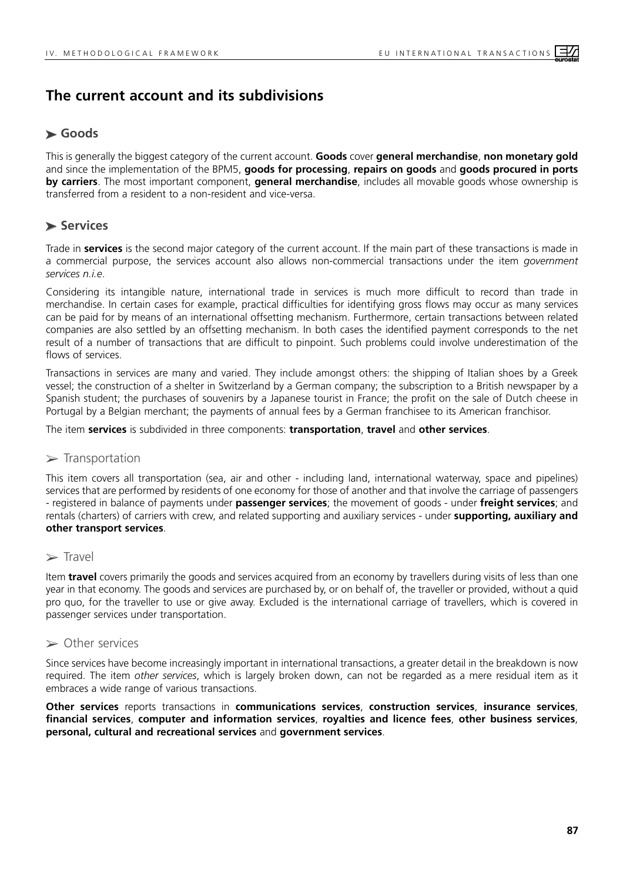## **The current account and its subdivisions**

## ➤ **Goods**

This is generally the biggest category of the current account. **Goods** cover **general merchandise**, **non monetary gold** and since the implementation of the BPM5, **goods for processing**, **repairs on goods** and **goods procured in ports by carriers**. The most important component, **general merchandise**, includes all movable goods whose ownership is transferred from a resident to a non-resident and vice-versa.

## ➤ **Services**

Trade in **services** is the second major category of the current account. If the main part of these transactions is made in a commercial purpose, the services account also allows non-commercial transactions under the item *government services n.i.e*.

Considering its intangible nature, international trade in services is much more difficult to record than trade in merchandise. In certain cases for example, practical difficulties for identifying gross flows may occur as many services can be paid for by means of an international offsetting mechanism. Furthermore, certain transactions between related companies are also settled by an offsetting mechanism. In both cases the identified payment corresponds to the net result of a number of transactions that are difficult to pinpoint. Such problems could involve underestimation of the flows of services.

Transactions in services are many and varied. They include amongst others: the shipping of Italian shoes by a Greek vessel; the construction of a shelter in Switzerland by a German company; the subscription to a British newspaper by a Spanish student; the purchases of souvenirs by a Japanese tourist in France; the profit on the sale of Dutch cheese in Portugal by a Belgian merchant; the payments of annual fees by a German franchisee to its American franchisor.

The item **services** is subdivided in three components: **transportation**, **travel** and **other services**.

#### $\triangleright$  Transportation

This item covers all transportation (sea, air and other - including land, international waterway, space and pipelines) services that are performed by residents of one economy for those of another and that involve the carriage of passengers - registered in balance of payments under **passenger services**; the movement of goods - under **freight services**; and rentals (charters) of carriers with crew, and related supporting and auxiliary services - under **supporting, auxiliary and other transport services**.

#### ➢ Travel

Item **travel** covers primarily the goods and services acquired from an economy by travellers during visits of less than one year in that economy. The goods and services are purchased by, or on behalf of, the traveller or provided, without a quid pro quo, for the traveller to use or give away. Excluded is the international carriage of travellers, which is covered in passenger services under transportation.

#### ➢ Other services

Since services have become increasingly important in international transactions, a greater detail in the breakdown is now required. The item *other services*, which is largely broken down, can not be regarded as a mere residual item as it embraces a wide range of various transactions.

**Other services** reports transactions in **communications services**, **construction services**, **insurance services**, **financial services**, **computer and information services**, **royalties and licence fees**, **other business services**, **personal, cultural and recreational services** and **government services**.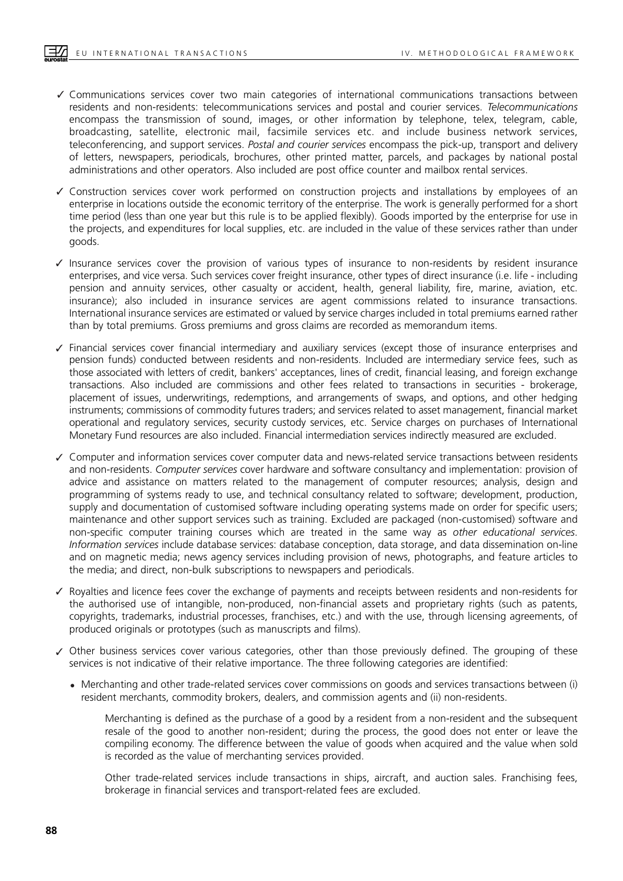- Communications services cover two main categories of international communications transactions between ✓ residents and non-residents: telecommunications services and postal and courier services. *Telecommunications* encompass the transmission of sound, images, or other information by telephone, telex, telegram, cable, broadcasting, satellite, electronic mail, facsimile services etc. and include business network services, teleconferencing, and support services. *Postal and courier services* encompass the pick-up, transport and delivery of letters, newspapers, periodicals, brochures, other printed matter, parcels, and packages by national postal administrations and other operators. Also included are post office counter and mailbox rental services.
- Construction services cover work performed on construction projects and installations by employees of an ✓ enterprise in locations outside the economic territory of the enterprise. The work is generally performed for a short time period (less than one year but this rule is to be applied flexibly). Goods imported by the enterprise for use in the projects, and expenditures for local supplies, etc. are included in the value of these services rather than under goods.
- Insurance services cover the provision of various types of insurance to non-residents by resident insurance ✓ enterprises, and vice versa. Such services cover freight insurance, other types of direct insurance (i.e. life - including pension and annuity services, other casualty or accident, health, general liability, fire, marine, aviation, etc. insurance); also included in insurance services are agent commissions related to insurance transactions. International insurance services are estimated or valued by service charges included in total premiums earned rather than by total premiums. Gross premiums and gross claims are recorded as memorandum items.
- Financial services cover financial intermediary and auxiliary services (except those of insurance enterprises and ✓ pension funds) conducted between residents and non-residents. Included are intermediary service fees, such as those associated with letters of credit, bankers' acceptances, lines of credit, financial leasing, and foreign exchange transactions. Also included are commissions and other fees related to transactions in securities - brokerage, placement of issues, underwritings, redemptions, and arrangements of swaps, and options, and other hedging instruments; commissions of commodity futures traders; and services related to asset management, financial market operational and regulatory services, security custody services, etc. Service charges on purchases of International Monetary Fund resources are also included. Financial intermediation services indirectly measured are excluded.
- Computer and information services cover computer data and news-related service transactions between residents ✓ and non-residents. *Computer services* cover hardware and software consultancy and implementation: provision of advice and assistance on matters related to the management of computer resources; analysis, design and programming of systems ready to use, and technical consultancy related to software; development, production, supply and documentation of customised software including operating systems made on order for specific users; maintenance and other support services such as training. Excluded are packaged (non-customised) software and non-specific computer training courses which are treated in the same way as *other educational services*. *Information services* include database services: database conception, data storage, and data dissemination on-line and on magnetic media; news agency services including provision of news, photographs, and feature articles to the media; and direct, non-bulk subscriptions to newspapers and periodicals.
- Royalties and licence fees cover the exchange of payments and receipts between residents and non-residents for ✓ the authorised use of intangible, non-produced, non-financial assets and proprietary rights (such as patents, copyrights, trademarks, industrial processes, franchises, etc.) and with the use, through licensing agreements, of produced originals or prototypes (such as manuscripts and films).
- ✓ Other business services cover various categories, other than those previously defined. The grouping of these services is not indicative of their relative importance. The three following categories are identified:
	- Merchanting and other trade-related services cover commissions on goods and services transactions between (i) resident merchants, commodity brokers, dealers, and commission agents and (ii) non-residents. ·

Merchanting is defined as the purchase of a good by a resident from a non-resident and the subsequent resale of the good to another non-resident; during the process, the good does not enter or leave the compiling economy. The difference between the value of goods when acquired and the value when sold is recorded as the value of merchanting services provided.

Other trade-related services include transactions in ships, aircraft, and auction sales. Franchising fees, brokerage in financial services and transport-related fees are excluded.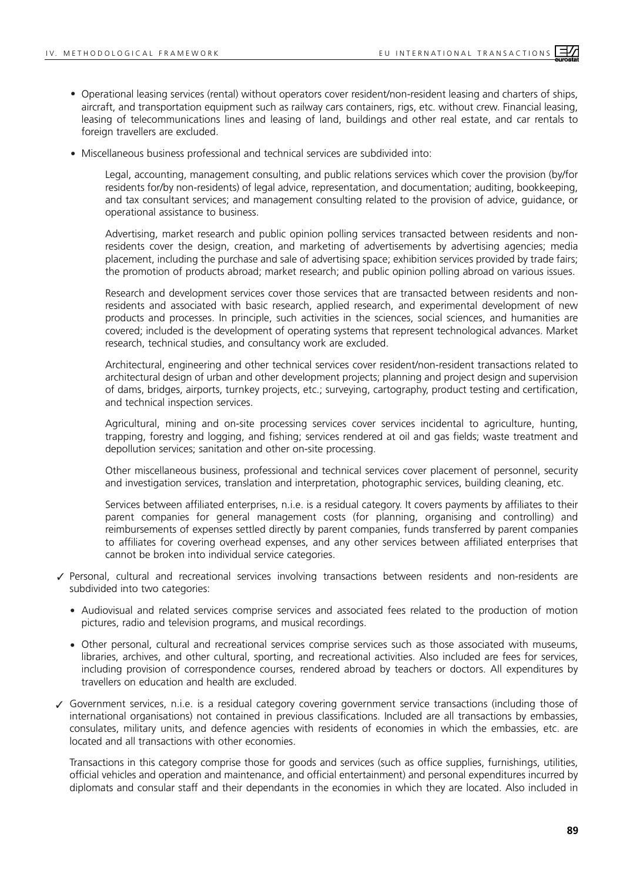- Operational leasing services (rental) without operators cover resident/non-resident leasing and charters of ships, aircraft, and transportation equipment such as railway cars containers, rigs, etc. without crew. Financial leasing, leasing of telecommunications lines and leasing of land, buildings and other real estate, and car rentals to foreign travellers are excluded. ·
- Miscellaneous business professional and technical services are subdivided into: ·

Legal, accounting, management consulting, and public relations services which cover the provision (by/for residents for/by non-residents) of legal advice, representation, and documentation; auditing, bookkeeping, and tax consultant services; and management consulting related to the provision of advice, guidance, or operational assistance to business.

Advertising, market research and public opinion polling services transacted between residents and nonresidents cover the design, creation, and marketing of advertisements by advertising agencies; media placement, including the purchase and sale of advertising space; exhibition services provided by trade fairs; the promotion of products abroad; market research; and public opinion polling abroad on various issues.

Research and development services cover those services that are transacted between residents and nonresidents and associated with basic research, applied research, and experimental development of new products and processes. In principle, such activities in the sciences, social sciences, and humanities are covered; included is the development of operating systems that represent technological advances. Market research, technical studies, and consultancy work are excluded.

Architectural, engineering and other technical services cover resident/non-resident transactions related to architectural design of urban and other development projects; planning and project design and supervision of dams, bridges, airports, turnkey projects, etc.; surveying, cartography, product testing and certification, and technical inspection services.

Agricultural, mining and on-site processing services cover services incidental to agriculture, hunting, trapping, forestry and logging, and fishing; services rendered at oil and gas fields; waste treatment and depollution services; sanitation and other on-site processing.

Other miscellaneous business, professional and technical services cover placement of personnel, security and investigation services, translation and interpretation, photographic services, building cleaning, etc.

Services between affiliated enterprises, n.i.e. is a residual category. It covers payments by affiliates to their parent companies for general management costs (for planning, organising and controlling) and reimbursements of expenses settled directly by parent companies, funds transferred by parent companies to affiliates for covering overhead expenses, and any other services between affiliated enterprises that cannot be broken into individual service categories.

- Personal, cultural and recreational services involving transactions between residents and non-residents are ✓ subdivided into two categories:
	- Audiovisual and related services comprise services and associated fees related to the production of motion pictures, radio and television programs, and musical recordings. ·
	- Other personal, cultural and recreational services comprise services such as those associated with museums, libraries, archives, and other cultural, sporting, and recreational activities. Also included are fees for services, including provision of correspondence courses, rendered abroad by teachers or doctors. All expenditures by travellers on education and health are excluded. ·
- Government services, n.i.e. is a residual category covering government service transactions (including those of ✓ international organisations) not contained in previous classifications. Included are all transactions by embassies, consulates, military units, and defence agencies with residents of economies in which the embassies, etc. are located and all transactions with other economies.

Transactions in this category comprise those for goods and services (such as office supplies, furnishings, utilities, official vehicles and operation and maintenance, and official entertainment) and personal expenditures incurred by diplomats and consular staff and their dependants in the economies in which they are located. Also included in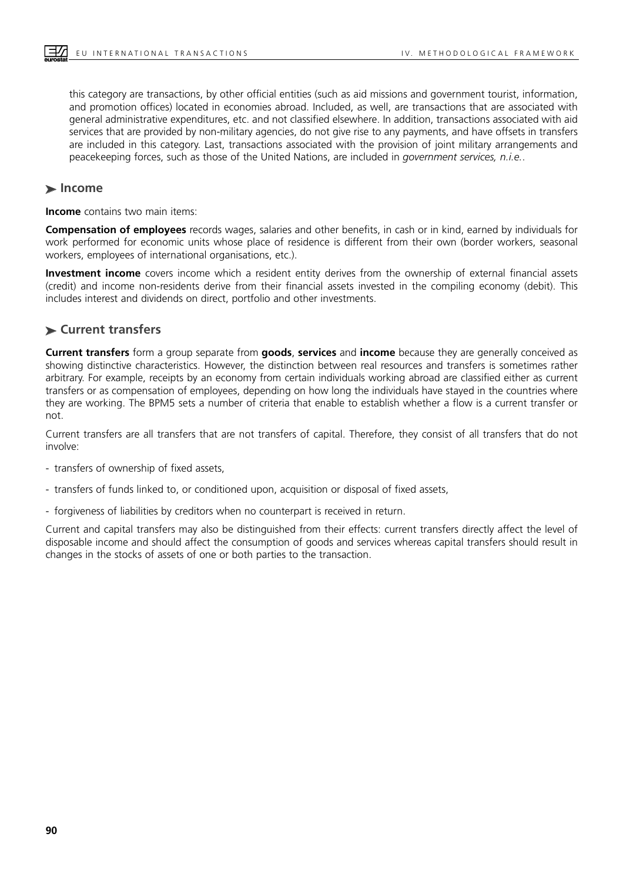this category are transactions, by other official entities (such as aid missions and government tourist, information, and promotion offices) located in economies abroad. Included, as well, are transactions that are associated with general administrative expenditures, etc. and not classified elsewhere. In addition, transactions associated with aid services that are provided by non-military agencies, do not give rise to any payments, and have offsets in transfers are included in this category. Last, transactions associated with the provision of joint military arrangements and peacekeeping forces, such as those of the United Nations, are included in *government services, n.i.e.*.

#### ➤ **Income**

**Income** contains two main items:

**Compensation of employees** records wages, salaries and other benefits, in cash or in kind, earned by individuals for work performed for economic units whose place of residence is different from their own (border workers, seasonal workers, employees of international organisations, etc.).

**Investment income** covers income which a resident entity derives from the ownership of external financial assets (credit) and income non-residents derive from their financial assets invested in the compiling economy (debit). This includes interest and dividends on direct, portfolio and other investments.

### ➤ **Current transfers**

**Current transfers** form a group separate from **goods**, **services** and **income** because they are generally conceived as showing distinctive characteristics. However, the distinction between real resources and transfers is sometimes rather arbitrary. For example, receipts by an economy from certain individuals working abroad are classified either as current transfers or as compensation of employees, depending on how long the individuals have stayed in the countries where they are working. The BPM5 sets a number of criteria that enable to establish whether a flow is a current transfer or not.

Current transfers are all transfers that are not transfers of capital. Therefore, they consist of all transfers that do not involve:

- transfers of ownership of fixed assets,
- transfers of funds linked to, or conditioned upon, acquisition or disposal of fixed assets,
- forgiveness of liabilities by creditors when no counterpart is received in return.

Current and capital transfers may also be distinguished from their effects: current transfers directly affect the level of disposable income and should affect the consumption of goods and services whereas capital transfers should result in changes in the stocks of assets of one or both parties to the transaction.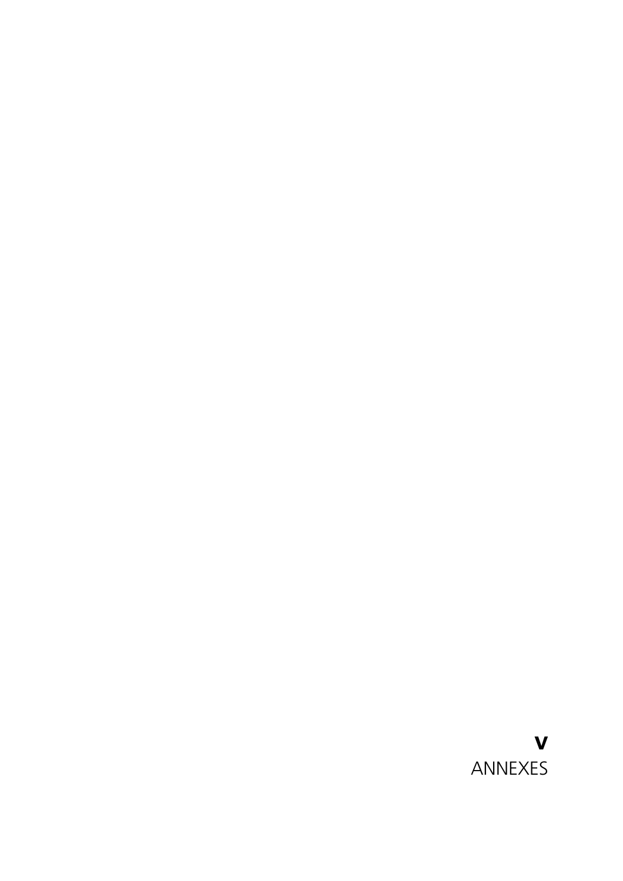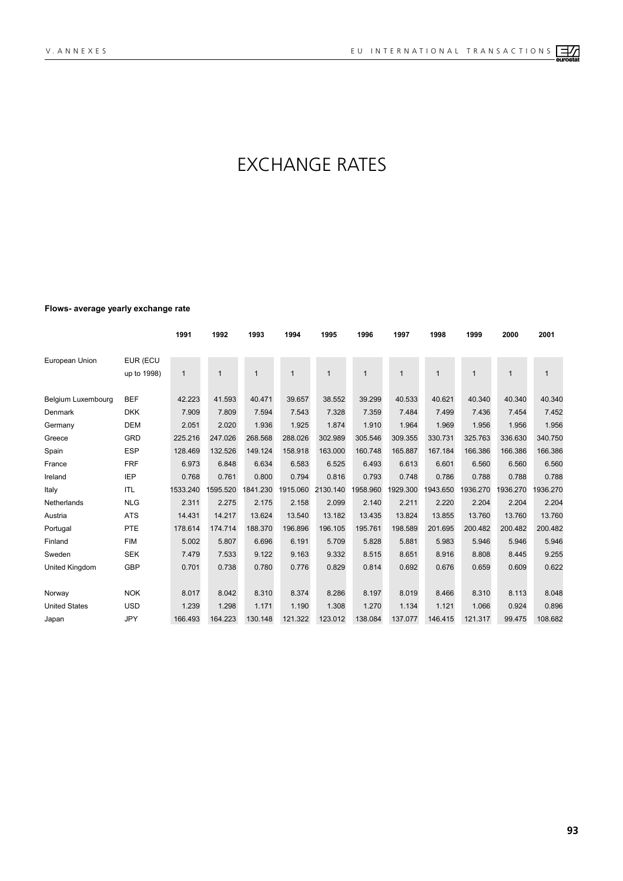# EXCHANGE RATES

#### **Flows- average yearly exchange rate**

|                      |             | 1991         | 1992         | 1993         | 1994         | 1995              | 1996         | 1997         | 1998     | 1999     | 2000         | 2001         |
|----------------------|-------------|--------------|--------------|--------------|--------------|-------------------|--------------|--------------|----------|----------|--------------|--------------|
|                      |             |              |              |              |              |                   |              |              |          |          |              |              |
| European Union       | EUR (ECU    |              |              |              |              |                   |              |              |          |          |              |              |
|                      | up to 1998) | $\mathbf{1}$ | $\mathbf{1}$ | $\mathbf{1}$ | $\mathbf{1}$ | $\mathbf{1}$      | $\mathbf{1}$ | $\mathbf{1}$ | 1        | 1        | $\mathbf{1}$ | $\mathbf{1}$ |
| Belgium Luxembourg   | <b>BEF</b>  | 42.223       | 41.593       | 40.471       | 39.657       | 38.552            | 39.299       | 40.533       | 40.621   | 40.340   | 40.340       | 40.340       |
| Denmark              | <b>DKK</b>  | 7.909        | 7.809        | 7.594        | 7.543        | 7.328             | 7.359        | 7.484        | 7.499    | 7.436    | 7.454        | 7.452        |
| Germany              | <b>DEM</b>  | 2.051        | 2.020        | 1.936        | 1.925        | 1.874             | 1.910        | 1.964        | 1.969    | 1.956    | 1.956        | 1.956        |
| Greece               | <b>GRD</b>  | 225.216      | 247.026      | 268.568      | 288.026      | 302.989           | 305.546      | 309.355      | 330.731  | 325.763  | 336.630      | 340.750      |
| Spain                | <b>ESP</b>  | 128.469      | 132.526      | 149.124      | 158.918      | 163.000           | 160.748      | 165.887      | 167.184  | 166.386  | 166.386      | 166.386      |
| France               | <b>FRF</b>  | 6.973        | 6.848        | 6.634        | 6.583        | 6.525             | 6.493        | 6.613        | 6.601    | 6.560    | 6.560        | 6.560        |
| Ireland              | <b>IEP</b>  | 0.768        | 0.761        | 0.800        | 0.794        | 0.816             | 0.793        | 0.748        | 0.786    | 0.788    | 0.788        | 0.788        |
| Italy                | <b>ITL</b>  | 1533.240     | 1595.520     | 1841.230     |              | 1915.060 2130.140 | 1958.960     | 1929.300     | 1943.650 | 1936.270 | 1936.270     | 1936.270     |
| Netherlands          | <b>NLG</b>  | 2.311        | 2.275        | 2.175        | 2.158        | 2.099             | 2.140        | 2.211        | 2.220    | 2.204    | 2.204        | 2.204        |
| Austria              | <b>ATS</b>  | 14.431       | 14.217       | 13.624       | 13.540       | 13.182            | 13.435       | 13.824       | 13.855   | 13.760   | 13.760       | 13.760       |
| Portugal             | PTE         | 178.614      | 174.714      | 188.370      | 196.896      | 196.105           | 195.761      | 198.589      | 201.695  | 200.482  | 200.482      | 200.482      |
| Finland              | <b>FIM</b>  | 5.002        | 5.807        | 6.696        | 6.191        | 5.709             | 5.828        | 5.881        | 5.983    | 5.946    | 5.946        | 5.946        |
| Sweden               | <b>SEK</b>  | 7.479        | 7.533        | 9.122        | 9.163        | 9.332             | 8.515        | 8.651        | 8.916    | 8.808    | 8.445        | 9.255        |
| United Kingdom       | <b>GBP</b>  | 0.701        | 0.738        | 0.780        | 0.776        | 0.829             | 0.814        | 0.692        | 0.676    | 0.659    | 0.609        | 0.622        |
|                      |             |              |              |              |              |                   |              |              |          |          |              |              |
| Norway               | <b>NOK</b>  | 8.017        | 8.042        | 8.310        | 8.374        | 8.286             | 8.197        | 8.019        | 8.466    | 8.310    | 8.113        | 8.048        |
| <b>United States</b> | <b>USD</b>  | 1.239        | 1.298        | 1.171        | 1.190        | 1.308             | 1.270        | 1.134        | 1.121    | 1.066    | 0.924        | 0.896        |
| Japan                | <b>JPY</b>  | 166.493      | 164.223      | 130.148      | 121.322      | 123.012           | 138.084      | 137.077      | 146.415  | 121.317  | 99.475       | 108.682      |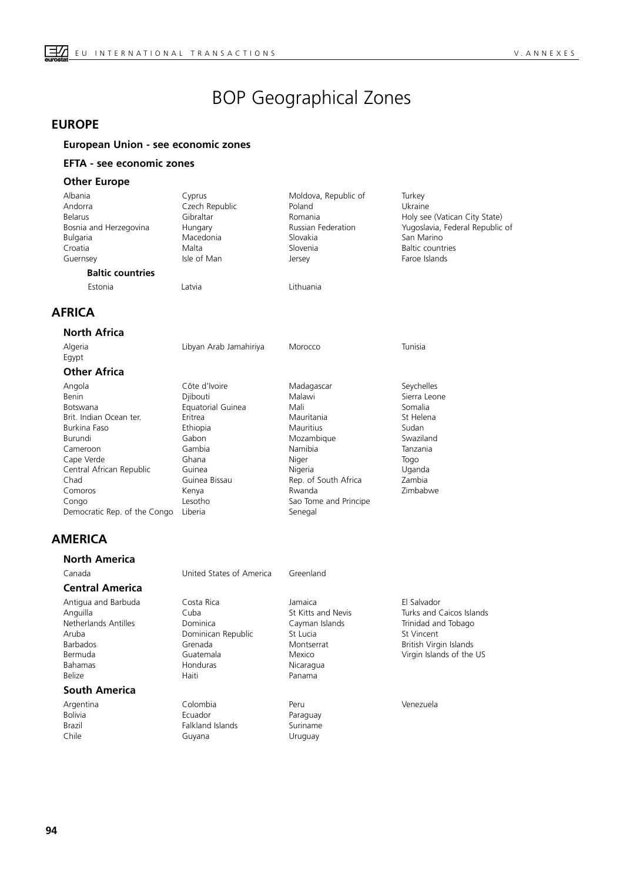# BOP Geographical Zones

## **EUROPE**

#### **European Union - see economic zones**

#### **EFTA - see economic zones**

#### **Other Europe**

| Albania                 | Cyprus         | Moldova, Republic of      | Turkey                          |
|-------------------------|----------------|---------------------------|---------------------------------|
| Andorra                 | Czech Republic | Poland                    | Ukraine                         |
| <b>Belarus</b>          | Gibraltar      | Romania                   | Holy see (Vatican City State)   |
| Bosnia and Herzegovina  | Hungary        | <b>Russian Federation</b> | Yugoslavia, Federal Republic of |
| <b>Bulgaria</b>         | Macedonia      | Slovakia                  | San Marino                      |
| Croatia                 | Malta          | Slovenia                  | <b>Baltic countries</b>         |
| Guernsey                | Isle of Man    | Jersey                    | Faroe Islands                   |
| <b>Baltic countries</b> |                |                           |                                 |
| Estonia                 | Latvia         | Lithuania                 |                                 |

## **AFRICA**

#### **North Africa**

| Algeria<br>Egypt             | Libyan Arab Jamahiriya | Morocco               | Tunisia      |
|------------------------------|------------------------|-----------------------|--------------|
| <b>Other Africa</b>          |                        |                       |              |
| Angola                       | Côte d'Ivoire          | Madagascar            | Seychelles   |
| Benin                        | Diibouti               | Malawi                | Sierra Leone |
| <b>Botswana</b>              | Equatorial Guinea      | Mali                  | Somalia      |
| Brit. Indian Ocean ter.      | Eritrea                | Mauritania            | St Helena    |
| Burkina Faso                 | Ethiopia               | <b>Mauritius</b>      | Sudan        |
| Burundi                      | Gabon                  | Mozambique            | Swaziland    |
| Cameroon                     | Gambia                 | Namibia               | Tanzania     |
| Cape Verde                   | Ghana                  | Niger                 | Togo         |
| Central African Republic     | Guinea                 | Nigeria               | Uganda       |
| Chad                         | Guinea Bissau          | Rep. of South Africa  | Zambia       |
| Comoros                      | Kenya                  | Rwanda                | Zimbabwe     |
| Congo                        | Lesotho                | Sao Tome and Principe |              |
| Democratic Rep. of the Congo | Liberia                | Senegal               |              |

## **AMERICA**

| <b>North America</b>                                                                                                       |                                                                                                   |                                                                                                            |                                                                                                                                    |
|----------------------------------------------------------------------------------------------------------------------------|---------------------------------------------------------------------------------------------------|------------------------------------------------------------------------------------------------------------|------------------------------------------------------------------------------------------------------------------------------------|
| Canada                                                                                                                     | United States of America                                                                          | Greenland                                                                                                  |                                                                                                                                    |
| <b>Central America</b>                                                                                                     |                                                                                                   |                                                                                                            |                                                                                                                                    |
| Antigua and Barbuda<br>Anguilla<br>Netherlands Antilles<br>Aruba<br><b>Barbados</b><br>Bermuda<br><b>Bahamas</b><br>Belize | Costa Rica<br>Cuba<br>Dominica<br>Dominican Republic<br>Grenada<br>Guatemala<br>Honduras<br>Haiti | Jamaica<br>St Kitts and Nevis<br>Cayman Islands<br>St Lucia<br>Montserrat<br>Mexico<br>Nicaragua<br>Panama | El Salvador<br>Turks and Caicos Islands<br>Trinidad and Tobago<br>St Vincent<br>British Virgin Islands<br>Virgin Islands of the US |
| <b>South America</b>                                                                                                       |                                                                                                   |                                                                                                            |                                                                                                                                    |
| Argentina<br><b>Bolivia</b><br><b>Brazil</b><br>Chile                                                                      | Colombia<br>Ecuador<br><b>Falkland Islands</b><br>Guyana                                          | Peru<br>Paraguay<br>Suriname<br>Uruguay                                                                    | Venezuela                                                                                                                          |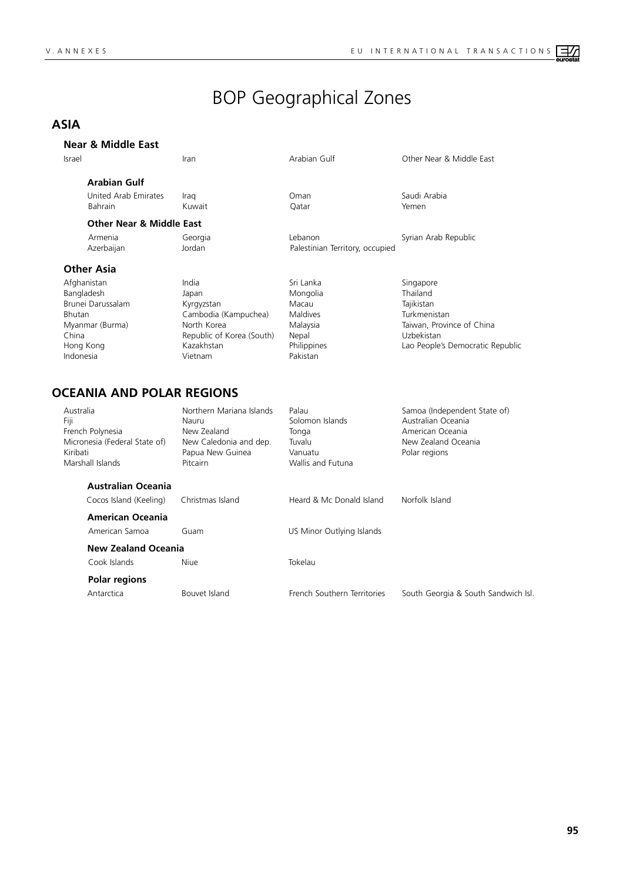# BOP Geographical Zones

## **ASIA**

Indonesia

#### **Near & Middle East**

| Israel     |                                     | Iran                      | Arabian Gulf                    | Other Near & Middle East  |
|------------|-------------------------------------|---------------------------|---------------------------------|---------------------------|
|            | <b>Arabian Gulf</b>                 |                           |                                 |                           |
|            | United Arab Emirates                | Iraq                      | Oman                            | Saudi Arabia              |
|            | <b>Bahrain</b>                      | Kuwait                    | Oatar                           | Yemen                     |
|            | <b>Other Near &amp; Middle East</b> |                           |                                 |                           |
|            | Armenia                             | Georgia                   | Lebanon                         | Syrian Arab Republic      |
|            | Azerbaijan                          | Jordan                    | Palestinian Territory, occupied |                           |
|            | <b>Other Asia</b>                   |                           |                                 |                           |
|            | Afghanistan                         | India                     | Sri Lanka                       | Singapore                 |
| Bangladesh |                                     | Japan                     | Mongolia                        | Thailand                  |
|            | Brunei Darussalam                   | Kyrgyzstan                | Macau                           | Tajikistan                |
| Bhutan     |                                     | Cambodia (Kampuchea)      | <b>Maldives</b>                 | Turkmenistan              |
|            | Myanmar (Burma)                     | North Korea               | Malaysia                        | Taiwan, Province of China |
| China      |                                     | Republic of Korea (South) | Nepal                           | Uzbekistan                |

Hong Kong Kazakhstan Philippines Lao People's Democratic Republic

#### **OCEANIA AND POLAR REGIONS**

| Australia<br>Fiji<br>Kiribati | French Polynesia<br>Micronesia (Federal State of)<br>Marshall Islands | Northern Mariana Islands<br>Nauru<br>New Zealand<br>New Caledonia and dep.<br>Papua New Guinea<br><b>Pitcairn</b> | Palau<br>Solomon Islands<br>Tonga<br>Tuvalu<br>Vanuatu<br>Wallis and Futuna | Samoa (Independent State of)<br>Australian Oceania<br>American Oceania<br>New Zealand Oceania<br>Polar regions |
|-------------------------------|-----------------------------------------------------------------------|-------------------------------------------------------------------------------------------------------------------|-----------------------------------------------------------------------------|----------------------------------------------------------------------------------------------------------------|
|                               | <b>Australian Oceania</b><br>Cocos Island (Keeling)                   | Christmas Island                                                                                                  | Heard & Mc Donald Island                                                    | Norfolk Island                                                                                                 |
|                               | <b>American Oceania</b><br>American Samoa                             | Guam                                                                                                              | US Minor Outlying Islands                                                   |                                                                                                                |
|                               | <b>New Zealand Oceania</b><br>Cook Islands                            | Niue                                                                                                              | Tokelau                                                                     |                                                                                                                |
|                               | Polar regions<br>Antarctica                                           | Bouvet Island                                                                                                     | French Southern Territories                                                 | South Georgia & South Sandwich Isl.                                                                            |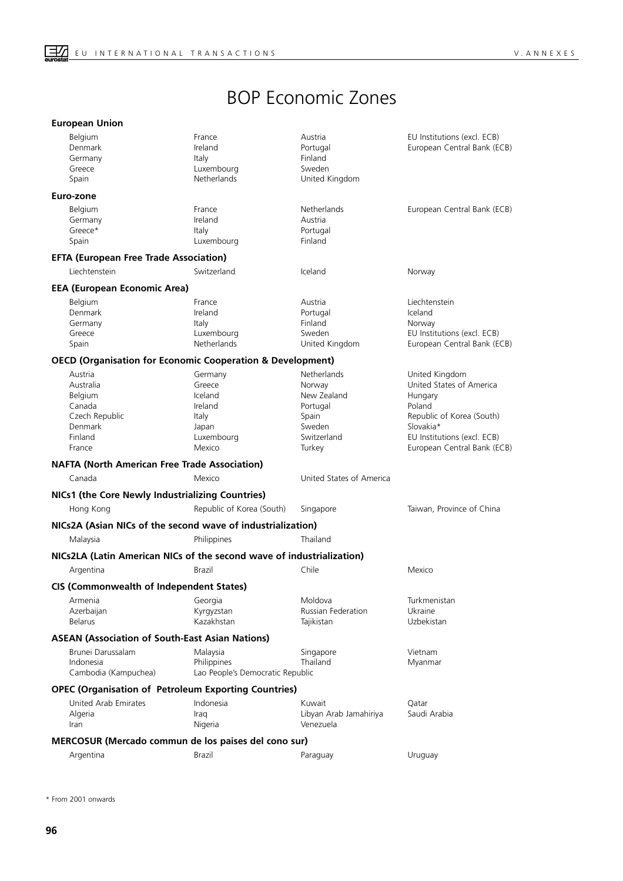## BOP Economic Zones

|  | <b>European Union</b> |
|--|-----------------------|
|  |                       |
|  |                       |

| <b>Belgium</b><br>Denmark<br>Germany<br>Greece<br>Spain                                            | France<br>Ireland<br>Italy<br>Luxembourg<br>Netherlands                           | Austria<br>Portugal<br>Finland<br>Sweden<br>United Kingdom                                   | EU Institutions (excl. ECB)<br>European Central Bank (ECB)                                                                                                              |
|----------------------------------------------------------------------------------------------------|-----------------------------------------------------------------------------------|----------------------------------------------------------------------------------------------|-------------------------------------------------------------------------------------------------------------------------------------------------------------------------|
| Euro-zone                                                                                          |                                                                                   |                                                                                              |                                                                                                                                                                         |
| <b>Belgium</b><br>Germany<br>Greece*<br>Spain                                                      | France<br>Ireland<br>Italy<br>Luxembourg                                          | Netherlands<br>Austria<br>Portugal<br>Finland                                                | European Central Bank (ECB)                                                                                                                                             |
| <b>EFTA (European Free Trade Association)</b>                                                      |                                                                                   |                                                                                              |                                                                                                                                                                         |
| Liechtenstein                                                                                      | Switzerland                                                                       | Iceland                                                                                      | Norway                                                                                                                                                                  |
| <b>EEA (European Economic Area)</b>                                                                |                                                                                   |                                                                                              |                                                                                                                                                                         |
| <b>Belgium</b><br>Denmark<br>Germany<br>Greece<br>Spain                                            | France<br>Ireland<br>Italy<br>Luxembourg<br>Netherlands                           | Austria<br>Portugal<br>Finland<br>Sweden<br>United Kingdom                                   | Liechtenstein<br>Iceland<br>Norway<br>EU Institutions (excl. ECB)<br>European Central Bank (ECB)                                                                        |
| <b>OECD (Organisation for Economic Cooperation &amp; Development)</b>                              |                                                                                   |                                                                                              |                                                                                                                                                                         |
| Austria<br>Australia<br><b>Belgium</b><br>Canada<br>Czech Republic<br>Denmark<br>Finland<br>France | Germany<br>Greece<br>Iceland<br>Ireland<br>Italy<br>Japan<br>Luxembourg<br>Mexico | Netherlands<br>Norway<br>New Zealand<br>Portugal<br>Spain<br>Sweden<br>Switzerland<br>Turkey | United Kingdom<br>United States of America<br>Hungary<br>Poland<br>Republic of Korea (South)<br>Slovakia*<br>EU Institutions (excl. ECB)<br>European Central Bank (ECB) |
| <b>NAFTA (North American Free Trade Association)</b>                                               |                                                                                   |                                                                                              |                                                                                                                                                                         |
| Canada                                                                                             | Mexico                                                                            | United States of America                                                                     |                                                                                                                                                                         |
| NICs1 (the Core Newly Industrializing Countries)                                                   |                                                                                   |                                                                                              |                                                                                                                                                                         |
| Hong Kong                                                                                          | Republic of Korea (South)                                                         | Singapore                                                                                    | Taiwan, Province of China                                                                                                                                               |
| NICs2A (Asian NICs of the second wave of industrialization)                                        |                                                                                   |                                                                                              |                                                                                                                                                                         |
| Malaysia                                                                                           | Philippines                                                                       | Thailand                                                                                     |                                                                                                                                                                         |
| NICs2LA (Latin American NICs of the second wave of industrialization)                              |                                                                                   |                                                                                              |                                                                                                                                                                         |
| Argentina                                                                                          | Brazil                                                                            | Chile                                                                                        | Mexico                                                                                                                                                                  |
| <b>CIS (Commonwealth of Independent States)</b>                                                    |                                                                                   |                                                                                              |                                                                                                                                                                         |
| Armenia<br>Azerbaijan<br><b>Belarus</b>                                                            | Georgia<br>Kyrgyzstan<br>Kazakhstan                                               | Moldova<br>Russian Federation<br>Tajikistan                                                  | Turkmenistan<br>Ukraine<br>Uzbekistan                                                                                                                                   |
| <b>ASEAN (Association of South-East Asian Nations)</b>                                             |                                                                                   |                                                                                              |                                                                                                                                                                         |
| Brunei Darussalam<br>Indonesia<br>Cambodia (Kampuchea)                                             | Malaysia<br>Philippines<br>Lao People's Democratic Republic                       | Singapore<br>Thailand                                                                        | Vietnam<br>Myanmar                                                                                                                                                      |
| <b>OPEC (Organisation of Petroleum Exporting Countries)</b>                                        |                                                                                   |                                                                                              |                                                                                                                                                                         |
| United Arab Emirates<br>Algeria<br>Iran                                                            | Indonesia<br>Iraq<br>Nigeria                                                      | Kuwait<br>Libyan Arab Jamahiriya<br>Venezuela                                                | Qatar<br>Saudi Arabia                                                                                                                                                   |
| MERCOSUR (Mercado commun de los paises del cono sur)                                               |                                                                                   |                                                                                              |                                                                                                                                                                         |
| Argentina                                                                                          | Brazil                                                                            | Paraguay                                                                                     | Uruguay                                                                                                                                                                 |

\* From 2001 onwards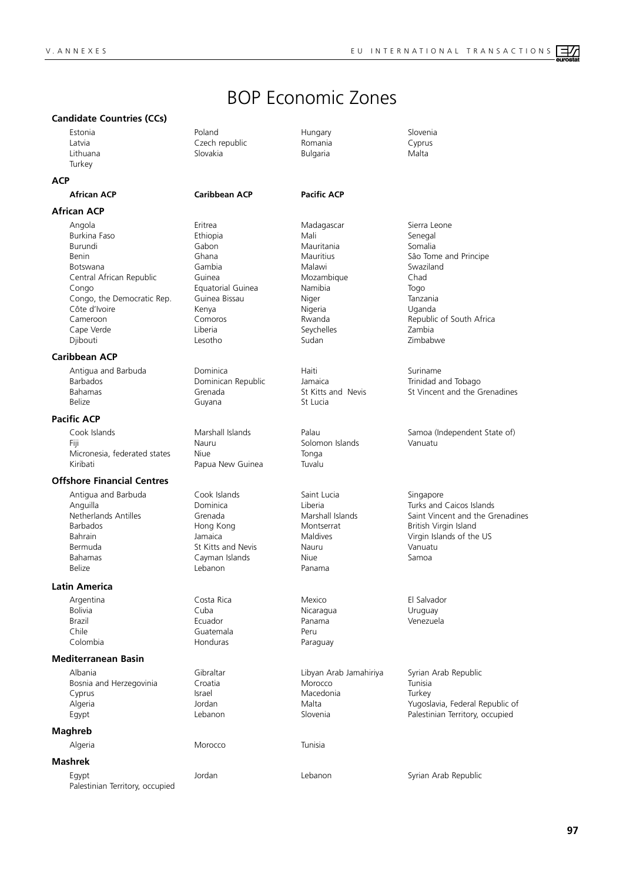## BOP Economic Zones

#### **Candidate Countries (CCs)**

**Turkey** 

#### **ACP**

**African ACP Caribbean ACP Pacific ACP**

#### **African ACP**

Angola Eritrea - Madagascar - Sierra Leone<br>1991 - Burkina Faso - Senegal - Senegal Burkina Faso Burundi Gabon Mauritania Somalia Benin Ghana Ghana Mauritius Sâo Tome and Principe Botswana Gambia Malawi Swaziland Central African Republic Guinea Mozambique Chad Congo Equatorial Guinea Namibia Togo Congo, the Democratic Rep. Guinea Bissau Niger Niger Tanzania Côte d'Ivoire **Maria Alexanda** Nigeria Nigeria Nigeria Nigeria Nigeria Nigeria Nigeria Nigeria Nigeria Nigeria N Cameroon Comoros Rwanda Republic of South Africa Cape Verde Liberia Seychelles Zambia Djibouti Lesotho Sudan Zimbabwe

#### **Caribbean ACP**

Antigua and Barbuda **Dominica** Dominica **Haiti** Haiti Suriname Barbados Dominican Republic Jamaica Trinidad and Tobago Belize **Guyana** Guyana St Lucia

#### **Pacific ACP**

Fiji Nauru Nauru Solomon Islands Vanuatu<br>Micronesia. federated states Niue Niue Tonga Micronesia, federated states Niue Niue Tonga<br>Kiribati Papua New Guinea Tuvalu

#### **Offshore Financial Centres**

Antigua and Barbuda **Cook Islands** Saint Lucia Saint Lucia Bahrain Jamaica Maldives Virgin Islands of the US Bahamas Cayman Islands Niue Samoa

#### **Latin America**

Chile Chile Chile Guatemala Peru<br>Colombia Para

#### **Mediterranean Basin**

Albania Cibraltar Gibraltar Libyan Arab Jamahiriya Syrian Arab Republic<br>Bosnia and Herzegovinia Croatia China Morocco Tunisia Bosnia and Herzegovinia Croatia and Herzegovinia Croatia Croatia Morocco Morocco Cyprus Cyprus Israel Macedonia Turkey

#### **Maghreb**

Algeria Morocco Tunisia

#### **Mashrek**

Egypt Jordan Lebanon Syrian Arab Republic Palestinian Territory, occupied

Estonia Poland Hungary Slovenia Latvia Czech republic Romania Cyprus

Papua New Guinea

St Kitts and Nevis

Lithuana Slovakia Bulgaria Malta

Belize Lebanon Panama

Argentina Costa Rica Mexico El Salvador Bolivia Cuba Nicaragua Uruguay Brazil Ecuador Panama Venezuela Paraguay

Grenada St Kitts and Nevis St Vincent and the Grenadines

Cook Islands Marshall Islands Palau Samoa (Independent State of)

Anguilla Dominica Liberia Turks and Caicos Islands Netherlands Antilles **Grenada** Grenada Marshall Islands Saint Vincent and the Grenadines<br>
Saint Vincent and the Grenadines<br>
British Virgin Island British Virgin Island

Algeria Jordan Malta Yugoslavia, Federal Republic of Palestinian Territory, occupied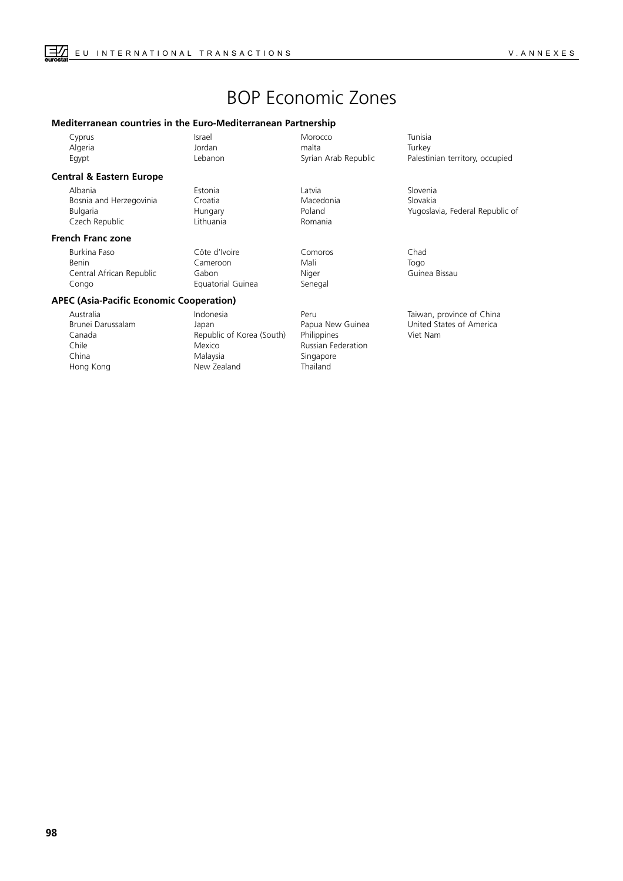## BOP Economic Zones

#### **Mediterranean countries in the Euro-Mediterranean Partnership**

| Cyprus  | Israel  | Morocco              | Tunisia |
|---------|---------|----------------------|---------|
| Algeria | Jordan  | malta                | Turkey  |
| Eqypt   | Lebanon | Syrian Arab Republic | Palesti |

#### **Central & Eastern Europe**

Albania Estonia Latvia Slovenia Bosnia and Herzegovinia Croatia Macedonia Slovakia Czech Republic Lithuania

#### **French Franc zone**

Burkina Faso Côte d'Ivoire Comoros Chad Benin Cameroon Mali Togo Central African Republic Gabon Niger Guinea Bissau Congo Equatorial Guinea Senegal

#### **APEC (Asia-Pacific Economic Cooperation)**

Australia Indonesia Peru Taiwan, province of China Brunei Darussalam Japan Papua New Guinea United States of America Canada Republic of Korea (South) Philippines Viet Nam China Malaysia Singapore Hong Kong New Zealand Thailand

Mexico Russian Federation



Lebanon Syrian Arab Republic Palestinian territory, occupied

Poland **Bulgaria Hungaria Hungaria Poland Poland Poland Properties Accept** Pugoslavia, Federal Republic of